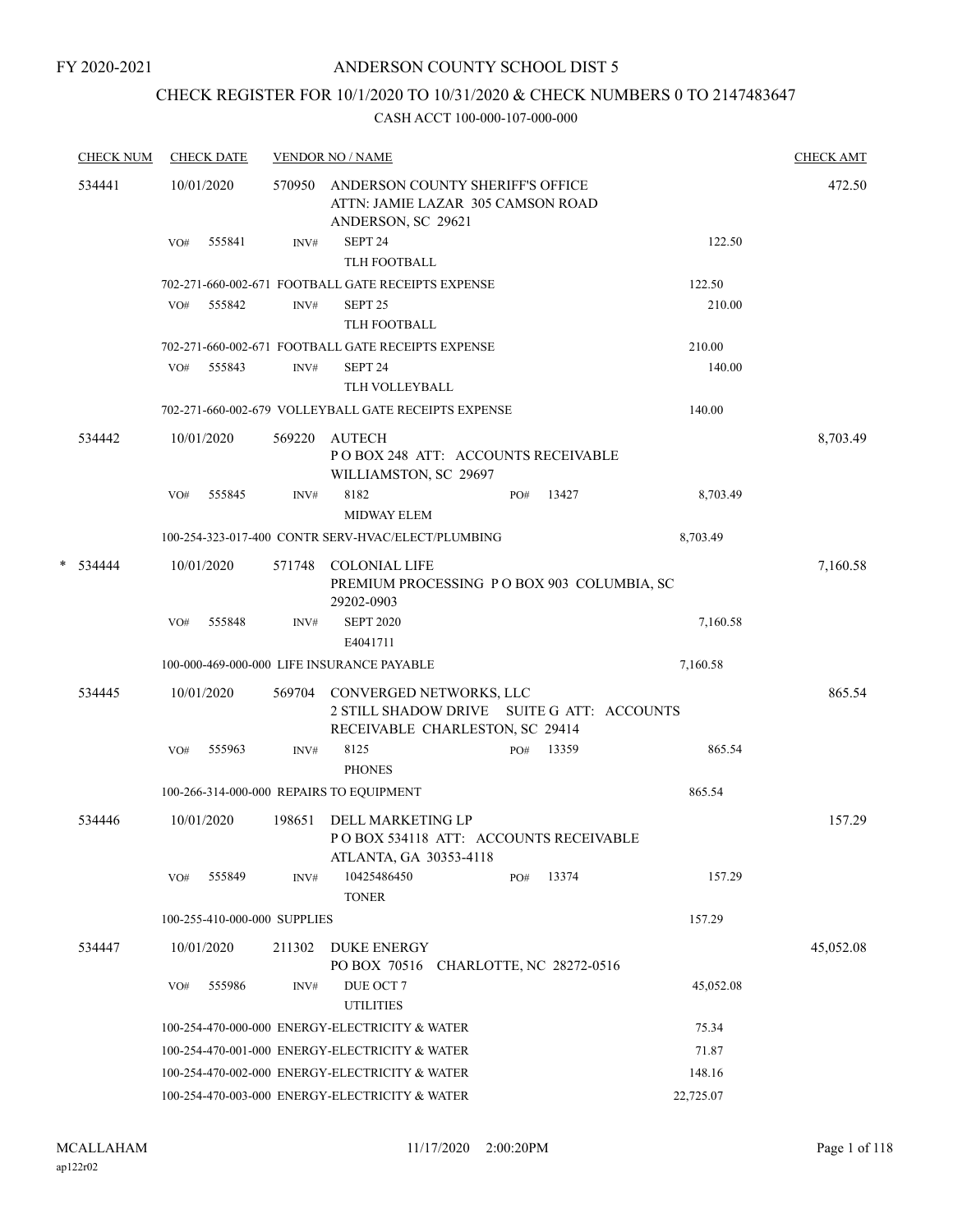## CHECK REGISTER FOR 10/1/2020 TO 10/31/2020 & CHECK NUMBERS 0 TO 2147483647

|   | <b>CHECK NUM</b> |     | <b>CHECK DATE</b>            |        | <b>VENDOR NO / NAME</b>                                                                                  |     |                          |           | <b>CHECK AMT</b> |
|---|------------------|-----|------------------------------|--------|----------------------------------------------------------------------------------------------------------|-----|--------------------------|-----------|------------------|
|   | 534441           |     | 10/01/2020                   | 570950 | ANDERSON COUNTY SHERIFF'S OFFICE<br>ATTN: JAMIE LAZAR 305 CAMSON ROAD<br>ANDERSON, SC 29621              |     |                          |           | 472.50           |
|   |                  | VO# | 555841                       | INV#   | SEPT <sub>24</sub><br>TLH FOOTBALL                                                                       |     |                          | 122.50    |                  |
|   |                  |     |                              |        | 702-271-660-002-671 FOOTBALL GATE RECEIPTS EXPENSE                                                       |     |                          | 122.50    |                  |
|   |                  | VO# | 555842                       | INV#   | SEPT <sub>25</sub><br>TLH FOOTBALL                                                                       |     |                          | 210.00    |                  |
|   |                  |     |                              |        | 702-271-660-002-671 FOOTBALL GATE RECEIPTS EXPENSE                                                       |     |                          | 210.00    |                  |
|   |                  | VO# | 555843                       | INV#   | SEPT <sub>24</sub>                                                                                       |     |                          | 140.00    |                  |
|   |                  |     |                              |        | TLH VOLLEYBALL<br>702-271-660-002-679 VOLLEYBALL GATE RECEIPTS EXPENSE                                   |     |                          | 140.00    |                  |
|   | 534442           |     | 10/01/2020                   | 569220 | AUTECH                                                                                                   |     |                          |           | 8,703.49         |
|   |                  |     |                              |        | POBOX 248 ATT: ACCOUNTS RECEIVABLE<br>WILLIAMSTON, SC 29697                                              |     |                          |           |                  |
|   |                  | VO# | 555845                       | INV#   | 8182<br><b>MIDWAY ELEM</b>                                                                               | PO# | 13427                    | 8,703.49  |                  |
|   |                  |     |                              |        | 100-254-323-017-400 CONTR SERV-HVAC/ELECT/PLUMBING                                                       |     |                          | 8,703.49  |                  |
| * | 534444           |     | 10/01/2020                   | 571748 | <b>COLONIAL LIFE</b><br>PREMIUM PROCESSING PO BOX 903 COLUMBIA, SC<br>29202-0903                         |     |                          |           | 7,160.58         |
|   |                  | VO# | 555848                       | INV#   | <b>SEPT 2020</b><br>E4041711                                                                             |     |                          | 7,160.58  |                  |
|   |                  |     |                              |        | 100-000-469-000-000 LIFE INSURANCE PAYABLE                                                               |     |                          | 7,160.58  |                  |
|   | 534445           |     | 10/01/2020                   | 569704 | CONVERGED NETWORKS, LLC<br>2 STILL SHADOW DRIVE SUITE G ATT: ACCOUNTS<br>RECEIVABLE CHARLESTON, SC 29414 |     |                          |           | 865.54           |
|   |                  | VO# | 555963                       | INV#   | 8125<br><b>PHONES</b>                                                                                    | PO# | 13359                    | 865.54    |                  |
|   |                  |     |                              |        | 100-266-314-000-000 REPAIRS TO EQUIPMENT                                                                 |     |                          | 865.54    |                  |
|   | 534446           |     | 10/01/2020                   | 198651 | DELL MARKETING LP<br>POBOX 534118 ATT: ACCOUNTS RECEIVABLE<br>ATLANTA, GA 30353-4118                     |     |                          |           | 157.29           |
|   |                  | VO# | 555849                       | INV#   | 10425486450<br><b>TONER</b>                                                                              | PO# | 13374                    | 157.29    |                  |
|   |                  |     | 100-255-410-000-000 SUPPLIES |        |                                                                                                          |     |                          | 157.29    |                  |
|   | 534447           |     | 10/01/2020                   | 211302 | <b>DUKE ENERGY</b><br>PO BOX 70516                                                                       |     | CHARLOTTE, NC 28272-0516 |           | 45,052.08        |
|   |                  | VO# | 555986                       | INV#   | DUE OCT 7                                                                                                |     |                          | 45,052.08 |                  |
|   |                  |     |                              |        | <b>UTILITIES</b>                                                                                         |     |                          |           |                  |
|   |                  |     |                              |        | 100-254-470-000-000 ENERGY-ELECTRICITY & WATER                                                           |     |                          | 75.34     |                  |
|   |                  |     |                              |        | 100-254-470-001-000 ENERGY-ELECTRICITY & WATER                                                           |     |                          | 71.87     |                  |
|   |                  |     |                              |        | 100-254-470-002-000 ENERGY-ELECTRICITY & WATER                                                           |     |                          | 148.16    |                  |
|   |                  |     |                              |        | 100-254-470-003-000 ENERGY-ELECTRICITY & WATER                                                           |     |                          | 22,725.07 |                  |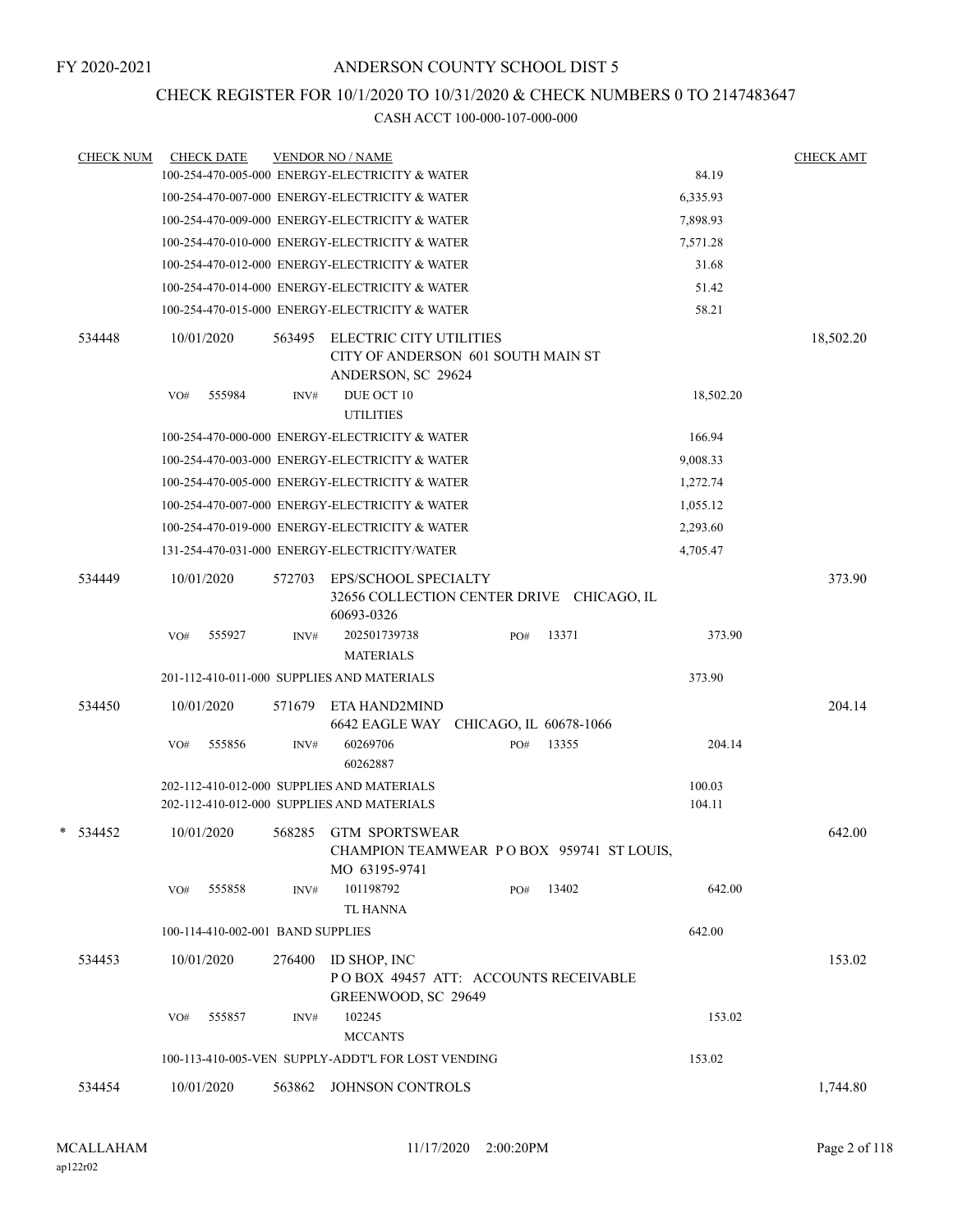## CHECK REGISTER FOR 10/1/2020 TO 10/31/2020 & CHECK NUMBERS 0 TO 2147483647

| <b>CHECK NUM</b> |     | <b>CHECK DATE</b>                 |        | <b>VENDOR NO / NAME</b>                                                                  |     |                                           |                  | <b>CHECK AMT</b> |
|------------------|-----|-----------------------------------|--------|------------------------------------------------------------------------------------------|-----|-------------------------------------------|------------------|------------------|
|                  |     |                                   |        | 100-254-470-005-000 ENERGY-ELECTRICITY & WATER                                           |     |                                           | 84.19            |                  |
|                  |     |                                   |        | 100-254-470-007-000 ENERGY-ELECTRICITY & WATER                                           |     |                                           | 6,335.93         |                  |
|                  |     |                                   |        | 100-254-470-009-000 ENERGY-ELECTRICITY & WATER                                           |     |                                           | 7,898.93         |                  |
|                  |     |                                   |        | 100-254-470-010-000 ENERGY-ELECTRICITY & WATER                                           |     |                                           | 7,571.28         |                  |
|                  |     |                                   |        | 100-254-470-012-000 ENERGY-ELECTRICITY & WATER                                           |     |                                           | 31.68            |                  |
|                  |     |                                   |        | 100-254-470-014-000 ENERGY-ELECTRICITY & WATER                                           |     |                                           | 51.42            |                  |
|                  |     |                                   |        | 100-254-470-015-000 ENERGY-ELECTRICITY & WATER                                           |     |                                           | 58.21            |                  |
| 534448           |     | 10/01/2020                        | 563495 | ELECTRIC CITY UTILITIES<br>CITY OF ANDERSON 601 SOUTH MAIN ST<br>ANDERSON, SC 29624      |     |                                           |                  | 18,502.20        |
|                  | VO# | 555984                            | INV#   | DUE OCT 10<br><b>UTILITIES</b>                                                           |     |                                           | 18,502.20        |                  |
|                  |     |                                   |        | 100-254-470-000-000 ENERGY-ELECTRICITY & WATER                                           |     |                                           | 166.94           |                  |
|                  |     |                                   |        | 100-254-470-003-000 ENERGY-ELECTRICITY & WATER                                           |     |                                           | 9,008.33         |                  |
|                  |     |                                   |        | 100-254-470-005-000 ENERGY-ELECTRICITY & WATER                                           |     |                                           | 1,272.74         |                  |
|                  |     |                                   |        | 100-254-470-007-000 ENERGY-ELECTRICITY & WATER                                           |     |                                           | 1,055.12         |                  |
|                  |     |                                   |        | 100-254-470-019-000 ENERGY-ELECTRICITY & WATER                                           |     |                                           | 2,293.60         |                  |
|                  |     |                                   |        | 131-254-470-031-000 ENERGY-ELECTRICITY/WATER                                             |     |                                           | 4,705.47         |                  |
| 534449           |     | 10/01/2020                        | 572703 | EPS/SCHOOL SPECIALTY<br>32656 COLLECTION CENTER DRIVE CHICAGO, IL<br>60693-0326          |     |                                           |                  | 373.90           |
|                  | VO# | 555927                            | INV#   | 202501739738<br><b>MATERIALS</b>                                                         | PO# | 13371                                     | 373.90           |                  |
|                  |     |                                   |        | 201-112-410-011-000 SUPPLIES AND MATERIALS                                               |     |                                           | 373.90           |                  |
| 534450           |     | 10/01/2020                        | 571679 | ETA HAND2MIND<br>6642 EAGLE WAY CHICAGO, IL 60678-1066                                   |     |                                           |                  | 204.14           |
|                  | VO# | 555856                            | INV#   | 60269706<br>60262887                                                                     | PO# | 13355                                     | 204.14           |                  |
|                  |     |                                   |        | 202-112-410-012-000 SUPPLIES AND MATERIALS<br>202-112-410-012-000 SUPPLIES AND MATERIALS |     |                                           | 100.03<br>104.11 |                  |
| $*$ 534452       |     | 10/01/2020                        | 568285 | <b>GTM SPORTSWEAR</b><br>MO 63195-9741                                                   |     | CHAMPION TEAMWEAR PO BOX 959741 ST LOUIS, |                  | 642.00           |
|                  | VO# | 555858                            | INV#   | 101198792                                                                                | PO# | 13402                                     | 642.00           |                  |
|                  |     |                                   |        | <b>TL HANNA</b>                                                                          |     |                                           |                  |                  |
|                  |     | 100-114-410-002-001 BAND SUPPLIES |        |                                                                                          |     |                                           | 642.00           |                  |
| 534453           |     | 10/01/2020                        | 276400 | ID SHOP, INC<br>POBOX 49457 ATT: ACCOUNTS RECEIVABLE<br>GREENWOOD, SC 29649              |     |                                           |                  | 153.02           |
|                  | VO# | 555857                            | INV#   | 102245<br><b>MCCANTS</b>                                                                 |     |                                           | 153.02           |                  |
|                  |     |                                   |        | 100-113-410-005-VEN SUPPLY-ADDT'L FOR LOST VENDING                                       |     |                                           | 153.02           |                  |
| 534454           |     | 10/01/2020                        | 563862 | JOHNSON CONTROLS                                                                         |     |                                           |                  | 1,744.80         |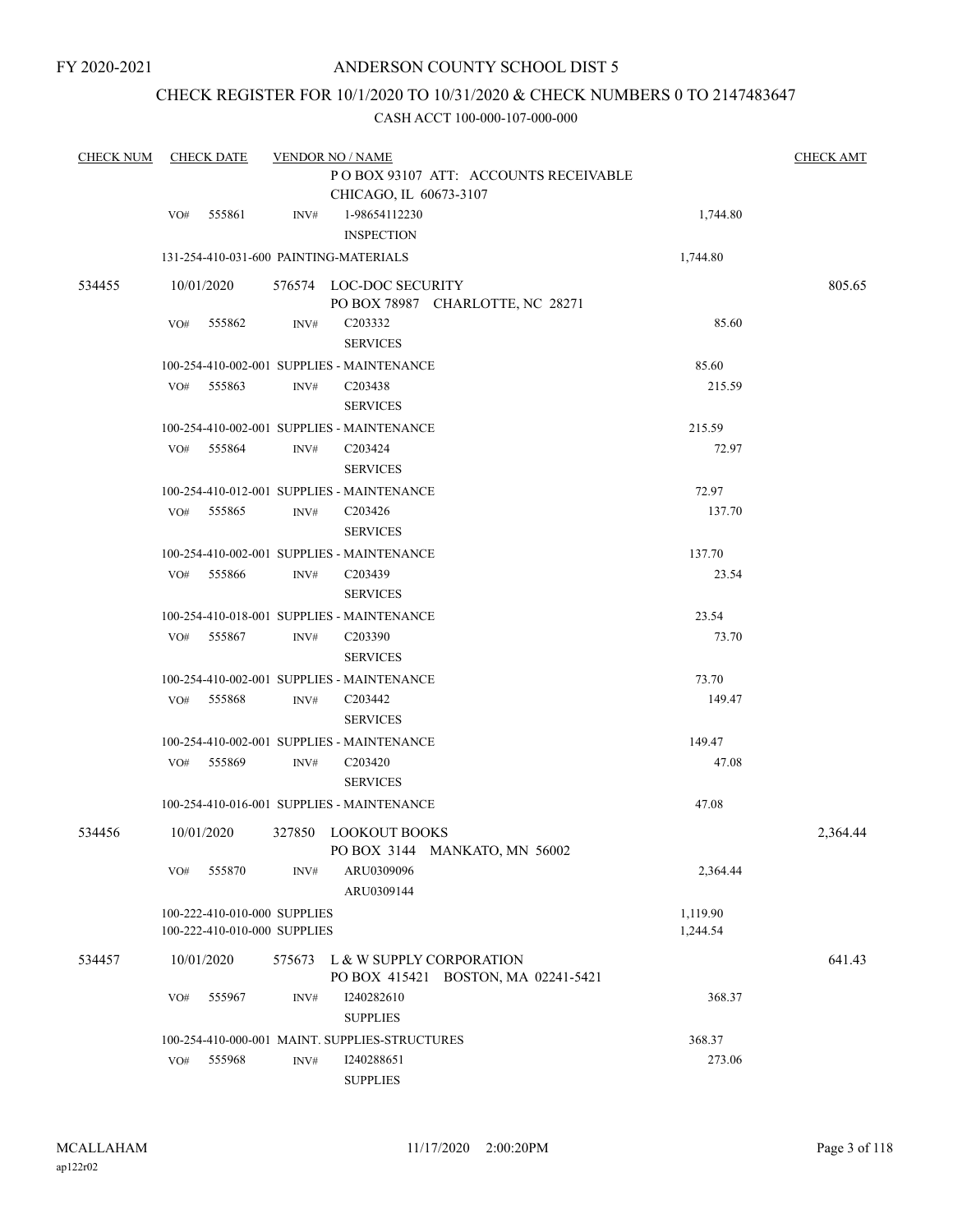## CHECK REGISTER FOR 10/1/2020 TO 10/31/2020 & CHECK NUMBERS 0 TO 2147483647

| <b>CHECK NUM</b> |     | <b>CHECK DATE</b>            |        | <b>VENDOR NO / NAME</b><br>PO BOX 93107 ATT: ACCOUNTS RECEIVABLE<br>CHICAGO, IL 60673-3107 |          |          |  |  |  |
|------------------|-----|------------------------------|--------|--------------------------------------------------------------------------------------------|----------|----------|--|--|--|
|                  | VO# | 555861                       | INV#   | 1-98654112230                                                                              | 1,744.80 |          |  |  |  |
|                  |     |                              |        | <b>INSPECTION</b>                                                                          |          |          |  |  |  |
|                  |     |                              |        | 131-254-410-031-600 PAINTING-MATERIALS                                                     | 1,744.80 |          |  |  |  |
| 534455           |     | 10/01/2020                   |        | 576574 LOC-DOC SECURITY                                                                    |          | 805.65   |  |  |  |
|                  |     |                              |        | PO BOX 78987 CHARLOTTE, NC 28271                                                           |          |          |  |  |  |
|                  | VO# | 555862                       | INV#   | C203332                                                                                    | 85.60    |          |  |  |  |
|                  |     |                              |        | <b>SERVICES</b>                                                                            |          |          |  |  |  |
|                  |     |                              |        | 100-254-410-002-001 SUPPLIES - MAINTENANCE                                                 | 85.60    |          |  |  |  |
|                  | VO# | 555863                       | INV#   | C203438                                                                                    | 215.59   |          |  |  |  |
|                  |     |                              |        | <b>SERVICES</b>                                                                            |          |          |  |  |  |
|                  |     |                              |        | 100-254-410-002-001 SUPPLIES - MAINTENANCE                                                 | 215.59   |          |  |  |  |
|                  | VO# | 555864                       | INV#   | C <sub>203424</sub>                                                                        | 72.97    |          |  |  |  |
|                  |     |                              |        | <b>SERVICES</b>                                                                            |          |          |  |  |  |
|                  |     |                              |        | 100-254-410-012-001 SUPPLIES - MAINTENANCE                                                 | 72.97    |          |  |  |  |
|                  | VO# | 555865                       | INV#   | C <sub>203426</sub>                                                                        | 137.70   |          |  |  |  |
|                  |     |                              |        | <b>SERVICES</b>                                                                            |          |          |  |  |  |
|                  |     |                              |        | 100-254-410-002-001 SUPPLIES - MAINTENANCE                                                 | 137.70   |          |  |  |  |
|                  | VO# | 555866                       | INV#   | C203439                                                                                    | 23.54    |          |  |  |  |
|                  |     |                              |        | <b>SERVICES</b>                                                                            |          |          |  |  |  |
|                  |     |                              |        | 100-254-410-018-001 SUPPLIES - MAINTENANCE                                                 | 23.54    |          |  |  |  |
|                  | VO# | 555867                       | INV#   | C <sub>203390</sub>                                                                        | 73.70    |          |  |  |  |
|                  |     |                              |        | <b>SERVICES</b>                                                                            |          |          |  |  |  |
|                  |     |                              |        | 100-254-410-002-001 SUPPLIES - MAINTENANCE                                                 | 73.70    |          |  |  |  |
|                  | VO# | 555868                       | INV#   | C203442                                                                                    | 149.47   |          |  |  |  |
|                  |     |                              |        | <b>SERVICES</b>                                                                            |          |          |  |  |  |
|                  |     |                              |        | 100-254-410-002-001 SUPPLIES - MAINTENANCE                                                 | 149.47   |          |  |  |  |
|                  | VO# | 555869                       | INV#   | C <sub>203420</sub>                                                                        | 47.08    |          |  |  |  |
|                  |     |                              |        | <b>SERVICES</b>                                                                            |          |          |  |  |  |
|                  |     |                              |        | 100-254-410-016-001 SUPPLIES - MAINTENANCE                                                 | 47.08    |          |  |  |  |
| 534456           |     | 10/01/2020                   |        | 327850 LOOKOUT BOOKS                                                                       |          | 2,364.44 |  |  |  |
|                  |     |                              |        | PO BOX 3144 MANKATO, MN 56002                                                              |          |          |  |  |  |
|                  | VO# | 555870                       | INV#   | ARU0309096                                                                                 | 2,364.44 |          |  |  |  |
|                  |     |                              |        | ARU0309144                                                                                 |          |          |  |  |  |
|                  |     | 100-222-410-010-000 SUPPLIES |        |                                                                                            | 1,119.90 |          |  |  |  |
|                  |     | 100-222-410-010-000 SUPPLIES |        |                                                                                            | 1,244.54 |          |  |  |  |
| 534457           |     | 10/01/2020                   | 575673 | L & W SUPPLY CORPORATION<br>PO BOX 415421 BOSTON, MA 02241-5421                            |          | 641.43   |  |  |  |
|                  | VO# | 555967                       | INV#   | I240282610                                                                                 | 368.37   |          |  |  |  |
|                  |     |                              |        | <b>SUPPLIES</b>                                                                            |          |          |  |  |  |
|                  |     |                              |        | 100-254-410-000-001 MAINT. SUPPLIES-STRUCTURES                                             | 368.37   |          |  |  |  |
|                  | VO# | 555968                       | INV#   | I240288651                                                                                 | 273.06   |          |  |  |  |
|                  |     |                              |        | <b>SUPPLIES</b>                                                                            |          |          |  |  |  |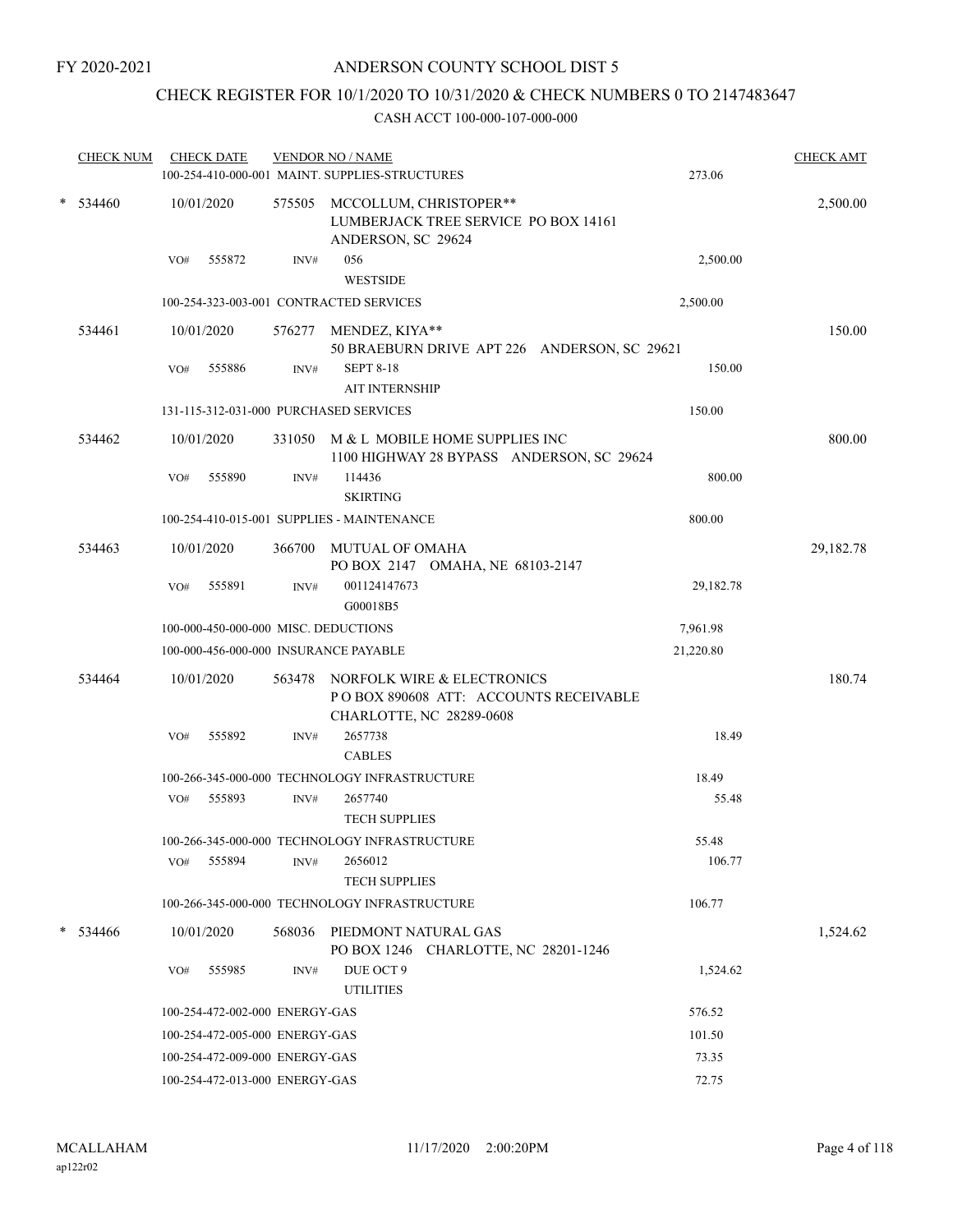## CHECK REGISTER FOR 10/1/2020 TO 10/31/2020 & CHECK NUMBERS 0 TO 2147483647

|             | <b>CHECK NUM</b> |     | <b>CHECK DATE</b>              |        | <b>VENDOR NO / NAME</b><br>100-254-410-000-001 MAINT. SUPPLIES-STRUCTURES                       | 273.06    | <b>CHECK AMT</b> |
|-------------|------------------|-----|--------------------------------|--------|-------------------------------------------------------------------------------------------------|-----------|------------------|
| *<br>534460 |                  |     | 10/01/2020                     |        | 575505 MCCOLLUM, CHRISTOPER**<br>LUMBERJACK TREE SERVICE PO BOX 14161<br>ANDERSON, SC 29624     |           | 2,500.00         |
|             |                  | VO# | 555872                         | INV#   | 056<br><b>WESTSIDE</b>                                                                          | 2,500.00  |                  |
|             |                  |     |                                |        | 100-254-323-003-001 CONTRACTED SERVICES                                                         | 2,500.00  |                  |
|             | 534461           |     | 10/01/2020                     |        | 576277 MENDEZ, KIYA**<br>50 BRAEBURN DRIVE APT 226 ANDERSON, SC 29621                           |           | 150.00           |
|             |                  | VO# | 555886                         | INV#   | <b>SEPT 8-18</b><br><b>AIT INTERNSHIP</b>                                                       | 150.00    |                  |
|             |                  |     |                                |        | 131-115-312-031-000 PURCHASED SERVICES                                                          | 150.00    |                  |
|             | 534462           |     | 10/01/2020                     |        | 331050 M & L MOBILE HOME SUPPLIES INC<br>1100 HIGHWAY 28 BYPASS ANDERSON, SC 29624              |           | 800.00           |
|             |                  | VO# | 555890                         | INV#   | 114436<br><b>SKIRTING</b>                                                                       | 800.00    |                  |
|             |                  |     |                                |        | 100-254-410-015-001 SUPPLIES - MAINTENANCE                                                      | 800.00    |                  |
|             | 534463           |     | 10/01/2020                     | 366700 | <b>MUTUAL OF OMAHA</b><br>PO BOX 2147 OMAHA, NE 68103-2147                                      |           | 29,182.78        |
|             |                  | VO# | 555891                         | INV#   | 001124147673<br>G00018B5                                                                        | 29,182.78 |                  |
|             |                  |     |                                |        | 100-000-450-000-000 MISC. DEDUCTIONS                                                            | 7,961.98  |                  |
|             |                  |     |                                |        | 100-000-456-000-000 INSURANCE PAYABLE                                                           | 21,220.80 |                  |
|             | 534464           |     | 10/01/2020                     | 563478 | NORFOLK WIRE & ELECTRONICS<br>POBOX 890608 ATT: ACCOUNTS RECEIVABLE<br>CHARLOTTE, NC 28289-0608 |           | 180.74           |
|             |                  | VO# | 555892                         | INV#   | 2657738<br><b>CABLES</b>                                                                        | 18.49     |                  |
|             |                  |     |                                |        | 100-266-345-000-000 TECHNOLOGY INFRASTRUCTURE                                                   | 18.49     |                  |
|             |                  | VO# | 555893                         | INV#   | 2657740<br><b>TECH SUPPLIES</b>                                                                 | 55.48     |                  |
|             |                  |     |                                |        | 100-266-345-000-000 TECHNOLOGY INFRASTRUCTURE                                                   | 55.48     |                  |
|             |                  | VO# | 555894                         | INV#   | 2656012<br><b>TECH SUPPLIES</b>                                                                 | 106.77    |                  |
|             |                  |     |                                |        | 100-266-345-000-000 TECHNOLOGY INFRASTRUCTURE                                                   | 106.77    |                  |
|             | 534466           |     | 10/01/2020                     | 568036 | PIEDMONT NATURAL GAS<br>PO BOX 1246 CHARLOTTE, NC 28201-1246                                    |           | 1,524.62         |
|             |                  | VO# | 555985                         | INV#   | DUE OCT 9<br><b>UTILITIES</b>                                                                   | 1,524.62  |                  |
|             |                  |     | 100-254-472-002-000 ENERGY-GAS |        |                                                                                                 | 576.52    |                  |
|             |                  |     | 100-254-472-005-000 ENERGY-GAS |        |                                                                                                 | 101.50    |                  |
|             |                  |     | 100-254-472-009-000 ENERGY-GAS |        |                                                                                                 | 73.35     |                  |
|             |                  |     | 100-254-472-013-000 ENERGY-GAS |        |                                                                                                 | 72.75     |                  |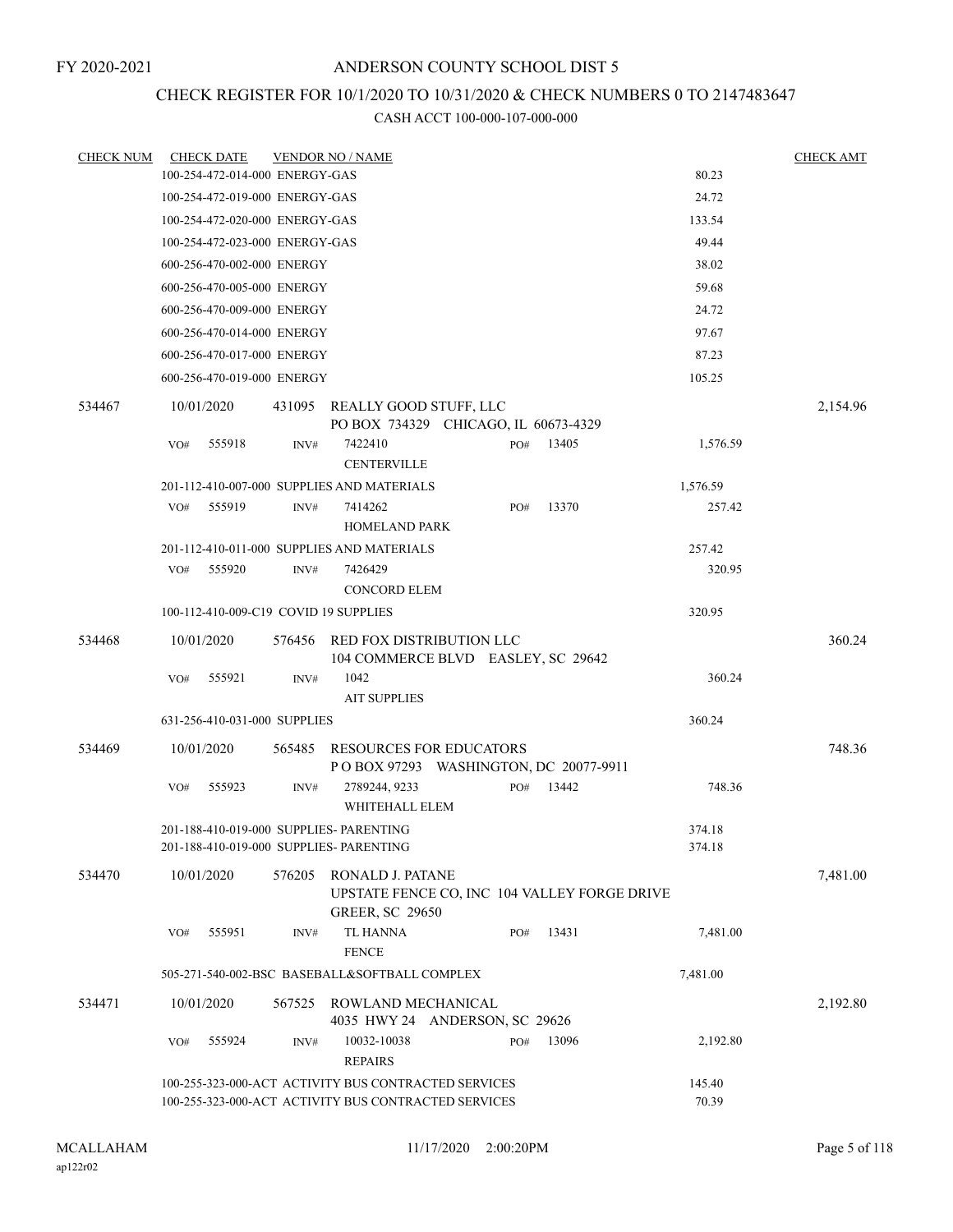# CHECK REGISTER FOR 10/1/2020 TO 10/31/2020 & CHECK NUMBERS 0 TO 2147483647

| <b>CHECK NUM</b> | <b>CHECK DATE</b>                                                                  |        | <b>VENDOR NO / NAME</b>                                                                                      |     |       |                  | <b>CHECK AMT</b> |
|------------------|------------------------------------------------------------------------------------|--------|--------------------------------------------------------------------------------------------------------------|-----|-------|------------------|------------------|
|                  | 100-254-472-014-000 ENERGY-GAS                                                     |        |                                                                                                              |     |       | 80.23            |                  |
|                  | 100-254-472-019-000 ENERGY-GAS                                                     |        |                                                                                                              |     |       | 24.72            |                  |
|                  | 100-254-472-020-000 ENERGY-GAS                                                     |        |                                                                                                              |     |       | 133.54           |                  |
|                  | 100-254-472-023-000 ENERGY-GAS                                                     |        |                                                                                                              |     |       | 49.44            |                  |
|                  | 600-256-470-002-000 ENERGY                                                         |        |                                                                                                              |     |       | 38.02            |                  |
|                  | 600-256-470-005-000 ENERGY                                                         |        |                                                                                                              |     |       | 59.68            |                  |
|                  | 600-256-470-009-000 ENERGY                                                         |        |                                                                                                              |     |       | 24.72            |                  |
|                  | 600-256-470-014-000 ENERGY                                                         |        |                                                                                                              |     |       | 97.67            |                  |
|                  | 600-256-470-017-000 ENERGY                                                         |        |                                                                                                              |     |       | 87.23            |                  |
|                  | 600-256-470-019-000 ENERGY                                                         |        |                                                                                                              |     |       | 105.25           |                  |
| 534467           | 10/01/2020                                                                         |        | 431095 REALLY GOOD STUFF, LLC<br>PO BOX 734329 CHICAGO, IL 60673-4329                                        |     |       |                  | 2,154.96         |
|                  | 555918<br>VO#                                                                      | INV#   | 7422410<br><b>CENTERVILLE</b>                                                                                | PO# | 13405 | 1,576.59         |                  |
|                  |                                                                                    |        | 201-112-410-007-000 SUPPLIES AND MATERIALS                                                                   |     |       | 1,576.59         |                  |
|                  | 555919<br>VO#                                                                      | INV#   | 7414262<br><b>HOMELAND PARK</b>                                                                              | PO# | 13370 | 257.42           |                  |
|                  |                                                                                    |        | 201-112-410-011-000 SUPPLIES AND MATERIALS                                                                   |     |       | 257.42           |                  |
|                  | VO#<br>555920                                                                      | INV#   | 7426429<br><b>CONCORD ELEM</b>                                                                               |     |       | 320.95           |                  |
|                  | 100-112-410-009-C19 COVID 19 SUPPLIES                                              |        |                                                                                                              |     |       | 320.95           |                  |
| 534468           | 10/01/2020                                                                         | 576456 | RED FOX DISTRIBUTION LLC<br>104 COMMERCE BLVD EASLEY, SC 29642                                               |     |       |                  | 360.24           |
|                  | 555921<br>VO#                                                                      | INV#   | 1042<br><b>AIT SUPPLIES</b>                                                                                  |     |       | 360.24           |                  |
|                  | 631-256-410-031-000 SUPPLIES                                                       |        |                                                                                                              |     |       | 360.24           |                  |
| 534469           | 10/01/2020                                                                         |        | 565485 RESOURCES FOR EDUCATORS<br>P O BOX 97293 WASHINGTON, DC 20077-9911                                    |     |       |                  | 748.36           |
|                  | 555923<br>VO#                                                                      | INV#   | 2789244, 9233<br>WHITEHALL ELEM                                                                              | PO# | 13442 | 748.36           |                  |
|                  | 201-188-410-019-000 SUPPLIES- PARENTING<br>201-188-410-019-000 SUPPLIES- PARENTING |        |                                                                                                              |     |       | 374.18<br>374.18 |                  |
| 534470           | 10/01/2020                                                                         | 576205 | RONALD J. PATANE<br>UPSTATE FENCE CO, INC 104 VALLEY FORGE DRIVE<br><b>GREER, SC 29650</b>                   |     |       |                  | 7,481.00         |
|                  | 555951<br>VO#                                                                      | INV#   | <b>TL HANNA</b><br><b>FENCE</b>                                                                              | PO# | 13431 | 7,481.00         |                  |
|                  |                                                                                    |        | 505-271-540-002-BSC BASEBALL&SOFTBALL COMPLEX                                                                |     |       | 7,481.00         |                  |
| 534471           | 10/01/2020                                                                         | 567525 | ROWLAND MECHANICAL<br>4035 HWY 24 ANDERSON, SC 29626                                                         |     |       |                  | 2,192.80         |
|                  | 555924<br>VO#                                                                      | INV#   | 10032-10038<br><b>REPAIRS</b>                                                                                | PO# | 13096 | 2,192.80         |                  |
|                  |                                                                                    |        | 100-255-323-000-ACT ACTIVITY BUS CONTRACTED SERVICES<br>100-255-323-000-ACT ACTIVITY BUS CONTRACTED SERVICES |     |       | 145.40<br>70.39  |                  |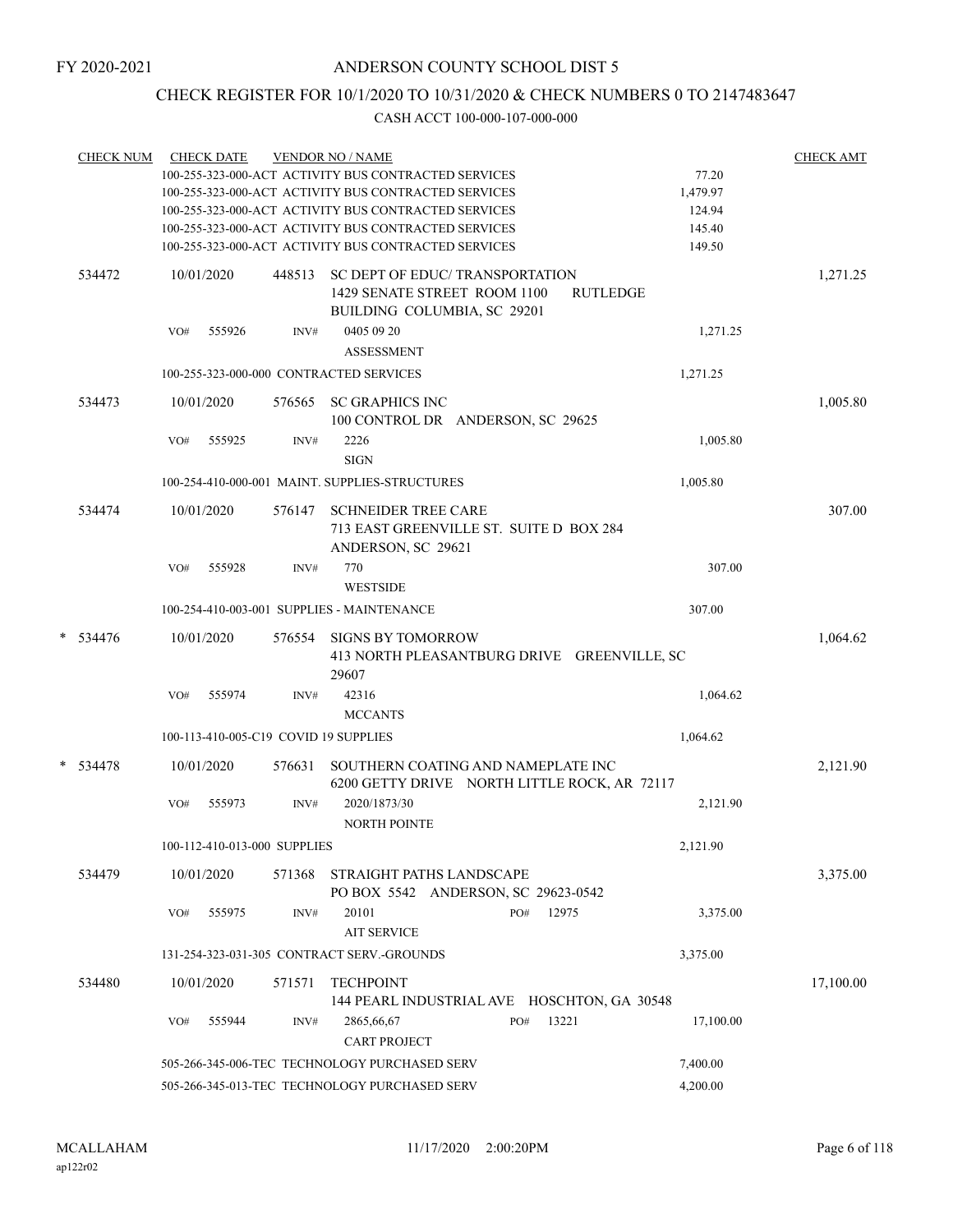## CHECK REGISTER FOR 10/1/2020 TO 10/31/2020 & CHECK NUMBERS 0 TO 2147483647

|   | <b>CHECK NUM</b> | <b>CHECK DATE</b>                                         |                                       | <b>VENDOR NO / NAME</b><br>100-255-323-000-ACT ACTIVITY BUS CONTRACTED SERVICES<br>100-255-323-000-ACT ACTIVITY BUS CONTRACTED SERVICES<br>100-255-323-000-ACT ACTIVITY BUS CONTRACTED SERVICES<br>100-255-323-000-ACT ACTIVITY BUS CONTRACTED SERVICES<br>100-255-323-000-ACT ACTIVITY BUS CONTRACTED SERVICES |     |                 | 77.20<br>1,479.97<br>124.94<br>145.40<br>149.50 | <b>CHECK AMT</b> |  |  |
|---|------------------|-----------------------------------------------------------|---------------------------------------|-----------------------------------------------------------------------------------------------------------------------------------------------------------------------------------------------------------------------------------------------------------------------------------------------------------------|-----|-----------------|-------------------------------------------------|------------------|--|--|
|   | 534472           | 10/01/2020                                                | 448513                                | SC DEPT OF EDUC/TRANSPORTATION<br>1429 SENATE STREET ROOM 1100<br>BUILDING COLUMBIA, SC 29201                                                                                                                                                                                                                   |     | <b>RUTLEDGE</b> |                                                 | 1,271.25         |  |  |
|   |                  | VO#                                                       | 555926<br>INV#                        | 0405 09 20<br><b>ASSESSMENT</b>                                                                                                                                                                                                                                                                                 |     |                 | 1,271.25                                        |                  |  |  |
|   |                  |                                                           |                                       | 100-255-323-000-000 CONTRACTED SERVICES                                                                                                                                                                                                                                                                         |     |                 | 1,271.25                                        |                  |  |  |
|   | 534473           | 10/01/2020                                                | 576565                                | <b>SC GRAPHICS INC</b><br>100 CONTROL DR ANDERSON, SC 29625                                                                                                                                                                                                                                                     |     |                 |                                                 | 1,005.80         |  |  |
|   |                  | VO#                                                       | 555925<br>INV#                        | 2226<br><b>SIGN</b>                                                                                                                                                                                                                                                                                             |     |                 | 1,005.80                                        |                  |  |  |
|   |                  |                                                           |                                       | 100-254-410-000-001 MAINT. SUPPLIES-STRUCTURES                                                                                                                                                                                                                                                                  |     |                 | 1,005.80                                        |                  |  |  |
|   | 534474           | 10/01/2020                                                | 576147                                | <b>SCHNEIDER TREE CARE</b><br>713 EAST GREENVILLE ST. SUITE D BOX 284<br>ANDERSON, SC 29621                                                                                                                                                                                                                     |     |                 |                                                 | 307.00           |  |  |
|   |                  | VO#                                                       | 555928<br>INV#                        | 770<br><b>WESTSIDE</b>                                                                                                                                                                                                                                                                                          |     |                 | 307.00                                          |                  |  |  |
|   |                  |                                                           |                                       | 100-254-410-003-001 SUPPLIES - MAINTENANCE                                                                                                                                                                                                                                                                      |     |                 | 307.00                                          |                  |  |  |
| * | 534476           | 10/01/2020                                                | 576554                                | <b>SIGNS BY TOMORROW</b><br>413 NORTH PLEASANTBURG DRIVE GREENVILLE, SC<br>29607                                                                                                                                                                                                                                |     |                 |                                                 | 1,064.62         |  |  |
|   |                  | VO#                                                       | 555974<br>INV#                        | 42316<br><b>MCCANTS</b>                                                                                                                                                                                                                                                                                         |     |                 | 1,064.62                                        |                  |  |  |
|   |                  |                                                           | 100-113-410-005-C19 COVID 19 SUPPLIES |                                                                                                                                                                                                                                                                                                                 |     |                 | 1,064.62                                        |                  |  |  |
|   | $* 534478$       | 10/01/2020                                                | 576631                                | SOUTHERN COATING AND NAMEPLATE INC<br>6200 GETTY DRIVE NORTH LITTLE ROCK, AR 72117                                                                                                                                                                                                                              |     |                 |                                                 | 2,121.90         |  |  |
|   |                  | VO#                                                       | 555973<br>INV#                        | 2020/1873/30<br><b>NORTH POINTE</b>                                                                                                                                                                                                                                                                             |     |                 | 2,121.90                                        |                  |  |  |
|   |                  |                                                           | 100-112-410-013-000 SUPPLIES          |                                                                                                                                                                                                                                                                                                                 |     |                 | 2,121.90                                        |                  |  |  |
|   | 534479           | 10/01/2020                                                | 571368                                | STRAIGHT PATHS LANDSCAPE<br>PO BOX 5542 ANDERSON, SC 29623-0542                                                                                                                                                                                                                                                 |     |                 |                                                 | 3,375.00         |  |  |
|   |                  | VO#                                                       | 555975<br>INV#                        | 20101<br><b>AIT SERVICE</b>                                                                                                                                                                                                                                                                                     | PO# | 12975           | 3,375.00                                        |                  |  |  |
|   |                  |                                                           |                                       | 131-254-323-031-305 CONTRACT SERV.-GROUNDS                                                                                                                                                                                                                                                                      |     |                 | 3,375.00                                        |                  |  |  |
|   | 534480           | 10/01/2020                                                | 571571                                | <b>TECHPOINT</b><br>144 PEARL INDUSTRIAL AVE HOSCHTON, GA 30548                                                                                                                                                                                                                                                 |     |                 |                                                 | 17,100.00        |  |  |
|   |                  | VO#                                                       | 555944<br>INV#                        | 2865,66,67<br><b>CART PROJECT</b>                                                                                                                                                                                                                                                                               | PO# | 13221           | 17,100.00                                       |                  |  |  |
|   |                  |                                                           |                                       | 505-266-345-006-TEC TECHNOLOGY PURCHASED SERV                                                                                                                                                                                                                                                                   |     |                 | 7,400.00                                        |                  |  |  |
|   |                  | 4,200.00<br>505-266-345-013-TEC TECHNOLOGY PURCHASED SERV |                                       |                                                                                                                                                                                                                                                                                                                 |     |                 |                                                 |                  |  |  |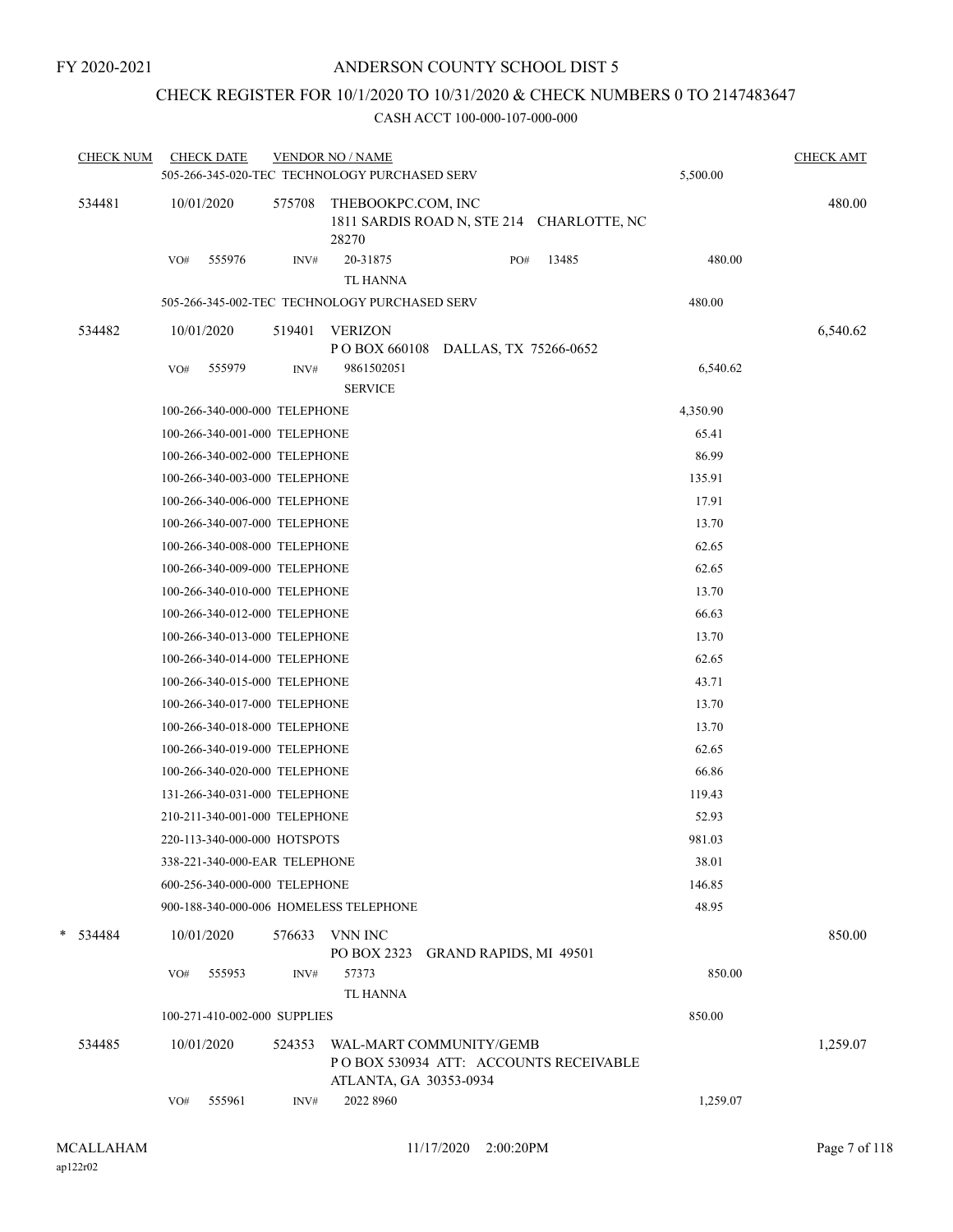## CHECK REGISTER FOR 10/1/2020 TO 10/31/2020 & CHECK NUMBERS 0 TO 2147483647

| <b>CHECK NUM</b> | <b>CHECK DATE</b> |                               | <b>VENDOR NO / NAME</b><br>505-266-345-020-TEC TECHNOLOGY PURCHASED SERV |                                                                   |       | 5,500.00 | <b>CHECK AMT</b> |
|------------------|-------------------|-------------------------------|--------------------------------------------------------------------------|-------------------------------------------------------------------|-------|----------|------------------|
| 534481           | 10/01/2020        | 575708                        | THEBOOKPC.COM, INC<br>28270                                              | 1811 SARDIS ROAD N, STE 214 CHARLOTTE, NC                         |       |          | 480.00           |
|                  | VO#               | 555976<br>INV#                | 20-31875<br><b>TL HANNA</b>                                              | PO#                                                               | 13485 | 480.00   |                  |
|                  |                   |                               | 505-266-345-002-TEC TECHNOLOGY PURCHASED SERV                            |                                                                   |       | 480.00   |                  |
| 534482           | 10/01/2020        | 519401                        | <b>VERIZON</b>                                                           |                                                                   |       |          | 6,540.62         |
|                  | VO#               | 555979<br>INV#                | PO BOX 660108<br>9861502051<br><b>SERVICE</b>                            | DALLAS, TX 75266-0652                                             |       | 6,540.62 |                  |
|                  |                   | 100-266-340-000-000 TELEPHONE |                                                                          |                                                                   |       | 4,350.90 |                  |
|                  |                   | 100-266-340-001-000 TELEPHONE |                                                                          |                                                                   |       | 65.41    |                  |
|                  |                   | 100-266-340-002-000 TELEPHONE |                                                                          |                                                                   |       | 86.99    |                  |
|                  |                   | 100-266-340-003-000 TELEPHONE |                                                                          |                                                                   |       | 135.91   |                  |
|                  |                   | 100-266-340-006-000 TELEPHONE |                                                                          |                                                                   |       | 17.91    |                  |
|                  |                   | 100-266-340-007-000 TELEPHONE |                                                                          |                                                                   |       | 13.70    |                  |
|                  |                   | 100-266-340-008-000 TELEPHONE |                                                                          |                                                                   |       | 62.65    |                  |
|                  |                   | 100-266-340-009-000 TELEPHONE |                                                                          |                                                                   |       | 62.65    |                  |
|                  |                   | 100-266-340-010-000 TELEPHONE |                                                                          |                                                                   |       | 13.70    |                  |
|                  |                   | 100-266-340-012-000 TELEPHONE |                                                                          |                                                                   |       | 66.63    |                  |
|                  |                   | 100-266-340-013-000 TELEPHONE |                                                                          |                                                                   |       | 13.70    |                  |
|                  |                   | 100-266-340-014-000 TELEPHONE |                                                                          |                                                                   |       | 62.65    |                  |
|                  |                   | 100-266-340-015-000 TELEPHONE |                                                                          |                                                                   |       | 43.71    |                  |
|                  |                   | 100-266-340-017-000 TELEPHONE |                                                                          |                                                                   |       | 13.70    |                  |
|                  |                   | 100-266-340-018-000 TELEPHONE |                                                                          |                                                                   |       | 13.70    |                  |
|                  |                   | 100-266-340-019-000 TELEPHONE |                                                                          |                                                                   |       | 62.65    |                  |
|                  |                   | 100-266-340-020-000 TELEPHONE |                                                                          |                                                                   |       | 66.86    |                  |
|                  |                   | 131-266-340-031-000 TELEPHONE |                                                                          |                                                                   |       | 119.43   |                  |
|                  |                   | 210-211-340-001-000 TELEPHONE |                                                                          |                                                                   |       | 52.93    |                  |
|                  |                   | 220-113-340-000-000 HOTSPOTS  |                                                                          |                                                                   |       | 981.03   |                  |
|                  |                   | 338-221-340-000-EAR TELEPHONE |                                                                          |                                                                   |       | 38.01    |                  |
|                  |                   | 600-256-340-000-000 TELEPHONE |                                                                          |                                                                   |       | 146.85   |                  |
|                  |                   |                               | 900-188-340-000-006 HOMELESS TELEPHONE                                   |                                                                   |       | 48.95    |                  |
| $*$ 534484       | 10/01/2020        | 576633                        | VNN INC<br>PO BOX 2323                                                   | <b>GRAND RAPIDS, MI 49501</b>                                     |       |          | 850.00           |
|                  | VO#               | 555953<br>INV#                | 57373<br><b>TL HANNA</b>                                                 |                                                                   |       | 850.00   |                  |
|                  |                   | 100-271-410-002-000 SUPPLIES  |                                                                          |                                                                   |       | 850.00   |                  |
| 534485           | 10/01/2020        | 524353                        | ATLANTA, GA 30353-0934                                                   | WAL-MART COMMUNITY/GEMB<br>PO BOX 530934 ATT: ACCOUNTS RECEIVABLE |       |          | 1,259.07         |
|                  | VO#               | 555961<br>INV#                | 2022 8960                                                                |                                                                   |       | 1,259.07 |                  |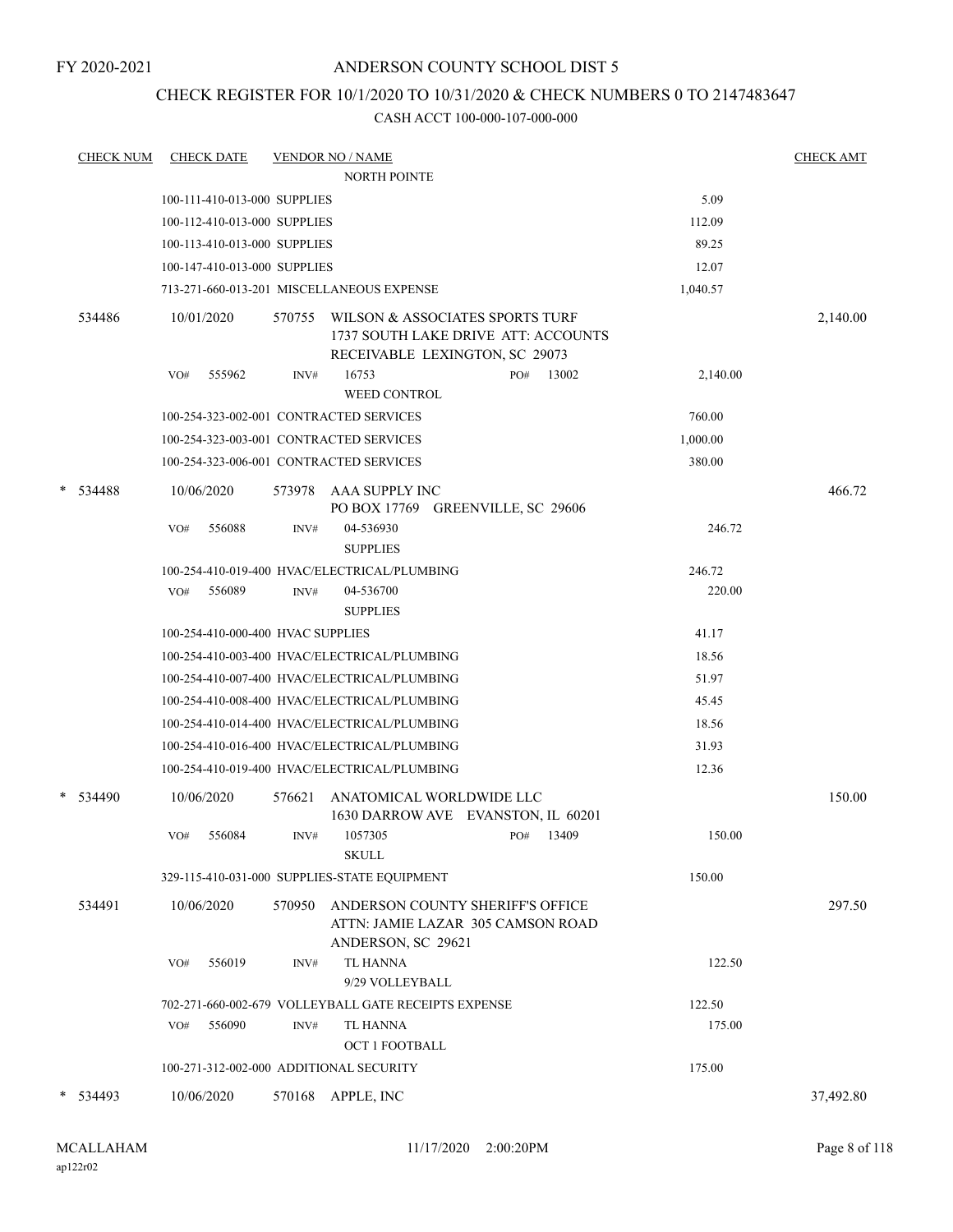## CHECK REGISTER FOR 10/1/2020 TO 10/31/2020 & CHECK NUMBERS 0 TO 2147483647

|   | <b>CHECK NUM</b> |     | <b>CHECK DATE</b>                 |        | <b>VENDOR NO / NAME</b>                                                                                  |     |       |          | <b>CHECK AMT</b> |
|---|------------------|-----|-----------------------------------|--------|----------------------------------------------------------------------------------------------------------|-----|-------|----------|------------------|
|   |                  |     |                                   |        | <b>NORTH POINTE</b>                                                                                      |     |       |          |                  |
|   |                  |     | 100-111-410-013-000 SUPPLIES      |        |                                                                                                          |     |       | 5.09     |                  |
|   |                  |     | 100-112-410-013-000 SUPPLIES      |        |                                                                                                          |     |       | 112.09   |                  |
|   |                  |     | 100-113-410-013-000 SUPPLIES      |        |                                                                                                          |     |       | 89.25    |                  |
|   |                  |     | 100-147-410-013-000 SUPPLIES      |        |                                                                                                          |     |       | 12.07    |                  |
|   |                  |     |                                   |        | 713-271-660-013-201 MISCELLANEOUS EXPENSE                                                                |     |       | 1,040.57 |                  |
|   | 534486           |     | 10/01/2020                        | 570755 | WILSON & ASSOCIATES SPORTS TURF<br>1737 SOUTH LAKE DRIVE ATT: ACCOUNTS<br>RECEIVABLE LEXINGTON, SC 29073 |     |       |          | 2,140.00         |
|   |                  | VO# | 555962                            | INV#   | 16753<br><b>WEED CONTROL</b>                                                                             | PO# | 13002 | 2,140.00 |                  |
|   |                  |     |                                   |        | 100-254-323-002-001 CONTRACTED SERVICES                                                                  |     |       | 760.00   |                  |
|   |                  |     |                                   |        | 100-254-323-003-001 CONTRACTED SERVICES                                                                  |     |       | 1,000.00 |                  |
|   |                  |     |                                   |        | 100-254-323-006-001 CONTRACTED SERVICES                                                                  |     |       | 380.00   |                  |
| * | 534488           |     | 10/06/2020                        |        | 573978 AAA SUPPLY INC<br>PO BOX 17769 GREENVILLE, SC 29606                                               |     |       |          | 466.72           |
|   |                  | VO# | 556088                            | INV#   | 04-536930<br><b>SUPPLIES</b>                                                                             |     |       | 246.72   |                  |
|   |                  |     |                                   |        | 100-254-410-019-400 HVAC/ELECTRICAL/PLUMBING                                                             |     |       | 246.72   |                  |
|   |                  | VO# | 556089                            | INV#   | 04-536700<br><b>SUPPLIES</b>                                                                             |     |       | 220.00   |                  |
|   |                  |     | 100-254-410-000-400 HVAC SUPPLIES |        |                                                                                                          |     |       | 41.17    |                  |
|   |                  |     |                                   |        | 100-254-410-003-400 HVAC/ELECTRICAL/PLUMBING                                                             |     |       | 18.56    |                  |
|   |                  |     |                                   |        | 100-254-410-007-400 HVAC/ELECTRICAL/PLUMBING                                                             |     |       | 51.97    |                  |
|   |                  |     |                                   |        | 100-254-410-008-400 HVAC/ELECTRICAL/PLUMBING                                                             |     |       | 45.45    |                  |
|   |                  |     |                                   |        | 100-254-410-014-400 HVAC/ELECTRICAL/PLUMBING                                                             |     |       | 18.56    |                  |
|   |                  |     |                                   |        | 100-254-410-016-400 HVAC/ELECTRICAL/PLUMBING                                                             |     |       | 31.93    |                  |
|   |                  |     |                                   |        | 100-254-410-019-400 HVAC/ELECTRICAL/PLUMBING                                                             |     |       | 12.36    |                  |
|   | $*$ 534490       |     | 10/06/2020                        | 576621 | ANATOMICAL WORLDWIDE LLC<br>1630 DARROW AVE EVANSTON, IL 60201                                           |     |       |          | 150.00           |
|   |                  | VO# | 556084                            | INV#   | 1057305<br><b>SKULL</b>                                                                                  | PO# | 13409 | 150.00   |                  |
|   |                  |     |                                   |        | 329-115-410-031-000 SUPPLIES-STATE EQUIPMENT                                                             |     |       | 150.00   |                  |
|   | 534491           |     | 10/06/2020                        | 570950 | ANDERSON COUNTY SHERIFF'S OFFICE<br>ATTN: JAMIE LAZAR 305 CAMSON ROAD<br>ANDERSON, SC 29621              |     |       |          | 297.50           |
|   |                  | VO# | 556019                            | INV#   | <b>TL HANNA</b><br>9/29 VOLLEYBALL                                                                       |     |       | 122.50   |                  |
|   |                  |     |                                   |        | 702-271-660-002-679 VOLLEYBALL GATE RECEIPTS EXPENSE                                                     |     |       | 122.50   |                  |
|   |                  | VO# | 556090                            | INV#   | <b>TL HANNA</b><br><b>OCT 1 FOOTBALL</b>                                                                 |     |       | 175.00   |                  |
|   |                  |     |                                   |        | 100-271-312-002-000 ADDITIONAL SECURITY                                                                  |     |       | 175.00   |                  |
| * | 534493           |     | 10/06/2020                        | 570168 | APPLE, INC                                                                                               |     |       |          | 37,492.80        |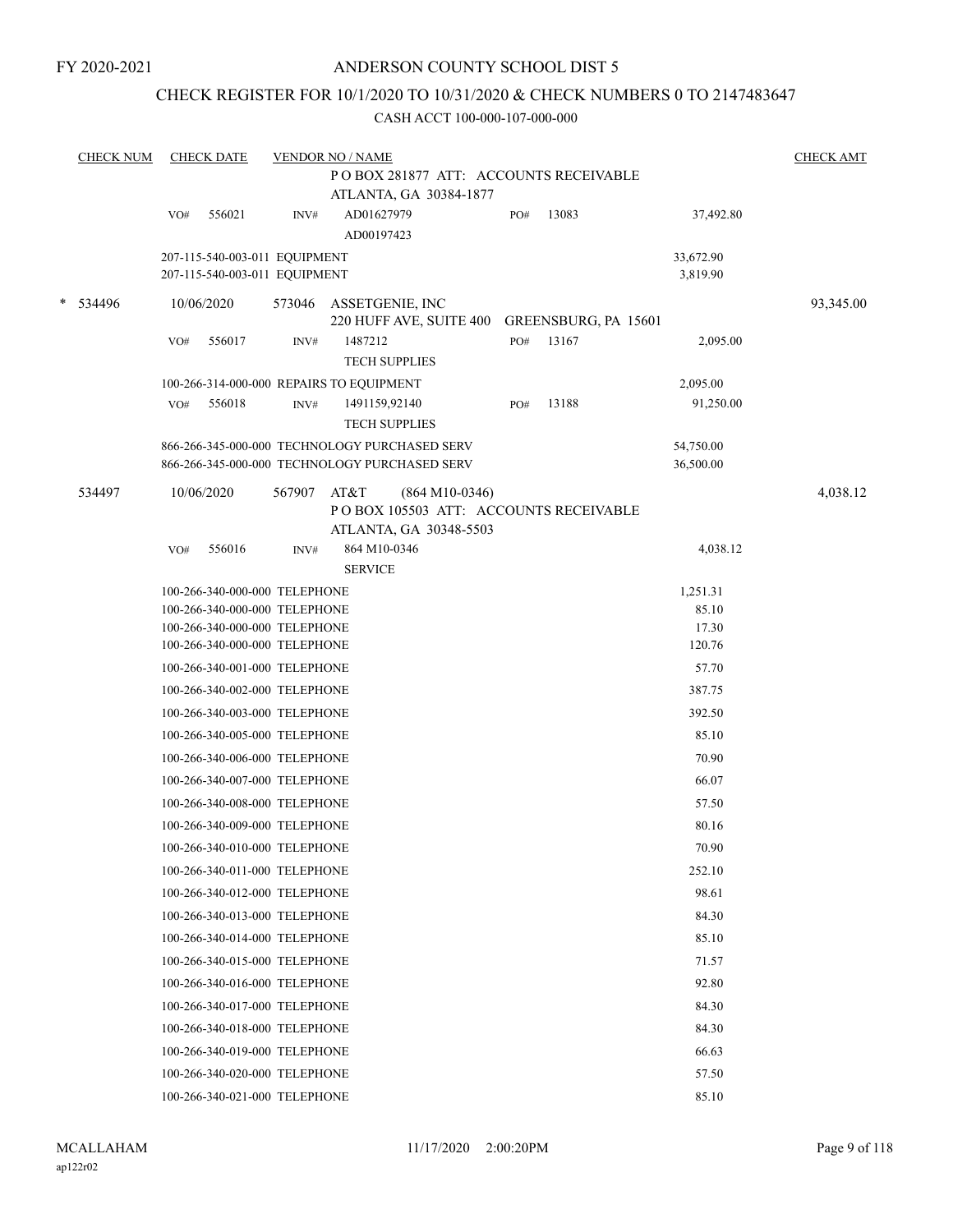## CHECK REGISTER FOR 10/1/2020 TO 10/31/2020 & CHECK NUMBERS 0 TO 2147483647

|        | <b>CHECK NUM</b> |     | <b>CHECK DATE</b>                                              |        | <b>VENDOR NO / NAME</b>  |                                                                                                |     |       |                        |           |  |
|--------|------------------|-----|----------------------------------------------------------------|--------|--------------------------|------------------------------------------------------------------------------------------------|-----|-------|------------------------|-----------|--|
|        |                  |     |                                                                |        |                          | POBOX 281877 ATT: ACCOUNTS RECEIVABLE<br>ATLANTA, GA 30384-1877                                |     |       |                        |           |  |
|        |                  | VO# | 556021                                                         | INV#   | AD01627979<br>AD00197423 |                                                                                                | PO# | 13083 | 37,492.80              |           |  |
|        |                  |     | 207-115-540-003-011 EQUIPMENT<br>207-115-540-003-011 EQUIPMENT |        |                          |                                                                                                |     |       | 33,672.90<br>3,819.90  |           |  |
| $\ast$ | 534496           |     | 10/06/2020                                                     | 573046 |                          | ASSETGENIE, INC<br>220 HUFF AVE, SUITE 400 GREENSBURG, PA 15601                                |     |       |                        | 93,345.00 |  |
|        |                  | VO# | 556017                                                         | INV#   | 1487212                  | <b>TECH SUPPLIES</b>                                                                           | PO# | 13167 | 2,095.00               |           |  |
|        |                  |     | 100-266-314-000-000 REPAIRS TO EQUIPMENT                       |        |                          |                                                                                                |     |       | 2,095.00               |           |  |
|        |                  | VO# | 556018                                                         | INV#   |                          | 1491159,92140<br><b>TECH SUPPLIES</b>                                                          | PO# | 13188 | 91,250.00              |           |  |
|        |                  |     |                                                                |        |                          | 866-266-345-000-000 TECHNOLOGY PURCHASED SERV<br>866-266-345-000-000 TECHNOLOGY PURCHASED SERV |     |       | 54,750.00<br>36,500.00 |           |  |
|        | 534497           |     | 10/06/2020                                                     | 567907 | AT&T                     | $(864 M10-0346)$<br>PO BOX 105503 ATT: ACCOUNTS RECEIVABLE                                     |     |       |                        | 4,038.12  |  |
|        |                  |     |                                                                |        |                          | ATLANTA, GA 30348-5503                                                                         |     |       |                        |           |  |
|        |                  | VO# | 556016                                                         | INV#   | <b>SERVICE</b>           | 864 M10-0346                                                                                   |     |       | 4,038.12               |           |  |
|        |                  |     | 100-266-340-000-000 TELEPHONE                                  |        |                          |                                                                                                |     |       | 1,251.31               |           |  |
|        |                  |     | 100-266-340-000-000 TELEPHONE                                  |        |                          |                                                                                                |     |       | 85.10                  |           |  |
|        |                  |     | 100-266-340-000-000 TELEPHONE                                  |        |                          |                                                                                                |     |       | 17.30                  |           |  |
|        |                  |     | 100-266-340-000-000 TELEPHONE                                  |        |                          |                                                                                                |     |       | 120.76                 |           |  |
|        |                  |     | 100-266-340-001-000 TELEPHONE                                  |        |                          |                                                                                                |     |       | 57.70                  |           |  |
|        |                  |     | 100-266-340-002-000 TELEPHONE                                  |        |                          |                                                                                                |     |       | 387.75                 |           |  |
|        |                  |     | 100-266-340-003-000 TELEPHONE                                  |        |                          |                                                                                                |     |       | 392.50                 |           |  |
|        |                  |     | 100-266-340-005-000 TELEPHONE                                  |        |                          |                                                                                                |     |       | 85.10                  |           |  |
|        |                  |     | 100-266-340-006-000 TELEPHONE                                  |        |                          |                                                                                                |     |       | 70.90                  |           |  |
|        |                  |     | 100-266-340-007-000 TELEPHONE                                  |        |                          |                                                                                                |     |       | 66.07                  |           |  |
|        |                  |     | 100-266-340-008-000 TELEPHONE                                  |        |                          |                                                                                                |     |       | 57.50                  |           |  |
|        |                  |     | 100-266-340-009-000 TELEPHONE                                  |        |                          |                                                                                                |     |       | 80.16                  |           |  |
|        |                  |     | 100-266-340-010-000 TELEPHONE                                  |        |                          |                                                                                                |     |       | 70.90                  |           |  |
|        |                  |     | 100-266-340-011-000 TELEPHONE                                  |        |                          |                                                                                                |     |       | 252.10                 |           |  |
|        |                  |     | 100-266-340-012-000 TELEPHONE                                  |        |                          |                                                                                                |     |       | 98.61                  |           |  |
|        |                  |     | 100-266-340-013-000 TELEPHONE                                  |        |                          |                                                                                                |     |       | 84.30                  |           |  |
|        |                  |     | 100-266-340-014-000 TELEPHONE                                  |        |                          |                                                                                                |     |       | 85.10                  |           |  |
|        |                  |     | 100-266-340-015-000 TELEPHONE                                  |        |                          |                                                                                                |     |       | 71.57                  |           |  |
|        |                  |     | 100-266-340-016-000 TELEPHONE                                  |        |                          |                                                                                                |     |       | 92.80                  |           |  |
|        |                  |     | 100-266-340-017-000 TELEPHONE                                  |        |                          |                                                                                                |     |       | 84.30                  |           |  |
|        |                  |     | 100-266-340-018-000 TELEPHONE                                  |        |                          |                                                                                                |     |       | 84.30                  |           |  |
|        |                  |     | 100-266-340-019-000 TELEPHONE                                  |        |                          |                                                                                                |     |       | 66.63                  |           |  |
|        |                  |     | 100-266-340-020-000 TELEPHONE                                  |        |                          |                                                                                                |     |       | 57.50                  |           |  |
|        |                  |     | 100-266-340-021-000 TELEPHONE                                  |        |                          |                                                                                                |     |       | 85.10                  |           |  |
|        |                  |     |                                                                |        |                          |                                                                                                |     |       |                        |           |  |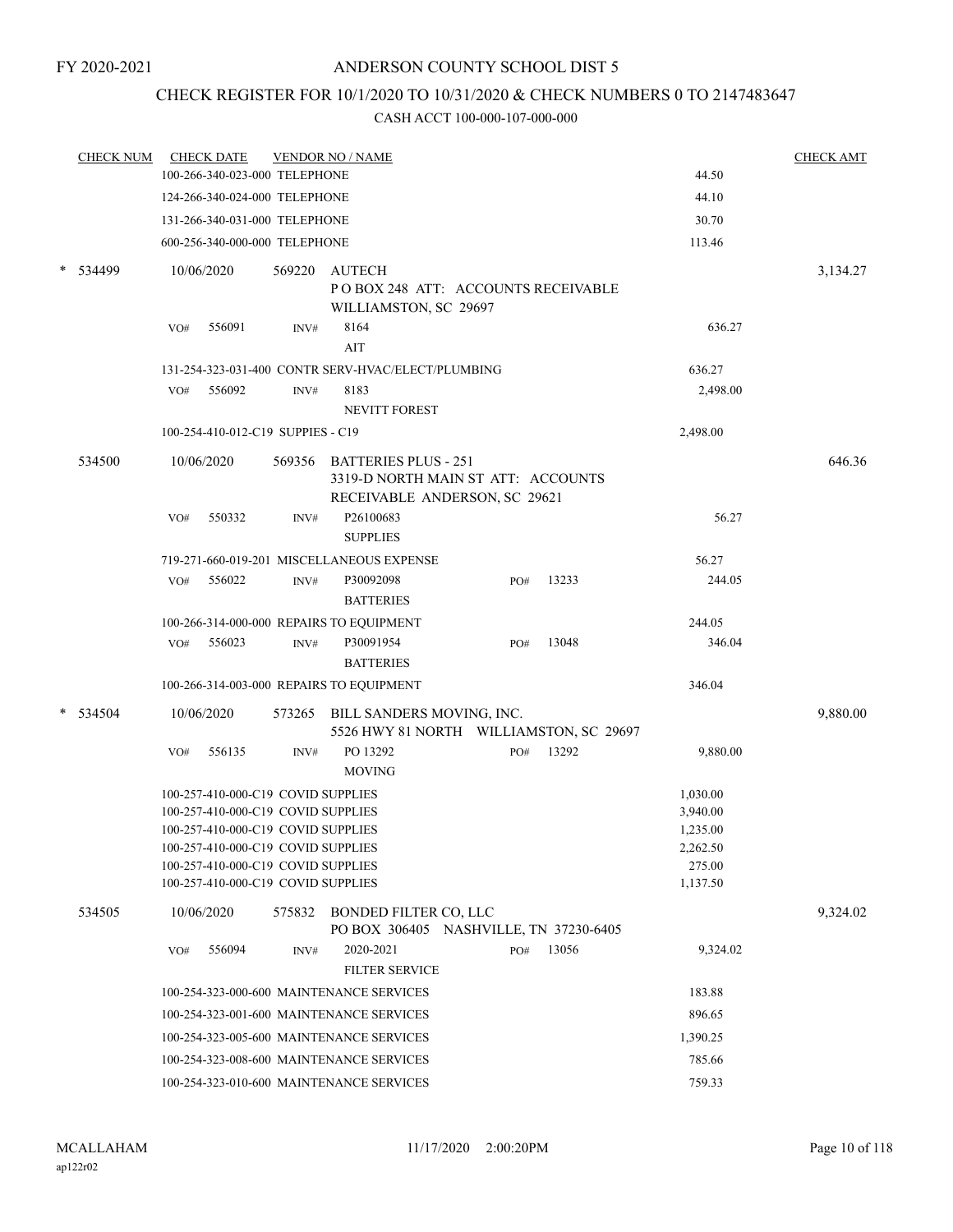## CHECK REGISTER FOR 10/1/2020 TO 10/31/2020 & CHECK NUMBERS 0 TO 2147483647

|        | <b>CHECK NUM</b> | <b>CHECK DATE</b><br><b>VENDOR NO / NAME</b> |                                    |        |                                                                                                    |     |          | <b>CHECK AMT</b> |          |  |
|--------|------------------|----------------------------------------------|------------------------------------|--------|----------------------------------------------------------------------------------------------------|-----|----------|------------------|----------|--|
|        |                  |                                              | 100-266-340-023-000 TELEPHONE      |        |                                                                                                    |     |          | 44.50            |          |  |
|        |                  |                                              | 124-266-340-024-000 TELEPHONE      |        |                                                                                                    |     |          | 44.10            |          |  |
|        |                  |                                              | 131-266-340-031-000 TELEPHONE      |        |                                                                                                    |     |          | 30.70            |          |  |
|        |                  |                                              | 600-256-340-000-000 TELEPHONE      |        |                                                                                                    |     |          | 113.46           |          |  |
| $\ast$ | 534499           |                                              | 10/06/2020                         | 569220 | AUTECH<br>POBOX 248 ATT: ACCOUNTS RECEIVABLE                                                       |     |          |                  | 3,134.27 |  |
|        |                  | VO#                                          | 556091                             | INV#   | WILLIAMSTON, SC 29697<br>8164<br>AIT                                                               |     |          | 636.27           |          |  |
|        |                  |                                              |                                    |        | 131-254-323-031-400 CONTR SERV-HVAC/ELECT/PLUMBING                                                 |     |          | 636.27           |          |  |
|        |                  | VO#                                          | 556092                             | INV#   | 8183<br><b>NEVITT FOREST</b>                                                                       |     | 2,498.00 |                  |          |  |
|        |                  |                                              | 100-254-410-012-C19 SUPPIES - C19  |        |                                                                                                    |     |          | 2,498.00         |          |  |
|        | 534500           |                                              | 10/06/2020                         |        | 569356 BATTERIES PLUS - 251<br>3319-D NORTH MAIN ST ATT: ACCOUNTS<br>RECEIVABLE ANDERSON, SC 29621 |     |          |                  | 646.36   |  |
|        |                  | VO#                                          | 550332                             | INV#   | P26100683<br><b>SUPPLIES</b>                                                                       |     |          | 56.27            |          |  |
|        |                  |                                              |                                    |        | 719-271-660-019-201 MISCELLANEOUS EXPENSE                                                          |     |          | 56.27            |          |  |
|        |                  | VO#                                          | 556022                             | INV#   | P30092098<br><b>BATTERIES</b>                                                                      | PO# | 13233    | 244.05           |          |  |
|        |                  |                                              |                                    |        | 100-266-314-000-000 REPAIRS TO EQUIPMENT                                                           |     |          | 244.05           |          |  |
|        |                  | VO#                                          | 556023                             | INV#   | P30091954<br><b>BATTERIES</b>                                                                      | PO# | 13048    | 346.04           |          |  |
|        |                  |                                              |                                    |        | 100-266-314-003-000 REPAIRS TO EQUIPMENT                                                           |     |          | 346.04           |          |  |
|        | * 534504         |                                              | 10/06/2020                         |        | 573265 BILL SANDERS MOVING, INC.<br>5526 HWY 81 NORTH WILLIAMSTON, SC 29697                        |     |          |                  | 9,880.00 |  |
|        |                  | VO#                                          | 556135                             | INV#   | PO 13292<br><b>MOVING</b>                                                                          | PO# | 13292    | 9,880.00         |          |  |
|        |                  |                                              | 100-257-410-000-C19 COVID SUPPLIES |        |                                                                                                    |     |          | 1,030.00         |          |  |
|        |                  |                                              | 100-257-410-000-C19 COVID SUPPLIES |        |                                                                                                    |     |          | 3,940.00         |          |  |
|        |                  |                                              | 100-257-410-000-C19 COVID SUPPLIES |        |                                                                                                    |     |          | 1,235.00         |          |  |
|        |                  |                                              | 100-257-410-000-C19 COVID SUPPLIES |        |                                                                                                    |     |          | 2,262.50         |          |  |
|        |                  |                                              | 100-257-410-000-C19 COVID SUPPLIES |        |                                                                                                    |     |          | 275.00           |          |  |
|        |                  |                                              | 100-257-410-000-C19 COVID SUPPLIES |        |                                                                                                    |     |          | 1,137.50         |          |  |
|        | 534505           |                                              | 10/06/2020                         |        | 575832 BONDED FILTER CO, LLC<br>PO BOX 306405 NASHVILLE, TN 37230-6405                             |     |          |                  | 9,324.02 |  |
|        |                  | VO#                                          | 556094                             | INV#   | 2020-2021<br><b>FILTER SERVICE</b>                                                                 | PO# | 13056    | 9,324.02         |          |  |
|        |                  |                                              |                                    |        | 100-254-323-000-600 MAINTENANCE SERVICES                                                           |     |          | 183.88           |          |  |
|        |                  |                                              |                                    |        | 100-254-323-001-600 MAINTENANCE SERVICES                                                           |     |          | 896.65           |          |  |
|        |                  |                                              |                                    |        | 100-254-323-005-600 MAINTENANCE SERVICES                                                           |     |          | 1,390.25         |          |  |
|        |                  |                                              |                                    |        | 100-254-323-008-600 MAINTENANCE SERVICES                                                           |     |          | 785.66           |          |  |
|        |                  |                                              |                                    |        | 100-254-323-010-600 MAINTENANCE SERVICES                                                           |     |          | 759.33           |          |  |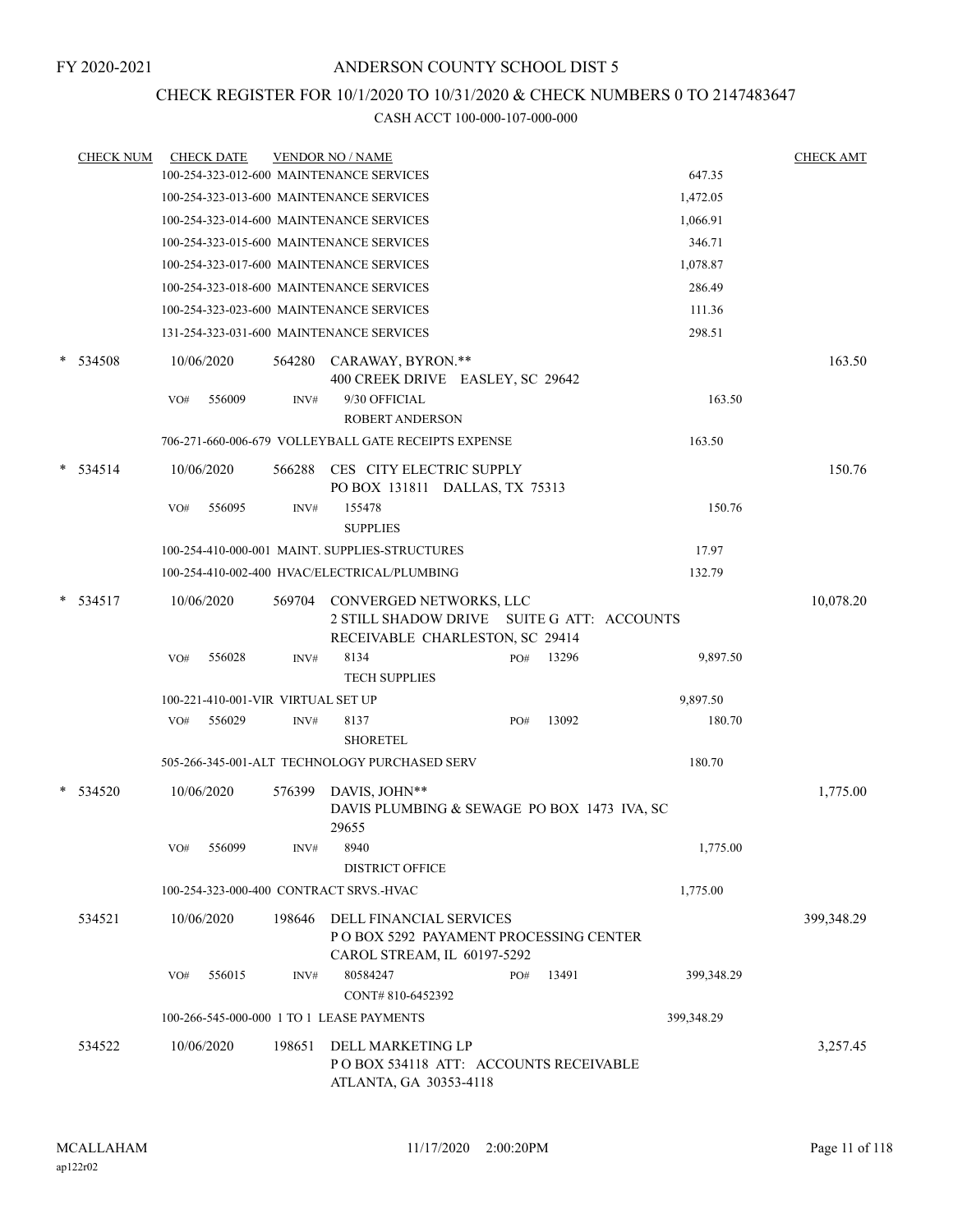## CHECK REGISTER FOR 10/1/2020 TO 10/31/2020 & CHECK NUMBERS 0 TO 2147483647

| <b>CHECK NUM</b> | <b>CHECK DATE</b>                         |        | <b>VENDOR NO / NAME</b>                                                                                  |     |       |            | <b>CHECK AMT</b> |
|------------------|-------------------------------------------|--------|----------------------------------------------------------------------------------------------------------|-----|-------|------------|------------------|
|                  | 100-254-323-012-600 MAINTENANCE SERVICES  |        |                                                                                                          |     |       | 647.35     |                  |
|                  | 100-254-323-013-600 MAINTENANCE SERVICES  |        |                                                                                                          |     |       | 1,472.05   |                  |
|                  | 100-254-323-014-600 MAINTENANCE SERVICES  |        |                                                                                                          |     |       | 1,066.91   |                  |
|                  | 100-254-323-015-600 MAINTENANCE SERVICES  |        |                                                                                                          |     |       | 346.71     |                  |
|                  | 100-254-323-017-600 MAINTENANCE SERVICES  |        |                                                                                                          |     |       | 1,078.87   |                  |
|                  | 100-254-323-018-600 MAINTENANCE SERVICES  |        |                                                                                                          |     |       | 286.49     |                  |
|                  | 100-254-323-023-600 MAINTENANCE SERVICES  |        |                                                                                                          |     |       | 111.36     |                  |
|                  | 131-254-323-031-600 MAINTENANCE SERVICES  |        |                                                                                                          |     |       | 298.51     |                  |
| $*$ 534508       | 10/06/2020                                |        | 564280 CARAWAY, BYRON.**<br>400 CREEK DRIVE EASLEY, SC 29642                                             |     |       |            | 163.50           |
|                  | 556009<br>VO#                             | INV#   | 9/30 OFFICIAL<br><b>ROBERT ANDERSON</b>                                                                  |     |       | 163.50     |                  |
|                  |                                           |        | 706-271-660-006-679 VOLLEYBALL GATE RECEIPTS EXPENSE                                                     |     |       | 163.50     |                  |
| $* 534514$       | 10/06/2020                                | 566288 | CES CITY ELECTRIC SUPPLY<br>PO BOX 131811 DALLAS, TX 75313                                               |     |       |            | 150.76           |
|                  | VO#<br>556095                             | INV#   | 155478<br><b>SUPPLIES</b>                                                                                |     |       | 150.76     |                  |
|                  |                                           |        | 100-254-410-000-001 MAINT. SUPPLIES-STRUCTURES                                                           |     |       | 17.97      |                  |
|                  |                                           |        | 100-254-410-002-400 HVAC/ELECTRICAL/PLUMBING                                                             |     |       | 132.79     |                  |
| $* 534517$       | 10/06/2020                                | 569704 | CONVERGED NETWORKS, LLC<br>2 STILL SHADOW DRIVE SUITE G ATT: ACCOUNTS<br>RECEIVABLE CHARLESTON, SC 29414 |     |       |            | 10,078.20        |
|                  | 556028<br>VO#                             | INV#   | 8134<br><b>TECH SUPPLIES</b>                                                                             | PO# | 13296 | 9,897.50   |                  |
|                  | 100-221-410-001-VIR VIRTUAL SET UP        |        |                                                                                                          |     |       | 9,897.50   |                  |
|                  | 556029<br>VO#                             | INV#   | 8137<br><b>SHORETEL</b>                                                                                  | PO# | 13092 | 180.70     |                  |
|                  |                                           |        | 505-266-345-001-ALT TECHNOLOGY PURCHASED SERV                                                            |     |       | 180.70     |                  |
| * 534520         | 10/06/2020                                | 576399 | DAVIS, JOHN**<br>DAVIS PLUMBING & SEWAGE PO BOX 1473 IVA, SC<br>29655                                    |     |       |            | 1,775.00         |
|                  | 556099<br>VO#                             |        | INV# 8940<br><b>DISTRICT OFFICE</b>                                                                      |     |       | 1,775.00   |                  |
|                  | 100-254-323-000-400 CONTRACT SRVS.-HVAC   |        |                                                                                                          |     |       | 1,775.00   |                  |
| 534521           | 10/06/2020                                |        | 198646 DELL FINANCIAL SERVICES<br>P O BOX 5292 PAYAMENT PROCESSING CENTER<br>CAROL STREAM, IL 60197-5292 |     |       |            | 399,348.29       |
|                  | 556015<br>VO#                             | INV#   | 80584247<br>CONT#810-6452392                                                                             | PO# | 13491 | 399,348.29 |                  |
|                  | 100-266-545-000-000 1 TO 1 LEASE PAYMENTS |        |                                                                                                          |     |       | 399,348.29 |                  |
| 534522           | 10/06/2020                                | 198651 | DELL MARKETING LP<br>PO BOX 534118 ATT: ACCOUNTS RECEIVABLE<br>ATLANTA, GA 30353-4118                    |     |       |            | 3,257.45         |
|                  |                                           |        |                                                                                                          |     |       |            |                  |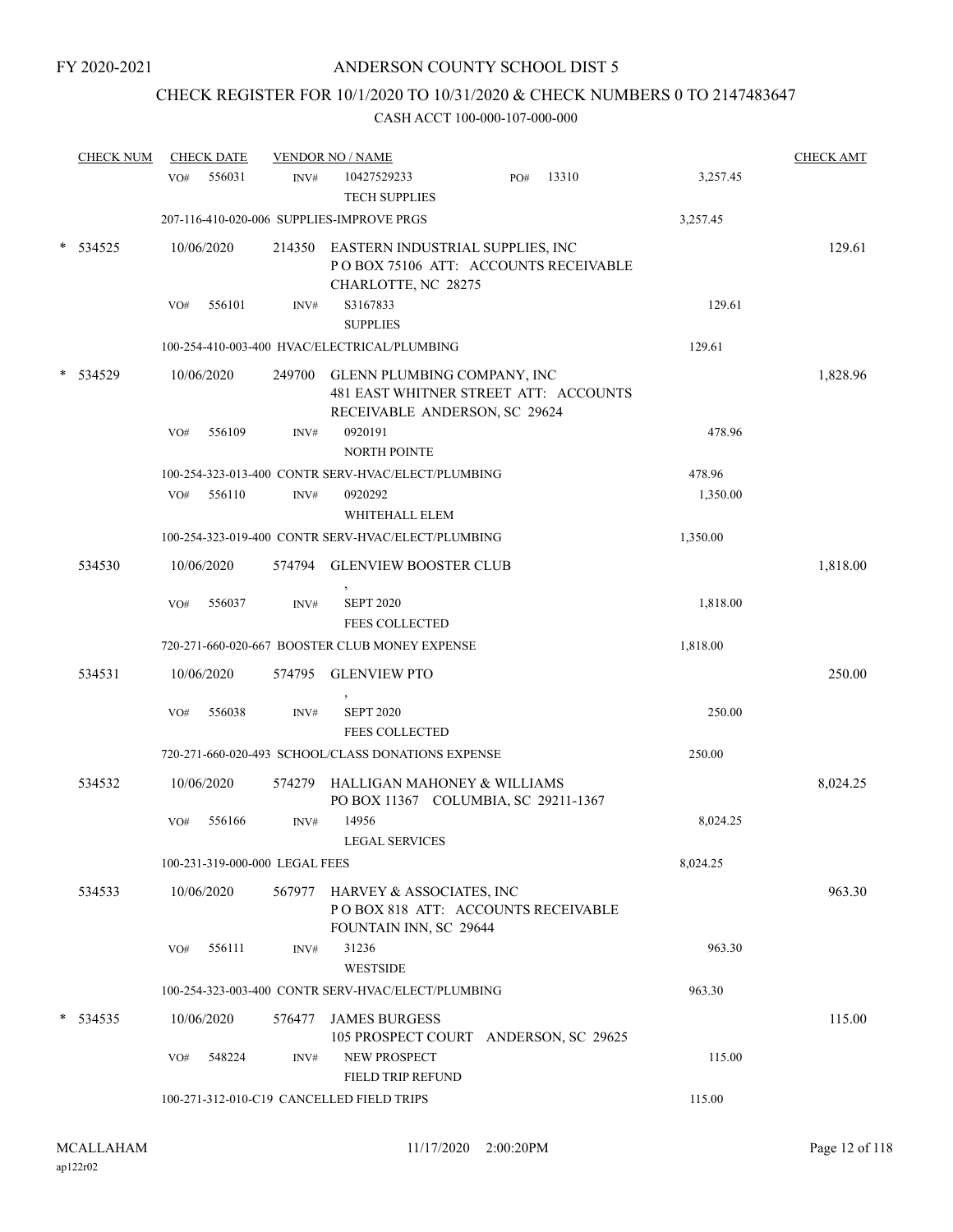## CHECK REGISTER FOR 10/1/2020 TO 10/31/2020 & CHECK NUMBERS 0 TO 2147483647

|   | <b>CHECK NUM</b> |     | <b>CHECK DATE</b>              |        | <b>VENDOR NO / NAME</b>                                                                                      |     |       |          | <b>CHECK AMT</b> |
|---|------------------|-----|--------------------------------|--------|--------------------------------------------------------------------------------------------------------------|-----|-------|----------|------------------|
|   |                  | VO# | 556031                         | INV#   | 10427529233<br><b>TECH SUPPLIES</b>                                                                          | PO# | 13310 | 3,257.45 |                  |
|   |                  |     |                                |        | 207-116-410-020-006 SUPPLIES-IMPROVE PRGS                                                                    |     |       | 3,257.45 |                  |
|   | 534525           |     | 10/06/2020                     |        | 214350 EASTERN INDUSTRIAL SUPPLIES, INC<br>POBOX 75106 ATT: ACCOUNTS RECEIVABLE<br>CHARLOTTE, NC 28275       |     |       |          | 129.61           |
|   |                  | VO# | 556101                         | INV#   | S3167833<br><b>SUPPLIES</b>                                                                                  |     |       | 129.61   |                  |
|   |                  |     |                                |        | 100-254-410-003-400 HVAC/ELECTRICAL/PLUMBING                                                                 |     |       | 129.61   |                  |
|   | 534529           |     | 10/06/2020                     |        | 249700 GLENN PLUMBING COMPANY, INC<br>481 EAST WHITNER STREET ATT: ACCOUNTS<br>RECEIVABLE ANDERSON, SC 29624 |     |       |          | 1,828.96         |
|   |                  | VO# | 556109                         | INV#   | 0920191<br><b>NORTH POINTE</b>                                                                               |     |       | 478.96   |                  |
|   |                  |     |                                |        | 100-254-323-013-400 CONTR SERV-HVAC/ELECT/PLUMBING                                                           |     |       | 478.96   |                  |
|   |                  | VO# | 556110                         | INV#   | 0920292<br>WHITEHALL ELEM                                                                                    |     |       | 1,350.00 |                  |
|   |                  |     |                                |        | 100-254-323-019-400 CONTR SERV-HVAC/ELECT/PLUMBING                                                           |     |       | 1,350.00 |                  |
|   | 534530           |     | 10/06/2020                     | 574794 | <b>GLENVIEW BOOSTER CLUB</b>                                                                                 |     |       |          | 1,818.00         |
|   |                  | VO# | 556037                         | INV#   | <b>SEPT 2020</b><br><b>FEES COLLECTED</b>                                                                    |     |       | 1,818.00 |                  |
|   |                  |     |                                |        | 720-271-660-020-667 BOOSTER CLUB MONEY EXPENSE                                                               |     |       | 1,818.00 |                  |
|   | 534531           |     | 10/06/2020                     | 574795 | <b>GLENVIEW PTO</b>                                                                                          |     |       |          | 250.00           |
|   |                  | VO# | 556038                         | INV#   | <b>SEPT 2020</b><br><b>FEES COLLECTED</b>                                                                    |     |       | 250.00   |                  |
|   |                  |     |                                |        | 720-271-660-020-493 SCHOOL/CLASS DONATIONS EXPENSE                                                           |     |       | 250.00   |                  |
|   | 534532           |     | 10/06/2020                     |        | 574279 HALLIGAN MAHONEY & WILLIAMS<br>PO BOX 11367 COLUMBIA, SC 29211-1367                                   |     |       |          | 8,024.25         |
|   |                  | VO# | 556166                         | INV#   | 14956<br>LEGAL SERVICES                                                                                      |     |       | 8,024.25 |                  |
|   |                  |     | 100-231-319-000-000 LEGAL FEES |        |                                                                                                              |     |       | 8,024.25 |                  |
|   | 534533           |     | 10/06/2020                     |        | 567977 HARVEY & ASSOCIATES, INC<br>POBOX 818 ATT: ACCOUNTS RECEIVABLE<br>FOUNTAIN INN, SC 29644              |     |       |          | 963.30           |
|   |                  | VO# | 556111                         | INV#   | 31236<br><b>WESTSIDE</b>                                                                                     |     |       | 963.30   |                  |
|   |                  |     |                                |        | 100-254-323-003-400 CONTR SERV-HVAC/ELECT/PLUMBING                                                           |     |       | 963.30   |                  |
| * | 534535           |     | 10/06/2020                     | 576477 | <b>JAMES BURGESS</b><br>105 PROSPECT COURT ANDERSON, SC 29625                                                |     |       |          | 115.00           |
|   |                  | VO# | 548224                         | INV#   | <b>NEW PROSPECT</b><br><b>FIELD TRIP REFUND</b>                                                              |     |       | 115.00   |                  |
|   |                  |     |                                |        | 100-271-312-010-C19 CANCELLED FIELD TRIPS                                                                    |     |       | 115.00   |                  |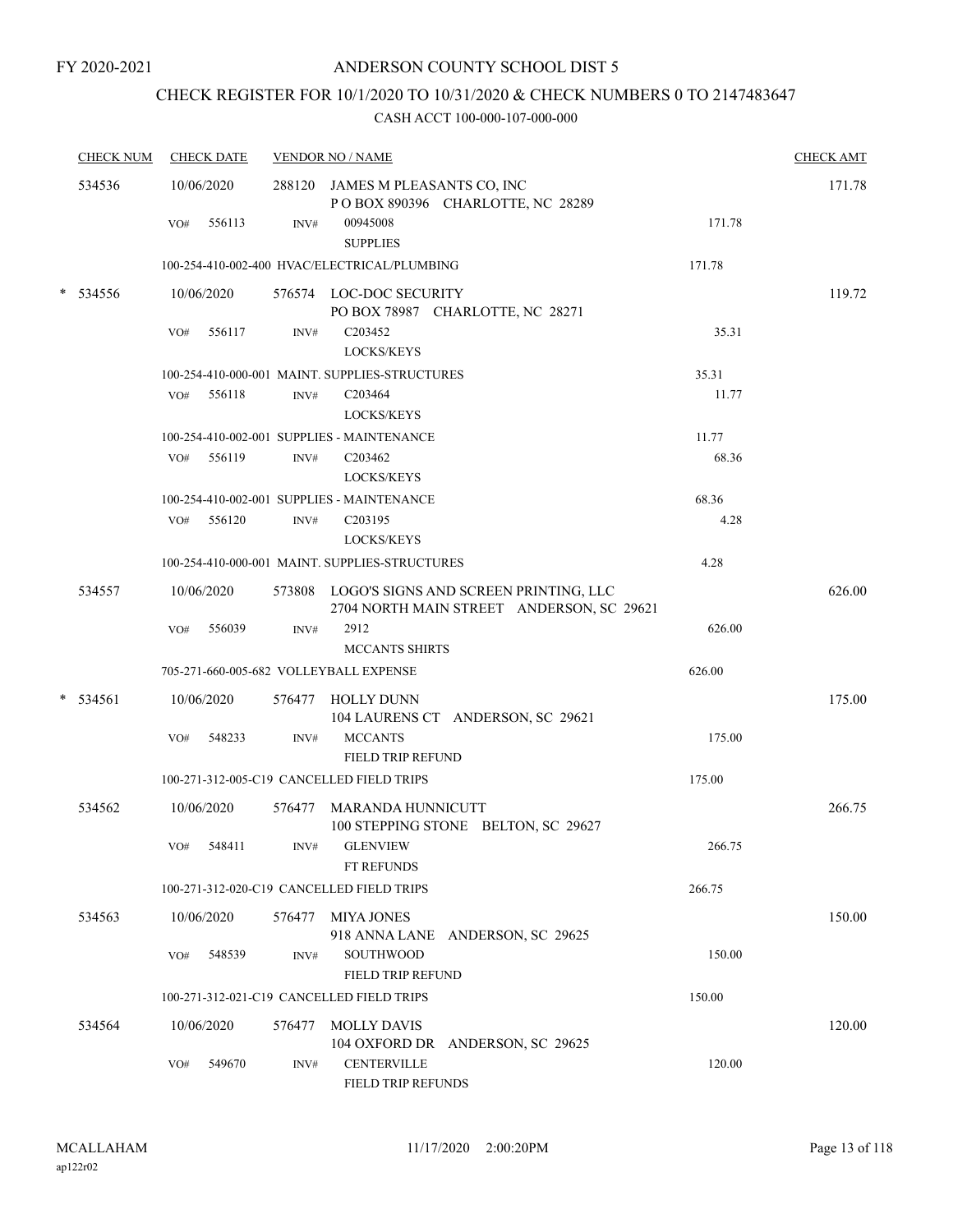# CHECK REGISTER FOR 10/1/2020 TO 10/31/2020 & CHECK NUMBERS 0 TO 2147483647

| <b>CHECK NUM</b> |     | <b>CHECK DATE</b> |                | <b>VENDOR NO / NAME</b>                                                                   |        | <b>CHECK AMT</b> |
|------------------|-----|-------------------|----------------|-------------------------------------------------------------------------------------------|--------|------------------|
| 534536           |     | 10/06/2020        |                | 288120 JAMES M PLEASANTS CO, INC<br>POBOX 890396 CHARLOTTE, NC 28289                      |        | 171.78           |
|                  | VO# | 556113            | INV#           | 00945008<br><b>SUPPLIES</b>                                                               | 171.78 |                  |
|                  |     |                   |                | 100-254-410-002-400 HVAC/ELECTRICAL/PLUMBING                                              | 171.78 |                  |
| 534556           |     | 10/06/2020        |                | 576574 LOC-DOC SECURITY<br>PO BOX 78987 CHARLOTTE, NC 28271                               |        | 119.72           |
|                  | VO# | 556117            | $\text{INV}\#$ | C <sub>203452</sub><br>LOCKS/KEYS                                                         | 35.31  |                  |
|                  |     |                   |                | 100-254-410-000-001 MAINT. SUPPLIES-STRUCTURES                                            | 35.31  |                  |
|                  | VO# | 556118            | INV#           | C <sub>203464</sub><br><b>LOCKS/KEYS</b>                                                  | 11.77  |                  |
|                  |     |                   |                | 100-254-410-002-001 SUPPLIES - MAINTENANCE                                                | 11.77  |                  |
|                  |     | VO# 556119        | INV#           | C <sub>203462</sub><br><b>LOCKS/KEYS</b>                                                  | 68.36  |                  |
|                  |     |                   |                | 100-254-410-002-001 SUPPLIES - MAINTENANCE                                                | 68.36  |                  |
|                  | VO# | 556120            | INV#           | C203195<br><b>LOCKS/KEYS</b>                                                              | 4.28   |                  |
|                  |     |                   |                | 100-254-410-000-001 MAINT. SUPPLIES-STRUCTURES                                            | 4.28   |                  |
| 534557           |     | 10/06/2020        |                | 573808 LOGO'S SIGNS AND SCREEN PRINTING, LLC<br>2704 NORTH MAIN STREET ANDERSON, SC 29621 |        | 626.00           |
|                  | VO# | 556039            | INV#           | 2912<br><b>MCCANTS SHIRTS</b>                                                             | 626.00 |                  |
|                  |     |                   |                | 705-271-660-005-682 VOLLEYBALL EXPENSE                                                    | 626.00 |                  |
| 534561           |     | 10/06/2020        |                | 576477 HOLLY DUNN<br>104 LAURENS CT ANDERSON, SC 29621                                    |        | 175.00           |
|                  | VO# | 548233            | INV#           | <b>MCCANTS</b><br>FIELD TRIP REFUND                                                       | 175.00 |                  |
|                  |     |                   |                | 100-271-312-005-C19 CANCELLED FIELD TRIPS                                                 | 175.00 |                  |
| 534562           |     | 10/06/2020        |                | 576477 MARANDA HUNNICUTT<br>100 STEPPING STONE BELTON, SC 29627                           |        | 266.75           |
|                  |     | VO# 548411        |                | INV# GLENVIEW<br><b>FT REFUNDS</b>                                                        | 266.75 |                  |
|                  |     |                   |                | 100-271-312-020-C19 CANCELLED FIELD TRIPS                                                 | 266.75 |                  |
| 534563           |     | 10/06/2020        |                | 576477 MIYA JONES<br>918 ANNA LANE ANDERSON, SC 29625                                     |        | 150.00           |
|                  |     | VO# 548539        | INV#           | SOUTHWOOD<br>FIELD TRIP REFUND                                                            | 150.00 |                  |
|                  |     |                   |                | 100-271-312-021-C19 CANCELLED FIELD TRIPS                                                 | 150.00 |                  |
| 534564           |     | 10/06/2020        |                | 576477 MOLLY DAVIS<br>104 OXFORD DR ANDERSON, SC 29625                                    |        | 120.00           |
|                  | VO# | 549670            | INV#           | <b>CENTERVILLE</b><br>FIELD TRIP REFUNDS                                                  | 120.00 |                  |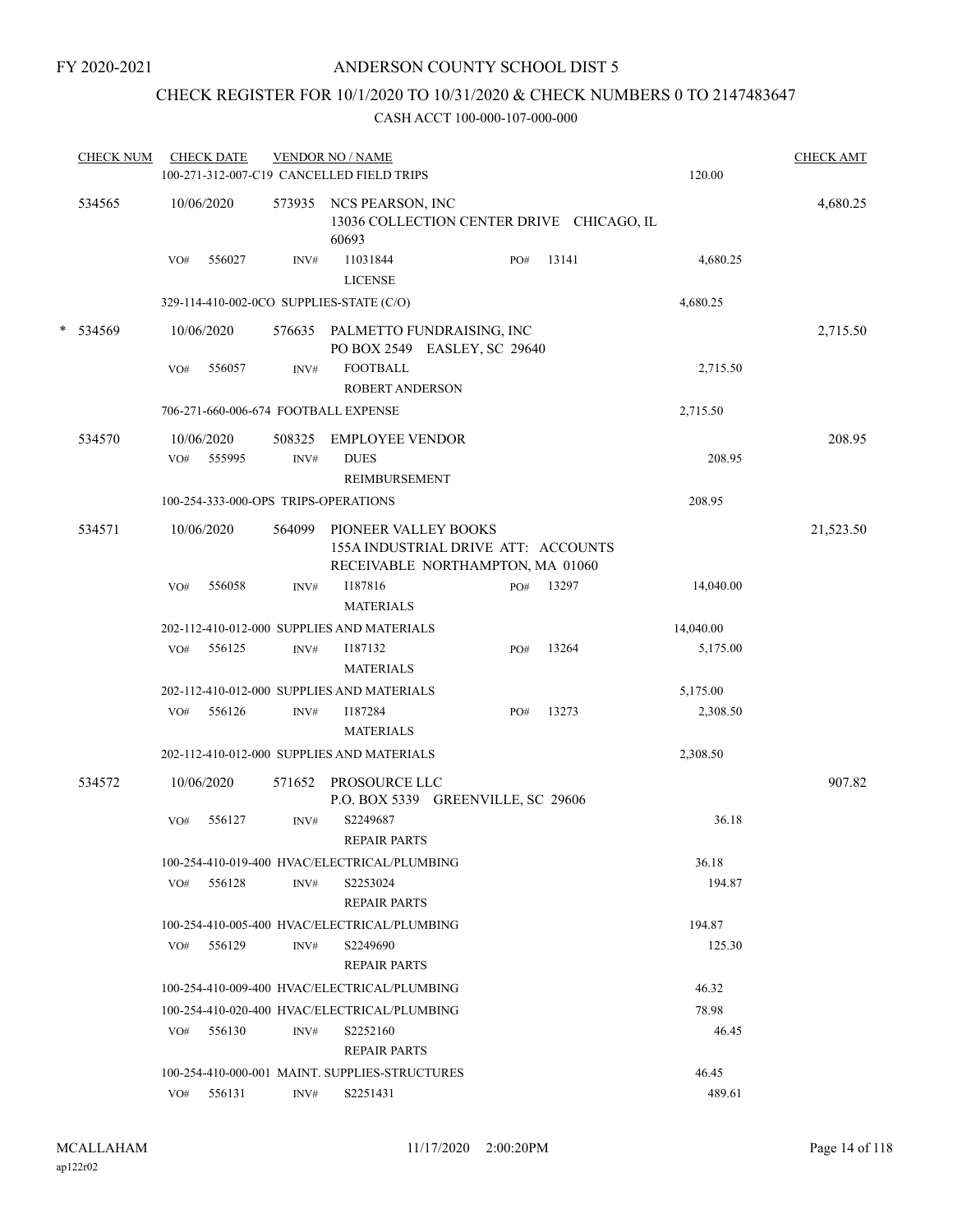## CHECK REGISTER FOR 10/1/2020 TO 10/31/2020 & CHECK NUMBERS 0 TO 2147483647

| <b>CHECK NUM</b> |     | <b>CHECK DATE</b>    |                | <b>VENDOR NO / NAME</b><br>100-271-312-007-C19 CANCELLED FIELD TRIPS                            |     |       | 120.00    | <b>CHECK AMT</b> |
|------------------|-----|----------------------|----------------|-------------------------------------------------------------------------------------------------|-----|-------|-----------|------------------|
| 534565           |     | 10/06/2020           | 573935         | NCS PEARSON, INC<br>13036 COLLECTION CENTER DRIVE CHICAGO, IL<br>60693                          |     |       |           | 4,680.25         |
|                  | VO# | 556027               | INV#           | 11031844<br><b>LICENSE</b>                                                                      | PO# | 13141 | 4,680.25  |                  |
|                  |     |                      |                | 329-114-410-002-0CO SUPPLIES-STATE (C/O)                                                        |     |       | 4,680.25  |                  |
| * 534569         |     | 10/06/2020           |                | 576635 PALMETTO FUNDRAISING, INC<br>PO BOX 2549 EASLEY, SC 29640                                |     |       |           | 2,715.50         |
|                  | VO# | 556057               | INV#           | <b>FOOTBALL</b><br><b>ROBERT ANDERSON</b>                                                       |     |       | 2,715.50  |                  |
|                  |     |                      |                | 706-271-660-006-674 FOOTBALL EXPENSE                                                            |     |       | 2,715.50  |                  |
| 534570           | VO# | 10/06/2020<br>555995 | 508325<br>INV# | <b>EMPLOYEE VENDOR</b><br><b>DUES</b>                                                           |     |       | 208.95    | 208.95           |
|                  |     |                      |                | <b>REIMBURSEMENT</b>                                                                            |     |       |           |                  |
|                  |     |                      |                | 100-254-333-000-OPS TRIPS-OPERATIONS                                                            |     |       | 208.95    |                  |
| 534571           |     | 10/06/2020           | 564099         | PIONEER VALLEY BOOKS<br>155A INDUSTRIAL DRIVE ATT: ACCOUNTS<br>RECEIVABLE NORTHAMPTON, MA 01060 |     |       |           | 21,523.50        |
|                  | VO# | 556058               | INV#           | I187816<br><b>MATERIALS</b>                                                                     | PO# | 13297 | 14,040.00 |                  |
|                  |     |                      |                | 202-112-410-012-000 SUPPLIES AND MATERIALS                                                      |     |       | 14,040.00 |                  |
|                  | VO# | 556125               | INV#           | I187132<br><b>MATERIALS</b>                                                                     | PO# | 13264 | 5,175.00  |                  |
|                  |     |                      |                | 202-112-410-012-000 SUPPLIES AND MATERIALS                                                      |     |       | 5,175.00  |                  |
|                  | VO# | 556126               | INV#           | I187284<br><b>MATERIALS</b>                                                                     | PO# | 13273 | 2,308.50  |                  |
|                  |     |                      |                | 202-112-410-012-000 SUPPLIES AND MATERIALS                                                      |     |       | 2,308.50  |                  |
| 534572           |     | 10/06/2020           |                | 571652 PROSOURCE LLC<br>P.O. BOX 5339 GREENVILLE, SC 29606                                      |     |       |           | 907.82           |
|                  | VO# | 556127               | INV#           | S2249687<br><b>REPAIR PARTS</b>                                                                 |     |       | 36.18     |                  |
|                  |     |                      |                | 100-254-410-019-400 HVAC/ELECTRICAL/PLUMBING                                                    |     |       | 36.18     |                  |
|                  | VO# | 556128               | INV#           | S2253024<br><b>REPAIR PARTS</b>                                                                 |     |       | 194.87    |                  |
|                  |     |                      |                | 100-254-410-005-400 HVAC/ELECTRICAL/PLUMBING                                                    |     |       | 194.87    |                  |
|                  | VO# | 556129               | INV#           | S2249690<br><b>REPAIR PARTS</b>                                                                 |     |       | 125.30    |                  |
|                  |     |                      |                | 100-254-410-009-400 HVAC/ELECTRICAL/PLUMBING                                                    |     |       | 46.32     |                  |
|                  |     |                      |                | 100-254-410-020-400 HVAC/ELECTRICAL/PLUMBING                                                    |     |       | 78.98     |                  |
|                  | VO# | 556130               | INV#           | S2252160<br><b>REPAIR PARTS</b>                                                                 |     |       | 46.45     |                  |
|                  |     |                      |                | 100-254-410-000-001 MAINT. SUPPLIES-STRUCTURES                                                  |     |       | 46.45     |                  |
|                  |     | VO# 556131           | INV#           | S2251431                                                                                        |     |       | 489.61    |                  |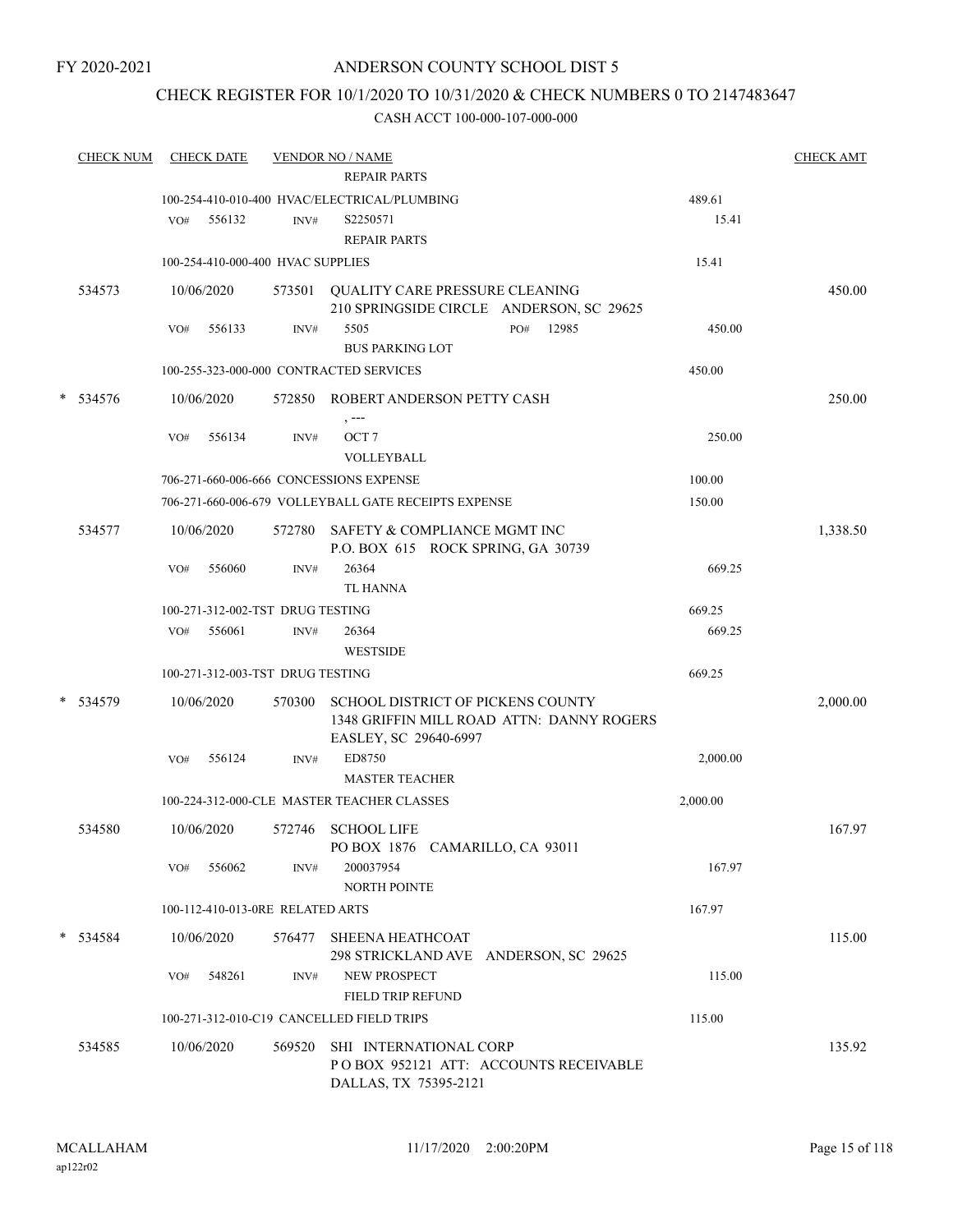## CHECK REGISTER FOR 10/1/2020 TO 10/31/2020 & CHECK NUMBERS 0 TO 2147483647

|   | <b>CHECK NUM</b> | <b>CHECK DATE</b><br><b>VENDOR NO / NAME</b><br><b>REPAIR PARTS</b> |            |                                   |                                                                                                         |  |     |       |                 | <b>CHECK AMT</b> |
|---|------------------|---------------------------------------------------------------------|------------|-----------------------------------|---------------------------------------------------------------------------------------------------------|--|-----|-------|-----------------|------------------|
|   |                  | VO#                                                                 | 556132     | INV#                              | 100-254-410-010-400 HVAC/ELECTRICAL/PLUMBING<br>S2250571<br><b>REPAIR PARTS</b>                         |  |     |       | 489.61<br>15.41 |                  |
|   |                  |                                                                     |            | 100-254-410-000-400 HVAC SUPPLIES |                                                                                                         |  |     |       | 15.41           |                  |
|   | 534573           |                                                                     | 10/06/2020 | 573501                            | QUALITY CARE PRESSURE CLEANING<br>210 SPRINGSIDE CIRCLE ANDERSON, SC 29625                              |  |     |       |                 | 450.00           |
|   |                  | VO#                                                                 | 556133     | INV#                              | 5505<br><b>BUS PARKING LOT</b>                                                                          |  | PO# | 12985 | 450.00          |                  |
|   |                  |                                                                     |            |                                   | 100-255-323-000-000 CONTRACTED SERVICES                                                                 |  |     |       | 450.00          |                  |
| * | 534576           |                                                                     | 10/06/2020 | 572850                            | ROBERT ANDERSON PETTY CASH<br>, ---                                                                     |  |     |       |                 | 250.00           |
|   |                  | VO#                                                                 | 556134     | INV#                              | OCT <sub>7</sub><br>VOLLEYBALL                                                                          |  |     |       | 250.00          |                  |
|   |                  |                                                                     |            |                                   | 706-271-660-006-666 CONCESSIONS EXPENSE                                                                 |  |     |       | 100.00          |                  |
|   |                  |                                                                     |            |                                   | 706-271-660-006-679 VOLLEYBALL GATE RECEIPTS EXPENSE                                                    |  |     |       | 150.00          |                  |
|   | 534577           |                                                                     | 10/06/2020 | 572780                            | SAFETY & COMPLIANCE MGMT INC<br>P.O. BOX 615 ROCK SPRING, GA 30739                                      |  |     |       |                 | 1,338.50         |
|   |                  | VO#                                                                 | 556060     | INV#                              | 26364<br><b>TL HANNA</b>                                                                                |  |     |       | 669.25          |                  |
|   |                  |                                                                     |            | 100-271-312-002-TST DRUG TESTING  |                                                                                                         |  |     |       | 669.25          |                  |
|   |                  | VO#                                                                 | 556061     | INV#                              | 26364<br><b>WESTSIDE</b>                                                                                |  |     |       | 669.25          |                  |
|   |                  |                                                                     |            | 100-271-312-003-TST DRUG TESTING  |                                                                                                         |  |     |       | 669.25          |                  |
| * | 534579           |                                                                     | 10/06/2020 | 570300                            | SCHOOL DISTRICT OF PICKENS COUNTY<br>1348 GRIFFIN MILL ROAD ATTN: DANNY ROGERS<br>EASLEY, SC 29640-6997 |  |     |       |                 | 2,000.00         |
|   |                  | VO#                                                                 | 556124     | INV#                              | ED8750<br><b>MASTER TEACHER</b>                                                                         |  |     |       | 2,000.00        |                  |
|   |                  |                                                                     |            |                                   | 100-224-312-000-CLE MASTER TEACHER CLASSES                                                              |  |     |       | 2,000.00        |                  |
|   | 534580           |                                                                     | 10/06/2020 | 572746                            | <b>SCHOOL LIFE</b><br>PO BOX 1876 CAMARILLO, CA 93011                                                   |  |     |       |                 | 167.97           |
|   |                  | VO#                                                                 | 556062     | INV#                              | 200037954<br><b>NORTH POINTE</b>                                                                        |  |     |       | 167.97          |                  |
|   |                  |                                                                     |            | 100-112-410-013-0RE RELATED ARTS  |                                                                                                         |  |     |       | 167.97          |                  |
|   | * 534584         |                                                                     | 10/06/2020 | 576477                            | <b>SHEENA HEATHCOAT</b><br>298 STRICKLAND AVE ANDERSON, SC 29625                                        |  |     |       |                 | 115.00           |
|   |                  | VO#                                                                 | 548261     | INV#                              | <b>NEW PROSPECT</b>                                                                                     |  |     |       | 115.00          |                  |
|   |                  |                                                                     |            |                                   | <b>FIELD TRIP REFUND</b>                                                                                |  |     |       |                 |                  |
|   |                  |                                                                     |            |                                   | 100-271-312-010-C19 CANCELLED FIELD TRIPS                                                               |  |     |       | 115.00          |                  |
|   | 534585           |                                                                     | 10/06/2020 | 569520                            | SHI INTERNATIONAL CORP<br>POBOX 952121 ATT: ACCOUNTS RECEIVABLE<br>DALLAS, TX 75395-2121                |  |     |       |                 | 135.92           |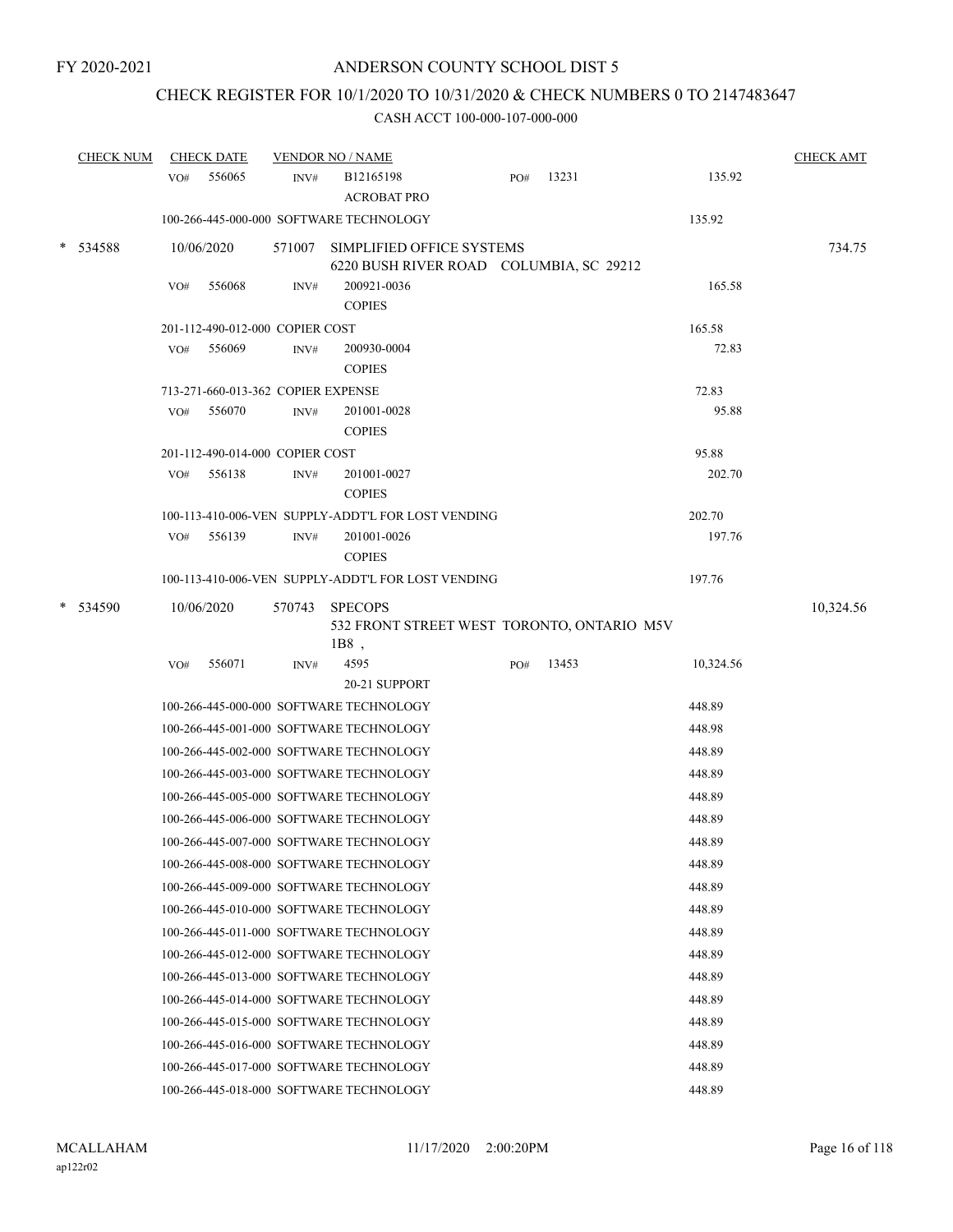# CHECK REGISTER FOR 10/1/2020 TO 10/31/2020 & CHECK NUMBERS 0 TO 2147483647

| <b>CHECK NUM</b> |     | <b>CHECK DATE</b>                  |      | <b>VENDOR NO / NAME</b>                                                     |     |       |           | <b>CHECK AMT</b> |
|------------------|-----|------------------------------------|------|-----------------------------------------------------------------------------|-----|-------|-----------|------------------|
|                  | VO# | 556065                             | INV# | B12165198<br><b>ACROBAT PRO</b>                                             | PO# | 13231 | 135.92    |                  |
|                  |     |                                    |      | 100-266-445-000-000 SOFTWARE TECHNOLOGY                                     |     |       | 135.92    |                  |
| * 534588         |     | 10/06/2020                         |      | 571007 SIMPLIFIED OFFICE SYSTEMS<br>6220 BUSH RIVER ROAD COLUMBIA, SC 29212 |     |       |           | 734.75           |
|                  | VO# | 556068                             | INV# | 200921-0036<br><b>COPIES</b>                                                |     |       | 165.58    |                  |
|                  |     | 201-112-490-012-000 COPIER COST    |      |                                                                             |     |       | 165.58    |                  |
|                  | VO# | 556069                             | INV# | 200930-0004<br><b>COPIES</b>                                                |     |       | 72.83     |                  |
|                  |     | 713-271-660-013-362 COPIER EXPENSE |      |                                                                             |     |       | 72.83     |                  |
|                  | VO# | 556070                             | INV# | 201001-0028<br><b>COPIES</b>                                                |     |       | 95.88     |                  |
|                  |     | 201-112-490-014-000 COPIER COST    |      |                                                                             |     |       | 95.88     |                  |
|                  | VO# | 556138                             | INV# | 201001-0027<br><b>COPIES</b>                                                |     |       | 202.70    |                  |
|                  |     |                                    |      | 100-113-410-006-VEN SUPPLY-ADDT'L FOR LOST VENDING                          |     |       | 202.70    |                  |
|                  | VO# | 556139                             | INV# | 201001-0026<br><b>COPIES</b>                                                |     |       | 197.76    |                  |
|                  |     |                                    |      | 100-113-410-006-VEN SUPPLY-ADDT'L FOR LOST VENDING                          |     |       | 197.76    |                  |
| 534590           |     | 10/06/2020                         |      | 570743 SPECOPS<br>532 FRONT STREET WEST TORONTO, ONTARIO M5V<br>$1B8$ ,     |     |       |           | 10,324.56        |
|                  | VO# | 556071                             | INV# | 4595<br>20-21 SUPPORT                                                       | PO# | 13453 | 10,324.56 |                  |
|                  |     |                                    |      | 100-266-445-000-000 SOFTWARE TECHNOLOGY                                     |     |       | 448.89    |                  |
|                  |     |                                    |      | 100-266-445-001-000 SOFTWARE TECHNOLOGY                                     |     |       | 448.98    |                  |
|                  |     |                                    |      | 100-266-445-002-000 SOFTWARE TECHNOLOGY                                     |     |       | 448.89    |                  |
|                  |     |                                    |      | 100-266-445-003-000 SOFTWARE TECHNOLOGY                                     |     |       | 448.89    |                  |
|                  |     |                                    |      | 100-266-445-005-000 SOFTWARE TECHNOLOGY                                     |     |       | 448.89    |                  |
|                  |     |                                    |      | 100-266-445-006-000 SOFTWARE TECHNOLOGY                                     |     |       | 448.89    |                  |
|                  |     |                                    |      | 100-266-445-007-000 SOFTWARE TECHNOLOGY                                     |     |       | 448.89    |                  |
|                  |     |                                    |      | 100-266-445-008-000 SOFTWARE TECHNOLOGY                                     |     |       | 448.89    |                  |
|                  |     |                                    |      | 100-266-445-009-000 SOFTWARE TECHNOLOGY                                     |     |       | 448.89    |                  |
|                  |     |                                    |      | 100-266-445-010-000 SOFTWARE TECHNOLOGY                                     |     |       | 448.89    |                  |
|                  |     |                                    |      | 100-266-445-011-000 SOFTWARE TECHNOLOGY                                     |     |       | 448.89    |                  |
|                  |     |                                    |      | 100-266-445-012-000 SOFTWARE TECHNOLOGY                                     |     |       | 448.89    |                  |
|                  |     |                                    |      | 100-266-445-013-000 SOFTWARE TECHNOLOGY                                     |     |       | 448.89    |                  |
|                  |     |                                    |      | 100-266-445-014-000 SOFTWARE TECHNOLOGY                                     |     |       | 448.89    |                  |
|                  |     |                                    |      | 100-266-445-015-000 SOFTWARE TECHNOLOGY                                     |     |       | 448.89    |                  |
|                  |     |                                    |      | 100-266-445-016-000 SOFTWARE TECHNOLOGY                                     |     |       | 448.89    |                  |
|                  |     |                                    |      | 100-266-445-017-000 SOFTWARE TECHNOLOGY                                     |     |       | 448.89    |                  |
|                  |     |                                    |      | 100-266-445-018-000 SOFTWARE TECHNOLOGY                                     |     |       | 448.89    |                  |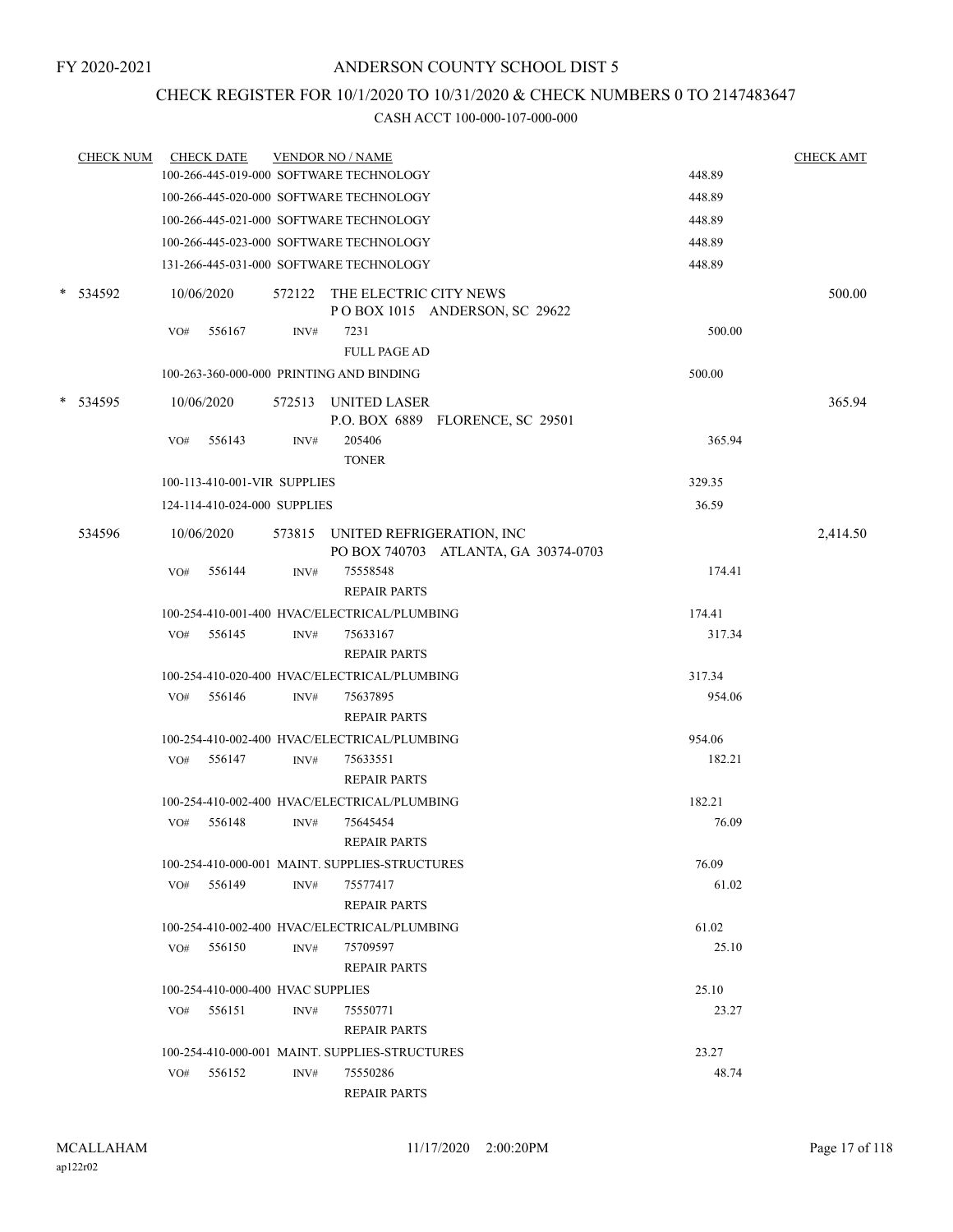## CHECK REGISTER FOR 10/1/2020 TO 10/31/2020 & CHECK NUMBERS 0 TO 2147483647

| <b>CHECK NUM</b> |     | <b>CHECK DATE</b>                 |      | <b>VENDOR NO / NAME</b>                                                  |        | <b>CHECK AMT</b> |
|------------------|-----|-----------------------------------|------|--------------------------------------------------------------------------|--------|------------------|
|                  |     |                                   |      | 100-266-445-019-000 SOFTWARE TECHNOLOGY                                  | 448.89 |                  |
|                  |     |                                   |      | 100-266-445-020-000 SOFTWARE TECHNOLOGY                                  | 448.89 |                  |
|                  |     |                                   |      | 100-266-445-021-000 SOFTWARE TECHNOLOGY                                  | 448.89 |                  |
|                  |     |                                   |      | 100-266-445-023-000 SOFTWARE TECHNOLOGY                                  | 448.89 |                  |
|                  |     |                                   |      | 131-266-445-031-000 SOFTWARE TECHNOLOGY                                  | 448.89 |                  |
| * 534592         |     | 10/06/2020                        |      | 572122 THE ELECTRIC CITY NEWS<br>POBOX 1015 ANDERSON, SC 29622           |        | 500.00           |
|                  | VO# | 556167                            | INV# | 7231<br><b>FULL PAGE AD</b>                                              | 500.00 |                  |
|                  |     |                                   |      | 100-263-360-000-000 PRINTING AND BINDING                                 | 500.00 |                  |
| * 534595         |     | 10/06/2020                        |      | 572513 UNITED LASER<br>P.O. BOX 6889 FLORENCE, SC 29501                  |        | 365.94           |
|                  | VO# | 556143                            | INV# | 205406<br><b>TONER</b>                                                   | 365.94 |                  |
|                  |     | 100-113-410-001-VIR SUPPLIES      |      |                                                                          | 329.35 |                  |
|                  |     | 124-114-410-024-000 SUPPLIES      |      |                                                                          | 36.59  |                  |
| 534596           |     | 10/06/2020                        |      | 573815 UNITED REFRIGERATION, INC<br>PO BOX 740703 ATLANTA, GA 30374-0703 |        | 2,414.50         |
|                  | VO# | 556144                            | INV# | 75558548<br><b>REPAIR PARTS</b>                                          | 174.41 |                  |
|                  |     |                                   |      | 100-254-410-001-400 HVAC/ELECTRICAL/PLUMBING                             | 174.41 |                  |
|                  | VO# | 556145                            | INV# | 75633167<br><b>REPAIR PARTS</b>                                          | 317.34 |                  |
|                  |     |                                   |      | 100-254-410-020-400 HVAC/ELECTRICAL/PLUMBING                             | 317.34 |                  |
|                  |     | VO# 556146                        | INV# | 75637895<br><b>REPAIR PARTS</b>                                          | 954.06 |                  |
|                  |     |                                   |      | 100-254-410-002-400 HVAC/ELECTRICAL/PLUMBING                             | 954.06 |                  |
|                  | VO# | 556147                            | INV# | 75633551<br><b>REPAIR PARTS</b>                                          | 182.21 |                  |
|                  |     |                                   |      | 100-254-410-002-400 HVAC/ELECTRICAL/PLUMBING                             | 182.21 |                  |
|                  | VO# | 556148                            | INV# | 75645454<br><b>REPAIR PARTS</b>                                          | 76.09  |                  |
|                  |     |                                   |      | 100-254-410-000-001 MAINT. SUPPLIES-STRUCTURES                           | 76.09  |                  |
|                  | VO# | 556149                            | INV# | 75577417<br><b>REPAIR PARTS</b>                                          | 61.02  |                  |
|                  |     |                                   |      | 100-254-410-002-400 HVAC/ELECTRICAL/PLUMBING                             | 61.02  |                  |
|                  |     | VO# 556150                        | INV# | 75709597<br><b>REPAIR PARTS</b>                                          | 25.10  |                  |
|                  |     | 100-254-410-000-400 HVAC SUPPLIES |      |                                                                          | 25.10  |                  |
|                  | VO# | 556151                            | INV# | 75550771<br><b>REPAIR PARTS</b>                                          | 23.27  |                  |
|                  |     |                                   |      | 100-254-410-000-001 MAINT. SUPPLIES-STRUCTURES                           | 23.27  |                  |
|                  | VO# | 556152                            | INV# | 75550286<br><b>REPAIR PARTS</b>                                          | 48.74  |                  |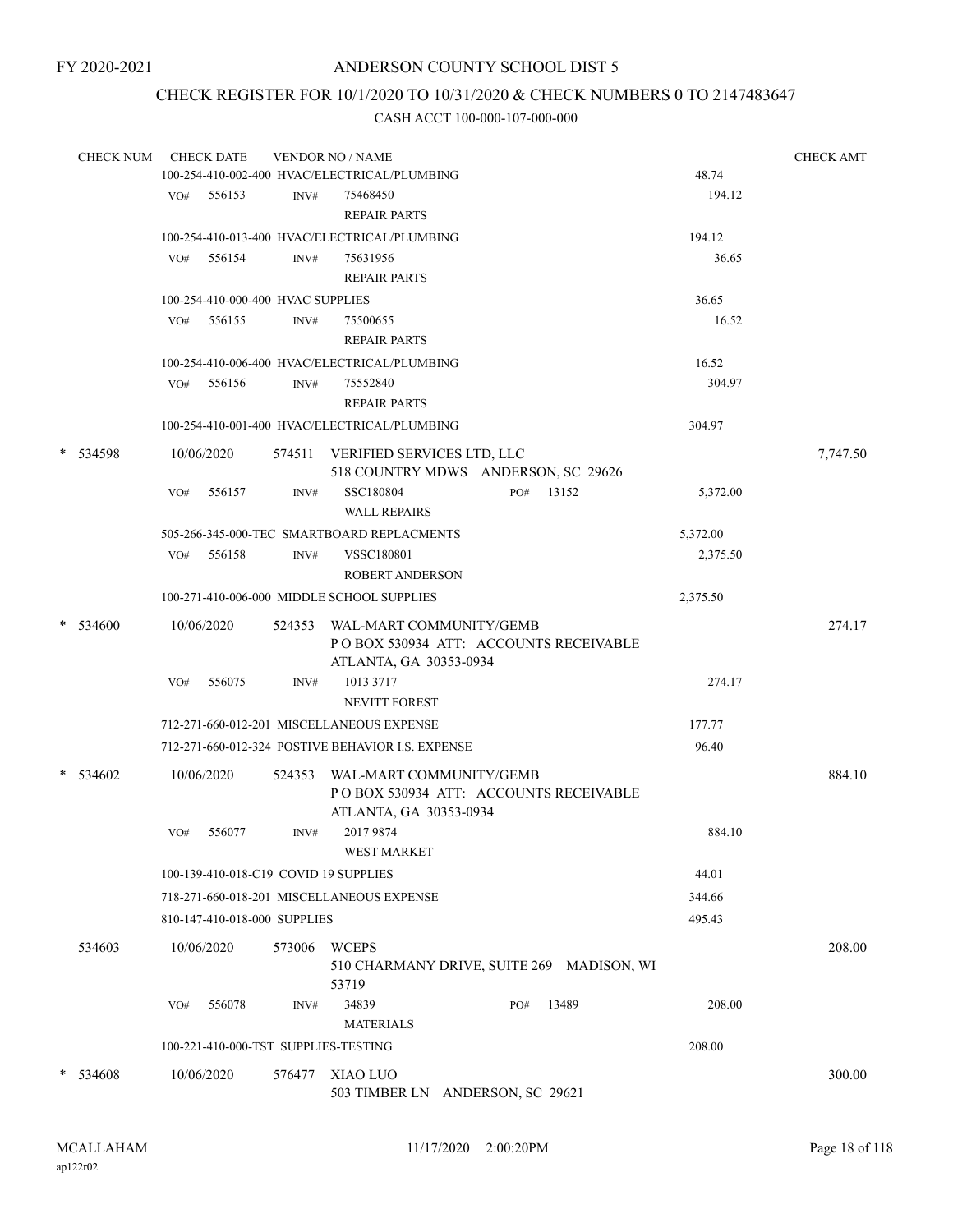## CHECK REGISTER FOR 10/1/2020 TO 10/31/2020 & CHECK NUMBERS 0 TO 2147483647

| <b>CHECK NUM</b> |            | <b>CHECK DATE</b> |                                   | <b>VENDOR NO / NAME</b>                           |     |       |          | <b>CHECK AMT</b> |
|------------------|------------|-------------------|-----------------------------------|---------------------------------------------------|-----|-------|----------|------------------|
|                  |            |                   |                                   | 100-254-410-002-400 HVAC/ELECTRICAL/PLUMBING      |     |       | 48.74    |                  |
|                  |            | VO# 556153        | INV#                              | 75468450                                          |     |       | 194.12   |                  |
|                  |            |                   |                                   | <b>REPAIR PARTS</b>                               |     |       |          |                  |
|                  |            |                   |                                   | 100-254-410-013-400 HVAC/ELECTRICAL/PLUMBING      |     |       | 194.12   |                  |
|                  | VO#        | 556154            | INV#                              | 75631956                                          |     |       | 36.65    |                  |
|                  |            |                   |                                   | <b>REPAIR PARTS</b>                               |     |       |          |                  |
|                  |            |                   | 100-254-410-000-400 HVAC SUPPLIES |                                                   |     |       | 36.65    |                  |
|                  | VO#        | 556155            | INV#                              | 75500655                                          |     |       | 16.52    |                  |
|                  |            |                   |                                   | <b>REPAIR PARTS</b>                               |     |       |          |                  |
|                  |            |                   |                                   | 100-254-410-006-400 HVAC/ELECTRICAL/PLUMBING      |     |       | 16.52    |                  |
|                  | VO#        | 556156            | INV#                              | 75552840                                          |     |       | 304.97   |                  |
|                  |            |                   |                                   | <b>REPAIR PARTS</b>                               |     |       |          |                  |
|                  |            |                   |                                   | 100-254-410-001-400 HVAC/ELECTRICAL/PLUMBING      |     |       | 304.97   |                  |
|                  |            |                   |                                   |                                                   |     |       |          |                  |
| * 534598         | 10/06/2020 |                   |                                   | 574511 VERIFIED SERVICES LTD, LLC                 |     |       |          | 7,747.50         |
|                  |            |                   |                                   | 518 COUNTRY MDWS ANDERSON, SC 29626               |     |       |          |                  |
|                  | VO#        | 556157            | INV#                              | SSC180804                                         | PO# | 13152 | 5,372.00 |                  |
|                  |            |                   |                                   | <b>WALL REPAIRS</b>                               |     |       |          |                  |
|                  |            |                   |                                   | 505-266-345-000-TEC SMARTBOARD REPLACMENTS        |     |       | 5,372.00 |                  |
|                  | VO#        | 556158            | INV#                              | VSSC180801                                        |     |       | 2,375.50 |                  |
|                  |            |                   |                                   | <b>ROBERT ANDERSON</b>                            |     |       |          |                  |
|                  |            |                   |                                   | 100-271-410-006-000 MIDDLE SCHOOL SUPPLIES        |     |       | 2,375.50 |                  |
| * 534600         | 10/06/2020 |                   |                                   | 524353 WAL-MART COMMUNITY/GEMB                    |     |       |          | 274.17           |
|                  |            |                   |                                   | PO BOX 530934 ATT: ACCOUNTS RECEIVABLE            |     |       |          |                  |
|                  |            |                   |                                   | ATLANTA, GA 30353-0934                            |     |       |          |                  |
|                  | VO#        | 556075            | INV#                              | 1013 3717                                         |     |       | 274.17   |                  |
|                  |            |                   |                                   | <b>NEVITT FOREST</b>                              |     |       |          |                  |
|                  |            |                   |                                   | 712-271-660-012-201 MISCELLANEOUS EXPENSE         |     |       | 177.77   |                  |
|                  |            |                   |                                   | 712-271-660-012-324 POSTIVE BEHAVIOR I.S. EXPENSE |     |       | 96.40    |                  |
| * 534602         | 10/06/2020 |                   | 524353                            | WAL-MART COMMUNITY/GEMB                           |     |       |          | 884.10           |
|                  |            |                   |                                   | PO BOX 530934 ATT: ACCOUNTS RECEIVABLE            |     |       |          |                  |
|                  |            |                   |                                   | ATLANTA, GA 30353-0934                            |     |       |          |                  |
|                  | VO#        | 556077            | INV#                              | 2017 9874                                         |     |       | 884.10   |                  |
|                  |            |                   |                                   | <b>WEST MARKET</b>                                |     |       |          |                  |
|                  |            |                   |                                   | 100-139-410-018-C19 COVID 19 SUPPLIES             |     |       | 44.01    |                  |
|                  |            |                   |                                   | 718-271-660-018-201 MISCELLANEOUS EXPENSE         |     |       | 344.66   |                  |
|                  |            |                   | 810-147-410-018-000 SUPPLIES      |                                                   |     |       | 495.43   |                  |
|                  |            |                   |                                   |                                                   |     |       |          |                  |
| 534603           | 10/06/2020 |                   | 573006                            | <b>WCEPS</b>                                      |     |       |          | 208.00           |
|                  |            |                   |                                   | 510 CHARMANY DRIVE, SUITE 269 MADISON, WI         |     |       |          |                  |
|                  |            |                   |                                   | 53719<br>34839                                    |     | 13489 | 208.00   |                  |
|                  | VO#        | 556078            | INV#                              |                                                   | PO# |       |          |                  |
|                  |            |                   |                                   | <b>MATERIALS</b>                                  |     |       |          |                  |
|                  |            |                   |                                   | 100-221-410-000-TST SUPPLIES-TESTING              |     |       | 208.00   |                  |
| * 534608         | 10/06/2020 |                   | 576477                            | XIAO LUO                                          |     |       |          | 300.00           |
|                  |            |                   |                                   | 503 TIMBER LN ANDERSON, SC 29621                  |     |       |          |                  |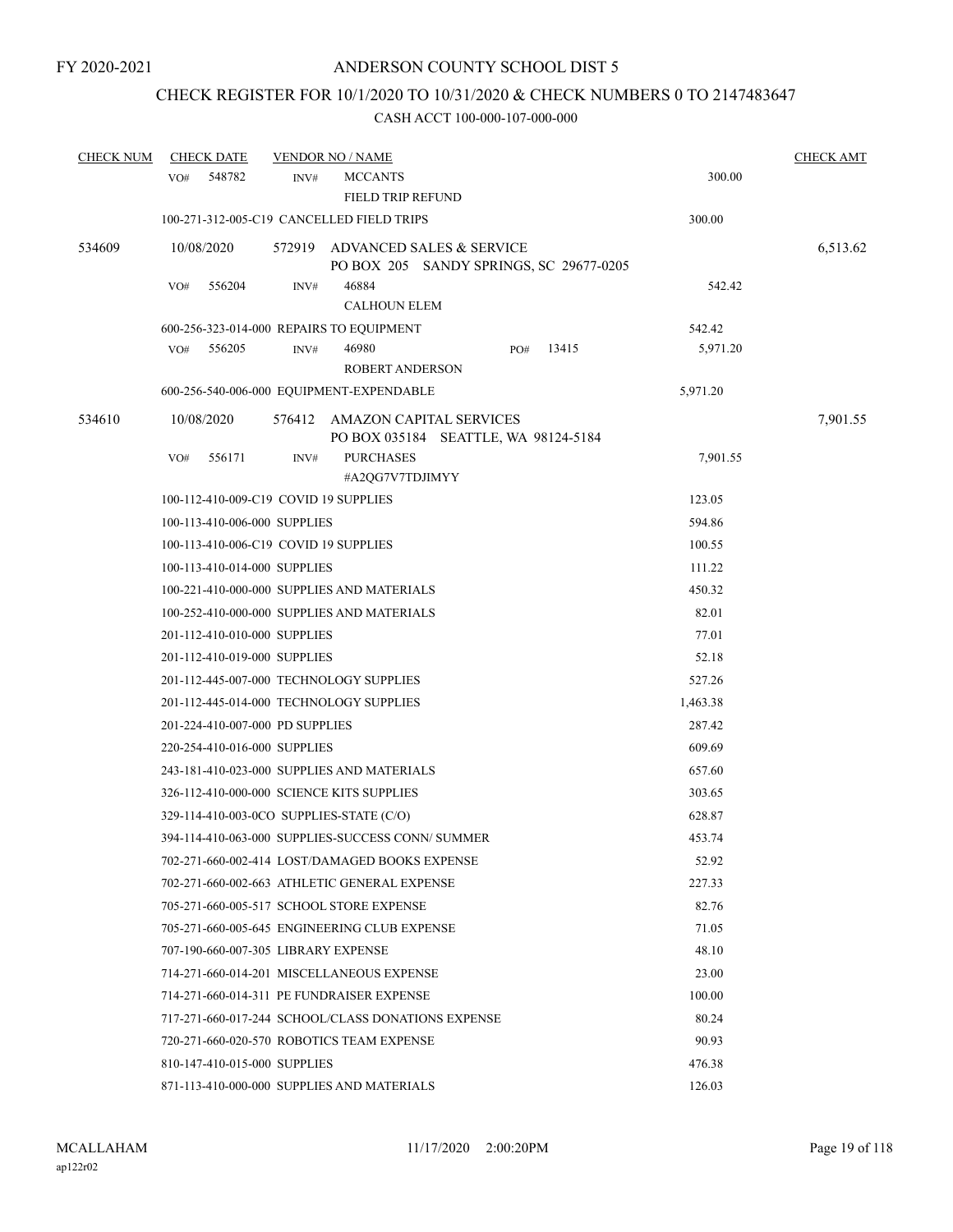## CHECK REGISTER FOR 10/1/2020 TO 10/31/2020 & CHECK NUMBERS 0 TO 2147483647

| <b>CHECK NUM</b> | <b>CHECK DATE</b>                         |      | <b>VENDOR NO / NAME</b>                                                    |       |          | <b>CHECK AMT</b> |
|------------------|-------------------------------------------|------|----------------------------------------------------------------------------|-------|----------|------------------|
|                  | 548782<br>VO#                             | INV# | <b>MCCANTS</b><br>FIELD TRIP REFUND                                        |       | 300.00   |                  |
|                  |                                           |      | 100-271-312-005-C19 CANCELLED FIELD TRIPS                                  |       | 300.00   |                  |
| 534609           | 10/08/2020                                |      | 572919 ADVANCED SALES & SERVICE<br>PO BOX 205 SANDY SPRINGS, SC 29677-0205 |       |          | 6,513.62         |
|                  | 556204<br>VO#                             | INV# | 46884<br><b>CALHOUN ELEM</b>                                               |       | 542.42   |                  |
|                  |                                           |      | 600-256-323-014-000 REPAIRS TO EQUIPMENT                                   |       | 542.42   |                  |
|                  | VO#<br>556205                             | INV# | 46980<br>PO#                                                               | 13415 | 5,971.20 |                  |
|                  |                                           |      | <b>ROBERT ANDERSON</b>                                                     |       |          |                  |
|                  |                                           |      | 600-256-540-006-000 EQUIPMENT-EXPENDABLE                                   |       | 5,971.20 |                  |
| 534610           | 10/08/2020                                |      | 576412 AMAZON CAPITAL SERVICES<br>PO BOX 035184 SEATTLE, WA 98124-5184     |       |          | 7,901.55         |
|                  | 556171<br>VO#                             | INV# | <b>PURCHASES</b><br>#A2QG7V7TDJIMYY                                        |       | 7,901.55 |                  |
|                  | 100-112-410-009-C19 COVID 19 SUPPLIES     |      |                                                                            |       | 123.05   |                  |
|                  | 100-113-410-006-000 SUPPLIES              |      |                                                                            |       | 594.86   |                  |
|                  | 100-113-410-006-C19 COVID 19 SUPPLIES     |      |                                                                            |       | 100.55   |                  |
|                  | 100-113-410-014-000 SUPPLIES              |      |                                                                            |       | 111.22   |                  |
|                  |                                           |      | 100-221-410-000-000 SUPPLIES AND MATERIALS                                 |       | 450.32   |                  |
|                  |                                           |      | 100-252-410-000-000 SUPPLIES AND MATERIALS                                 |       | 82.01    |                  |
|                  | 201-112-410-010-000 SUPPLIES              |      |                                                                            |       | 77.01    |                  |
|                  | 201-112-410-019-000 SUPPLIES              |      |                                                                            |       | 52.18    |                  |
|                  |                                           |      | 201-112-445-007-000 TECHNOLOGY SUPPLIES                                    |       | 527.26   |                  |
|                  |                                           |      | 201-112-445-014-000 TECHNOLOGY SUPPLIES                                    |       | 1,463.38 |                  |
|                  | 201-224-410-007-000 PD SUPPLIES           |      |                                                                            |       | 287.42   |                  |
|                  | 220-254-410-016-000 SUPPLIES              |      |                                                                            |       | 609.69   |                  |
|                  |                                           |      | 243-181-410-023-000 SUPPLIES AND MATERIALS                                 |       | 657.60   |                  |
|                  | 326-112-410-000-000 SCIENCE KITS SUPPLIES |      |                                                                            |       | 303.65   |                  |
|                  | 329-114-410-003-0CO SUPPLIES-STATE (C/O)  |      |                                                                            |       | 628.87   |                  |
|                  |                                           |      | 394-114-410-063-000 SUPPLIES-SUCCESS CONN/ SUMMER                          |       | 453.74   |                  |
|                  |                                           |      | 702-271-660-002-414 LOST/DAMAGED BOOKS EXPENSE                             |       | 52.92    |                  |
|                  |                                           |      | 702-271-660-002-663 ATHLETIC GENERAL EXPENSE                               |       | 227.33   |                  |
|                  |                                           |      | 705-271-660-005-517 SCHOOL STORE EXPENSE                                   |       | 82.76    |                  |
|                  |                                           |      | 705-271-660-005-645 ENGINEERING CLUB EXPENSE                               |       | 71.05    |                  |
|                  | 707-190-660-007-305 LIBRARY EXPENSE       |      |                                                                            |       | 48.10    |                  |
|                  |                                           |      | 714-271-660-014-201 MISCELLANEOUS EXPENSE                                  |       | 23.00    |                  |
|                  |                                           |      | 714-271-660-014-311 PE FUNDRAISER EXPENSE                                  |       | 100.00   |                  |
|                  |                                           |      | 717-271-660-017-244 SCHOOL/CLASS DONATIONS EXPENSE                         |       | 80.24    |                  |
|                  |                                           |      | 720-271-660-020-570 ROBOTICS TEAM EXPENSE                                  |       | 90.93    |                  |
|                  | 810-147-410-015-000 SUPPLIES              |      |                                                                            |       | 476.38   |                  |
|                  |                                           |      | 871-113-410-000-000 SUPPLIES AND MATERIALS                                 |       | 126.03   |                  |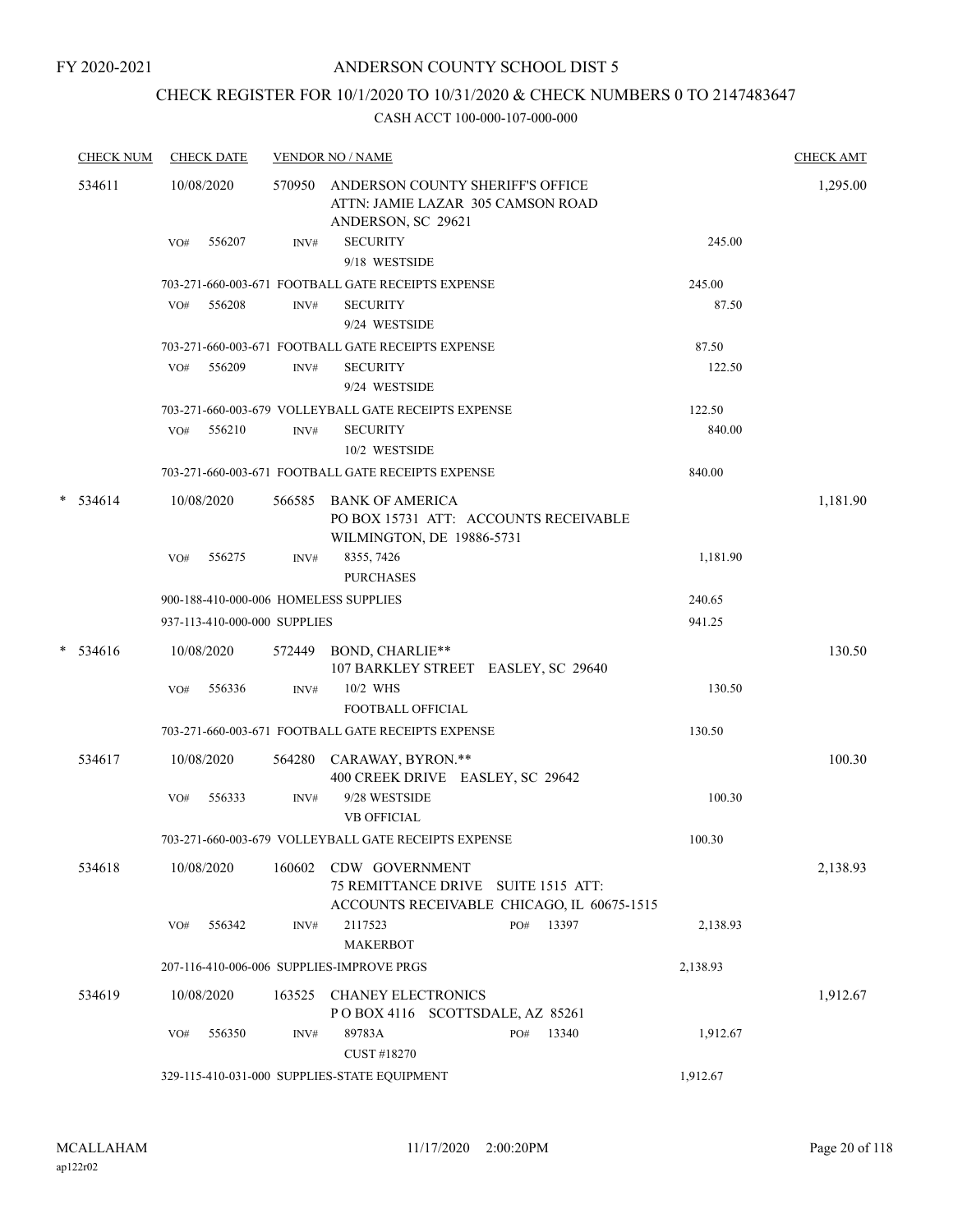## CHECK REGISTER FOR 10/1/2020 TO 10/31/2020 & CHECK NUMBERS 0 TO 2147483647

| <b>CHECK NUM</b> | <b>CHECK DATE</b>                         |        | <b>VENDOR NO / NAME</b>                                                                                               |          | <b>CHECK AMT</b> |
|------------------|-------------------------------------------|--------|-----------------------------------------------------------------------------------------------------------------------|----------|------------------|
| 534611           | 10/08/2020<br>556207<br>VO#               | INV#   | 570950 ANDERSON COUNTY SHERIFF'S OFFICE<br>ATTN: JAMIE LAZAR 305 CAMSON ROAD<br>ANDERSON, SC 29621<br><b>SECURITY</b> | 245.00   | 1,295.00         |
|                  |                                           |        | 9/18 WESTSIDE                                                                                                         |          |                  |
|                  |                                           |        | 703-271-660-003-671 FOOTBALL GATE RECEIPTS EXPENSE                                                                    | 245.00   |                  |
|                  | 556208<br>VO#                             | INV#   | <b>SECURITY</b>                                                                                                       | 87.50    |                  |
|                  |                                           |        | 9/24 WESTSIDE                                                                                                         |          |                  |
|                  |                                           |        | 703-271-660-003-671 FOOTBALL GATE RECEIPTS EXPENSE                                                                    | 87.50    |                  |
|                  | VO#<br>556209                             | INV#   | <b>SECURITY</b><br>9/24 WESTSIDE                                                                                      | 122.50   |                  |
|                  |                                           |        | 703-271-660-003-679 VOLLEYBALL GATE RECEIPTS EXPENSE                                                                  | 122.50   |                  |
|                  | 556210<br>VO#                             | INV#   | <b>SECURITY</b><br>10/2 WESTSIDE                                                                                      | 840.00   |                  |
|                  |                                           |        | 703-271-660-003-671 FOOTBALL GATE RECEIPTS EXPENSE                                                                    | 840.00   |                  |
| $* 534614$       | 10/08/2020                                | 566585 | <b>BANK OF AMERICA</b><br>PO BOX 15731 ATT: ACCOUNTS RECEIVABLE<br>WILMINGTON, DE 19886-5731                          |          | 1,181.90         |
|                  | 556275<br>VO#                             | INV#   | 8355, 7426<br><b>PURCHASES</b>                                                                                        | 1,181.90 |                  |
|                  | 900-188-410-000-006 HOMELESS SUPPLIES     |        |                                                                                                                       | 240.65   |                  |
|                  | 937-113-410-000-000 SUPPLIES              |        |                                                                                                                       | 941.25   |                  |
| $* 534616$       | 10/08/2020                                |        | 572449 BOND, CHARLIE**<br>107 BARKLEY STREET EASLEY, SC 29640                                                         |          | 130.50           |
|                  | 556336<br>VO#                             | INV#   | 10/2 WHS<br><b>FOOTBALL OFFICIAL</b>                                                                                  | 130.50   |                  |
|                  |                                           |        | 703-271-660-003-671 FOOTBALL GATE RECEIPTS EXPENSE                                                                    | 130.50   |                  |
| 534617           | 10/08/2020                                |        | 564280 CARAWAY, BYRON.**<br>400 CREEK DRIVE EASLEY, SC 29642                                                          |          | 100.30           |
|                  | 556333<br>VO#                             | INV#   | 9/28 WESTSIDE<br><b>VB OFFICIAL</b>                                                                                   | 100.30   |                  |
|                  |                                           |        | 703-271-660-003-679 VOLLEYBALL GATE RECEIPTS EXPENSE                                                                  | 100.30   |                  |
| 534618           | 10/08/2020                                |        | 160602 CDW GOVERNMENT<br>75 REMITTANCE DRIVE SUITE 1515 ATT:<br>ACCOUNTS RECEIVABLE CHICAGO, IL 60675-1515            |          | 2,138.93         |
|                  | 556342<br>VO#                             | INV#   | 13397<br>2117523<br>PO#<br><b>MAKERBOT</b>                                                                            | 2,138.93 |                  |
|                  | 207-116-410-006-006 SUPPLIES-IMPROVE PRGS |        |                                                                                                                       | 2,138.93 |                  |
| 534619           | 10/08/2020                                | 163525 | <b>CHANEY ELECTRONICS</b><br>POBOX 4116 SCOTTSDALE, AZ 85261                                                          |          | 1,912.67         |
|                  | 556350<br>VO#                             | INV#   | 89783A<br>13340<br>PO#<br>CUST #18270                                                                                 | 1,912.67 |                  |
|                  |                                           |        | 329-115-410-031-000 SUPPLIES-STATE EQUIPMENT                                                                          | 1,912.67 |                  |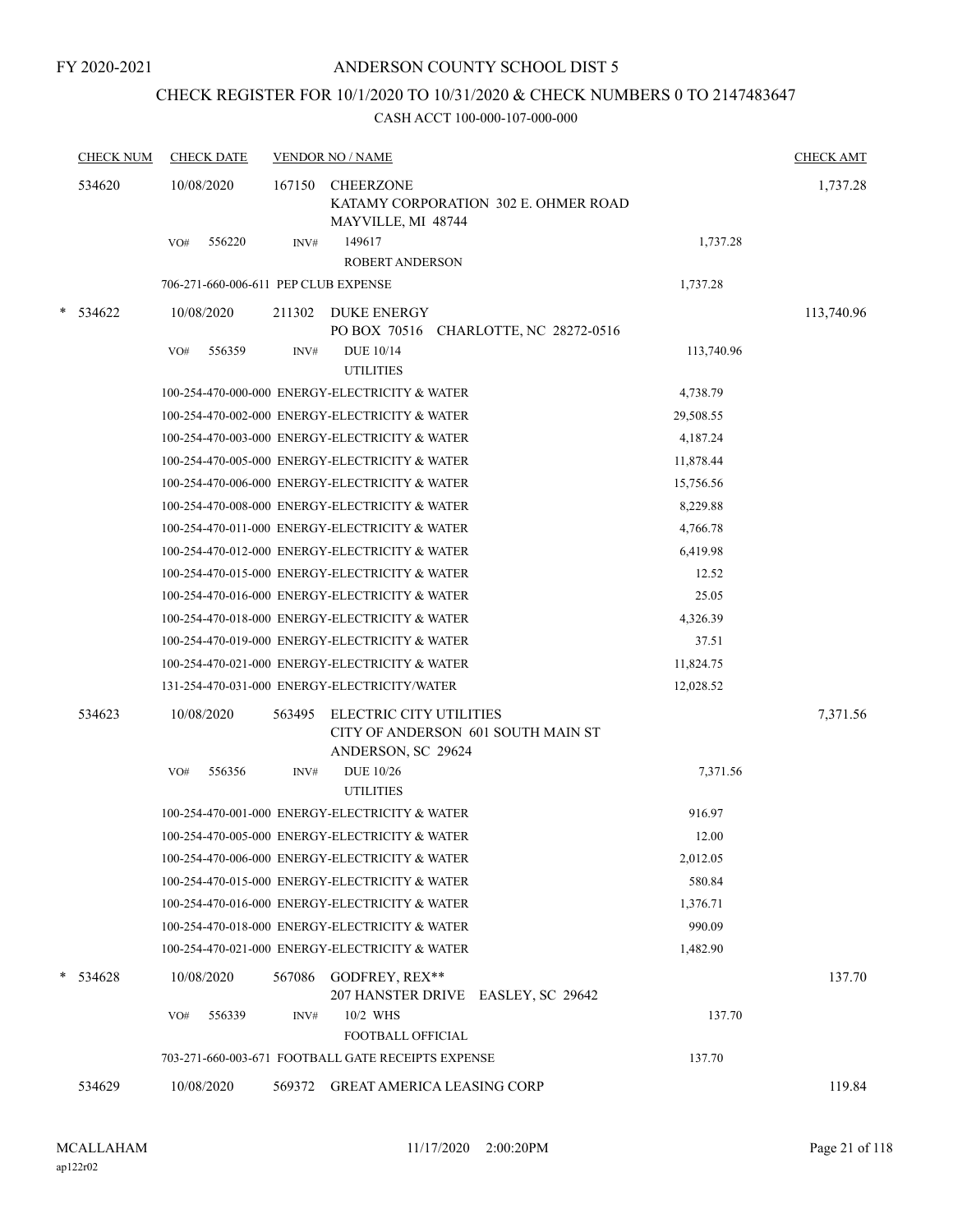## CHECK REGISTER FOR 10/1/2020 TO 10/31/2020 & CHECK NUMBERS 0 TO 2147483647

| <b>CHECK NUM</b> | <b>CHECK DATE</b>                    |        | <b>VENDOR NO / NAME</b>                                                             |                                      |            | <b>CHECK AMT</b> |  |
|------------------|--------------------------------------|--------|-------------------------------------------------------------------------------------|--------------------------------------|------------|------------------|--|
| 534620           | 10/08/2020                           | 167150 | <b>CHEERZONE</b><br>MAYVILLE, MI 48744                                              | KATAMY CORPORATION 302 E. OHMER ROAD |            |                  |  |
|                  | 556220<br>VO#                        | INV#   | 149617<br>ROBERT ANDERSON                                                           |                                      | 1,737.28   |                  |  |
|                  | 706-271-660-006-611 PEP CLUB EXPENSE |        |                                                                                     |                                      | 1,737.28   |                  |  |
| $*$ 534622       | 10/08/2020                           | 211302 | <b>DUKE ENERGY</b><br>PO BOX 70516 CHARLOTTE, NC 28272-0516                         |                                      |            | 113,740.96       |  |
|                  | 556359<br>VO#                        | INV#   | <b>DUE 10/14</b><br><b>UTILITIES</b>                                                |                                      | 113,740.96 |                  |  |
|                  |                                      |        | 100-254-470-000-000 ENERGY-ELECTRICITY & WATER                                      |                                      | 4,738.79   |                  |  |
|                  |                                      |        | 100-254-470-002-000 ENERGY-ELECTRICITY & WATER                                      |                                      | 29,508.55  |                  |  |
|                  |                                      |        | 100-254-470-003-000 ENERGY-ELECTRICITY & WATER                                      |                                      | 4,187.24   |                  |  |
|                  |                                      |        | 100-254-470-005-000 ENERGY-ELECTRICITY & WATER                                      |                                      | 11,878.44  |                  |  |
|                  |                                      |        | 100-254-470-006-000 ENERGY-ELECTRICITY & WATER                                      |                                      | 15,756.56  |                  |  |
|                  |                                      |        | 100-254-470-008-000 ENERGY-ELECTRICITY & WATER                                      |                                      | 8,229.88   |                  |  |
|                  |                                      |        | 100-254-470-011-000 ENERGY-ELECTRICITY & WATER                                      |                                      | 4,766.78   |                  |  |
|                  |                                      |        | 100-254-470-012-000 ENERGY-ELECTRICITY & WATER                                      |                                      | 6,419.98   |                  |  |
|                  |                                      |        | 100-254-470-015-000 ENERGY-ELECTRICITY & WATER                                      |                                      | 12.52      |                  |  |
|                  |                                      |        | 100-254-470-016-000 ENERGY-ELECTRICITY & WATER                                      |                                      | 25.05      |                  |  |
|                  |                                      |        | 100-254-470-018-000 ENERGY-ELECTRICITY & WATER                                      |                                      | 4,326.39   |                  |  |
|                  |                                      |        | 100-254-470-019-000 ENERGY-ELECTRICITY & WATER                                      |                                      | 37.51      |                  |  |
|                  |                                      |        | 100-254-470-021-000 ENERGY-ELECTRICITY & WATER                                      |                                      | 11,824.75  |                  |  |
|                  |                                      |        | 131-254-470-031-000 ENERGY-ELECTRICITY/WATER                                        |                                      | 12,028.52  |                  |  |
| 534623           | 10/08/2020                           | 563495 | ELECTRIC CITY UTILITIES<br>CITY OF ANDERSON 601 SOUTH MAIN ST<br>ANDERSON, SC 29624 |                                      |            | 7,371.56         |  |
|                  | 556356<br>VO#                        | INV#   | <b>DUE 10/26</b><br><b>UTILITIES</b>                                                |                                      | 7,371.56   |                  |  |
|                  |                                      |        | 100-254-470-001-000 ENERGY-ELECTRICITY & WATER                                      |                                      | 916.97     |                  |  |
|                  |                                      |        | 100-254-470-005-000 ENERGY-ELECTRICITY & WATER                                      |                                      | 12.00      |                  |  |
|                  |                                      |        | 100-254-470-006-000 ENERGY-ELECTRICITY & WATER                                      |                                      | 2,012.05   |                  |  |
|                  |                                      |        | 100-254-470-015-000 ENERGY-ELECTRICITY & WATER                                      |                                      | 580.84     |                  |  |
|                  |                                      |        | 100-254-470-016-000 ENERGY-ELECTRICITY & WATER                                      |                                      | 1,376.71   |                  |  |
|                  |                                      |        | 100-254-470-018-000 ENERGY-ELECTRICITY & WATER                                      |                                      | 990.09     |                  |  |
|                  |                                      |        | 100-254-470-021-000 ENERGY-ELECTRICITY & WATER                                      |                                      | 1,482.90   |                  |  |
| $* 534628$       | 10/08/2020                           | 567086 | GODFREY, REX**<br>207 HANSTER DRIVE EASLEY, SC 29642                                |                                      |            | 137.70           |  |
|                  | 556339<br>VO#                        | INV#   | 10/2 WHS<br>FOOTBALL OFFICIAL                                                       |                                      | 137.70     |                  |  |
|                  |                                      |        | 703-271-660-003-671 FOOTBALL GATE RECEIPTS EXPENSE                                  |                                      | 137.70     |                  |  |
| 534629           | 10/08/2020                           | 569372 | <b>GREAT AMERICA LEASING CORP</b>                                                   |                                      |            | 119.84           |  |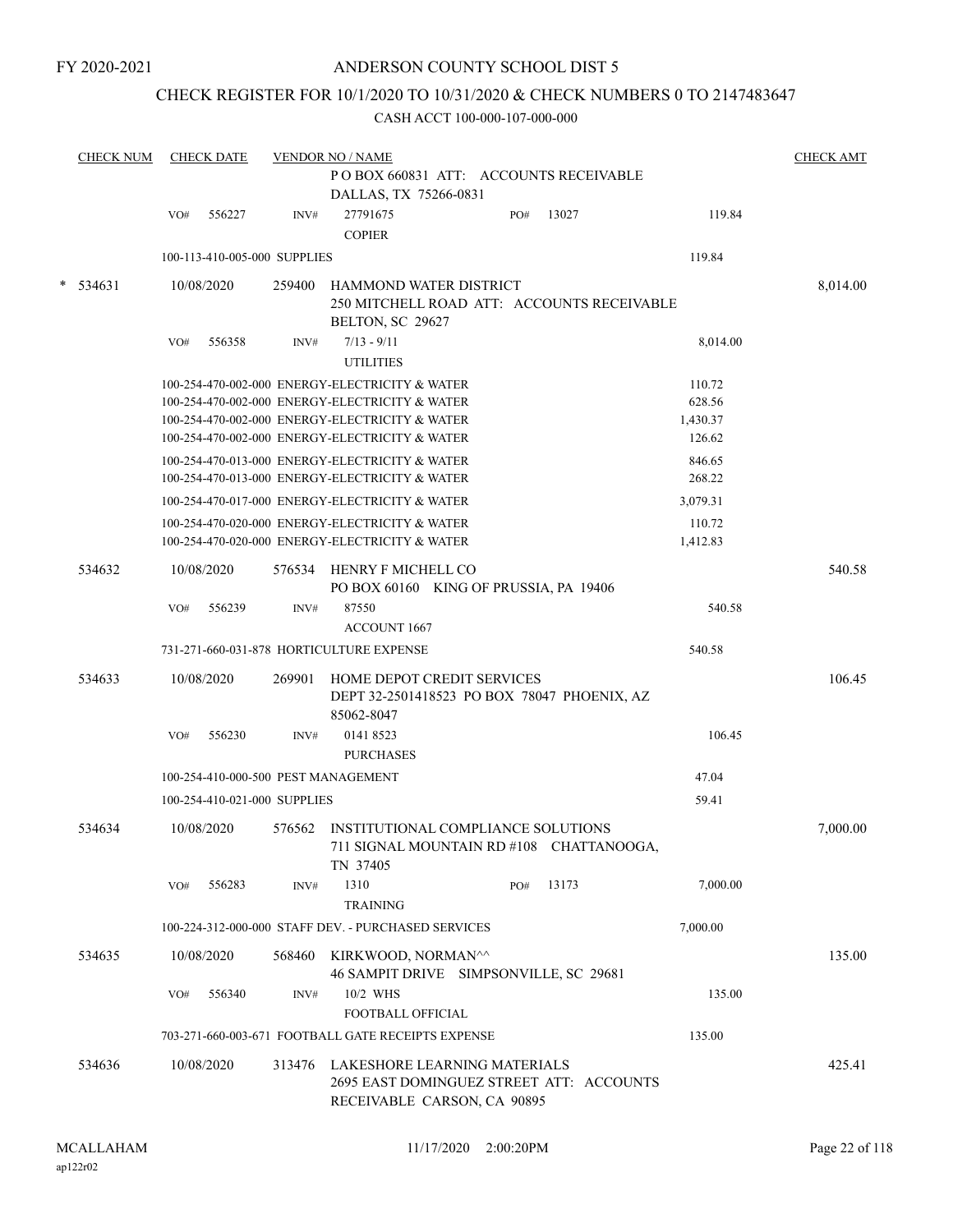FY 2020-2021

#### ANDERSON COUNTY SCHOOL DIST 5

## CHECK REGISTER FOR 10/1/2020 TO 10/31/2020 & CHECK NUMBERS 0 TO 2147483647

|   | <b>CHECK NUM</b> |            | <b>CHECK DATE</b>            |        | <b>VENDOR NO / NAME</b><br>POBOX 660831 ATT: ACCOUNTS RECEIVABLE<br>DALLAS, TX 75266-0831                      |     |                                            |          | <b>CHECK AMT</b> |
|---|------------------|------------|------------------------------|--------|----------------------------------------------------------------------------------------------------------------|-----|--------------------------------------------|----------|------------------|
|   |                  | VO#        | 556227                       | INV#   | 27791675<br><b>COPIER</b>                                                                                      | PO# | 13027                                      | 119.84   |                  |
|   |                  |            | 100-113-410-005-000 SUPPLIES |        |                                                                                                                |     |                                            | 119.84   |                  |
| * | 534631           | 10/08/2020 |                              | 259400 | HAMMOND WATER DISTRICT<br>BELTON, SC 29627                                                                     |     | 250 MITCHELL ROAD ATT: ACCOUNTS RECEIVABLE |          | 8,014.00         |
|   |                  | VO#        | 556358                       | INV#   | $7/13 - 9/11$<br><b>UTILITIES</b>                                                                              |     |                                            | 8,014.00 |                  |
|   |                  |            |                              |        | 100-254-470-002-000 ENERGY-ELECTRICITY & WATER                                                                 |     |                                            | 110.72   |                  |
|   |                  |            |                              |        | 100-254-470-002-000 ENERGY-ELECTRICITY & WATER                                                                 |     |                                            | 628.56   |                  |
|   |                  |            |                              |        | 100-254-470-002-000 ENERGY-ELECTRICITY & WATER                                                                 |     |                                            | 1,430.37 |                  |
|   |                  |            |                              |        | 100-254-470-002-000 ENERGY-ELECTRICITY & WATER                                                                 |     |                                            | 126.62   |                  |
|   |                  |            |                              |        | 100-254-470-013-000 ENERGY-ELECTRICITY & WATER                                                                 |     |                                            | 846.65   |                  |
|   |                  |            |                              |        | 100-254-470-013-000 ENERGY-ELECTRICITY & WATER                                                                 |     |                                            | 268.22   |                  |
|   |                  |            |                              |        | 100-254-470-017-000 ENERGY-ELECTRICITY & WATER                                                                 |     |                                            | 3,079.31 |                  |
|   |                  |            |                              |        | 100-254-470-020-000 ENERGY-ELECTRICITY & WATER                                                                 |     |                                            | 110.72   |                  |
|   |                  |            |                              |        | 100-254-470-020-000 ENERGY-ELECTRICITY & WATER                                                                 |     |                                            | 1,412.83 |                  |
|   | 534632           | 10/08/2020 |                              |        | 576534 HENRY F MICHELL CO<br>PO BOX 60160 KING OF PRUSSIA, PA 19406                                            |     |                                            |          | 540.58           |
|   |                  | VO#        | 556239                       | INV#   | 87550<br><b>ACCOUNT 1667</b>                                                                                   |     |                                            | 540.58   |                  |
|   |                  |            |                              |        | 731-271-660-031-878 HORTICULTURE EXPENSE                                                                       |     |                                            | 540.58   |                  |
|   | 534633           | 10/08/2020 |                              | 269901 | HOME DEPOT CREDIT SERVICES<br>DEPT 32-2501418523 PO BOX 78047 PHOENIX, AZ<br>85062-8047                        |     |                                            |          | 106.45           |
|   |                  | VO#        | 556230                       | INV#   | 0141 8523<br><b>PURCHASES</b>                                                                                  |     |                                            | 106.45   |                  |
|   |                  |            |                              |        | 100-254-410-000-500 PEST MANAGEMENT                                                                            |     |                                            | 47.04    |                  |
|   |                  |            | 100-254-410-021-000 SUPPLIES |        |                                                                                                                |     |                                            | 59.41    |                  |
|   | 534634           | 10/08/2020 |                              | 576562 | INSTITUTIONAL COMPLIANCE SOLUTIONS<br>711 SIGNAL MOUNTAIN RD #108 CHATTANOOGA,<br>TN 37405                     |     |                                            |          | 7,000.00         |
|   |                  | VO#        | 556283                       | INV#   | 1310<br><b>TRAINING</b>                                                                                        | PO# | 13173                                      | 7.000.00 |                  |
|   |                  |            |                              |        | 100-224-312-000-000 STAFF DEV. - PURCHASED SERVICES                                                            |     |                                            | 7,000.00 |                  |
|   | 534635           | 10/08/2020 |                              | 568460 | KIRKWOOD, NORMAN^^<br>46 SAMPIT DRIVE SIMPSONVILLE, SC 29681                                                   |     |                                            |          | 135.00           |
|   |                  | VO#        | 556340                       | INV#   | 10/2 WHS<br>FOOTBALL OFFICIAL                                                                                  |     |                                            | 135.00   |                  |
|   |                  |            |                              |        | 703-271-660-003-671 FOOTBALL GATE RECEIPTS EXPENSE                                                             |     |                                            | 135.00   |                  |
|   | 534636           | 10/08/2020 |                              |        | 313476 LAKESHORE LEARNING MATERIALS<br>2695 EAST DOMINGUEZ STREET ATT: ACCOUNTS<br>RECEIVABLE CARSON, CA 90895 |     |                                            |          | 425.41           |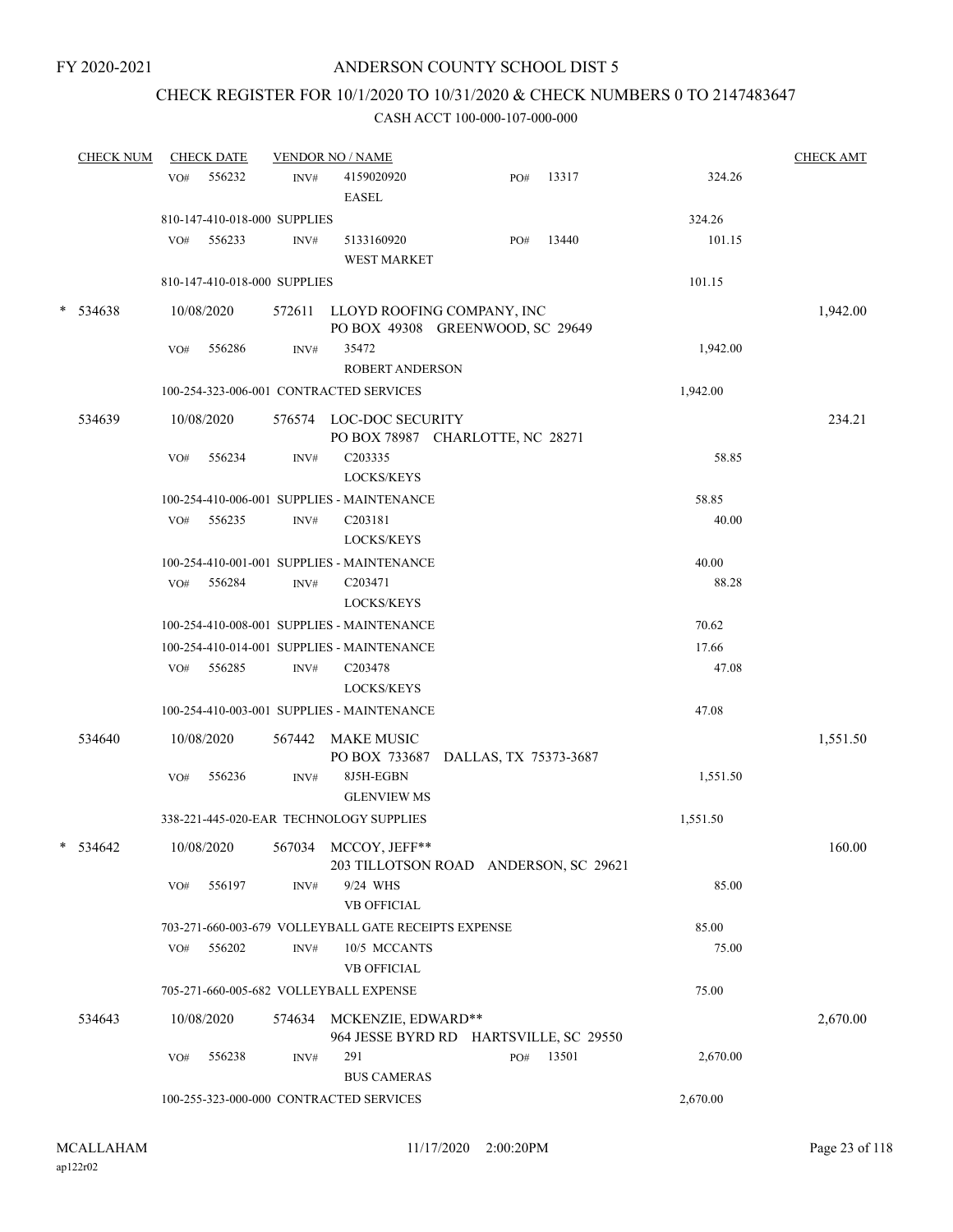## CHECK REGISTER FOR 10/1/2020 TO 10/31/2020 & CHECK NUMBERS 0 TO 2147483647

| <b>CHECK NUM</b> |     | <b>CHECK DATE</b>            |      | <b>VENDOR NO / NAME</b>                                                  |     |       |          | <b>CHECK AMT</b> |
|------------------|-----|------------------------------|------|--------------------------------------------------------------------------|-----|-------|----------|------------------|
|                  | VO# | 556232                       | INV# | 4159020920<br><b>EASEL</b>                                               | PO# | 13317 | 324.26   |                  |
|                  |     | 810-147-410-018-000 SUPPLIES |      |                                                                          |     |       | 324.26   |                  |
|                  |     | VO# 556233                   | INV# | 5133160920<br><b>WEST MARKET</b>                                         | PO# | 13440 | 101.15   |                  |
|                  |     | 810-147-410-018-000 SUPPLIES |      |                                                                          |     |       | 101.15   |                  |
| $* 534638$       |     | 10/08/2020                   |      | 572611 LLOYD ROOFING COMPANY, INC<br>PO BOX 49308 GREENWOOD, SC 29649    |     |       |          | 1,942.00         |
|                  | VO# | 556286                       | INV# | 35472<br><b>ROBERT ANDERSON</b>                                          |     |       | 1,942.00 |                  |
|                  |     |                              |      | 100-254-323-006-001 CONTRACTED SERVICES                                  |     |       | 1,942.00 |                  |
| 534639           |     | 10/08/2020                   |      | 576574 LOC-DOC SECURITY<br>PO BOX 78987 CHARLOTTE, NC 28271              |     |       |          | 234.21           |
|                  | VO# | 556234                       | INV# | C203335<br>LOCKS/KEYS                                                    |     |       | 58.85    |                  |
|                  |     |                              |      | 100-254-410-006-001 SUPPLIES - MAINTENANCE                               |     |       | 58.85    |                  |
|                  | VO# | 556235                       | INV# | C <sub>203181</sub><br>LOCKS/KEYS                                        |     |       | 40.00    |                  |
|                  |     |                              |      | 100-254-410-001-001 SUPPLIES - MAINTENANCE                               |     |       | 40.00    |                  |
|                  |     | VO# 556284                   | INV# | C203471<br><b>LOCKS/KEYS</b>                                             |     |       | 88.28    |                  |
|                  |     |                              |      | 100-254-410-008-001 SUPPLIES - MAINTENANCE                               |     |       | 70.62    |                  |
|                  |     |                              |      | 100-254-410-014-001 SUPPLIES - MAINTENANCE                               |     |       | 17.66    |                  |
|                  |     | VO# 556285                   | INV# | C <sub>203478</sub>                                                      |     |       | 47.08    |                  |
|                  |     |                              |      | LOCKS/KEYS                                                               |     |       |          |                  |
|                  |     |                              |      | 100-254-410-003-001 SUPPLIES - MAINTENANCE                               |     |       | 47.08    |                  |
| 534640           |     | 10/08/2020                   |      | 567442 MAKE MUSIC<br>PO BOX 733687 DALLAS, TX 75373-3687                 |     |       |          | 1,551.50         |
|                  | VO# | 556236                       | INV# | 8J5H-EGBN<br><b>GLENVIEW MS</b>                                          |     |       | 1,551.50 |                  |
|                  |     |                              |      | 338-221-445-020-EAR TECHNOLOGY SUPPLIES                                  |     |       | 1,551.50 |                  |
| * 534642         |     |                              |      | 10/08/2020 567034 MCCOY, JEFF**<br>203 TILLOTSON ROAD ANDERSON, SC 29621 |     |       |          | 160.00           |
|                  | VO# | 556197                       | INV# | 9/24 WHS<br><b>VB OFFICIAL</b>                                           |     |       | 85.00    |                  |
|                  |     |                              |      | 703-271-660-003-679 VOLLEYBALL GATE RECEIPTS EXPENSE                     |     |       | 85.00    |                  |
|                  | VO# | 556202                       | INV# | 10/5 MCCANTS<br><b>VB OFFICIAL</b>                                       |     |       | 75.00    |                  |
|                  |     |                              |      | 705-271-660-005-682 VOLLEYBALL EXPENSE                                   |     |       | 75.00    |                  |
| 534643           |     | 10/08/2020                   |      | 574634 MCKENZIE, EDWARD**<br>964 JESSE BYRD RD HARTSVILLE, SC 29550      |     |       |          | 2,670.00         |
|                  | VO# | 556238                       | INV# | 291<br><b>BUS CAMERAS</b>                                                | PO# | 13501 | 2,670.00 |                  |
|                  |     |                              |      | 100-255-323-000-000 CONTRACTED SERVICES                                  |     |       | 2,670.00 |                  |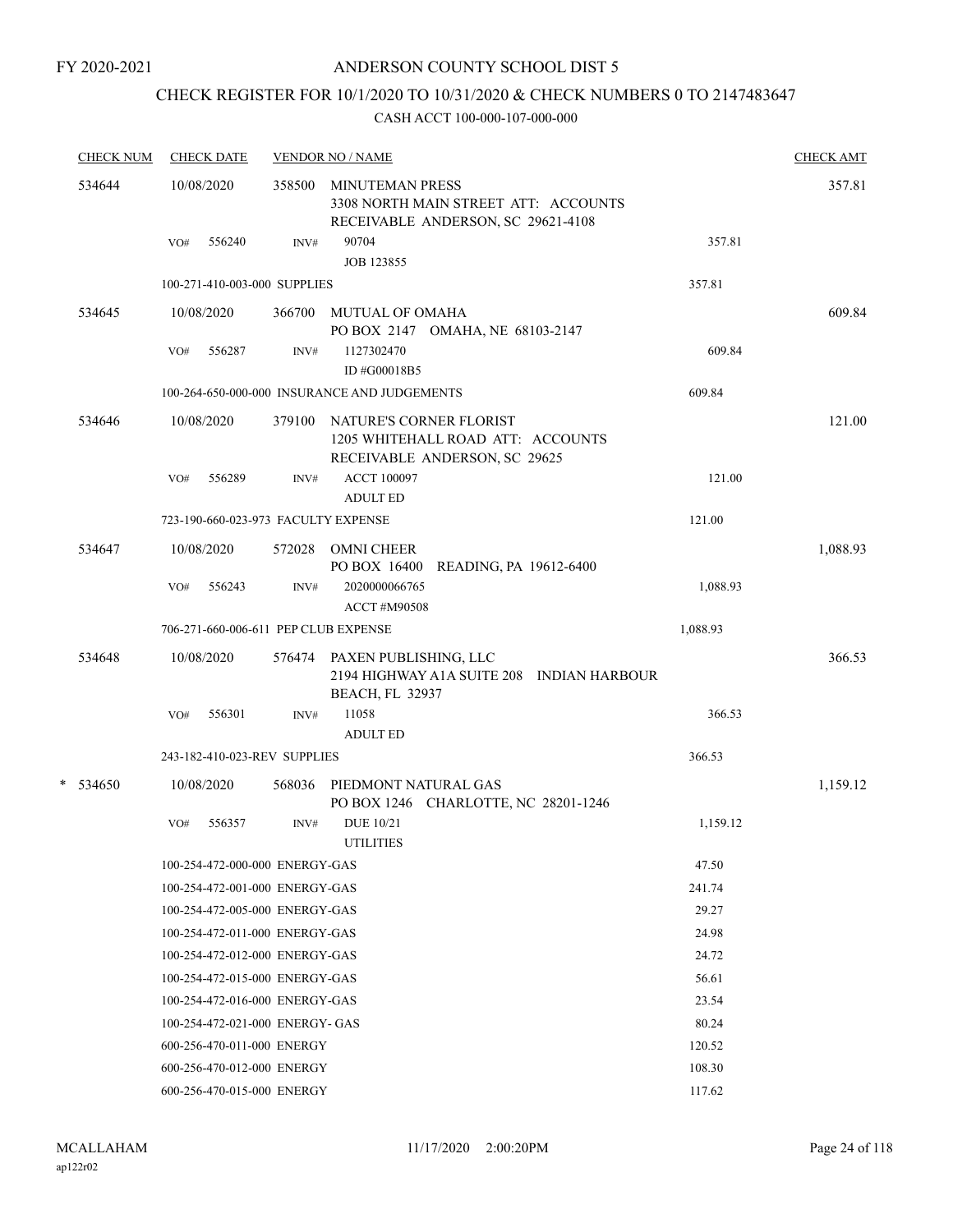# CHECK REGISTER FOR 10/1/2020 TO 10/31/2020 & CHECK NUMBERS 0 TO 2147483647

|   | <b>CHECK NUM</b> |     | <b>CHECK DATE</b>                    |        | <b>VENDOR NO / NAME</b>                                                                              |          | <b>CHECK AMT</b> |
|---|------------------|-----|--------------------------------------|--------|------------------------------------------------------------------------------------------------------|----------|------------------|
|   | 534644           |     | 10/08/2020                           | 358500 | <b>MINUTEMAN PRESS</b><br>3308 NORTH MAIN STREET ATT: ACCOUNTS<br>RECEIVABLE ANDERSON, SC 29621-4108 |          | 357.81           |
|   |                  | VO# | 556240                               | INV#   | 90704<br><b>JOB 123855</b>                                                                           | 357.81   |                  |
|   |                  |     | 100-271-410-003-000 SUPPLIES         |        |                                                                                                      | 357.81   |                  |
|   | 534645           |     | 10/08/2020                           | 366700 | MUTUAL OF OMAHA<br>PO BOX 2147 OMAHA, NE 68103-2147                                                  |          | 609.84           |
|   |                  | VO# | 556287                               | INV#   | 1127302470<br>ID #G00018B5                                                                           | 609.84   |                  |
|   |                  |     |                                      |        | 100-264-650-000-000 INSURANCE AND JUDGEMENTS                                                         | 609.84   |                  |
|   | 534646           |     | 10/08/2020                           | 379100 | NATURE'S CORNER FLORIST<br>1205 WHITEHALL ROAD ATT: ACCOUNTS<br>RECEIVABLE ANDERSON, SC 29625        |          | 121.00           |
|   |                  | VO# | 556289                               | INV#   | <b>ACCT 100097</b><br><b>ADULT ED</b>                                                                | 121.00   |                  |
|   |                  |     | 723-190-660-023-973 FACULTY EXPENSE  |        |                                                                                                      | 121.00   |                  |
|   | 534647           |     | 10/08/2020                           | 572028 | <b>OMNI CHEER</b><br>PO BOX 16400<br>READING, PA 19612-6400                                          |          | 1,088.93         |
|   |                  | VO# | 556243                               | INV#   | 2020000066765<br><b>ACCT #M90508</b>                                                                 | 1,088.93 |                  |
|   |                  |     | 706-271-660-006-611 PEP CLUB EXPENSE |        |                                                                                                      | 1,088.93 |                  |
|   | 534648           |     | 10/08/2020                           |        | 576474 PAXEN PUBLISHING, LLC<br>2194 HIGHWAY A1A SUITE 208 INDIAN HARBOUR<br><b>BEACH, FL 32937</b>  |          | 366.53           |
|   |                  | VO# | 556301                               | INV#   | 11058<br><b>ADULT ED</b>                                                                             | 366.53   |                  |
|   |                  |     | 243-182-410-023-REV SUPPLIES         |        |                                                                                                      | 366.53   |                  |
| * | 534650           |     | 10/08/2020                           | 568036 | PIEDMONT NATURAL GAS<br>PO BOX 1246 CHARLOTTE, NC 28201-1246                                         |          | 1,159.12         |
|   |                  | VO# | 556357                               | INV#   | <b>DUE 10/21</b><br><b>UTILITIES</b>                                                                 | 1,159.12 |                  |
|   |                  |     | 100-254-472-000-000 ENERGY-GAS       |        |                                                                                                      | 47.50    |                  |
|   |                  |     | 100-254-472-001-000 ENERGY-GAS       |        |                                                                                                      | 241.74   |                  |
|   |                  |     | 100-254-472-005-000 ENERGY-GAS       |        |                                                                                                      | 29.27    |                  |
|   |                  |     | 100-254-472-011-000 ENERGY-GAS       |        |                                                                                                      | 24.98    |                  |
|   |                  |     | 100-254-472-012-000 ENERGY-GAS       |        |                                                                                                      | 24.72    |                  |
|   |                  |     | 100-254-472-015-000 ENERGY-GAS       |        |                                                                                                      | 56.61    |                  |
|   |                  |     | 100-254-472-016-000 ENERGY-GAS       |        |                                                                                                      | 23.54    |                  |
|   |                  |     | 100-254-472-021-000 ENERGY- GAS      |        |                                                                                                      | 80.24    |                  |
|   |                  |     | 600-256-470-011-000 ENERGY           |        |                                                                                                      | 120.52   |                  |
|   |                  |     | 600-256-470-012-000 ENERGY           |        |                                                                                                      | 108.30   |                  |
|   |                  |     | 600-256-470-015-000 ENERGY           |        |                                                                                                      | 117.62   |                  |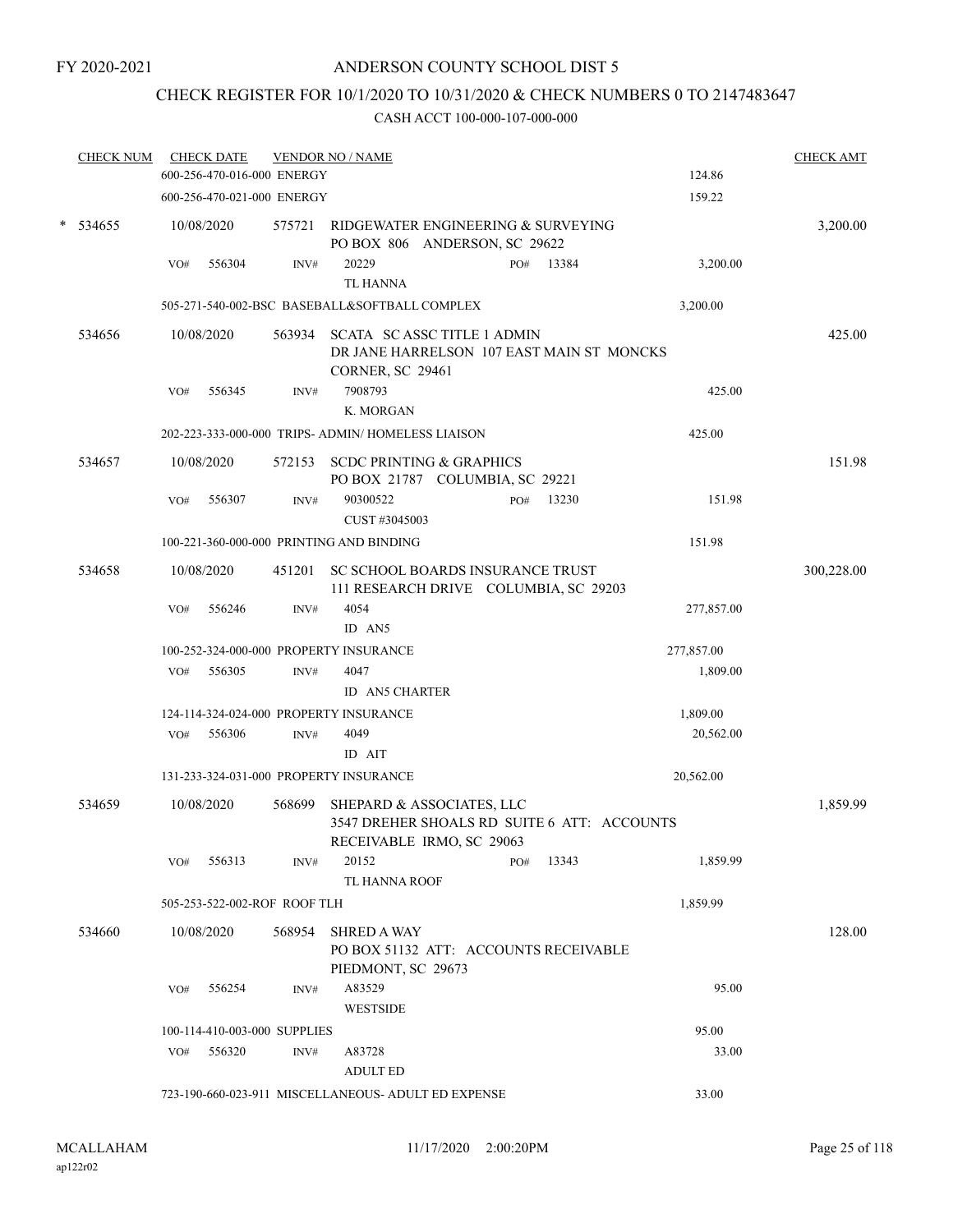## CHECK REGISTER FOR 10/1/2020 TO 10/31/2020 & CHECK NUMBERS 0 TO 2147483647

| <b>CHECK NUM</b> |                                       | <b>CHECK DATE</b><br>600-256-470-016-000 ENERGY |        | <b>VENDOR NO / NAME</b>                                                                                   |  |              |  | 124.86     | <b>CHECK AMT</b> |
|------------------|---------------------------------------|-------------------------------------------------|--------|-----------------------------------------------------------------------------------------------------------|--|--------------|--|------------|------------------|
|                  |                                       | 600-256-470-021-000 ENERGY                      |        |                                                                                                           |  |              |  | 159.22     |                  |
| $*$ 534655       |                                       | 10/08/2020                                      | 575721 | RIDGEWATER ENGINEERING & SURVEYING<br>PO BOX 806 ANDERSON, SC 29622                                       |  |              |  |            | 3,200.00         |
|                  | VO#                                   | 556304                                          | INV#   | 20229<br><b>TL HANNA</b>                                                                                  |  | 13384<br>PO# |  | 3,200.00   |                  |
|                  |                                       |                                                 |        | 505-271-540-002-BSC BASEBALL&SOFTBALL COMPLEX                                                             |  |              |  | 3,200.00   |                  |
| 534656           |                                       | 10/08/2020                                      |        | 563934 SCATA SCASSC TITLE 1 ADMIN<br>DR JANE HARRELSON 107 EAST MAIN ST MONCKS<br><b>CORNER, SC 29461</b> |  |              |  |            | 425.00           |
|                  | VO#                                   | 556345                                          | INV#   | 7908793<br>K. MORGAN                                                                                      |  |              |  | 425.00     |                  |
|                  |                                       |                                                 |        | 202-223-333-000-000 TRIPS- ADMIN/HOMELESS LIAISON                                                         |  |              |  | 425.00     |                  |
| 534657           |                                       | 10/08/2020                                      |        | 572153 SCDC PRINTING & GRAPHICS<br>PO BOX 21787 COLUMBIA, SC 29221                                        |  |              |  |            | 151.98           |
|                  | VO#                                   | 556307                                          | INV#   | 90300522<br>CUST #3045003                                                                                 |  | 13230<br>PO# |  | 151.98     |                  |
|                  |                                       |                                                 |        | 100-221-360-000-000 PRINTING AND BINDING                                                                  |  |              |  | 151.98     |                  |
| 534658           |                                       | 10/08/2020                                      |        | 451201 SC SCHOOL BOARDS INSURANCE TRUST<br>111 RESEARCH DRIVE COLUMBIA, SC 29203                          |  |              |  |            | 300,228.00       |
|                  | VO#                                   | 556246                                          | INV#   | 4054<br>ID AN5                                                                                            |  |              |  | 277,857.00 |                  |
|                  |                                       |                                                 |        | 100-252-324-000-000 PROPERTY INSURANCE                                                                    |  |              |  | 277,857.00 |                  |
|                  | VO#                                   | 556305                                          | INV#   | 4047<br><b>ID AN5 CHARTER</b>                                                                             |  |              |  | 1,809.00   |                  |
|                  |                                       |                                                 |        | 124-114-324-024-000 PROPERTY INSURANCE                                                                    |  |              |  | 1,809.00   |                  |
|                  | VO#                                   | 556306                                          | INV#   | 4049<br>ID AIT                                                                                            |  |              |  | 20,562.00  |                  |
|                  |                                       |                                                 |        | 131-233-324-031-000 PROPERTY INSURANCE                                                                    |  |              |  | 20,562.00  |                  |
| 534659           |                                       | 10/08/2020                                      | 568699 | SHEPARD & ASSOCIATES, LLC<br>3547 DREHER SHOALS RD SUITE 6 ATT: ACCOUNTS<br>RECEIVABLE IRMO, SC 29063     |  |              |  |            | 1,859.99         |
|                  |                                       | VO# 556313                                      | INV#   | 20152                                                                                                     |  | PO# 13343    |  | 1,859.99   |                  |
|                  |                                       | 505-253-522-002-ROF ROOF TLH                    |        | TL HANNA ROOF                                                                                             |  |              |  | 1,859.99   |                  |
| 534660           |                                       | 10/08/2020                                      |        | 568954 SHRED A WAY                                                                                        |  |              |  |            | 128.00           |
|                  |                                       |                                                 |        | PO BOX 51132 ATT: ACCOUNTS RECEIVABLE<br>PIEDMONT, SC 29673                                               |  |              |  |            |                  |
|                  |                                       | VO# 556254                                      | INV#   | A83529<br><b>WESTSIDE</b>                                                                                 |  |              |  | 95.00      |                  |
|                  | 95.00<br>100-114-410-003-000 SUPPLIES |                                                 |        |                                                                                                           |  |              |  |            |                  |
|                  |                                       | VO# 556320                                      | INV#   | A83728<br><b>ADULT ED</b>                                                                                 |  |              |  | 33.00      |                  |
|                  |                                       |                                                 |        | 723-190-660-023-911 MISCELLANEOUS- ADULT ED EXPENSE                                                       |  |              |  | 33.00      |                  |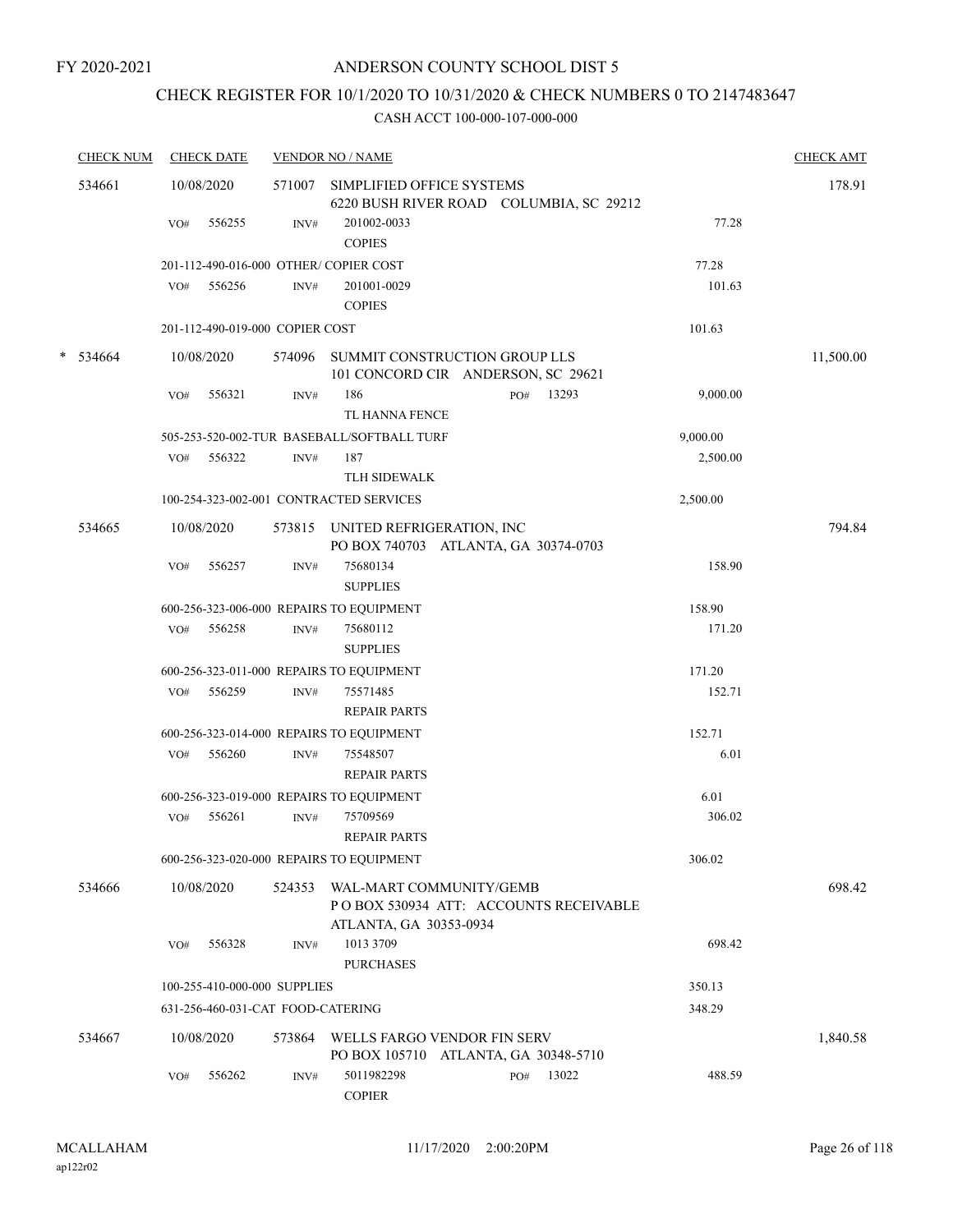# CHECK REGISTER FOR 10/1/2020 TO 10/31/2020 & CHECK NUMBERS 0 TO 2147483647

|   | <b>CHECK NUM</b> |     | <b>CHECK DATE</b> |                                   | <b>VENDOR NO / NAME</b>                                                                    |     |       |          | <b>CHECK AMT</b> |
|---|------------------|-----|-------------------|-----------------------------------|--------------------------------------------------------------------------------------------|-----|-------|----------|------------------|
|   | 534661           |     | 10/08/2020        | 571007                            | SIMPLIFIED OFFICE SYSTEMS<br>6220 BUSH RIVER ROAD COLUMBIA, SC 29212                       |     |       |          | 178.91           |
|   |                  | VO# | 556255            | INV#                              | 201002-0033<br><b>COPIES</b>                                                               |     |       | 77.28    |                  |
|   |                  |     |                   |                                   | 201-112-490-016-000 OTHER/COPIER COST                                                      |     |       | 77.28    |                  |
|   |                  | VO# | 556256            | INV#                              | 201001-0029<br><b>COPIES</b>                                                               |     |       | 101.63   |                  |
|   |                  |     |                   | 201-112-490-019-000 COPIER COST   |                                                                                            |     |       | 101.63   |                  |
| * | 534664           |     | 10/08/2020        | 574096                            | SUMMIT CONSTRUCTION GROUP LLS<br>101 CONCORD CIR ANDERSON, SC 29621                        |     |       |          | 11,500.00        |
|   |                  | VO# | 556321            | INV#                              | 186<br>TL HANNA FENCE                                                                      | PO# | 13293 | 9,000.00 |                  |
|   |                  |     |                   |                                   | 505-253-520-002-TUR BASEBALL/SOFTBALL TURF                                                 |     |       | 9,000.00 |                  |
|   |                  | VO# | 556322            | INV#                              | 187<br>TLH SIDEWALK                                                                        |     |       | 2,500.00 |                  |
|   |                  |     |                   |                                   | 100-254-323-002-001 CONTRACTED SERVICES                                                    |     |       | 2,500.00 |                  |
|   | 534665           |     | 10/08/2020        | 573815                            | UNITED REFRIGERATION, INC<br>PO BOX 740703 ATLANTA, GA 30374-0703                          |     |       |          | 794.84           |
|   |                  | VO# | 556257            | INV#                              | 75680134<br><b>SUPPLIES</b>                                                                |     |       | 158.90   |                  |
|   |                  |     |                   |                                   | 600-256-323-006-000 REPAIRS TO EQUIPMENT                                                   |     |       | 158.90   |                  |
|   |                  | VO# | 556258            | INV#                              | 75680112<br><b>SUPPLIES</b>                                                                |     |       | 171.20   |                  |
|   |                  |     |                   |                                   | 600-256-323-011-000 REPAIRS TO EQUIPMENT                                                   |     |       | 171.20   |                  |
|   |                  | VO# | 556259            | INV#                              | 75571485<br><b>REPAIR PARTS</b>                                                            |     |       | 152.71   |                  |
|   |                  |     |                   |                                   | 600-256-323-014-000 REPAIRS TO EQUIPMENT                                                   |     |       | 152.71   |                  |
|   |                  | VO# | 556260            | INV#                              | 75548507<br><b>REPAIR PARTS</b>                                                            |     |       | 6.01     |                  |
|   |                  |     |                   |                                   | 600-256-323-019-000 REPAIRS TO EQUIPMENT                                                   |     |       | 6.01     |                  |
|   |                  | VO# | 556261            | INV#                              | 75709569<br><b>REPAIR PARTS</b>                                                            |     |       | 306.02   |                  |
|   |                  |     |                   |                                   | 600-256-323-020-000 REPAIRS TO EQUIPMENT                                                   |     |       | 306.02   |                  |
|   | 534666           |     | 10/08/2020        | 524353                            | WAL-MART COMMUNITY/GEMB<br>POBOX 530934 ATT: ACCOUNTS RECEIVABLE<br>ATLANTA, GA 30353-0934 |     |       |          | 698.42           |
|   |                  | VO# | 556328            | INV#                              | 1013 3709<br><b>PURCHASES</b>                                                              |     |       | 698.42   |                  |
|   |                  |     |                   | 100-255-410-000-000 SUPPLIES      |                                                                                            |     |       | 350.13   |                  |
|   |                  |     |                   | 631-256-460-031-CAT FOOD-CATERING |                                                                                            |     |       | 348.29   |                  |
|   | 534667           |     | 10/08/2020        | 573864                            | WELLS FARGO VENDOR FIN SERV<br>PO BOX 105710 ATLANTA, GA 30348-5710                        |     |       |          | 1,840.58         |
|   |                  | VO# | 556262            | INV#                              | 5011982298<br><b>COPIER</b>                                                                | PO# | 13022 | 488.59   |                  |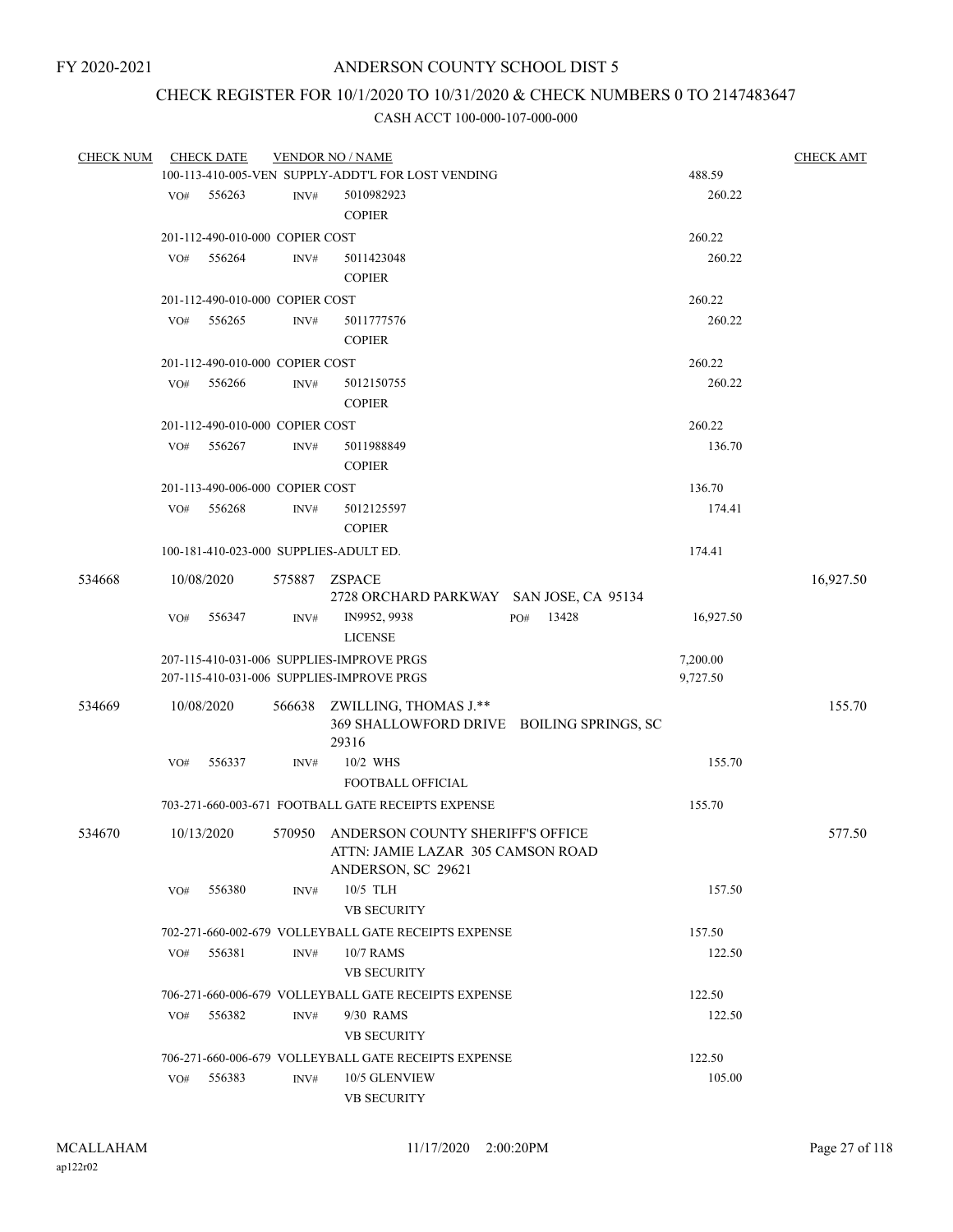# CHECK REGISTER FOR 10/1/2020 TO 10/31/2020 & CHECK NUMBERS 0 TO 2147483647

| <b>CHECK NUM</b> |     | <b>CHECK DATE</b>               |                | <b>VENDOR NO / NAME</b>                                                                            |              |           | <b>CHECK AMT</b> |
|------------------|-----|---------------------------------|----------------|----------------------------------------------------------------------------------------------------|--------------|-----------|------------------|
|                  |     |                                 |                | 100-113-410-005-VEN SUPPLY-ADDT'L FOR LOST VENDING                                                 |              | 488.59    |                  |
|                  | VO# | 556263                          | $\text{INV}\#$ | 5010982923                                                                                         |              | 260.22    |                  |
|                  |     |                                 |                | <b>COPIER</b>                                                                                      |              |           |                  |
|                  |     | 201-112-490-010-000 COPIER COST |                |                                                                                                    |              | 260.22    |                  |
|                  | VO# | 556264                          | INV#           | 5011423048                                                                                         |              | 260.22    |                  |
|                  |     |                                 |                | <b>COPIER</b>                                                                                      |              |           |                  |
|                  |     | 201-112-490-010-000 COPIER COST |                |                                                                                                    |              | 260.22    |                  |
|                  | VO# | 556265                          | INV#           | 5011777576<br><b>COPIER</b>                                                                        |              | 260.22    |                  |
|                  |     | 201-112-490-010-000 COPIER COST |                |                                                                                                    |              | 260.22    |                  |
|                  | VO# | 556266                          | INV#           | 5012150755<br><b>COPIER</b>                                                                        |              | 260.22    |                  |
|                  |     | 201-112-490-010-000 COPIER COST |                |                                                                                                    |              | 260.22    |                  |
|                  | VO# | 556267                          | INV#           | 5011988849                                                                                         |              | 136.70    |                  |
|                  |     |                                 |                | <b>COPIER</b>                                                                                      |              |           |                  |
|                  |     | 201-113-490-006-000 COPIER COST |                |                                                                                                    |              | 136.70    |                  |
|                  | VO# | 556268                          | INV#           | 5012125597<br><b>COPIER</b>                                                                        |              | 174.41    |                  |
|                  |     |                                 |                | 100-181-410-023-000 SUPPLIES-ADULT ED.                                                             |              | 174.41    |                  |
| 534668           |     | 10/08/2020                      |                | 575887 ZSPACE                                                                                      |              |           | 16,927.50        |
|                  |     |                                 |                | 2728 ORCHARD PARKWAY SAN JOSE, CA 95134                                                            |              |           |                  |
|                  | VO# | 556347                          | INV#           | IN9952, 9938<br><b>LICENSE</b>                                                                     | 13428<br>PO# | 16,927.50 |                  |
|                  |     |                                 |                | 207-115-410-031-006 SUPPLIES-IMPROVE PRGS                                                          |              | 7,200.00  |                  |
|                  |     |                                 |                | 207-115-410-031-006 SUPPLIES-IMPROVE PRGS                                                          |              | 9,727.50  |                  |
| 534669           |     | 10/08/2020                      |                | 566638 ZWILLING, THOMAS J.**<br>369 SHALLOWFORD DRIVE BOILING SPRINGS, SC<br>29316                 |              |           | 155.70           |
|                  | VO# | 556337                          | INV#           | 10/2 WHS                                                                                           |              | 155.70    |                  |
|                  |     |                                 |                | FOOTBALL OFFICIAL                                                                                  |              |           |                  |
|                  |     |                                 |                | 703-271-660-003-671 FOOTBALL GATE RECEIPTS EXPENSE                                                 |              | 155.70    |                  |
| 534670           |     | 10/13/2020                      |                | 570950 ANDERSON COUNTY SHERIFF'S OFFICE<br>ATTN: JAMIE LAZAR 305 CAMSON ROAD<br>ANDERSON, SC 29621 |              |           | 577.50           |
|                  | VO# | 556380                          | INV#           | 10/5 TLH<br><b>VB SECURITY</b>                                                                     |              | 157.50    |                  |
|                  |     |                                 |                | 702-271-660-002-679 VOLLEYBALL GATE RECEIPTS EXPENSE                                               |              | 157.50    |                  |
|                  | VO# | 556381                          | INV#           | 10/7 RAMS<br><b>VB SECURITY</b>                                                                    |              | 122.50    |                  |
|                  |     |                                 |                | 706-271-660-006-679 VOLLEYBALL GATE RECEIPTS EXPENSE                                               |              | 122.50    |                  |
|                  | VO# | 556382                          | INV#           | 9/30 RAMS                                                                                          |              | 122.50    |                  |
|                  |     |                                 |                | <b>VB SECURITY</b>                                                                                 |              |           |                  |
|                  |     |                                 |                | 706-271-660-006-679 VOLLEYBALL GATE RECEIPTS EXPENSE                                               |              | 122.50    |                  |
|                  | VO# | 556383                          | INV#           | 10/5 GLENVIEW                                                                                      |              | 105.00    |                  |
|                  |     |                                 |                | <b>VB SECURITY</b>                                                                                 |              |           |                  |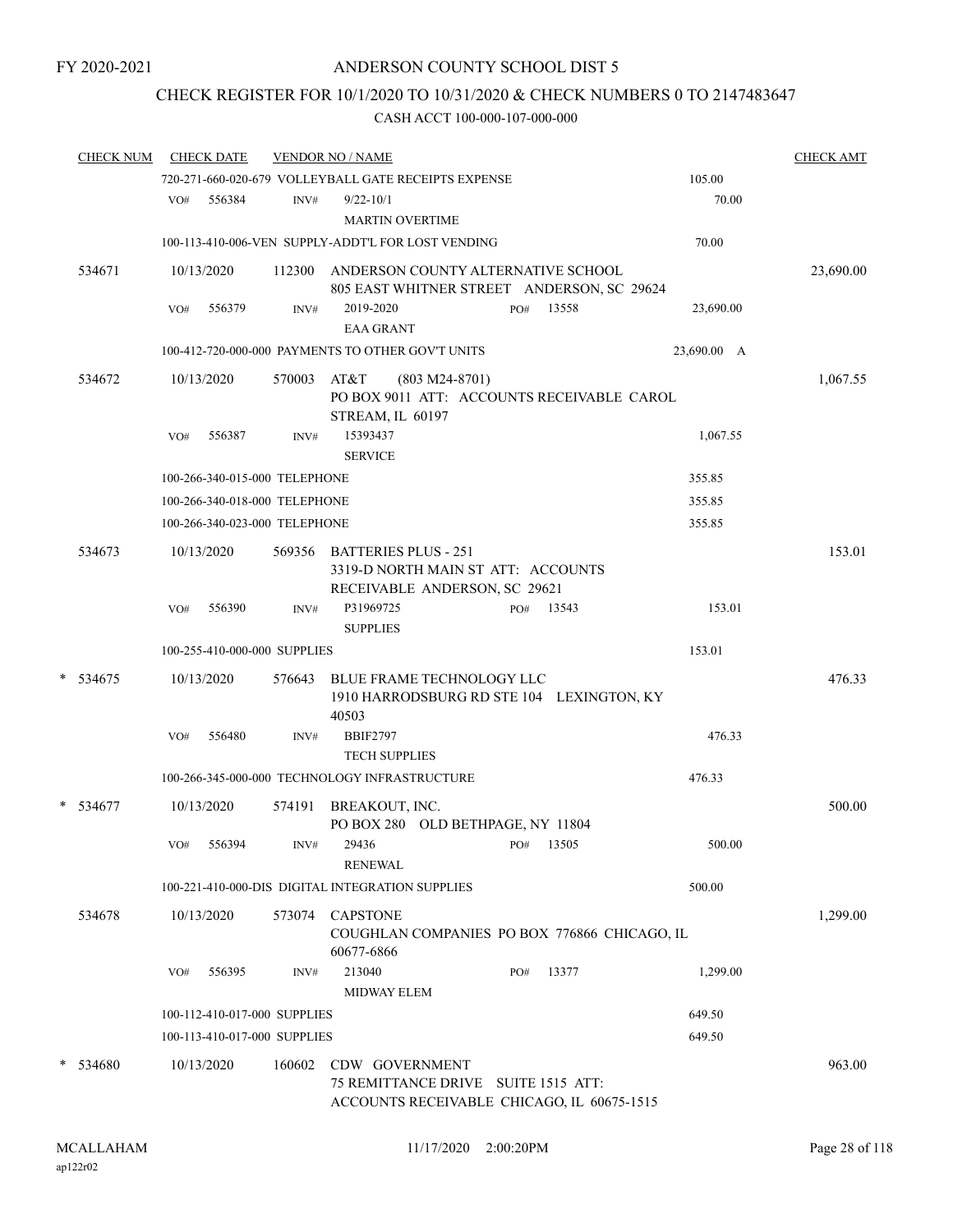## CHECK REGISTER FOR 10/1/2020 TO 10/31/2020 & CHECK NUMBERS 0 TO 2147483647

| <b>CHECK NUM</b> |     | <b>CHECK DATE</b>             |        | <b>VENDOR NO / NAME</b>                                                                             |                  |     |       |             | <b>CHECK AMT</b> |
|------------------|-----|-------------------------------|--------|-----------------------------------------------------------------------------------------------------|------------------|-----|-------|-------------|------------------|
|                  |     |                               |        | 720-271-660-020-679 VOLLEYBALL GATE RECEIPTS EXPENSE                                                |                  |     |       | 105.00      |                  |
|                  | VO# | 556384                        | INV#   | $9/22 - 10/1$<br><b>MARTIN OVERTIME</b>                                                             |                  |     |       | 70.00       |                  |
|                  |     |                               |        | 100-113-410-006-VEN SUPPLY-ADDT'L FOR LOST VENDING                                                  |                  |     |       | 70.00       |                  |
| 534671           |     | 10/13/2020                    |        | 112300 ANDERSON COUNTY ALTERNATIVE SCHOOL<br>805 EAST WHITNER STREET ANDERSON, SC 29624             |                  |     |       |             | 23,690.00        |
|                  | VO# | 556379                        | INV#   | 2019-2020<br><b>EAA GRANT</b>                                                                       |                  | PO# | 13558 | 23,690.00   |                  |
|                  |     |                               |        | 100-412-720-000-000 PAYMENTS TO OTHER GOV'T UNITS                                                   |                  |     |       | 23,690.00 A |                  |
| 534672           |     | 10/13/2020                    | 570003 | AT&T<br>PO BOX 9011 ATT: ACCOUNTS RECEIVABLE CAROL<br>STREAM, IL 60197                              | $(803 M24-8701)$ |     |       |             | 1,067.55         |
|                  | VO# | 556387                        | INV#   | 15393437<br><b>SERVICE</b>                                                                          |                  |     |       | 1,067.55    |                  |
|                  |     | 100-266-340-015-000 TELEPHONE |        |                                                                                                     |                  |     |       | 355.85      |                  |
|                  |     | 100-266-340-018-000 TELEPHONE |        |                                                                                                     |                  |     |       | 355.85      |                  |
|                  |     | 100-266-340-023-000 TELEPHONE |        |                                                                                                     |                  |     |       | 355.85      |                  |
| 534673           |     | 10/13/2020                    |        | 569356 BATTERIES PLUS - 251<br>3319-D NORTH MAIN ST ATT: ACCOUNTS<br>RECEIVABLE ANDERSON, SC 29621  |                  |     |       |             | 153.01           |
|                  | VO# | 556390                        | INV#   | P31969725<br><b>SUPPLIES</b>                                                                        |                  | PO# | 13543 | 153.01      |                  |
|                  |     | 100-255-410-000-000 SUPPLIES  |        |                                                                                                     |                  |     |       | 153.01      |                  |
| $* 534675$       |     | 10/13/2020                    | 576643 | BLUE FRAME TECHNOLOGY LLC<br>1910 HARRODSBURG RD STE 104 LEXINGTON, KY<br>40503                     |                  |     |       |             | 476.33           |
|                  | VO# | 556480                        | INV#   | <b>BBIF2797</b><br><b>TECH SUPPLIES</b>                                                             |                  |     |       | 476.33      |                  |
|                  |     |                               |        | 100-266-345-000-000 TECHNOLOGY INFRASTRUCTURE                                                       |                  |     |       | 476.33      |                  |
| * 534677         |     | 10/13/2020                    | 574191 | BREAKOUT, INC.<br>PO BOX 280 OLD BETHPAGE, NY 11804                                                 |                  |     |       |             | 500.00           |
|                  |     | VO# 556394                    |        | $INV#$ 29436 $PO#$ 13505<br><b>RENEWAL</b>                                                          |                  |     |       | 500.00      |                  |
|                  |     |                               |        | 100-221-410-000-DIS DIGITAL INTEGRATION SUPPLIES                                                    |                  |     |       | 500.00      |                  |
| 534678           |     | 10/13/2020                    |        | 573074 CAPSTONE<br>COUGHLAN COMPANIES PO BOX 776866 CHICAGO, IL                                     |                  |     |       |             | 1,299.00         |
|                  | VO# | 556395                        | INV#   | 60677-6866<br>213040                                                                                |                  | PO# | 13377 | 1,299.00    |                  |
|                  |     |                               |        | <b>MIDWAY ELEM</b>                                                                                  |                  |     |       |             |                  |
|                  |     | 100-112-410-017-000 SUPPLIES  |        |                                                                                                     |                  |     |       | 649.50      |                  |
|                  |     | 100-113-410-017-000 SUPPLIES  |        |                                                                                                     |                  |     |       | 649.50      |                  |
| * 534680         |     | 10/13/2020                    | 160602 | CDW GOVERNMENT<br>75 REMITTANCE DRIVE SUITE 1515 ATT:<br>ACCOUNTS RECEIVABLE CHICAGO, IL 60675-1515 |                  |     |       |             | 963.00           |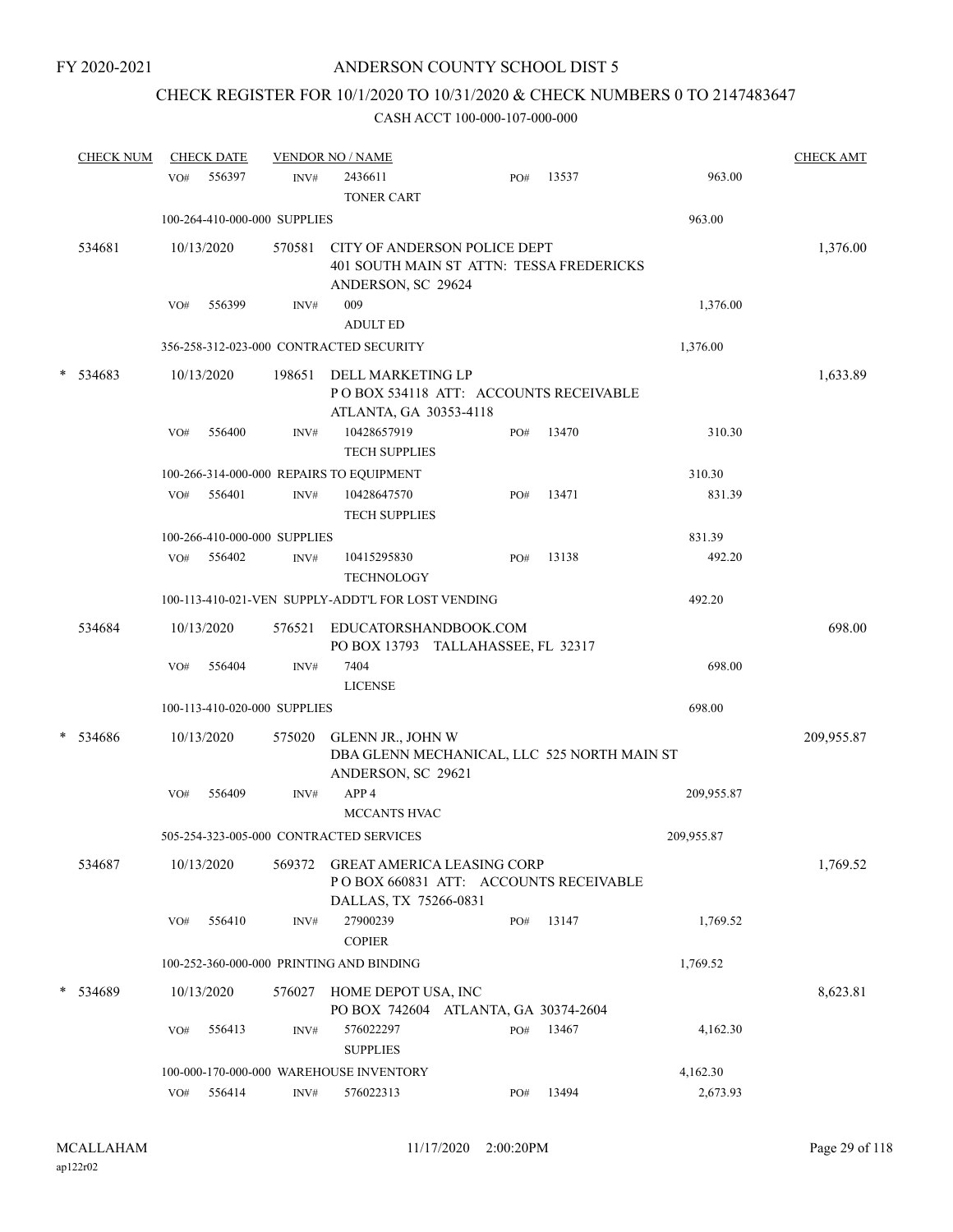# CHECK REGISTER FOR 10/1/2020 TO 10/31/2020 & CHECK NUMBERS 0 TO 2147483647

|   | <b>CHECK NUM</b> |     | <b>CHECK DATE</b> |                              | <b>VENDOR NO / NAME</b>                                                                              |     |       |            | <b>CHECK AMT</b> |
|---|------------------|-----|-------------------|------------------------------|------------------------------------------------------------------------------------------------------|-----|-------|------------|------------------|
|   |                  | VO# | 556397            | INV#                         | 2436611<br><b>TONER CART</b>                                                                         | PO# | 13537 | 963.00     |                  |
|   |                  |     |                   | 100-264-410-000-000 SUPPLIES |                                                                                                      |     |       | 963.00     |                  |
|   | 534681           |     | 10/13/2020        | 570581                       | CITY OF ANDERSON POLICE DEPT<br>401 SOUTH MAIN ST ATTN: TESSA FREDERICKS<br>ANDERSON, SC 29624       |     |       |            | 1,376.00         |
|   |                  | VO# | 556399            | INV#                         | 009<br><b>ADULT ED</b>                                                                               |     |       | 1,376.00   |                  |
|   |                  |     |                   |                              | 356-258-312-023-000 CONTRACTED SECURITY                                                              |     |       | 1,376.00   |                  |
| * | 534683           |     | 10/13/2020        | 198651                       | DELL MARKETING LP<br>POBOX 534118 ATT: ACCOUNTS RECEIVABLE<br>ATLANTA, GA 30353-4118                 |     |       |            | 1,633.89         |
|   |                  | VO# | 556400            | INV#                         | 10428657919<br><b>TECH SUPPLIES</b>                                                                  | PO# | 13470 | 310.30     |                  |
|   |                  |     |                   |                              | 100-266-314-000-000 REPAIRS TO EQUIPMENT                                                             |     |       | 310.30     |                  |
|   |                  | VO# | 556401            | INV#                         | 10428647570<br><b>TECH SUPPLIES</b>                                                                  | PO# | 13471 | 831.39     |                  |
|   |                  |     |                   | 100-266-410-000-000 SUPPLIES |                                                                                                      |     |       | 831.39     |                  |
|   |                  | VO# | 556402            | INV#                         | 10415295830<br><b>TECHNOLOGY</b>                                                                     | PO# | 13138 | 492.20     |                  |
|   |                  |     |                   |                              | 100-113-410-021-VEN SUPPLY-ADDT'L FOR LOST VENDING                                                   |     |       | 492.20     |                  |
|   | 534684           |     | 10/13/2020        | 576521                       | EDUCATORSHANDBOOK.COM<br>PO BOX 13793 TALLAHASSEE, FL 32317                                          |     |       |            | 698.00           |
|   |                  | VO# | 556404            | INV#                         | 7404<br><b>LICENSE</b>                                                                               |     |       | 698.00     |                  |
|   |                  |     |                   | 100-113-410-020-000 SUPPLIES |                                                                                                      |     |       | 698.00     |                  |
|   | * 534686         |     | 10/13/2020        | 575020                       | GLENN JR., JOHN W<br>DBA GLENN MECHANICAL, LLC 525 NORTH MAIN ST<br>ANDERSON, SC 29621               |     |       |            | 209,955.87       |
|   |                  | VO# | 556409            | INV#                         | APP <sub>4</sub><br>MCCANTS HVAC                                                                     |     |       | 209,955.87 |                  |
|   |                  |     |                   |                              | 505-254-323-005-000 CONTRACTED SERVICES                                                              |     |       | 209,955.87 |                  |
|   | 534687           |     | 10/13/2020        | 569372                       | <b>GREAT AMERICA LEASING CORP</b><br>PO BOX 660831 ATT: ACCOUNTS RECEIVABLE<br>DALLAS, TX 75266-0831 |     |       |            | 1,769.52         |
|   |                  | VO# | 556410            | INV#                         | 27900239<br><b>COPIER</b>                                                                            | PO# | 13147 | 1,769.52   |                  |
|   |                  |     |                   |                              | 100-252-360-000-000 PRINTING AND BINDING                                                             |     |       | 1,769.52   |                  |
|   | * 534689         |     | 10/13/2020        | 576027                       | HOME DEPOT USA, INC<br>PO BOX 742604 ATLANTA, GA 30374-2604                                          |     |       |            | 8,623.81         |
|   |                  | VO# | 556413            | INV#                         | 576022297<br><b>SUPPLIES</b>                                                                         | PO# | 13467 | 4,162.30   |                  |
|   |                  |     |                   |                              | 100-000-170-000-000 WAREHOUSE INVENTORY                                                              |     |       | 4,162.30   |                  |
|   |                  |     | VO# 556414        | $\text{INV}\#$               | 576022313                                                                                            | PO# | 13494 | 2,673.93   |                  |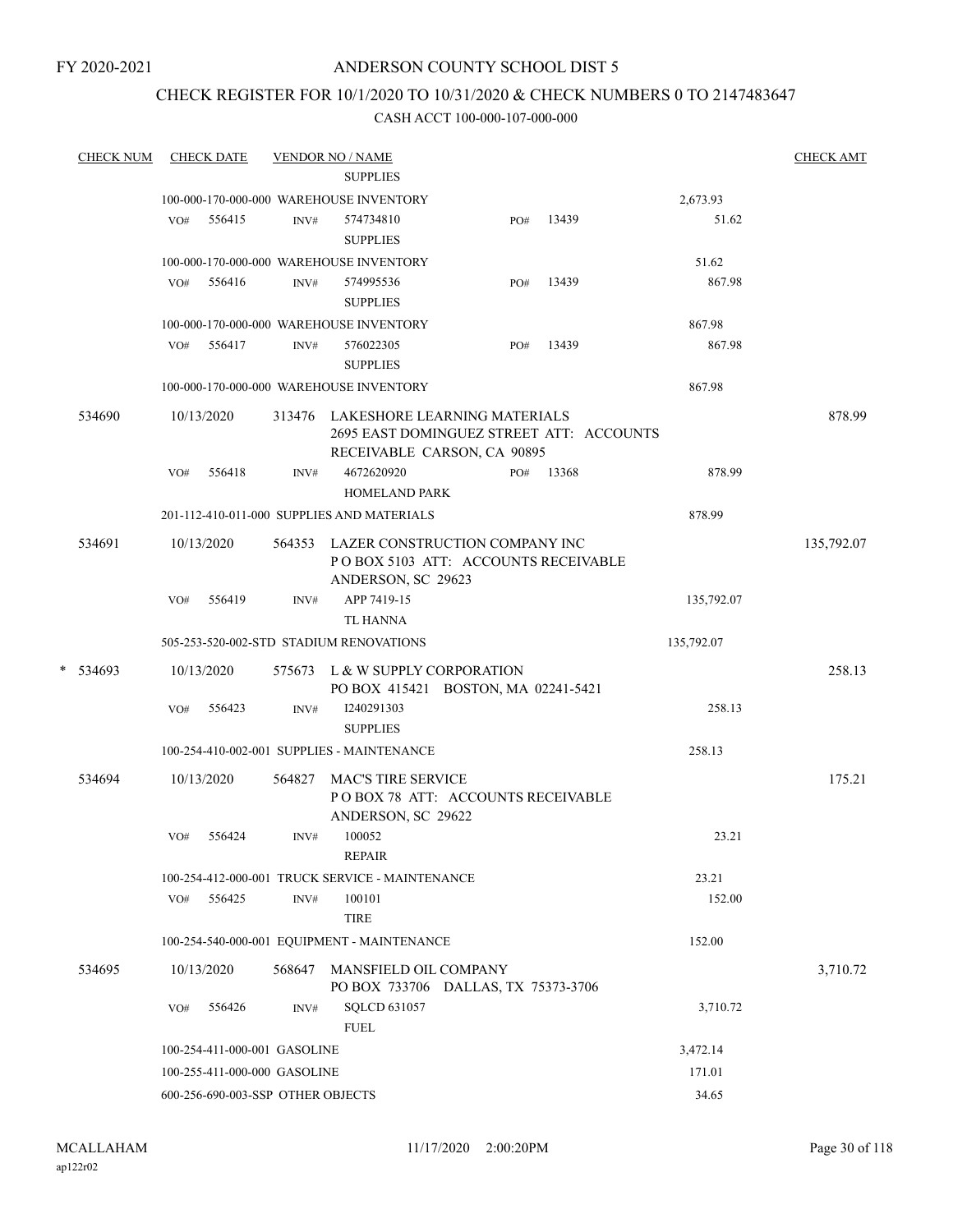## CHECK REGISTER FOR 10/1/2020 TO 10/31/2020 & CHECK NUMBERS 0 TO 2147483647

|   | <b>CHECK NUM</b> |     | <b>CHECK DATE</b>                 |        | <b>VENDOR NO / NAME</b>                                                                                                      |     |       |            |            | <b>CHECK AMT</b> |
|---|------------------|-----|-----------------------------------|--------|------------------------------------------------------------------------------------------------------------------------------|-----|-------|------------|------------|------------------|
|   |                  |     |                                   |        | <b>SUPPLIES</b>                                                                                                              |     |       |            |            |                  |
|   |                  |     |                                   |        | 100-000-170-000-000 WAREHOUSE INVENTORY                                                                                      |     |       |            | 2,673.93   |                  |
|   |                  | VO# | 556415                            | INV#   | 574734810<br><b>SUPPLIES</b>                                                                                                 | PO# | 13439 |            | 51.62      |                  |
|   |                  |     |                                   |        | 100-000-170-000-000 WAREHOUSE INVENTORY                                                                                      |     |       |            | 51.62      |                  |
|   |                  | VO# | 556416                            | INV#   | 574995536<br><b>SUPPLIES</b>                                                                                                 | PO# | 13439 |            | 867.98     |                  |
|   |                  |     |                                   |        | 100-000-170-000-000 WAREHOUSE INVENTORY                                                                                      |     |       |            | 867.98     |                  |
|   |                  | VO# | 556417                            | INV#   | 576022305<br><b>SUPPLIES</b>                                                                                                 | PO# | 13439 |            | 867.98     |                  |
|   |                  |     |                                   |        | 100-000-170-000-000 WAREHOUSE INVENTORY                                                                                      |     |       |            | 867.98     |                  |
|   | 534690           | VO# | 10/13/2020<br>556418              | INV#   | 313476 LAKESHORE LEARNING MATERIALS<br>2695 EAST DOMINGUEZ STREET ATT: ACCOUNTS<br>RECEIVABLE CARSON, CA 90895<br>4672620920 | PO# | 13368 |            | 878.99     | 878.99           |
|   |                  |     |                                   |        | HOMELAND PARK                                                                                                                |     |       |            |            |                  |
|   |                  |     |                                   |        | 201-112-410-011-000 SUPPLIES AND MATERIALS                                                                                   |     |       |            | 878.99     |                  |
|   | 534691           |     | 10/13/2020                        |        | 564353 LAZER CONSTRUCTION COMPANY INC<br>POBOX 5103 ATT: ACCOUNTS RECEIVABLE<br>ANDERSON, SC 29623                           |     |       |            |            | 135,792.07       |
|   |                  | VO# | 556419                            | INV#   | APP 7419-15<br><b>TL HANNA</b>                                                                                               |     |       |            | 135,792.07 |                  |
|   |                  |     |                                   |        | 505-253-520-002-STD STADIUM RENOVATIONS                                                                                      |     |       | 135,792.07 |            |                  |
| * | 534693           |     | 10/13/2020                        |        | 575673 L & W SUPPLY CORPORATION<br>PO BOX 415421 BOSTON, MA 02241-5421                                                       |     |       |            |            | 258.13           |
|   |                  | VO# | 556423                            | INV#   | I240291303<br><b>SUPPLIES</b>                                                                                                |     |       |            | 258.13     |                  |
|   |                  |     |                                   |        | 100-254-410-002-001 SUPPLIES - MAINTENANCE                                                                                   |     |       |            | 258.13     |                  |
|   | 534694           |     | 10/13/2020                        | 564827 | <b>MAC'S TIRE SERVICE</b><br>POBOX 78 ATT: ACCOUNTS RECEIVABLE<br>ANDERSON, SC 29622                                         |     |       |            |            | 175.21           |
|   |                  | VO# | 556424                            | INV#   | 100052<br><b>REPAIR</b>                                                                                                      |     |       |            | 23.21      |                  |
|   |                  |     |                                   |        | 100-254-412-000-001 TRUCK SERVICE - MAINTENANCE                                                                              |     |       |            | 23.21      |                  |
|   |                  | VO# | 556425                            | INV#   | 100101<br><b>TIRE</b>                                                                                                        |     |       |            | 152.00     |                  |
|   |                  |     |                                   |        | 100-254-540-000-001 EQUIPMENT - MAINTENANCE                                                                                  |     |       |            | 152.00     |                  |
|   | 534695           |     | 10/13/2020                        | 568647 | MANSFIELD OIL COMPANY<br>PO BOX 733706 DALLAS, TX 75373-3706                                                                 |     |       |            |            | 3,710.72         |
|   |                  | VO# | 556426                            | INV#   | <b>SQLCD 631057</b><br><b>FUEL</b>                                                                                           |     |       |            | 3,710.72   |                  |
|   |                  |     | 100-254-411-000-001 GASOLINE      |        |                                                                                                                              |     |       |            | 3,472.14   |                  |
|   |                  |     | 100-255-411-000-000 GASOLINE      |        |                                                                                                                              |     |       |            | 171.01     |                  |
|   |                  |     | 600-256-690-003-SSP OTHER OBJECTS |        |                                                                                                                              |     |       |            | 34.65      |                  |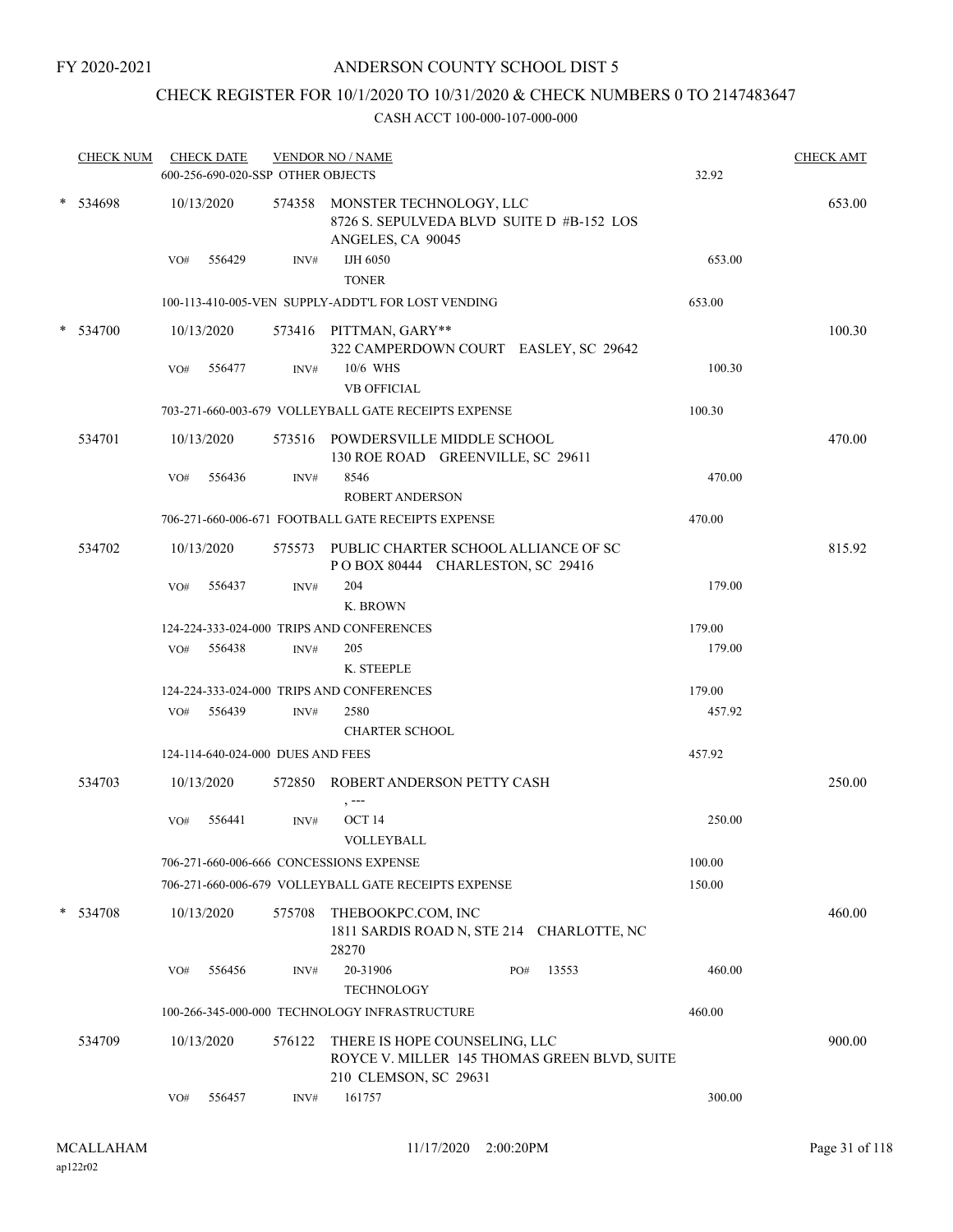# CHECK REGISTER FOR 10/1/2020 TO 10/31/2020 & CHECK NUMBERS 0 TO 2147483647

| <b>CHECK NUM</b> |     | <b>CHECK DATE</b><br>600-256-690-020-SSP OTHER OBJECTS |        | <b>VENDOR NO / NAME</b>                                                                          |              | 32.92  | <b>CHECK AMT</b> |
|------------------|-----|--------------------------------------------------------|--------|--------------------------------------------------------------------------------------------------|--------------|--------|------------------|
| * 534698         |     | 10/13/2020                                             |        | 574358 MONSTER TECHNOLOGY, LLC<br>8726 S. SEPULVEDA BLVD SUITE D #B-152 LOS<br>ANGELES, CA 90045 |              |        | 653.00           |
|                  | VO# | 556429                                                 | INV#   | IJH 6050<br><b>TONER</b>                                                                         |              | 653.00 |                  |
|                  |     |                                                        |        | 100-113-410-005-VEN SUPPLY-ADDT'L FOR LOST VENDING                                               |              | 653.00 |                  |
| $*$ 534700       |     | 10/13/2020                                             |        | 573416 PITTMAN, GARY**<br>322 CAMPERDOWN COURT EASLEY, SC 29642                                  |              |        | 100.30           |
|                  | VO# | 556477                                                 | INV#   | 10/6 WHS<br><b>VB OFFICIAL</b>                                                                   |              | 100.30 |                  |
|                  |     |                                                        |        | 703-271-660-003-679 VOLLEYBALL GATE RECEIPTS EXPENSE                                             |              | 100.30 |                  |
| 534701           |     | 10/13/2020                                             |        | 573516 POWDERSVILLE MIDDLE SCHOOL<br>130 ROE ROAD GREENVILLE, SC 29611                           |              |        | 470.00           |
|                  | VO# | 556436                                                 | INV#   | 8546<br><b>ROBERT ANDERSON</b>                                                                   |              | 470.00 |                  |
|                  |     |                                                        |        | 706-271-660-006-671 FOOTBALL GATE RECEIPTS EXPENSE                                               |              | 470.00 |                  |
| 534702           |     | 10/13/2020                                             |        | 575573 PUBLIC CHARTER SCHOOL ALLIANCE OF SC<br>POBOX 80444 CHARLESTON, SC 29416                  |              |        | 815.92           |
|                  | VO# | 556437                                                 | INV#   | 204                                                                                              |              | 179.00 |                  |
|                  |     |                                                        |        | K. BROWN                                                                                         |              |        |                  |
|                  |     |                                                        |        | 124-224-333-024-000 TRIPS AND CONFERENCES                                                        |              | 179.00 |                  |
|                  |     | VO# 556438                                             | INV#   | 205<br>K. STEEPLE                                                                                |              | 179.00 |                  |
|                  |     |                                                        |        | 124-224-333-024-000 TRIPS AND CONFERENCES                                                        |              | 179.00 |                  |
|                  |     | VO# 556439                                             | INV#   | 2580                                                                                             |              | 457.92 |                  |
|                  |     |                                                        |        | <b>CHARTER SCHOOL</b>                                                                            |              |        |                  |
|                  |     | 124-114-640-024-000 DUES AND FEES                      |        |                                                                                                  |              | 457.92 |                  |
| 534703           |     | 10/13/2020                                             |        | 572850 ROBERT ANDERSON PETTY CASH<br>, ---                                                       |              |        | 250.00           |
|                  | VO# | 556441                                                 | INV#   | OCT 14<br>VOLLEYBALL                                                                             |              | 250.00 |                  |
|                  |     |                                                        |        | 706-271-660-006-666 CONCESSIONS EXPENSE                                                          |              | 100.00 |                  |
|                  |     |                                                        |        | 706-271-660-006-679 VOLLEYBALL GATE RECEIPTS EXPENSE                                             |              | 150.00 |                  |
| $*$ 534708       |     | 10/13/2020                                             | 575708 | THEBOOKPC.COM, INC<br>1811 SARDIS ROAD N, STE 214 CHARLOTTE, NC<br>28270                         |              |        | 460.00           |
|                  | VO# | 556456                                                 | INV#   | 20-31906<br>TECHNOLOGY                                                                           | 13553<br>PO# | 460.00 |                  |
|                  |     |                                                        |        | 100-266-345-000-000 TECHNOLOGY INFRASTRUCTURE                                                    |              | 460.00 |                  |
| 534709           |     | 10/13/2020                                             | 576122 | THERE IS HOPE COUNSELING, LLC<br>ROYCE V. MILLER 145 THOMAS GREEN BLVD, SUITE                    |              |        | 900.00           |
|                  | VO# | 556457                                                 | INV#   | 210 CLEMSON, SC 29631<br>161757                                                                  |              | 300.00 |                  |
|                  |     |                                                        |        |                                                                                                  |              |        |                  |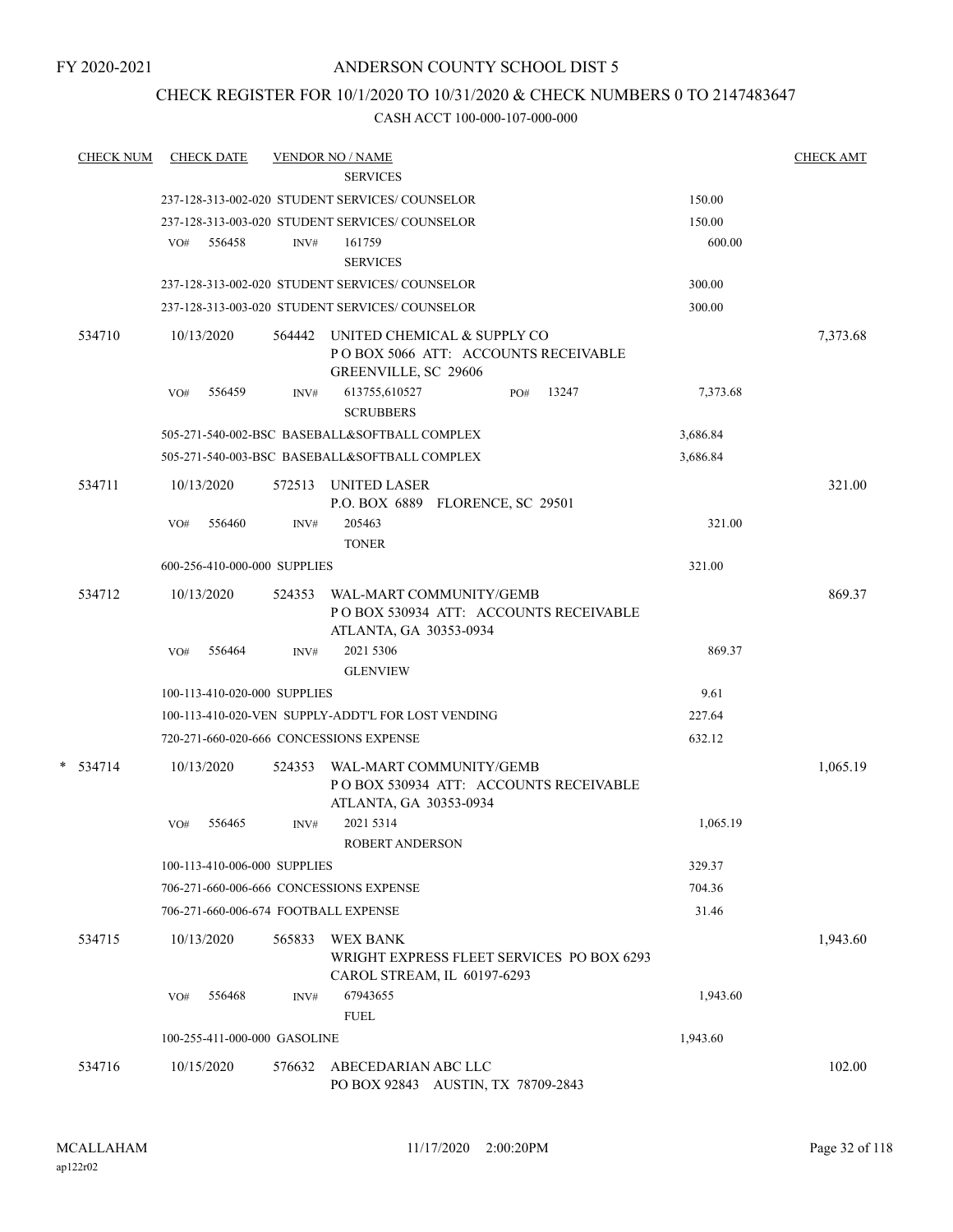## CHECK REGISTER FOR 10/1/2020 TO 10/31/2020 & CHECK NUMBERS 0 TO 2147483647

| <b>CHECK NUM</b> | <b>CHECK DATE</b>                       |        | <b>VENDOR NO / NAME</b>                                                                           |                                           |          | <b>CHECK AMT</b> |
|------------------|-----------------------------------------|--------|---------------------------------------------------------------------------------------------------|-------------------------------------------|----------|------------------|
|                  |                                         |        | <b>SERVICES</b>                                                                                   |                                           |          |                  |
|                  |                                         |        | 237-128-313-002-020 STUDENT SERVICES/ COUNSELOR                                                   |                                           | 150.00   |                  |
|                  |                                         |        | 237-128-313-003-020 STUDENT SERVICES/COUNSELOR                                                    |                                           | 150.00   |                  |
|                  | 556458<br>VO#                           | INV#   | 161759                                                                                            |                                           | 600.00   |                  |
|                  |                                         |        | <b>SERVICES</b><br>237-128-313-002-020 STUDENT SERVICES/COUNSELOR                                 |                                           |          |                  |
|                  |                                         |        | 237-128-313-003-020 STUDENT SERVICES/ COUNSELOR                                                   |                                           | 300.00   |                  |
|                  |                                         |        |                                                                                                   |                                           | 300.00   |                  |
| 534710           | 10/13/2020                              |        | 564442 UNITED CHEMICAL & SUPPLY CO<br>POBOX 5066 ATT: ACCOUNTS RECEIVABLE<br>GREENVILLE, SC 29606 |                                           |          | 7,373.68         |
|                  | VO#<br>556459                           | INV#   | 613755,610527<br><b>SCRUBBERS</b>                                                                 | 13247<br>PO#                              | 7,373.68 |                  |
|                  |                                         |        | 505-271-540-002-BSC BASEBALL&SOFTBALL COMPLEX                                                     |                                           | 3,686.84 |                  |
|                  |                                         |        | 505-271-540-003-BSC BASEBALL&SOFTBALL COMPLEX                                                     |                                           | 3,686.84 |                  |
| 534711           | 10/13/2020                              |        | 572513 UNITED LASER<br>P.O. BOX 6889 FLORENCE, SC 29501                                           |                                           |          | 321.00           |
|                  | VO#<br>556460                           | INV#   | 205463<br><b>TONER</b>                                                                            |                                           | 321.00   |                  |
|                  | 600-256-410-000-000 SUPPLIES            |        |                                                                                                   |                                           | 321.00   |                  |
| 534712           | 10/13/2020                              | 524353 | WAL-MART COMMUNITY/GEMB                                                                           | POBOX 530934 ATT: ACCOUNTS RECEIVABLE     |          | 869.37           |
|                  | 556464<br>VO#                           | INV#   | ATLANTA, GA 30353-0934<br>2021 5306<br><b>GLENVIEW</b>                                            |                                           | 869.37   |                  |
|                  | 100-113-410-020-000 SUPPLIES            |        |                                                                                                   |                                           | 9.61     |                  |
|                  |                                         |        | 100-113-410-020-VEN SUPPLY-ADDT'L FOR LOST VENDING                                                |                                           | 227.64   |                  |
|                  | 720-271-660-020-666 CONCESSIONS EXPENSE |        |                                                                                                   |                                           | 632.12   |                  |
| $* 534714$       | 10/13/2020                              | 524353 | WAL-MART COMMUNITY/GEMB<br>ATLANTA, GA 30353-0934                                                 | PO BOX 530934 ATT: ACCOUNTS RECEIVABLE    |          | 1,065.19         |
|                  | 556465<br>VO#                           | INV#   | 2021 5314<br>ROBERT ANDERSON                                                                      |                                           | 1,065.19 |                  |
|                  | 100-113-410-006-000 SUPPLIES            |        |                                                                                                   |                                           | 329.37   |                  |
|                  | 706-271-660-006-666 CONCESSIONS EXPENSE |        |                                                                                                   |                                           | 704.36   |                  |
|                  | 706-271-660-006-674 FOOTBALL EXPENSE    |        |                                                                                                   |                                           | 31.46    |                  |
| 534715           | 10/13/2020                              | 565833 | <b>WEX BANK</b><br>CAROL STREAM, IL 60197-6293                                                    | WRIGHT EXPRESS FLEET SERVICES PO BOX 6293 |          | 1,943.60         |
|                  | VO#<br>556468                           | INV#   | 67943655<br><b>FUEL</b>                                                                           |                                           | 1,943.60 |                  |
|                  | 100-255-411-000-000 GASOLINE            |        |                                                                                                   |                                           | 1,943.60 |                  |
| 534716           | 10/15/2020                              | 576632 | ABECEDARIAN ABC LLC<br>PO BOX 92843 AUSTIN, TX 78709-2843                                         |                                           |          | 102.00           |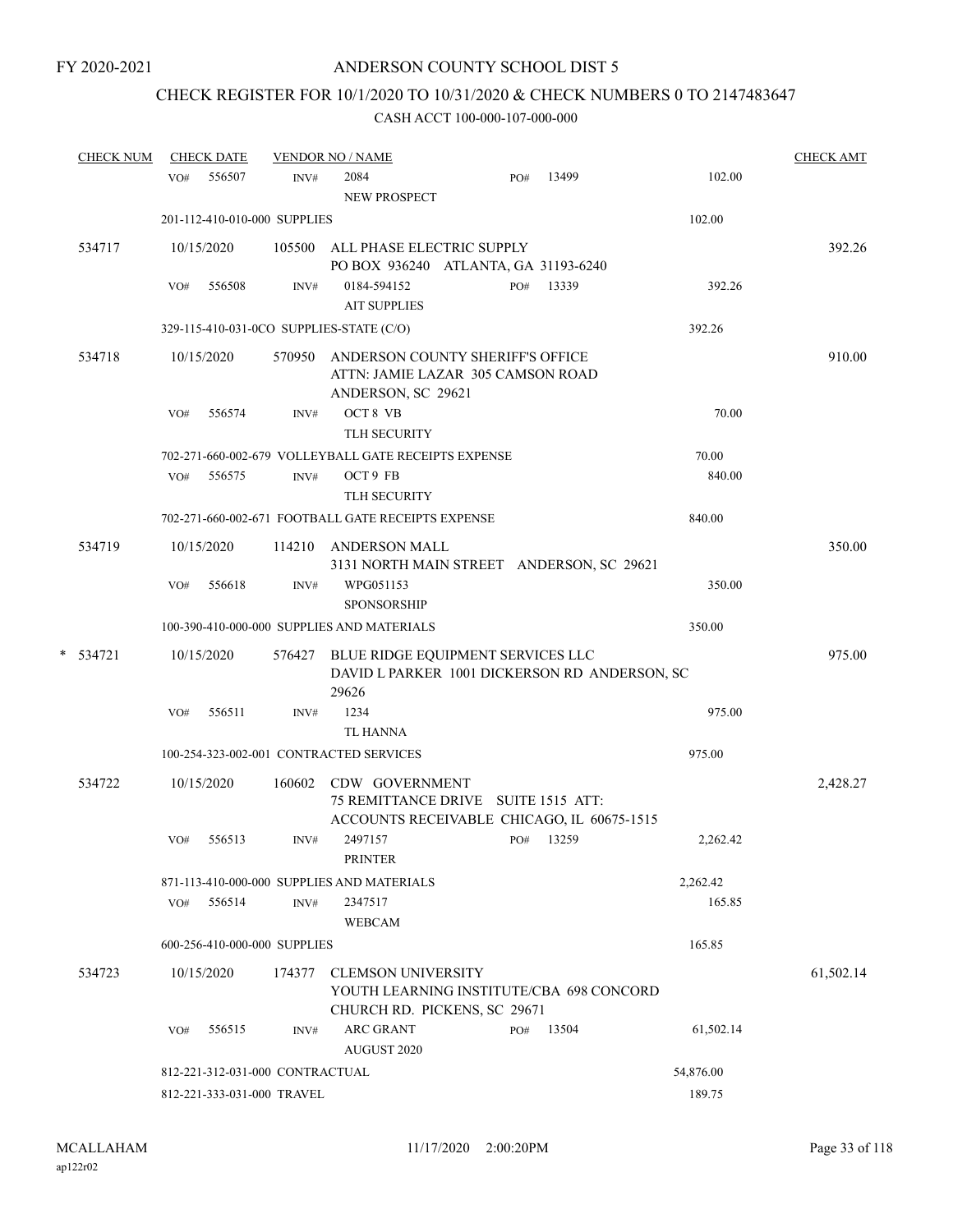# CHECK REGISTER FOR 10/1/2020 TO 10/31/2020 & CHECK NUMBERS 0 TO 2147483647

|   | <b>CHECK NUM</b> |     | <b>CHECK DATE</b> |                                 | <b>VENDOR NO / NAME</b>                                                                               |     |       |           | <b>CHECK AMT</b> |
|---|------------------|-----|-------------------|---------------------------------|-------------------------------------------------------------------------------------------------------|-----|-------|-----------|------------------|
|   |                  | VO# | 556507            | INV#                            | 2084<br>NEW PROSPECT                                                                                  | PO# | 13499 | 102.00    |                  |
|   |                  |     |                   | 201-112-410-010-000 SUPPLIES    |                                                                                                       |     |       | 102.00    |                  |
|   | 534717           |     | 10/15/2020        |                                 | 105500 ALL PHASE ELECTRIC SUPPLY<br>PO BOX 936240 ATLANTA, GA 31193-6240                              |     |       |           | 392.26           |
|   |                  | VO# | 556508            | INV#                            | 0184-594152<br><b>AIT SUPPLIES</b>                                                                    | PO# | 13339 | 392.26    |                  |
|   |                  |     |                   |                                 | 329-115-410-031-0CO SUPPLIES-STATE (C/O)                                                              |     |       | 392.26    |                  |
|   | 534718           |     | 10/15/2020        | 570950                          | ANDERSON COUNTY SHERIFF'S OFFICE<br>ATTN: JAMIE LAZAR 305 CAMSON ROAD<br>ANDERSON, SC 29621           |     |       |           | 910.00           |
|   |                  | VO# | 556574            | INV#                            | OCT 8 VB<br><b>TLH SECURITY</b>                                                                       |     |       | 70.00     |                  |
|   |                  |     |                   |                                 | 702-271-660-002-679 VOLLEYBALL GATE RECEIPTS EXPENSE                                                  |     |       | 70.00     |                  |
|   |                  | VO# | 556575            | INV#                            | OCT 9 FB<br>TLH SECURITY                                                                              |     |       | 840.00    |                  |
|   |                  |     |                   |                                 | 702-271-660-002-671 FOOTBALL GATE RECEIPTS EXPENSE                                                    |     |       | 840.00    |                  |
|   | 534719           |     | 10/15/2020        | 114210                          | ANDERSON MALL<br>3131 NORTH MAIN STREET ANDERSON, SC 29621                                            |     |       |           | 350.00           |
|   |                  | VO# | 556618            | INV#                            | WPG051153<br><b>SPONSORSHIP</b>                                                                       |     |       | 350.00    |                  |
|   |                  |     |                   |                                 | 100-390-410-000-000 SUPPLIES AND MATERIALS                                                            |     |       | 350.00    |                  |
| * | 534721           |     | 10/15/2020        | 576427                          | BLUE RIDGE EQUIPMENT SERVICES LLC<br>DAVID L PARKER 1001 DICKERSON RD ANDERSON, SC<br>29626           |     |       |           | 975.00           |
|   |                  | VO# | 556511            | INV#                            | 1234<br><b>TL HANNA</b>                                                                               |     |       | 975.00    |                  |
|   |                  |     |                   |                                 | 100-254-323-002-001 CONTRACTED SERVICES                                                               |     |       | 975.00    |                  |
|   | 534722           |     | 10/15/2020        | 160602                          | CDW GOVERNMENT<br>75 REMITTANCE DRIVE SUITE 1515 ATT:<br>ACCOUNTS RECEIVABLE CHICAGO, IL 60675-1515   |     |       |           | 2,428.27         |
|   |                  | VO# | 556513            | INV#                            | 2497157<br><b>PRINTER</b>                                                                             | PO# | 13259 | 2,262.42  |                  |
|   |                  |     |                   |                                 | 871-113-410-000-000 SUPPLIES AND MATERIALS                                                            |     |       | 2,262.42  |                  |
|   |                  | VO# | 556514            | INV#                            | 2347517<br><b>WEBCAM</b>                                                                              |     |       | 165.85    |                  |
|   |                  |     |                   | 600-256-410-000-000 SUPPLIES    |                                                                                                       |     |       | 165.85    |                  |
|   | 534723           |     | 10/15/2020        | 174377                          | <b>CLEMSON UNIVERSITY</b><br>YOUTH LEARNING INSTITUTE/CBA 698 CONCORD<br>CHURCH RD. PICKENS, SC 29671 |     |       |           | 61,502.14        |
|   |                  | VO# | 556515            | INV#                            | <b>ARC GRANT</b><br>AUGUST 2020                                                                       | PO# | 13504 | 61,502.14 |                  |
|   |                  |     |                   | 812-221-312-031-000 CONTRACTUAL |                                                                                                       |     |       | 54,876.00 |                  |
|   |                  |     |                   | 812-221-333-031-000 TRAVEL      |                                                                                                       |     |       | 189.75    |                  |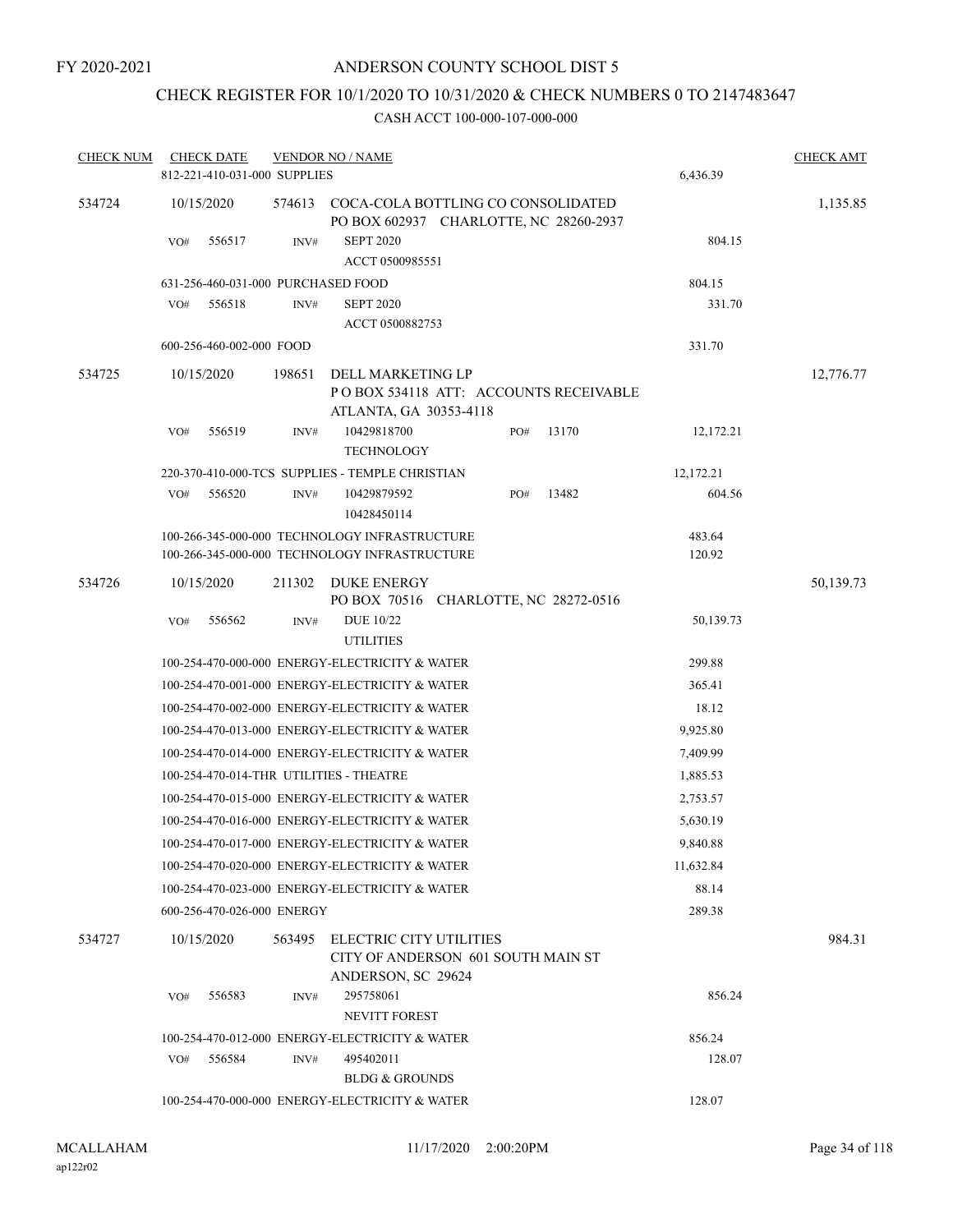# CHECK REGISTER FOR 10/1/2020 TO 10/31/2020 & CHECK NUMBERS 0 TO 2147483647

| <b>CHECK NUM</b> | <b>CHECK DATE</b><br>812-221-410-031-000 SUPPLIES |        | <b>VENDOR NO / NAME</b>                                                                    |     |       | 6,436.39  | <b>CHECK AMT</b> |
|------------------|---------------------------------------------------|--------|--------------------------------------------------------------------------------------------|-----|-------|-----------|------------------|
| 534724           | 10/15/2020                                        |        | 574613 COCA-COLA BOTTLING CO CONSOLIDATED<br>PO BOX 602937 CHARLOTTE, NC 28260-2937        |     |       |           | 1,135.85         |
|                  | VO#<br>556517                                     | INV#   | <b>SEPT 2020</b><br>ACCT 0500985551                                                        |     |       | 804.15    |                  |
|                  | 631-256-460-031-000 PURCHASED FOOD                |        |                                                                                            |     |       | 804.15    |                  |
|                  | 556518<br>VO#                                     | INV#   | <b>SEPT 2020</b><br>ACCT 0500882753                                                        |     |       | 331.70    |                  |
|                  | 600-256-460-002-000 FOOD                          |        |                                                                                            |     |       | 331.70    |                  |
| 534725           | 10/15/2020                                        | 198651 | DELL MARKETING LP<br>POBOX 534118 ATT: ACCOUNTS RECEIVABLE<br>ATLANTA, GA 30353-4118       |     |       |           | 12,776.77        |
|                  | VO#<br>556519                                     | INV#   | 10429818700<br><b>TECHNOLOGY</b>                                                           | PO# | 13170 | 12,172.21 |                  |
|                  |                                                   |        | 220-370-410-000-TCS SUPPLIES - TEMPLE CHRISTIAN                                            |     |       | 12,172.21 |                  |
|                  | 556520<br>VO#                                     | INV#   | 10429879592<br>10428450114                                                                 | PO# | 13482 | 604.56    |                  |
|                  |                                                   |        | 100-266-345-000-000 TECHNOLOGY INFRASTRUCTURE                                              |     |       | 483.64    |                  |
|                  |                                                   |        | 100-266-345-000-000 TECHNOLOGY INFRASTRUCTURE                                              |     |       | 120.92    |                  |
| 534726           | 10/15/2020                                        | 211302 | DUKE ENERGY<br>PO BOX 70516 CHARLOTTE, NC 28272-0516                                       |     |       |           | 50,139.73        |
|                  | 556562<br>VO#                                     | INV#   | <b>DUE 10/22</b><br><b>UTILITIES</b>                                                       |     |       | 50,139.73 |                  |
|                  |                                                   |        | 100-254-470-000-000 ENERGY-ELECTRICITY & WATER                                             |     |       | 299.88    |                  |
|                  |                                                   |        | 100-254-470-001-000 ENERGY-ELECTRICITY & WATER                                             |     |       | 365.41    |                  |
|                  |                                                   |        | 100-254-470-002-000 ENERGY-ELECTRICITY & WATER                                             |     |       | 18.12     |                  |
|                  |                                                   |        | 100-254-470-013-000 ENERGY-ELECTRICITY & WATER                                             |     |       | 9,925.80  |                  |
|                  |                                                   |        | 100-254-470-014-000 ENERGY-ELECTRICITY & WATER                                             |     |       | 7,409.99  |                  |
|                  | 100-254-470-014-THR UTILITIES - THEATRE           |        |                                                                                            |     |       | 1,885.53  |                  |
|                  |                                                   |        | 100-254-470-015-000 ENERGY-ELECTRICITY & WATER                                             |     |       | 2,753.57  |                  |
|                  |                                                   |        | 100-254-470-016-000 ENERGY-ELECTRICITY & WATER                                             |     |       | 5,630.19  |                  |
|                  |                                                   |        | 100-254-470-017-000 ENERGY-ELECTRICITY & WATER                                             |     |       | 9,840.88  |                  |
|                  |                                                   |        | 100-254-470-020-000 ENERGY-ELECTRICITY & WATER                                             |     |       | 11,632.84 |                  |
|                  |                                                   |        | 100-254-470-023-000 ENERGY-ELECTRICITY & WATER                                             |     |       | 88.14     |                  |
|                  | 600-256-470-026-000 ENERGY                        |        |                                                                                            |     |       | 289.38    |                  |
| 534727           | 10/15/2020                                        |        | 563495 ELECTRIC CITY UTILITIES<br>CITY OF ANDERSON 601 SOUTH MAIN ST<br>ANDERSON, SC 29624 |     |       |           | 984.31           |
|                  | VO#<br>556583                                     | INV#   | 295758061<br><b>NEVITT FOREST</b>                                                          |     |       | 856.24    |                  |
|                  |                                                   |        | 100-254-470-012-000 ENERGY-ELECTRICITY & WATER                                             |     |       | 856.24    |                  |
|                  | 556584<br>VO#                                     | INV#   | 495402011<br><b>BLDG &amp; GROUNDS</b>                                                     |     |       | 128.07    |                  |
|                  |                                                   |        | 100-254-470-000-000 ENERGY-ELECTRICITY & WATER                                             |     |       | 128.07    |                  |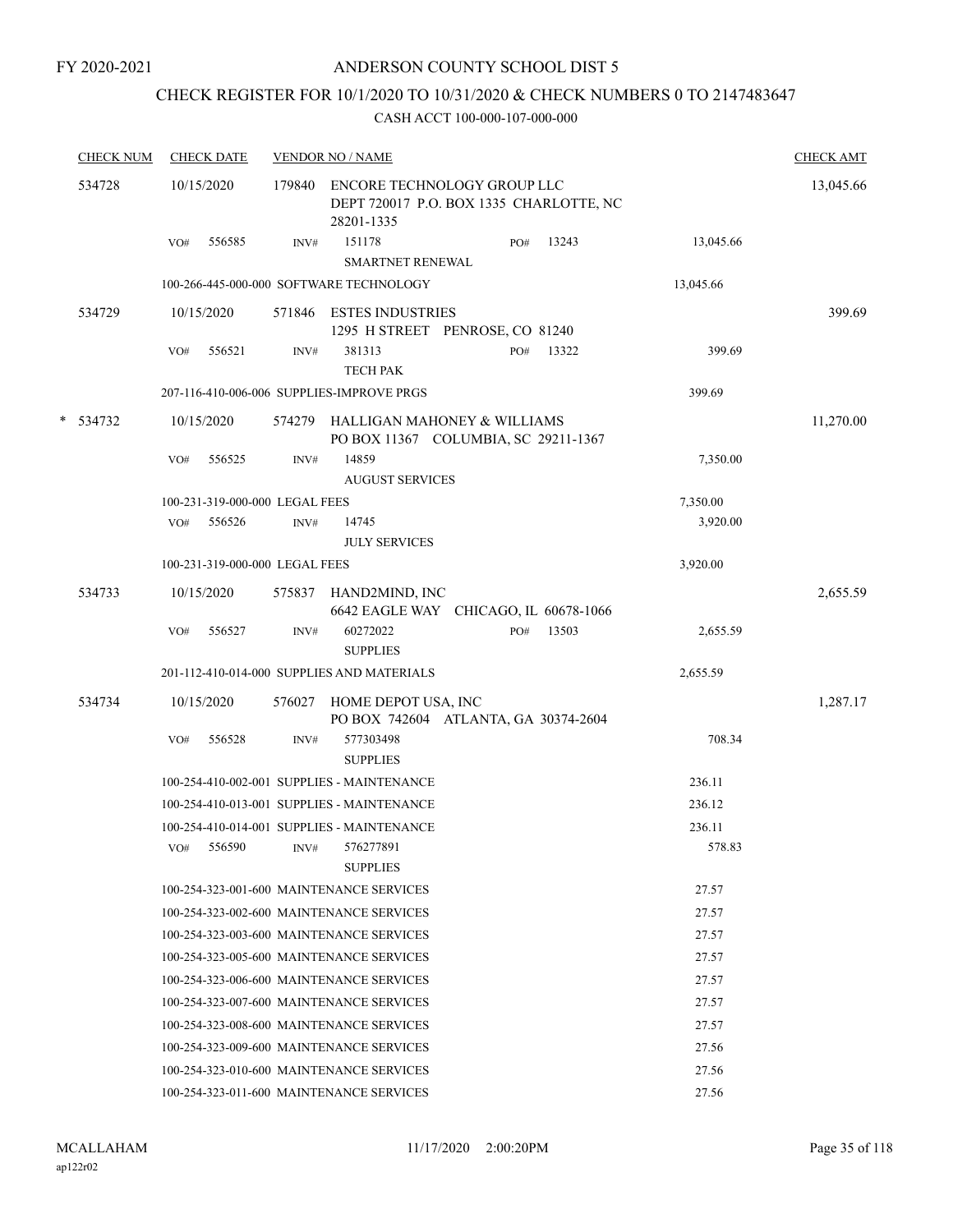## CHECK REGISTER FOR 10/1/2020 TO 10/31/2020 & CHECK NUMBERS 0 TO 2147483647

| <b>CHECK NUM</b> | <b>CHECK DATE</b>              |        |        | <b>VENDOR NO / NAME</b>                                                              |     |       |           | <b>CHECK AMT</b> |
|------------------|--------------------------------|--------|--------|--------------------------------------------------------------------------------------|-----|-------|-----------|------------------|
| 534728           | 10/15/2020                     |        | 179840 | ENCORE TECHNOLOGY GROUP LLC<br>DEPT 720017 P.O. BOX 1335 CHARLOTTE, NC<br>28201-1335 |     |       |           | 13,045.66        |
|                  | VO#                            | 556585 | INV#   | 151178<br><b>SMARTNET RENEWAL</b>                                                    | PO# | 13243 | 13,045.66 |                  |
|                  |                                |        |        | 100-266-445-000-000 SOFTWARE TECHNOLOGY                                              |     |       | 13,045.66 |                  |
| 534729           | 10/15/2020                     |        |        | 571846 ESTES INDUSTRIES<br>1295 H STREET PENROSE, CO 81240                           |     |       |           | 399.69           |
|                  | VO#                            | 556521 | INV#   | 381313<br><b>TECH PAK</b>                                                            | PO# | 13322 | 399.69    |                  |
|                  |                                |        |        | 207-116-410-006-006 SUPPLIES-IMPROVE PRGS                                            |     |       | 399.69    |                  |
| * 534732         | 10/15/2020                     |        | 574279 | HALLIGAN MAHONEY & WILLIAMS<br>PO BOX 11367 COLUMBIA, SC 29211-1367                  |     |       |           | 11,270.00        |
|                  | VO#                            | 556525 | INV#   | 14859<br><b>AUGUST SERVICES</b>                                                      |     |       | 7,350.00  |                  |
|                  | 100-231-319-000-000 LEGAL FEES |        |        |                                                                                      |     |       | 7,350.00  |                  |
|                  | VO#                            | 556526 | INV#   | 14745<br><b>JULY SERVICES</b>                                                        |     |       | 3,920.00  |                  |
|                  | 100-231-319-000-000 LEGAL FEES |        |        |                                                                                      |     |       | 3,920.00  |                  |
| 534733           | 10/15/2020                     |        |        | 575837 HAND2MIND, INC<br>6642 EAGLE WAY CHICAGO, IL 60678-1066                       |     |       |           | 2,655.59         |
|                  | VO#                            | 556527 | INV#   | 60272022<br><b>SUPPLIES</b>                                                          | PO# | 13503 | 2,655.59  |                  |
|                  |                                |        |        | 201-112-410-014-000 SUPPLIES AND MATERIALS                                           |     |       | 2,655.59  |                  |
| 534734           | 10/15/2020                     |        | 576027 | HOME DEPOT USA, INC<br>PO BOX 742604 ATLANTA, GA 30374-2604                          |     |       |           | 1,287.17         |
|                  | VO#                            | 556528 | INV#   | 577303498<br><b>SUPPLIES</b>                                                         |     |       | 708.34    |                  |
|                  |                                |        |        | 100-254-410-002-001 SUPPLIES - MAINTENANCE                                           |     |       | 236.11    |                  |
|                  |                                |        |        | 100-254-410-013-001 SUPPLIES - MAINTENANCE                                           |     |       | 236.12    |                  |
|                  |                                |        |        | 100-254-410-014-001 SUPPLIES - MAINTENANCE                                           |     |       | 236.11    |                  |
|                  |                                |        |        | VO# 556590 INV# 576277891<br><b>SUPPLIES</b>                                         |     |       | 578.83    |                  |
|                  |                                |        |        | 100-254-323-001-600 MAINTENANCE SERVICES                                             |     |       | 27.57     |                  |
|                  |                                |        |        | 100-254-323-002-600 MAINTENANCE SERVICES                                             |     |       | 27.57     |                  |
|                  |                                |        |        | 100-254-323-003-600 MAINTENANCE SERVICES                                             |     |       | 27.57     |                  |
|                  |                                |        |        | 100-254-323-005-600 MAINTENANCE SERVICES                                             |     |       | 27.57     |                  |
|                  |                                |        |        | 100-254-323-006-600 MAINTENANCE SERVICES                                             |     |       | 27.57     |                  |
|                  |                                |        |        | 100-254-323-007-600 MAINTENANCE SERVICES                                             |     |       | 27.57     |                  |
|                  |                                |        |        | 100-254-323-008-600 MAINTENANCE SERVICES                                             |     |       | 27.57     |                  |
|                  |                                |        |        | 100-254-323-009-600 MAINTENANCE SERVICES                                             |     |       | 27.56     |                  |
|                  |                                |        |        | 100-254-323-010-600 MAINTENANCE SERVICES                                             |     |       | 27.56     |                  |
|                  |                                |        |        | 100-254-323-011-600 MAINTENANCE SERVICES                                             |     |       | 27.56     |                  |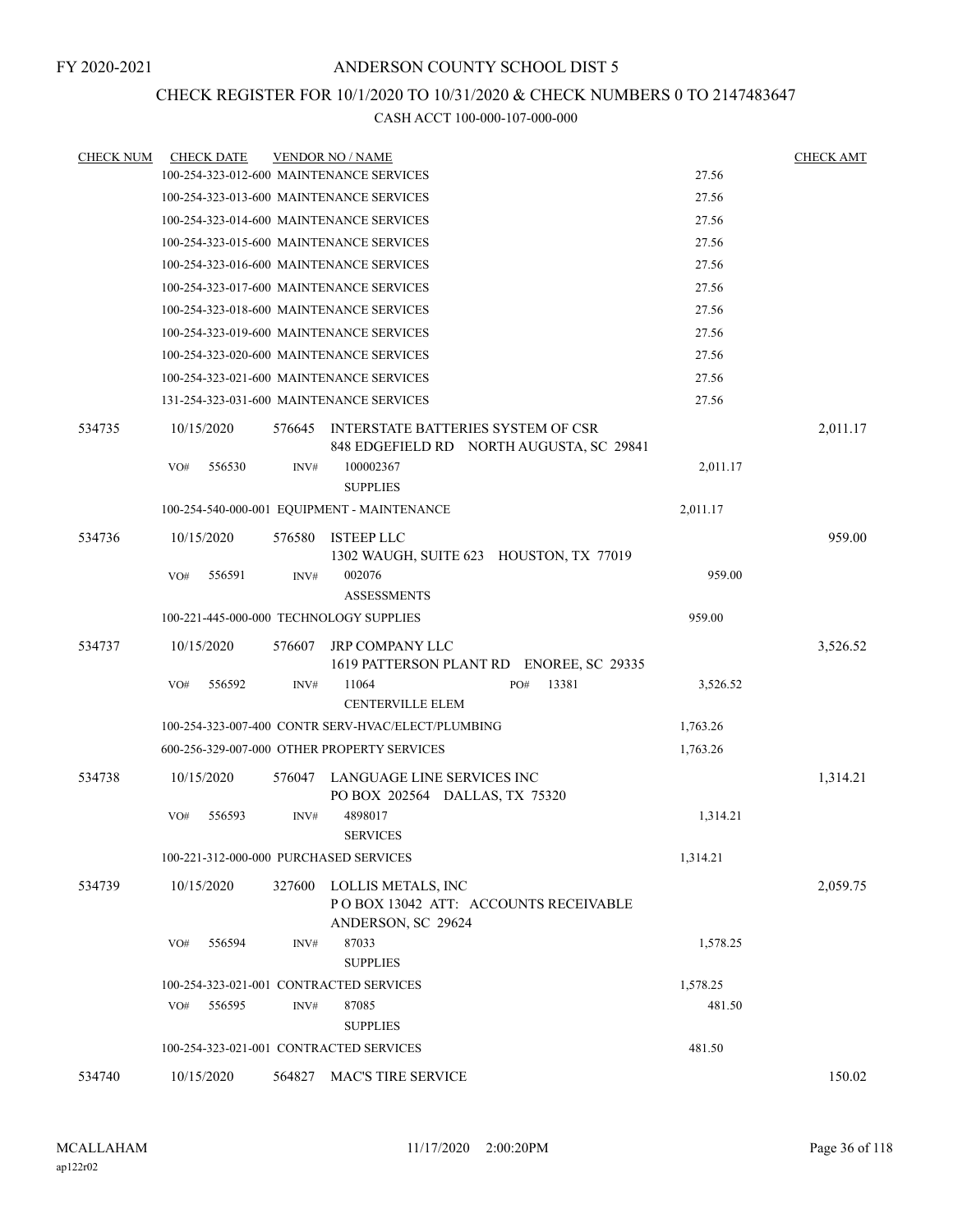## CHECK REGISTER FOR 10/1/2020 TO 10/31/2020 & CHECK NUMBERS 0 TO 2147483647

| <b>CHECK NUM</b> | <b>CHECK DATE</b>                       |        | <b>VENDOR NO / NAME</b>                                                          |          | <b>CHECK AMT</b> |
|------------------|-----------------------------------------|--------|----------------------------------------------------------------------------------|----------|------------------|
|                  |                                         |        | 100-254-323-012-600 MAINTENANCE SERVICES                                         | 27.56    |                  |
|                  |                                         |        | 100-254-323-013-600 MAINTENANCE SERVICES                                         | 27.56    |                  |
|                  |                                         |        | 100-254-323-014-600 MAINTENANCE SERVICES                                         | 27.56    |                  |
|                  |                                         |        | 100-254-323-015-600 MAINTENANCE SERVICES                                         | 27.56    |                  |
|                  |                                         |        | 100-254-323-016-600 MAINTENANCE SERVICES                                         | 27.56    |                  |
|                  |                                         |        | 100-254-323-017-600 MAINTENANCE SERVICES                                         | 27.56    |                  |
|                  |                                         |        | 100-254-323-018-600 MAINTENANCE SERVICES                                         | 27.56    |                  |
|                  |                                         |        | 100-254-323-019-600 MAINTENANCE SERVICES                                         | 27.56    |                  |
|                  |                                         |        | 100-254-323-020-600 MAINTENANCE SERVICES                                         | 27.56    |                  |
|                  |                                         |        | 100-254-323-021-600 MAINTENANCE SERVICES                                         | 27.56    |                  |
|                  |                                         |        | 131-254-323-031-600 MAINTENANCE SERVICES                                         | 27.56    |                  |
| 534735           | 10/15/2020                              | 576645 | INTERSTATE BATTERIES SYSTEM OF CSR<br>848 EDGEFIELD RD NORTH AUGUSTA, SC 29841   |          | 2,011.17         |
|                  | 556530<br>VO#                           | INV#   | 100002367<br><b>SUPPLIES</b>                                                     | 2,011.17 |                  |
|                  |                                         |        | 100-254-540-000-001 EQUIPMENT - MAINTENANCE                                      | 2,011.17 |                  |
| 534736           | 10/15/2020                              | 576580 | <b>ISTEEP LLC</b><br>1302 WAUGH, SUITE 623 HOUSTON, TX 77019                     |          | 959.00           |
|                  | VO#<br>556591                           | INV#   | 002076<br><b>ASSESSMENTS</b>                                                     | 959.00   |                  |
|                  | 100-221-445-000-000 TECHNOLOGY SUPPLIES |        |                                                                                  | 959.00   |                  |
| 534737           | 10/15/2020                              | 576607 | JRP COMPANY LLC<br>1619 PATTERSON PLANT RD ENOREE, SC 29335                      |          | 3,526.52         |
|                  | 556592<br>VO#                           | INV#   | 11064<br>13381<br>PO#<br><b>CENTERVILLE ELEM</b>                                 | 3,526.52 |                  |
|                  |                                         |        | 100-254-323-007-400 CONTR SERV-HVAC/ELECT/PLUMBING                               | 1,763.26 |                  |
|                  |                                         |        | 600-256-329-007-000 OTHER PROPERTY SERVICES                                      | 1,763.26 |                  |
| 534738           | 10/15/2020                              | 576047 | LANGUAGE LINE SERVICES INC<br>PO BOX 202564 DALLAS, TX 75320                     |          | 1,314.21         |
|                  | 556593<br>VO#                           | INV#   | 4898017<br><b>SERVICES</b>                                                       | 1,314.21 |                  |
|                  | 100-221-312-000-000 PURCHASED SERVICES  |        |                                                                                  | 1,314.21 |                  |
| 534739           | 10/15/2020                              | 327600 | LOLLIS METALS, INC<br>POBOX 13042 ATT: ACCOUNTS RECEIVABLE<br>ANDERSON, SC 29624 |          | 2,059.75         |
|                  | 556594<br>VO#                           | INV#   | 87033<br><b>SUPPLIES</b>                                                         | 1,578.25 |                  |
|                  | 100-254-323-021-001 CONTRACTED SERVICES |        |                                                                                  | 1,578.25 |                  |
|                  | 556595<br>VO#                           | INV#   | 87085<br><b>SUPPLIES</b>                                                         | 481.50   |                  |
|                  | 100-254-323-021-001 CONTRACTED SERVICES |        |                                                                                  | 481.50   |                  |
| 534740           | 10/15/2020                              | 564827 | MAC'S TIRE SERVICE                                                               |          | 150.02           |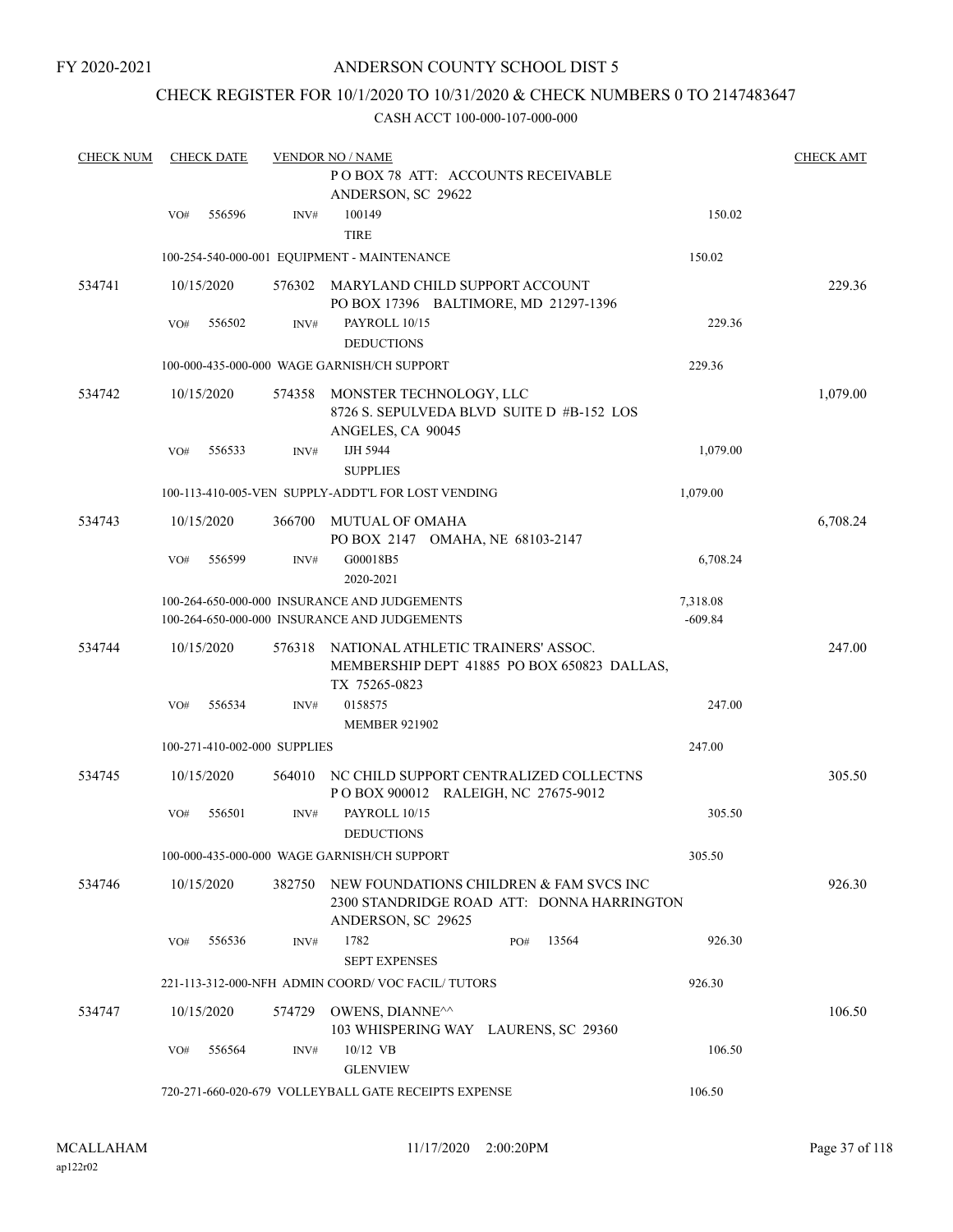## CHECK REGISTER FOR 10/1/2020 TO 10/31/2020 & CHECK NUMBERS 0 TO 2147483647

| <b>CHECK NUM</b> | <b>CHECK DATE</b> |            |                              | <b>VENDOR NO / NAME</b>                                                                                     |                       |          |  |  |
|------------------|-------------------|------------|------------------------------|-------------------------------------------------------------------------------------------------------------|-----------------------|----------|--|--|
|                  |                   |            |                              | POBOX 78 ATT: ACCOUNTS RECEIVABLE<br>ANDERSON, SC 29622                                                     |                       |          |  |  |
|                  | VO#               | 556596     | INV#                         | 100149<br><b>TIRE</b>                                                                                       | 150.02                |          |  |  |
|                  |                   |            |                              | 100-254-540-000-001 EQUIPMENT - MAINTENANCE                                                                 | 150.02                |          |  |  |
| 534741           |                   | 10/15/2020 | 576302                       | MARYLAND CHILD SUPPORT ACCOUNT<br>PO BOX 17396 BALTIMORE, MD 21297-1396                                     |                       | 229.36   |  |  |
|                  | VO#               | 556502     | INV#                         | PAYROLL 10/15<br><b>DEDUCTIONS</b>                                                                          | 229.36                |          |  |  |
|                  |                   |            |                              | 100-000-435-000-000 WAGE GARNISH/CH SUPPORT                                                                 | 229.36                |          |  |  |
| 534742           |                   | 10/15/2020 | 574358                       | MONSTER TECHNOLOGY, LLC<br>8726 S. SEPULVEDA BLVD SUITE D #B-152 LOS<br>ANGELES, CA 90045                   |                       | 1,079.00 |  |  |
|                  | VO#               | 556533     | INV#                         | IJH 5944<br><b>SUPPLIES</b>                                                                                 | 1,079.00              |          |  |  |
|                  |                   |            |                              | 100-113-410-005-VEN SUPPLY-ADDT'L FOR LOST VENDING                                                          | 1,079.00              |          |  |  |
| 534743           |                   | 10/15/2020 | 366700                       | MUTUAL OF OMAHA<br>PO BOX 2147 OMAHA, NE 68103-2147                                                         |                       | 6,708.24 |  |  |
|                  | VO#               | 556599     | INV#                         | G00018B5<br>2020-2021                                                                                       | 6,708.24              |          |  |  |
|                  |                   |            |                              | 100-264-650-000-000 INSURANCE AND JUDGEMENTS<br>100-264-650-000-000 INSURANCE AND JUDGEMENTS                | 7,318.08<br>$-609.84$ |          |  |  |
| 534744           |                   | 10/15/2020 | 576318                       | NATIONAL ATHLETIC TRAINERS' ASSOC.<br>MEMBERSHIP DEPT 41885 PO BOX 650823 DALLAS,<br>TX 75265-0823          |                       | 247.00   |  |  |
|                  | VO#               | 556534     | INV#                         | 0158575<br><b>MEMBER 921902</b>                                                                             | 247.00                |          |  |  |
|                  |                   |            | 100-271-410-002-000 SUPPLIES |                                                                                                             | 247.00                |          |  |  |
| 534745           |                   | 10/15/2020 | 564010                       | NC CHILD SUPPORT CENTRALIZED COLLECTNS<br>POBOX 900012 RALEIGH, NC 27675-9012                               |                       | 305.50   |  |  |
|                  | VO#               | 556501     | INV#                         | PAYROLL 10/15<br><b>DEDUCTIONS</b>                                                                          | 305.50                |          |  |  |
|                  |                   |            |                              | 100-000-435-000-000 WAGE GARNISH/CH SUPPORT                                                                 | 305.50                |          |  |  |
| 534746           |                   | 10/15/2020 | 382750                       | NEW FOUNDATIONS CHILDREN & FAM SVCS INC<br>2300 STANDRIDGE ROAD ATT: DONNA HARRINGTON<br>ANDERSON, SC 29625 |                       | 926.30   |  |  |
|                  | VO#               | 556536     | INV#                         | 1782<br>13564<br>PO#<br><b>SEPT EXPENSES</b>                                                                | 926.30                |          |  |  |
|                  |                   |            |                              | 221-113-312-000-NFH ADMIN COORD/VOC FACIL/TUTORS                                                            | 926.30                |          |  |  |
| 534747           |                   | 10/15/2020 | 574729                       | OWENS, DIANNE <sup>^^</sup><br>103 WHISPERING WAY LAURENS, SC 29360                                         |                       | 106.50   |  |  |
|                  | VO#               | 556564     | INV#                         | $10/12$ VB<br><b>GLENVIEW</b>                                                                               | 106.50                |          |  |  |
|                  |                   |            |                              | 720-271-660-020-679 VOLLEYBALL GATE RECEIPTS EXPENSE                                                        | 106.50                |          |  |  |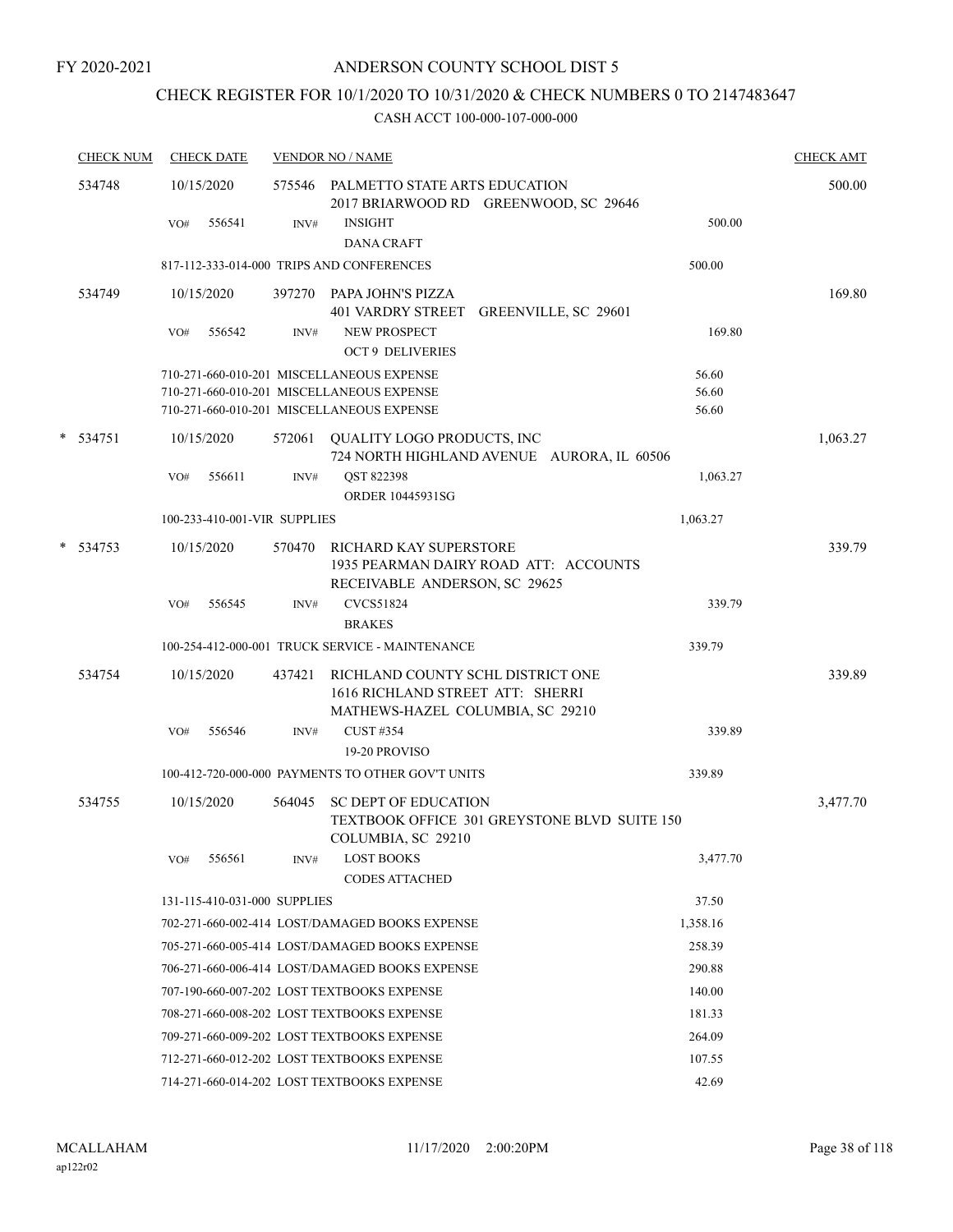# CHECK REGISTER FOR 10/1/2020 TO 10/31/2020 & CHECK NUMBERS 0 TO 2147483647

| <b>CHECK NUM</b> | <b>CHECK DATE</b>  |            |                                                |                                                                                                                                                                                                                                                                                                                                                                                                                                                                                                                                                                                                          | <b>CHECK AMT</b>                                                                                                                                                                                                                                                                                                                                                                                                                                                                                                                                                                                                                                                                                                                                                                                                            |
|------------------|--------------------|------------|------------------------------------------------|----------------------------------------------------------------------------------------------------------------------------------------------------------------------------------------------------------------------------------------------------------------------------------------------------------------------------------------------------------------------------------------------------------------------------------------------------------------------------------------------------------------------------------------------------------------------------------------------------------|-----------------------------------------------------------------------------------------------------------------------------------------------------------------------------------------------------------------------------------------------------------------------------------------------------------------------------------------------------------------------------------------------------------------------------------------------------------------------------------------------------------------------------------------------------------------------------------------------------------------------------------------------------------------------------------------------------------------------------------------------------------------------------------------------------------------------------|
| 534748           | 10/15/2020         |            |                                                |                                                                                                                                                                                                                                                                                                                                                                                                                                                                                                                                                                                                          | 500.00                                                                                                                                                                                                                                                                                                                                                                                                                                                                                                                                                                                                                                                                                                                                                                                                                      |
|                  | 556541<br>VO#      | INV#       | <b>INSIGHT</b><br><b>DANA CRAFT</b>            | 500.00                                                                                                                                                                                                                                                                                                                                                                                                                                                                                                                                                                                                   |                                                                                                                                                                                                                                                                                                                                                                                                                                                                                                                                                                                                                                                                                                                                                                                                                             |
|                  |                    |            |                                                | 500.00                                                                                                                                                                                                                                                                                                                                                                                                                                                                                                                                                                                                   |                                                                                                                                                                                                                                                                                                                                                                                                                                                                                                                                                                                                                                                                                                                                                                                                                             |
| 534749           | 10/15/2020         |            |                                                |                                                                                                                                                                                                                                                                                                                                                                                                                                                                                                                                                                                                          | 169.80                                                                                                                                                                                                                                                                                                                                                                                                                                                                                                                                                                                                                                                                                                                                                                                                                      |
|                  | 556542<br>VO#      | INV#       | <b>NEW PROSPECT</b><br><b>OCT 9 DELIVERIES</b> | 169.80                                                                                                                                                                                                                                                                                                                                                                                                                                                                                                                                                                                                   |                                                                                                                                                                                                                                                                                                                                                                                                                                                                                                                                                                                                                                                                                                                                                                                                                             |
|                  |                    |            |                                                | 56.60                                                                                                                                                                                                                                                                                                                                                                                                                                                                                                                                                                                                    |                                                                                                                                                                                                                                                                                                                                                                                                                                                                                                                                                                                                                                                                                                                                                                                                                             |
|                  |                    |            |                                                | 56.60                                                                                                                                                                                                                                                                                                                                                                                                                                                                                                                                                                                                    |                                                                                                                                                                                                                                                                                                                                                                                                                                                                                                                                                                                                                                                                                                                                                                                                                             |
|                  |                    |            |                                                |                                                                                                                                                                                                                                                                                                                                                                                                                                                                                                                                                                                                          |                                                                                                                                                                                                                                                                                                                                                                                                                                                                                                                                                                                                                                                                                                                                                                                                                             |
|                  | 10/15/2020         | 572061     |                                                |                                                                                                                                                                                                                                                                                                                                                                                                                                                                                                                                                                                                          | 1,063.27                                                                                                                                                                                                                                                                                                                                                                                                                                                                                                                                                                                                                                                                                                                                                                                                                    |
|                  | 556611<br>VO#      | INV#       | QST 822398<br>ORDER 10445931SG                 | 1,063.27                                                                                                                                                                                                                                                                                                                                                                                                                                                                                                                                                                                                 |                                                                                                                                                                                                                                                                                                                                                                                                                                                                                                                                                                                                                                                                                                                                                                                                                             |
|                  |                    |            |                                                | 1,063.27                                                                                                                                                                                                                                                                                                                                                                                                                                                                                                                                                                                                 |                                                                                                                                                                                                                                                                                                                                                                                                                                                                                                                                                                                                                                                                                                                                                                                                                             |
| 534753           | 10/15/2020         | 570470     |                                                |                                                                                                                                                                                                                                                                                                                                                                                                                                                                                                                                                                                                          | 339.79                                                                                                                                                                                                                                                                                                                                                                                                                                                                                                                                                                                                                                                                                                                                                                                                                      |
|                  | VO#<br>556545      | INV#       | <b>CVCS51824</b>                               | 339.79                                                                                                                                                                                                                                                                                                                                                                                                                                                                                                                                                                                                   |                                                                                                                                                                                                                                                                                                                                                                                                                                                                                                                                                                                                                                                                                                                                                                                                                             |
|                  |                    |            |                                                |                                                                                                                                                                                                                                                                                                                                                                                                                                                                                                                                                                                                          |                                                                                                                                                                                                                                                                                                                                                                                                                                                                                                                                                                                                                                                                                                                                                                                                                             |
|                  |                    |            |                                                |                                                                                                                                                                                                                                                                                                                                                                                                                                                                                                                                                                                                          |                                                                                                                                                                                                                                                                                                                                                                                                                                                                                                                                                                                                                                                                                                                                                                                                                             |
| 534754           | 10/15/2020         | 437421     |                                                |                                                                                                                                                                                                                                                                                                                                                                                                                                                                                                                                                                                                          | 339.89                                                                                                                                                                                                                                                                                                                                                                                                                                                                                                                                                                                                                                                                                                                                                                                                                      |
|                  | VO#<br>556546      | INV#       | <b>CUST #354</b>                               | 339.89                                                                                                                                                                                                                                                                                                                                                                                                                                                                                                                                                                                                   |                                                                                                                                                                                                                                                                                                                                                                                                                                                                                                                                                                                                                                                                                                                                                                                                                             |
|                  |                    |            |                                                |                                                                                                                                                                                                                                                                                                                                                                                                                                                                                                                                                                                                          |                                                                                                                                                                                                                                                                                                                                                                                                                                                                                                                                                                                                                                                                                                                                                                                                                             |
|                  |                    |            |                                                |                                                                                                                                                                                                                                                                                                                                                                                                                                                                                                                                                                                                          |                                                                                                                                                                                                                                                                                                                                                                                                                                                                                                                                                                                                                                                                                                                                                                                                                             |
|                  |                    |            |                                                |                                                                                                                                                                                                                                                                                                                                                                                                                                                                                                                                                                                                          | 3,477.70                                                                                                                                                                                                                                                                                                                                                                                                                                                                                                                                                                                                                                                                                                                                                                                                                    |
|                  | 556561<br>VO#      | INV#       | <b>LOST BOOKS</b>                              | 3,477.70                                                                                                                                                                                                                                                                                                                                                                                                                                                                                                                                                                                                 |                                                                                                                                                                                                                                                                                                                                                                                                                                                                                                                                                                                                                                                                                                                                                                                                                             |
|                  |                    |            |                                                | 37.50                                                                                                                                                                                                                                                                                                                                                                                                                                                                                                                                                                                                    |                                                                                                                                                                                                                                                                                                                                                                                                                                                                                                                                                                                                                                                                                                                                                                                                                             |
|                  |                    |            |                                                | 1,358.16                                                                                                                                                                                                                                                                                                                                                                                                                                                                                                                                                                                                 |                                                                                                                                                                                                                                                                                                                                                                                                                                                                                                                                                                                                                                                                                                                                                                                                                             |
|                  |                    |            |                                                | 258.39                                                                                                                                                                                                                                                                                                                                                                                                                                                                                                                                                                                                   |                                                                                                                                                                                                                                                                                                                                                                                                                                                                                                                                                                                                                                                                                                                                                                                                                             |
|                  |                    |            |                                                | 290.88                                                                                                                                                                                                                                                                                                                                                                                                                                                                                                                                                                                                   |                                                                                                                                                                                                                                                                                                                                                                                                                                                                                                                                                                                                                                                                                                                                                                                                                             |
|                  |                    |            |                                                | 140.00                                                                                                                                                                                                                                                                                                                                                                                                                                                                                                                                                                                                   |                                                                                                                                                                                                                                                                                                                                                                                                                                                                                                                                                                                                                                                                                                                                                                                                                             |
|                  |                    |            |                                                | 181.33                                                                                                                                                                                                                                                                                                                                                                                                                                                                                                                                                                                                   |                                                                                                                                                                                                                                                                                                                                                                                                                                                                                                                                                                                                                                                                                                                                                                                                                             |
|                  |                    |            |                                                | 264.09                                                                                                                                                                                                                                                                                                                                                                                                                                                                                                                                                                                                   |                                                                                                                                                                                                                                                                                                                                                                                                                                                                                                                                                                                                                                                                                                                                                                                                                             |
|                  |                    |            |                                                | 107.55                                                                                                                                                                                                                                                                                                                                                                                                                                                                                                                                                                                                   |                                                                                                                                                                                                                                                                                                                                                                                                                                                                                                                                                                                                                                                                                                                                                                                                                             |
|                  |                    |            |                                                | 42.69                                                                                                                                                                                                                                                                                                                                                                                                                                                                                                                                                                                                    |                                                                                                                                                                                                                                                                                                                                                                                                                                                                                                                                                                                                                                                                                                                                                                                                                             |
|                  | * 534751<br>534755 | 10/15/2020 | 564045                                         | <b>VENDOR NO / NAME</b><br>817-112-333-014-000 TRIPS AND CONFERENCES<br>397270 PAPA JOHN'S PIZZA<br>710-271-660-010-201 MISCELLANEOUS EXPENSE<br>710-271-660-010-201 MISCELLANEOUS EXPENSE<br>710-271-660-010-201 MISCELLANEOUS EXPENSE<br>100-233-410-001-VIR SUPPLIES<br><b>BRAKES</b><br>19-20 PROVISO<br><b>CODES ATTACHED</b><br>131-115-410-031-000 SUPPLIES<br>707-190-660-007-202 LOST TEXTBOOKS EXPENSE<br>708-271-660-008-202 LOST TEXTBOOKS EXPENSE<br>709-271-660-009-202 LOST TEXTBOOKS EXPENSE<br>712-271-660-012-202 LOST TEXTBOOKS EXPENSE<br>714-271-660-014-202 LOST TEXTBOOKS EXPENSE | 575546 PALMETTO STATE ARTS EDUCATION<br>2017 BRIARWOOD RD GREENWOOD, SC 29646<br>401 VARDRY STREET GREENVILLE, SC 29601<br>56.60<br>QUALITY LOGO PRODUCTS, INC<br>724 NORTH HIGHLAND AVENUE AURORA, IL 60506<br><b>RICHARD KAY SUPERSTORE</b><br>1935 PEARMAN DAIRY ROAD ATT: ACCOUNTS<br>RECEIVABLE ANDERSON, SC 29625<br>100-254-412-000-001 TRUCK SERVICE - MAINTENANCE<br>339.79<br>RICHLAND COUNTY SCHL DISTRICT ONE<br>1616 RICHLAND STREET ATT: SHERRI<br>MATHEWS-HAZEL COLUMBIA, SC 29210<br>100-412-720-000-000 PAYMENTS TO OTHER GOV'T UNITS<br>339.89<br><b>SC DEPT OF EDUCATION</b><br>TEXTBOOK OFFICE 301 GREYSTONE BLVD SUITE 150<br>COLUMBIA, SC 29210<br>702-271-660-002-414 LOST/DAMAGED BOOKS EXPENSE<br>705-271-660-005-414 LOST/DAMAGED BOOKS EXPENSE<br>706-271-660-006-414 LOST/DAMAGED BOOKS EXPENSE |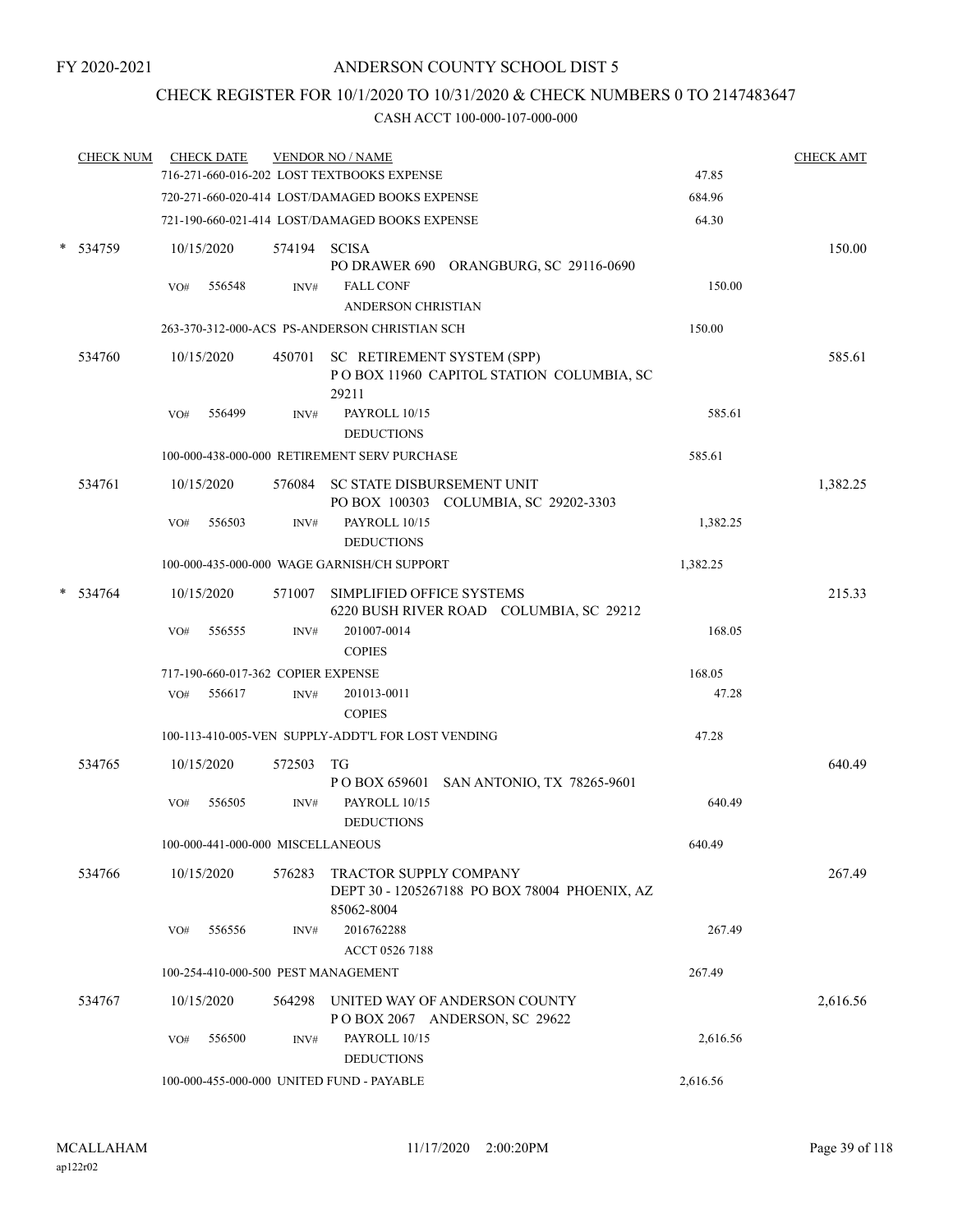## CHECK REGISTER FOR 10/1/2020 TO 10/31/2020 & CHECK NUMBERS 0 TO 2147483647

| <b>CHECK NUM</b> |     | <b>CHECK DATE</b>                  |              | <b>VENDOR NO / NAME</b><br>716-271-660-016-202 LOST TEXTBOOKS EXPENSE |                                                                | 47.85    | <b>CHECK AMT</b> |
|------------------|-----|------------------------------------|--------------|-----------------------------------------------------------------------|----------------------------------------------------------------|----------|------------------|
|                  |     |                                    |              |                                                                       |                                                                |          |                  |
|                  |     |                                    |              | 720-271-660-020-414 LOST/DAMAGED BOOKS EXPENSE                        |                                                                | 684.96   |                  |
|                  |     |                                    |              | 721-190-660-021-414 LOST/DAMAGED BOOKS EXPENSE                        |                                                                | 64.30    |                  |
| 534759           |     | 10/15/2020                         | 574194 SCISA |                                                                       | PO DRAWER 690 ORANGBURG, SC 29116-0690                         |          | 150.00           |
|                  | VO# | 556548                             | INV#         | <b>FALL CONF</b>                                                      |                                                                | 150.00   |                  |
|                  |     |                                    |              | ANDERSON CHRISTIAN                                                    |                                                                |          |                  |
|                  |     |                                    |              | 263-370-312-000-ACS PS-ANDERSON CHRISTIAN SCH                         |                                                                | 150.00   |                  |
| 534760           |     | 10/15/2020                         |              | 450701 SC RETIREMENT SYSTEM (SPP)<br>29211                            | POBOX 11960 CAPITOL STATION COLUMBIA, SC                       |          | 585.61           |
|                  | VO# | 556499                             | INV#         | PAYROLL 10/15<br><b>DEDUCTIONS</b>                                    |                                                                | 585.61   |                  |
|                  |     |                                    |              | 100-000-438-000-000 RETIREMENT SERV PURCHASE                          |                                                                | 585.61   |                  |
| 534761           |     | 10/15/2020                         |              | 576084 SC STATE DISBURSEMENT UNIT                                     | PO BOX 100303 COLUMBIA, SC 29202-3303                          |          | 1,382.25         |
|                  | VO# | 556503                             | INV#         | PAYROLL 10/15<br><b>DEDUCTIONS</b>                                    |                                                                | 1,382.25 |                  |
|                  |     |                                    |              | 100-000-435-000-000 WAGE GARNISH/CH SUPPORT                           |                                                                | 1,382.25 |                  |
| 534764           |     | 10/15/2020                         |              | 571007 SIMPLIFIED OFFICE SYSTEMS                                      | 6220 BUSH RIVER ROAD COLUMBIA, SC 29212                        |          | 215.33           |
|                  | VO# | 556555                             | INV#         | 201007-0014<br><b>COPIES</b>                                          |                                                                | 168.05   |                  |
|                  |     | 717-190-660-017-362 COPIER EXPENSE |              |                                                                       |                                                                | 168.05   |                  |
|                  | VO# | 556617                             | INV#         | 201013-0011<br><b>COPIES</b>                                          |                                                                | 47.28    |                  |
|                  |     |                                    |              | 100-113-410-005-VEN SUPPLY-ADDT'L FOR LOST VENDING                    |                                                                | 47.28    |                  |
| 534765           |     | 10/15/2020                         | 572503       | TG                                                                    | P O BOX 659601 SAN ANTONIO, TX 78265-9601                      |          | 640.49           |
|                  | VO# | 556505                             | INV#         | PAYROLL 10/15<br><b>DEDUCTIONS</b>                                    |                                                                | 640.49   |                  |
|                  |     | 100-000-441-000-000 MISCELLANEOUS  |              |                                                                       |                                                                | 640.49   |                  |
| 534766           |     | 10/15/2020                         | 576283       | TRACTOR SUPPLY COMPANY<br>85062-8004                                  | DEPT 30 - 1205267188 PO BOX 78004 PHOENIX, AZ                  |          | 267.49           |
|                  | VO# | 556556                             | INV#         | 2016762288<br>ACCT 0526 7188                                          |                                                                | 267.49   |                  |
|                  |     |                                    |              | 100-254-410-000-500 PEST MANAGEMENT                                   |                                                                | 267.49   |                  |
| 534767           |     | 10/15/2020                         | 564298       |                                                                       | UNITED WAY OF ANDERSON COUNTY<br>POBOX 2067 ANDERSON, SC 29622 |          | 2,616.56         |
|                  | VO# | 556500                             | INV#         | PAYROLL 10/15<br><b>DEDUCTIONS</b>                                    |                                                                | 2,616.56 |                  |
|                  |     |                                    |              | 100-000-455-000-000 UNITED FUND - PAYABLE                             |                                                                | 2,616.56 |                  |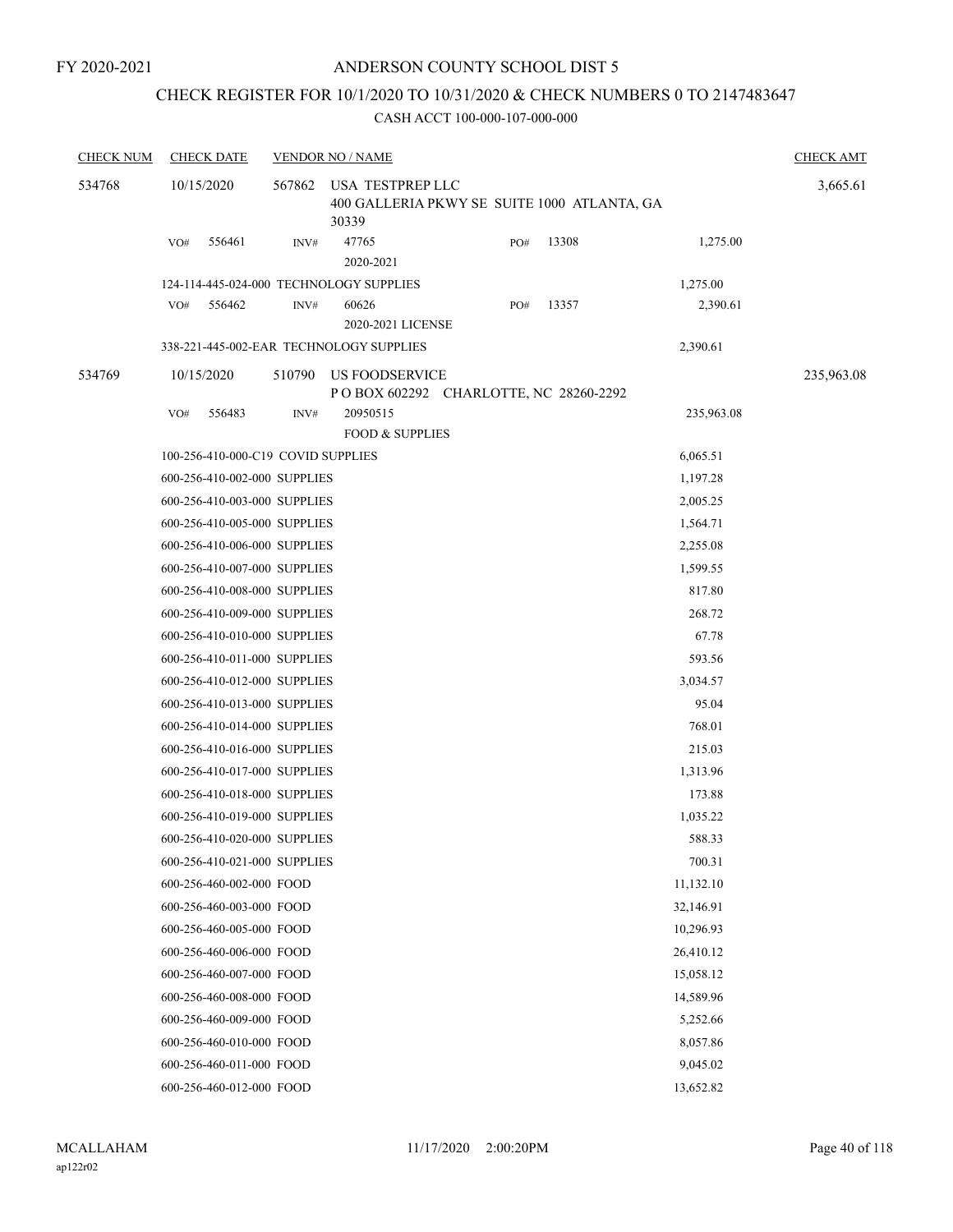## CHECK REGISTER FOR 10/1/2020 TO 10/31/2020 & CHECK NUMBERS 0 TO 2147483647

| <b>CHECK NUM</b> | <b>CHECK DATE</b>                  |        | <b>VENDOR NO / NAME</b>                                                  |     |       |            | <b>CHECK AMT</b> |
|------------------|------------------------------------|--------|--------------------------------------------------------------------------|-----|-------|------------|------------------|
| 534768           | 10/15/2020                         | 567862 | USA TESTPREP LLC<br>400 GALLERIA PKWY SE SUITE 1000 ATLANTA, GA<br>30339 |     |       |            | 3,665.61         |
|                  | 556461<br>VO#                      | INV#   | 47765<br>2020-2021                                                       | PO# | 13308 | 1,275.00   |                  |
|                  |                                    |        | 124-114-445-024-000 TECHNOLOGY SUPPLIES                                  |     |       | 1,275.00   |                  |
|                  | 556462<br>VO#                      | INV#   | 60626<br>2020-2021 LICENSE                                               | PO# | 13357 | 2,390.61   |                  |
|                  |                                    |        | 338-221-445-002-EAR TECHNOLOGY SUPPLIES                                  |     |       | 2,390.61   |                  |
| 534769           | 10/15/2020                         | 510790 | <b>US FOODSERVICE</b><br>P O BOX 602292 CHARLOTTE, NC 28260-2292         |     |       |            | 235,963.08       |
|                  | VO#<br>556483                      | INV#   | 20950515<br><b>FOOD &amp; SUPPLIES</b>                                   |     |       | 235,963.08 |                  |
|                  | 100-256-410-000-C19 COVID SUPPLIES |        |                                                                          |     |       | 6,065.51   |                  |
|                  | 600-256-410-002-000 SUPPLIES       |        |                                                                          |     |       | 1,197.28   |                  |
|                  | 600-256-410-003-000 SUPPLIES       |        |                                                                          |     |       | 2,005.25   |                  |
|                  | 600-256-410-005-000 SUPPLIES       |        |                                                                          |     |       | 1,564.71   |                  |
|                  | 600-256-410-006-000 SUPPLIES       |        |                                                                          |     |       | 2,255.08   |                  |
|                  | 600-256-410-007-000 SUPPLIES       |        |                                                                          |     |       | 1,599.55   |                  |
|                  | 600-256-410-008-000 SUPPLIES       |        |                                                                          |     |       | 817.80     |                  |
|                  | 600-256-410-009-000 SUPPLIES       |        |                                                                          |     |       | 268.72     |                  |
|                  | 600-256-410-010-000 SUPPLIES       |        |                                                                          |     |       | 67.78      |                  |
|                  | 600-256-410-011-000 SUPPLIES       |        |                                                                          |     |       | 593.56     |                  |
|                  | 600-256-410-012-000 SUPPLIES       |        |                                                                          |     |       | 3,034.57   |                  |
|                  | 600-256-410-013-000 SUPPLIES       |        |                                                                          |     |       | 95.04      |                  |
|                  | 600-256-410-014-000 SUPPLIES       |        |                                                                          |     |       | 768.01     |                  |
|                  | 600-256-410-016-000 SUPPLIES       |        |                                                                          |     |       | 215.03     |                  |
|                  | 600-256-410-017-000 SUPPLIES       |        |                                                                          |     |       | 1,313.96   |                  |
|                  | 600-256-410-018-000 SUPPLIES       |        |                                                                          |     |       | 173.88     |                  |
|                  | 600-256-410-019-000 SUPPLIES       |        |                                                                          |     |       | 1,035.22   |                  |
|                  | 600-256-410-020-000 SUPPLIES       |        |                                                                          |     |       | 588.33     |                  |
|                  | 600-256-410-021-000 SUPPLIES       |        |                                                                          |     |       | 700.31     |                  |
|                  | 600-256-460-002-000 FOOD           |        |                                                                          |     |       | 11,132.10  |                  |
|                  | 600-256-460-003-000 FOOD           |        |                                                                          |     |       | 32,146.91  |                  |
|                  | 600-256-460-005-000 FOOD           |        |                                                                          |     |       | 10,296.93  |                  |
|                  | 600-256-460-006-000 FOOD           |        |                                                                          |     |       | 26,410.12  |                  |
|                  | 600-256-460-007-000 FOOD           |        |                                                                          |     |       | 15,058.12  |                  |
|                  | 600-256-460-008-000 FOOD           |        |                                                                          |     |       | 14,589.96  |                  |
|                  | 600-256-460-009-000 FOOD           |        |                                                                          |     |       | 5,252.66   |                  |
|                  | 600-256-460-010-000 FOOD           |        |                                                                          |     |       | 8,057.86   |                  |
|                  | 600-256-460-011-000 FOOD           |        |                                                                          |     |       | 9,045.02   |                  |
|                  | 600-256-460-012-000 FOOD           |        |                                                                          |     |       | 13,652.82  |                  |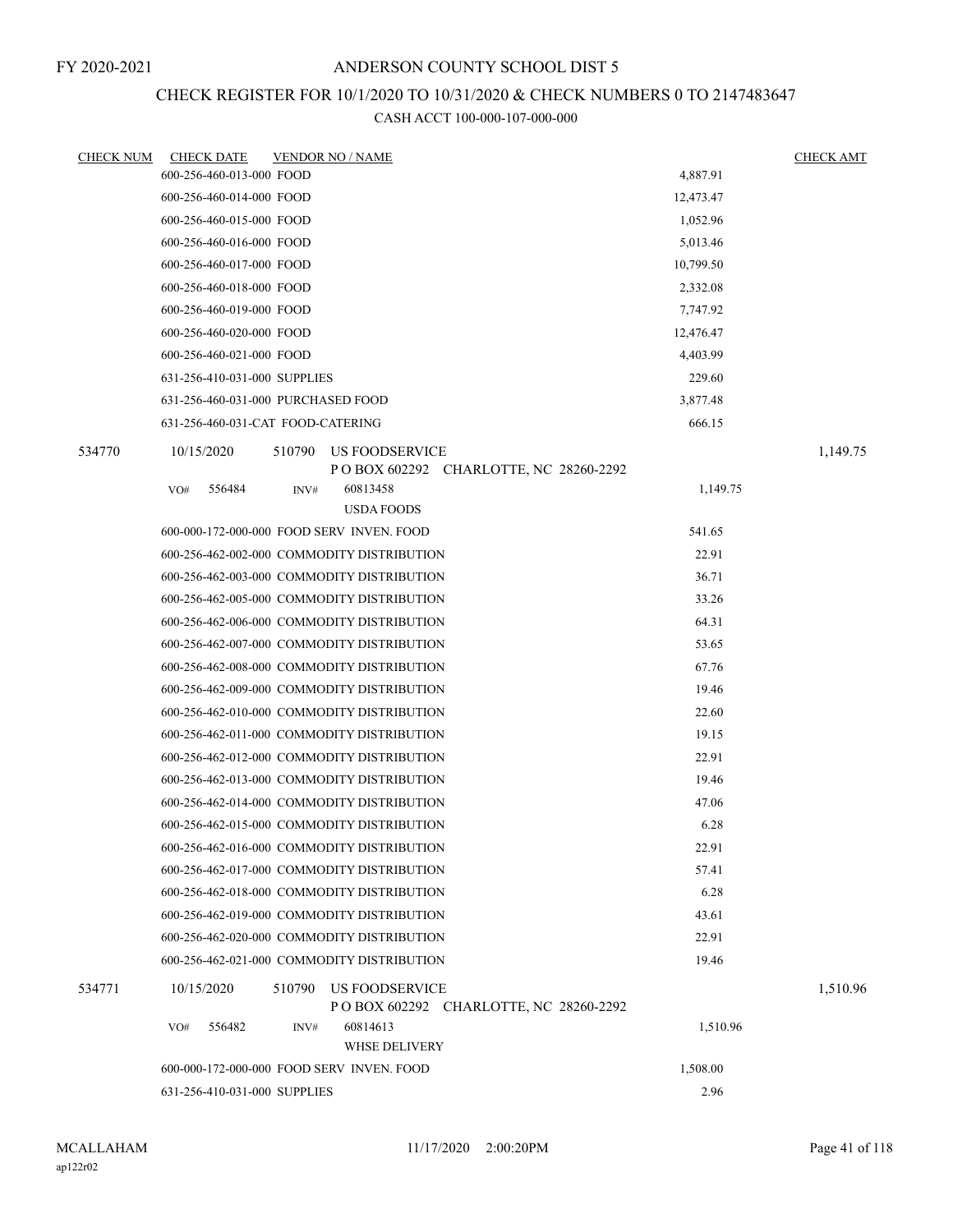## CHECK REGISTER FOR 10/1/2020 TO 10/31/2020 & CHECK NUMBERS 0 TO 2147483647

| <b>CHECK NUM</b> | <b>CHECK DATE</b>                         |        | <b>VENDOR NO / NAME</b>                    |                                         |           | <b>CHECK AMT</b> |
|------------------|-------------------------------------------|--------|--------------------------------------------|-----------------------------------------|-----------|------------------|
|                  | 600-256-460-013-000 FOOD                  |        |                                            |                                         | 4,887.91  |                  |
|                  | 600-256-460-014-000 FOOD                  |        |                                            |                                         | 12,473.47 |                  |
|                  | 600-256-460-015-000 FOOD                  |        |                                            |                                         | 1,052.96  |                  |
|                  | 600-256-460-016-000 FOOD                  |        |                                            |                                         | 5,013.46  |                  |
|                  | 600-256-460-017-000 FOOD                  |        |                                            |                                         | 10,799.50 |                  |
|                  | 600-256-460-018-000 FOOD                  |        |                                            |                                         | 2,332.08  |                  |
|                  | 600-256-460-019-000 FOOD                  |        |                                            |                                         | 7,747.92  |                  |
|                  | 600-256-460-020-000 FOOD                  |        |                                            |                                         | 12,476.47 |                  |
|                  | 600-256-460-021-000 FOOD                  |        |                                            |                                         | 4,403.99  |                  |
|                  | 631-256-410-031-000 SUPPLIES              |        |                                            |                                         | 229.60    |                  |
|                  | 631-256-460-031-000 PURCHASED FOOD        |        |                                            |                                         | 3,877.48  |                  |
|                  | 631-256-460-031-CAT FOOD-CATERING         |        |                                            |                                         | 666.15    |                  |
| 534770           | 10/15/2020                                | 510790 | US FOODSERVICE                             |                                         |           | 1,149.75         |
|                  |                                           |        |                                            | P O BOX 602292 CHARLOTTE, NC 28260-2292 |           |                  |
|                  | 556484<br>VO#                             | INV#   | 60813458                                   |                                         | 1,149.75  |                  |
|                  |                                           |        | <b>USDA FOODS</b>                          |                                         |           |                  |
|                  | 600-000-172-000-000 FOOD SERV INVEN. FOOD |        |                                            |                                         | 541.65    |                  |
|                  |                                           |        | 600-256-462-002-000 COMMODITY DISTRIBUTION |                                         | 22.91     |                  |
|                  |                                           |        | 600-256-462-003-000 COMMODITY DISTRIBUTION |                                         | 36.71     |                  |
|                  |                                           |        | 600-256-462-005-000 COMMODITY DISTRIBUTION |                                         | 33.26     |                  |
|                  |                                           |        | 600-256-462-006-000 COMMODITY DISTRIBUTION |                                         | 64.31     |                  |
|                  |                                           |        | 600-256-462-007-000 COMMODITY DISTRIBUTION |                                         | 53.65     |                  |
|                  |                                           |        | 600-256-462-008-000 COMMODITY DISTRIBUTION |                                         | 67.76     |                  |
|                  |                                           |        | 600-256-462-009-000 COMMODITY DISTRIBUTION |                                         | 19.46     |                  |
|                  |                                           |        | 600-256-462-010-000 COMMODITY DISTRIBUTION |                                         | 22.60     |                  |
|                  |                                           |        | 600-256-462-011-000 COMMODITY DISTRIBUTION |                                         | 19.15     |                  |
|                  |                                           |        | 600-256-462-012-000 COMMODITY DISTRIBUTION |                                         | 22.91     |                  |
|                  |                                           |        | 600-256-462-013-000 COMMODITY DISTRIBUTION |                                         | 19.46     |                  |
|                  |                                           |        | 600-256-462-014-000 COMMODITY DISTRIBUTION |                                         | 47.06     |                  |
|                  |                                           |        | 600-256-462-015-000 COMMODITY DISTRIBUTION |                                         | 6.28      |                  |
|                  |                                           |        | 600-256-462-016-000 COMMODITY DISTRIBUTION |                                         | 22.91     |                  |
|                  |                                           |        | 600-256-462-017-000 COMMODITY DISTRIBUTION |                                         | 57.41     |                  |
|                  |                                           |        | 600-256-462-018-000 COMMODITY DISTRIBUTION |                                         | 6.28      |                  |
|                  |                                           |        | 600-256-462-019-000 COMMODITY DISTRIBUTION |                                         | 43.61     |                  |
|                  |                                           |        | 600-256-462-020-000 COMMODITY DISTRIBUTION |                                         | 22.91     |                  |
|                  |                                           |        | 600-256-462-021-000 COMMODITY DISTRIBUTION |                                         | 19.46     |                  |
| 534771           | 10/15/2020                                | 510790 | US FOODSERVICE                             | P O BOX 602292 CHARLOTTE, NC 28260-2292 |           | 1,510.96         |
|                  | 556482<br>VO#                             | INV#   | 60814613<br>WHSE DELIVERY                  |                                         | 1,510.96  |                  |
|                  |                                           |        | 600-000-172-000-000 FOOD SERV INVEN. FOOD  |                                         | 1,508.00  |                  |
|                  | 631-256-410-031-000 SUPPLIES              |        |                                            |                                         | 2.96      |                  |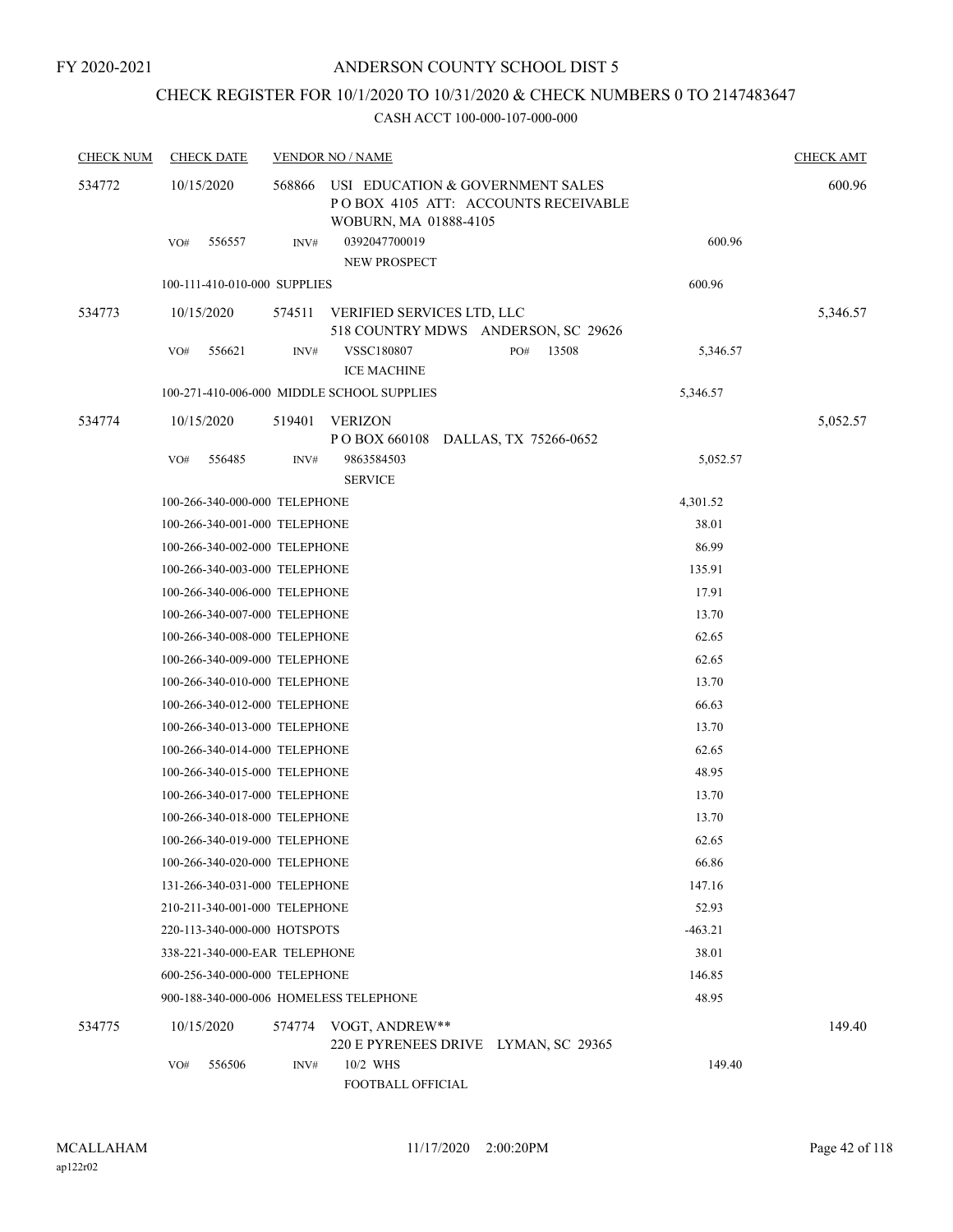## CHECK REGISTER FOR 10/1/2020 TO 10/31/2020 & CHECK NUMBERS 0 TO 2147483647

| <b>CHECK NUM</b> | <b>CHECK DATE</b>                      |        | <b>VENDOR NO / NAME</b>                                                                          |           | <b>CHECK AMT</b> |
|------------------|----------------------------------------|--------|--------------------------------------------------------------------------------------------------|-----------|------------------|
| 534772           | 10/15/2020                             | 568866 | USI EDUCATION & GOVERNMENT SALES<br>POBOX 4105 ATT: ACCOUNTS RECEIVABLE<br>WOBURN, MA 01888-4105 |           | 600.96           |
|                  | 556557<br>VO#                          | INV#   | 0392047700019<br>NEW PROSPECT                                                                    | 600.96    |                  |
|                  | 100-111-410-010-000 SUPPLIES           |        |                                                                                                  | 600.96    |                  |
| 534773           | 10/15/2020                             | 574511 | VERIFIED SERVICES LTD, LLC                                                                       |           | 5,346.57         |
|                  |                                        |        | 518 COUNTRY MDWS ANDERSON, SC 29626                                                              |           |                  |
|                  | VO#<br>556621                          | INV#   | <b>VSSC180807</b><br>PO#<br>13508                                                                | 5,346.57  |                  |
|                  |                                        |        | <b>ICE MACHINE</b>                                                                               |           |                  |
|                  |                                        |        | 100-271-410-006-000 MIDDLE SCHOOL SUPPLIES                                                       | 5,346.57  |                  |
| 534774           | 10/15/2020                             | 519401 | VERIZON<br>POBOX 660108 DALLAS, TX 75266-0652                                                    |           | 5,052.57         |
|                  | 556485<br>VO#                          | INV#   | 9863584503                                                                                       | 5,052.57  |                  |
|                  |                                        |        | <b>SERVICE</b>                                                                                   |           |                  |
|                  | 100-266-340-000-000 TELEPHONE          |        |                                                                                                  | 4,301.52  |                  |
|                  | 100-266-340-001-000 TELEPHONE          |        |                                                                                                  | 38.01     |                  |
|                  | 100-266-340-002-000 TELEPHONE          |        |                                                                                                  | 86.99     |                  |
|                  | 100-266-340-003-000 TELEPHONE          |        |                                                                                                  | 135.91    |                  |
|                  | 100-266-340-006-000 TELEPHONE          |        |                                                                                                  | 17.91     |                  |
|                  | 100-266-340-007-000 TELEPHONE          |        |                                                                                                  | 13.70     |                  |
|                  | 100-266-340-008-000 TELEPHONE          |        |                                                                                                  | 62.65     |                  |
|                  | 100-266-340-009-000 TELEPHONE          |        |                                                                                                  | 62.65     |                  |
|                  | 100-266-340-010-000 TELEPHONE          |        |                                                                                                  | 13.70     |                  |
|                  | 100-266-340-012-000 TELEPHONE          |        |                                                                                                  | 66.63     |                  |
|                  | 100-266-340-013-000 TELEPHONE          |        |                                                                                                  | 13.70     |                  |
|                  | 100-266-340-014-000 TELEPHONE          |        |                                                                                                  | 62.65     |                  |
|                  | 100-266-340-015-000 TELEPHONE          |        |                                                                                                  | 48.95     |                  |
|                  | 100-266-340-017-000 TELEPHONE          |        |                                                                                                  | 13.70     |                  |
|                  | 100-266-340-018-000 TELEPHONE          |        |                                                                                                  | 13.70     |                  |
|                  | 100-266-340-019-000 TELEPHONE          |        |                                                                                                  | 62.65     |                  |
|                  | 100-266-340-020-000 TELEPHONE          |        |                                                                                                  | 66.86     |                  |
|                  | 131-266-340-031-000 TELEPHONE          |        |                                                                                                  | 147.16    |                  |
|                  | 210-211-340-001-000 TELEPHONE          |        |                                                                                                  | 52.93     |                  |
|                  | 220-113-340-000-000 HOTSPOTS           |        |                                                                                                  | $-463.21$ |                  |
|                  | 338-221-340-000-EAR TELEPHONE          |        |                                                                                                  | 38.01     |                  |
|                  | 600-256-340-000-000 TELEPHONE          |        |                                                                                                  | 146.85    |                  |
|                  | 900-188-340-000-006 HOMELESS TELEPHONE |        |                                                                                                  | 48.95     |                  |
| 534775           | 10/15/2020                             |        | 574774 VOGT, ANDREW**<br>220 E PYRENEES DRIVE LYMAN, SC 29365                                    |           | 149.40           |
|                  | 556506<br>VO#                          | INV#   | 10/2 WHS                                                                                         | 149.40    |                  |
|                  |                                        |        | FOOTBALL OFFICIAL                                                                                |           |                  |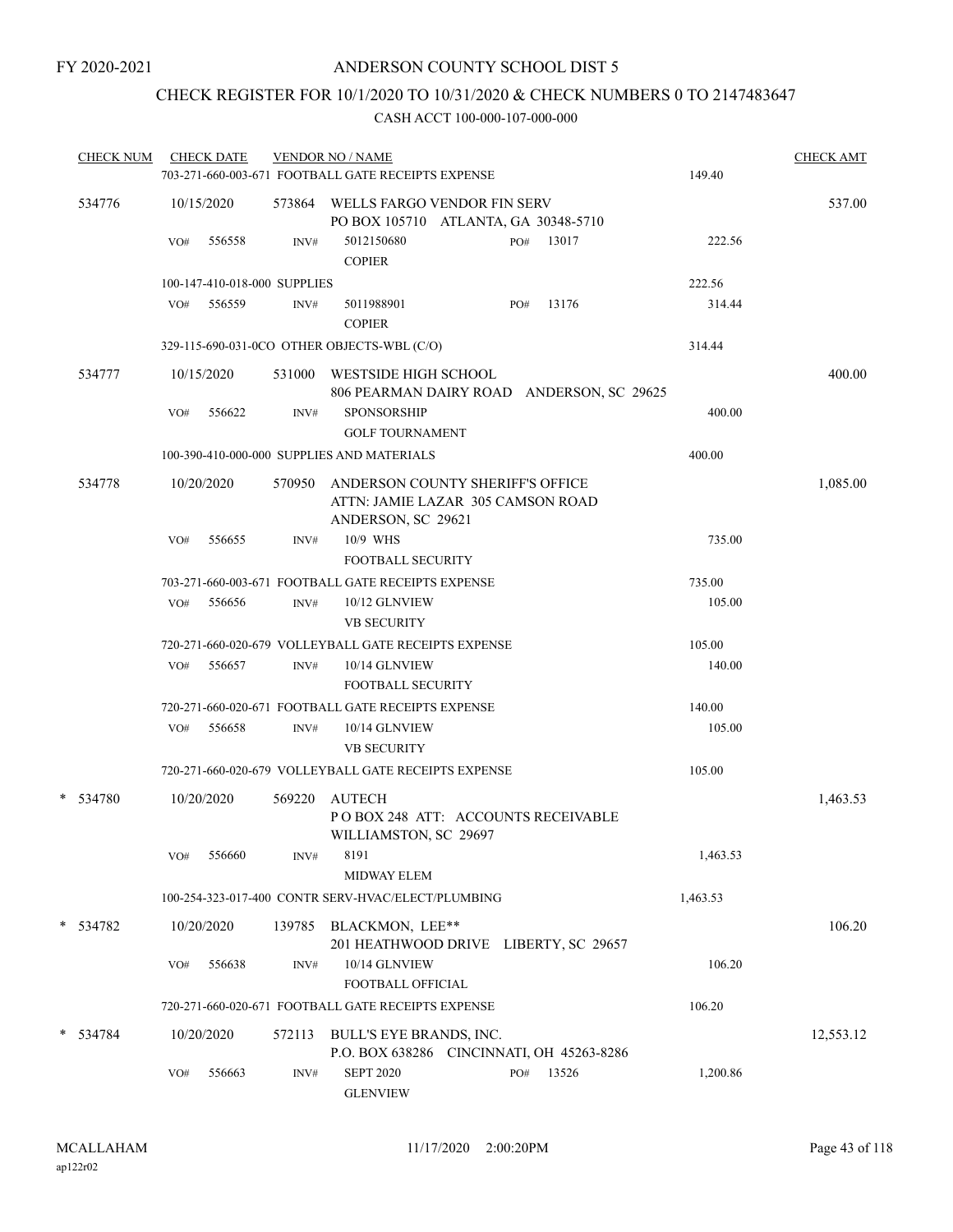## CHECK REGISTER FOR 10/1/2020 TO 10/31/2020 & CHECK NUMBERS 0 TO 2147483647

| <b>CHECK NUM</b> |     | <b>CHECK DATE</b>            |        | <b>VENDOR NO / NAME</b><br>703-271-660-003-671 FOOTBALL GATE RECEIPTS EXPENSE                      |     |       | 149.40   | <b>CHECK AMT</b> |
|------------------|-----|------------------------------|--------|----------------------------------------------------------------------------------------------------|-----|-------|----------|------------------|
|                  |     |                              |        |                                                                                                    |     |       |          |                  |
| 534776           |     | 10/15/2020                   |        | 573864 WELLS FARGO VENDOR FIN SERV<br>PO BOX 105710 ATLANTA, GA 30348-5710                         |     |       |          | 537.00           |
|                  | VO# | 556558                       | INV#   | 5012150680<br><b>COPIER</b>                                                                        | PO# | 13017 | 222.56   |                  |
|                  |     | 100-147-410-018-000 SUPPLIES |        |                                                                                                    |     |       | 222.56   |                  |
|                  | VO# | 556559                       | INV#   | 5011988901<br><b>COPIER</b>                                                                        | PO# | 13176 | 314.44   |                  |
|                  |     |                              |        | 329-115-690-031-0CO OTHER OBJECTS-WBL (C/O)                                                        |     |       | 314.44   |                  |
| 534777           |     | 10/15/2020                   |        | 531000 WESTSIDE HIGH SCHOOL<br>806 PEARMAN DAIRY ROAD ANDERSON, SC 29625                           |     |       |          | 400.00           |
|                  | VO# | 556622                       | INV#   | <b>SPONSORSHIP</b><br><b>GOLF TOURNAMENT</b>                                                       |     |       | 400.00   |                  |
|                  |     |                              |        | 100-390-410-000-000 SUPPLIES AND MATERIALS                                                         |     |       | 400.00   |                  |
| 534778           |     | 10/20/2020                   |        | 570950 ANDERSON COUNTY SHERIFF'S OFFICE<br>ATTN: JAMIE LAZAR 305 CAMSON ROAD<br>ANDERSON, SC 29621 |     |       |          | 1,085.00         |
|                  | VO# | 556655                       | INV#   | 10/9 WHS<br><b>FOOTBALL SECURITY</b>                                                               |     |       | 735.00   |                  |
|                  |     |                              |        | 703-271-660-003-671 FOOTBALL GATE RECEIPTS EXPENSE                                                 |     |       | 735.00   |                  |
|                  | VO# | 556656                       | INV#   | 10/12 GLNVIEW<br><b>VB SECURITY</b>                                                                |     |       | 105.00   |                  |
|                  |     |                              |        | 720-271-660-020-679 VOLLEYBALL GATE RECEIPTS EXPENSE                                               |     |       | 105.00   |                  |
|                  | VO# | 556657                       | INV#   | 10/14 GLNVIEW<br><b>FOOTBALL SECURITY</b>                                                          |     |       | 140.00   |                  |
|                  |     |                              |        | 720-271-660-020-671 FOOTBALL GATE RECEIPTS EXPENSE                                                 |     |       | 140.00   |                  |
|                  | VO# | 556658                       | INV#   | 10/14 GLNVIEW<br><b>VB SECURITY</b>                                                                |     |       | 105.00   |                  |
|                  |     |                              |        | 720-271-660-020-679 VOLLEYBALL GATE RECEIPTS EXPENSE                                               |     |       | 105.00   |                  |
| * 534780         |     | 10/20/2020                   | 569220 | <b>AUTECH</b><br>POBOX 248 ATT: ACCOUNTS RECEIVABLE                                                |     |       |          | 1,463.53         |
|                  | VO# | 556660                       | INV#   | WILLIAMSTON, SC 29697<br>8191<br><b>MIDWAY ELEM</b>                                                |     |       | 1,463.53 |                  |
|                  |     |                              |        | 100-254-323-017-400 CONTR SERV-HVAC/ELECT/PLUMBING                                                 |     |       | 1,463.53 |                  |
| * 534782         |     | 10/20/2020                   | 139785 | BLACKMON, LEE**<br>201 HEATHWOOD DRIVE LIBERTY, SC 29657                                           |     |       |          | 106.20           |
|                  | VO# | 556638                       | INV#   | 10/14 GLNVIEW<br>FOOTBALL OFFICIAL                                                                 |     |       | 106.20   |                  |
|                  |     |                              |        | 720-271-660-020-671 FOOTBALL GATE RECEIPTS EXPENSE                                                 |     |       | 106.20   |                  |
| * 534784         |     | 10/20/2020                   | 572113 | BULL'S EYE BRANDS, INC.<br>P.O. BOX 638286 CINCINNATI, OH 45263-8286                               |     |       |          | 12,553.12        |
|                  | VO# | 556663                       | INV#   | <b>SEPT 2020</b><br><b>GLENVIEW</b>                                                                | PO# | 13526 | 1,200.86 |                  |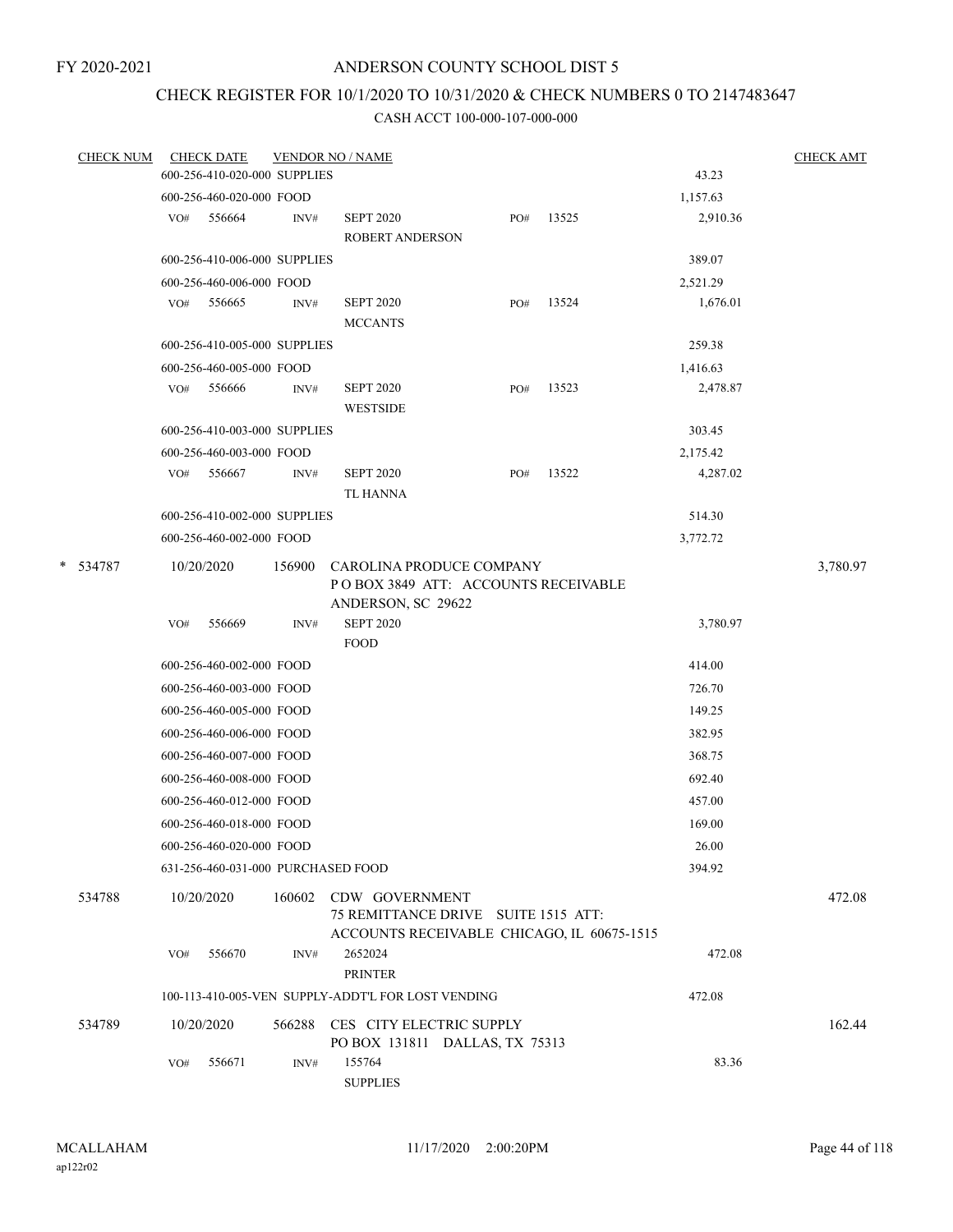## CHECK REGISTER FOR 10/1/2020 TO 10/31/2020 & CHECK NUMBERS 0 TO 2147483647

| <b>CHECK NUM</b> |            | <b>CHECK DATE</b>                  |        | <b>VENDOR NO / NAME</b>                                                                                    |     |       |          | <b>CHECK AMT</b> |
|------------------|------------|------------------------------------|--------|------------------------------------------------------------------------------------------------------------|-----|-------|----------|------------------|
|                  |            | 600-256-410-020-000 SUPPLIES       |        |                                                                                                            |     |       | 43.23    |                  |
|                  |            | 600-256-460-020-000 FOOD           |        |                                                                                                            |     |       | 1,157.63 |                  |
|                  | VO#        | 556664                             | INV#   | <b>SEPT 2020</b><br><b>ROBERT ANDERSON</b>                                                                 | PO# | 13525 | 2,910.36 |                  |
|                  |            | 600-256-410-006-000 SUPPLIES       |        |                                                                                                            |     |       | 389.07   |                  |
|                  |            | 600-256-460-006-000 FOOD           |        |                                                                                                            |     |       | 2,521.29 |                  |
|                  | VO#        | 556665                             | INV#   | <b>SEPT 2020</b><br><b>MCCANTS</b>                                                                         | PO# | 13524 | 1,676.01 |                  |
|                  |            | 600-256-410-005-000 SUPPLIES       |        |                                                                                                            |     |       | 259.38   |                  |
|                  |            | 600-256-460-005-000 FOOD           |        |                                                                                                            |     |       | 1,416.63 |                  |
|                  | VO#        | 556666                             | INV#   | <b>SEPT 2020</b><br><b>WESTSIDE</b>                                                                        | PO# | 13523 | 2,478.87 |                  |
|                  |            | 600-256-410-003-000 SUPPLIES       |        |                                                                                                            |     |       | 303.45   |                  |
|                  |            | 600-256-460-003-000 FOOD           |        |                                                                                                            |     |       | 2,175.42 |                  |
|                  |            | VO# 556667                         | INV#   | <b>SEPT 2020</b><br>TL HANNA                                                                               | PO# | 13522 | 4,287.02 |                  |
|                  |            | 600-256-410-002-000 SUPPLIES       |        |                                                                                                            |     |       | 514.30   |                  |
|                  |            | 600-256-460-002-000 FOOD           |        |                                                                                                            |     |       | 3,772.72 |                  |
| $\ast$<br>534787 | 10/20/2020 |                                    | 156900 | CAROLINA PRODUCE COMPANY<br>POBOX 3849 ATT: ACCOUNTS RECEIVABLE<br>ANDERSON, SC 29622                      |     |       |          | 3,780.97         |
|                  | VO#        | 556669                             | INV#   | <b>SEPT 2020</b><br><b>FOOD</b>                                                                            |     |       | 3,780.97 |                  |
|                  |            | 600-256-460-002-000 FOOD           |        |                                                                                                            |     |       | 414.00   |                  |
|                  |            | 600-256-460-003-000 FOOD           |        |                                                                                                            |     |       | 726.70   |                  |
|                  |            | 600-256-460-005-000 FOOD           |        |                                                                                                            |     |       | 149.25   |                  |
|                  |            | 600-256-460-006-000 FOOD           |        |                                                                                                            |     |       | 382.95   |                  |
|                  |            | 600-256-460-007-000 FOOD           |        |                                                                                                            |     |       | 368.75   |                  |
|                  |            | 600-256-460-008-000 FOOD           |        |                                                                                                            |     |       | 692.40   |                  |
|                  |            | 600-256-460-012-000 FOOD           |        |                                                                                                            |     |       | 457.00   |                  |
|                  |            | 600-256-460-018-000 FOOD           |        |                                                                                                            |     |       | 169.00   |                  |
|                  |            | 600-256-460-020-000 FOOD           |        |                                                                                                            |     |       | 26.00    |                  |
|                  |            | 631-256-460-031-000 PURCHASED FOOD |        |                                                                                                            |     |       | 394.92   |                  |
| 534788           | 10/20/2020 |                                    |        | 160602 CDW GOVERNMENT<br>75 REMITTANCE DRIVE SUITE 1515 ATT:<br>ACCOUNTS RECEIVABLE CHICAGO, IL 60675-1515 |     |       |          | 472.08           |
|                  | VO#        | 556670                             | INV#   | 2652024<br><b>PRINTER</b>                                                                                  |     |       | 472.08   |                  |
|                  |            |                                    |        | 100-113-410-005-VEN SUPPLY-ADDT'L FOR LOST VENDING                                                         |     |       | 472.08   |                  |
| 534789           | 10/20/2020 |                                    |        | 566288 CES CITY ELECTRIC SUPPLY<br>PO BOX 131811 DALLAS, TX 75313                                          |     |       |          | 162.44           |
|                  | VO#        | 556671                             | INV#   | 155764<br><b>SUPPLIES</b>                                                                                  |     |       | 83.36    |                  |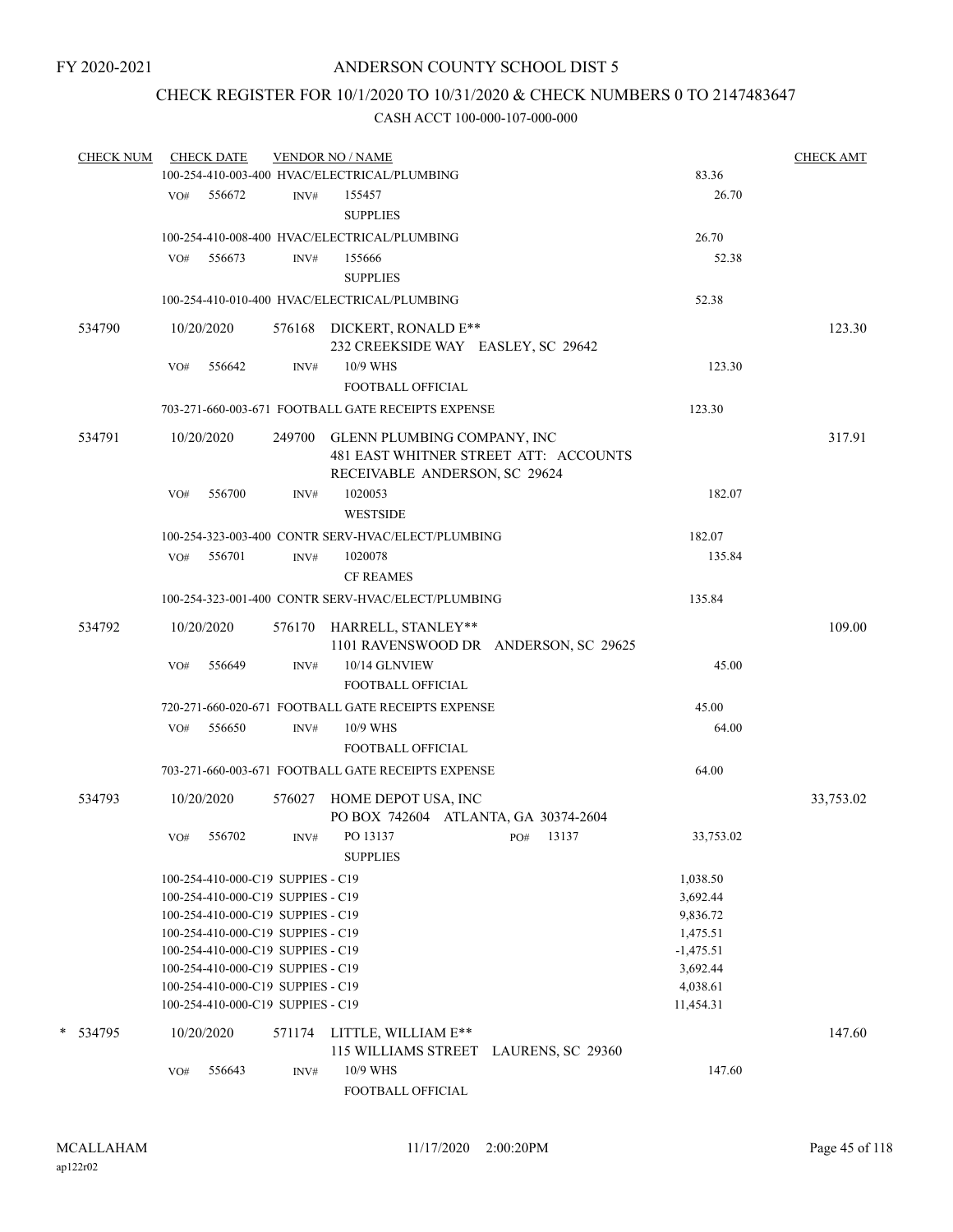## CHECK REGISTER FOR 10/1/2020 TO 10/31/2020 & CHECK NUMBERS 0 TO 2147483647

| <b>CHECK NUM</b> |     | <b>CHECK DATE</b> |                                   | <b>VENDOR NO / NAME</b>                            |                                       |             | <b>CHECK AMT</b> |
|------------------|-----|-------------------|-----------------------------------|----------------------------------------------------|---------------------------------------|-------------|------------------|
|                  |     |                   |                                   | 100-254-410-003-400 HVAC/ELECTRICAL/PLUMBING       |                                       | 83.36       |                  |
|                  | VO# | 556672            | INV#                              | 155457                                             |                                       | 26.70       |                  |
|                  |     |                   |                                   | <b>SUPPLIES</b>                                    |                                       |             |                  |
|                  |     |                   |                                   | 100-254-410-008-400 HVAC/ELECTRICAL/PLUMBING       |                                       | 26.70       |                  |
|                  | VO# | 556673            | INV#                              | 155666                                             |                                       | 52.38       |                  |
|                  |     |                   |                                   | <b>SUPPLIES</b>                                    |                                       |             |                  |
|                  |     |                   |                                   | 100-254-410-010-400 HVAC/ELECTRICAL/PLUMBING       |                                       | 52.38       |                  |
| 534790           |     | 10/20/2020        |                                   | 576168 DICKERT, RONALD E**                         |                                       |             | 123.30           |
|                  |     |                   |                                   | 232 CREEKSIDE WAY EASLEY, SC 29642                 |                                       |             |                  |
|                  | VO# | 556642            | INV#                              | 10/9 WHS                                           |                                       | 123.30      |                  |
|                  |     |                   |                                   | FOOTBALL OFFICIAL                                  |                                       |             |                  |
|                  |     |                   |                                   | 703-271-660-003-671 FOOTBALL GATE RECEIPTS EXPENSE |                                       | 123.30      |                  |
| 534791           |     | 10/20/2020        |                                   | 249700 GLENN PLUMBING COMPANY, INC                 |                                       |             | 317.91           |
|                  |     |                   |                                   |                                                    | 481 EAST WHITNER STREET ATT: ACCOUNTS |             |                  |
|                  |     |                   |                                   | RECEIVABLE ANDERSON, SC 29624                      |                                       |             |                  |
|                  | VO# | 556700            | INV#                              | 1020053                                            |                                       | 182.07      |                  |
|                  |     |                   |                                   | <b>WESTSIDE</b>                                    |                                       |             |                  |
|                  |     |                   |                                   | 100-254-323-003-400 CONTR SERV-HVAC/ELECT/PLUMBING |                                       | 182.07      |                  |
|                  | VO# | 556701            | INV#                              | 1020078                                            |                                       | 135.84      |                  |
|                  |     |                   |                                   | <b>CF REAMES</b>                                   |                                       |             |                  |
|                  |     |                   |                                   |                                                    |                                       |             |                  |
|                  |     |                   |                                   | 100-254-323-001-400 CONTR SERV-HVAC/ELECT/PLUMBING |                                       | 135.84      |                  |
| 534792           |     | 10/20/2020        |                                   | 576170 HARRELL, STANLEY**                          |                                       |             | 109.00           |
|                  |     |                   |                                   |                                                    | 1101 RAVENSWOOD DR ANDERSON, SC 29625 |             |                  |
|                  | VO# | 556649            | INV#                              | 10/14 GLNVIEW                                      |                                       | 45.00       |                  |
|                  |     |                   |                                   | FOOTBALL OFFICIAL                                  |                                       |             |                  |
|                  |     |                   |                                   | 720-271-660-020-671 FOOTBALL GATE RECEIPTS EXPENSE |                                       | 45.00       |                  |
|                  | VO# | 556650            | INV#                              | 10/9 WHS                                           |                                       | 64.00       |                  |
|                  |     |                   |                                   | FOOTBALL OFFICIAL                                  |                                       |             |                  |
|                  |     |                   |                                   | 703-271-660-003-671 FOOTBALL GATE RECEIPTS EXPENSE |                                       | 64.00       |                  |
|                  |     |                   |                                   |                                                    |                                       |             |                  |
| 534793           |     | 10/20/2020        |                                   | 576027 HOME DEPOT USA, INC                         |                                       |             | 33,753.02        |
|                  |     |                   |                                   | PO BOX 742604 ATLANTA, GA 30374-2604               |                                       |             |                  |
|                  | VO# | 556702            | INV#                              | PO 13137                                           | 13137<br>PO#                          | 33,753.02   |                  |
|                  |     |                   |                                   | <b>SUPPLIES</b>                                    |                                       |             |                  |
|                  |     |                   | 100-254-410-000-C19 SUPPIES - C19 |                                                    |                                       | 1,038.50    |                  |
|                  |     |                   | 100-254-410-000-C19 SUPPIES - C19 |                                                    |                                       | 3,692.44    |                  |
|                  |     |                   | 100-254-410-000-C19 SUPPIES - C19 |                                                    |                                       | 9,836.72    |                  |
|                  |     |                   | 100-254-410-000-C19 SUPPIES - C19 |                                                    |                                       | 1,475.51    |                  |
|                  |     |                   | 100-254-410-000-C19 SUPPIES - C19 |                                                    |                                       | $-1,475.51$ |                  |
|                  |     |                   | 100-254-410-000-C19 SUPPIES - C19 |                                                    |                                       | 3,692.44    |                  |
|                  |     |                   | 100-254-410-000-C19 SUPPIES - C19 |                                                    |                                       | 4,038.61    |                  |
|                  |     |                   | 100-254-410-000-C19 SUPPIES - C19 |                                                    |                                       | 11,454.31   |                  |
| * 534795         |     | 10/20/2020        | 571174                            | LITTLE, WILLIAM E**                                |                                       |             | 147.60           |
|                  |     |                   |                                   |                                                    | 115 WILLIAMS STREET LAURENS, SC 29360 |             |                  |
|                  | VO# | 556643            | INV#                              | 10/9 WHS                                           |                                       | 147.60      |                  |
|                  |     |                   |                                   | FOOTBALL OFFICIAL                                  |                                       |             |                  |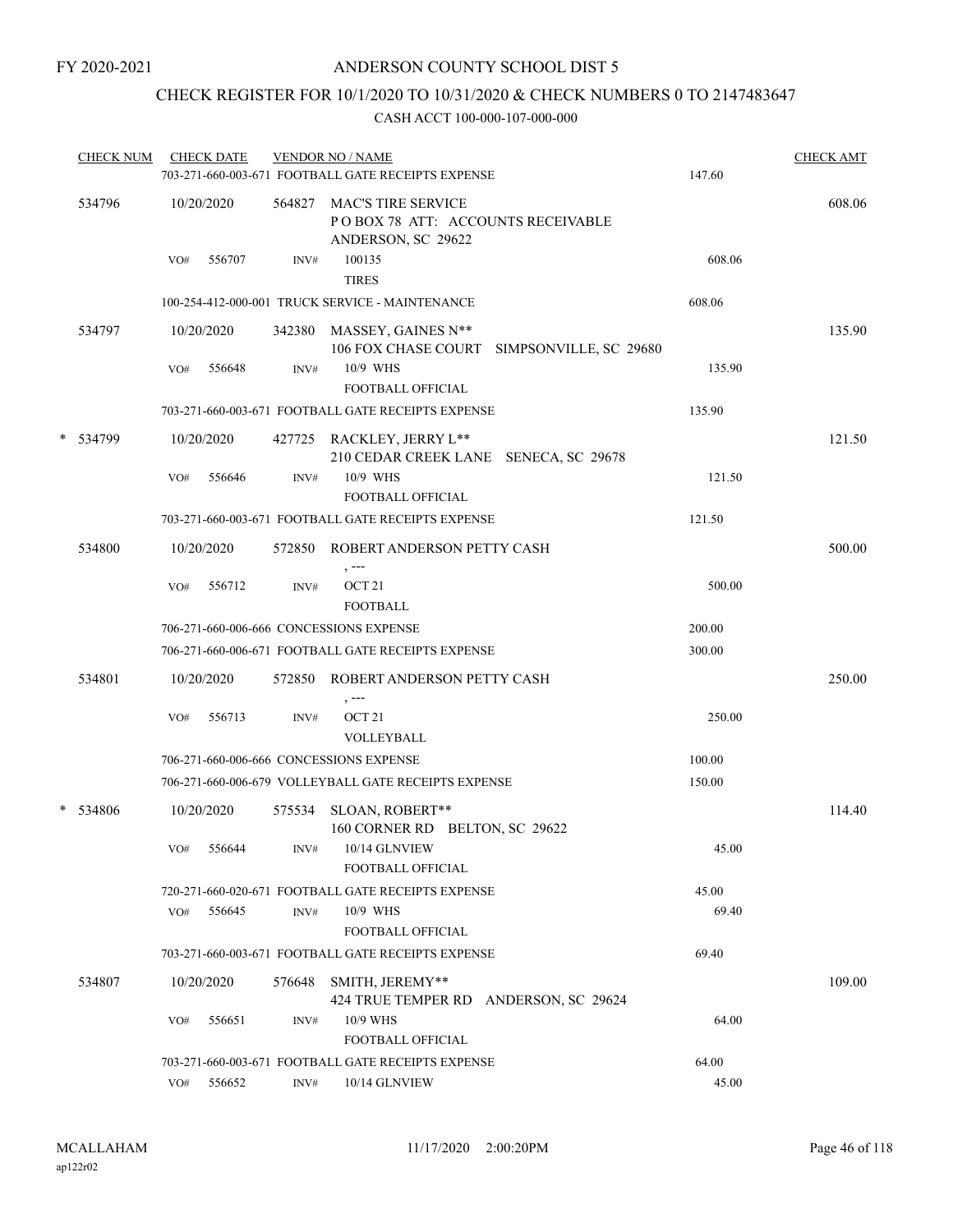## CHECK REGISTER FOR 10/1/2020 TO 10/31/2020 & CHECK NUMBERS 0 TO 2147483647

| <b>CHECK NUM</b> |     | <b>CHECK DATE</b> |        | <b>VENDOR NO / NAME</b><br>703-271-660-003-671 FOOTBALL GATE RECEIPTS EXPENSE        | 147.60 | <b>CHECK AMT</b> |
|------------------|-----|-------------------|--------|--------------------------------------------------------------------------------------|--------|------------------|
| 534796           |     | 10/20/2020        |        | 564827 MAC'S TIRE SERVICE<br>POBOX 78 ATT: ACCOUNTS RECEIVABLE<br>ANDERSON, SC 29622 |        | 608.06           |
|                  | VO# | 556707            | INV#   | 100135<br><b>TIRES</b>                                                               | 608.06 |                  |
|                  |     |                   |        | 100-254-412-000-001 TRUCK SERVICE - MAINTENANCE                                      | 608.06 |                  |
| 534797           |     | 10/20/2020        |        | 342380 MASSEY, GAINES N**<br>106 FOX CHASE COURT SIMPSONVILLE, SC 29680              |        | 135.90           |
|                  | VO# | 556648            | INV#   | 10/9 WHS<br><b>FOOTBALL OFFICIAL</b>                                                 | 135.90 |                  |
|                  |     |                   |        | 703-271-660-003-671 FOOTBALL GATE RECEIPTS EXPENSE                                   | 135.90 |                  |
| * 534799         |     | 10/20/2020        |        | 427725 RACKLEY, JERRY L**<br>210 CEDAR CREEK LANE SENECA, SC 29678                   |        | 121.50           |
|                  | VO# | 556646            | INV#   | 10/9 WHS<br><b>FOOTBALL OFFICIAL</b>                                                 | 121.50 |                  |
|                  |     |                   |        | 703-271-660-003-671 FOOTBALL GATE RECEIPTS EXPENSE                                   | 121.50 |                  |
| 534800           |     | 10/20/2020        |        | 572850 ROBERT ANDERSON PETTY CASH<br>$, -- -$                                        |        | 500.00           |
|                  | VO# | 556712            | INV#   | OCT <sub>21</sub><br><b>FOOTBALL</b>                                                 | 500.00 |                  |
|                  |     |                   |        | 706-271-660-006-666 CONCESSIONS EXPENSE                                              | 200.00 |                  |
|                  |     |                   |        | 706-271-660-006-671 FOOTBALL GATE RECEIPTS EXPENSE                                   | 300.00 |                  |
| 534801           |     | 10/20/2020        |        | 572850 ROBERT ANDERSON PETTY CASH<br>, ---                                           |        | 250.00           |
|                  | VO# | 556713            | INV#   | OCT <sub>21</sub><br>VOLLEYBALL                                                      | 250.00 |                  |
|                  |     |                   |        | 706-271-660-006-666 CONCESSIONS EXPENSE                                              | 100.00 |                  |
|                  |     |                   |        | 706-271-660-006-679 VOLLEYBALL GATE RECEIPTS EXPENSE                                 | 150.00 |                  |
| * 534806         |     | 10/20/2020        | 575534 | SLOAN, ROBERT**<br>160 CORNER RD BELTON, SC 29622                                    |        | 114.40           |
|                  | VO# | 556644            | INV#   | 10/14 GLNVIEW<br>FOOTBALL OFFICIAL                                                   | 45.00  |                  |
|                  |     |                   |        | 720-271-660-020-671 FOOTBALL GATE RECEIPTS EXPENSE                                   | 45.00  |                  |
|                  | VO# | 556645            | INV#   | 10/9 WHS<br><b>FOOTBALL OFFICIAL</b>                                                 | 69.40  |                  |
|                  |     |                   |        | 703-271-660-003-671 FOOTBALL GATE RECEIPTS EXPENSE                                   | 69.40  |                  |
| 534807           |     | 10/20/2020        | 576648 | SMITH, JEREMY**<br>424 TRUE TEMPER RD ANDERSON, SC 29624                             |        | 109.00           |
|                  | VO# | 556651            | INV#   | 10/9 WHS<br><b>FOOTBALL OFFICIAL</b>                                                 | 64.00  |                  |
|                  |     |                   |        | 703-271-660-003-671 FOOTBALL GATE RECEIPTS EXPENSE                                   | 64.00  |                  |
|                  | VO# | 556652            | INV#   | 10/14 GLNVIEW                                                                        | 45.00  |                  |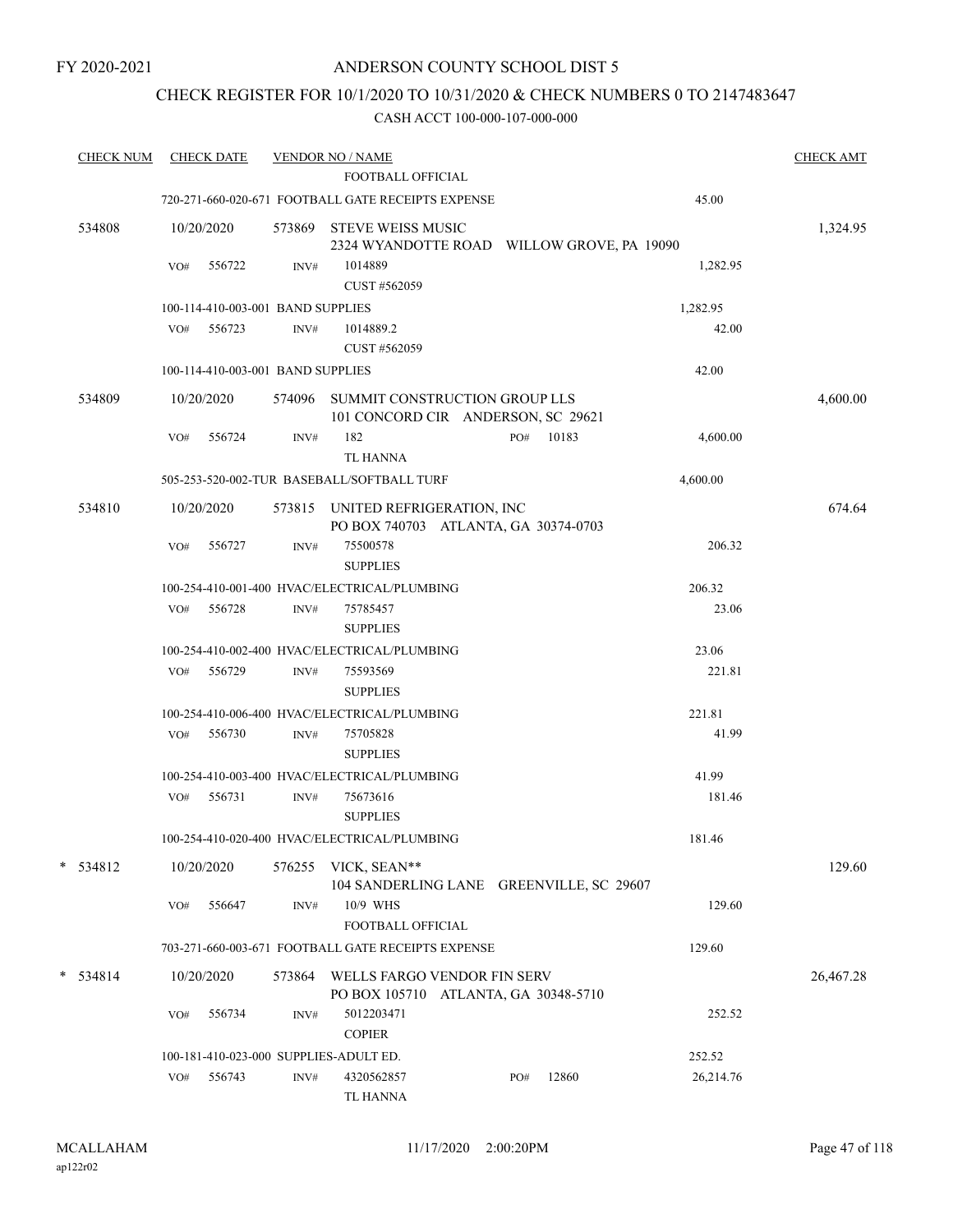## CHECK REGISTER FOR 10/1/2020 TO 10/31/2020 & CHECK NUMBERS 0 TO 2147483647

| <b>CHECK NUM</b> | <b>CHECK DATE</b> |                                        | <b>VENDOR NO / NAME</b>                                                  |              |           | <b>CHECK AMT</b> |
|------------------|-------------------|----------------------------------------|--------------------------------------------------------------------------|--------------|-----------|------------------|
|                  |                   |                                        | <b>FOOTBALL OFFICIAL</b>                                                 |              |           |                  |
|                  |                   |                                        | 720-271-660-020-671 FOOTBALL GATE RECEIPTS EXPENSE                       |              | 45.00     |                  |
| 534808           | 10/20/2020        | 573869                                 | <b>STEVE WEISS MUSIC</b><br>2324 WYANDOTTE ROAD WILLOW GROVE, PA 19090   |              |           | 1,324.95         |
|                  | VO#               | 556722<br>INV#                         | 1014889<br>CUST #562059                                                  |              | 1,282.95  |                  |
|                  |                   | 100-114-410-003-001 BAND SUPPLIES      |                                                                          |              | 1,282.95  |                  |
|                  | VO# 556723        | INV#                                   | 1014889.2                                                                |              | 42.00     |                  |
|                  |                   |                                        | CUST #562059                                                             |              |           |                  |
|                  |                   | 100-114-410-003-001 BAND SUPPLIES      |                                                                          |              | 42.00     |                  |
| 534809           | 10/20/2020        | 574096                                 | SUMMIT CONSTRUCTION GROUP LLS<br>101 CONCORD CIR ANDERSON, SC 29621      |              |           | 4,600.00         |
|                  | VO#               | 556724<br>INV#                         | 182<br><b>TL HANNA</b>                                                   | 10183<br>PO# | 4,600.00  |                  |
|                  |                   |                                        | 505-253-520-002-TUR BASEBALL/SOFTBALL TURF                               |              | 4,600.00  |                  |
| 534810           | 10/20/2020        |                                        | 573815 UNITED REFRIGERATION, INC<br>PO BOX 740703 ATLANTA, GA 30374-0703 |              |           | 674.64           |
|                  | VO#               | 556727<br>INV#                         | 75500578<br><b>SUPPLIES</b>                                              |              | 206.32    |                  |
|                  |                   |                                        | 100-254-410-001-400 HVAC/ELECTRICAL/PLUMBING                             |              | 206.32    |                  |
|                  | VO#               | 556728<br>INV#                         | 75785457<br><b>SUPPLIES</b>                                              |              | 23.06     |                  |
|                  |                   |                                        | 100-254-410-002-400 HVAC/ELECTRICAL/PLUMBING                             |              | 23.06     |                  |
|                  | VO#               | 556729<br>INV#                         | 75593569<br><b>SUPPLIES</b>                                              |              | 221.81    |                  |
|                  |                   |                                        | 100-254-410-006-400 HVAC/ELECTRICAL/PLUMBING                             |              | 221.81    |                  |
|                  | VO#               | 556730<br>INV#                         | 75705828<br><b>SUPPLIES</b>                                              |              | 41.99     |                  |
|                  |                   |                                        | 100-254-410-003-400 HVAC/ELECTRICAL/PLUMBING                             |              | 41.99     |                  |
|                  | VO#               | 556731<br>INV#                         | 75673616<br><b>SUPPLIES</b>                                              |              | 181.46    |                  |
|                  |                   |                                        | 100-254-410-020-400 HVAC/ELECTRICAL/PLUMBING                             |              | 181.46    |                  |
| $* 534812$       | 10/20/2020        |                                        | 576255 VICK, SEAN**<br>104 SANDERLING LANE GREENVILLE, SC 29607          |              |           | 129.60           |
|                  | VO#               | 556647<br>INV#                         | 10/9 WHS<br>FOOTBALL OFFICIAL                                            |              | 129.60    |                  |
|                  |                   |                                        | 703-271-660-003-671 FOOTBALL GATE RECEIPTS EXPENSE                       |              | 129.60    |                  |
| $*$ 534814       | 10/20/2020        | 573864                                 | WELLS FARGO VENDOR FIN SERV<br>PO BOX 105710 ATLANTA, GA 30348-5710      |              |           | 26,467.28        |
|                  | VO#               | 556734<br>INV#                         | 5012203471<br><b>COPIER</b>                                              |              | 252.52    |                  |
|                  |                   | 100-181-410-023-000 SUPPLIES-ADULT ED. |                                                                          |              | 252.52    |                  |
|                  | VO#               | 556743<br>INV#                         | 4320562857<br>TL HANNA                                                   | 12860<br>PO# | 26,214.76 |                  |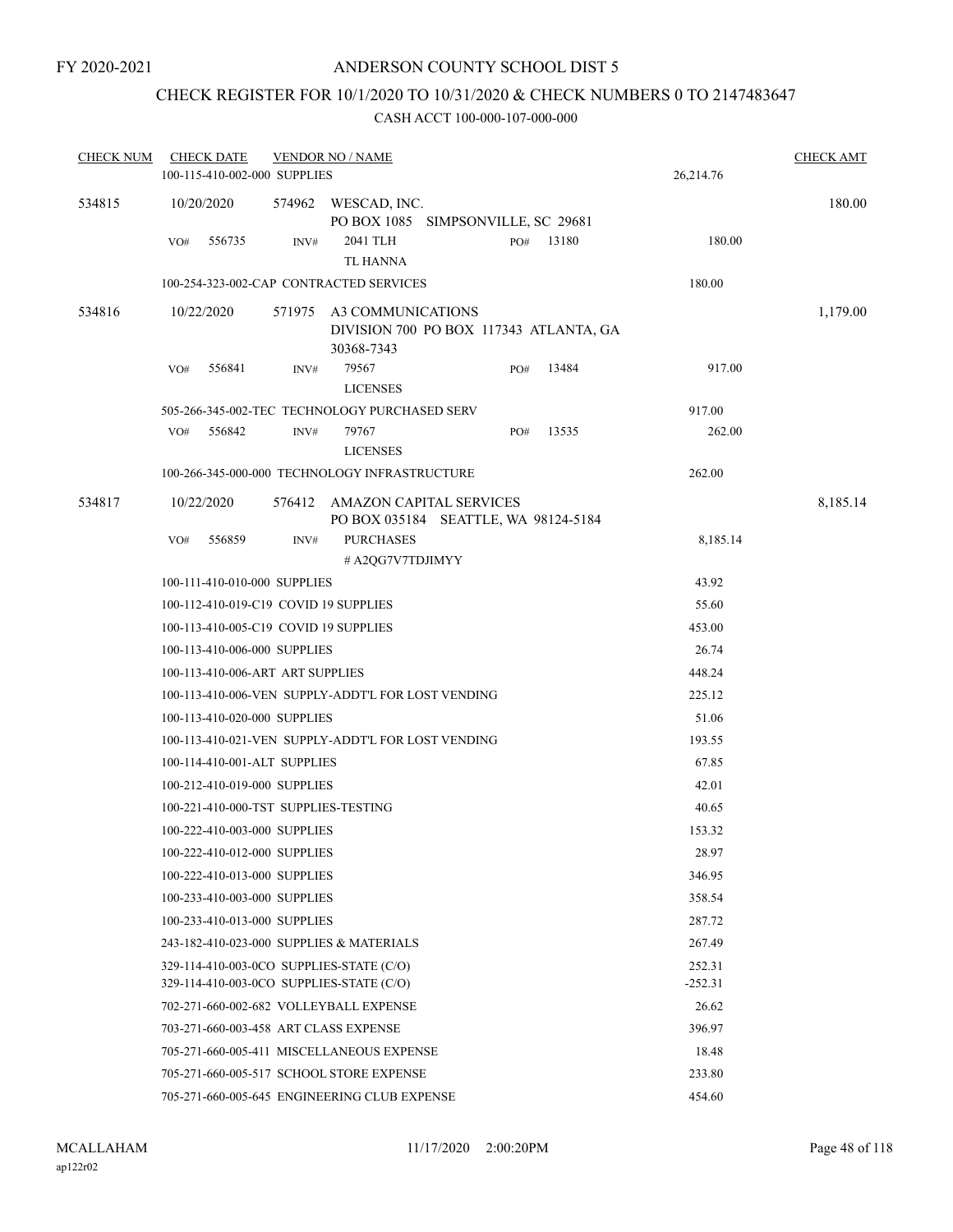## CHECK REGISTER FOR 10/1/2020 TO 10/31/2020 & CHECK NUMBERS 0 TO 2147483647

| <b>CHECK NUM</b> |     | <b>CHECK DATE</b>                |        | <b>VENDOR NO / NAME</b>                                                              |     |       |                     | <b>CHECK AMT</b> |
|------------------|-----|----------------------------------|--------|--------------------------------------------------------------------------------------|-----|-------|---------------------|------------------|
|                  |     | 100-115-410-002-000 SUPPLIES     |        |                                                                                      |     |       | 26,214.76           |                  |
| 534815           |     | 10/20/2020                       | 574962 | WESCAD, INC.<br>PO BOX 1085 SIMPSONVILLE, SC 29681                                   |     |       |                     | 180.00           |
|                  | VO# | 556735                           | INV#   | 2041 TLH<br>TL HANNA                                                                 | PO# | 13180 | 180.00              |                  |
|                  |     |                                  |        | 100-254-323-002-CAP CONTRACTED SERVICES                                              |     |       | 180.00              |                  |
| 534816           |     | 10/22/2020                       | 571975 | A3 COMMUNICATIONS<br>DIVISION 700 PO BOX 117343 ATLANTA, GA<br>30368-7343            |     |       |                     | 1,179.00         |
|                  | VO# | 556841                           | INV#   | 79567<br><b>LICENSES</b>                                                             | PO# | 13484 | 917.00              |                  |
|                  |     |                                  |        | 505-266-345-002-TEC TECHNOLOGY PURCHASED SERV                                        |     |       | 917.00              |                  |
|                  | VO# | 556842                           | INV#   | 79767<br><b>LICENSES</b>                                                             | PO# | 13535 | 262.00              |                  |
|                  |     |                                  |        | 100-266-345-000-000 TECHNOLOGY INFRASTRUCTURE                                        |     |       | 262.00              |                  |
| 534817           |     | 10/22/2020                       | 576412 | AMAZON CAPITAL SERVICES<br>PO BOX 035184 SEATTLE, WA 98124-5184                      |     |       |                     | 8,185.14         |
|                  | VO# | 556859                           | INV#   | <b>PURCHASES</b><br># A2QG7V7TDJIMYY                                                 |     |       | 8,185.14            |                  |
|                  |     | 100-111-410-010-000 SUPPLIES     |        |                                                                                      |     |       | 43.92               |                  |
|                  |     |                                  |        | 100-112-410-019-C19 COVID 19 SUPPLIES                                                |     |       | 55.60               |                  |
|                  |     |                                  |        | 100-113-410-005-C19 COVID 19 SUPPLIES                                                |     |       | 453.00              |                  |
|                  |     | 100-113-410-006-000 SUPPLIES     |        |                                                                                      |     |       | 26.74               |                  |
|                  |     | 100-113-410-006-ART ART SUPPLIES |        |                                                                                      |     |       | 448.24              |                  |
|                  |     |                                  |        | 100-113-410-006-VEN SUPPLY-ADDT'L FOR LOST VENDING                                   |     |       | 225.12              |                  |
|                  |     | 100-113-410-020-000 SUPPLIES     |        |                                                                                      |     |       | 51.06               |                  |
|                  |     |                                  |        | 100-113-410-021-VEN SUPPLY-ADDT'L FOR LOST VENDING                                   |     |       | 193.55              |                  |
|                  |     | 100-114-410-001-ALT SUPPLIES     |        |                                                                                      |     |       | 67.85               |                  |
|                  |     | 100-212-410-019-000 SUPPLIES     |        |                                                                                      |     |       | 42.01               |                  |
|                  |     |                                  |        | 100-221-410-000-TST SUPPLIES-TESTING                                                 |     |       | 40.65               |                  |
|                  |     | 100-222-410-003-000 SUPPLIES     |        |                                                                                      |     |       | 153.32              |                  |
|                  |     | 100-222-410-012-000 SUPPLIES     |        |                                                                                      |     |       | 28.97               |                  |
|                  |     | 100-222-410-013-000 SUPPLIES     |        |                                                                                      |     |       | 346.95              |                  |
|                  |     | 100-233-410-003-000 SUPPLIES     |        |                                                                                      |     |       | 358.54              |                  |
|                  |     | 100-233-410-013-000 SUPPLIES     |        |                                                                                      |     |       | 287.72              |                  |
|                  |     |                                  |        | 243-182-410-023-000 SUPPLIES & MATERIALS                                             |     |       | 267.49              |                  |
|                  |     |                                  |        | 329-114-410-003-0CO SUPPLIES-STATE (C/O)<br>329-114-410-003-0CO SUPPLIES-STATE (C/O) |     |       | 252.31<br>$-252.31$ |                  |
|                  |     |                                  |        | 702-271-660-002-682 VOLLEYBALL EXPENSE                                               |     |       | 26.62               |                  |
|                  |     |                                  |        | 703-271-660-003-458 ART CLASS EXPENSE                                                |     |       | 396.97              |                  |
|                  |     |                                  |        | 705-271-660-005-411 MISCELLANEOUS EXPENSE                                            |     |       | 18.48               |                  |
|                  |     |                                  |        | 705-271-660-005-517 SCHOOL STORE EXPENSE                                             |     |       | 233.80              |                  |
|                  |     |                                  |        | 705-271-660-005-645 ENGINEERING CLUB EXPENSE                                         |     |       | 454.60              |                  |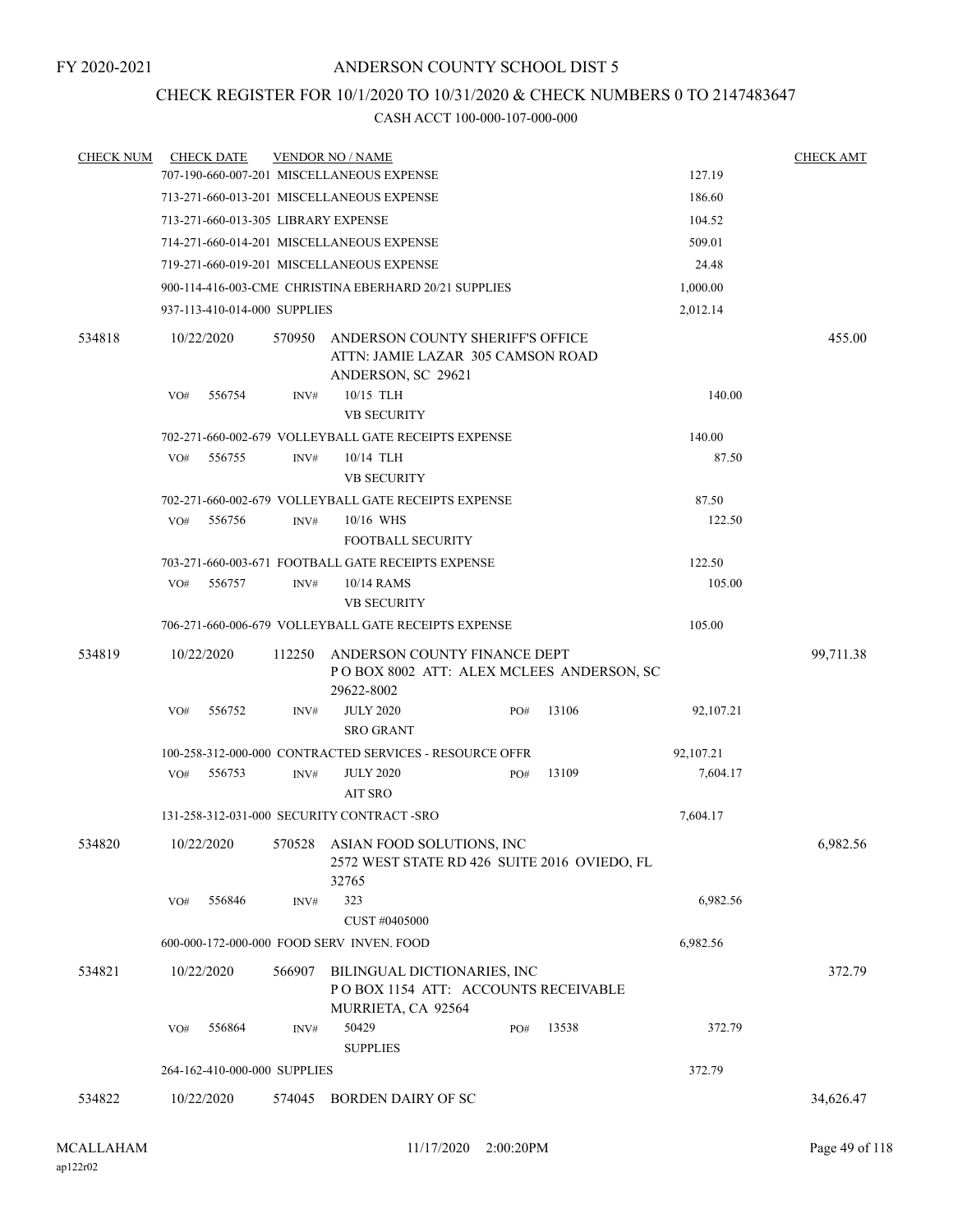## CHECK REGISTER FOR 10/1/2020 TO 10/31/2020 & CHECK NUMBERS 0 TO 2147483647

| <b>CHECK NUM</b> |     | <b>CHECK DATE</b>            |        | <b>VENDOR NO / NAME</b>                                                                              |     |       |           | <b>CHECK AMT</b> |
|------------------|-----|------------------------------|--------|------------------------------------------------------------------------------------------------------|-----|-------|-----------|------------------|
|                  |     |                              |        | 707-190-660-007-201 MISCELLANEOUS EXPENSE                                                            |     |       | 127.19    |                  |
|                  |     |                              |        | 713-271-660-013-201 MISCELLANEOUS EXPENSE                                                            |     |       | 186.60    |                  |
|                  |     |                              |        | 713-271-660-013-305 LIBRARY EXPENSE                                                                  |     |       | 104.52    |                  |
|                  |     |                              |        | 714-271-660-014-201 MISCELLANEOUS EXPENSE                                                            |     |       | 509.01    |                  |
|                  |     |                              |        | 719-271-660-019-201 MISCELLANEOUS EXPENSE                                                            |     |       | 24.48     |                  |
|                  |     |                              |        | 900-114-416-003-CME CHRISTINA EBERHARD 20/21 SUPPLIES                                                |     |       | 1,000.00  |                  |
|                  |     | 937-113-410-014-000 SUPPLIES |        |                                                                                                      |     |       | 2,012.14  |                  |
| 534818           |     | 10/22/2020                   | 570950 | ANDERSON COUNTY SHERIFF'S OFFICE<br>ATTN: JAMIE LAZAR 305 CAMSON ROAD<br>ANDERSON, SC 29621          |     |       |           | 455.00           |
|                  | VO# | 556754                       | INV#   | 10/15 TLH<br><b>VB SECURITY</b>                                                                      |     |       | 140.00    |                  |
|                  |     |                              |        | 702-271-660-002-679 VOLLEYBALL GATE RECEIPTS EXPENSE                                                 |     |       | 140.00    |                  |
|                  | VO# | 556755                       | INV#   | 10/14 TLH<br><b>VB SECURITY</b>                                                                      |     |       | 87.50     |                  |
|                  |     |                              |        | 702-271-660-002-679 VOLLEYBALL GATE RECEIPTS EXPENSE                                                 |     |       | 87.50     |                  |
|                  | VO# | 556756                       | INV#   | 10/16 WHS                                                                                            |     |       | 122.50    |                  |
|                  |     |                              |        | <b>FOOTBALL SECURITY</b>                                                                             |     |       |           |                  |
|                  |     |                              |        | 703-271-660-003-671 FOOTBALL GATE RECEIPTS EXPENSE                                                   |     |       | 122.50    |                  |
|                  | VO# | 556757                       | INV#   | 10/14 RAMS                                                                                           |     |       | 105.00    |                  |
|                  |     |                              |        | <b>VB SECURITY</b>                                                                                   |     |       |           |                  |
|                  |     |                              |        | 706-271-660-006-679 VOLLEYBALL GATE RECEIPTS EXPENSE                                                 |     |       | 105.00    |                  |
| 534819           |     | 10/22/2020                   | 112250 | ANDERSON COUNTY FINANCE DEPT<br>POBOX 8002 ATT: ALEX MCLEES ANDERSON, SC<br>29622-8002               |     |       |           | 99,711.38        |
|                  | VO# | 556752                       | INV#   | <b>JULY 2020</b><br><b>SRO GRANT</b>                                                                 | PO# | 13106 | 92,107.21 |                  |
|                  |     |                              |        | 100-258-312-000-000 CONTRACTED SERVICES - RESOURCE OFFR                                              |     |       | 92,107.21 |                  |
|                  | VO# | 556753                       | INV#   | <b>JULY 2020</b><br>AIT SRO                                                                          | PO# | 13109 | 7,604.17  |                  |
|                  |     |                              |        | 131-258-312-031-000 SECURITY CONTRACT-SRO                                                            |     |       | 7,604.17  |                  |
| 534820           |     |                              |        | 10/22/2020 570528 ASIAN FOOD SOLUTIONS, INC<br>2572 WEST STATE RD 426 SUITE 2016 OVIEDO, FL<br>32765 |     |       |           | 6,982.56         |
|                  | VO# | 556846                       | INV#   | 323<br>CUST #0405000                                                                                 |     |       | 6,982.56  |                  |
|                  |     |                              |        | 600-000-172-000-000 FOOD SERV INVEN. FOOD                                                            |     |       | 6,982.56  |                  |
| 534821           |     | 10/22/2020                   | 566907 | BILINGUAL DICTIONARIES, INC<br>POBOX 1154 ATT: ACCOUNTS RECEIVABLE<br>MURRIETA, CA 92564             |     |       |           | 372.79           |
|                  | VO# | 556864                       | INV#   | 50429<br><b>SUPPLIES</b>                                                                             | PO# | 13538 | 372.79    |                  |
|                  |     | 264-162-410-000-000 SUPPLIES |        |                                                                                                      |     |       | 372.79    |                  |
| 534822           |     | 10/22/2020                   |        | 574045 BORDEN DAIRY OF SC                                                                            |     |       |           | 34,626.47        |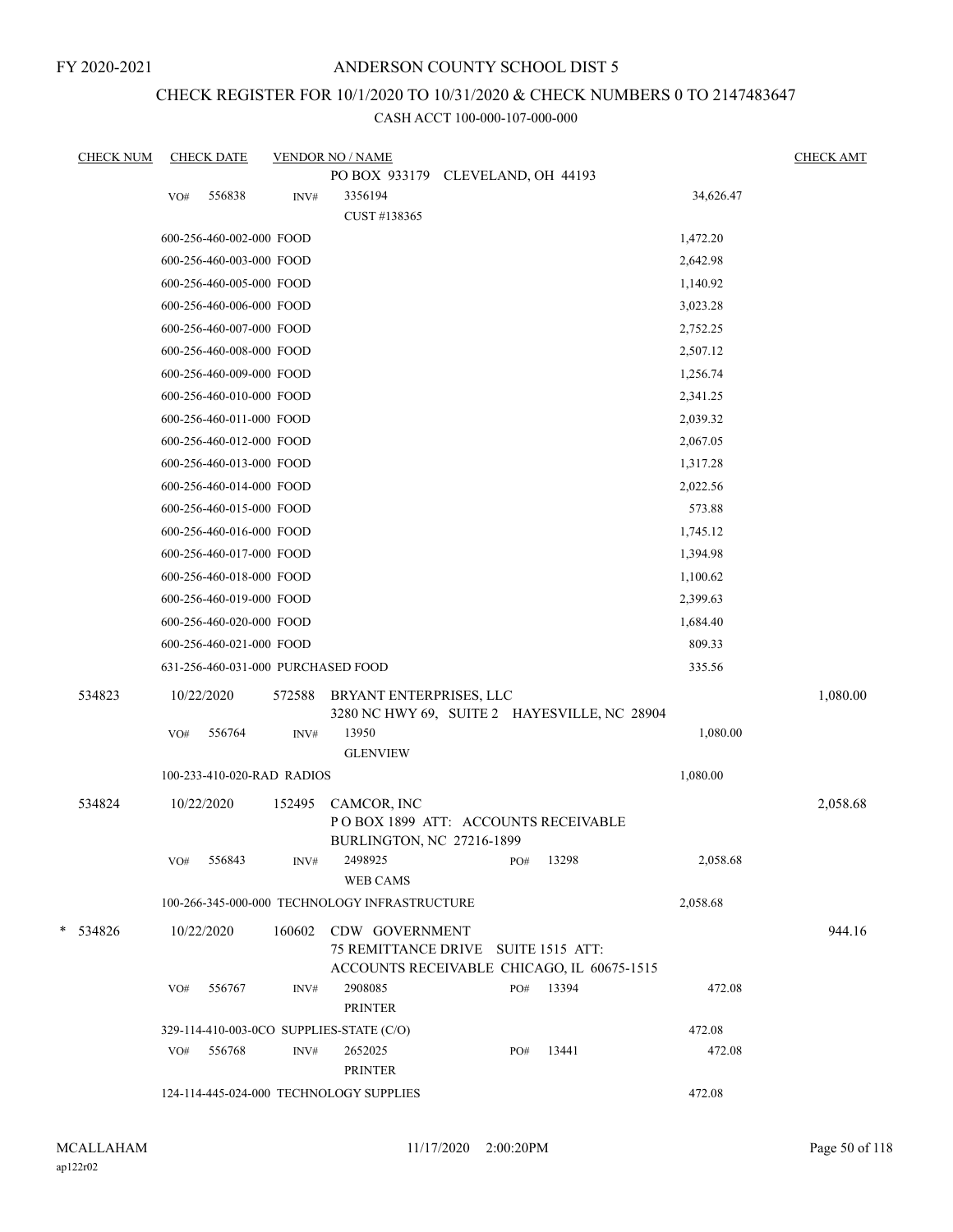FY 2020-2021

## ANDERSON COUNTY SCHOOL DIST 5

# CHECK REGISTER FOR 10/1/2020 TO 10/31/2020 & CHECK NUMBERS 0 TO 2147483647

| <b>CHECK NUM</b> |     | <b>CHECK DATE</b>                  |        | <b>VENDOR NO / NAME</b>                                                         |     |       |           | <b>CHECK AMT</b> |
|------------------|-----|------------------------------------|--------|---------------------------------------------------------------------------------|-----|-------|-----------|------------------|
|                  |     |                                    |        | PO BOX 933179 CLEVELAND, OH 44193                                               |     |       |           |                  |
|                  | VO# | 556838                             | INV#   | 3356194                                                                         |     |       | 34,626.47 |                  |
|                  |     |                                    |        | CUST #138365                                                                    |     |       |           |                  |
|                  |     | 600-256-460-002-000 FOOD           |        |                                                                                 |     |       | 1,472.20  |                  |
|                  |     | 600-256-460-003-000 FOOD           |        |                                                                                 |     |       | 2,642.98  |                  |
|                  |     | 600-256-460-005-000 FOOD           |        |                                                                                 |     |       | 1,140.92  |                  |
|                  |     | 600-256-460-006-000 FOOD           |        |                                                                                 |     |       | 3,023.28  |                  |
|                  |     | 600-256-460-007-000 FOOD           |        |                                                                                 |     |       | 2,752.25  |                  |
|                  |     | 600-256-460-008-000 FOOD           |        |                                                                                 |     |       | 2,507.12  |                  |
|                  |     | 600-256-460-009-000 FOOD           |        |                                                                                 |     |       | 1,256.74  |                  |
|                  |     | 600-256-460-010-000 FOOD           |        |                                                                                 |     |       | 2,341.25  |                  |
|                  |     | 600-256-460-011-000 FOOD           |        |                                                                                 |     |       | 2,039.32  |                  |
|                  |     | 600-256-460-012-000 FOOD           |        |                                                                                 |     |       | 2,067.05  |                  |
|                  |     | 600-256-460-013-000 FOOD           |        |                                                                                 |     |       | 1,317.28  |                  |
|                  |     | 600-256-460-014-000 FOOD           |        |                                                                                 |     |       | 2,022.56  |                  |
|                  |     | 600-256-460-015-000 FOOD           |        |                                                                                 |     |       | 573.88    |                  |
|                  |     | 600-256-460-016-000 FOOD           |        |                                                                                 |     |       | 1,745.12  |                  |
|                  |     | 600-256-460-017-000 FOOD           |        |                                                                                 |     |       | 1,394.98  |                  |
|                  |     | 600-256-460-018-000 FOOD           |        |                                                                                 |     |       | 1,100.62  |                  |
|                  |     | 600-256-460-019-000 FOOD           |        |                                                                                 |     |       | 2,399.63  |                  |
|                  |     | 600-256-460-020-000 FOOD           |        |                                                                                 |     |       | 1,684.40  |                  |
|                  |     | 600-256-460-021-000 FOOD           |        |                                                                                 |     |       | 809.33    |                  |
|                  |     | 631-256-460-031-000 PURCHASED FOOD |        |                                                                                 |     |       | 335.56    |                  |
| 534823           |     | 10/22/2020                         | 572588 | BRYANT ENTERPRISES, LLC                                                         |     |       |           | 1,080.00         |
|                  |     |                                    |        | 3280 NC HWY 69, SUITE 2 HAYESVILLE, NC 28904                                    |     |       |           |                  |
|                  | VO# | 556764                             | INV#   | 13950<br><b>GLENVIEW</b>                                                        |     |       | 1,080.00  |                  |
|                  |     | 100-233-410-020-RAD RADIOS         |        |                                                                                 |     |       | 1,080.00  |                  |
|                  |     |                                    |        |                                                                                 |     |       |           |                  |
| 534824           |     | 10/22/2020                         | 152495 | CAMCOR, INC<br>POBOX 1899 ATT: ACCOUNTS RECEIVABLE<br>BURLINGTON, NC 27216-1899 |     |       |           | 2,058.68         |
|                  | VO# | 556843                             | INV#   | 2498925<br><b>WEB CAMS</b>                                                      | PO# | 13298 | 2,058.68  |                  |
|                  |     |                                    |        | 100-266-345-000-000 TECHNOLOGY INFRASTRUCTURE                                   |     |       | 2,058.68  |                  |
| $*$ 534826       |     | 10/22/2020                         | 160602 | CDW GOVERNMENT                                                                  |     |       |           | 944.16           |
|                  |     |                                    |        | 75 REMITTANCE DRIVE SUITE 1515 ATT:                                             |     |       |           |                  |
|                  |     |                                    |        | ACCOUNTS RECEIVABLE CHICAGO, IL 60675-1515                                      |     |       |           |                  |
|                  | VO# | 556767                             | INV#   | 2908085                                                                         | PO# | 13394 | 472.08    |                  |
|                  |     |                                    |        | <b>PRINTER</b>                                                                  |     |       |           |                  |
|                  |     |                                    |        | 329-114-410-003-0CO SUPPLIES-STATE (C/O)                                        |     |       | 472.08    |                  |
|                  | VO# | 556768                             | INV#   | 2652025<br><b>PRINTER</b>                                                       | PO# | 13441 | 472.08    |                  |
|                  |     |                                    |        |                                                                                 |     |       |           |                  |
|                  |     |                                    |        | 124-114-445-024-000 TECHNOLOGY SUPPLIES                                         |     |       | 472.08    |                  |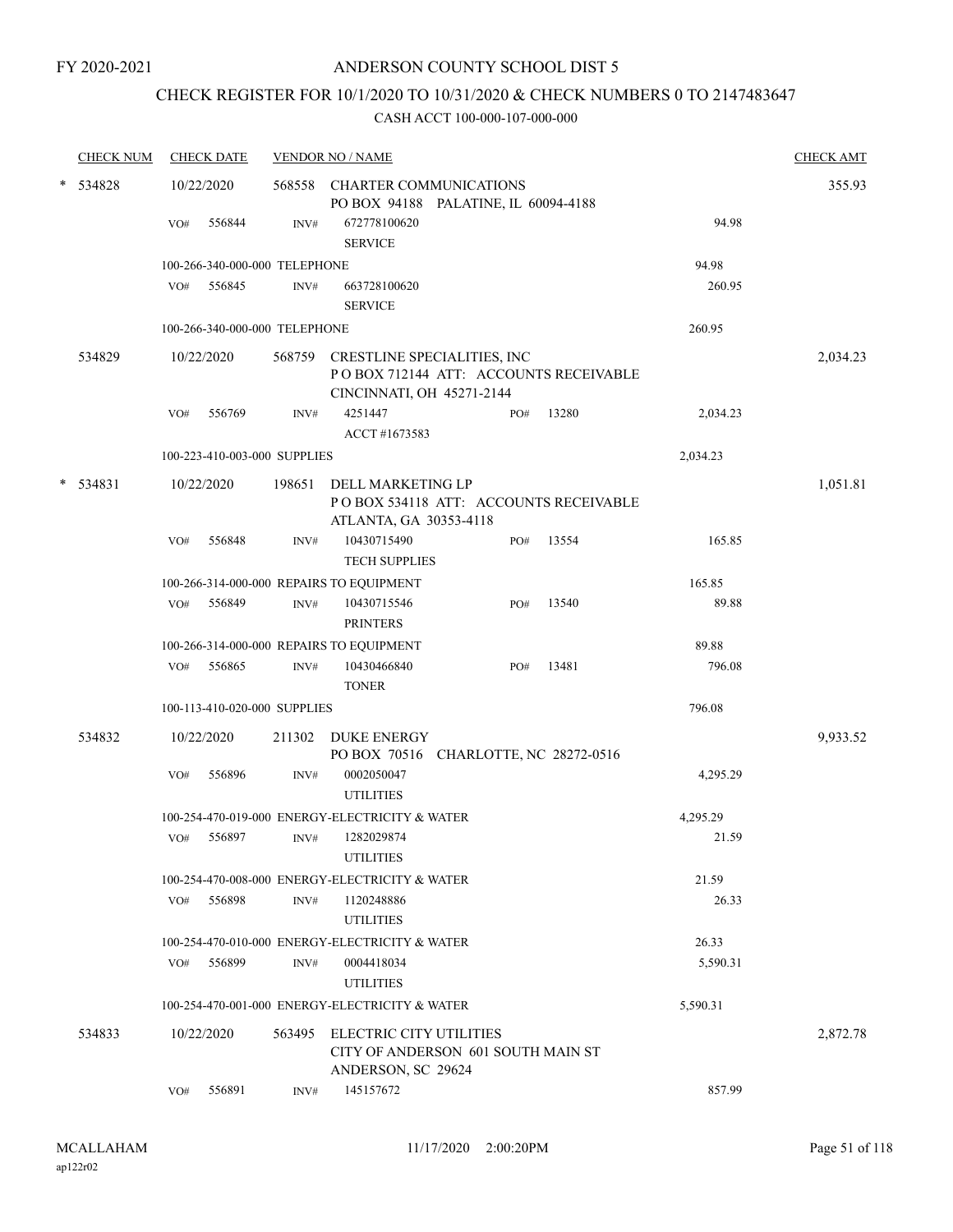# CHECK REGISTER FOR 10/1/2020 TO 10/31/2020 & CHECK NUMBERS 0 TO 2147483647

|        | <b>CHECK NUM</b> |     | <b>CHECK DATE</b>             |        | <b>VENDOR NO / NAME</b>                                                                                   |     |       |          | <b>CHECK AMT</b> |
|--------|------------------|-----|-------------------------------|--------|-----------------------------------------------------------------------------------------------------------|-----|-------|----------|------------------|
| $\ast$ | 534828           |     | 10/22/2020                    |        | 568558 CHARTER COMMUNICATIONS<br>PO BOX 94188 PALATINE, IL 60094-4188                                     |     |       |          | 355.93           |
|        |                  | VO# | 556844                        | INV#   | 672778100620<br><b>SERVICE</b>                                                                            |     |       | 94.98    |                  |
|        |                  |     | 100-266-340-000-000 TELEPHONE |        |                                                                                                           |     |       | 94.98    |                  |
|        |                  |     | VO# 556845                    | INV#   | 663728100620<br><b>SERVICE</b>                                                                            |     |       | 260.95   |                  |
|        |                  |     | 100-266-340-000-000 TELEPHONE |        |                                                                                                           |     |       | 260.95   |                  |
|        | 534829           |     | 10/22/2020                    |        | 568759 CRESTLINE SPECIALITIES, INC<br>PO BOX 712144 ATT: ACCOUNTS RECEIVABLE<br>CINCINNATI, OH 45271-2144 |     |       |          | 2,034.23         |
|        |                  | VO# | 556769                        | INV#   | 4251447<br>ACCT #1673583                                                                                  | PO# | 13280 | 2,034.23 |                  |
|        |                  |     | 100-223-410-003-000 SUPPLIES  |        |                                                                                                           |     |       | 2,034.23 |                  |
| $\ast$ | 534831           |     | 10/22/2020                    | 198651 | DELL MARKETING LP<br>PO BOX 534118 ATT: ACCOUNTS RECEIVABLE<br>ATLANTA, GA 30353-4118                     |     |       |          | 1,051.81         |
|        |                  | VO# | 556848                        | INV#   | 10430715490<br><b>TECH SUPPLIES</b>                                                                       | PO# | 13554 | 165.85   |                  |
|        |                  |     |                               |        | 100-266-314-000-000 REPAIRS TO EQUIPMENT                                                                  |     |       | 165.85   |                  |
|        |                  |     | VO# 556849                    | INV#   | 10430715546<br><b>PRINTERS</b>                                                                            | PO# | 13540 | 89.88    |                  |
|        |                  |     |                               |        | 100-266-314-000-000 REPAIRS TO EQUIPMENT                                                                  |     |       | 89.88    |                  |
|        |                  | VO# | 556865                        | INV#   | 10430466840<br><b>TONER</b>                                                                               | PO# | 13481 | 796.08   |                  |
|        |                  |     | 100-113-410-020-000 SUPPLIES  |        |                                                                                                           |     |       | 796.08   |                  |
|        | 534832           |     | 10/22/2020                    | 211302 | DUKE ENERGY<br>PO BOX 70516 CHARLOTTE, NC 28272-0516                                                      |     |       |          | 9,933.52         |
|        |                  | VO# | 556896                        | INV#   | 0002050047<br><b>UTILITIES</b>                                                                            |     |       | 4,295.29 |                  |
|        |                  |     |                               |        | 100-254-470-019-000 ENERGY-ELECTRICITY & WATER                                                            |     |       | 4,295.29 |                  |
|        |                  | VO# | 556897                        | INV#   | 1282029874<br><b>UTILITIES</b>                                                                            |     |       | 21.59    |                  |
|        |                  |     |                               |        | 100-254-470-008-000 ENERGY-ELECTRICITY & WATER                                                            |     |       | 21.59    |                  |
|        |                  | VO# | 556898                        | INV#   | 1120248886<br><b>UTILITIES</b>                                                                            |     |       | 26.33    |                  |
|        |                  |     |                               |        | 100-254-470-010-000 ENERGY-ELECTRICITY & WATER                                                            |     |       | 26.33    |                  |
|        |                  | VO# | 556899                        | INV#   | 0004418034<br><b>UTILITIES</b>                                                                            |     |       | 5,590.31 |                  |
|        |                  |     |                               |        | 100-254-470-001-000 ENERGY-ELECTRICITY & WATER                                                            |     |       | 5,590.31 |                  |
|        | 534833           |     | 10/22/2020                    |        | 563495 ELECTRIC CITY UTILITIES<br>CITY OF ANDERSON 601 SOUTH MAIN ST<br>ANDERSON, SC 29624                |     |       |          | 2,872.78         |
|        |                  | VO# | 556891                        | INV#   | 145157672                                                                                                 |     |       | 857.99   |                  |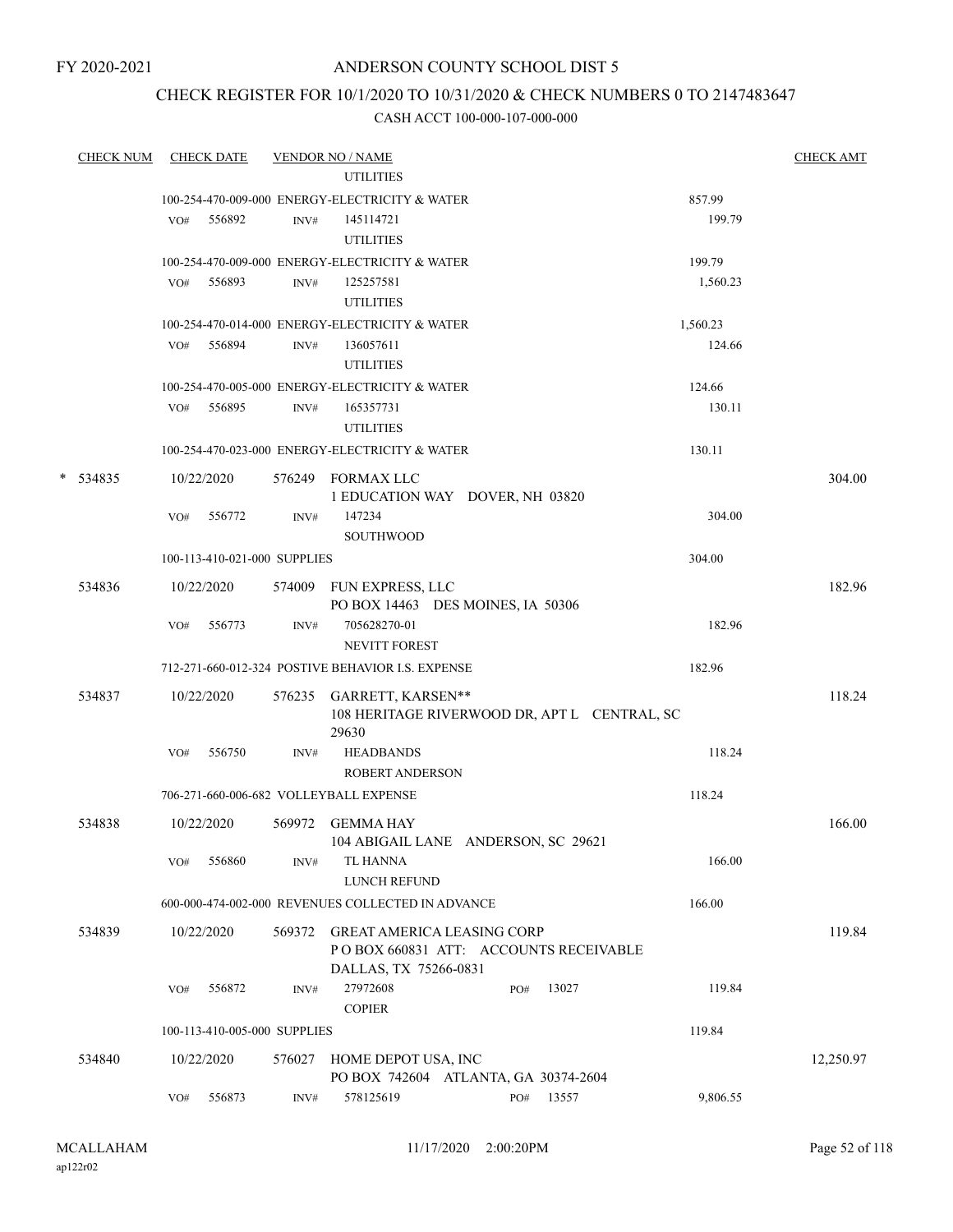FY 2020-2021

## ANDERSON COUNTY SCHOOL DIST 5

## CHECK REGISTER FOR 10/1/2020 TO 10/31/2020 & CHECK NUMBERS 0 TO 2147483647

| <b>CHECK NUM</b> |     | <b>CHECK DATE</b>            |        | <b>VENDOR NO / NAME</b>                                                                              |     |                                              |          | <b>CHECK AMT</b> |
|------------------|-----|------------------------------|--------|------------------------------------------------------------------------------------------------------|-----|----------------------------------------------|----------|------------------|
|                  |     |                              |        | <b>UTILITIES</b>                                                                                     |     |                                              |          |                  |
|                  |     |                              |        | 100-254-470-009-000 ENERGY-ELECTRICITY & WATER                                                       |     |                                              | 857.99   |                  |
|                  |     | VO# 556892                   | INV#   | 145114721<br><b>UTILITIES</b>                                                                        |     |                                              | 199.79   |                  |
|                  |     |                              |        | 100-254-470-009-000 ENERGY-ELECTRICITY & WATER                                                       |     |                                              | 199.79   |                  |
|                  | VO# | 556893                       | INV#   | 125257581<br><b>UTILITIES</b>                                                                        |     |                                              | 1,560.23 |                  |
|                  |     |                              |        | 100-254-470-014-000 ENERGY-ELECTRICITY & WATER                                                       |     |                                              | 1,560.23 |                  |
|                  | VO# | 556894                       | INV#   | 136057611<br><b>UTILITIES</b>                                                                        |     |                                              | 124.66   |                  |
|                  |     |                              |        | 100-254-470-005-000 ENERGY-ELECTRICITY & WATER                                                       |     |                                              | 124.66   |                  |
|                  | VO# | 556895                       | INV#   | 165357731<br><b>UTILITIES</b>                                                                        |     |                                              | 130.11   |                  |
|                  |     |                              |        | 100-254-470-023-000 ENERGY-ELECTRICITY & WATER                                                       |     |                                              | 130.11   |                  |
| $*$ 534835       |     | 10/22/2020                   |        | 576249 FORMAX LLC<br>1 EDUCATION WAY DOVER, NH 03820                                                 |     |                                              |          | 304.00           |
|                  | VO# | 556772                       | INV#   | 147234<br><b>SOUTHWOOD</b>                                                                           |     |                                              | 304.00   |                  |
|                  |     | 100-113-410-021-000 SUPPLIES |        |                                                                                                      |     |                                              | 304.00   |                  |
| 534836           |     | 10/22/2020                   |        | 574009 FUN EXPRESS, LLC<br>PO BOX 14463 DES MOINES, IA 50306                                         |     |                                              |          | 182.96           |
|                  | VO# | 556773                       | INV#   | 705628270-01<br><b>NEVITT FOREST</b>                                                                 |     |                                              | 182.96   |                  |
|                  |     |                              |        | 712-271-660-012-324 POSTIVE BEHAVIOR I.S. EXPENSE                                                    |     |                                              | 182.96   |                  |
| 534837           |     | 10/22/2020                   |        | 576235 GARRETT, KARSEN**<br>29630                                                                    |     | 108 HERITAGE RIVERWOOD DR, APT L CENTRAL, SC |          | 118.24           |
|                  | VO# | 556750                       | INV#   | <b>HEADBANDS</b><br><b>ROBERT ANDERSON</b>                                                           |     |                                              | 118.24   |                  |
|                  |     |                              |        | 706-271-660-006-682 VOLLEYBALL EXPENSE                                                               |     |                                              | 118.24   |                  |
| 534838           |     | 10/22/2020                   |        | 569972 GEMMA HAY<br>104 ABIGAIL LANE ANDERSON, SC 29621                                              |     |                                              |          | 166.00           |
|                  | VO# | 556860                       | INV#   | TL HANNA<br><b>LUNCH REFUND</b>                                                                      |     |                                              | 166.00   |                  |
|                  |     |                              |        | 600-000-474-002-000 REVENUES COLLECTED IN ADVANCE                                                    |     |                                              | 166.00   |                  |
| 534839           |     | 10/22/2020                   | 569372 | <b>GREAT AMERICA LEASING CORP</b><br>PO BOX 660831 ATT: ACCOUNTS RECEIVABLE<br>DALLAS, TX 75266-0831 |     |                                              |          | 119.84           |
|                  | VO# | 556872                       | INV#   | 27972608<br><b>COPIER</b>                                                                            | PO# | 13027                                        | 119.84   |                  |
|                  |     | 100-113-410-005-000 SUPPLIES |        |                                                                                                      |     |                                              | 119.84   |                  |
| 534840           |     | 10/22/2020                   | 576027 | HOME DEPOT USA, INC<br>PO BOX 742604 ATLANTA, GA 30374-2604                                          |     |                                              |          | 12,250.97        |
|                  | VO# | 556873                       | INV#   | 578125619                                                                                            | PO# | 13557                                        | 9,806.55 |                  |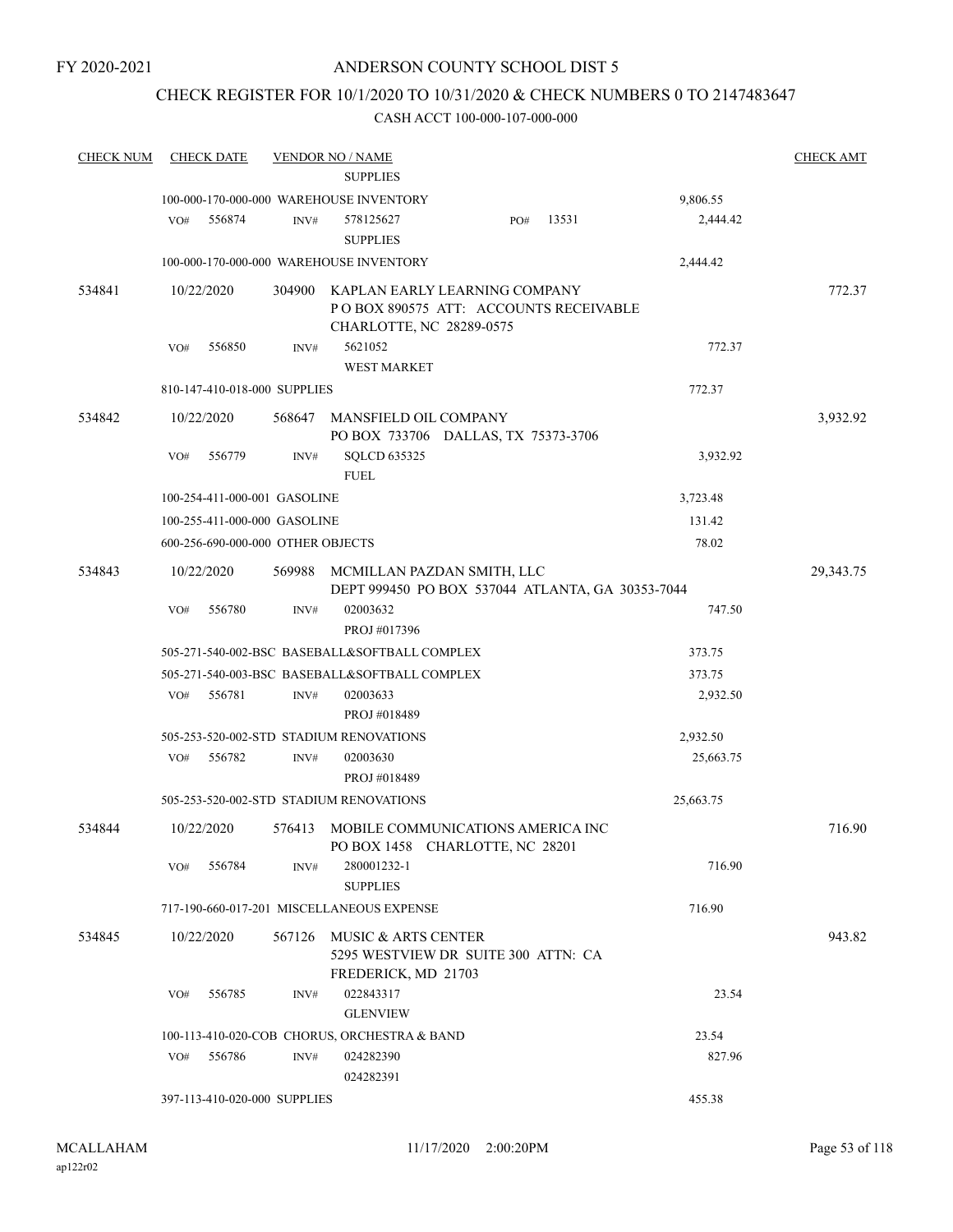## CHECK REGISTER FOR 10/1/2020 TO 10/31/2020 & CHECK NUMBERS 0 TO 2147483647

| <b>CHECK NUM</b> | <b>CHECK DATE</b>                 |        | <b>VENDOR NO / NAME</b>                                                                            |     |       |           | <b>CHECK AMT</b> |
|------------------|-----------------------------------|--------|----------------------------------------------------------------------------------------------------|-----|-------|-----------|------------------|
|                  |                                   |        | <b>SUPPLIES</b>                                                                                    |     |       |           |                  |
|                  |                                   |        | 100-000-170-000-000 WAREHOUSE INVENTORY                                                            |     |       | 9,806.55  |                  |
|                  | VO#<br>556874                     | INV#   | 578125627<br><b>SUPPLIES</b>                                                                       | PO# | 13531 | 2,444.42  |                  |
|                  |                                   |        | 100-000-170-000-000 WAREHOUSE INVENTORY                                                            |     |       | 2,444.42  |                  |
| 534841           | 10/22/2020                        | 304900 | KAPLAN EARLY LEARNING COMPANY<br>POBOX 890575 ATT: ACCOUNTS RECEIVABLE<br>CHARLOTTE, NC 28289-0575 |     |       |           | 772.37           |
|                  | 556850<br>VO#                     | INV#   | 5621052<br><b>WEST MARKET</b>                                                                      |     |       | 772.37    |                  |
|                  | 810-147-410-018-000 SUPPLIES      |        |                                                                                                    |     |       | 772.37    |                  |
| 534842           | 10/22/2020                        | 568647 | MANSFIELD OIL COMPANY<br>PO BOX 733706 DALLAS, TX 75373-3706                                       |     |       |           | 3,932.92         |
|                  | VO#<br>556779                     | INV#   | <b>SQLCD 635325</b><br><b>FUEL</b>                                                                 |     |       | 3,932.92  |                  |
|                  | 100-254-411-000-001 GASOLINE      |        |                                                                                                    |     |       | 3,723.48  |                  |
|                  | 100-255-411-000-000 GASOLINE      |        |                                                                                                    |     |       | 131.42    |                  |
|                  | 600-256-690-000-000 OTHER OBJECTS |        |                                                                                                    |     |       | 78.02     |                  |
| 534843           | 10/22/2020                        | 569988 | MCMILLAN PAZDAN SMITH, LLC<br>DEPT 999450 PO BOX 537044 ATLANTA, GA 30353-7044                     |     |       |           | 29,343.75        |
|                  | 556780<br>VO#                     | INV#   | 02003632                                                                                           |     |       | 747.50    |                  |
|                  |                                   |        | PROJ #017396                                                                                       |     |       |           |                  |
|                  |                                   |        | 505-271-540-002-BSC BASEBALL&SOFTBALL COMPLEX                                                      |     |       | 373.75    |                  |
|                  |                                   |        | 505-271-540-003-BSC BASEBALL&SOFTBALL COMPLEX                                                      |     |       | 373.75    |                  |
|                  | 556781<br>VO#                     | INV#   | 02003633<br>PROJ #018489                                                                           |     |       | 2,932.50  |                  |
|                  |                                   |        | 505-253-520-002-STD STADIUM RENOVATIONS                                                            |     |       | 2,932.50  |                  |
|                  | 556782<br>VO#                     | INV#   | 02003630<br>PROJ #018489                                                                           |     |       | 25,663.75 |                  |
|                  |                                   |        | 505-253-520-002-STD STADIUM RENOVATIONS                                                            |     |       | 25,663.75 |                  |
| 534844           | 10/22/2020                        |        | 576413 MOBILE COMMUNICATIONS AMERICA INC<br>PO BOX 1458 CHARLOTTE, NC 28201                        |     |       |           | 716.90           |
|                  | 556784<br>VO#                     | INV#   | 280001232-1<br><b>SUPPLIES</b>                                                                     |     |       | 716.90    |                  |
|                  |                                   |        | 717-190-660-017-201 MISCELLANEOUS EXPENSE                                                          |     |       | 716.90    |                  |
| 534845           | 10/22/2020                        | 567126 | MUSIC & ARTS CENTER<br>5295 WESTVIEW DR SUITE 300 ATTN: CA<br>FREDERICK, MD 21703                  |     |       |           | 943.82           |
|                  | VO#<br>556785                     | INV#   | 022843317<br><b>GLENVIEW</b>                                                                       |     |       | 23.54     |                  |
|                  |                                   |        | 100-113-410-020-COB CHORUS, ORCHESTRA & BAND                                                       |     |       | 23.54     |                  |
|                  | 556786<br>VO#                     | INV#   | 024282390<br>024282391                                                                             |     |       | 827.96    |                  |
|                  | 397-113-410-020-000 SUPPLIES      |        |                                                                                                    |     |       | 455.38    |                  |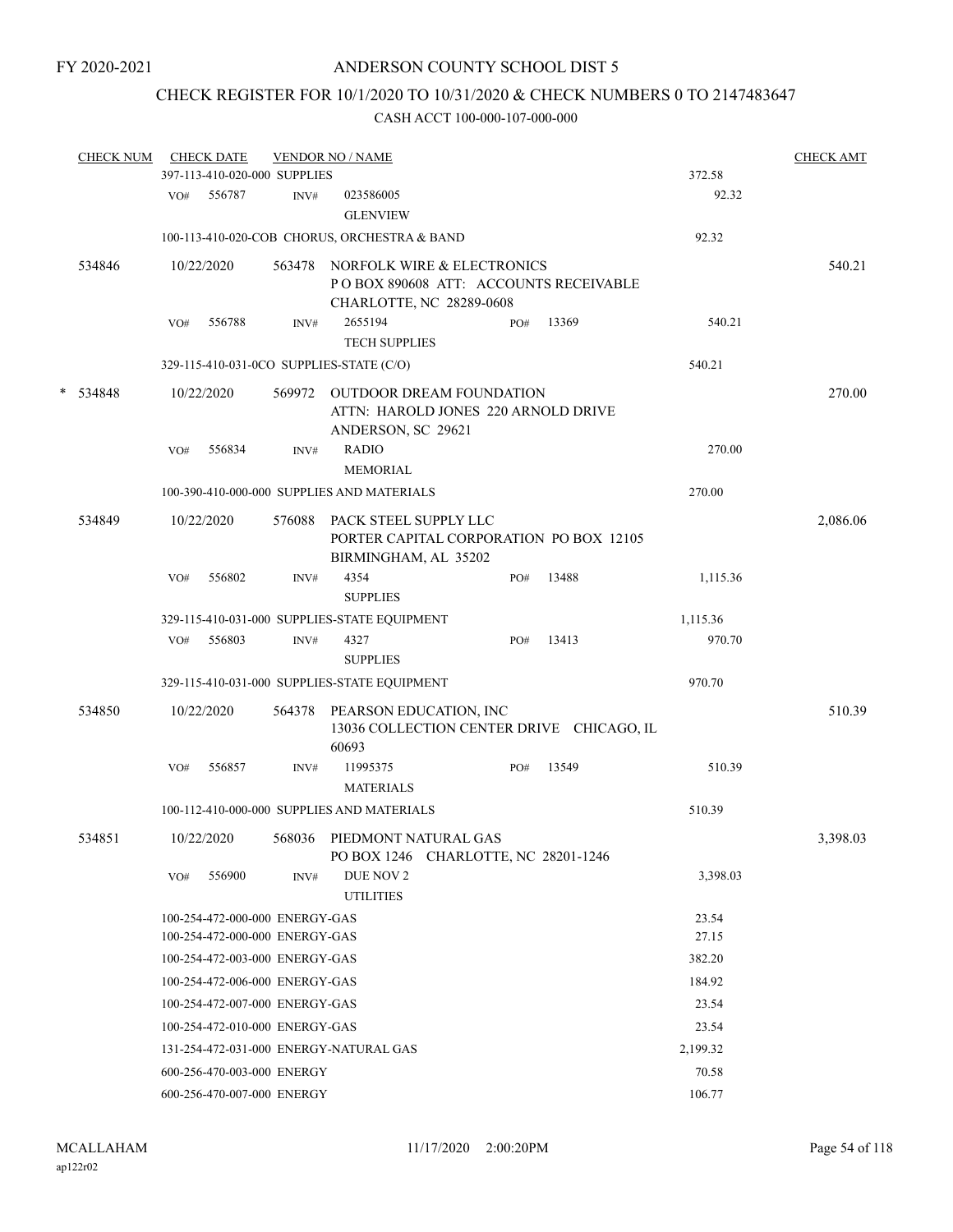# CHECK REGISTER FOR 10/1/2020 TO 10/31/2020 & CHECK NUMBERS 0 TO 2147483647

|   | <b>CHECK NUM</b> |     | <b>CHECK DATE</b>              | <b>VENDOR NO / NAME</b> |                                               | <b>CHECK AMT</b>                                                       |       |          |          |
|---|------------------|-----|--------------------------------|-------------------------|-----------------------------------------------|------------------------------------------------------------------------|-------|----------|----------|
|   |                  |     | 397-113-410-020-000 SUPPLIES   |                         |                                               |                                                                        |       | 372.58   |          |
|   |                  | VO# | 556787                         | INV#                    | 023586005<br><b>GLENVIEW</b>                  |                                                                        |       | 92.32    |          |
|   |                  |     |                                |                         | 100-113-410-020-COB CHORUS, ORCHESTRA & BAND  |                                                                        |       | 92.32    |          |
|   | 534846           |     | 10/22/2020                     | 563478                  | CHARLOTTE, NC 28289-0608                      | NORFOLK WIRE & ELECTRONICS<br>POBOX 890608 ATT: ACCOUNTS RECEIVABLE    |       |          | 540.21   |
|   |                  | VO# | 556788                         | INV#                    | 2655194<br><b>TECH SUPPLIES</b>               | PO#                                                                    | 13369 | 540.21   |          |
|   |                  |     |                                |                         | 329-115-410-031-0CO SUPPLIES-STATE (C/O)      |                                                                        |       | 540.21   |          |
|   |                  |     |                                |                         |                                               |                                                                        |       |          |          |
| * | 534848           |     | 10/22/2020                     | 569972                  | ANDERSON, SC 29621                            | <b>OUTDOOR DREAM FOUNDATION</b><br>ATTN: HAROLD JONES 220 ARNOLD DRIVE |       |          | 270.00   |
|   |                  | VO# | 556834                         | INV#                    | <b>RADIO</b><br>MEMORIAL                      |                                                                        |       | 270.00   |          |
|   |                  |     |                                |                         | 100-390-410-000-000 SUPPLIES AND MATERIALS    |                                                                        |       | 270.00   |          |
|   | 534849           |     | 10/22/2020                     | 576088                  | PACK STEEL SUPPLY LLC<br>BIRMINGHAM, AL 35202 | PORTER CAPITAL CORPORATION PO BOX 12105                                |       |          | 2,086.06 |
|   |                  | VO# | 556802                         | INV#                    | 4354<br><b>SUPPLIES</b>                       | PO#                                                                    | 13488 | 1,115.36 |          |
|   |                  |     |                                |                         | 329-115-410-031-000 SUPPLIES-STATE EQUIPMENT  |                                                                        |       | 1,115.36 |          |
|   |                  | VO# | 556803                         | INV#                    | 4327<br><b>SUPPLIES</b>                       | PO#                                                                    | 13413 | 970.70   |          |
|   |                  |     |                                |                         | 329-115-410-031-000 SUPPLIES-STATE EQUIPMENT  |                                                                        |       | 970.70   |          |
|   |                  |     |                                |                         |                                               |                                                                        |       |          |          |
|   | 534850           |     | 10/22/2020                     | 564378                  | PEARSON EDUCATION, INC<br>60693               | 13036 COLLECTION CENTER DRIVE CHICAGO, IL                              |       |          | 510.39   |
|   |                  | VO# | 556857                         | INV#                    | 11995375<br><b>MATERIALS</b>                  | PO#                                                                    | 13549 | 510.39   |          |
|   |                  |     |                                |                         | 100-112-410-000-000 SUPPLIES AND MATERIALS    |                                                                        |       | 510.39   |          |
|   | 534851           |     | 10/22/2020                     |                         | 568036 PIEDMONT NATURAL GAS                   | PO BOX 1246 CHARLOTTE, NC 28201-1246                                   |       |          | 3,398.03 |
|   |                  | VO# | 556900                         | INV#                    | DUE NOV 2<br><b>UTILITIES</b>                 |                                                                        |       | 3,398.03 |          |
|   |                  |     | 100-254-472-000-000 ENERGY-GAS |                         |                                               |                                                                        |       | 23.54    |          |
|   |                  |     | 100-254-472-000-000 ENERGY-GAS |                         |                                               |                                                                        |       | 27.15    |          |
|   |                  |     | 100-254-472-003-000 ENERGY-GAS |                         |                                               |                                                                        |       | 382.20   |          |
|   |                  |     | 100-254-472-006-000 ENERGY-GAS |                         |                                               |                                                                        |       | 184.92   |          |
|   |                  |     | 100-254-472-007-000 ENERGY-GAS |                         |                                               |                                                                        |       | 23.54    |          |
|   |                  |     | 100-254-472-010-000 ENERGY-GAS |                         |                                               |                                                                        |       | 23.54    |          |
|   |                  |     |                                |                         | 131-254-472-031-000 ENERGY-NATURAL GAS        |                                                                        |       | 2,199.32 |          |
|   |                  |     | 600-256-470-003-000 ENERGY     |                         |                                               |                                                                        |       | 70.58    |          |
|   |                  |     | 600-256-470-007-000 ENERGY     |                         |                                               |                                                                        |       | 106.77   |          |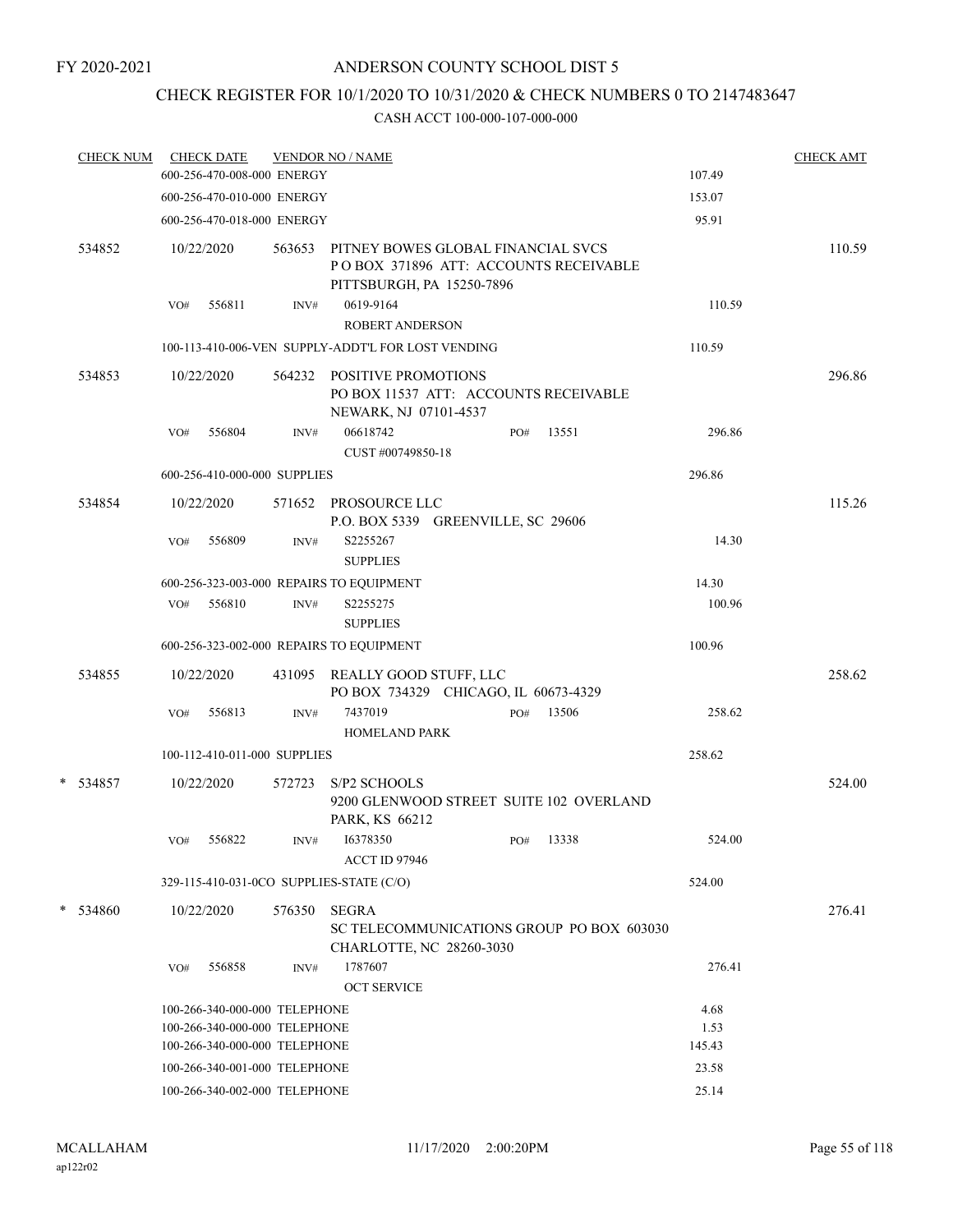# CHECK REGISTER FOR 10/1/2020 TO 10/31/2020 & CHECK NUMBERS 0 TO 2147483647

|   | <b>CHECK NUM</b> |     | <b>CHECK DATE</b><br>600-256-470-008-000 ENERGY                |        | <b>VENDOR NO / NAME</b>                                                                                  |     |           | 107.49       | <b>CHECK AMT</b> |
|---|------------------|-----|----------------------------------------------------------------|--------|----------------------------------------------------------------------------------------------------------|-----|-----------|--------------|------------------|
|   |                  |     | 600-256-470-010-000 ENERGY                                     |        |                                                                                                          |     |           | 153.07       |                  |
|   |                  |     |                                                                |        |                                                                                                          |     |           | 95.91        |                  |
|   |                  |     | 600-256-470-018-000 ENERGY                                     |        |                                                                                                          |     |           |              |                  |
|   | 534852           |     | 10/22/2020                                                     | 563653 | PITNEY BOWES GLOBAL FINANCIAL SVCS<br>POBOX 371896 ATT: ACCOUNTS RECEIVABLE<br>PITTSBURGH, PA 15250-7896 |     |           |              | 110.59           |
|   |                  | VO# | 556811                                                         | INV#   | 0619-9164                                                                                                |     |           | 110.59       |                  |
|   |                  |     |                                                                |        | <b>ROBERT ANDERSON</b>                                                                                   |     |           |              |                  |
|   |                  |     |                                                                |        | 100-113-410-006-VEN SUPPLY-ADDT'L FOR LOST VENDING                                                       |     |           | 110.59       |                  |
|   | 534853           |     | 10/22/2020                                                     |        | 564232 POSITIVE PROMOTIONS                                                                               |     |           |              | 296.86           |
|   |                  |     |                                                                |        | PO BOX 11537 ATT: ACCOUNTS RECEIVABLE<br>NEWARK, NJ 07101-4537                                           |     |           |              |                  |
|   |                  | VO# | 556804                                                         | INV#   | 06618742<br>CUST #00749850-18                                                                            | PO# | 13551     | 296.86       |                  |
|   |                  |     | 600-256-410-000-000 SUPPLIES                                   |        |                                                                                                          |     |           | 296.86       |                  |
|   | 534854           |     | 10/22/2020                                                     |        | 571652 PROSOURCE LLC<br>P.O. BOX 5339 GREENVILLE, SC 29606                                               |     |           |              | 115.26           |
|   |                  | VO# | 556809                                                         | INV#   | S2255267<br><b>SUPPLIES</b>                                                                              |     |           | 14.30        |                  |
|   |                  |     |                                                                |        | 600-256-323-003-000 REPAIRS TO EQUIPMENT                                                                 |     |           | 14.30        |                  |
|   |                  | VO# | 556810                                                         | INV#   | S2255275<br><b>SUPPLIES</b>                                                                              |     |           | 100.96       |                  |
|   |                  |     |                                                                |        | 600-256-323-002-000 REPAIRS TO EQUIPMENT                                                                 |     |           | 100.96       |                  |
|   | 534855           |     | 10/22/2020                                                     |        | 431095 REALLY GOOD STUFF, LLC<br>PO BOX 734329 CHICAGO, IL 60673-4329                                    |     |           |              | 258.62           |
|   |                  | VO# | 556813                                                         | INV#   | 7437019<br><b>HOMELAND PARK</b>                                                                          | PO# | 13506     | 258.62       |                  |
|   |                  |     | 100-112-410-011-000 SUPPLIES                                   |        |                                                                                                          |     |           | 258.62       |                  |
|   | * 534857         |     | 10/22/2020                                                     | 572723 | S/P2 SCHOOLS<br>9200 GLENWOOD STREET SUITE 102 OVERLAND<br>PARK, KS 66212                                |     |           |              | 524.00           |
|   |                  | VO# | 556822                                                         | INV#   | 16378350                                                                                                 |     | PO# 13338 | 524.00       |                  |
|   |                  |     |                                                                |        | <b>ACCT ID 97946</b>                                                                                     |     |           |              |                  |
|   |                  |     |                                                                |        | 329-115-410-031-0CO SUPPLIES-STATE (C/O)                                                                 |     |           | 524.00       |                  |
| * | 534860           |     | 10/22/2020                                                     | 576350 | <b>SEGRA</b><br>SC TELECOMMUNICATIONS GROUP PO BOX 603030                                                |     |           |              | 276.41           |
|   |                  | VO# | 556858                                                         | INV#   | CHARLOTTE, NC 28260-3030<br>1787607                                                                      |     |           | 276.41       |                  |
|   |                  |     |                                                                |        | <b>OCT SERVICE</b>                                                                                       |     |           |              |                  |
|   |                  |     | 100-266-340-000-000 TELEPHONE<br>100-266-340-000-000 TELEPHONE |        |                                                                                                          |     |           | 4.68<br>1.53 |                  |
|   |                  |     | 100-266-340-000-000 TELEPHONE                                  |        |                                                                                                          |     |           | 145.43       |                  |
|   |                  |     | 100-266-340-001-000 TELEPHONE                                  |        |                                                                                                          |     |           | 23.58        |                  |
|   |                  |     | 100-266-340-002-000 TELEPHONE                                  |        |                                                                                                          |     |           | 25.14        |                  |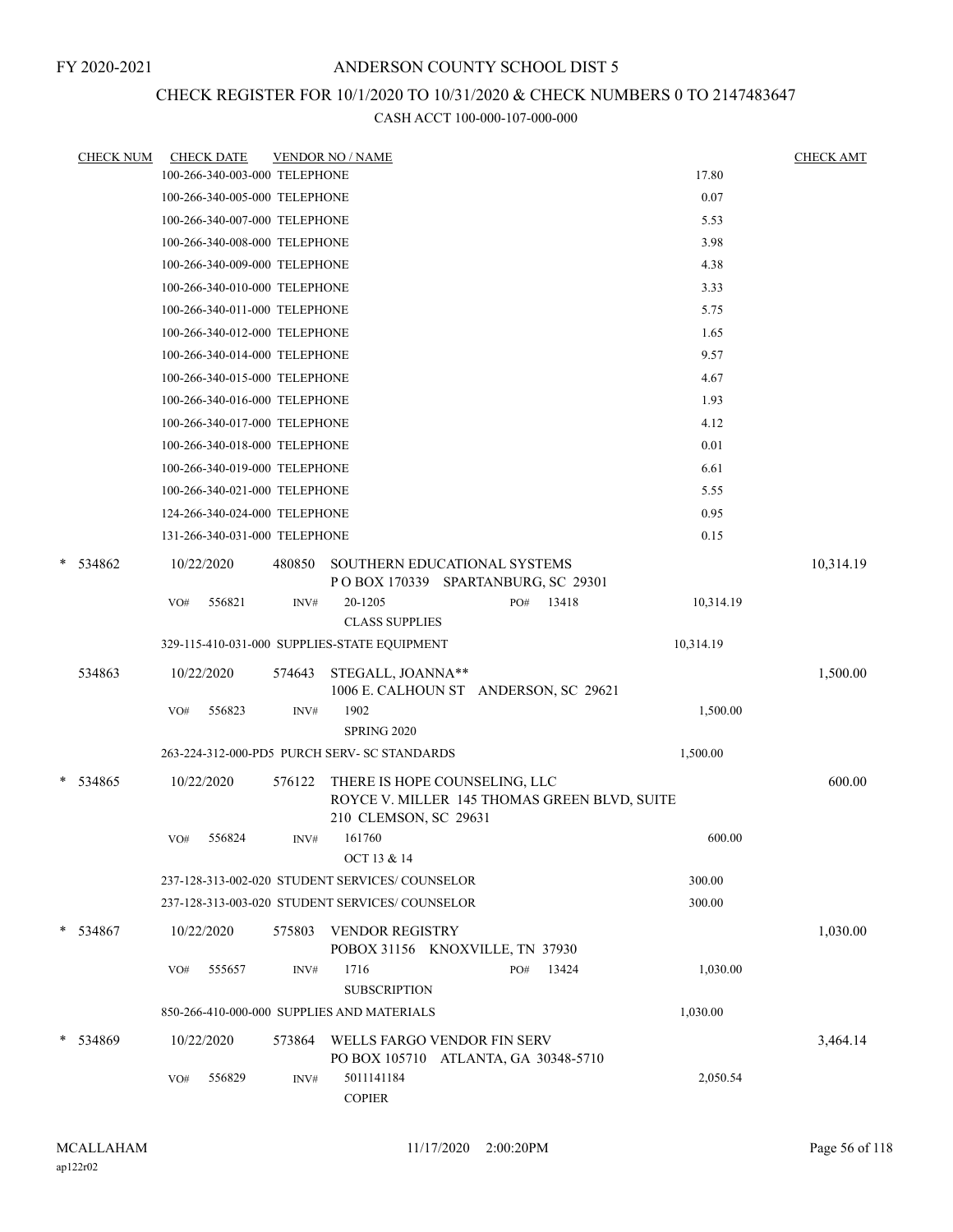## CHECK REGISTER FOR 10/1/2020 TO 10/31/2020 & CHECK NUMBERS 0 TO 2147483647

|   | <b>CHECK NUM</b> |     | <b>CHECK DATE</b>             |        | <b>VENDOR NO / NAME</b>                                             |                                              |           | <b>CHECK AMT</b> |
|---|------------------|-----|-------------------------------|--------|---------------------------------------------------------------------|----------------------------------------------|-----------|------------------|
|   |                  |     | 100-266-340-003-000 TELEPHONE |        |                                                                     |                                              | 17.80     |                  |
|   |                  |     | 100-266-340-005-000 TELEPHONE |        |                                                                     |                                              | 0.07      |                  |
|   |                  |     | 100-266-340-007-000 TELEPHONE |        |                                                                     |                                              | 5.53      |                  |
|   |                  |     | 100-266-340-008-000 TELEPHONE |        |                                                                     |                                              | 3.98      |                  |
|   |                  |     | 100-266-340-009-000 TELEPHONE |        |                                                                     |                                              | 4.38      |                  |
|   |                  |     | 100-266-340-010-000 TELEPHONE |        |                                                                     |                                              | 3.33      |                  |
|   |                  |     | 100-266-340-011-000 TELEPHONE |        |                                                                     |                                              | 5.75      |                  |
|   |                  |     | 100-266-340-012-000 TELEPHONE |        |                                                                     |                                              | 1.65      |                  |
|   |                  |     | 100-266-340-014-000 TELEPHONE |        |                                                                     |                                              | 9.57      |                  |
|   |                  |     | 100-266-340-015-000 TELEPHONE |        |                                                                     |                                              | 4.67      |                  |
|   |                  |     | 100-266-340-016-000 TELEPHONE |        |                                                                     |                                              | 1.93      |                  |
|   |                  |     | 100-266-340-017-000 TELEPHONE |        |                                                                     |                                              | 4.12      |                  |
|   |                  |     | 100-266-340-018-000 TELEPHONE |        |                                                                     |                                              | 0.01      |                  |
|   |                  |     | 100-266-340-019-000 TELEPHONE |        |                                                                     |                                              | 6.61      |                  |
|   |                  |     | 100-266-340-021-000 TELEPHONE |        |                                                                     |                                              | 5.55      |                  |
|   |                  |     | 124-266-340-024-000 TELEPHONE |        |                                                                     |                                              | 0.95      |                  |
|   |                  |     | 131-266-340-031-000 TELEPHONE |        |                                                                     |                                              | 0.15      |                  |
| * | 534862           |     | 10/22/2020                    | 480850 | SOUTHERN EDUCATIONAL SYSTEMS<br>POBOX 170339 SPARTANBURG, SC 29301  |                                              |           | 10,314.19        |
|   |                  | VO# | 556821                        | INV#   | 20-1205                                                             | 13418<br>PO#                                 | 10,314.19 |                  |
|   |                  |     |                               |        | <b>CLASS SUPPLIES</b>                                               |                                              |           |                  |
|   |                  |     |                               |        | 329-115-410-031-000 SUPPLIES-STATE EQUIPMENT                        |                                              | 10,314.19 |                  |
|   | 534863           |     | 10/22/2020                    | 574643 | STEGALL, JOANNA**<br>1006 E. CALHOUN ST ANDERSON, SC 29621          |                                              |           | 1,500.00         |
|   |                  | VO# | 556823                        | INV#   | 1902<br>SPRING 2020                                                 |                                              | 1,500.00  |                  |
|   |                  |     |                               |        | 263-224-312-000-PD5 PURCH SERV- SC STANDARDS                        |                                              | 1,500.00  |                  |
| * | 534865           |     | 10/22/2020                    | 576122 | THERE IS HOPE COUNSELING, LLC<br>210 CLEMSON, SC 29631              | ROYCE V. MILLER 145 THOMAS GREEN BLVD, SUITE |           | 600.00           |
|   |                  | VO# | 556824                        | INV#   | 161760<br>OCT 13 & 14                                               |                                              | 600.00    |                  |
|   |                  |     |                               |        | 237-128-313-002-020 STUDENT SERVICES/COUNSELOR                      |                                              | 300.00    |                  |
|   |                  |     |                               |        | 237-128-313-003-020 STUDENT SERVICES/COUNSELOR                      |                                              | 300.00    |                  |
|   | $*$ 534867       |     | 10/22/2020                    | 575803 | <b>VENDOR REGISTRY</b><br>POBOX 31156 KNOXVILLE, TN 37930           |                                              |           | 1,030.00         |
|   |                  | VO# | 555657                        | INV#   | 1716<br><b>SUBSCRIPTION</b>                                         | 13424<br>PO#                                 | 1,030.00  |                  |
|   |                  |     |                               |        | 850-266-410-000-000 SUPPLIES AND MATERIALS                          |                                              | 1,030.00  |                  |
| * | 534869           |     | 10/22/2020                    | 573864 | WELLS FARGO VENDOR FIN SERV<br>PO BOX 105710 ATLANTA, GA 30348-5710 |                                              |           | 3,464.14         |
|   |                  | VO# | 556829                        | INV#   | 5011141184<br><b>COPIER</b>                                         |                                              | 2,050.54  |                  |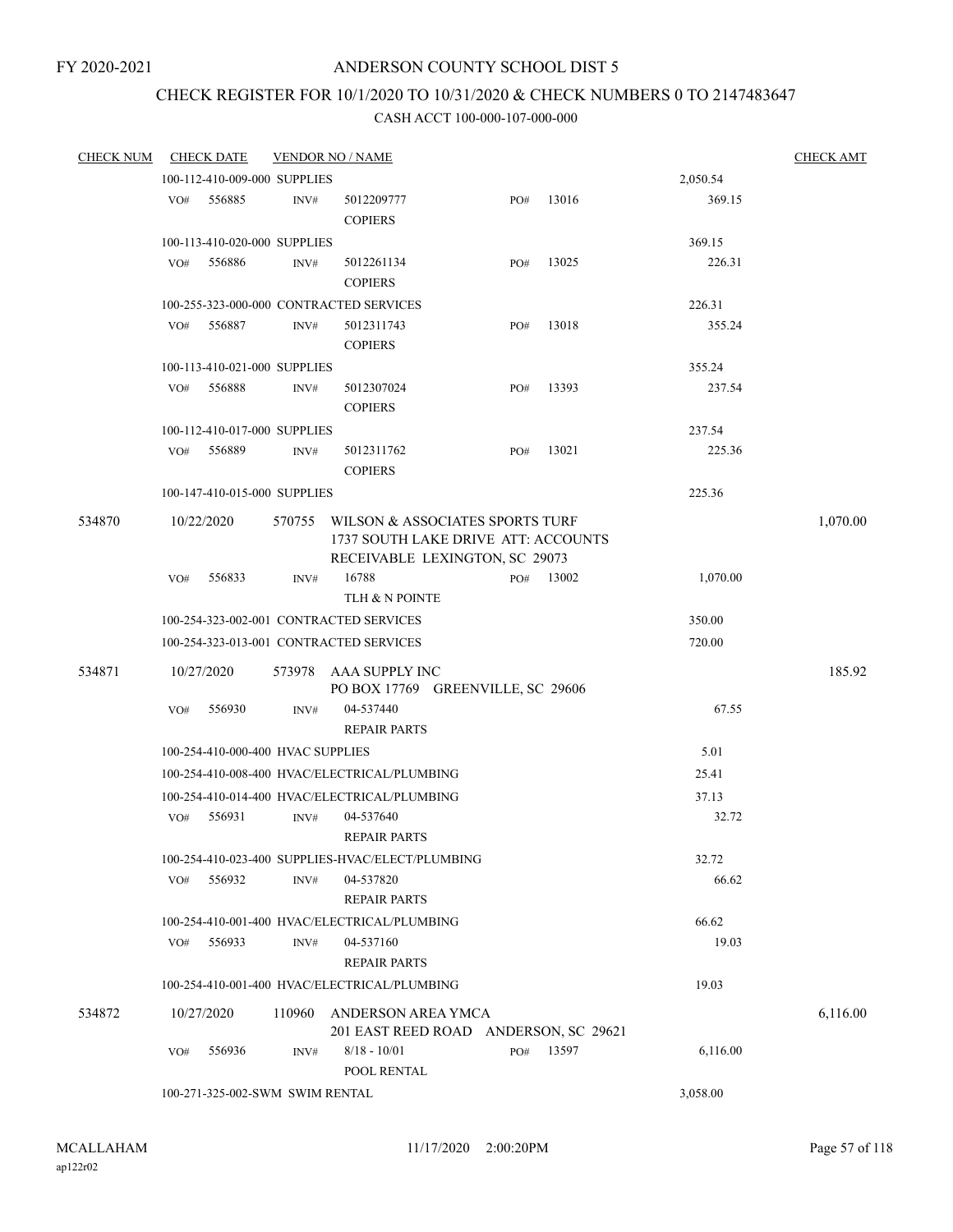# CHECK REGISTER FOR 10/1/2020 TO 10/31/2020 & CHECK NUMBERS 0 TO 2147483647

| <b>CHECK NUM</b> |     | <b>CHECK DATE</b>                 |        | <b>VENDOR NO / NAME</b>                                                                                  |     |       |          | <b>CHECK AMT</b> |
|------------------|-----|-----------------------------------|--------|----------------------------------------------------------------------------------------------------------|-----|-------|----------|------------------|
|                  |     | 100-112-410-009-000 SUPPLIES      |        |                                                                                                          |     |       | 2,050.54 |                  |
|                  | VO# | 556885                            | INV#   | 5012209777<br><b>COPIERS</b>                                                                             | PO# | 13016 | 369.15   |                  |
|                  |     | 100-113-410-020-000 SUPPLIES      |        |                                                                                                          |     |       | 369.15   |                  |
|                  | VO# | 556886                            | INV#   | 5012261134<br><b>COPIERS</b>                                                                             | PO# | 13025 | 226.31   |                  |
|                  |     |                                   |        | 100-255-323-000-000 CONTRACTED SERVICES                                                                  |     |       | 226.31   |                  |
|                  | VO# | 556887                            | INV#   | 5012311743<br><b>COPIERS</b>                                                                             | PO# | 13018 | 355.24   |                  |
|                  |     | 100-113-410-021-000 SUPPLIES      |        |                                                                                                          |     |       | 355.24   |                  |
|                  | VO# | 556888                            | INV#   | 5012307024<br><b>COPIERS</b>                                                                             | PO# | 13393 | 237.54   |                  |
|                  |     | 100-112-410-017-000 SUPPLIES      |        |                                                                                                          |     |       | 237.54   |                  |
|                  | VO# | 556889                            | INV#   | 5012311762<br><b>COPIERS</b>                                                                             | PO# | 13021 | 225.36   |                  |
|                  |     | 100-147-410-015-000 SUPPLIES      |        |                                                                                                          |     |       | 225.36   |                  |
| 534870           |     | 10/22/2020                        | 570755 | WILSON & ASSOCIATES SPORTS TURF<br>1737 SOUTH LAKE DRIVE ATT: ACCOUNTS<br>RECEIVABLE LEXINGTON, SC 29073 |     |       |          | 1,070.00         |
|                  | VO# | 556833                            | INV#   | 16788<br>TLH & N POINTE                                                                                  | PO# | 13002 | 1,070.00 |                  |
|                  |     |                                   |        | 100-254-323-002-001 CONTRACTED SERVICES                                                                  |     |       | 350.00   |                  |
|                  |     |                                   |        | 100-254-323-013-001 CONTRACTED SERVICES                                                                  |     |       | 720.00   |                  |
| 534871           |     | 10/27/2020                        | 573978 | AAA SUPPLY INC<br>PO BOX 17769 GREENVILLE, SC 29606                                                      |     |       |          | 185.92           |
|                  | VO# | 556930                            | INV#   | 04-537440<br><b>REPAIR PARTS</b>                                                                         |     |       | 67.55    |                  |
|                  |     | 100-254-410-000-400 HVAC SUPPLIES |        |                                                                                                          |     |       | 5.01     |                  |
|                  |     |                                   |        | 100-254-410-008-400 HVAC/ELECTRICAL/PLUMBING                                                             |     |       | 25.41    |                  |
|                  |     |                                   |        | 100-254-410-014-400 HVAC/ELECTRICAL/PLUMBING                                                             |     |       | 37.13    |                  |
|                  | VO# | 556931                            | INV#   | 04-537640<br><b>REPAIR PARTS</b>                                                                         |     |       | 32.72    |                  |
|                  |     |                                   |        | 100-254-410-023-400 SUPPLIES-HVAC/ELECT/PLUMBING                                                         |     |       | 32.72    |                  |
|                  | VO# | 556932                            | INV#   | 04-537820<br><b>REPAIR PARTS</b>                                                                         |     |       | 66.62    |                  |
|                  |     |                                   |        | 100-254-410-001-400 HVAC/ELECTRICAL/PLUMBING                                                             |     |       | 66.62    |                  |
|                  | VO# | 556933                            | INV#   | 04-537160<br><b>REPAIR PARTS</b>                                                                         |     |       | 19.03    |                  |
|                  |     |                                   |        | 100-254-410-001-400 HVAC/ELECTRICAL/PLUMBING                                                             |     |       | 19.03    |                  |
| 534872           |     | 10/27/2020                        | 110960 | ANDERSON AREA YMCA<br>201 EAST REED ROAD ANDERSON, SC 29621                                              |     |       |          | 6,116.00         |
|                  | VO# | 556936                            | INV#   | $8/18 - 10/01$<br>POOL RENTAL                                                                            | PO# | 13597 | 6,116.00 |                  |
|                  |     | 100-271-325-002-SWM SWIM RENTAL   |        |                                                                                                          |     |       | 3,058.00 |                  |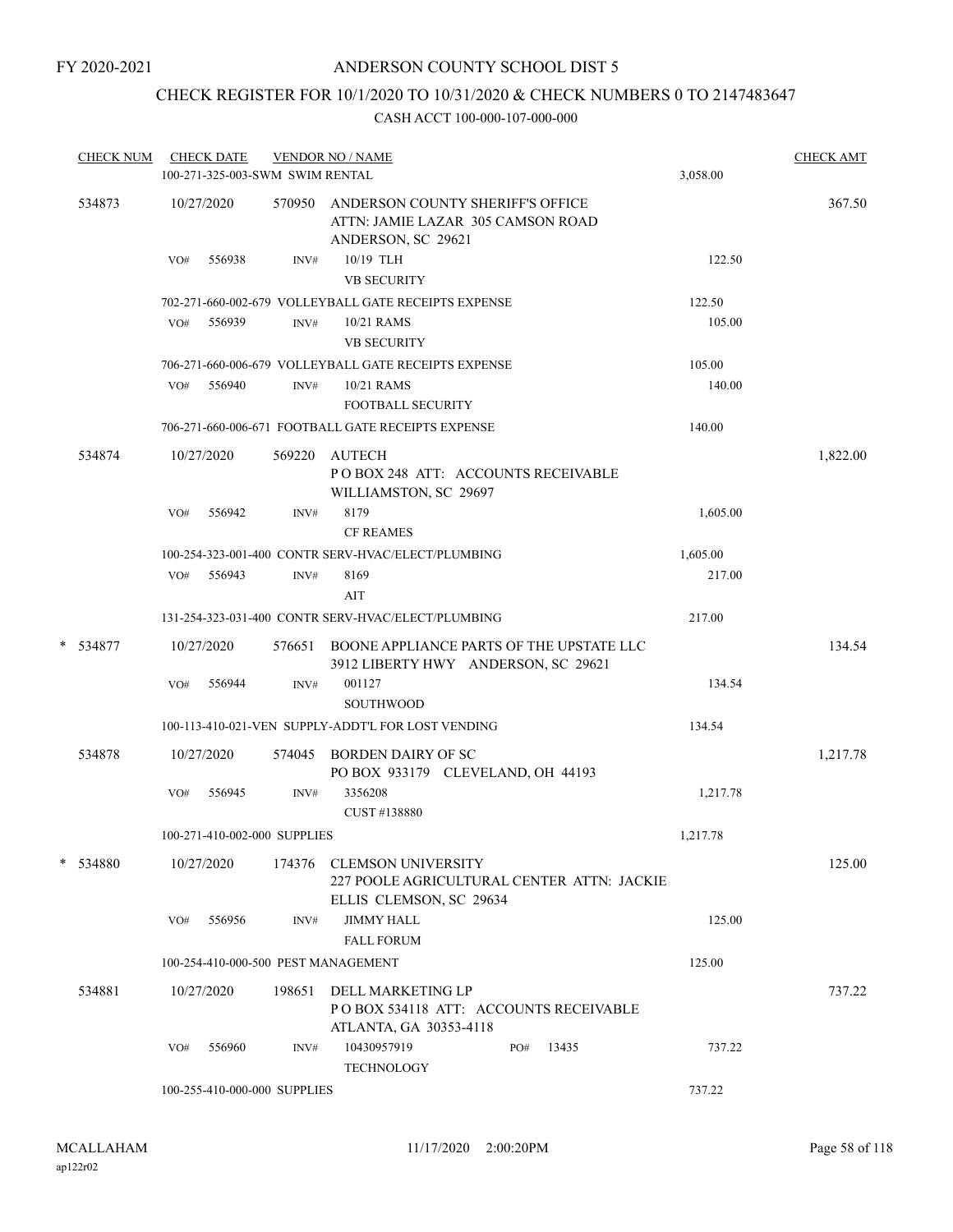# CHECK REGISTER FOR 10/1/2020 TO 10/31/2020 & CHECK NUMBERS 0 TO 2147483647

| <b>CHECK NUM</b> | <b>CHECK DATE</b><br><b>VENDOR NO / NAME</b><br>100-271-325-003-SWM SWIM RENTAL |                              |        |                                                                                                    |  |     | 3,058.00 | <b>CHECK AMT</b> |          |
|------------------|---------------------------------------------------------------------------------|------------------------------|--------|----------------------------------------------------------------------------------------------------|--|-----|----------|------------------|----------|
| 534873           |                                                                                 | 10/27/2020                   |        | 570950 ANDERSON COUNTY SHERIFF'S OFFICE<br>ATTN: JAMIE LAZAR 305 CAMSON ROAD<br>ANDERSON, SC 29621 |  |     |          |                  | 367.50   |
|                  | VO#                                                                             | 556938                       | INV#   | 10/19 TLH<br><b>VB SECURITY</b>                                                                    |  |     |          | 122.50           |          |
|                  |                                                                                 |                              |        | 702-271-660-002-679 VOLLEYBALL GATE RECEIPTS EXPENSE                                               |  |     |          | 122.50           |          |
|                  | VO#                                                                             | 556939                       | INV#   | 10/21 RAMS<br><b>VB SECURITY</b>                                                                   |  |     |          | 105.00           |          |
|                  |                                                                                 |                              |        | 706-271-660-006-679 VOLLEYBALL GATE RECEIPTS EXPENSE                                               |  |     |          | 105.00           |          |
|                  | VO#                                                                             | 556940                       | INV#   | 10/21 RAMS<br><b>FOOTBALL SECURITY</b>                                                             |  |     |          | 140.00           |          |
|                  |                                                                                 |                              |        | 706-271-660-006-671 FOOTBALL GATE RECEIPTS EXPENSE                                                 |  |     |          | 140.00           |          |
| 534874           |                                                                                 | 10/27/2020                   | 569220 | AUTECH<br>POBOX 248 ATT: ACCOUNTS RECEIVABLE<br>WILLIAMSTON, SC 29697                              |  |     |          |                  | 1,822.00 |
|                  | VO#                                                                             | 556942                       | INV#   | 8179                                                                                               |  |     |          | 1,605.00         |          |
|                  |                                                                                 |                              |        | <b>CF REAMES</b>                                                                                   |  |     |          |                  |          |
|                  |                                                                                 |                              |        | 100-254-323-001-400 CONTR SERV-HVAC/ELECT/PLUMBING                                                 |  |     |          | 1,605.00         |          |
|                  |                                                                                 | VO# 556943                   | INV#   | 8169<br>AIT                                                                                        |  |     |          | 217.00           |          |
|                  |                                                                                 |                              |        | 131-254-323-031-400 CONTR SERV-HVAC/ELECT/PLUMBING                                                 |  |     |          | 217.00           |          |
| * 534877         |                                                                                 | 10/27/2020                   | 576651 | BOONE APPLIANCE PARTS OF THE UPSTATE LLC<br>3912 LIBERTY HWY ANDERSON, SC 29621                    |  |     |          |                  | 134.54   |
|                  | VO#                                                                             | 556944                       | INV#   | 001127<br><b>SOUTHWOOD</b>                                                                         |  |     |          | 134.54           |          |
|                  |                                                                                 |                              |        | 100-113-410-021-VEN SUPPLY-ADDT'L FOR LOST VENDING                                                 |  |     |          | 134.54           |          |
| 534878           |                                                                                 | 10/27/2020                   |        | 574045 BORDEN DAIRY OF SC<br>PO BOX 933179 CLEVELAND, OH 44193                                     |  |     |          |                  | 1,217.78 |
|                  | VO#                                                                             | 556945                       | INV#   | 3356208<br>CUST #138880                                                                            |  |     |          | 1,217.78         |          |
|                  |                                                                                 | 100-271-410-002-000 SUPPLIES |        |                                                                                                    |  |     |          | 1,217.78         |          |
| * 534880         |                                                                                 | 10/27/2020                   |        | 174376 CLEMSON UNIVERSITY<br>227 POOLE AGRICULTURAL CENTER ATTN: JACKIE<br>ELLIS CLEMSON, SC 29634 |  |     |          |                  | 125.00   |
|                  | VO#                                                                             | 556956                       | INV#   | <b>JIMMY HALL</b><br><b>FALL FORUM</b>                                                             |  |     |          | 125.00           |          |
|                  |                                                                                 |                              |        | 100-254-410-000-500 PEST MANAGEMENT                                                                |  |     |          | 125.00           |          |
| 534881           |                                                                                 | 10/27/2020                   | 198651 | DELL MARKETING LP<br>PO BOX 534118 ATT: ACCOUNTS RECEIVABLE<br>ATLANTA, GA 30353-4118              |  |     |          |                  | 737.22   |
|                  | VO#                                                                             | 556960                       | INV#   | 10430957919<br><b>TECHNOLOGY</b>                                                                   |  | PO# | 13435    | 737.22           |          |
|                  |                                                                                 | 100-255-410-000-000 SUPPLIES |        |                                                                                                    |  |     |          | 737.22           |          |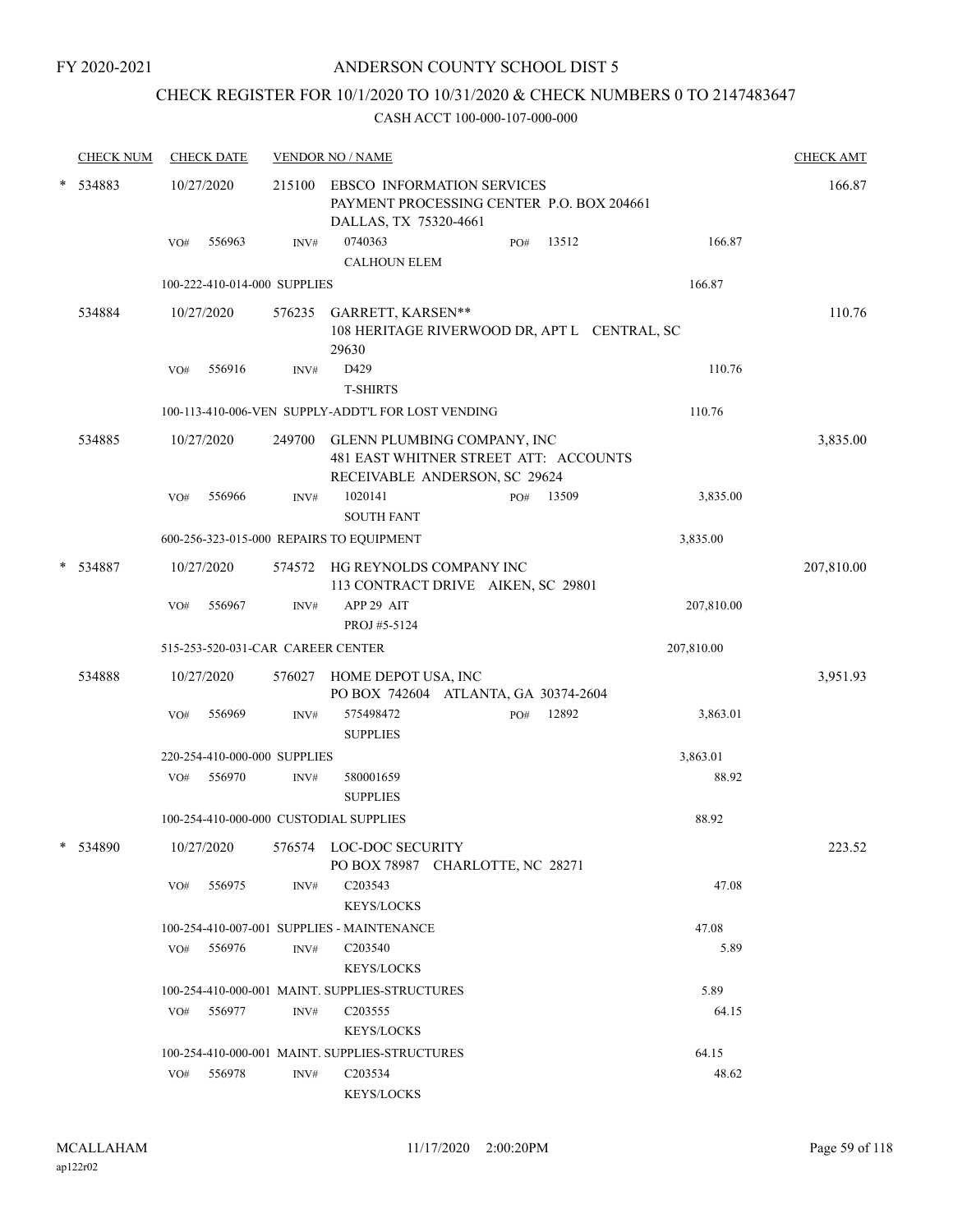## CHECK REGISTER FOR 10/1/2020 TO 10/31/2020 & CHECK NUMBERS 0 TO 2147483647

|   | <b>CHECK NUM</b> |     | <b>CHECK DATE</b>                 |      | <b>VENDOR NO / NAME</b>                                                                                      |     |       |            | <b>CHECK AMT</b> |
|---|------------------|-----|-----------------------------------|------|--------------------------------------------------------------------------------------------------------------|-----|-------|------------|------------------|
| * | 534883           |     | 10/27/2020                        |      | 215100 EBSCO INFORMATION SERVICES<br>PAYMENT PROCESSING CENTER P.O. BOX 204661<br>DALLAS, TX 75320-4661      |     |       |            | 166.87           |
|   |                  | VO# | 556963                            | INV# | 0740363<br><b>CALHOUN ELEM</b>                                                                               | PO# | 13512 | 166.87     |                  |
|   |                  |     | 100-222-410-014-000 SUPPLIES      |      |                                                                                                              |     |       | 166.87     |                  |
|   |                  |     |                                   |      |                                                                                                              |     |       |            |                  |
|   | 534884           |     | 10/27/2020                        |      | 576235 GARRETT, KARSEN**<br>108 HERITAGE RIVERWOOD DR, APT L CENTRAL, SC<br>29630                            |     |       |            | 110.76           |
|   |                  | VO# | 556916                            | INV# | D429                                                                                                         |     |       | 110.76     |                  |
|   |                  |     |                                   |      | <b>T-SHIRTS</b>                                                                                              |     |       |            |                  |
|   |                  |     |                                   |      | 100-113-410-006-VEN SUPPLY-ADDT'L FOR LOST VENDING                                                           |     |       | 110.76     |                  |
|   | 534885           |     | 10/27/2020                        |      | 249700 GLENN PLUMBING COMPANY, INC<br>481 EAST WHITNER STREET ATT: ACCOUNTS<br>RECEIVABLE ANDERSON, SC 29624 |     |       |            | 3,835.00         |
|   |                  | VO# | 556966                            | INV# | 1020141<br><b>SOUTH FANT</b>                                                                                 | PO# | 13509 | 3,835.00   |                  |
|   |                  |     |                                   |      | 600-256-323-015-000 REPAIRS TO EQUIPMENT                                                                     |     |       | 3,835.00   |                  |
|   | 534887           |     | 10/27/2020                        |      | 574572 HG REYNOLDS COMPANY INC<br>113 CONTRACT DRIVE AIKEN, SC 29801                                         |     |       |            | 207,810.00       |
|   |                  | VO# | 556967                            | INV# | APP 29 AIT                                                                                                   |     |       | 207,810.00 |                  |
|   |                  |     |                                   |      | PROJ #5-5124                                                                                                 |     |       |            |                  |
|   |                  |     | 515-253-520-031-CAR CAREER CENTER |      |                                                                                                              |     |       | 207,810.00 |                  |
|   | 534888           |     | 10/27/2020                        |      | 576027 HOME DEPOT USA, INC<br>PO BOX 742604 ATLANTA, GA 30374-2604                                           |     |       |            | 3,951.93         |
|   |                  | VO# | 556969                            | INV# | 575498472<br><b>SUPPLIES</b>                                                                                 | PO# | 12892 | 3,863.01   |                  |
|   |                  |     | 220-254-410-000-000 SUPPLIES      |      |                                                                                                              |     |       | 3,863.01   |                  |
|   |                  | VO# | 556970                            | INV# | 580001659<br><b>SUPPLIES</b>                                                                                 |     |       | 88.92      |                  |
|   |                  |     |                                   |      | 100-254-410-000-000 CUSTODIAL SUPPLIES                                                                       |     |       | 88.92      |                  |
|   | * 534890         |     |                                   |      | 10/27/2020 576574 LOC-DOC SECURITY<br>PO BOX 78987 CHARLOTTE, NC 28271                                       |     |       |            | 223.52           |
|   |                  | VO# | 556975                            | INV# | C <sub>2</sub> 03543<br><b>KEYS/LOCKS</b>                                                                    |     |       | 47.08      |                  |
|   |                  |     |                                   |      | 100-254-410-007-001 SUPPLIES - MAINTENANCE                                                                   |     |       | 47.08      |                  |
|   |                  |     | VO# 556976                        | INV# | C <sub>203540</sub><br><b>KEYS/LOCKS</b>                                                                     |     |       | 5.89       |                  |
|   |                  |     |                                   |      | 100-254-410-000-001 MAINT. SUPPLIES-STRUCTURES                                                               |     |       | 5.89       |                  |
|   |                  | VO# | 556977                            | INV# | C <sub>203555</sub><br><b>KEYS/LOCKS</b>                                                                     |     |       | 64.15      |                  |
|   |                  |     |                                   |      | 100-254-410-000-001 MAINT. SUPPLIES-STRUCTURES                                                               |     |       | 64.15      |                  |
|   |                  | VO# | 556978                            | INV# | C <sub>2</sub> 03534<br><b>KEYS/LOCKS</b>                                                                    |     |       | 48.62      |                  |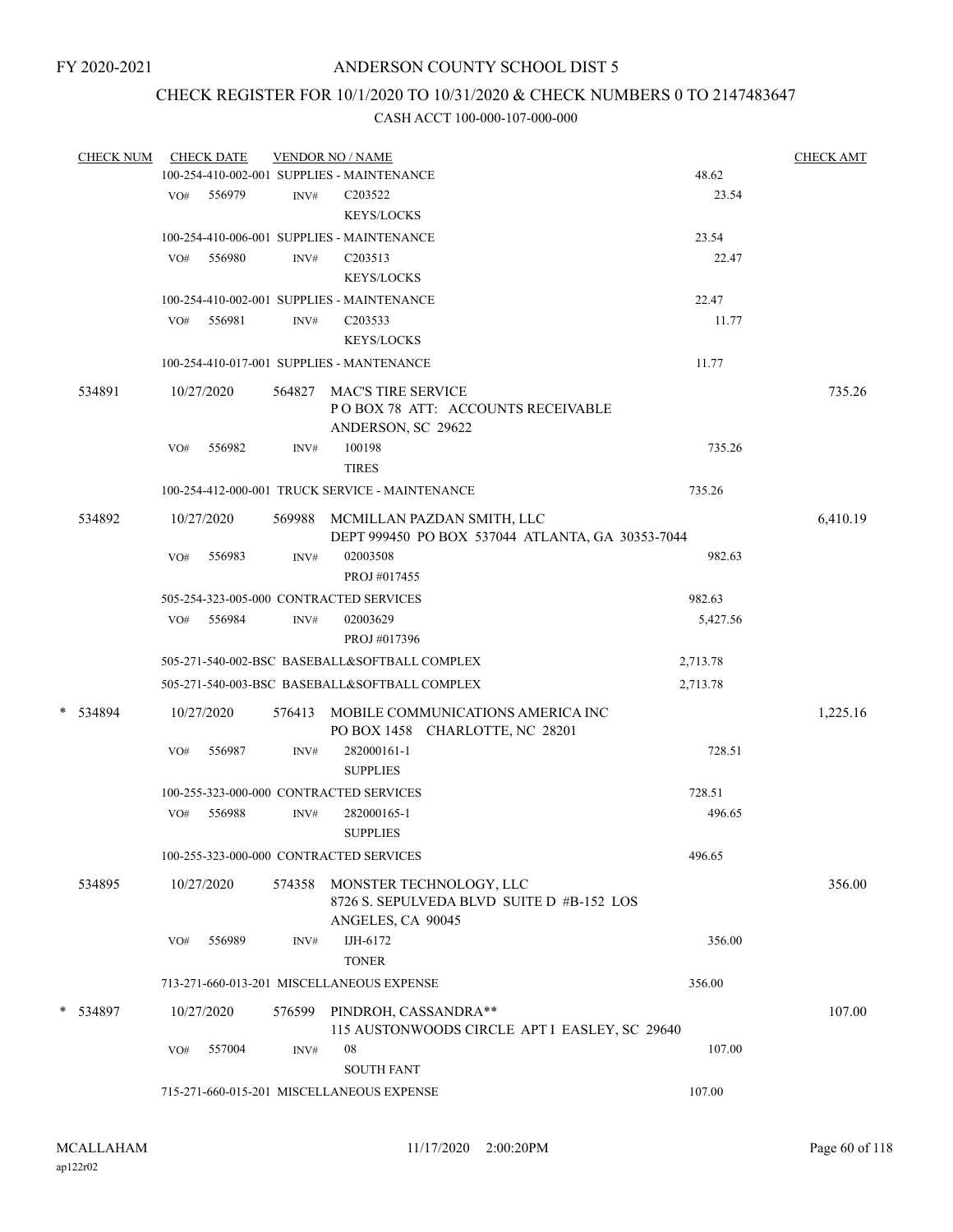## CHECK REGISTER FOR 10/1/2020 TO 10/31/2020 & CHECK NUMBERS 0 TO 2147483647

| <b>CHECK NUM</b> |     | <b>CHECK DATE</b> |        | <b>VENDOR NO / NAME</b>                                                                   |          | <b>CHECK AMT</b> |
|------------------|-----|-------------------|--------|-------------------------------------------------------------------------------------------|----------|------------------|
|                  |     |                   |        | 100-254-410-002-001 SUPPLIES - MAINTENANCE                                                | 48.62    |                  |
|                  |     | VO# 556979        | INV#   | C <sub>203522</sub>                                                                       | 23.54    |                  |
|                  |     |                   |        | <b>KEYS/LOCKS</b>                                                                         |          |                  |
|                  |     |                   |        | 100-254-410-006-001 SUPPLIES - MAINTENANCE                                                | 23.54    |                  |
|                  | VO# | 556980            | INV#   | C <sub>203513</sub>                                                                       | 22.47    |                  |
|                  |     |                   |        | <b>KEYS/LOCKS</b>                                                                         |          |                  |
|                  |     |                   |        | 100-254-410-002-001 SUPPLIES - MAINTENANCE                                                | 22.47    |                  |
|                  | VO# | 556981            | INV#   | C <sub>203533</sub>                                                                       | 11.77    |                  |
|                  |     |                   |        | <b>KEYS/LOCKS</b>                                                                         |          |                  |
|                  |     |                   |        | 100-254-410-017-001 SUPPLIES - MANTENANCE                                                 | 11.77    |                  |
| 534891           |     | 10/27/2020        |        | 564827 MAC'S TIRE SERVICE<br>POBOX 78 ATT: ACCOUNTS RECEIVABLE                            |          | 735.26           |
|                  |     |                   |        | ANDERSON, SC 29622                                                                        |          |                  |
|                  | VO# | 556982            | INV#   | 100198                                                                                    | 735.26   |                  |
|                  |     |                   |        | <b>TIRES</b>                                                                              |          |                  |
|                  |     |                   |        | 100-254-412-000-001 TRUCK SERVICE - MAINTENANCE                                           | 735.26   |                  |
| 534892           |     | 10/27/2020        |        | 569988 MCMILLAN PAZDAN SMITH, LLC<br>DEPT 999450 PO BOX 537044 ATLANTA, GA 30353-7044     |          | 6,410.19         |
|                  | VO# | 556983            | INV#   | 02003508<br>PROJ#017455                                                                   | 982.63   |                  |
|                  |     |                   |        | 505-254-323-005-000 CONTRACTED SERVICES                                                   | 982.63   |                  |
|                  | VO# | 556984            | INV#   | 02003629                                                                                  | 5,427.56 |                  |
|                  |     |                   |        | PROJ #017396                                                                              |          |                  |
|                  |     |                   |        | 505-271-540-002-BSC BASEBALL&SOFTBALL COMPLEX                                             | 2,713.78 |                  |
|                  |     |                   |        | 505-271-540-003-BSC BASEBALL&SOFTBALL COMPLEX                                             | 2,713.78 |                  |
| * 534894         |     | 10/27/2020        | 576413 | MOBILE COMMUNICATIONS AMERICA INC<br>PO BOX 1458 CHARLOTTE, NC 28201                      |          | 1,225.16         |
|                  | VO# | 556987            | INV#   | 282000161-1<br><b>SUPPLIES</b>                                                            | 728.51   |                  |
|                  |     |                   |        | 100-255-323-000-000 CONTRACTED SERVICES                                                   | 728.51   |                  |
|                  | VO# | 556988            | INV#   | 282000165-1                                                                               | 496.65   |                  |
|                  |     |                   |        | <b>SUPPLIES</b>                                                                           |          |                  |
|                  |     |                   |        | 100-255-323-000-000 CONTRACTED SERVICES                                                   | 496.65   |                  |
| 534895           |     | 10/27/2020        | 574358 | MONSTER TECHNOLOGY, LLC<br>8726 S. SEPULVEDA BLVD SUITE D #B-152 LOS<br>ANGELES, CA 90045 |          | 356.00           |
|                  | VO# | 556989            | INV#   | IJH-6172<br><b>TONER</b>                                                                  | 356.00   |                  |
|                  |     |                   |        | 713-271-660-013-201 MISCELLANEOUS EXPENSE                                                 | 356.00   |                  |
| * 534897         |     | 10/27/2020        | 576599 | PINDROH, CASSANDRA**                                                                      |          | 107.00           |
|                  |     |                   |        | 115 AUSTONWOODS CIRCLE APT I EASLEY, SC 29640                                             |          |                  |
|                  | VO# | 557004            | INV#   | 08<br><b>SOUTH FANT</b>                                                                   | 107.00   |                  |
|                  |     |                   |        | 715-271-660-015-201 MISCELLANEOUS EXPENSE                                                 | 107.00   |                  |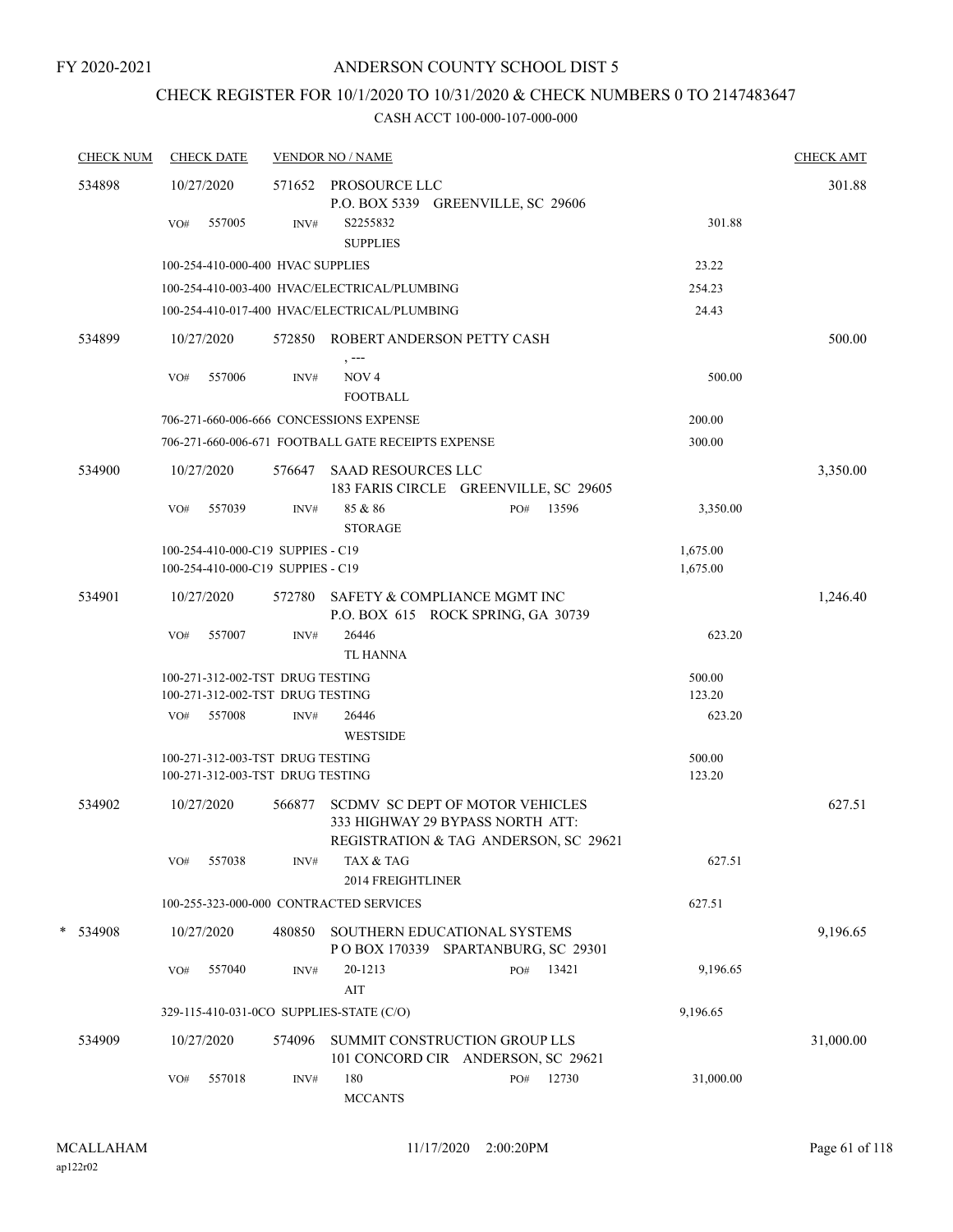# CHECK REGISTER FOR 10/1/2020 TO 10/31/2020 & CHECK NUMBERS 0 TO 2147483647

| <b>CHECK NUM</b> | <b>CHECK DATE</b>                                                      |        | <b>VENDOR NO / NAME</b>                            |                                                                                                                     |                      | <b>CHECK AMT</b> |
|------------------|------------------------------------------------------------------------|--------|----------------------------------------------------|---------------------------------------------------------------------------------------------------------------------|----------------------|------------------|
| 534898           | 10/27/2020                                                             |        | 571652 PROSOURCE LLC                               |                                                                                                                     |                      | 301.88           |
|                  |                                                                        |        |                                                    | P.O. BOX 5339 GREENVILLE, SC 29606                                                                                  |                      |                  |
|                  | 557005<br>VO#                                                          | INV#   | S2255832<br><b>SUPPLIES</b>                        |                                                                                                                     | 301.88               |                  |
|                  | 100-254-410-000-400 HVAC SUPPLIES                                      |        |                                                    |                                                                                                                     | 23.22                |                  |
|                  |                                                                        |        | 100-254-410-003-400 HVAC/ELECTRICAL/PLUMBING       |                                                                                                                     | 254.23               |                  |
|                  |                                                                        |        | 100-254-410-017-400 HVAC/ELECTRICAL/PLUMBING       |                                                                                                                     | 24.43                |                  |
| 534899           | 10/27/2020                                                             |        |                                                    | 572850 ROBERT ANDERSON PETTY CASH                                                                                   |                      | 500.00           |
|                  | VO#<br>557006                                                          | INV#   | NOV <sub>4</sub><br><b>FOOTBALL</b>                |                                                                                                                     | 500.00               |                  |
|                  |                                                                        |        | 706-271-660-006-666 CONCESSIONS EXPENSE            |                                                                                                                     | 200.00               |                  |
|                  |                                                                        |        | 706-271-660-006-671 FOOTBALL GATE RECEIPTS EXPENSE |                                                                                                                     | 300.00               |                  |
|                  |                                                                        |        |                                                    |                                                                                                                     |                      |                  |
| 534900           | 10/27/2020                                                             |        | 576647 SAAD RESOURCES LLC                          | 183 FARIS CIRCLE GREENVILLE, SC 29605                                                                               |                      | 3,350.00         |
|                  | VO#<br>557039                                                          | INV#   | 85 & 86<br><b>STORAGE</b>                          | 13596<br>PO#                                                                                                        | 3,350.00             |                  |
|                  | 100-254-410-000-C19 SUPPIES - C19<br>100-254-410-000-C19 SUPPIES - C19 |        |                                                    |                                                                                                                     | 1,675.00<br>1,675.00 |                  |
| 534901           | 10/27/2020                                                             |        |                                                    | 572780 SAFETY & COMPLIANCE MGMT INC<br>P.O. BOX 615 ROCK SPRING, GA 30739                                           |                      | 1,246.40         |
|                  | 557007<br>VO#                                                          | INV#   | 26446                                              |                                                                                                                     | 623.20               |                  |
|                  |                                                                        |        | <b>TL HANNA</b>                                    |                                                                                                                     |                      |                  |
|                  | 100-271-312-002-TST DRUG TESTING                                       |        |                                                    |                                                                                                                     | 500.00               |                  |
|                  | 100-271-312-002-TST DRUG TESTING                                       |        |                                                    |                                                                                                                     | 123.20               |                  |
|                  | VO# 557008                                                             | INV#   | 26446                                              |                                                                                                                     | 623.20               |                  |
|                  |                                                                        |        | <b>WESTSIDE</b>                                    |                                                                                                                     |                      |                  |
|                  | 100-271-312-003-TST DRUG TESTING                                       |        |                                                    |                                                                                                                     | 500.00               |                  |
|                  | 100-271-312-003-TST DRUG TESTING                                       |        |                                                    |                                                                                                                     | 123.20               |                  |
| 534902           | 10/27/2020                                                             | 566877 |                                                    | <b>SCDMV SC DEPT OF MOTOR VEHICLES</b><br>333 HIGHWAY 29 BYPASS NORTH ATT:<br>REGISTRATION & TAG ANDERSON, SC 29621 |                      | 627.51           |
|                  | 557038<br>VO#                                                          | INV#   | TAX & TAG<br>2014 FREIGHTLINER                     |                                                                                                                     | 627.51               |                  |
|                  |                                                                        |        | 100-255-323-000-000 CONTRACTED SERVICES            |                                                                                                                     | 627.51               |                  |
|                  |                                                                        |        |                                                    |                                                                                                                     |                      |                  |
| *<br>534908      | 10/27/2020                                                             | 480850 |                                                    | SOUTHERN EDUCATIONAL SYSTEMS<br>POBOX 170339 SPARTANBURG, SC 29301                                                  |                      | 9,196.65         |
|                  | 557040<br>VO#                                                          | INV#   | 20-1213<br>$\rm AIT$                               | 13421<br>PO#                                                                                                        | 9,196.65             |                  |
|                  |                                                                        |        | 329-115-410-031-0CO SUPPLIES-STATE (C/O)           |                                                                                                                     | 9,196.65             |                  |
| 534909           | 10/27/2020                                                             | 574096 |                                                    | SUMMIT CONSTRUCTION GROUP LLS<br>101 CONCORD CIR ANDERSON, SC 29621                                                 |                      | 31,000.00        |
|                  | 557018<br>VO#                                                          | INV#   | 180                                                | 12730<br>PO#                                                                                                        | 31,000.00            |                  |
|                  |                                                                        |        | <b>MCCANTS</b>                                     |                                                                                                                     |                      |                  |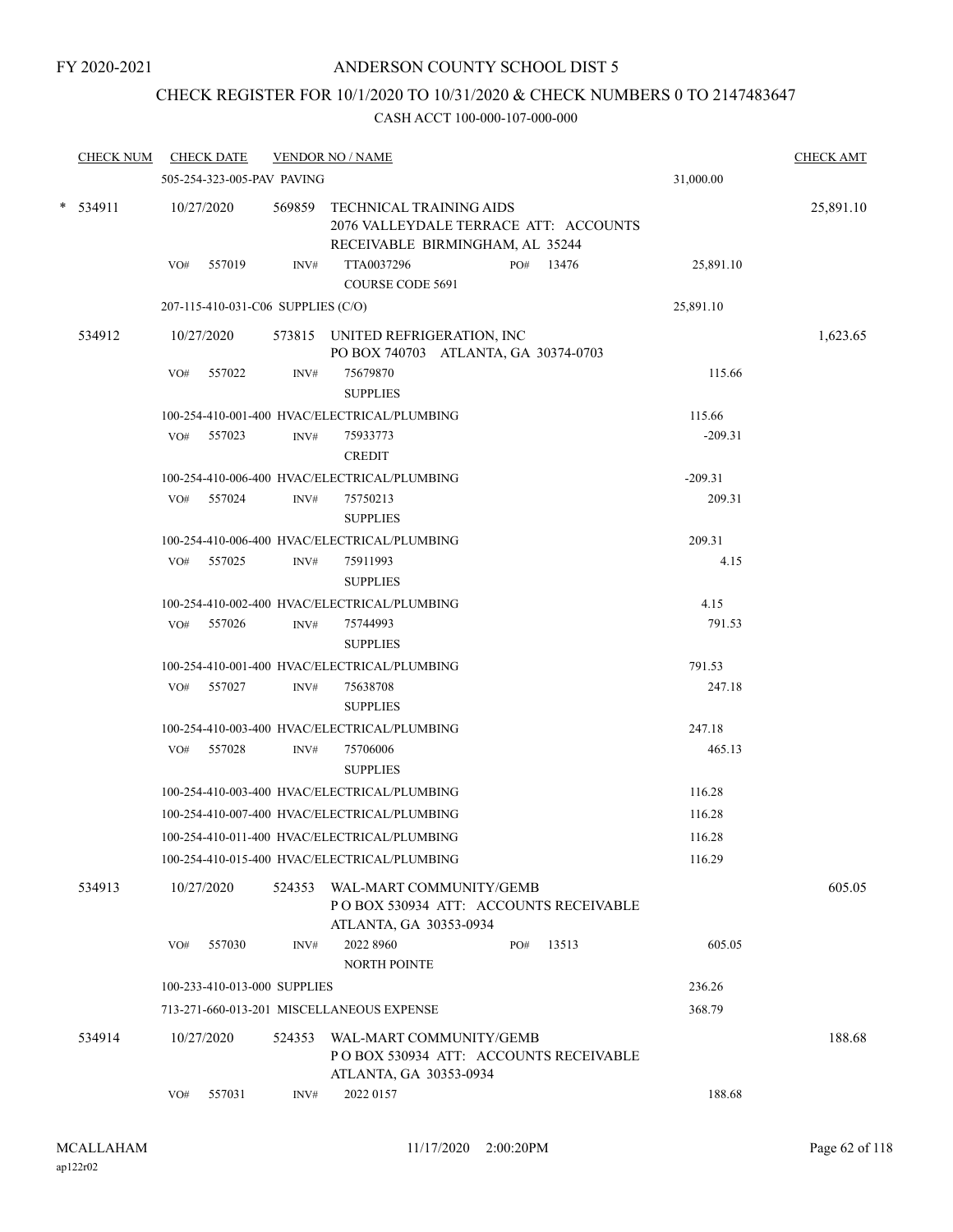## CHECK REGISTER FOR 10/1/2020 TO 10/31/2020 & CHECK NUMBERS 0 TO 2147483647

| <b>CHECK NUM</b> | <b>CHECK DATE</b>                  |        | <b>VENDOR NO / NAME</b>                                                                             |           | <b>CHECK AMT</b> |
|------------------|------------------------------------|--------|-----------------------------------------------------------------------------------------------------|-----------|------------------|
|                  | 505-254-323-005-PAV PAVING         |        |                                                                                                     | 31,000.00 |                  |
| * 534911         | 10/27/2020                         | 569859 | TECHNICAL TRAINING AIDS<br>2076 VALLEYDALE TERRACE ATT: ACCOUNTS<br>RECEIVABLE BIRMINGHAM, AL 35244 |           | 25,891.10        |
|                  | 557019<br>VO#                      | INV#   | TTA0037296<br>13476<br>PO#<br><b>COURSE CODE 5691</b>                                               | 25,891.10 |                  |
|                  | 207-115-410-031-C06 SUPPLIES (C/O) |        |                                                                                                     | 25,891.10 |                  |
| 534912           | 10/27/2020                         |        | 573815 UNITED REFRIGERATION, INC<br>PO BOX 740703 ATLANTA, GA 30374-0703                            |           | 1,623.65         |
|                  | 557022<br>VO#                      | INV#   | 75679870<br><b>SUPPLIES</b>                                                                         | 115.66    |                  |
|                  |                                    |        | 100-254-410-001-400 HVAC/ELECTRICAL/PLUMBING                                                        | 115.66    |                  |
|                  | VO# 557023                         | INV#   | 75933773<br><b>CREDIT</b>                                                                           | $-209.31$ |                  |
|                  |                                    |        | 100-254-410-006-400 HVAC/ELECTRICAL/PLUMBING                                                        | $-209.31$ |                  |
|                  | VO# 557024                         | INV#   | 75750213<br><b>SUPPLIES</b>                                                                         | 209.31    |                  |
|                  |                                    |        | 100-254-410-006-400 HVAC/ELECTRICAL/PLUMBING                                                        | 209.31    |                  |
|                  | 557025<br>VO#                      | INV#   | 75911993<br><b>SUPPLIES</b>                                                                         | 4.15      |                  |
|                  |                                    |        | 100-254-410-002-400 HVAC/ELECTRICAL/PLUMBING                                                        | 4.15      |                  |
|                  | VO# 557026                         | INV#   | 75744993<br><b>SUPPLIES</b>                                                                         | 791.53    |                  |
|                  |                                    |        | 100-254-410-001-400 HVAC/ELECTRICAL/PLUMBING                                                        | 791.53    |                  |
|                  | VO# 557027                         | INV#   | 75638708<br><b>SUPPLIES</b>                                                                         | 247.18    |                  |
|                  |                                    |        | 100-254-410-003-400 HVAC/ELECTRICAL/PLUMBING                                                        | 247.18    |                  |
|                  | VO# 557028                         | INV#   | 75706006<br><b>SUPPLIES</b>                                                                         | 465.13    |                  |
|                  |                                    |        | 100-254-410-003-400 HVAC/ELECTRICAL/PLUMBING                                                        | 116.28    |                  |
|                  |                                    |        | 100-254-410-007-400 HVAC/ELECTRICAL/PLUMBING                                                        | 116.28    |                  |
|                  |                                    |        | 100-254-410-011-400 HVAC/ELECTRICAL/PLUMBING                                                        | 116.28    |                  |
|                  |                                    |        | 100-254-410-015-400 HVAC/ELECTRICAL/PLUMBING                                                        | 116.29    |                  |
| 534913           | 10/27/2020                         | 524353 | WAL-MART COMMUNITY/GEMB<br>POBOX 530934 ATT: ACCOUNTS RECEIVABLE<br>ATLANTA, GA 30353-0934          |           | 605.05           |
|                  | 557030<br>VO#                      | INV#   | 2022 8960<br>13513<br>PO#<br><b>NORTH POINTE</b>                                                    | 605.05    |                  |
|                  | 100-233-410-013-000 SUPPLIES       |        |                                                                                                     | 236.26    |                  |
|                  |                                    |        | 713-271-660-013-201 MISCELLANEOUS EXPENSE                                                           | 368.79    |                  |
| 534914           | 10/27/2020                         | 524353 | WAL-MART COMMUNITY/GEMB<br>POBOX 530934 ATT: ACCOUNTS RECEIVABLE<br>ATLANTA, GA 30353-0934          |           | 188.68           |
|                  | 557031<br>VO#                      | INV#   | 2022 0157                                                                                           | 188.68    |                  |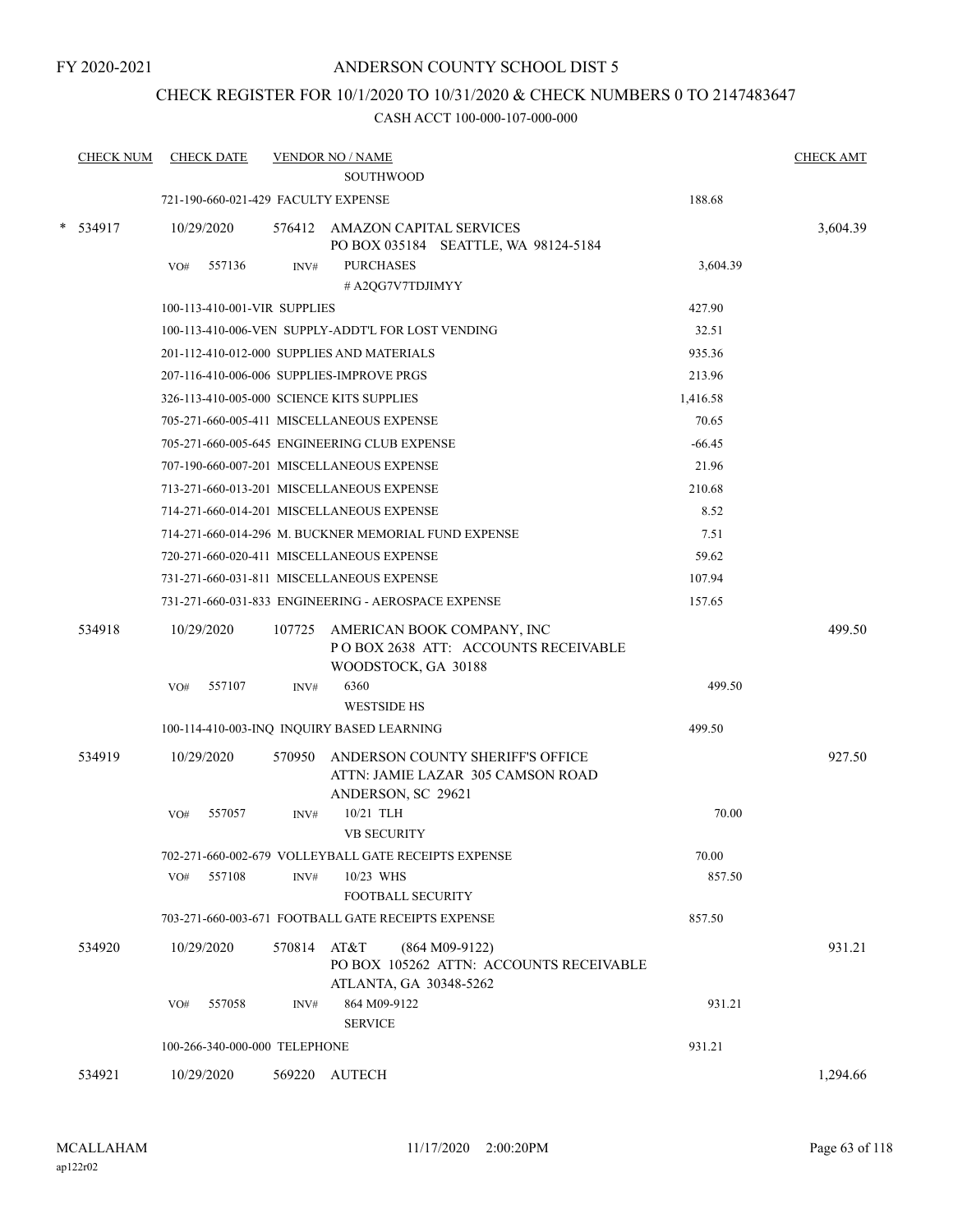FY 2020-2021

## ANDERSON COUNTY SCHOOL DIST 5

## CHECK REGISTER FOR 10/1/2020 TO 10/31/2020 & CHECK NUMBERS 0 TO 2147483647

| <b>CHECK NUM</b> | <b>CHECK DATE</b>                         |        | <b>VENDOR NO / NAME</b><br><b>SOUTHWOOD</b>                                                   |          | <b>CHECK AMT</b> |
|------------------|-------------------------------------------|--------|-----------------------------------------------------------------------------------------------|----------|------------------|
|                  | 721-190-660-021-429 FACULTY EXPENSE       |        |                                                                                               | 188.68   |                  |
| * 534917         | 10/29/2020                                |        | 576412 AMAZON CAPITAL SERVICES<br>PO BOX 035184 SEATTLE, WA 98124-5184                        |          | 3,604.39         |
|                  | 557136<br>VO#                             | INV#   | <b>PURCHASES</b>                                                                              | 3,604.39 |                  |
|                  |                                           |        | # A2QG7V7TDJIMYY                                                                              |          |                  |
|                  | 100-113-410-001-VIR SUPPLIES              |        |                                                                                               | 427.90   |                  |
|                  |                                           |        | 100-113-410-006-VEN SUPPLY-ADDT'L FOR LOST VENDING                                            | 32.51    |                  |
|                  |                                           |        | 201-112-410-012-000 SUPPLIES AND MATERIALS                                                    | 935.36   |                  |
|                  |                                           |        | 207-116-410-006-006 SUPPLIES-IMPROVE PRGS                                                     | 213.96   |                  |
|                  | 326-113-410-005-000 SCIENCE KITS SUPPLIES |        |                                                                                               | 1,416.58 |                  |
|                  |                                           |        | 705-271-660-005-411 MISCELLANEOUS EXPENSE                                                     | 70.65    |                  |
|                  |                                           |        | 705-271-660-005-645 ENGINEERING CLUB EXPENSE                                                  | $-66.45$ |                  |
|                  |                                           |        | 707-190-660-007-201 MISCELLANEOUS EXPENSE                                                     | 21.96    |                  |
|                  |                                           |        | 713-271-660-013-201 MISCELLANEOUS EXPENSE                                                     | 210.68   |                  |
|                  |                                           |        | 714-271-660-014-201 MISCELLANEOUS EXPENSE                                                     | 8.52     |                  |
|                  |                                           |        | 714-271-660-014-296 M. BUCKNER MEMORIAL FUND EXPENSE                                          | 7.51     |                  |
|                  |                                           |        | 720-271-660-020-411 MISCELLANEOUS EXPENSE                                                     | 59.62    |                  |
|                  |                                           |        | 731-271-660-031-811 MISCELLANEOUS EXPENSE                                                     | 107.94   |                  |
|                  |                                           |        | 731-271-660-031-833 ENGINEERING - AEROSPACE EXPENSE                                           | 157.65   |                  |
| 534918           | 10/29/2020                                | 107725 | AMERICAN BOOK COMPANY, INC<br>POBOX 2638 ATT: ACCOUNTS RECEIVABLE<br>WOODSTOCK, GA 30188      |          | 499.50           |
|                  | 557107<br>VO#                             | INV#   | 6360<br><b>WESTSIDE HS</b>                                                                    | 499.50   |                  |
|                  |                                           |        | 100-114-410-003-INQ INQUIRY BASED LEARNING                                                    | 499.50   |                  |
| 534919           | 10/29/2020                                | 570950 | ANDERSON COUNTY SHERIFF'S OFFICE<br>ATTN: JAMIE LAZAR 305 CAMSON ROAD<br>ANDERSON, SC 29621   |          | 927.50           |
|                  | 557057<br>VO#                             | INV#   | 10/21 TLH                                                                                     | 70.00    |                  |
|                  |                                           |        | <b>VB SECURITY</b>                                                                            |          |                  |
|                  |                                           |        | 702-271-660-002-679 VOLLEYBALL GATE RECEIPTS EXPENSE                                          | 70.00    |                  |
|                  | 557108<br>VO#                             | INV#   | 10/23 WHS<br><b>FOOTBALL SECURITY</b>                                                         | 857.50   |                  |
|                  |                                           |        | 703-271-660-003-671 FOOTBALL GATE RECEIPTS EXPENSE                                            | 857.50   |                  |
| 534920           | 10/29/2020                                | 570814 | AT&T<br>$(864 M09-9122)$<br>PO BOX 105262 ATTN: ACCOUNTS RECEIVABLE<br>ATLANTA, GA 30348-5262 |          | 931.21           |
|                  | 557058<br>VO#                             | INV#   | 864 M09-9122<br><b>SERVICE</b>                                                                | 931.21   |                  |
|                  | 100-266-340-000-000 TELEPHONE             |        |                                                                                               | 931.21   |                  |
| 534921           | 10/29/2020                                |        | 569220 AUTECH                                                                                 |          | 1,294.66         |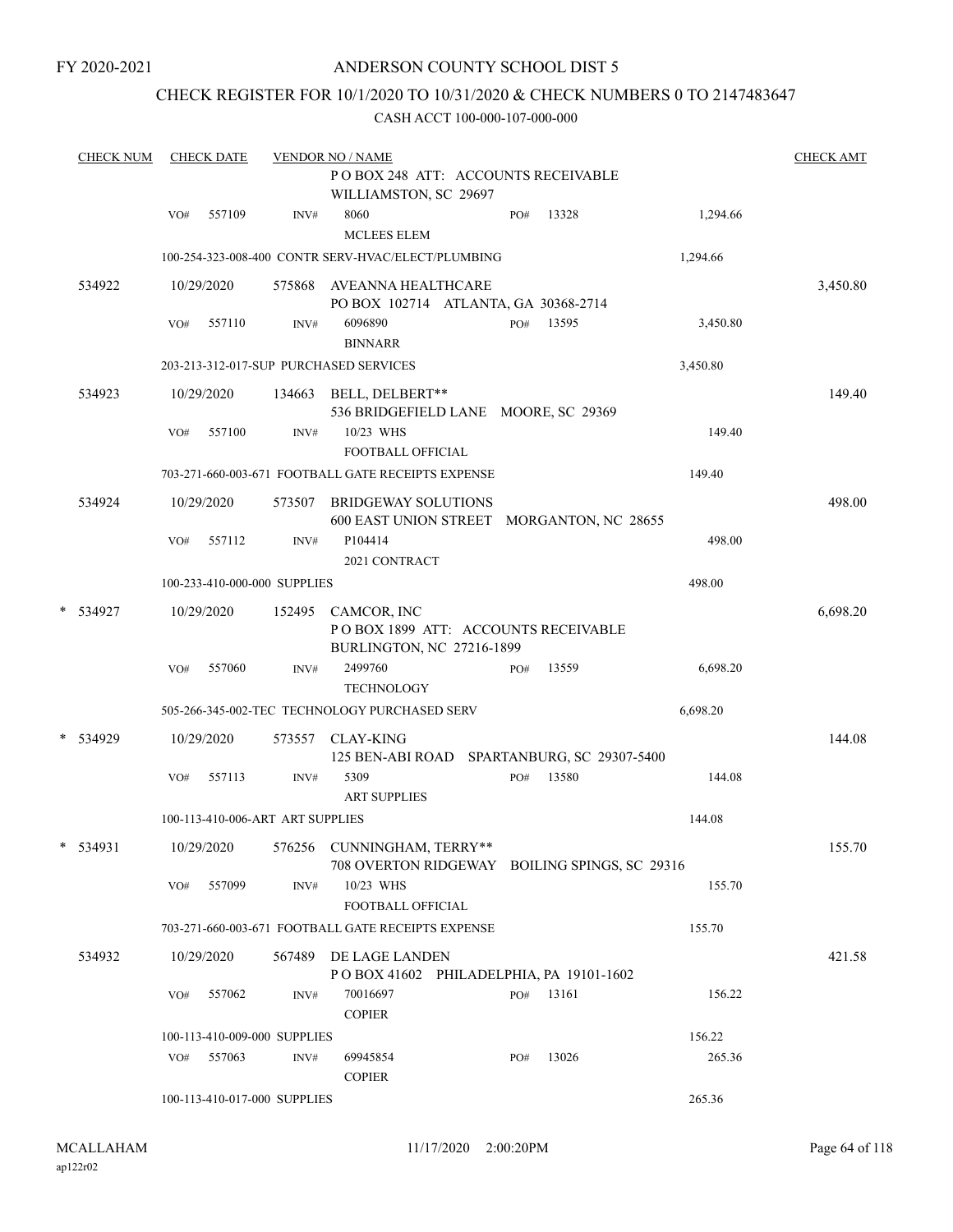## CHECK REGISTER FOR 10/1/2020 TO 10/31/2020 & CHECK NUMBERS 0 TO 2147483647

| <b>CHECK NUM</b> |     | <b>CHECK DATE</b> |                                  | <b>VENDOR NO / NAME</b>                                                                |     |           |          | <b>CHECK AMT</b> |
|------------------|-----|-------------------|----------------------------------|----------------------------------------------------------------------------------------|-----|-----------|----------|------------------|
|                  |     |                   |                                  | POBOX 248 ATT: ACCOUNTS RECEIVABLE<br>WILLIAMSTON, SC 29697                            |     |           |          |                  |
|                  | VO# | 557109            | INV#                             | 8060<br><b>MCLEES ELEM</b>                                                             | PO# | 13328     | 1,294.66 |                  |
|                  |     |                   |                                  | 100-254-323-008-400 CONTR SERV-HVAC/ELECT/PLUMBING                                     |     |           | 1,294.66 |                  |
| 534922           |     | 10/29/2020        |                                  | 575868 AVEANNA HEALTHCARE<br>PO BOX 102714 ATLANTA, GA 30368-2714                      |     |           |          | 3,450.80         |
|                  | VO# | 557110            | INV#                             | 6096890<br><b>BINNARR</b>                                                              | PO# | 13595     | 3,450.80 |                  |
|                  |     |                   |                                  | 203-213-312-017-SUP PURCHASED SERVICES                                                 |     |           | 3,450.80 |                  |
| 534923           |     | 10/29/2020        |                                  | 134663 BELL, DELBERT**<br>536 BRIDGEFIELD LANE MOORE, SC 29369                         |     |           |          | 149.40           |
|                  | VO# | 557100            | INV#                             | 10/23 WHS<br>FOOTBALL OFFICIAL                                                         |     |           | 149.40   |                  |
|                  |     |                   |                                  | 703-271-660-003-671 FOOTBALL GATE RECEIPTS EXPENSE                                     |     |           | 149.40   |                  |
| 534924           |     | 10/29/2020        |                                  | 573507 BRIDGEWAY SOLUTIONS<br>600 EAST UNION STREET MORGANTON, NC 28655                |     |           |          | 498.00           |
|                  | VO# | 557112            | INV#                             | P104414<br>2021 CONTRACT                                                               |     |           | 498.00   |                  |
|                  |     |                   | 100-233-410-000-000 SUPPLIES     |                                                                                        |     |           | 498.00   |                  |
| * 534927         |     | 10/29/2020        |                                  | 152495 CAMCOR, INC<br>POBOX 1899 ATT: ACCOUNTS RECEIVABLE<br>BURLINGTON, NC 27216-1899 |     |           |          | 6,698.20         |
|                  | VO# | 557060            | INV#                             | 2499760<br><b>TECHNOLOGY</b>                                                           | PO# | 13559     | 6,698.20 |                  |
|                  |     |                   |                                  | 505-266-345-002-TEC TECHNOLOGY PURCHASED SERV                                          |     |           | 6,698.20 |                  |
| * 534929         |     | 10/29/2020        |                                  | 573557 CLAY-KING<br>125 BEN-ABI ROAD SPARTANBURG, SC 29307-5400                        |     |           |          | 144.08           |
|                  | VO# | 557113            | INV#                             | 5309<br><b>ART SUPPLIES</b>                                                            | PO# | 13580     | 144.08   |                  |
|                  |     |                   | 100-113-410-006-ART ART SUPPLIES |                                                                                        |     |           | 144.08   |                  |
| $*$ 534931       |     |                   |                                  | 10/29/2020 576256 CUNNINGHAM, TERRY**<br>708 OVERTON RIDGEWAY BOILING SPINGS, SC 29316 |     |           |          | 155.70           |
|                  | VO# | 557099            | INV#                             | 10/23 WHS<br>FOOTBALL OFFICIAL                                                         |     |           | 155.70   |                  |
|                  |     |                   |                                  | 703-271-660-003-671 FOOTBALL GATE RECEIPTS EXPENSE                                     |     |           | 155.70   |                  |
| 534932           |     | 10/29/2020        | 567489                           | DE LAGE LANDEN<br>POBOX 41602 PHILADELPHIA, PA 19101-1602                              |     |           |          | 421.58           |
|                  | VO# | 557062            | INV#                             | 70016697<br><b>COPIER</b>                                                              |     | PO# 13161 | 156.22   |                  |
|                  |     |                   | 100-113-410-009-000 SUPPLIES     |                                                                                        |     |           | 156.22   |                  |
|                  | VO# | 557063            | INV#                             | 69945854<br><b>COPIER</b>                                                              | PO# | 13026     | 265.36   |                  |
|                  |     |                   | 100-113-410-017-000 SUPPLIES     |                                                                                        |     |           | 265.36   |                  |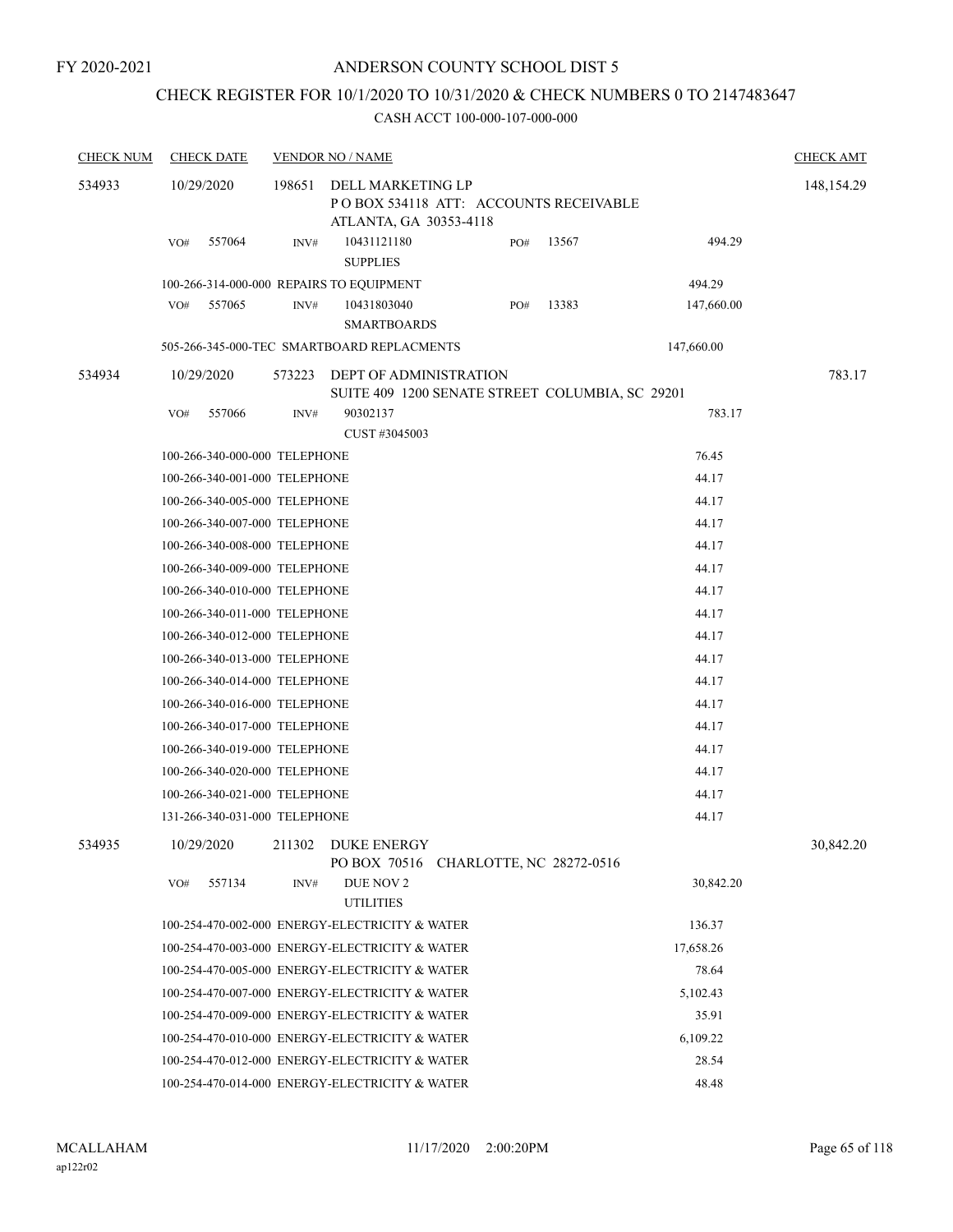## CHECK REGISTER FOR 10/1/2020 TO 10/31/2020 & CHECK NUMBERS 0 TO 2147483647

| <b>CHECK NUM</b> | <b>CHECK DATE</b>             |        | <b>VENDOR NO / NAME</b>                                                              |     |       |            | <b>CHECK AMT</b> |
|------------------|-------------------------------|--------|--------------------------------------------------------------------------------------|-----|-------|------------|------------------|
| 534933           | 10/29/2020                    | 198651 | DELL MARKETING LP<br>POBOX 534118 ATT: ACCOUNTS RECEIVABLE<br>ATLANTA, GA 30353-4118 |     |       |            | 148, 154. 29     |
|                  | 557064<br>VO#                 | INV#   | 10431121180<br><b>SUPPLIES</b>                                                       | PO# | 13567 | 494.29     |                  |
|                  |                               |        | 100-266-314-000-000 REPAIRS TO EQUIPMENT                                             |     |       | 494.29     |                  |
|                  | 557065<br>VO#                 | INV#   | 10431803040<br><b>SMARTBOARDS</b>                                                    | PO# | 13383 | 147,660.00 |                  |
|                  |                               |        | 505-266-345-000-TEC SMARTBOARD REPLACMENTS                                           |     |       | 147,660.00 |                  |
| 534934           | 10/29/2020                    | 573223 | DEPT OF ADMINISTRATION<br>SUITE 409 1200 SENATE STREET COLUMBIA, SC 29201            |     |       |            | 783.17           |
|                  | VO#<br>557066                 | INV#   | 90302137<br>CUST #3045003                                                            |     |       | 783.17     |                  |
|                  | 100-266-340-000-000 TELEPHONE |        |                                                                                      |     |       | 76.45      |                  |
|                  | 100-266-340-001-000 TELEPHONE |        |                                                                                      |     |       | 44.17      |                  |
|                  | 100-266-340-005-000 TELEPHONE |        |                                                                                      |     |       | 44.17      |                  |
|                  | 100-266-340-007-000 TELEPHONE |        |                                                                                      |     |       | 44.17      |                  |
|                  | 100-266-340-008-000 TELEPHONE |        |                                                                                      |     |       | 44.17      |                  |
|                  | 100-266-340-009-000 TELEPHONE |        |                                                                                      |     |       | 44.17      |                  |
|                  | 100-266-340-010-000 TELEPHONE |        |                                                                                      |     |       | 44.17      |                  |
|                  | 100-266-340-011-000 TELEPHONE |        |                                                                                      |     |       | 44.17      |                  |
|                  | 100-266-340-012-000 TELEPHONE |        |                                                                                      |     |       | 44.17      |                  |
|                  | 100-266-340-013-000 TELEPHONE |        |                                                                                      |     |       | 44.17      |                  |
|                  | 100-266-340-014-000 TELEPHONE |        |                                                                                      |     |       | 44.17      |                  |
|                  | 100-266-340-016-000 TELEPHONE |        |                                                                                      |     |       | 44.17      |                  |
|                  | 100-266-340-017-000 TELEPHONE |        |                                                                                      |     |       | 44.17      |                  |
|                  | 100-266-340-019-000 TELEPHONE |        |                                                                                      |     |       | 44.17      |                  |
|                  | 100-266-340-020-000 TELEPHONE |        |                                                                                      |     |       | 44.17      |                  |
|                  | 100-266-340-021-000 TELEPHONE |        |                                                                                      |     |       | 44.17      |                  |
|                  | 131-266-340-031-000 TELEPHONE |        |                                                                                      |     |       | 44.17      |                  |
| 534935           | 10/29/2020                    |        | 211302 DUKE ENERGY<br>PO BOX 70516 CHARLOTTE, NC 28272-0516                          |     |       |            | 30,842.20        |
|                  | 557134<br>VO#                 | INV#   | DUE NOV 2<br><b>UTILITIES</b>                                                        |     |       | 30,842.20  |                  |
|                  |                               |        | 100-254-470-002-000 ENERGY-ELECTRICITY & WATER                                       |     |       | 136.37     |                  |
|                  |                               |        | 100-254-470-003-000 ENERGY-ELECTRICITY & WATER                                       |     |       | 17,658.26  |                  |
|                  |                               |        | 100-254-470-005-000 ENERGY-ELECTRICITY & WATER                                       |     |       | 78.64      |                  |
|                  |                               |        | 100-254-470-007-000 ENERGY-ELECTRICITY & WATER                                       |     |       | 5,102.43   |                  |
|                  |                               |        | 100-254-470-009-000 ENERGY-ELECTRICITY & WATER                                       |     |       | 35.91      |                  |
|                  |                               |        | 100-254-470-010-000 ENERGY-ELECTRICITY & WATER                                       |     |       | 6,109.22   |                  |
|                  |                               |        | 100-254-470-012-000 ENERGY-ELECTRICITY & WATER                                       |     |       | 28.54      |                  |
|                  |                               |        | 100-254-470-014-000 ENERGY-ELECTRICITY & WATER                                       |     |       | 48.48      |                  |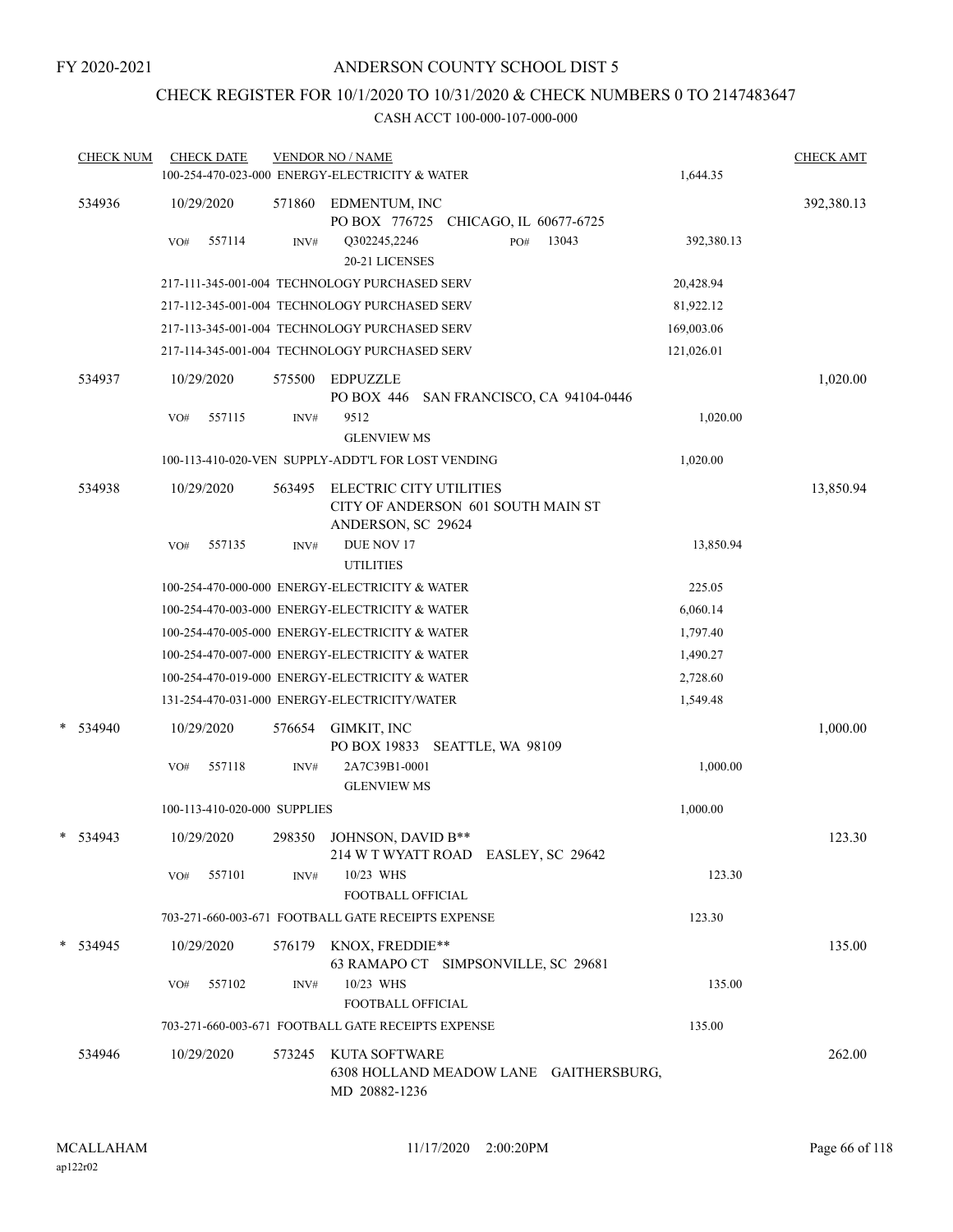## CHECK REGISTER FOR 10/1/2020 TO 10/31/2020 & CHECK NUMBERS 0 TO 2147483647

|   | <b>CHECK NUM</b> |     | <b>CHECK DATE</b>            |        | <b>VENDOR NO / NAME</b><br>100-254-470-023-000 ENERGY-ELECTRICITY & WATER           | 1,644.35   | <b>CHECK AMT</b> |
|---|------------------|-----|------------------------------|--------|-------------------------------------------------------------------------------------|------------|------------------|
|   | 534936           |     | 10/29/2020                   | 571860 | EDMENTUM, INC<br>PO BOX 776725 CHICAGO, IL 60677-6725                               |            | 392,380.13       |
|   |                  | VO# | 557114                       | INV#   | 13043<br>Q302245,2246<br>PO#<br>20-21 LICENSES                                      | 392,380.13 |                  |
|   |                  |     |                              |        | 217-111-345-001-004 TECHNOLOGY PURCHASED SERV                                       | 20,428.94  |                  |
|   |                  |     |                              |        | 217-112-345-001-004 TECHNOLOGY PURCHASED SERV                                       | 81,922.12  |                  |
|   |                  |     |                              |        | 217-113-345-001-004 TECHNOLOGY PURCHASED SERV                                       | 169,003.06 |                  |
|   |                  |     |                              |        | 217-114-345-001-004 TECHNOLOGY PURCHASED SERV                                       | 121,026.01 |                  |
|   | 534937           |     | 10/29/2020                   | 575500 | <b>EDPUZZLE</b><br>PO BOX 446 SAN FRANCISCO, CA 94104-0446                          |            | 1,020.00         |
|   |                  | VO# | 557115                       | INV#   | 9512<br><b>GLENVIEW MS</b>                                                          | 1,020.00   |                  |
|   |                  |     |                              |        | 100-113-410-020-VEN SUPPLY-ADDT'L FOR LOST VENDING                                  | 1,020.00   |                  |
|   | 534938           |     | 10/29/2020                   | 563495 | ELECTRIC CITY UTILITIES<br>CITY OF ANDERSON 601 SOUTH MAIN ST<br>ANDERSON, SC 29624 |            | 13,850.94        |
|   |                  | VO# | 557135                       | INV#   | DUE NOV 17<br><b>UTILITIES</b>                                                      | 13,850.94  |                  |
|   |                  |     |                              |        | 100-254-470-000-000 ENERGY-ELECTRICITY & WATER                                      | 225.05     |                  |
|   |                  |     |                              |        | 100-254-470-003-000 ENERGY-ELECTRICITY & WATER                                      | 6,060.14   |                  |
|   |                  |     |                              |        | 100-254-470-005-000 ENERGY-ELECTRICITY & WATER                                      | 1,797.40   |                  |
|   |                  |     |                              |        | 100-254-470-007-000 ENERGY-ELECTRICITY & WATER                                      | 1,490.27   |                  |
|   |                  |     |                              |        | 100-254-470-019-000 ENERGY-ELECTRICITY & WATER                                      | 2,728.60   |                  |
|   |                  |     |                              |        | 131-254-470-031-000 ENERGY-ELECTRICITY/WATER                                        | 1,549.48   |                  |
| * | 534940           |     | 10/29/2020                   | 576654 | GIMKIT, INC<br>PO BOX 19833 SEATTLE, WA 98109                                       |            | 1,000.00         |
|   |                  | VO# | 557118                       | INV#   | 2A7C39B1-0001<br><b>GLENVIEW MS</b>                                                 | 1,000.00   |                  |
|   |                  |     | 100-113-410-020-000 SUPPLIES |        |                                                                                     | 1,000.00   |                  |
|   | $*$ 534943       |     | 10/29/2020                   | 298350 | JOHNSON, DAVID B**<br>214 W T WYATT ROAD EASLEY, SC 29642                           |            | 123.30           |
|   |                  | VO# | 557101                       | INV#   | 10/23 WHS<br>FOOTBALL OFFICIAL                                                      | 123.30     |                  |
|   |                  |     |                              |        | 703-271-660-003-671 FOOTBALL GATE RECEIPTS EXPENSE                                  | 123.30     |                  |
|   | * 534945         |     | 10/29/2020                   | 576179 | KNOX, FREDDIE**<br>63 RAMAPO CT SIMPSONVILLE, SC 29681                              |            | 135.00           |
|   |                  | VO# | 557102                       | INV#   | 10/23 WHS<br>FOOTBALL OFFICIAL                                                      | 135.00     |                  |
|   |                  |     |                              |        | 703-271-660-003-671 FOOTBALL GATE RECEIPTS EXPENSE                                  | 135.00     |                  |
|   | 534946           |     | 10/29/2020                   | 573245 | KUTA SOFTWARE<br>6308 HOLLAND MEADOW LANE GAITHERSBURG,<br>MD 20882-1236            |            | 262.00           |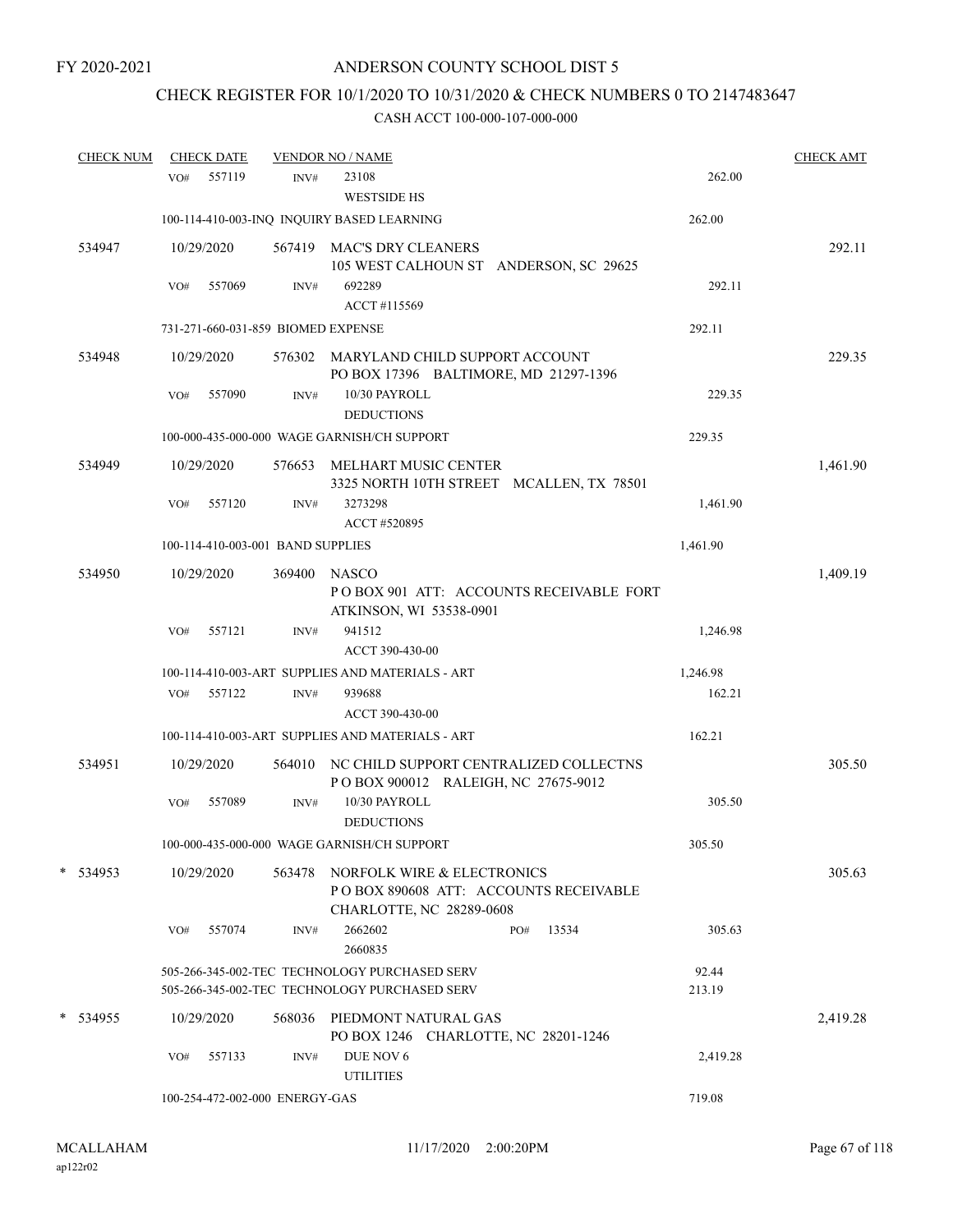# CHECK REGISTER FOR 10/1/2020 TO 10/31/2020 & CHECK NUMBERS 0 TO 2147483647

| <b>CHECK NUM</b> |     | <b>CHECK DATE</b> |                                    | <b>VENDOR NO / NAME</b>                                                                         |     |       |                 | <b>CHECK AMT</b> |
|------------------|-----|-------------------|------------------------------------|-------------------------------------------------------------------------------------------------|-----|-------|-----------------|------------------|
|                  | VO# | 557119            | INV#                               | 23108<br>WESTSIDE HS                                                                            |     |       | 262.00          |                  |
|                  |     |                   |                                    | 100-114-410-003-INQ INQUIRY BASED LEARNING                                                      |     |       | 262.00          |                  |
| 534947           |     | 10/29/2020        |                                    | 567419 MAC'S DRY CLEANERS<br>105 WEST CALHOUN ST ANDERSON, SC 29625                             |     |       |                 | 292.11           |
|                  | VO# | 557069            | INV#                               | 692289<br>ACCT#115569                                                                           |     |       | 292.11          |                  |
|                  |     |                   | 731-271-660-031-859 BIOMED EXPENSE |                                                                                                 |     |       | 292.11          |                  |
| 534948           |     | 10/29/2020        |                                    | 576302 MARYLAND CHILD SUPPORT ACCOUNT<br>PO BOX 17396 BALTIMORE, MD 21297-1396                  |     |       |                 | 229.35           |
|                  | VO# | 557090            | INV#                               | 10/30 PAYROLL<br><b>DEDUCTIONS</b>                                                              |     |       | 229.35          |                  |
|                  |     |                   |                                    | 100-000-435-000-000 WAGE GARNISH/CH SUPPORT                                                     |     |       | 229.35          |                  |
| 534949           |     | 10/29/2020        | 576653                             | MELHART MUSIC CENTER<br>3325 NORTH 10TH STREET MCALLEN, TX 78501                                |     |       |                 | 1,461.90         |
|                  | VO# | 557120            | INV#                               | 3273298<br>ACCT #520895                                                                         |     |       | 1,461.90        |                  |
|                  |     |                   | 100-114-410-003-001 BAND SUPPLIES  |                                                                                                 |     |       | 1,461.90        |                  |
| 534950           |     | 10/29/2020        | 369400                             | <b>NASCO</b><br>POBOX 901 ATT: ACCOUNTS RECEIVABLE FORT<br>ATKINSON, WI 53538-0901              |     |       |                 | 1,409.19         |
|                  | VO# | 557121            | INV#                               | 941512<br>ACCT 390-430-00                                                                       |     |       | 1,246.98        |                  |
|                  |     |                   |                                    | 100-114-410-003-ART SUPPLIES AND MATERIALS - ART                                                |     |       | 1,246.98        |                  |
|                  |     | VO# 557122        | INV#                               | 939688<br>ACCT 390-430-00                                                                       |     |       | 162.21          |                  |
|                  |     |                   |                                    | 100-114-410-003-ART SUPPLIES AND MATERIALS - ART                                                |     |       | 162.21          |                  |
| 534951           |     | 10/29/2020        |                                    | 564010 NC CHILD SUPPORT CENTRALIZED COLLECTNS<br>POBOX 900012 RALEIGH, NC 27675-9012            |     |       |                 | 305.50           |
|                  | VO# | 557089            | INV#                               | 10/30 PAYROLL<br><b>DEDUCTIONS</b>                                                              |     |       | 305.50          |                  |
|                  |     |                   |                                    | 100-000-435-000-000 WAGE GARNISH/CH SUPPORT                                                     |     |       | 305.50          |                  |
| * 534953         |     | 10/29/2020        | 563478                             | NORFOLK WIRE & ELECTRONICS<br>POBOX 890608 ATT: ACCOUNTS RECEIVABLE<br>CHARLOTTE, NC 28289-0608 |     |       |                 | 305.63           |
|                  | VO# | 557074            | INV#                               | 2662602<br>2660835                                                                              | PO# | 13534 | 305.63          |                  |
|                  |     |                   |                                    | 505-266-345-002-TEC TECHNOLOGY PURCHASED SERV<br>505-266-345-002-TEC TECHNOLOGY PURCHASED SERV  |     |       | 92.44<br>213.19 |                  |
| * 534955         |     | 10/29/2020        |                                    | 568036 PIEDMONT NATURAL GAS<br>PO BOX 1246 CHARLOTTE, NC 28201-1246                             |     |       |                 | 2,419.28         |
|                  | VO# | 557133            | INV#                               | DUE NOV 6<br><b>UTILITIES</b>                                                                   |     |       | 2,419.28        |                  |
|                  |     |                   | 100-254-472-002-000 ENERGY-GAS     |                                                                                                 |     |       | 719.08          |                  |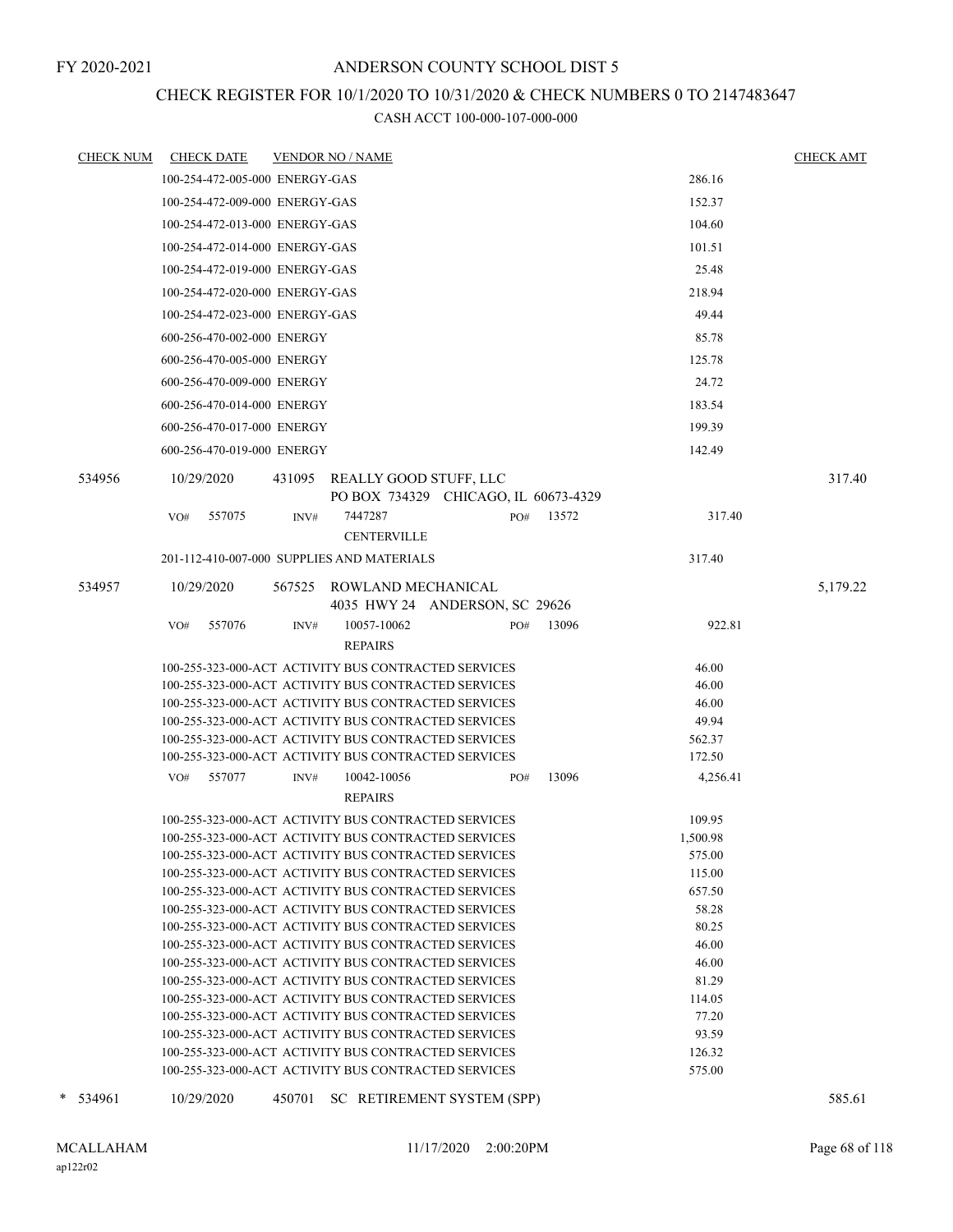## CHECK REGISTER FOR 10/1/2020 TO 10/31/2020 & CHECK NUMBERS 0 TO 2147483647

| CHECK NUM   | CHECK DATE                     | <b>VENDOR NO / NAME</b>                                                                                                         | <b>CHECK AMT</b> |
|-------------|--------------------------------|---------------------------------------------------------------------------------------------------------------------------------|------------------|
|             | 100-254-472-005-000 ENERGY-GAS | 286.16                                                                                                                          |                  |
|             | 100-254-472-009-000 ENERGY-GAS | 152.37                                                                                                                          |                  |
|             | 100-254-472-013-000 ENERGY-GAS | 104.60                                                                                                                          |                  |
|             | 100-254-472-014-000 ENERGY-GAS | 101.51                                                                                                                          |                  |
|             | 100-254-472-019-000 ENERGY-GAS | 25.48                                                                                                                           |                  |
|             |                                |                                                                                                                                 |                  |
|             | 100-254-472-020-000 ENERGY-GAS | 218.94                                                                                                                          |                  |
|             | 100-254-472-023-000 ENERGY-GAS | 49.44                                                                                                                           |                  |
|             | 600-256-470-002-000 ENERGY     | 85.78                                                                                                                           |                  |
|             | 600-256-470-005-000 ENERGY     | 125.78                                                                                                                          |                  |
|             | 600-256-470-009-000 ENERGY     | 24.72                                                                                                                           |                  |
|             | 600-256-470-014-000 ENERGY     | 183.54                                                                                                                          |                  |
|             | 600-256-470-017-000 ENERGY     | 199.39                                                                                                                          |                  |
|             | 600-256-470-019-000 ENERGY     | 142.49                                                                                                                          |                  |
|             |                                |                                                                                                                                 |                  |
| 534956      | 10/29/2020                     | 431095 REALLY GOOD STUFF, LLC<br>PO BOX 734329 CHICAGO, IL 60673-4329                                                           | 317.40           |
|             | 557075<br>VO#                  | 7447287<br>PO#<br>13572<br>317.40<br>INV#                                                                                       |                  |
|             |                                | <b>CENTERVILLE</b>                                                                                                              |                  |
|             |                                | 201-112-410-007-000 SUPPLIES AND MATERIALS<br>317.40                                                                            |                  |
| 534957      |                                |                                                                                                                                 |                  |
|             | 10/29/2020                     | 567525 ROWLAND MECHANICAL<br>4035 HWY 24 ANDERSON, SC 29626                                                                     | 5,179.22         |
|             | 557076<br>VO#                  | 10057-10062<br>13096<br>922.81<br>INV#<br>PO#                                                                                   |                  |
|             |                                | <b>REPAIRS</b>                                                                                                                  |                  |
|             |                                | 100-255-323-000-ACT ACTIVITY BUS CONTRACTED SERVICES<br>46.00                                                                   |                  |
|             |                                | 100-255-323-000-ACT ACTIVITY BUS CONTRACTED SERVICES<br>46.00                                                                   |                  |
|             |                                | 100-255-323-000-ACT ACTIVITY BUS CONTRACTED SERVICES<br>46.00                                                                   |                  |
|             |                                | 100-255-323-000-ACT ACTIVITY BUS CONTRACTED SERVICES<br>49.94                                                                   |                  |
|             |                                | 100-255-323-000-ACT ACTIVITY BUS CONTRACTED SERVICES<br>562.37                                                                  |                  |
|             |                                | 100-255-323-000-ACT ACTIVITY BUS CONTRACTED SERVICES<br>172.50                                                                  |                  |
|             | VO#<br>557077                  | 13096<br>INV#<br>10042-10056<br>4,256.41<br>PO#                                                                                 |                  |
|             |                                | <b>REPAIRS</b>                                                                                                                  |                  |
|             |                                | 100-255-323-000-ACT ACTIVITY BUS CONTRACTED SERVICES<br>109.95                                                                  |                  |
|             |                                | 100-255-323-000-ACT ACTIVITY BUS CONTRACTED SERVICES<br>1,500.98                                                                |                  |
|             |                                | 100-255-323-000-ACT ACTIVITY BUS CONTRACTED SERVICES<br>575.00                                                                  |                  |
|             |                                | 115.00<br>100-255-323-000-ACT ACTIVITY BUS CONTRACTED SERVICES                                                                  |                  |
|             |                                | 657.50<br>100-255-323-000-ACT ACTIVITY BUS CONTRACTED SERVICES                                                                  |                  |
|             |                                | 100-255-323-000-ACT ACTIVITY BUS CONTRACTED SERVICES<br>58.28                                                                   |                  |
|             |                                | 100-255-323-000-ACT ACTIVITY BUS CONTRACTED SERVICES<br>80.25                                                                   |                  |
|             |                                | 46.00<br>100-255-323-000-ACT ACTIVITY BUS CONTRACTED SERVICES                                                                   |                  |
|             |                                | 100-255-323-000-ACT ACTIVITY BUS CONTRACTED SERVICES<br>46.00                                                                   |                  |
|             |                                | 100-255-323-000-ACT ACTIVITY BUS CONTRACTED SERVICES<br>81.29                                                                   |                  |
|             |                                | 100-255-323-000-ACT ACTIVITY BUS CONTRACTED SERVICES<br>114.05                                                                  |                  |
|             |                                | 100-255-323-000-ACT ACTIVITY BUS CONTRACTED SERVICES<br>77.20                                                                   |                  |
|             |                                | 100-255-323-000-ACT ACTIVITY BUS CONTRACTED SERVICES<br>93.59<br>100-255-323-000-ACT ACTIVITY BUS CONTRACTED SERVICES<br>126.32 |                  |
|             |                                | 100-255-323-000-ACT ACTIVITY BUS CONTRACTED SERVICES<br>575.00                                                                  |                  |
|             |                                |                                                                                                                                 |                  |
| *<br>534961 | 10/29/2020                     | 450701<br>SC RETIREMENT SYSTEM (SPP)                                                                                            | 585.61           |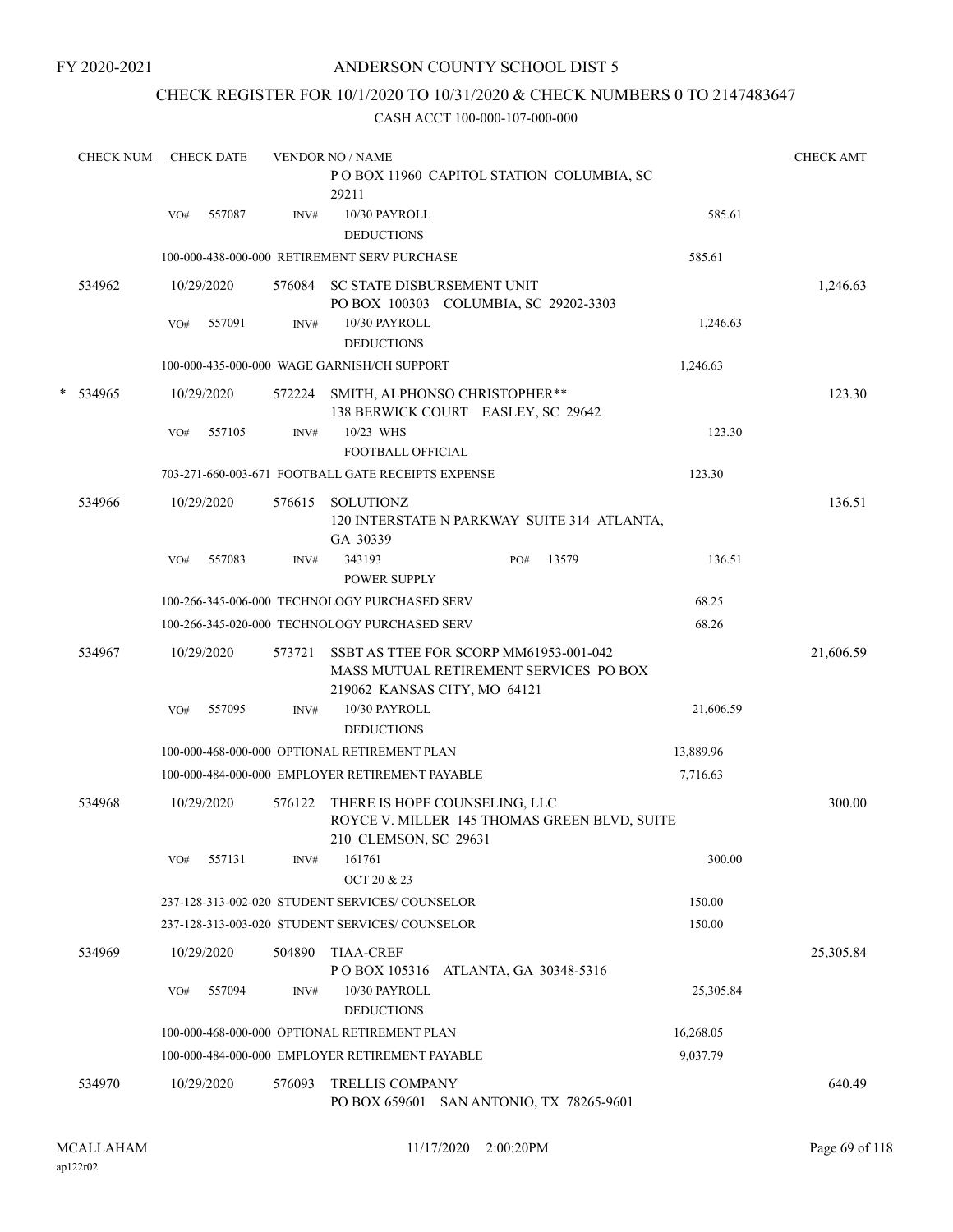FY 2020-2021

## ANDERSON COUNTY SCHOOL DIST 5

## CHECK REGISTER FOR 10/1/2020 TO 10/31/2020 & CHECK NUMBERS 0 TO 2147483647

|   | <b>CHECK NUM</b> |     | <b>CHECK DATE</b> |        | <b>VENDOR NO / NAME</b>                                                                                          |                        |       |           | <b>CHECK AMT</b> |
|---|------------------|-----|-------------------|--------|------------------------------------------------------------------------------------------------------------------|------------------------|-------|-----------|------------------|
|   |                  |     |                   |        | POBOX 11960 CAPITOL STATION COLUMBIA, SC<br>29211                                                                |                        |       |           |                  |
|   |                  | VO# | 557087            | INV#   | 10/30 PAYROLL<br><b>DEDUCTIONS</b>                                                                               |                        |       | 585.61    |                  |
|   |                  |     |                   |        | 100-000-438-000-000 RETIREMENT SERV PURCHASE                                                                     |                        |       | 585.61    |                  |
|   | 534962           |     | 10/29/2020        | 576084 | SC STATE DISBURSEMENT UNIT<br>PO BOX 100303 COLUMBIA, SC 29202-3303                                              |                        |       |           | 1,246.63         |
|   |                  | VO# | 557091            | INV#   | 10/30 PAYROLL<br><b>DEDUCTIONS</b>                                                                               |                        |       | 1,246.63  |                  |
|   |                  |     |                   |        | 100-000-435-000-000 WAGE GARNISH/CH SUPPORT                                                                      |                        |       | 1,246.63  |                  |
| * | 534965           |     | 10/29/2020        | 572224 | SMITH, ALPHONSO CHRISTOPHER**<br>138 BERWICK COURT EASLEY, SC 29642                                              |                        |       |           | 123.30           |
|   |                  | VO# | 557105            | INV#   | 10/23 WHS<br><b>FOOTBALL OFFICIAL</b>                                                                            |                        |       | 123.30    |                  |
|   |                  |     |                   |        | 703-271-660-003-671 FOOTBALL GATE RECEIPTS EXPENSE                                                               |                        |       | 123.30    |                  |
|   | 534966           |     | 10/29/2020        | 576615 | <b>SOLUTIONZ</b><br>120 INTERSTATE N PARKWAY SUITE 314 ATLANTA,<br>GA 30339                                      |                        |       |           | 136.51           |
|   |                  | VO# | 557083            | INV#   | 343193<br><b>POWER SUPPLY</b>                                                                                    | PO#                    | 13579 | 136.51    |                  |
|   |                  |     |                   |        | 100-266-345-006-000 TECHNOLOGY PURCHASED SERV                                                                    |                        |       | 68.25     |                  |
|   |                  |     |                   |        | 100-266-345-020-000 TECHNOLOGY PURCHASED SERV                                                                    |                        |       | 68.26     |                  |
|   | 534967           |     | 10/29/2020        | 573721 | SSBT AS TTEE FOR SCORP MM61953-001-042<br>MASS MUTUAL RETIREMENT SERVICES PO BOX<br>219062 KANSAS CITY, MO 64121 |                        |       |           | 21,606.59        |
|   |                  | VO# | 557095            | INV#   | 10/30 PAYROLL<br><b>DEDUCTIONS</b>                                                                               |                        |       | 21,606.59 |                  |
|   |                  |     |                   |        | 100-000-468-000-000 OPTIONAL RETIREMENT PLAN                                                                     |                        |       | 13,889.96 |                  |
|   |                  |     |                   |        | 100-000-484-000-000 EMPLOYER RETIREMENT PAYABLE                                                                  |                        |       | 7,716.63  |                  |
|   | 534968           |     | 10/29/2020        | 576122 | THERE IS HOPE COUNSELING, LLC<br>ROYCE V. MILLER 145 THOMAS GREEN BLVD, SUITE<br>210 CLEMSON, SC 29631           |                        |       |           | 300.00           |
|   |                  | VO# | 557131            | INV#   | 161761<br>OCT 20 & 23                                                                                            |                        |       | 300.00    |                  |
|   |                  |     |                   |        | 237-128-313-002-020 STUDENT SERVICES/COUNSELOR                                                                   |                        |       | 150.00    |                  |
|   |                  |     |                   |        | 237-128-313-003-020 STUDENT SERVICES/COUNSELOR                                                                   |                        |       | 150.00    |                  |
|   | 534969           |     | 10/29/2020        | 504890 | <b>TIAA-CREF</b><br>POBOX 105316                                                                                 |                        |       |           | 25,305.84        |
|   |                  | VO# | 557094            | INV#   | 10/30 PAYROLL<br><b>DEDUCTIONS</b>                                                                               | ATLANTA, GA 30348-5316 |       | 25,305.84 |                  |
|   |                  |     |                   |        | 100-000-468-000-000 OPTIONAL RETIREMENT PLAN                                                                     |                        |       | 16,268.05 |                  |
|   |                  |     |                   |        | 100-000-484-000-000 EMPLOYER RETIREMENT PAYABLE                                                                  |                        |       | 9,037.79  |                  |
|   | 534970           |     | 10/29/2020        | 576093 | TRELLIS COMPANY<br>PO BOX 659601 SAN ANTONIO, TX 78265-9601                                                      |                        |       |           | 640.49           |
|   |                  |     |                   |        |                                                                                                                  |                        |       |           |                  |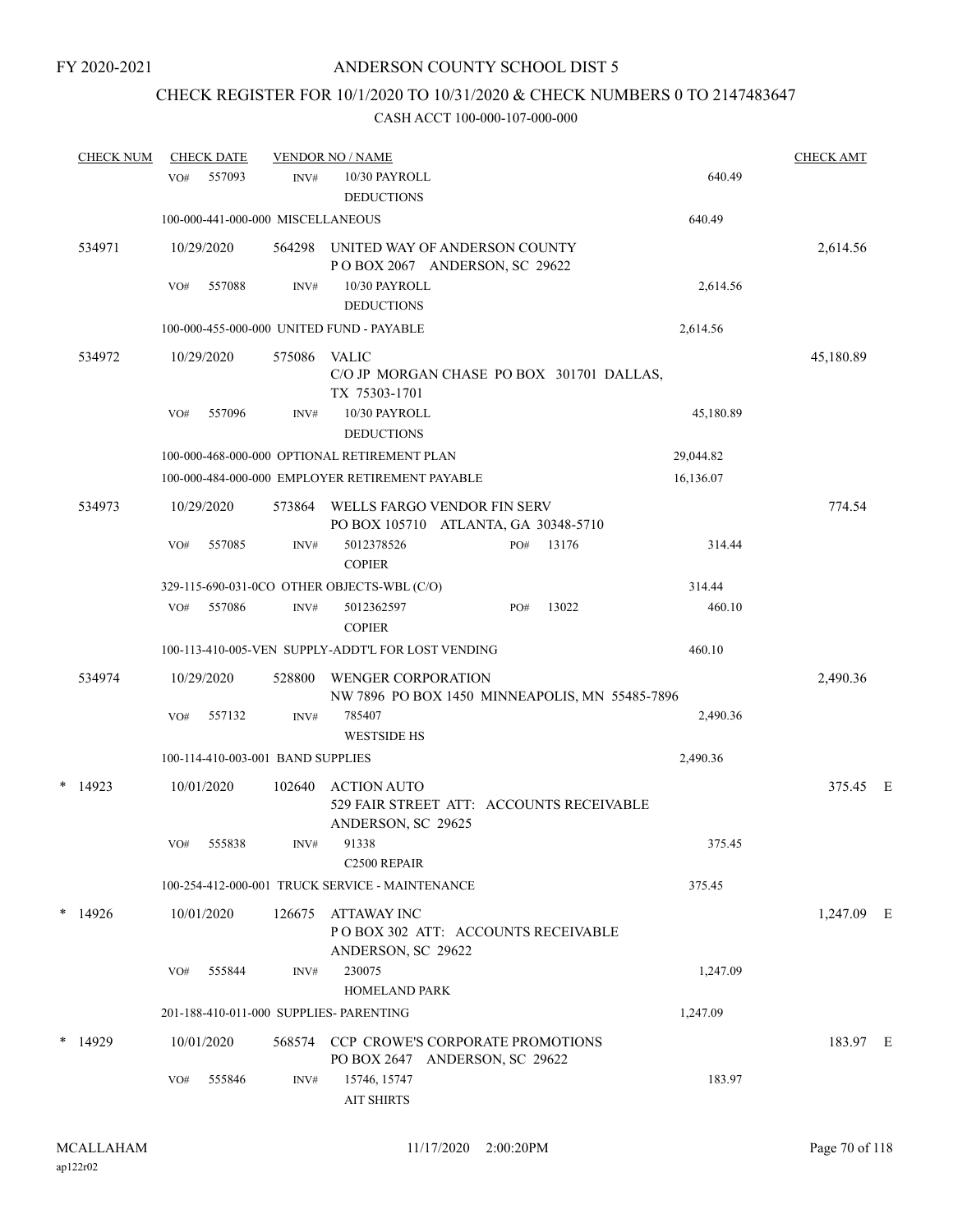# CHECK REGISTER FOR 10/1/2020 TO 10/31/2020 & CHECK NUMBERS 0 TO 2147483647

| <b>CHECK NUM</b> | <b>CHECK DATE</b>                       |        | <b>VENDOR NO / NAME</b>                                                              |           | <b>CHECK AMT</b> |  |
|------------------|-----------------------------------------|--------|--------------------------------------------------------------------------------------|-----------|------------------|--|
|                  | 557093<br>VO#                           | INV#   | 10/30 PAYROLL<br><b>DEDUCTIONS</b>                                                   | 640.49    |                  |  |
|                  | 100-000-441-000-000 MISCELLANEOUS       |        |                                                                                      | 640.49    |                  |  |
| 534971           | 10/29/2020                              | 564298 | UNITED WAY OF ANDERSON COUNTY<br>POBOX 2067 ANDERSON, SC 29622                       |           | 2,614.56         |  |
|                  | 557088<br>VO#                           | INV#   | 10/30 PAYROLL                                                                        | 2,614.56  |                  |  |
|                  |                                         |        | <b>DEDUCTIONS</b>                                                                    |           |                  |  |
|                  |                                         |        | 100-000-455-000-000 UNITED FUND - PAYABLE                                            | 2,614.56  |                  |  |
| 534972           | 10/29/2020                              | 575086 | <b>VALIC</b><br>C/O JP MORGAN CHASE PO BOX 301701 DALLAS,<br>TX 75303-1701           |           | 45,180.89        |  |
|                  | 557096<br>VO#                           | INV#   | 10/30 PAYROLL<br><b>DEDUCTIONS</b>                                                   | 45,180.89 |                  |  |
|                  |                                         |        | 100-000-468-000-000 OPTIONAL RETIREMENT PLAN                                         | 29,044.82 |                  |  |
|                  |                                         |        | 100-000-484-000-000 EMPLOYER RETIREMENT PAYABLE                                      | 16,136.07 |                  |  |
| 534973           | 10/29/2020                              | 573864 | WELLS FARGO VENDOR FIN SERV<br>PO BOX 105710 ATLANTA, GA 30348-5710                  |           | 774.54           |  |
|                  | 557085<br>VO#                           | INV#   | 13176<br>5012378526<br>PO#<br><b>COPIER</b>                                          | 314.44    |                  |  |
|                  |                                         |        | 329-115-690-031-0CO OTHER OBJECTS-WBL (C/O)                                          | 314.44    |                  |  |
|                  | 557086<br>VO#                           | INV#   | 13022<br>5012362597<br>PO#<br><b>COPIER</b>                                          | 460.10    |                  |  |
|                  |                                         |        | 100-113-410-005-VEN SUPPLY-ADDT'L FOR LOST VENDING                                   | 460.10    |                  |  |
| 534974           | 10/29/2020                              | 528800 | <b>WENGER CORPORATION</b><br>NW 7896 PO BOX 1450 MINNEAPOLIS, MN 55485-7896          |           | 2,490.36         |  |
|                  | 557132<br>VO#                           | INV#   | 785407<br><b>WESTSIDE HS</b>                                                         | 2,490.36  |                  |  |
|                  | 100-114-410-003-001 BAND SUPPLIES       |        |                                                                                      | 2,490.36  |                  |  |
| *<br>14923       | 10/01/2020                              | 102640 | <b>ACTION AUTO</b><br>529 FAIR STREET ATT: ACCOUNTS RECEIVABLE<br>ANDERSON, SC 29625 |           | 375.45 E         |  |
|                  | 555838<br>VO#                           | INV#   | 91338<br>C2500 REPAIR                                                                | 375.45    |                  |  |
|                  |                                         |        | 100-254-412-000-001 TRUCK SERVICE - MAINTENANCE                                      | 375.45    |                  |  |
| $*14926$         | 10/01/2020                              | 126675 | ATTAWAY INC<br>POBOX 302 ATT: ACCOUNTS RECEIVABLE<br>ANDERSON, SC 29622              |           | 1,247.09 E       |  |
|                  | 555844<br>VO#                           | INV#   | 230075<br><b>HOMELAND PARK</b>                                                       | 1,247.09  |                  |  |
|                  | 201-188-410-011-000 SUPPLIES- PARENTING |        |                                                                                      | 1,247.09  |                  |  |
| $*$ 14929        | 10/01/2020                              |        | 568574 CCP CROWE'S CORPORATE PROMOTIONS<br>PO BOX 2647 ANDERSON, SC 29622            |           | 183.97 E         |  |
|                  | 555846<br>VO#                           | INV#   | 15746, 15747<br><b>AIT SHIRTS</b>                                                    | 183.97    |                  |  |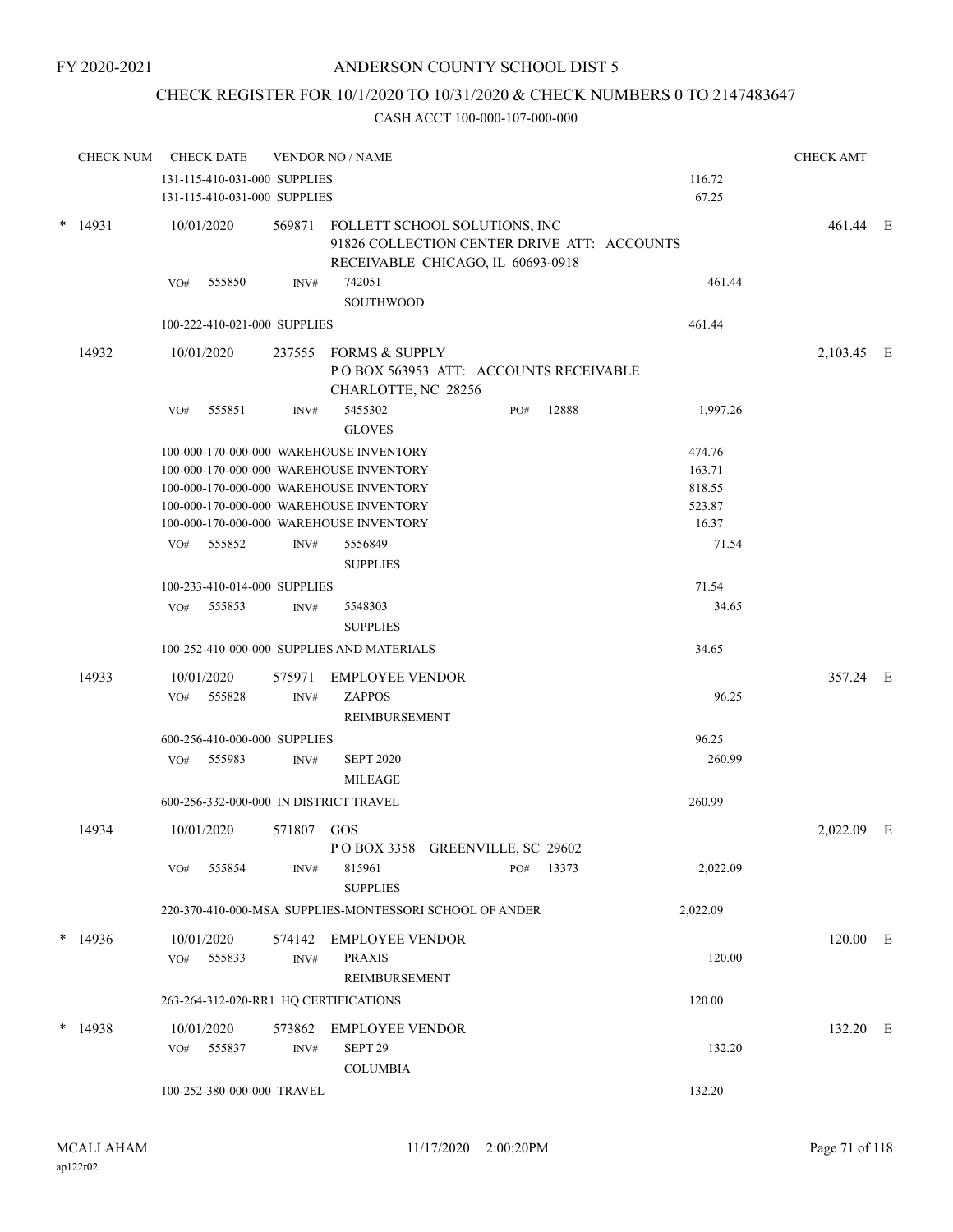# CHECK REGISTER FOR 10/1/2020 TO 10/31/2020 & CHECK NUMBERS 0 TO 2147483647

|        | <b>CHECK NUM</b> | <b>CHECK DATE</b>                                                                                                                                                                                                                    |                          | <b>VENDOR NO / NAME</b>                                                                                           |     |           |                                                        | <b>CHECK AMT</b> |  |
|--------|------------------|--------------------------------------------------------------------------------------------------------------------------------------------------------------------------------------------------------------------------------------|--------------------------|-------------------------------------------------------------------------------------------------------------------|-----|-----------|--------------------------------------------------------|------------------|--|
|        |                  | 131-115-410-031-000 SUPPLIES<br>131-115-410-031-000 SUPPLIES                                                                                                                                                                         |                          |                                                                                                                   |     |           | 116.72<br>67.25                                        |                  |  |
| $\ast$ | 14931            | 10/01/2020                                                                                                                                                                                                                           | 569871                   | FOLLETT SCHOOL SOLUTIONS, INC<br>91826 COLLECTION CENTER DRIVE ATT: ACCOUNTS<br>RECEIVABLE CHICAGO, IL 60693-0918 |     |           |                                                        | 461.44 E         |  |
|        |                  | 555850<br>VO#                                                                                                                                                                                                                        | INV#                     | 742051<br><b>SOUTHWOOD</b>                                                                                        |     |           | 461.44                                                 |                  |  |
|        |                  | 100-222-410-021-000 SUPPLIES                                                                                                                                                                                                         |                          |                                                                                                                   |     |           | 461.44                                                 |                  |  |
|        | 14932            | 10/01/2020                                                                                                                                                                                                                           |                          | 237555 FORMS & SUPPLY<br>PO BOX 563953 ATT: ACCOUNTS RECEIVABLE<br>CHARLOTTE, NC 28256                            |     |           |                                                        | 2,103.45 E       |  |
|        |                  | 555851<br>VO#                                                                                                                                                                                                                        | INV#                     | 5455302<br><b>GLOVES</b>                                                                                          | PO# | 12888     | 1,997.26                                               |                  |  |
|        |                  | 100-000-170-000-000 WAREHOUSE INVENTORY<br>100-000-170-000-000 WAREHOUSE INVENTORY<br>100-000-170-000-000 WAREHOUSE INVENTORY<br>100-000-170-000-000 WAREHOUSE INVENTORY<br>100-000-170-000-000 WAREHOUSE INVENTORY<br>555852<br>VO# | INV#                     | 5556849                                                                                                           |     |           | 474.76<br>163.71<br>818.55<br>523.87<br>16.37<br>71.54 |                  |  |
|        |                  |                                                                                                                                                                                                                                      |                          | <b>SUPPLIES</b>                                                                                                   |     |           |                                                        |                  |  |
|        |                  | 100-233-410-014-000 SUPPLIES<br>555853<br>VO#                                                                                                                                                                                        | INV#                     | 5548303<br><b>SUPPLIES</b>                                                                                        |     |           | 71.54<br>34.65                                         |                  |  |
|        |                  |                                                                                                                                                                                                                                      |                          | 100-252-410-000-000 SUPPLIES AND MATERIALS                                                                        |     |           | 34.65                                                  |                  |  |
|        | 14933            | 10/01/2020<br>555828<br>VO#                                                                                                                                                                                                          | 575971<br>$\text{INV}\#$ | <b>EMPLOYEE VENDOR</b><br><b>ZAPPOS</b><br>REIMBURSEMENT                                                          |     |           | 96.25                                                  | 357.24 E         |  |
|        |                  | 600-256-410-000-000 SUPPLIES                                                                                                                                                                                                         |                          |                                                                                                                   |     |           | 96.25                                                  |                  |  |
|        |                  | 555983<br>VO#                                                                                                                                                                                                                        | $\text{INV}\#$           | <b>SEPT 2020</b><br><b>MILEAGE</b>                                                                                |     |           | 260.99                                                 |                  |  |
|        |                  | 600-256-332-000-000 IN DISTRICT TRAVEL                                                                                                                                                                                               |                          |                                                                                                                   |     |           | 260.99                                                 |                  |  |
|        | 14934            | 10/01/2020                                                                                                                                                                                                                           | 571807 GOS               | POBOX 3358 GREENVILLE, SC 29602                                                                                   |     |           |                                                        | 2,022.09 E       |  |
|        |                  | 555854<br>VO#                                                                                                                                                                                                                        | INV#                     | 815961<br><b>SUPPLIES</b>                                                                                         |     | PO# 13373 | 2,022.09                                               |                  |  |
|        |                  |                                                                                                                                                                                                                                      |                          | 220-370-410-000-MSA SUPPLIES-MONTESSORI SCHOOL OF ANDER                                                           |     |           | 2,022.09                                               |                  |  |
|        | $*$ 14936        | 10/01/2020<br>555833<br>VO#                                                                                                                                                                                                          | INV#                     | 574142 EMPLOYEE VENDOR<br><b>PRAXIS</b><br>REIMBURSEMENT                                                          |     |           | 120.00                                                 | 120.00 E         |  |
|        |                  | 263-264-312-020-RR1 HQ CERTIFICATIONS                                                                                                                                                                                                |                          |                                                                                                                   |     |           | 120.00                                                 |                  |  |
|        | $*14938$         | 10/01/2020<br>VO# 555837                                                                                                                                                                                                             | $\text{INV}\#$           | 573862 EMPLOYEE VENDOR<br>SEPT <sub>29</sub><br><b>COLUMBIA</b>                                                   |     |           | 132.20                                                 | 132.20 E         |  |
|        |                  | 100-252-380-000-000 TRAVEL                                                                                                                                                                                                           |                          |                                                                                                                   |     |           | 132.20                                                 |                  |  |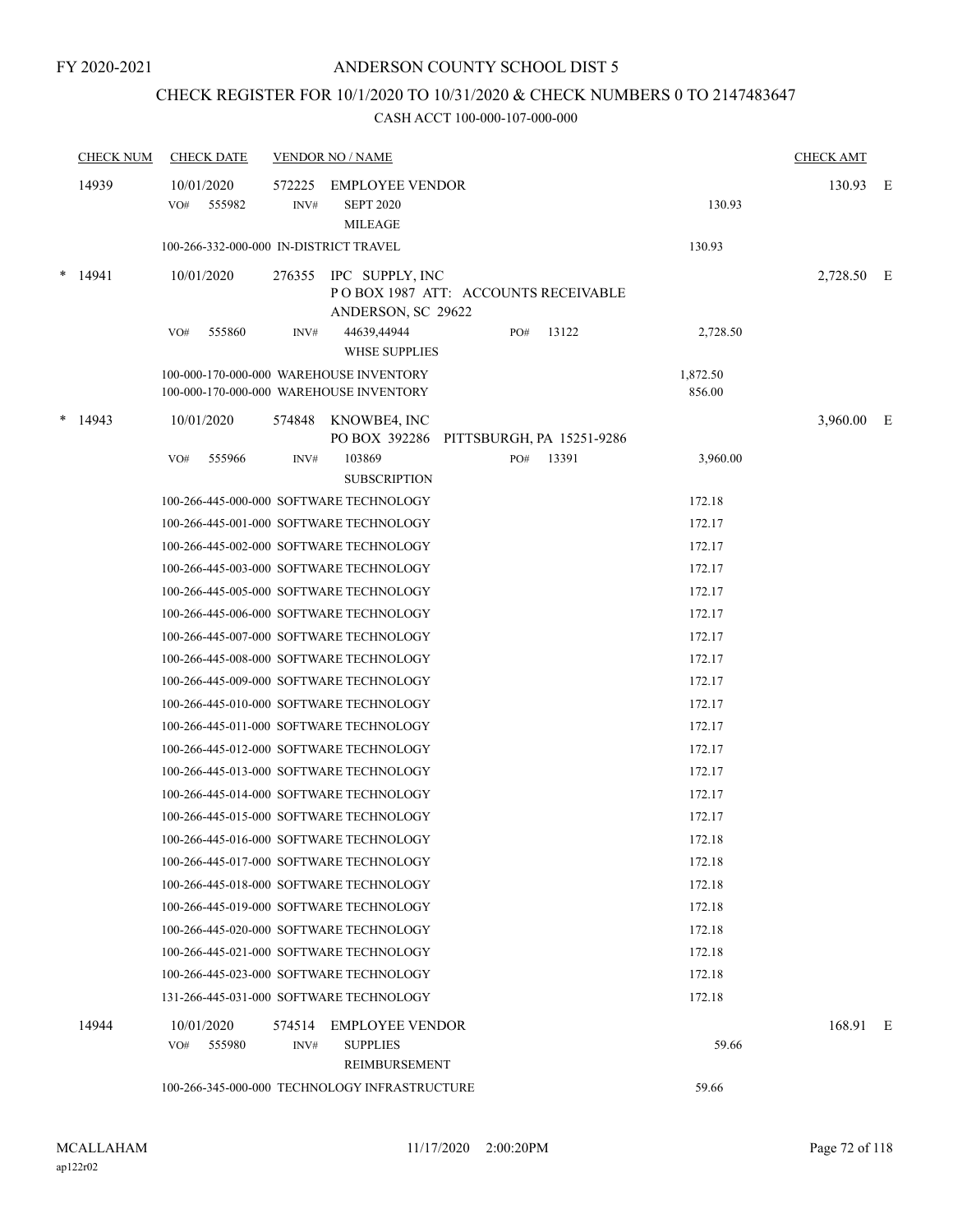## CHECK REGISTER FOR 10/1/2020 TO 10/31/2020 & CHECK NUMBERS 0 TO 2147483647

|   | <b>CHECK NUM</b> | <b>CHECK DATE</b>                      |                | <b>VENDOR NO / NAME</b>                                                             |     |       |                    | <b>CHECK AMT</b> |  |
|---|------------------|----------------------------------------|----------------|-------------------------------------------------------------------------------------|-----|-------|--------------------|------------------|--|
|   | 14939            | 10/01/2020<br>555982<br>VO#            | 572225<br>INV# | <b>EMPLOYEE VENDOR</b><br><b>SEPT 2020</b><br><b>MILEAGE</b>                        |     |       | 130.93             | 130.93 E         |  |
|   |                  | 100-266-332-000-000 IN-DISTRICT TRAVEL |                |                                                                                     |     |       | 130.93             |                  |  |
| * | 14941            | 10/01/2020                             |                | 276355 IPC SUPPLY, INC<br>POBOX 1987 ATT: ACCOUNTS RECEIVABLE<br>ANDERSON, SC 29622 |     |       |                    | 2,728.50 E       |  |
|   |                  | 555860<br>VO#                          | INV#           | 44639,44944<br><b>WHSE SUPPLIES</b>                                                 | PO# | 13122 | 2,728.50           |                  |  |
|   |                  |                                        |                | 100-000-170-000-000 WAREHOUSE INVENTORY<br>100-000-170-000-000 WAREHOUSE INVENTORY  |     |       | 1,872.50<br>856.00 |                  |  |
| * | 14943            | 10/01/2020                             |                | 574848 KNOWBE4, INC<br>PO BOX 392286 PITTSBURGH, PA 15251-9286                      |     |       |                    | 3,960.00 E       |  |
|   |                  | 555966<br>VO#                          | INV#           | 103869<br><b>SUBSCRIPTION</b>                                                       | PO# | 13391 | 3,960.00           |                  |  |
|   |                  |                                        |                | 100-266-445-000-000 SOFTWARE TECHNOLOGY                                             |     |       | 172.18             |                  |  |
|   |                  |                                        |                | 100-266-445-001-000 SOFTWARE TECHNOLOGY                                             |     |       | 172.17             |                  |  |
|   |                  |                                        |                | 100-266-445-002-000 SOFTWARE TECHNOLOGY                                             |     |       | 172.17             |                  |  |
|   |                  |                                        |                | 100-266-445-003-000 SOFTWARE TECHNOLOGY                                             |     |       | 172.17             |                  |  |
|   |                  |                                        |                | 100-266-445-005-000 SOFTWARE TECHNOLOGY                                             |     |       | 172.17             |                  |  |
|   |                  |                                        |                | 100-266-445-006-000 SOFTWARE TECHNOLOGY                                             |     |       | 172.17             |                  |  |
|   |                  |                                        |                | 100-266-445-007-000 SOFTWARE TECHNOLOGY                                             |     |       | 172.17             |                  |  |
|   |                  |                                        |                | 100-266-445-008-000 SOFTWARE TECHNOLOGY                                             |     |       | 172.17             |                  |  |
|   |                  |                                        |                | 100-266-445-009-000 SOFTWARE TECHNOLOGY                                             |     |       | 172.17             |                  |  |
|   |                  |                                        |                | 100-266-445-010-000 SOFTWARE TECHNOLOGY                                             |     |       | 172.17             |                  |  |
|   |                  |                                        |                | 100-266-445-011-000 SOFTWARE TECHNOLOGY                                             |     |       | 172.17             |                  |  |
|   |                  |                                        |                | 100-266-445-012-000 SOFTWARE TECHNOLOGY                                             |     |       | 172.17             |                  |  |
|   |                  |                                        |                | 100-266-445-013-000 SOFTWARE TECHNOLOGY                                             |     |       | 172.17             |                  |  |
|   |                  |                                        |                | 100-266-445-014-000 SOFTWARE TECHNOLOGY                                             |     |       | 172.17             |                  |  |
|   |                  |                                        |                | 100-266-445-015-000 SOFTWARE TECHNOLOGY                                             |     |       | 172.17             |                  |  |
|   |                  |                                        |                | 100-266-445-016-000 SOFTWARE TECHNOLOGY                                             |     |       | 172.18             |                  |  |
|   |                  |                                        |                | 100-266-445-017-000 SOFTWARE TECHNOLOGY                                             |     |       | 172.18             |                  |  |
|   |                  |                                        |                | 100-266-445-018-000 SOFTWARE TECHNOLOGY                                             |     |       | 172.18             |                  |  |
|   |                  |                                        |                | 100-266-445-019-000 SOFTWARE TECHNOLOGY                                             |     |       | 172.18             |                  |  |
|   |                  |                                        |                | 100-266-445-020-000 SOFTWARE TECHNOLOGY                                             |     |       | 172.18             |                  |  |
|   |                  |                                        |                | 100-266-445-021-000 SOFTWARE TECHNOLOGY                                             |     |       | 172.18             |                  |  |
|   |                  |                                        |                | 100-266-445-023-000 SOFTWARE TECHNOLOGY                                             |     |       | 172.18             |                  |  |
|   |                  |                                        |                | 131-266-445-031-000 SOFTWARE TECHNOLOGY                                             |     |       | 172.18             |                  |  |
|   | 14944            | 10/01/2020<br>555980<br>VO#            | 574514<br>INV# | <b>EMPLOYEE VENDOR</b><br><b>SUPPLIES</b>                                           |     |       | 59.66              | 168.91 E         |  |
|   |                  |                                        |                | REIMBURSEMENT                                                                       |     |       |                    |                  |  |
|   |                  |                                        |                | 100-266-345-000-000 TECHNOLOGY INFRASTRUCTURE                                       |     |       | 59.66              |                  |  |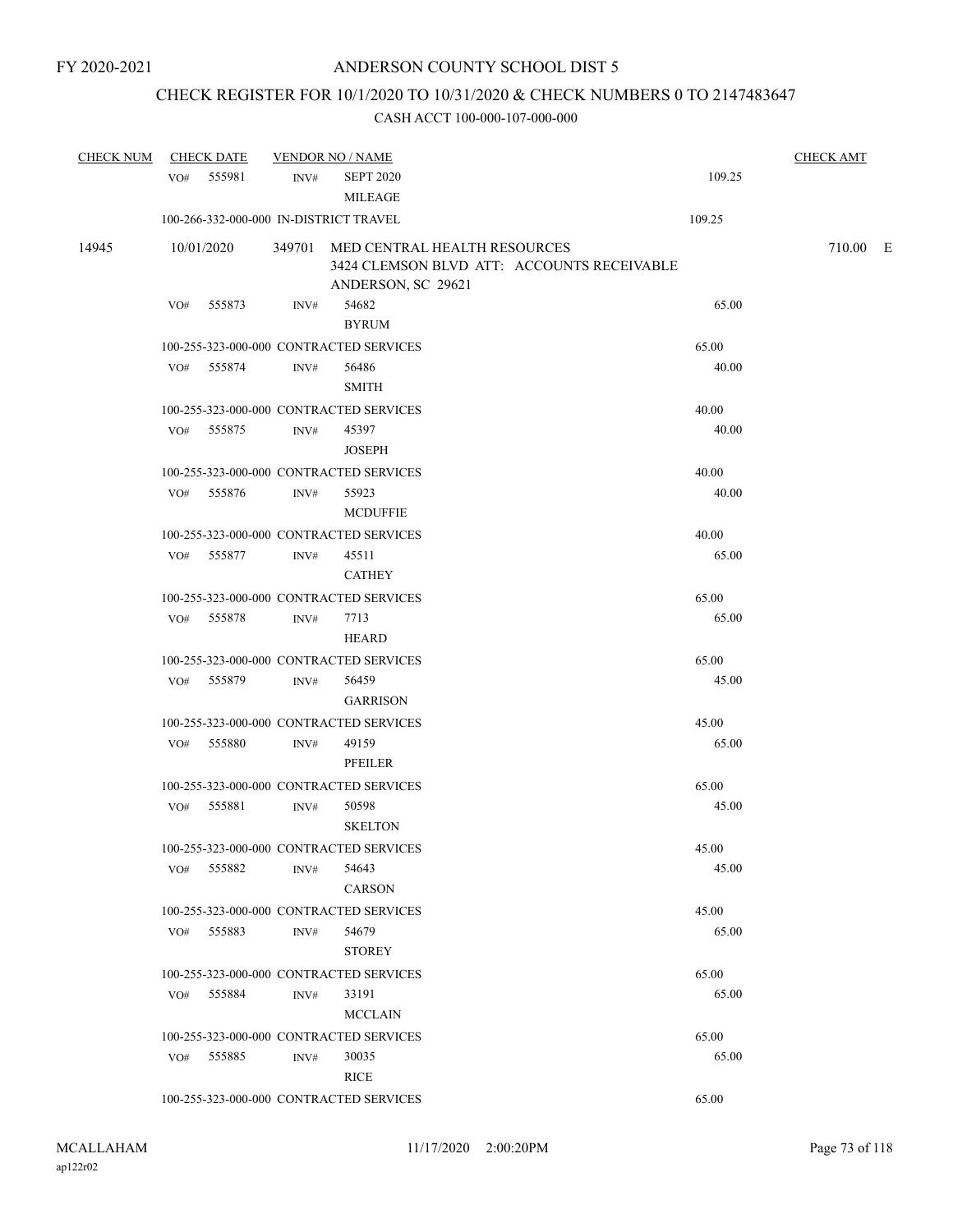# CHECK REGISTER FOR 10/1/2020 TO 10/31/2020 & CHECK NUMBERS 0 TO 2147483647

| <b>CHECK NUM</b> |     | <b>CHECK DATE</b> |      | <b>VENDOR NO / NAME</b>                    |        | <b>CHECK AMT</b> |  |
|------------------|-----|-------------------|------|--------------------------------------------|--------|------------------|--|
|                  |     | VO# 555981        | INV# | <b>SEPT 2020</b>                           | 109.25 |                  |  |
|                  |     |                   |      | <b>MILEAGE</b>                             |        |                  |  |
|                  |     |                   |      | 100-266-332-000-000 IN-DISTRICT TRAVEL     | 109.25 |                  |  |
|                  |     |                   |      |                                            |        |                  |  |
| 14945            |     | 10/01/2020        |      | 349701 MED CENTRAL HEALTH RESOURCES        |        | 710.00 E         |  |
|                  |     |                   |      | 3424 CLEMSON BLVD ATT: ACCOUNTS RECEIVABLE |        |                  |  |
|                  |     | 555873            |      | ANDERSON, SC 29621<br>54682                | 65.00  |                  |  |
|                  | VO# |                   | INV# |                                            |        |                  |  |
|                  |     |                   |      | <b>BYRUM</b>                               |        |                  |  |
|                  |     |                   |      | 100-255-323-000-000 CONTRACTED SERVICES    | 65.00  |                  |  |
|                  |     | VO# 555874        | INV# | 56486                                      | 40.00  |                  |  |
|                  |     |                   |      | <b>SMITH</b>                               |        |                  |  |
|                  |     |                   |      | 100-255-323-000-000 CONTRACTED SERVICES    | 40.00  |                  |  |
|                  | VO# | 555875            | INV# | 45397                                      | 40.00  |                  |  |
|                  |     |                   |      | <b>JOSEPH</b>                              |        |                  |  |
|                  |     |                   |      | 100-255-323-000-000 CONTRACTED SERVICES    | 40.00  |                  |  |
|                  |     | VO# 555876        | INV# | 55923                                      | 40.00  |                  |  |
|                  |     |                   |      | <b>MCDUFFIE</b>                            |        |                  |  |
|                  |     |                   |      | 100-255-323-000-000 CONTRACTED SERVICES    | 40.00  |                  |  |
|                  |     | VO# 555877        | INV# | 45511                                      | 65.00  |                  |  |
|                  |     |                   |      | $\operatorname{CATHEY}$                    |        |                  |  |
|                  |     |                   |      | 100-255-323-000-000 CONTRACTED SERVICES    | 65.00  |                  |  |
|                  | VO# | 555878            | INV# | 7713                                       | 65.00  |                  |  |
|                  |     |                   |      | <b>HEARD</b>                               |        |                  |  |
|                  |     |                   |      | 100-255-323-000-000 CONTRACTED SERVICES    | 65.00  |                  |  |
|                  |     | VO# 555879        |      | 56459                                      | 45.00  |                  |  |
|                  |     |                   | INV# |                                            |        |                  |  |
|                  |     |                   |      | <b>GARRISON</b>                            |        |                  |  |
|                  |     |                   |      | 100-255-323-000-000 CONTRACTED SERVICES    | 45.00  |                  |  |
|                  |     | VO# 555880        | INV# | 49159                                      | 65.00  |                  |  |
|                  |     |                   |      | PFEILER                                    |        |                  |  |
|                  |     |                   |      | 100-255-323-000-000 CONTRACTED SERVICES    | 65.00  |                  |  |
|                  | VO# | 555881            | INV# | 50598                                      | 45.00  |                  |  |
|                  |     |                   |      | <b>SKELTON</b>                             |        |                  |  |
|                  |     |                   |      | 100-255-323-000-000 CONTRACTED SERVICES    | 45.00  |                  |  |
|                  |     | VO# 555882        | INV# | 54643                                      | 45.00  |                  |  |
|                  |     |                   |      | <b>CARSON</b>                              |        |                  |  |
|                  |     |                   |      | 100-255-323-000-000 CONTRACTED SERVICES    | 45.00  |                  |  |
|                  |     | VO# 555883        | INV# | 54679                                      | 65.00  |                  |  |
|                  |     |                   |      | <b>STOREY</b>                              |        |                  |  |
|                  |     |                   |      | 100-255-323-000-000 CONTRACTED SERVICES    | 65.00  |                  |  |
|                  |     | VO# 555884        | INV# | 33191                                      | 65.00  |                  |  |
|                  |     |                   |      | <b>MCCLAIN</b>                             |        |                  |  |
|                  |     |                   |      | 100-255-323-000-000 CONTRACTED SERVICES    | 65.00  |                  |  |
|                  |     |                   |      |                                            |        |                  |  |
|                  |     | VO# 555885        | INV# | 30035                                      | 65.00  |                  |  |
|                  |     |                   |      | <b>RICE</b>                                |        |                  |  |
|                  |     |                   |      | 100-255-323-000-000 CONTRACTED SERVICES    | 65.00  |                  |  |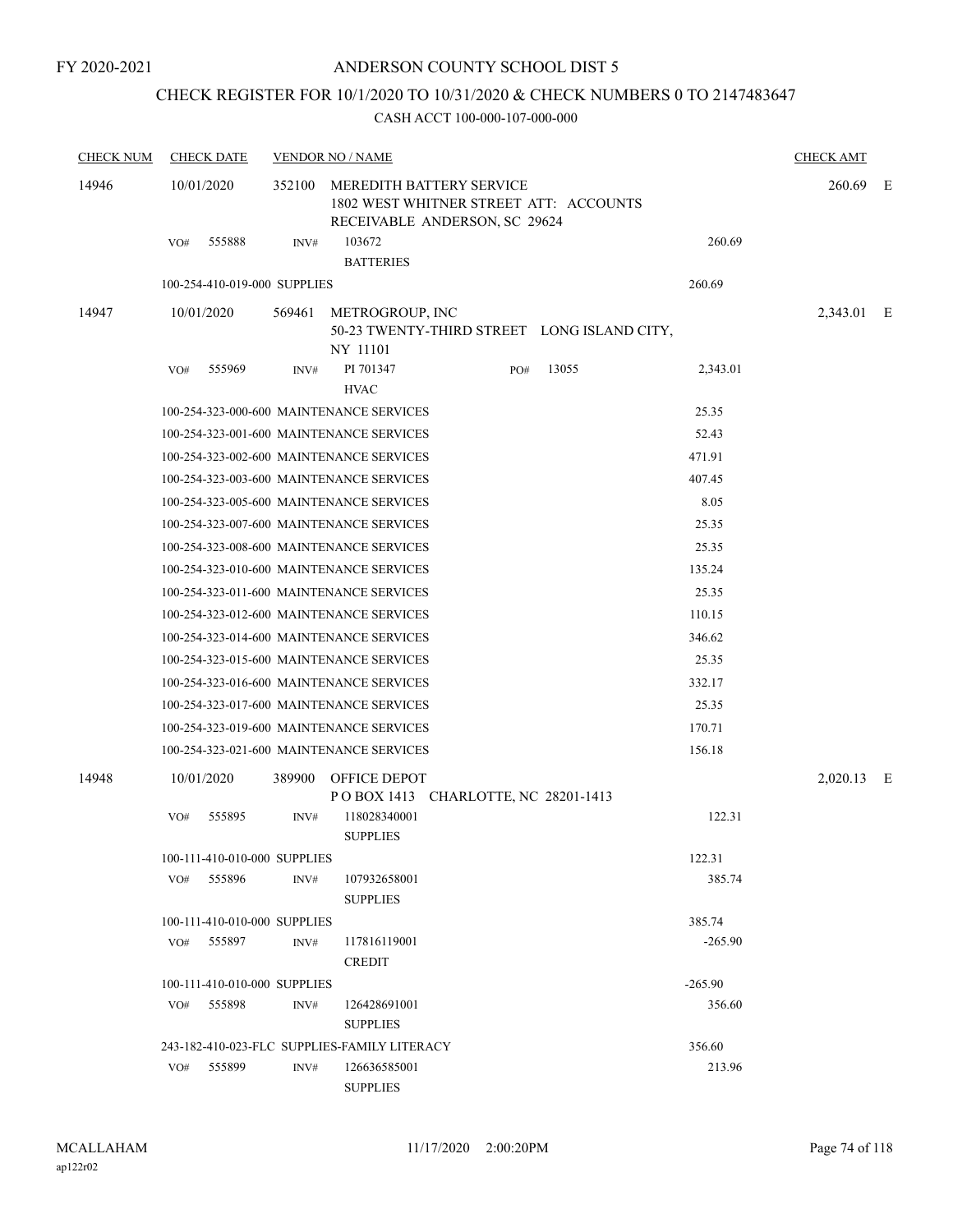## CHECK REGISTER FOR 10/1/2020 TO 10/31/2020 & CHECK NUMBERS 0 TO 2147483647

| <b>CHECK NUM</b> | <b>CHECK DATE</b>            |        | <b>VENDOR NO / NAME</b>                                                                             |     |                                             |           | <b>CHECK AMT</b> |  |
|------------------|------------------------------|--------|-----------------------------------------------------------------------------------------------------|-----|---------------------------------------------|-----------|------------------|--|
| 14946            | 10/01/2020                   | 352100 | MEREDITH BATTERY SERVICE<br>1802 WEST WHITNER STREET ATT: ACCOUNTS<br>RECEIVABLE ANDERSON, SC 29624 |     |                                             |           | 260.69 E         |  |
|                  | 555888<br>VO#                | INV#   | 103672<br><b>BATTERIES</b>                                                                          |     |                                             | 260.69    |                  |  |
|                  | 100-254-410-019-000 SUPPLIES |        |                                                                                                     |     |                                             | 260.69    |                  |  |
| 14947            | 10/01/2020                   |        | 569461 METROGROUP, INC<br>NY 11101                                                                  |     | 50-23 TWENTY-THIRD STREET LONG ISLAND CITY, |           | 2,343.01 E       |  |
|                  | 555969<br>VO#                | INV#   | PI 701347<br><b>HVAC</b>                                                                            | PO# | 13055                                       | 2,343.01  |                  |  |
|                  |                              |        | 100-254-323-000-600 MAINTENANCE SERVICES                                                            |     |                                             | 25.35     |                  |  |
|                  |                              |        | 100-254-323-001-600 MAINTENANCE SERVICES                                                            |     |                                             | 52.43     |                  |  |
|                  |                              |        | 100-254-323-002-600 MAINTENANCE SERVICES                                                            |     |                                             | 471.91    |                  |  |
|                  |                              |        | 100-254-323-003-600 MAINTENANCE SERVICES                                                            |     |                                             | 407.45    |                  |  |
|                  |                              |        | 100-254-323-005-600 MAINTENANCE SERVICES                                                            |     |                                             | 8.05      |                  |  |
|                  |                              |        | 100-254-323-007-600 MAINTENANCE SERVICES                                                            |     |                                             | 25.35     |                  |  |
|                  |                              |        | 100-254-323-008-600 MAINTENANCE SERVICES                                                            |     |                                             | 25.35     |                  |  |
|                  |                              |        | 100-254-323-010-600 MAINTENANCE SERVICES                                                            |     |                                             | 135.24    |                  |  |
|                  |                              |        | 100-254-323-011-600 MAINTENANCE SERVICES                                                            |     |                                             | 25.35     |                  |  |
|                  |                              |        | 100-254-323-012-600 MAINTENANCE SERVICES                                                            |     |                                             | 110.15    |                  |  |
|                  |                              |        | 100-254-323-014-600 MAINTENANCE SERVICES                                                            |     |                                             | 346.62    |                  |  |
|                  |                              |        | 100-254-323-015-600 MAINTENANCE SERVICES                                                            |     |                                             | 25.35     |                  |  |
|                  |                              |        | 100-254-323-016-600 MAINTENANCE SERVICES                                                            |     |                                             | 332.17    |                  |  |
|                  |                              |        | 100-254-323-017-600 MAINTENANCE SERVICES                                                            |     |                                             | 25.35     |                  |  |
|                  |                              |        | 100-254-323-019-600 MAINTENANCE SERVICES                                                            |     |                                             | 170.71    |                  |  |
|                  |                              |        | 100-254-323-021-600 MAINTENANCE SERVICES                                                            |     |                                             | 156.18    |                  |  |
| 14948            | 10/01/2020                   | 389900 | OFFICE DEPOT<br>POBOX 1413 CHARLOTTE, NC 28201-1413                                                 |     |                                             |           | 2,020.13 E       |  |
|                  | 555895<br>VO#                | INV#   | 118028340001<br><b>SUPPLIES</b>                                                                     |     |                                             | 122.31    |                  |  |
|                  | 100-111-410-010-000 SUPPLIES |        |                                                                                                     |     |                                             | 122.31    |                  |  |
|                  | 555896<br>VO#                | INV#   | 107932658001<br><b>SUPPLIES</b>                                                                     |     |                                             | 385.74    |                  |  |
|                  | 100-111-410-010-000 SUPPLIES |        |                                                                                                     |     |                                             | 385.74    |                  |  |
|                  | VO#<br>555897                | INV#   | 117816119001<br><b>CREDIT</b>                                                                       |     |                                             | $-265.90$ |                  |  |
|                  | 100-111-410-010-000 SUPPLIES |        |                                                                                                     |     |                                             | $-265.90$ |                  |  |
|                  | 555898<br>VO#                | INV#   | 126428691001<br><b>SUPPLIES</b>                                                                     |     |                                             | 356.60    |                  |  |
|                  |                              |        | 243-182-410-023-FLC SUPPLIES-FAMILY LITERACY                                                        |     |                                             | 356.60    |                  |  |
|                  | VO# 555899                   | INV#   | 126636585001<br><b>SUPPLIES</b>                                                                     |     |                                             | 213.96    |                  |  |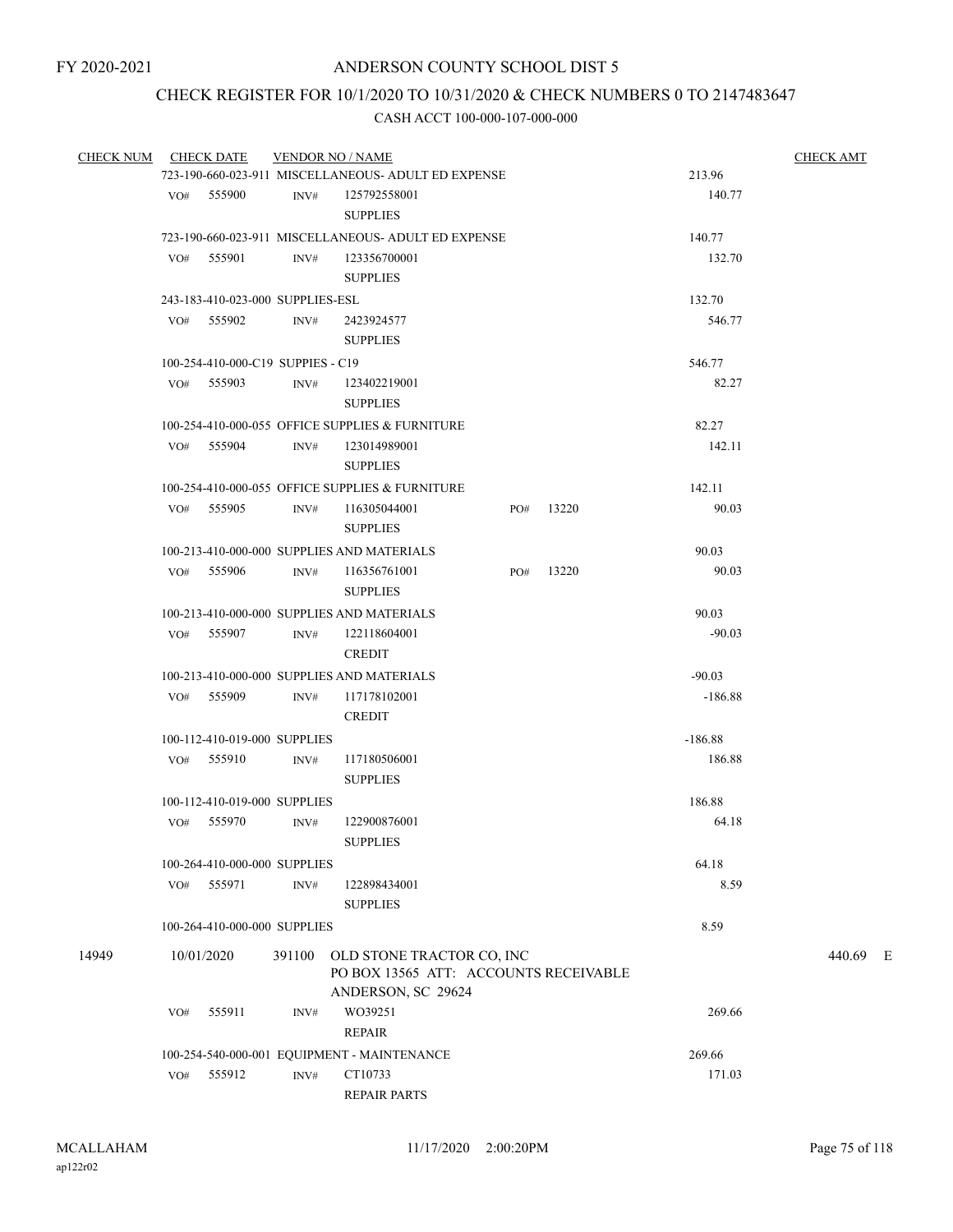# CHECK REGISTER FOR 10/1/2020 TO 10/31/2020 & CHECK NUMBERS 0 TO 2147483647

| <b>CHECK NUM</b> |                                                        | <b>CHECK DATE</b>                 |                  | <b>VENDOR NO / NAME</b>                                                                         |     | <b>CHECK AMT</b> |           |          |  |  |  |
|------------------|--------------------------------------------------------|-----------------------------------|------------------|-------------------------------------------------------------------------------------------------|-----|------------------|-----------|----------|--|--|--|
|                  |                                                        |                                   |                  | 723-190-660-023-911 MISCELLANEOUS- ADULT ED EXPENSE                                             |     |                  | 213.96    |          |  |  |  |
|                  |                                                        | VO# 555900                        | INV#             | 125792558001<br><b>SUPPLIES</b>                                                                 |     |                  | 140.77    |          |  |  |  |
|                  |                                                        |                                   |                  | 723-190-660-023-911 MISCELLANEOUS- ADULT ED EXPENSE                                             |     |                  | 140.77    |          |  |  |  |
|                  | VO#                                                    | 555901                            | INV#             | 123356700001<br><b>SUPPLIES</b>                                                                 |     |                  | 132.70    |          |  |  |  |
|                  |                                                        | 243-183-410-023-000 SUPPLIES-ESL  |                  |                                                                                                 |     |                  | 132.70    |          |  |  |  |
|                  |                                                        | VO# 555902                        | INV#             | 2423924577<br><b>SUPPLIES</b>                                                                   |     |                  | 546.77    |          |  |  |  |
|                  |                                                        | 100-254-410-000-C19 SUPPIES - C19 |                  |                                                                                                 |     |                  | 546.77    |          |  |  |  |
|                  |                                                        | VO# 555903                        | INV#             | 123402219001<br><b>SUPPLIES</b>                                                                 |     |                  | 82.27     |          |  |  |  |
|                  |                                                        |                                   |                  | 100-254-410-000-055 OFFICE SUPPLIES & FURNITURE                                                 |     |                  | 82.27     |          |  |  |  |
|                  |                                                        | VO# 555904                        | INV#             | 123014989001<br><b>SUPPLIES</b>                                                                 |     |                  | 142.11    |          |  |  |  |
|                  |                                                        |                                   |                  | 100-254-410-000-055 OFFICE SUPPLIES & FURNITURE                                                 |     |                  | 142.11    |          |  |  |  |
|                  |                                                        | $VO#$ 555905                      | INV#             | 116305044001<br><b>SUPPLIES</b>                                                                 | PO# | 13220            | 90.03     |          |  |  |  |
|                  |                                                        |                                   |                  | 100-213-410-000-000 SUPPLIES AND MATERIALS                                                      |     |                  | 90.03     |          |  |  |  |
|                  |                                                        | VO# 555906                        | INV#             | 116356761001<br><b>SUPPLIES</b>                                                                 | PO# | 13220            | 90.03     |          |  |  |  |
|                  |                                                        |                                   |                  | 100-213-410-000-000 SUPPLIES AND MATERIALS                                                      |     |                  | 90.03     |          |  |  |  |
|                  |                                                        | VO# 555907                        | INV#             | 122118604001<br><b>CREDIT</b>                                                                   |     |                  | $-90.03$  |          |  |  |  |
|                  | 100-213-410-000-000 SUPPLIES AND MATERIALS<br>$-90.03$ |                                   |                  |                                                                                                 |     |                  |           |          |  |  |  |
|                  |                                                        | VO# 555909                        | INV#             | 117178102001<br><b>CREDIT</b>                                                                   |     |                  | $-186.88$ |          |  |  |  |
|                  |                                                        | 100-112-410-019-000 SUPPLIES      |                  |                                                                                                 |     |                  | $-186.88$ |          |  |  |  |
|                  |                                                        | VO# 555910                        | INV#             | 117180506001<br><b>SUPPLIES</b>                                                                 |     |                  | 186.88    |          |  |  |  |
|                  |                                                        | 100-112-410-019-000 SUPPLIES      |                  |                                                                                                 |     |                  | 186.88    |          |  |  |  |
|                  | VO#                                                    | 555970                            | INV#             | 122900876001<br><b>SUPPLIES</b>                                                                 |     |                  | 64.18     |          |  |  |  |
|                  |                                                        | 100-264-410-000-000 SUPPLIES      |                  |                                                                                                 |     |                  | 64.18     |          |  |  |  |
|                  | VO#                                                    | 555971                            | $\mathrm{INV}\#$ | 122898434001<br><b>SUPPLIES</b>                                                                 |     |                  | 8.59      |          |  |  |  |
|                  |                                                        | 100-264-410-000-000 SUPPLIES      |                  |                                                                                                 |     |                  | 8.59      |          |  |  |  |
| 14949            |                                                        | 10/01/2020                        |                  | 391100 OLD STONE TRACTOR CO, INC<br>PO BOX 13565 ATT: ACCOUNTS RECEIVABLE<br>ANDERSON, SC 29624 |     |                  |           | 440.69 E |  |  |  |
|                  | VO#                                                    | 555911                            | INV#             | WO39251<br><b>REPAIR</b>                                                                        |     |                  | 269.66    |          |  |  |  |
|                  |                                                        |                                   |                  | 100-254-540-000-001 EQUIPMENT - MAINTENANCE                                                     |     |                  | 269.66    |          |  |  |  |
|                  | VO#                                                    | 555912                            | INV#             | CT10733<br>REPAIR PARTS                                                                         |     |                  | 171.03    |          |  |  |  |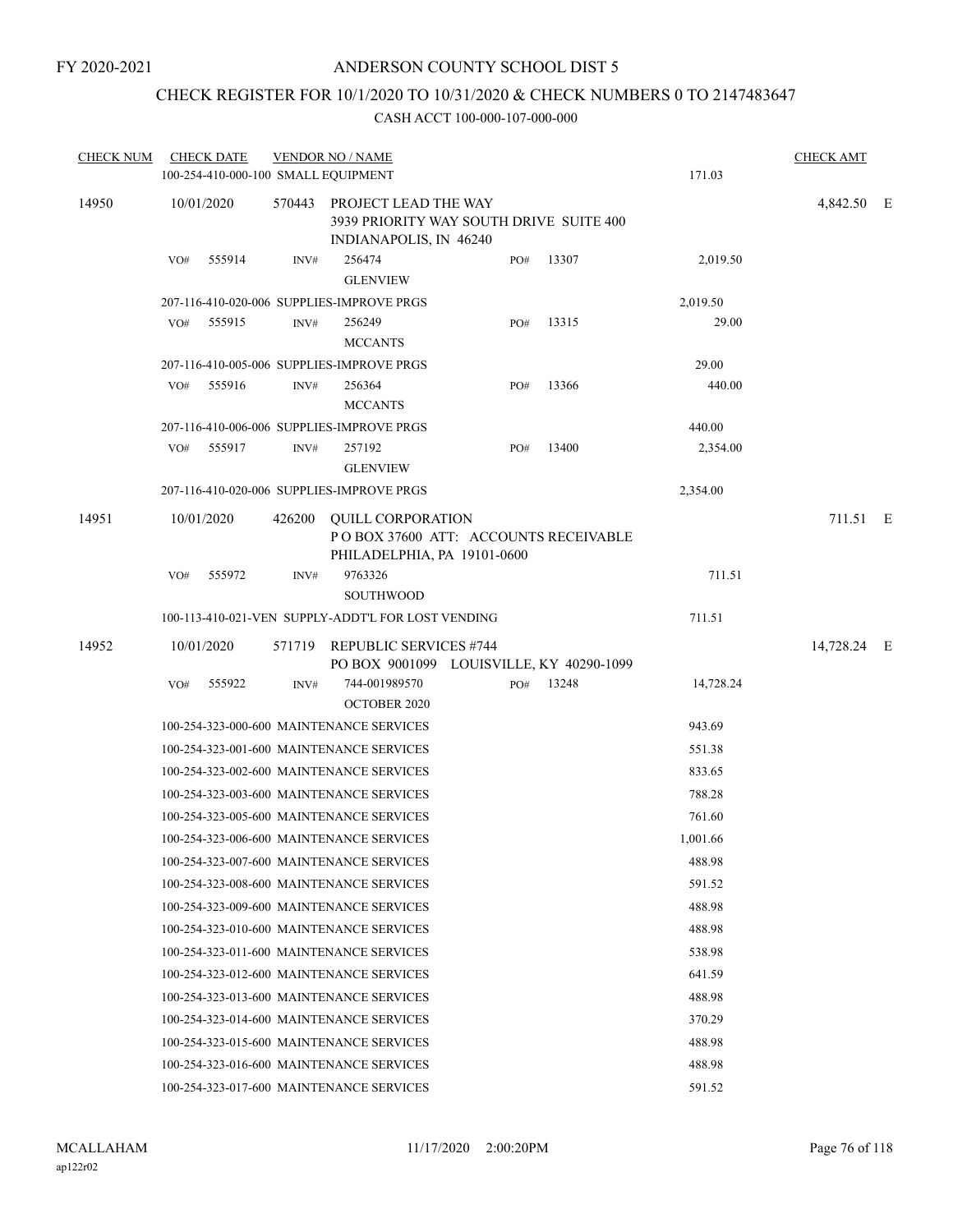## CHECK REGISTER FOR 10/1/2020 TO 10/31/2020 & CHECK NUMBERS 0 TO 2147483647

| <b>CHECK NUM</b> | <b>CHECK DATE</b> | 100-254-410-000-100 SMALL EQUIPMENT | <b>VENDOR NO / NAME</b>                                                                                    |     |       | 171.03    | <b>CHECK AMT</b> |  |
|------------------|-------------------|-------------------------------------|------------------------------------------------------------------------------------------------------------|-----|-------|-----------|------------------|--|
| 14950            | 10/01/2020        |                                     | 570443 PROJECT LEAD THE WAY<br>3939 PRIORITY WAY SOUTH DRIVE SUITE 400<br>INDIANAPOLIS, IN 46240           |     |       |           | 4,842.50 E       |  |
|                  | 555914<br>VO#     | INV#                                | 256474<br><b>GLENVIEW</b>                                                                                  | PO# | 13307 | 2,019.50  |                  |  |
|                  |                   |                                     | 207-116-410-020-006 SUPPLIES-IMPROVE PRGS                                                                  |     |       | 2,019.50  |                  |  |
|                  | 555915<br>VO#     | INV#                                | 256249<br><b>MCCANTS</b>                                                                                   | PO# | 13315 | 29.00     |                  |  |
|                  |                   |                                     | 207-116-410-005-006 SUPPLIES-IMPROVE PRGS                                                                  |     |       | 29.00     |                  |  |
|                  | 555916<br>VO#     | INV#                                | 256364<br><b>MCCANTS</b>                                                                                   | PO# | 13366 | 440.00    |                  |  |
|                  |                   |                                     | 207-116-410-006-006 SUPPLIES-IMPROVE PRGS                                                                  |     |       | 440.00    |                  |  |
|                  | 555917<br>VO#     | INV#                                | 257192<br><b>GLENVIEW</b>                                                                                  | PO# | 13400 | 2,354.00  |                  |  |
|                  |                   |                                     | 207-116-410-020-006 SUPPLIES-IMPROVE PRGS                                                                  |     |       | 2,354.00  |                  |  |
| 14951            | 10/01/2020        | 426200                              | <b>OUILL CORPORATION</b><br>POBOX 37600 ATT: ACCOUNTS RECEIVABLE<br>PHILADELPHIA, PA 19101-0600<br>9763326 |     |       | 711.51    | 711.51 E         |  |
|                  | VO#<br>555972     | INV#                                | <b>SOUTHWOOD</b>                                                                                           |     |       |           |                  |  |
|                  |                   |                                     | 100-113-410-021-VEN SUPPLY-ADDT'L FOR LOST VENDING                                                         |     |       | 711.51    |                  |  |
| 14952            | 10/01/2020        | 571719                              | <b>REPUBLIC SERVICES #744</b><br>PO BOX 9001099 LOUISVILLE, KY 40290-1099                                  |     |       |           | 14,728.24 E      |  |
|                  | 555922<br>VO#     | INV#                                | 744-001989570<br><b>OCTOBER 2020</b>                                                                       | PO# | 13248 | 14,728.24 |                  |  |
|                  |                   |                                     | 100-254-323-000-600 MAINTENANCE SERVICES                                                                   |     |       | 943.69    |                  |  |
|                  |                   |                                     | 100-254-323-001-600 MAINTENANCE SERVICES                                                                   |     |       | 551.38    |                  |  |
|                  |                   |                                     | 100-254-323-002-600 MAINTENANCE SERVICES                                                                   |     |       | 833.65    |                  |  |
|                  |                   |                                     | 100-254-323-003-600 MAINTENANCE SERVICES                                                                   |     |       | 788.28    |                  |  |
|                  |                   |                                     | 100-254-323-005-600 MAINTENANCE SERVICES                                                                   |     |       | 761.60    |                  |  |
|                  |                   |                                     | 100-254-323-006-600 MAINTENANCE SERVICES                                                                   |     |       | 1.001.66  |                  |  |
|                  |                   |                                     | 100-254-323-007-600 MAINTENANCE SERVICES                                                                   |     |       | 488.98    |                  |  |
|                  |                   |                                     | 100-254-323-008-600 MAINTENANCE SERVICES                                                                   |     |       | 591.52    |                  |  |
|                  |                   |                                     | 100-254-323-009-600 MAINTENANCE SERVICES                                                                   |     |       | 488.98    |                  |  |
|                  |                   |                                     | 100-254-323-010-600 MAINTENANCE SERVICES                                                                   |     |       | 488.98    |                  |  |
|                  |                   |                                     | 100-254-323-011-600 MAINTENANCE SERVICES                                                                   |     |       | 538.98    |                  |  |
|                  |                   |                                     | 100-254-323-012-600 MAINTENANCE SERVICES                                                                   |     |       | 641.59    |                  |  |
|                  |                   |                                     | 100-254-323-013-600 MAINTENANCE SERVICES                                                                   |     |       | 488.98    |                  |  |
|                  |                   |                                     | 100-254-323-014-600 MAINTENANCE SERVICES                                                                   |     |       | 370.29    |                  |  |
|                  |                   |                                     | 100-254-323-015-600 MAINTENANCE SERVICES                                                                   |     |       | 488.98    |                  |  |
|                  |                   |                                     | 100-254-323-016-600 MAINTENANCE SERVICES                                                                   |     |       | 488.98    |                  |  |
|                  |                   |                                     | 100-254-323-017-600 MAINTENANCE SERVICES                                                                   |     |       | 591.52    |                  |  |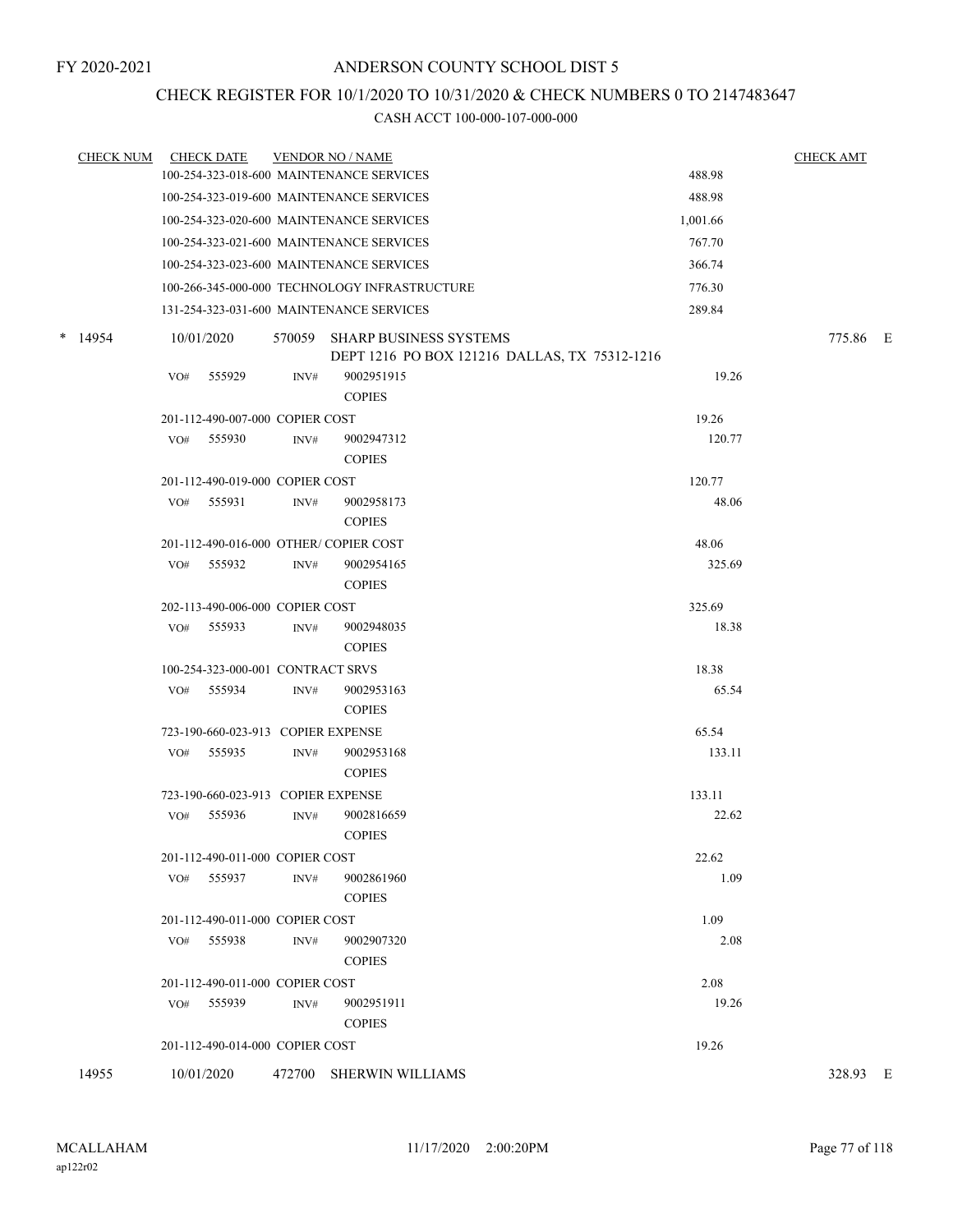## CHECK REGISTER FOR 10/1/2020 TO 10/31/2020 & CHECK NUMBERS 0 TO 2147483647

| <b>CHECK NUM</b> |     | <b>CHECK DATE</b>                  |        | <b>VENDOR NO / NAME</b>                                                 |          | <b>CHECK AMT</b> |  |
|------------------|-----|------------------------------------|--------|-------------------------------------------------------------------------|----------|------------------|--|
|                  |     |                                    |        | 100-254-323-018-600 MAINTENANCE SERVICES                                | 488.98   |                  |  |
|                  |     |                                    |        | 100-254-323-019-600 MAINTENANCE SERVICES                                | 488.98   |                  |  |
|                  |     |                                    |        | 100-254-323-020-600 MAINTENANCE SERVICES                                | 1,001.66 |                  |  |
|                  |     |                                    |        | 100-254-323-021-600 MAINTENANCE SERVICES                                | 767.70   |                  |  |
|                  |     |                                    |        | 100-254-323-023-600 MAINTENANCE SERVICES                                | 366.74   |                  |  |
|                  |     |                                    |        | 100-266-345-000-000 TECHNOLOGY INFRASTRUCTURE                           | 776.30   |                  |  |
|                  |     |                                    |        | 131-254-323-031-600 MAINTENANCE SERVICES                                | 289.84   |                  |  |
| $*$ 14954        |     | 10/01/2020                         | 570059 | SHARP BUSINESS SYSTEMS<br>DEPT 1216 PO BOX 121216 DALLAS, TX 75312-1216 |          | 775.86 E         |  |
|                  | VO# | 555929                             | INV#   | 9002951915<br><b>COPIES</b>                                             | 19.26    |                  |  |
|                  |     | 201-112-490-007-000 COPIER COST    |        |                                                                         | 19.26    |                  |  |
|                  |     | VO# 555930                         | INV#   | 9002947312<br><b>COPIES</b>                                             | 120.77   |                  |  |
|                  |     | 201-112-490-019-000 COPIER COST    |        |                                                                         | 120.77   |                  |  |
|                  | VO# | 555931                             | INV#   | 9002958173<br><b>COPIES</b>                                             | 48.06    |                  |  |
|                  |     |                                    |        | 201-112-490-016-000 OTHER/COPIER COST                                   | 48.06    |                  |  |
|                  | VO# | 555932                             | INV#   | 9002954165<br><b>COPIES</b>                                             | 325.69   |                  |  |
|                  |     | 202-113-490-006-000 COPIER COST    |        |                                                                         | 325.69   |                  |  |
|                  | VO# | 555933                             | INV#   | 9002948035<br><b>COPIES</b>                                             | 18.38    |                  |  |
|                  |     | 100-254-323-000-001 CONTRACT SRVS  |        |                                                                         | 18.38    |                  |  |
|                  | VO# | 555934                             | INV#   | 9002953163<br><b>COPIES</b>                                             | 65.54    |                  |  |
|                  |     | 723-190-660-023-913 COPIER EXPENSE |        |                                                                         | 65.54    |                  |  |
|                  | VO# | 555935                             | INV#   | 9002953168<br><b>COPIES</b>                                             | 133.11   |                  |  |
|                  |     | 723-190-660-023-913 COPIER EXPENSE |        |                                                                         | 133.11   |                  |  |
|                  | VO# | 555936                             | INV#   | 9002816659<br><b>COPIES</b>                                             | 22.62    |                  |  |
|                  |     | 201-112-490-011-000 COPIER COST    |        |                                                                         | 22.62    |                  |  |
|                  |     | VO# 555937                         | INV#   | 9002861960<br><b>COPIES</b>                                             | 1.09     |                  |  |
|                  |     | 201-112-490-011-000 COPIER COST    |        |                                                                         | 1.09     |                  |  |
|                  | VO# | 555938                             | INV#   | 9002907320<br><b>COPIES</b>                                             | 2.08     |                  |  |
|                  |     | 201-112-490-011-000 COPIER COST    |        |                                                                         | 2.08     |                  |  |
|                  |     | VO# 555939                         | INV#   | 9002951911<br><b>COPIES</b>                                             | 19.26    |                  |  |
|                  |     | 201-112-490-014-000 COPIER COST    |        |                                                                         | 19.26    |                  |  |
| 14955            |     | 10/01/2020                         |        | 472700 SHERWIN WILLIAMS                                                 |          | 328.93 E         |  |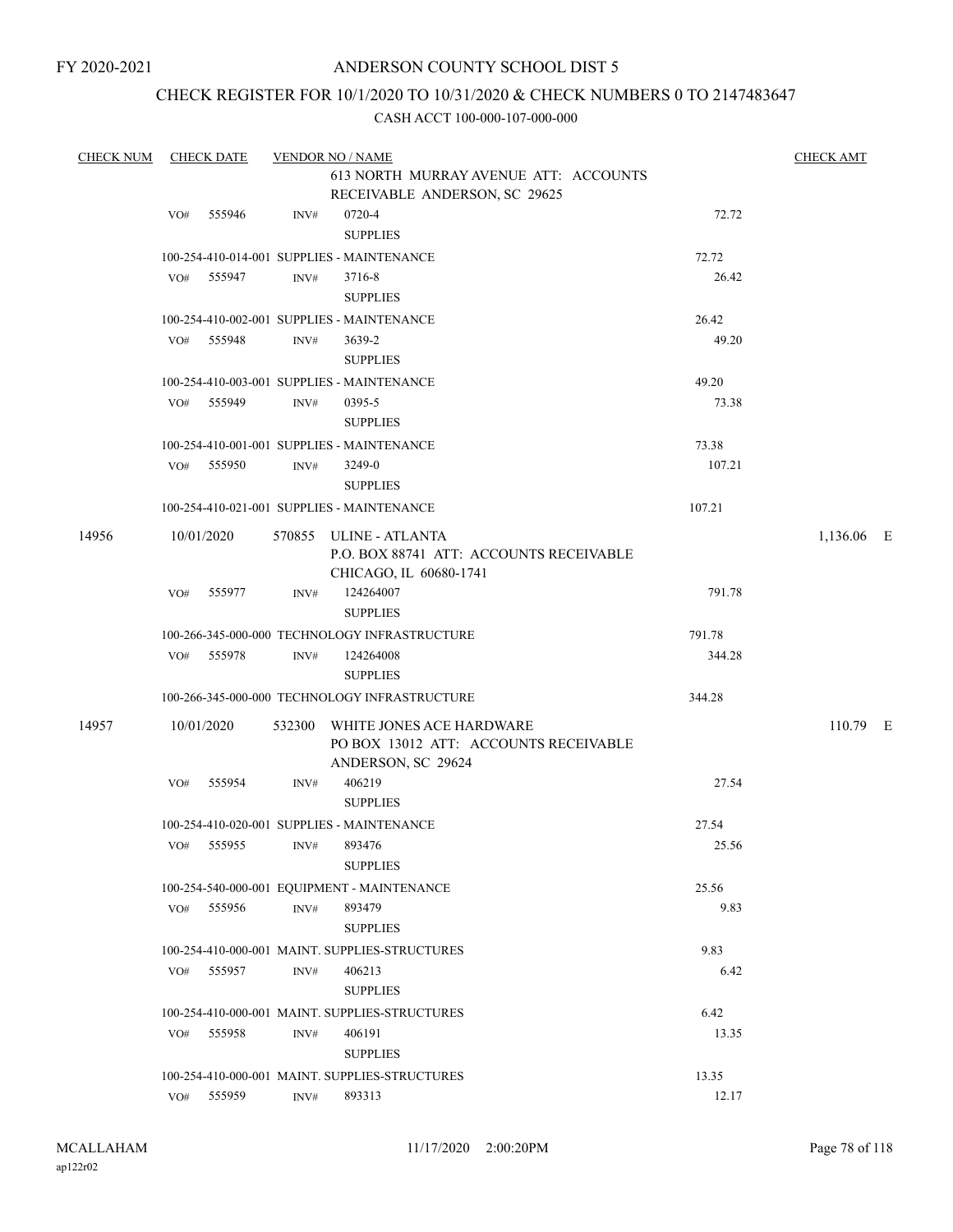## CHECK REGISTER FOR 10/1/2020 TO 10/31/2020 & CHECK NUMBERS 0 TO 2147483647

| <b>CHECK NUM</b> |            | <b>CHECK DATE</b> |      | <b>VENDOR NO / NAME</b>                                                                        |        | <b>CHECK AMT</b> |  |
|------------------|------------|-------------------|------|------------------------------------------------------------------------------------------------|--------|------------------|--|
|                  |            |                   |      | 613 NORTH MURRAY AVENUE ATT: ACCOUNTS<br>RECEIVABLE ANDERSON, SC 29625                         |        |                  |  |
|                  | VO#        | 555946            | INV# | 0720-4                                                                                         | 72.72  |                  |  |
|                  |            |                   |      | <b>SUPPLIES</b>                                                                                |        |                  |  |
|                  |            |                   |      | 100-254-410-014-001 SUPPLIES - MAINTENANCE                                                     | 72.72  |                  |  |
|                  | VO# 555947 |                   | INV# | 3716-8<br><b>SUPPLIES</b>                                                                      | 26.42  |                  |  |
|                  |            |                   |      | 100-254-410-002-001 SUPPLIES - MAINTENANCE                                                     | 26.42  |                  |  |
|                  | VO# 555948 |                   | INV# | 3639-2<br><b>SUPPLIES</b>                                                                      | 49.20  |                  |  |
|                  |            |                   |      | 100-254-410-003-001 SUPPLIES - MAINTENANCE                                                     | 49.20  |                  |  |
|                  | VO# 555949 |                   | INV# | 0395-5<br><b>SUPPLIES</b>                                                                      | 73.38  |                  |  |
|                  |            |                   |      |                                                                                                |        |                  |  |
|                  |            |                   |      | 100-254-410-001-001 SUPPLIES - MAINTENANCE                                                     | 73.38  |                  |  |
|                  | VO# 555950 |                   | INV# | 3249-0                                                                                         | 107.21 |                  |  |
|                  |            |                   |      | <b>SUPPLIES</b>                                                                                |        |                  |  |
|                  |            |                   |      | 100-254-410-021-001 SUPPLIES - MAINTENANCE                                                     | 107.21 |                  |  |
| 14956            | 10/01/2020 |                   |      | 570855 ULINE - ATLANTA<br>P.O. BOX 88741 ATT: ACCOUNTS RECEIVABLE<br>CHICAGO, IL 60680-1741    |        | 1,136.06 E       |  |
|                  | VO# 555977 |                   | INV# | 124264007<br><b>SUPPLIES</b>                                                                   | 791.78 |                  |  |
|                  |            |                   |      | 100-266-345-000-000 TECHNOLOGY INFRASTRUCTURE                                                  | 791.78 |                  |  |
|                  | VO# 555978 |                   | INV# | 124264008<br><b>SUPPLIES</b>                                                                   | 344.28 |                  |  |
|                  |            |                   |      | 100-266-345-000-000 TECHNOLOGY INFRASTRUCTURE                                                  | 344.28 |                  |  |
| 14957            | 10/01/2020 |                   |      | 532300 WHITE JONES ACE HARDWARE<br>PO BOX 13012 ATT: ACCOUNTS RECEIVABLE<br>ANDERSON, SC 29624 |        | 110.79 E         |  |
|                  | VO#        | 555954            | INV# | 406219<br><b>SUPPLIES</b>                                                                      | 27.54  |                  |  |
|                  |            |                   |      | 100-254-410-020-001 SUPPLIES - MAINTENANCE                                                     | 27.54  |                  |  |
|                  |            |                   |      | VO# 555955 INV# 893476<br><b>SUPPLIES</b>                                                      | 25.56  |                  |  |
|                  |            |                   |      | 100-254-540-000-001 EQUIPMENT - MAINTENANCE                                                    | 25.56  |                  |  |
|                  | VO# 555956 |                   | INV# | 893479<br><b>SUPPLIES</b>                                                                      | 9.83   |                  |  |
|                  |            |                   |      | 100-254-410-000-001 MAINT. SUPPLIES-STRUCTURES                                                 | 9.83   |                  |  |
|                  |            |                   |      |                                                                                                |        |                  |  |
|                  | VO# 555957 |                   | INV# | 406213<br><b>SUPPLIES</b>                                                                      | 6.42   |                  |  |
|                  |            |                   |      | 100-254-410-000-001 MAINT. SUPPLIES-STRUCTURES                                                 | 6.42   |                  |  |
|                  | VO# 555958 |                   | INV# | 406191<br><b>SUPPLIES</b>                                                                      | 13.35  |                  |  |
|                  |            |                   |      | 100-254-410-000-001 MAINT. SUPPLIES-STRUCTURES                                                 | 13.35  |                  |  |
|                  | VO# 555959 |                   | INV# | 893313                                                                                         | 12.17  |                  |  |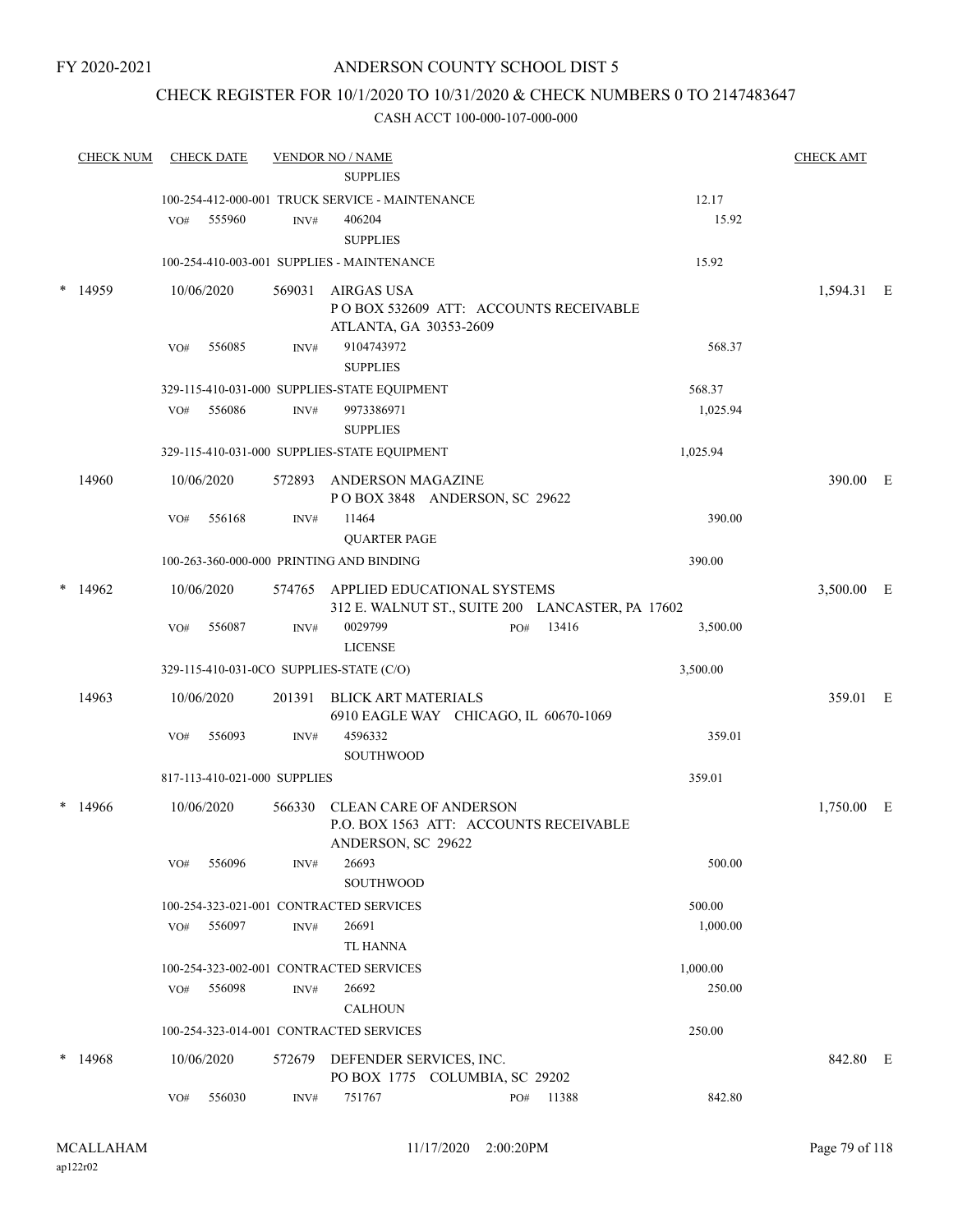FY 2020-2021

#### ANDERSON COUNTY SCHOOL DIST 5

## CHECK REGISTER FOR 10/1/2020 TO 10/31/2020 & CHECK NUMBERS 0 TO 2147483647

| <b>CHECK NUM</b> |     | <b>CHECK DATE</b>            |        | <b>VENDOR NO / NAME</b>                          |  |           |          | <b>CHECK AMT</b> |  |
|------------------|-----|------------------------------|--------|--------------------------------------------------|--|-----------|----------|------------------|--|
|                  |     |                              |        | <b>SUPPLIES</b>                                  |  |           |          |                  |  |
|                  |     |                              |        | 100-254-412-000-001 TRUCK SERVICE - MAINTENANCE  |  |           | 12.17    |                  |  |
|                  | VO# | 555960                       | INV#   | 406204                                           |  |           | 15.92    |                  |  |
|                  |     |                              |        | <b>SUPPLIES</b>                                  |  |           |          |                  |  |
|                  |     |                              |        | 100-254-410-003-001 SUPPLIES - MAINTENANCE       |  |           | 15.92    |                  |  |
| 14959            |     | 10/06/2020                   |        | 569031 AIRGAS USA                                |  |           |          | 1,594.31 E       |  |
|                  |     |                              |        | PO BOX 532609 ATT: ACCOUNTS RECEIVABLE           |  |           |          |                  |  |
|                  |     |                              |        | ATLANTA, GA 30353-2609                           |  |           |          |                  |  |
|                  | VO# | 556085                       | INV#   | 9104743972                                       |  |           | 568.37   |                  |  |
|                  |     |                              |        | <b>SUPPLIES</b>                                  |  |           |          |                  |  |
|                  |     |                              |        | 329-115-410-031-000 SUPPLIES-STATE EQUIPMENT     |  |           | 568.37   |                  |  |
|                  | VO# | 556086                       | INV#   | 9973386971                                       |  |           | 1,025.94 |                  |  |
|                  |     |                              |        | <b>SUPPLIES</b>                                  |  |           |          |                  |  |
|                  |     |                              |        | 329-115-410-031-000 SUPPLIES-STATE EQUIPMENT     |  |           | 1,025.94 |                  |  |
| 14960            |     | 10/06/2020                   |        | 572893 ANDERSON MAGAZINE                         |  |           |          | 390.00 E         |  |
|                  |     |                              |        | POBOX 3848 ANDERSON, SC 29622                    |  |           |          |                  |  |
|                  | VO# | 556168                       | INV#   | 11464                                            |  |           | 390.00   |                  |  |
|                  |     |                              |        | <b>QUARTER PAGE</b>                              |  |           |          |                  |  |
|                  |     |                              |        | 100-263-360-000-000 PRINTING AND BINDING         |  |           | 390.00   |                  |  |
| 14962            |     | 10/06/2020                   |        | 574765 APPLIED EDUCATIONAL SYSTEMS               |  |           |          | 3,500.00 E       |  |
|                  |     |                              |        | 312 E. WALNUT ST., SUITE 200 LANCASTER, PA 17602 |  |           |          |                  |  |
|                  | VO# | 556087                       | INV#   | 0029799                                          |  | PO# 13416 | 3,500.00 |                  |  |
|                  |     |                              |        | <b>LICENSE</b>                                   |  |           |          |                  |  |
|                  |     |                              |        | 329-115-410-031-0CO SUPPLIES-STATE (C/O)         |  |           | 3,500.00 |                  |  |
| 14963            |     | 10/06/2020                   | 201391 | <b>BLICK ART MATERIALS</b>                       |  |           |          | 359.01 E         |  |
|                  |     |                              |        | 6910 EAGLE WAY CHICAGO, IL 60670-1069            |  |           |          |                  |  |
|                  | VO# | 556093                       | INV#   | 4596332                                          |  |           | 359.01   |                  |  |
|                  |     |                              |        | <b>SOUTHWOOD</b>                                 |  |           |          |                  |  |
|                  |     | 817-113-410-021-000 SUPPLIES |        |                                                  |  |           | 359.01   |                  |  |
| 14966            |     | 10/06/2020                   |        | 566330 CLEAN CARE OF ANDERSON                    |  |           |          | 1,750.00 E       |  |
|                  |     |                              |        | P.O. BOX 1563 ATT: ACCOUNTS RECEIVABLE           |  |           |          |                  |  |
|                  |     |                              |        | ANDERSON, SC 29622                               |  |           |          |                  |  |
|                  | VO# | 556096                       | INV#   | 26693<br><b>SOUTHWOOD</b>                        |  |           | 500.00   |                  |  |
|                  |     |                              |        | 100-254-323-021-001 CONTRACTED SERVICES          |  |           | 500.00   |                  |  |
|                  | VO# | 556097                       | INV#   | 26691                                            |  |           | 1,000.00 |                  |  |
|                  |     |                              |        | TL HANNA                                         |  |           |          |                  |  |
|                  |     |                              |        | 100-254-323-002-001 CONTRACTED SERVICES          |  |           | 1,000.00 |                  |  |
|                  | VO# | 556098                       | INV#   | 26692                                            |  |           | 250.00   |                  |  |
|                  |     |                              |        | <b>CALHOUN</b>                                   |  |           |          |                  |  |
|                  |     |                              |        | 100-254-323-014-001 CONTRACTED SERVICES          |  |           | 250.00   |                  |  |
| 14968            |     | 10/06/2020                   |        | 572679 DEFENDER SERVICES, INC.                   |  |           |          | 842.80 E         |  |
|                  |     |                              |        | PO BOX 1775 COLUMBIA, SC 29202                   |  |           |          |                  |  |
|                  | VO# | 556030                       | INV#   | 751767                                           |  | PO# 11388 | 842.80   |                  |  |
|                  |     |                              |        |                                                  |  |           |          |                  |  |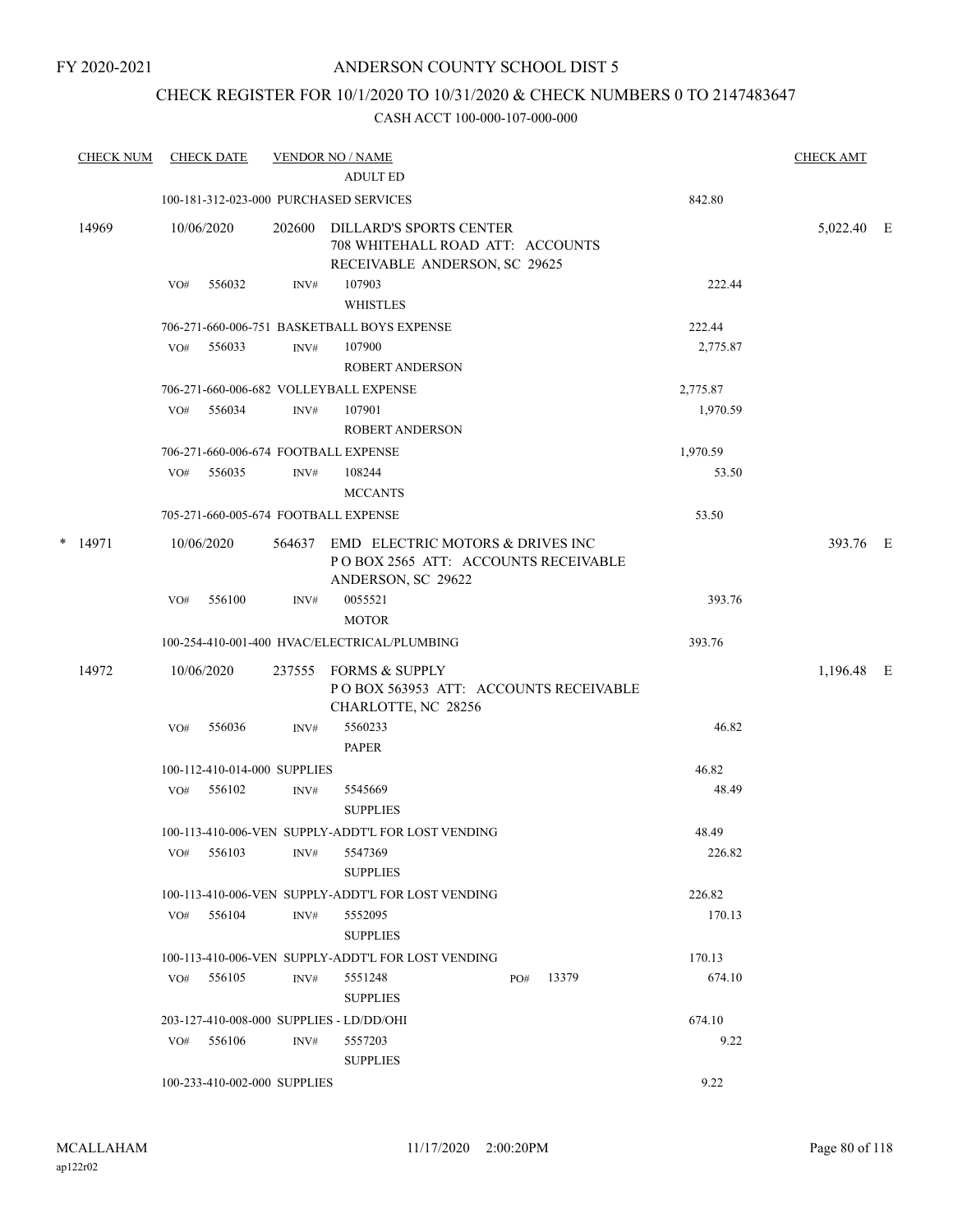## CHECK REGISTER FOR 10/1/2020 TO 10/31/2020 & CHECK NUMBERS 0 TO 2147483647

|   | <b>CHECK NUM</b> |     | <b>CHECK DATE</b>            |        | <b>VENDOR NO / NAME</b><br><b>ADULT ED</b>                                                    |     |       |          | <b>CHECK AMT</b> |  |
|---|------------------|-----|------------------------------|--------|-----------------------------------------------------------------------------------------------|-----|-------|----------|------------------|--|
|   |                  |     |                              |        | 100-181-312-023-000 PURCHASED SERVICES                                                        |     |       | 842.80   |                  |  |
|   |                  |     |                              |        |                                                                                               |     |       |          |                  |  |
|   | 14969            |     | 10/06/2020                   | 202600 | DILLARD'S SPORTS CENTER<br>708 WHITEHALL ROAD ATT: ACCOUNTS                                   |     |       |          | 5,022.40 E       |  |
|   |                  | VO# | 556032                       | INV#   | RECEIVABLE ANDERSON, SC 29625<br>107903                                                       |     |       | 222.44   |                  |  |
|   |                  |     |                              |        | <b>WHISTLES</b>                                                                               |     |       |          |                  |  |
|   |                  |     |                              |        | 706-271-660-006-751 BASKETBALL BOYS EXPENSE                                                   |     |       | 222.44   |                  |  |
|   |                  | VO# | 556033                       | INV#   | 107900                                                                                        |     |       | 2,775.87 |                  |  |
|   |                  |     |                              |        | <b>ROBERT ANDERSON</b>                                                                        |     |       |          |                  |  |
|   |                  |     |                              |        | 706-271-660-006-682 VOLLEYBALL EXPENSE                                                        |     |       | 2,775.87 |                  |  |
|   |                  | VO# | 556034                       | INV#   | 107901                                                                                        |     |       | 1,970.59 |                  |  |
|   |                  |     |                              |        | <b>ROBERT ANDERSON</b>                                                                        |     |       |          |                  |  |
|   |                  |     |                              |        | 706-271-660-006-674 FOOTBALL EXPENSE                                                          |     |       | 1,970.59 |                  |  |
|   |                  | VO# | 556035                       | INV#   | 108244                                                                                        |     |       | 53.50    |                  |  |
|   |                  |     |                              |        | <b>MCCANTS</b>                                                                                |     |       |          |                  |  |
|   |                  |     |                              |        | 705-271-660-005-674 FOOTBALL EXPENSE                                                          |     |       | 53.50    |                  |  |
| * | 14971            |     | 10/06/2020                   | 564637 | EMD ELECTRIC MOTORS & DRIVES INC<br>POBOX 2565 ATT: ACCOUNTS RECEIVABLE<br>ANDERSON, SC 29622 |     |       |          | 393.76 E         |  |
|   |                  | VO# | 556100                       | INV#   | 0055521                                                                                       |     |       | 393.76   |                  |  |
|   |                  |     |                              |        | <b>MOTOR</b>                                                                                  |     |       |          |                  |  |
|   |                  |     |                              |        | 100-254-410-001-400 HVAC/ELECTRICAL/PLUMBING                                                  |     |       | 393.76   |                  |  |
|   | 14972            |     | 10/06/2020                   | 237555 | <b>FORMS &amp; SUPPLY</b><br>POBOX 563953 ATT: ACCOUNTS RECEIVABLE<br>CHARLOTTE, NC 28256     |     |       |          | 1,196.48 E       |  |
|   |                  | VO# | 556036                       | INV#   | 5560233<br><b>PAPER</b>                                                                       |     |       | 46.82    |                  |  |
|   |                  |     | 100-112-410-014-000 SUPPLIES |        |                                                                                               |     |       | 46.82    |                  |  |
|   |                  | VO# | 556102                       | INV#   | 5545669                                                                                       |     |       | 48.49    |                  |  |
|   |                  |     |                              |        | <b>SUPPLIES</b>                                                                               |     |       |          |                  |  |
|   |                  |     |                              |        | 100-113-410-006-VEN SUPPLY-ADDT'L FOR LOST VENDING                                            |     |       | 48.49    |                  |  |
|   |                  | VO# | 556103                       | INV#   | 5547369<br><b>SUPPLIES</b>                                                                    |     |       | 226.82   |                  |  |
|   |                  |     |                              |        | 100-113-410-006-VEN SUPPLY-ADDT'L FOR LOST VENDING                                            |     |       | 226.82   |                  |  |
|   |                  | VO# | 556104                       | INV#   | 5552095<br><b>SUPPLIES</b>                                                                    |     |       | 170.13   |                  |  |
|   |                  |     |                              |        | 100-113-410-006-VEN SUPPLY-ADDT'L FOR LOST VENDING                                            |     |       | 170.13   |                  |  |
|   |                  | VO# | 556105                       | INV#   | 5551248                                                                                       | PO# | 13379 | 674.10   |                  |  |
|   |                  |     |                              |        | <b>SUPPLIES</b>                                                                               |     |       |          |                  |  |
|   |                  |     |                              |        | 203-127-410-008-000 SUPPLIES - LD/DD/OHI                                                      |     |       | 674.10   |                  |  |
|   |                  |     | $VO#$ 556106                 | INV#   | 5557203<br><b>SUPPLIES</b>                                                                    |     |       | 9.22     |                  |  |
|   |                  |     | 100-233-410-002-000 SUPPLIES |        |                                                                                               |     |       | 9.22     |                  |  |
|   |                  |     |                              |        |                                                                                               |     |       |          |                  |  |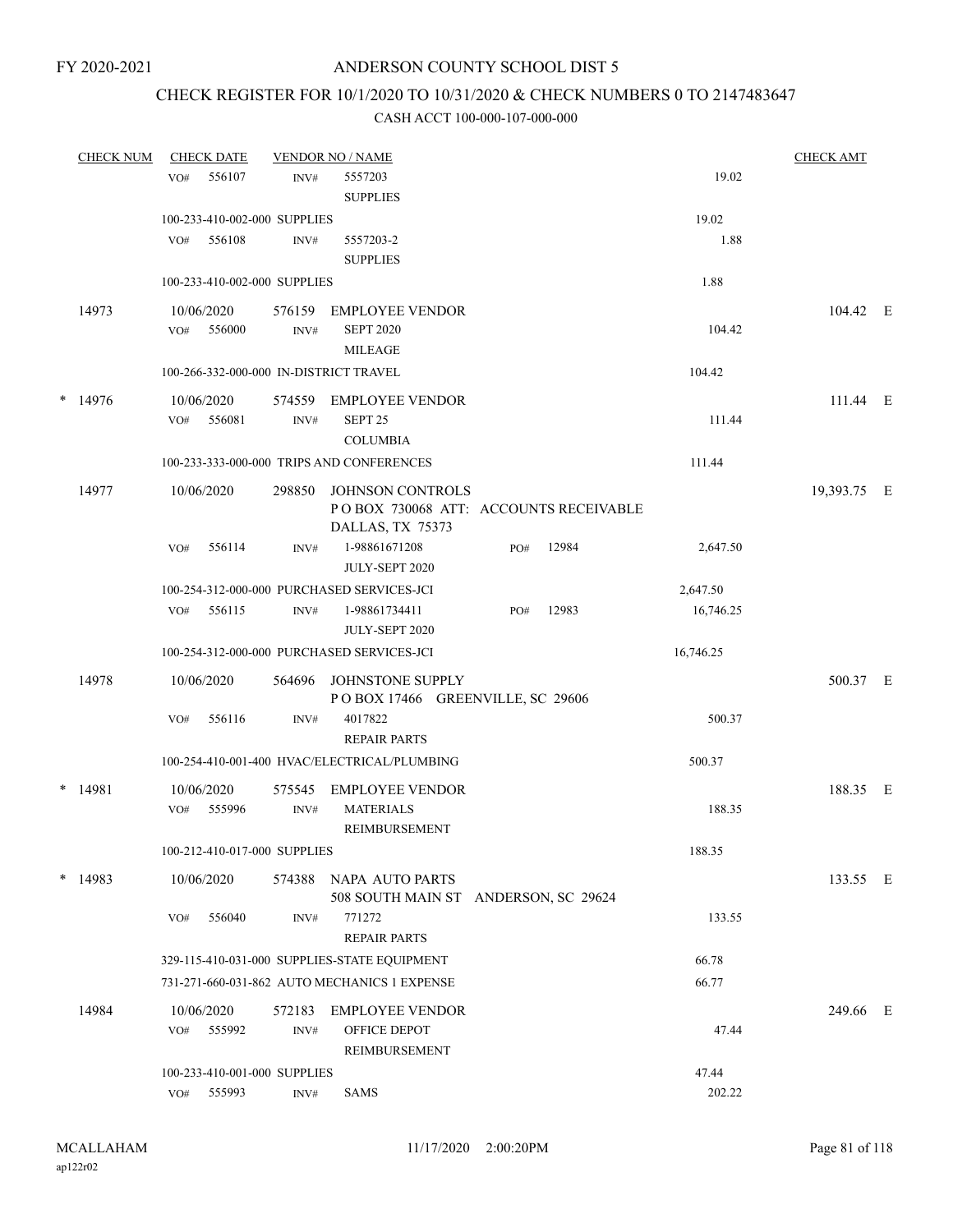# CHECK REGISTER FOR 10/1/2020 TO 10/31/2020 & CHECK NUMBERS 0 TO 2147483647

| <b>CHECK NUM</b> |     | <b>CHECK DATE</b> |                              | <b>VENDOR NO / NAME</b>                                             |     |       |           | <b>CHECK AMT</b> |  |
|------------------|-----|-------------------|------------------------------|---------------------------------------------------------------------|-----|-------|-----------|------------------|--|
|                  | VO# | 556107            | INV#                         | 5557203                                                             |     |       | 19.02     |                  |  |
|                  |     |                   |                              | <b>SUPPLIES</b>                                                     |     |       |           |                  |  |
|                  |     |                   | 100-233-410-002-000 SUPPLIES |                                                                     |     |       | 19.02     |                  |  |
|                  | VO# | 556108            | INV#                         | 5557203-2                                                           |     |       | 1.88      |                  |  |
|                  |     |                   |                              | <b>SUPPLIES</b>                                                     |     |       |           |                  |  |
|                  |     |                   | 100-233-410-002-000 SUPPLIES |                                                                     |     |       | 1.88      |                  |  |
| 14973            |     | 10/06/2020        | 576159                       | EMPLOYEE VENDOR                                                     |     |       |           | 104.42 E         |  |
|                  | VO# | 556000            | INV#                         | <b>SEPT 2020</b>                                                    |     |       | 104.42    |                  |  |
|                  |     |                   |                              | <b>MILEAGE</b>                                                      |     |       |           |                  |  |
|                  |     |                   |                              | 100-266-332-000-000 IN-DISTRICT TRAVEL                              |     |       | 104.42    |                  |  |
| $*$ 14976        |     | 10/06/2020        |                              | 574559 EMPLOYEE VENDOR                                              |     |       |           | 111.44 E         |  |
|                  | VO# | 556081            | INV#                         | SEPT <sub>25</sub>                                                  |     |       | 111.44    |                  |  |
|                  |     |                   |                              | <b>COLUMBIA</b>                                                     |     |       |           |                  |  |
|                  |     |                   |                              | 100-233-333-000-000 TRIPS AND CONFERENCES                           |     |       | 111.44    |                  |  |
| 14977            |     | 10/06/2020        | 298850                       | <b>JOHNSON CONTROLS</b>                                             |     |       |           | 19,393.75 E      |  |
|                  |     |                   |                              | POBOX 730068 ATT: ACCOUNTS RECEIVABLE                               |     |       |           |                  |  |
|                  |     |                   |                              | DALLAS, TX 75373                                                    |     |       |           |                  |  |
|                  | VO# | 556114            | INV#                         | 1-98861671208                                                       | PO# | 12984 | 2,647.50  |                  |  |
|                  |     |                   |                              | JULY-SEPT 2020                                                      |     |       |           |                  |  |
|                  |     |                   |                              | 100-254-312-000-000 PURCHASED SERVICES-JCI                          |     |       | 2,647.50  |                  |  |
|                  | VO# | 556115            | INV#                         | 1-98861734411                                                       | PO# | 12983 | 16,746.25 |                  |  |
|                  |     |                   |                              | JULY-SEPT 2020                                                      |     |       |           |                  |  |
|                  |     |                   |                              | 100-254-312-000-000 PURCHASED SERVICES-JCI                          |     |       | 16,746.25 |                  |  |
| 14978            |     | 10/06/2020        | 564696                       | JOHNSTONE SUPPLY                                                    |     |       |           | 500.37 E         |  |
|                  |     |                   |                              | POBOX 17466 GREENVILLE, SC 29606                                    |     |       |           |                  |  |
|                  | VO# | 556116            | INV#                         | 4017822<br><b>REPAIR PARTS</b>                                      |     |       | 500.37    |                  |  |
|                  |     |                   |                              | 100-254-410-001-400 HVAC/ELECTRICAL/PLUMBING                        |     |       | 500.37    |                  |  |
|                  |     |                   |                              |                                                                     |     |       |           |                  |  |
| $*$ 14981        |     | 10/06/2020        | 575545                       | EMPLOYEE VENDOR                                                     |     |       |           | 188.35 E         |  |
|                  | VO# | 555996            | INV#                         | <b>MATERIALS</b><br>REIMBURSEMENT                                   |     |       | 188.35    |                  |  |
|                  |     |                   | 100-212-410-017-000 SUPPLIES |                                                                     |     |       | 188.35    |                  |  |
|                  |     |                   |                              |                                                                     |     |       |           |                  |  |
| $*$ 14983        |     | 10/06/2020        | 574388                       | NAPA AUTO PARTS                                                     |     |       |           | 133.55 E         |  |
|                  |     |                   |                              | 508 SOUTH MAIN ST ANDERSON, SC 29624                                |     |       |           |                  |  |
|                  | VO# | 556040            | INV#                         | 771272                                                              |     |       | 133.55    |                  |  |
|                  |     |                   |                              | <b>REPAIR PARTS</b><br>329-115-410-031-000 SUPPLIES-STATE EQUIPMENT |     |       | 66.78     |                  |  |
|                  |     |                   |                              | 731-271-660-031-862 AUTO MECHANICS 1 EXPENSE                        |     |       | 66.77     |                  |  |
|                  |     |                   |                              |                                                                     |     |       |           |                  |  |
| 14984            |     | 10/06/2020        | 572183                       | <b>EMPLOYEE VENDOR</b>                                              |     |       |           | 249.66 E         |  |
|                  | VO# | 555992            | INV#                         | OFFICE DEPOT                                                        |     |       | 47.44     |                  |  |
|                  |     |                   |                              | REIMBURSEMENT                                                       |     |       |           |                  |  |
|                  |     |                   | 100-233-410-001-000 SUPPLIES |                                                                     |     |       | 47.44     |                  |  |
|                  | VO# | 555993            | INV#                         | <b>SAMS</b>                                                         |     |       | 202.22    |                  |  |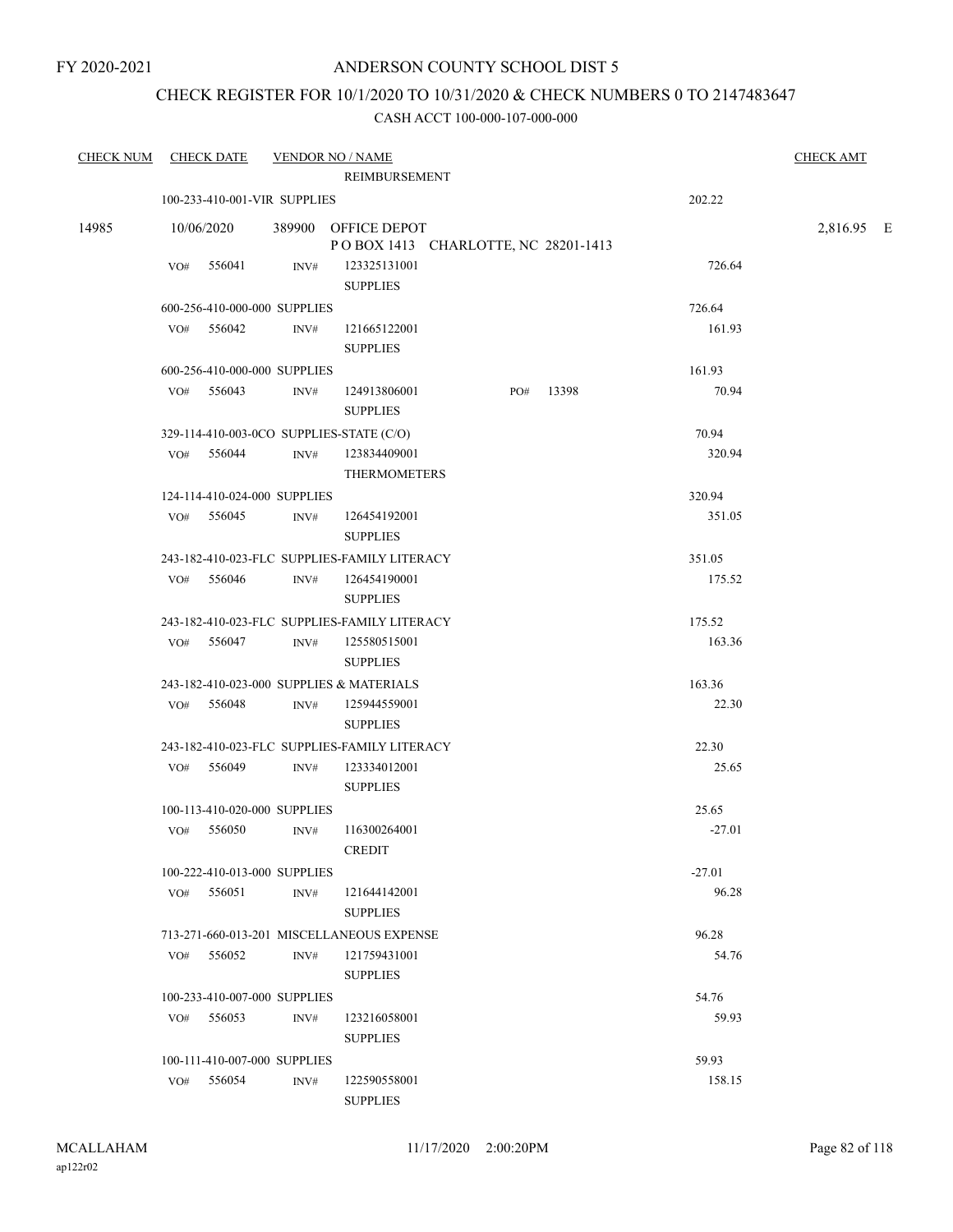## CHECK REGISTER FOR 10/1/2020 TO 10/31/2020 & CHECK NUMBERS 0 TO 2147483647

| <b>CHECK NUM</b> |     | <b>CHECK DATE</b> |                              | <b>VENDOR NO / NAME</b><br>REIMBURSEMENT                   |     |       |          | <b>CHECK AMT</b> |  |
|------------------|-----|-------------------|------------------------------|------------------------------------------------------------|-----|-------|----------|------------------|--|
|                  |     |                   | 100-233-410-001-VIR SUPPLIES |                                                            |     |       | 202.22   |                  |  |
| 14985            |     | 10/06/2020        |                              | 389900 OFFICE DEPOT<br>POBOX 1413 CHARLOTTE, NC 28201-1413 |     |       |          | 2,816.95 E       |  |
|                  | VO# | 556041            | INV#                         | 123325131001<br><b>SUPPLIES</b>                            |     |       | 726.64   |                  |  |
|                  |     |                   | 600-256-410-000-000 SUPPLIES |                                                            |     |       | 726.64   |                  |  |
|                  |     | VO# 556042        | INV#                         | 121665122001<br><b>SUPPLIES</b>                            |     |       | 161.93   |                  |  |
|                  |     |                   | 600-256-410-000-000 SUPPLIES |                                                            |     |       | 161.93   |                  |  |
|                  |     | VO# 556043        | INV#                         | 124913806001<br><b>SUPPLIES</b>                            | PO# | 13398 | 70.94    |                  |  |
|                  |     |                   |                              | 329-114-410-003-0CO SUPPLIES-STATE (C/O)                   |     |       | 70.94    |                  |  |
|                  | VO# | 556044            | INV#                         | 123834409001<br><b>THERMOMETERS</b>                        |     |       | 320.94   |                  |  |
|                  |     |                   | 124-114-410-024-000 SUPPLIES |                                                            |     |       | 320.94   |                  |  |
|                  | VO# | 556045            | INV#                         | 126454192001<br><b>SUPPLIES</b>                            |     |       | 351.05   |                  |  |
|                  |     |                   |                              | 243-182-410-023-FLC SUPPLIES-FAMILY LITERACY               |     |       | 351.05   |                  |  |
|                  | VO# | 556046            | INV#                         | 126454190001<br><b>SUPPLIES</b>                            |     |       | 175.52   |                  |  |
|                  |     |                   |                              | 243-182-410-023-FLC SUPPLIES-FAMILY LITERACY               |     |       | 175.52   |                  |  |
|                  |     | VO# 556047        | INV#                         | 125580515001<br><b>SUPPLIES</b>                            |     |       | 163.36   |                  |  |
|                  |     |                   |                              | 243-182-410-023-000 SUPPLIES & MATERIALS                   |     |       | 163.36   |                  |  |
|                  | VO# | 556048            | INV#                         | 125944559001<br><b>SUPPLIES</b>                            |     |       | 22.30    |                  |  |
|                  |     |                   |                              | 243-182-410-023-FLC SUPPLIES-FAMILY LITERACY               |     |       | 22.30    |                  |  |
|                  |     | VO# 556049        | INV#                         | 123334012001<br><b>SUPPLIES</b>                            |     |       | 25.65    |                  |  |
|                  |     |                   | 100-113-410-020-000 SUPPLIES |                                                            |     |       | 25.65    |                  |  |
|                  |     | VO# 556050        | INV#                         | 116300264001<br>CREDIT                                     |     |       | $-27.01$ |                  |  |
|                  |     |                   | 100-222-410-013-000 SUPPLIES |                                                            |     |       | $-27.01$ |                  |  |
|                  | VO# | 556051            | INV#                         | 121644142001<br><b>SUPPLIES</b>                            |     |       | 96.28    |                  |  |
|                  |     |                   |                              | 713-271-660-013-201 MISCELLANEOUS EXPENSE                  |     |       | 96.28    |                  |  |
|                  |     | VO# 556052        | INV#                         | 121759431001<br><b>SUPPLIES</b>                            |     |       | 54.76    |                  |  |
|                  |     |                   | 100-233-410-007-000 SUPPLIES |                                                            |     |       | 54.76    |                  |  |
|                  | VO# | 556053            | INV#                         | 123216058001<br><b>SUPPLIES</b>                            |     |       | 59.93    |                  |  |
|                  |     |                   | 100-111-410-007-000 SUPPLIES |                                                            |     |       | 59.93    |                  |  |
|                  | VO# | 556054            | INV#                         | 122590558001<br><b>SUPPLIES</b>                            |     |       | 158.15   |                  |  |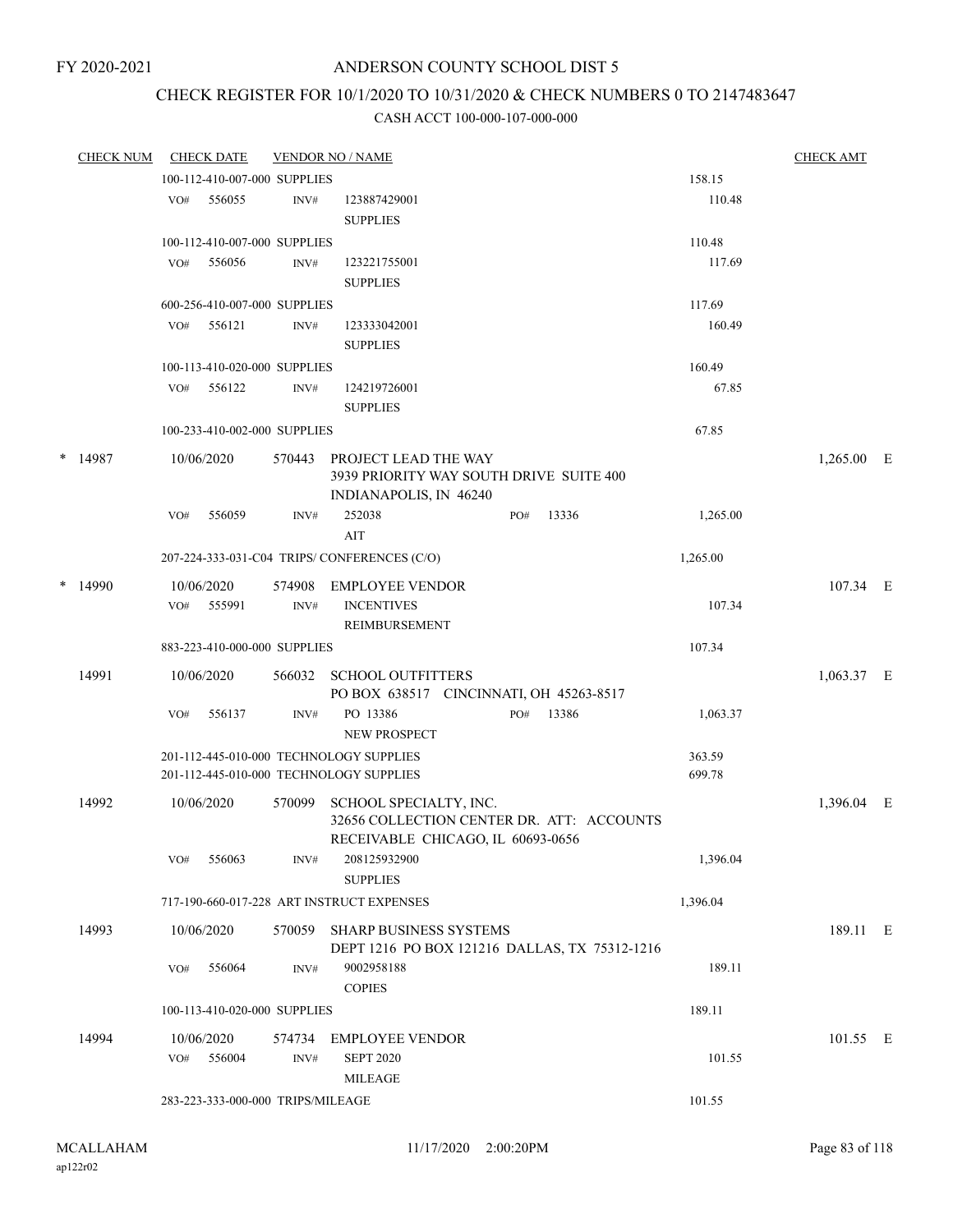# CHECK REGISTER FOR 10/1/2020 TO 10/31/2020 & CHECK NUMBERS 0 TO 2147483647

| CHECK NUM |     | <b>CHECK DATE</b>                 |        | <b>VENDOR NO / NAME</b>                                                                                  |     |       |                  | <b>CHECK AMT</b> |  |
|-----------|-----|-----------------------------------|--------|----------------------------------------------------------------------------------------------------------|-----|-------|------------------|------------------|--|
|           |     | 100-112-410-007-000 SUPPLIES      |        |                                                                                                          |     |       | 158.15           |                  |  |
|           |     | VO# 556055                        | INV#   | 123887429001<br><b>SUPPLIES</b>                                                                          |     |       | 110.48           |                  |  |
|           |     | 100-112-410-007-000 SUPPLIES      |        |                                                                                                          |     |       | 110.48           |                  |  |
|           |     | VO# 556056                        | INV#   | 123221755001<br><b>SUPPLIES</b>                                                                          |     |       | 117.69           |                  |  |
|           |     | 600-256-410-007-000 SUPPLIES      |        |                                                                                                          |     |       | 117.69           |                  |  |
|           | VO# | 556121                            | INV#   | 123333042001<br><b>SUPPLIES</b>                                                                          |     |       | 160.49           |                  |  |
|           |     | 100-113-410-020-000 SUPPLIES      |        |                                                                                                          |     |       | 160.49           |                  |  |
|           |     | VO# 556122                        | INV#   | 124219726001<br><b>SUPPLIES</b>                                                                          |     |       | 67.85            |                  |  |
|           |     | 100-233-410-002-000 SUPPLIES      |        |                                                                                                          |     |       | 67.85            |                  |  |
| $*$ 14987 |     | 10/06/2020                        |        | 570443 PROJECT LEAD THE WAY<br>3939 PRIORITY WAY SOUTH DRIVE SUITE 400<br>INDIANAPOLIS, IN 46240         |     |       |                  | $1,265.00$ E     |  |
|           | VO# | 556059                            | INV#   | 252038<br>AIT                                                                                            | PO# | 13336 | 1,265.00         |                  |  |
|           |     |                                   |        | 207-224-333-031-C04 TRIPS/CONFERENCES (C/O)                                                              |     |       | 1,265.00         |                  |  |
| $*$ 14990 |     | 10/06/2020                        | 574908 | EMPLOYEE VENDOR                                                                                          |     |       |                  | 107.34 E         |  |
|           |     | VO# 555991                        | INV#   | <b>INCENTIVES</b><br>REIMBURSEMENT                                                                       |     |       | 107.34           |                  |  |
|           |     | 883-223-410-000-000 SUPPLIES      |        |                                                                                                          |     |       | 107.34           |                  |  |
| 14991     |     | 10/06/2020                        | 566032 | <b>SCHOOL OUTFITTERS</b>                                                                                 |     |       |                  | $1,063.37$ E     |  |
|           | VO# | 556137                            | INV#   | PO BOX 638517 CINCINNATI, OH 45263-8517<br>PO 13386<br>NEW PROSPECT                                      | PO# | 13386 | 1,063.37         |                  |  |
|           |     |                                   |        | 201-112-445-010-000 TECHNOLOGY SUPPLIES<br>201-112-445-010-000 TECHNOLOGY SUPPLIES                       |     |       | 363.59<br>699.78 |                  |  |
| 14992     |     | 10/06/2020                        | 570099 | SCHOOL SPECIALTY, INC.<br>32656 COLLECTION CENTER DR. ATT: ACCOUNTS<br>RECEIVABLE CHICAGO, IL 60693-0656 |     |       |                  | 1,396.04 E       |  |
|           | VO# | 556063                            | INV#   | 208125932900<br><b>SUPPLIES</b>                                                                          |     |       | 1,396.04         |                  |  |
|           |     |                                   |        | 717-190-660-017-228 ART INSTRUCT EXPENSES                                                                |     |       | 1,396.04         |                  |  |
| 14993     |     | 10/06/2020                        |        | 570059 SHARP BUSINESS SYSTEMS<br>DEPT 1216 PO BOX 121216 DALLAS, TX 75312-1216                           |     |       |                  | 189.11 E         |  |
|           | VO# | 556064                            | INV#   | 9002958188<br><b>COPIES</b>                                                                              |     |       | 189.11           |                  |  |
|           |     | 100-113-410-020-000 SUPPLIES      |        |                                                                                                          |     |       | 189.11           |                  |  |
| 14994     |     | 10/06/2020                        |        | 574734 EMPLOYEE VENDOR                                                                                   |     |       |                  | 101.55 E         |  |
|           |     | VO# 556004                        | INV#   | <b>SEPT 2020</b><br><b>MILEAGE</b>                                                                       |     |       | 101.55           |                  |  |
|           |     | 283-223-333-000-000 TRIPS/MILEAGE |        |                                                                                                          |     |       | 101.55           |                  |  |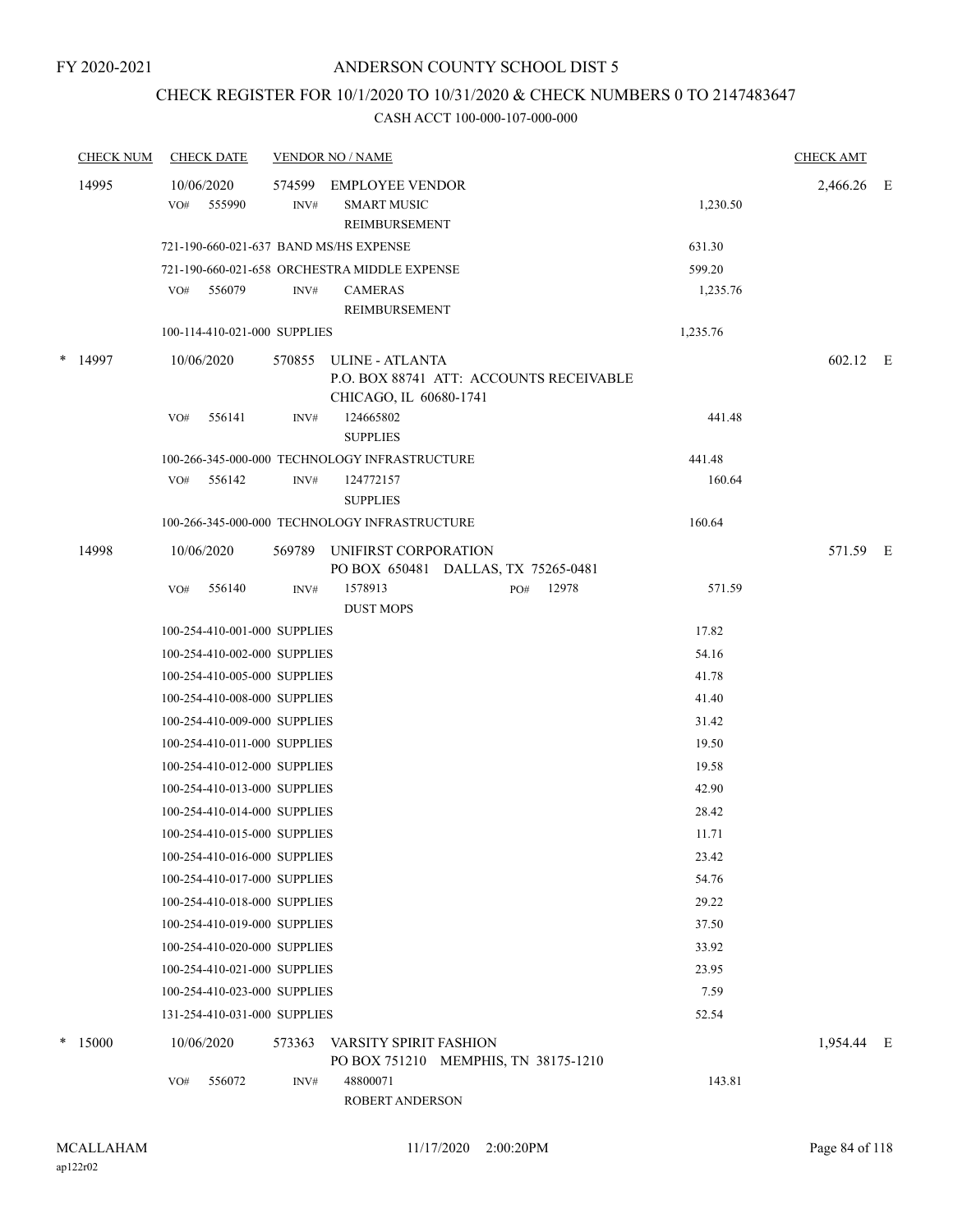## CHECK REGISTER FOR 10/1/2020 TO 10/31/2020 & CHECK NUMBERS 0 TO 2147483647

|   | <b>CHECK NUM</b> |     | <b>CHECK DATE</b>            |                | <b>VENDOR NO / NAME</b>                                                              |     |       |          | <b>CHECK AMT</b> |  |
|---|------------------|-----|------------------------------|----------------|--------------------------------------------------------------------------------------|-----|-------|----------|------------------|--|
|   | 14995            | VO# | 10/06/2020<br>555990         | 574599<br>INV# | <b>EMPLOYEE VENDOR</b><br><b>SMART MUSIC</b><br>REIMBURSEMENT                        |     |       | 1,230.50 | 2,466.26 E       |  |
|   |                  |     |                              |                | 721-190-660-021-637 BAND MS/HS EXPENSE                                               |     |       | 631.30   |                  |  |
|   |                  |     |                              |                | 721-190-660-021-658 ORCHESTRA MIDDLE EXPENSE                                         |     |       | 599.20   |                  |  |
|   |                  | VO# | 556079                       | INV#           | <b>CAMERAS</b><br>REIMBURSEMENT                                                      |     |       | 1,235.76 |                  |  |
|   |                  |     | 100-114-410-021-000 SUPPLIES |                |                                                                                      |     |       | 1,235.76 |                  |  |
| * | 14997            |     | 10/06/2020                   | 570855         | ULINE - ATLANTA<br>P.O. BOX 88741 ATT: ACCOUNTS RECEIVABLE<br>CHICAGO, IL 60680-1741 |     |       |          | 602.12 E         |  |
|   |                  | VO# | 556141                       | INV#           | 124665802<br><b>SUPPLIES</b>                                                         |     |       | 441.48   |                  |  |
|   |                  |     |                              |                | 100-266-345-000-000 TECHNOLOGY INFRASTRUCTURE                                        |     |       | 441.48   |                  |  |
|   |                  | VO# | 556142                       | INV#           | 124772157<br><b>SUPPLIES</b>                                                         |     |       | 160.64   |                  |  |
|   |                  |     |                              |                | 100-266-345-000-000 TECHNOLOGY INFRASTRUCTURE                                        |     |       | 160.64   |                  |  |
|   | 14998            |     | 10/06/2020                   | 569789         | UNIFIRST CORPORATION<br>PO BOX 650481 DALLAS, TX 75265-0481                          |     |       |          | 571.59 E         |  |
|   |                  | VO# | 556140                       | INV#           | 1578913<br><b>DUST MOPS</b>                                                          | PO# | 12978 | 571.59   |                  |  |
|   |                  |     | 100-254-410-001-000 SUPPLIES |                |                                                                                      |     |       | 17.82    |                  |  |
|   |                  |     | 100-254-410-002-000 SUPPLIES |                |                                                                                      |     |       | 54.16    |                  |  |
|   |                  |     | 100-254-410-005-000 SUPPLIES |                |                                                                                      |     |       | 41.78    |                  |  |
|   |                  |     | 100-254-410-008-000 SUPPLIES |                |                                                                                      |     |       | 41.40    |                  |  |
|   |                  |     | 100-254-410-009-000 SUPPLIES |                |                                                                                      |     |       | 31.42    |                  |  |
|   |                  |     | 100-254-410-011-000 SUPPLIES |                |                                                                                      |     |       | 19.50    |                  |  |
|   |                  |     | 100-254-410-012-000 SUPPLIES |                |                                                                                      |     |       | 19.58    |                  |  |
|   |                  |     | 100-254-410-013-000 SUPPLIES |                |                                                                                      |     |       | 42.90    |                  |  |
|   |                  |     | 100-254-410-014-000 SUPPLIES |                |                                                                                      |     |       | 28.42    |                  |  |
|   |                  |     | 100-254-410-015-000 SUPPLIES |                |                                                                                      |     |       | 11.71    |                  |  |
|   |                  |     | 100-254-410-016-000 SUPPLIES |                |                                                                                      |     |       | 23.42    |                  |  |
|   |                  |     | 100-254-410-017-000 SUPPLIES |                |                                                                                      |     |       | 54.76    |                  |  |
|   |                  |     | 100-254-410-018-000 SUPPLIES |                |                                                                                      |     |       | 29.22    |                  |  |
|   |                  |     | 100-254-410-019-000 SUPPLIES |                |                                                                                      |     |       | 37.50    |                  |  |
|   |                  |     | 100-254-410-020-000 SUPPLIES |                |                                                                                      |     |       | 33.92    |                  |  |
|   |                  |     | 100-254-410-021-000 SUPPLIES |                |                                                                                      |     |       | 23.95    |                  |  |
|   |                  |     | 100-254-410-023-000 SUPPLIES |                |                                                                                      |     |       | 7.59     |                  |  |
|   |                  |     | 131-254-410-031-000 SUPPLIES |                |                                                                                      |     |       | 52.54    |                  |  |
|   | $*$ 15000        |     | 10/06/2020                   | 573363         | <b>VARSITY SPIRIT FASHION</b><br>PO BOX 751210 MEMPHIS, TN 38175-1210                |     |       |          | 1,954.44 E       |  |
|   |                  | VO# | 556072                       | INV#           | 48800071<br>ROBERT ANDERSON                                                          |     |       | 143.81   |                  |  |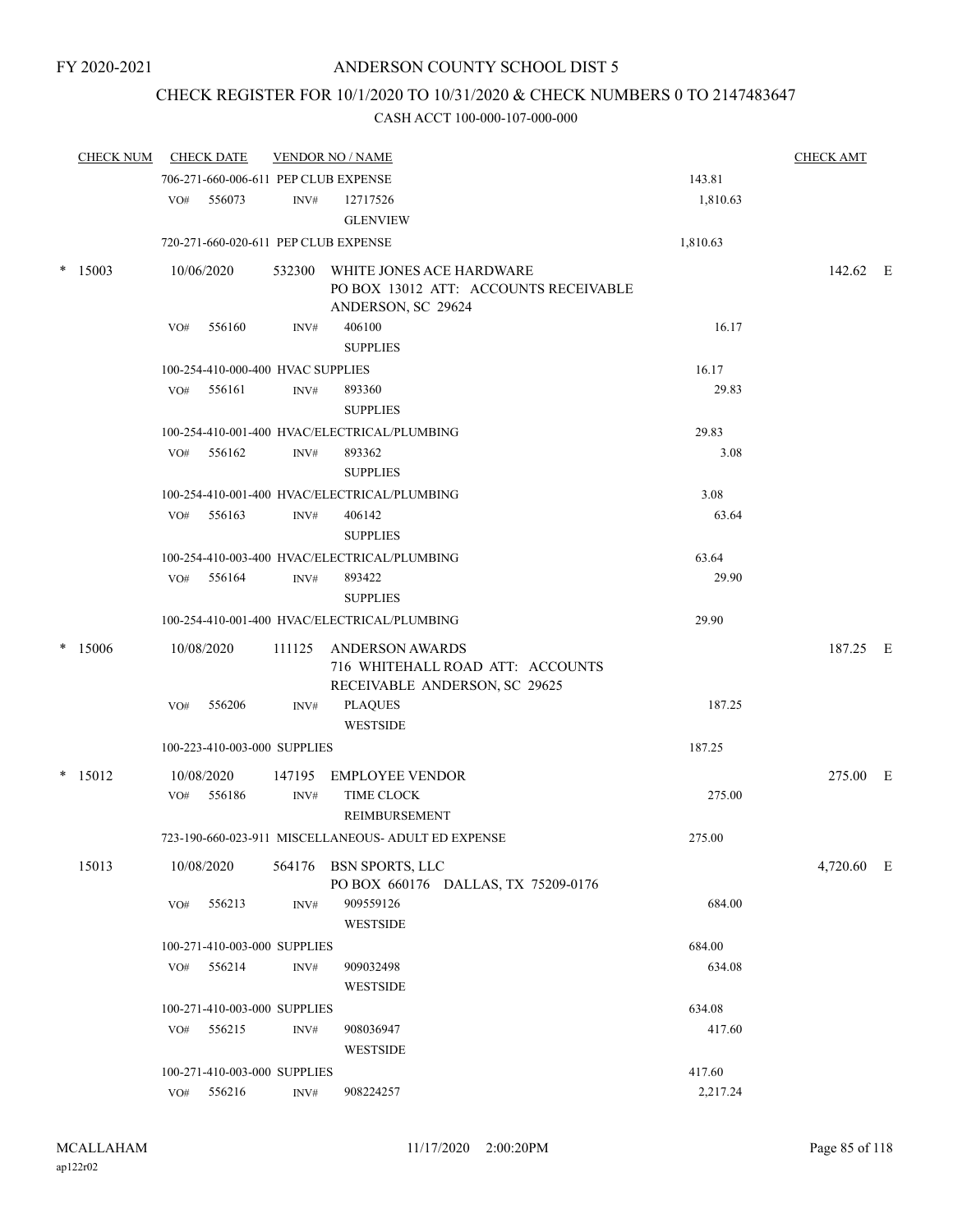# CHECK REGISTER FOR 10/1/2020 TO 10/31/2020 & CHECK NUMBERS 0 TO 2147483647

|   | <b>CHECK NUM</b> |     | <b>CHECK DATE</b>                    |                | <b>VENDOR NO / NAME</b>                                                                        |          | <b>CHECK AMT</b> |  |
|---|------------------|-----|--------------------------------------|----------------|------------------------------------------------------------------------------------------------|----------|------------------|--|
|   |                  |     | 706-271-660-006-611 PEP CLUB EXPENSE |                |                                                                                                | 143.81   |                  |  |
|   |                  | VO# | 556073                               | INV#           | 12717526<br><b>GLENVIEW</b>                                                                    | 1,810.63 |                  |  |
|   |                  |     | 720-271-660-020-611 PEP CLUB EXPENSE |                |                                                                                                | 1,810.63 |                  |  |
| * | 15003            |     | 10/06/2020                           |                | 532300 WHITE JONES ACE HARDWARE<br>PO BOX 13012 ATT: ACCOUNTS RECEIVABLE<br>ANDERSON, SC 29624 |          | 142.62 E         |  |
|   |                  | VO# | 556160                               | INV#           | 406100<br><b>SUPPLIES</b>                                                                      | 16.17    |                  |  |
|   |                  |     | 100-254-410-000-400 HVAC SUPPLIES    |                |                                                                                                | 16.17    |                  |  |
|   |                  | VO# | 556161                               | INV#           | 893360<br><b>SUPPLIES</b>                                                                      | 29.83    |                  |  |
|   |                  |     |                                      |                | 100-254-410-001-400 HVAC/ELECTRICAL/PLUMBING                                                   | 29.83    |                  |  |
|   |                  |     | VO# 556162                           | INV#           | 893362<br><b>SUPPLIES</b>                                                                      | 3.08     |                  |  |
|   |                  |     |                                      |                | 100-254-410-001-400 HVAC/ELECTRICAL/PLUMBING                                                   | 3.08     |                  |  |
|   |                  | VO# | 556163                               | INV#           | 406142<br><b>SUPPLIES</b>                                                                      | 63.64    |                  |  |
|   |                  |     |                                      |                | 100-254-410-003-400 HVAC/ELECTRICAL/PLUMBING                                                   | 63.64    |                  |  |
|   |                  |     | $VO#$ 556164                         | INV#           | 893422<br><b>SUPPLIES</b>                                                                      | 29.90    |                  |  |
|   |                  |     |                                      |                | 100-254-410-001-400 HVAC/ELECTRICAL/PLUMBING                                                   | 29.90    |                  |  |
| * | 15006            |     | 10/08/2020                           | 111125         | <b>ANDERSON AWARDS</b><br>716 WHITEHALL ROAD ATT: ACCOUNTS<br>RECEIVABLE ANDERSON, SC 29625    |          | 187.25 E         |  |
|   |                  | VO# | 556206                               | INV#           | <b>PLAQUES</b><br><b>WESTSIDE</b>                                                              | 187.25   |                  |  |
|   |                  |     | 100-223-410-003-000 SUPPLIES         |                |                                                                                                | 187.25   |                  |  |
|   | $*$ 15012        |     | 10/08/2020                           | 147195         | EMPLOYEE VENDOR                                                                                |          | 275.00 E         |  |
|   |                  | VO# | 556186                               | INV#           | <b>TIME CLOCK</b><br>REIMBURSEMENT                                                             | 275.00   |                  |  |
|   |                  |     |                                      |                | 723-190-660-023-911 MISCELLANEOUS- ADULT ED EXPENSE                                            | 275.00   |                  |  |
|   | 15013            |     | 10/08/2020                           |                | 564176 BSN SPORTS, LLC<br>PO BOX 660176 DALLAS, TX 75209-0176                                  |          | 4,720.60 E       |  |
|   |                  | VO# | 556213                               | INV#           | 909559126<br>WESTSIDE                                                                          | 684.00   |                  |  |
|   |                  |     | 100-271-410-003-000 SUPPLIES         |                |                                                                                                | 684.00   |                  |  |
|   |                  | VO# | 556214                               | INV#           | 909032498<br><b>WESTSIDE</b>                                                                   | 634.08   |                  |  |
|   |                  |     | 100-271-410-003-000 SUPPLIES         |                |                                                                                                | 634.08   |                  |  |
|   |                  | VO# | 556215                               | INV#           | 908036947<br><b>WESTSIDE</b>                                                                   | 417.60   |                  |  |
|   |                  |     | 100-271-410-003-000 SUPPLIES         |                |                                                                                                | 417.60   |                  |  |
|   |                  |     | VO# 556216                           | $\text{INV}\#$ | 908224257                                                                                      | 2,217.24 |                  |  |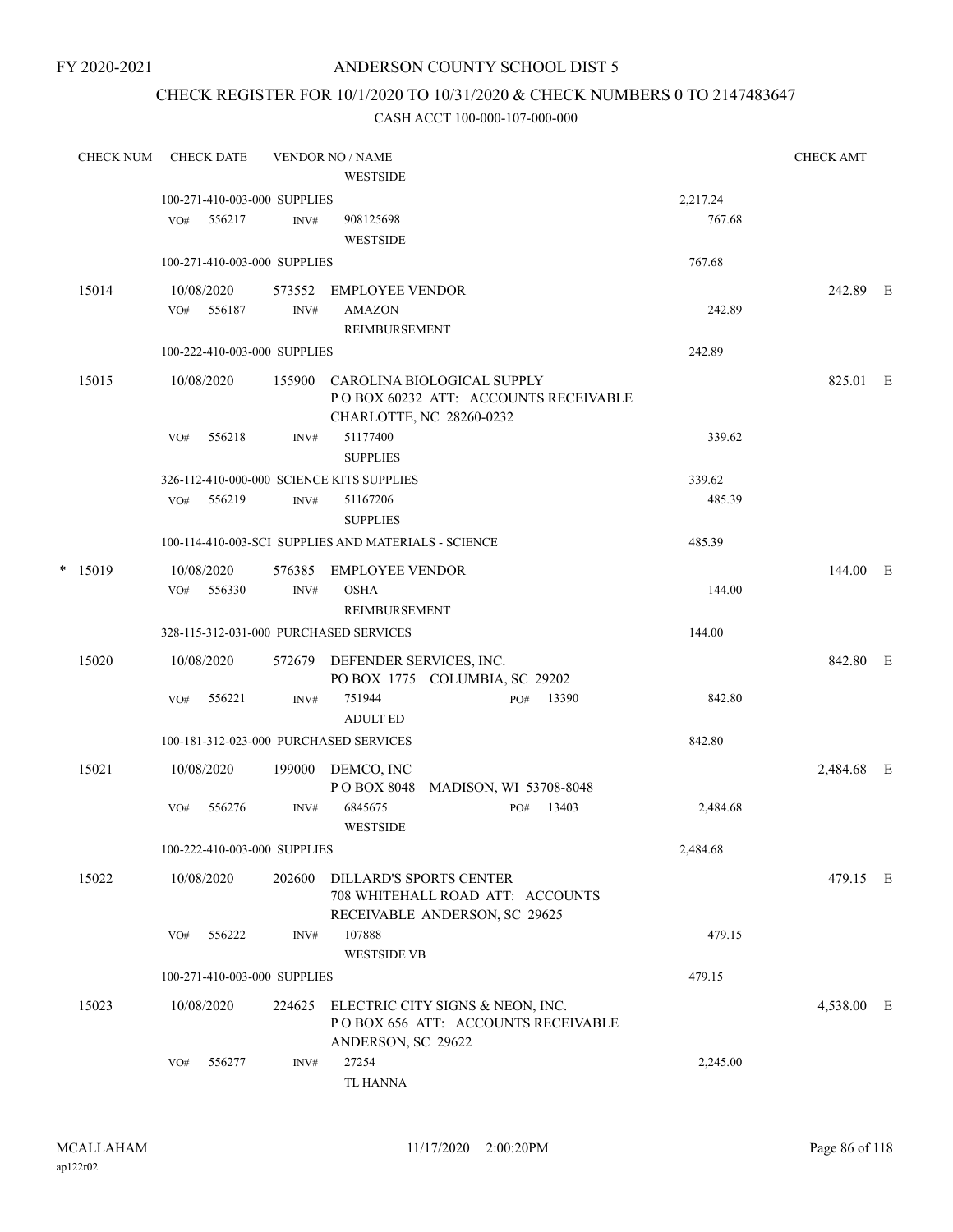#### FY 2020-2021

## ANDERSON COUNTY SCHOOL DIST 5

## CHECK REGISTER FOR 10/1/2020 TO 10/31/2020 & CHECK NUMBERS 0 TO 2147483647

| <b>CHECK NUM</b> |     | <b>CHECK DATE</b> |                              | <b>VENDOR NO / NAME</b>                                           |                        |     |                                      |          | <b>CHECK AMT</b> |  |
|------------------|-----|-------------------|------------------------------|-------------------------------------------------------------------|------------------------|-----|--------------------------------------|----------|------------------|--|
|                  |     |                   |                              | <b>WESTSIDE</b>                                                   |                        |     |                                      |          |                  |  |
|                  |     |                   | 100-271-410-003-000 SUPPLIES |                                                                   |                        |     |                                      | 2,217.24 |                  |  |
|                  | VO# | 556217            | INV#                         | 908125698                                                         |                        |     |                                      | 767.68   |                  |  |
|                  |     |                   |                              | <b>WESTSIDE</b>                                                   |                        |     |                                      |          |                  |  |
|                  |     |                   | 100-271-410-003-000 SUPPLIES |                                                                   |                        |     |                                      | 767.68   |                  |  |
| 15014            |     | 10/08/2020        | 573552                       | EMPLOYEE VENDOR                                                   |                        |     |                                      |          | 242.89 E         |  |
|                  |     | VO# 556187        | INV#                         | <b>AMAZON</b><br>REIMBURSEMENT                                    |                        |     |                                      | 242.89   |                  |  |
|                  |     |                   | 100-222-410-003-000 SUPPLIES |                                                                   |                        |     |                                      | 242.89   |                  |  |
|                  |     |                   |                              |                                                                   |                        |     |                                      |          |                  |  |
| 15015            |     | 10/08/2020        | 155900                       | CAROLINA BIOLOGICAL SUPPLY<br>CHARLOTTE, NC 28260-0232            |                        |     | POBOX 60232 ATT: ACCOUNTS RECEIVABLE |          | 825.01 E         |  |
|                  | VO# | 556218            | INV#                         | 51177400                                                          |                        |     |                                      | 339.62   |                  |  |
|                  |     |                   |                              | <b>SUPPLIES</b>                                                   |                        |     |                                      |          |                  |  |
|                  |     |                   |                              | 326-112-410-000-000 SCIENCE KITS SUPPLIES                         |                        |     |                                      | 339.62   |                  |  |
|                  | VO# | 556219            | INV#                         | 51167206                                                          |                        |     |                                      | 485.39   |                  |  |
|                  |     |                   |                              | <b>SUPPLIES</b>                                                   |                        |     |                                      |          |                  |  |
|                  |     |                   |                              | 100-114-410-003-SCI SUPPLIES AND MATERIALS - SCIENCE              |                        |     |                                      | 485.39   |                  |  |
| $*$ 15019        |     | 10/08/2020        | 576385                       | EMPLOYEE VENDOR                                                   |                        |     |                                      |          | 144.00 E         |  |
|                  |     | VO# 556330        | INV#                         | <b>OSHA</b>                                                       |                        |     |                                      | 144.00   |                  |  |
|                  |     |                   |                              | REIMBURSEMENT                                                     |                        |     |                                      |          |                  |  |
|                  |     |                   |                              | 328-115-312-031-000 PURCHASED SERVICES                            |                        |     |                                      | 144.00   |                  |  |
| 15020            |     | 10/08/2020        |                              | 572679 DEFENDER SERVICES, INC.                                    |                        |     |                                      |          | 842.80 E         |  |
|                  | VO# | 556221            | INV#                         | PO BOX 1775 COLUMBIA, SC 29202<br>751944                          |                        | PO# | 13390                                | 842.80   |                  |  |
|                  |     |                   |                              | <b>ADULT ED</b>                                                   |                        |     |                                      |          |                  |  |
|                  |     |                   |                              | 100-181-312-023-000 PURCHASED SERVICES                            |                        |     |                                      | 842.80   |                  |  |
| 15021            |     | 10/08/2020        | 199000                       | DEMCO, INC                                                        |                        |     |                                      |          | 2,484.68 E       |  |
|                  |     |                   |                              | P O BOX 8048                                                      | MADISON, WI 53708-8048 |     |                                      |          |                  |  |
|                  | VO# | 556276            | INV#                         | 6845675<br><b>WESTSIDE</b>                                        |                        | PO# | 13403                                | 2,484.68 |                  |  |
|                  |     |                   | 100-222-410-003-000 SUPPLIES |                                                                   |                        |     |                                      | 2,484.68 |                  |  |
| 15022            |     | 10/08/2020        | 202600                       | DILLARD'S SPORTS CENTER                                           |                        |     |                                      |          | 479.15 E         |  |
|                  |     |                   |                              | 708 WHITEHALL ROAD ATT: ACCOUNTS<br>RECEIVABLE ANDERSON, SC 29625 |                        |     |                                      |          |                  |  |
|                  | VO# | 556222            | INV#                         | 107888                                                            |                        |     |                                      | 479.15   |                  |  |
|                  |     |                   |                              | <b>WESTSIDE VB</b>                                                |                        |     |                                      |          |                  |  |
|                  |     |                   | 100-271-410-003-000 SUPPLIES |                                                                   |                        |     |                                      | 479.15   |                  |  |
| 15023            |     | 10/08/2020        | 224625                       | ELECTRIC CITY SIGNS & NEON, INC.                                  |                        |     |                                      |          | 4,538.00 E       |  |
|                  |     |                   |                              | POBOX 656 ATT: ACCOUNTS RECEIVABLE                                |                        |     |                                      |          |                  |  |
|                  | VO# | 556277            | INV#                         | ANDERSON, SC 29622<br>27254                                       |                        |     |                                      | 2,245.00 |                  |  |
|                  |     |                   |                              |                                                                   |                        |     |                                      |          |                  |  |
|                  |     |                   |                              | TL HANNA                                                          |                        |     |                                      |          |                  |  |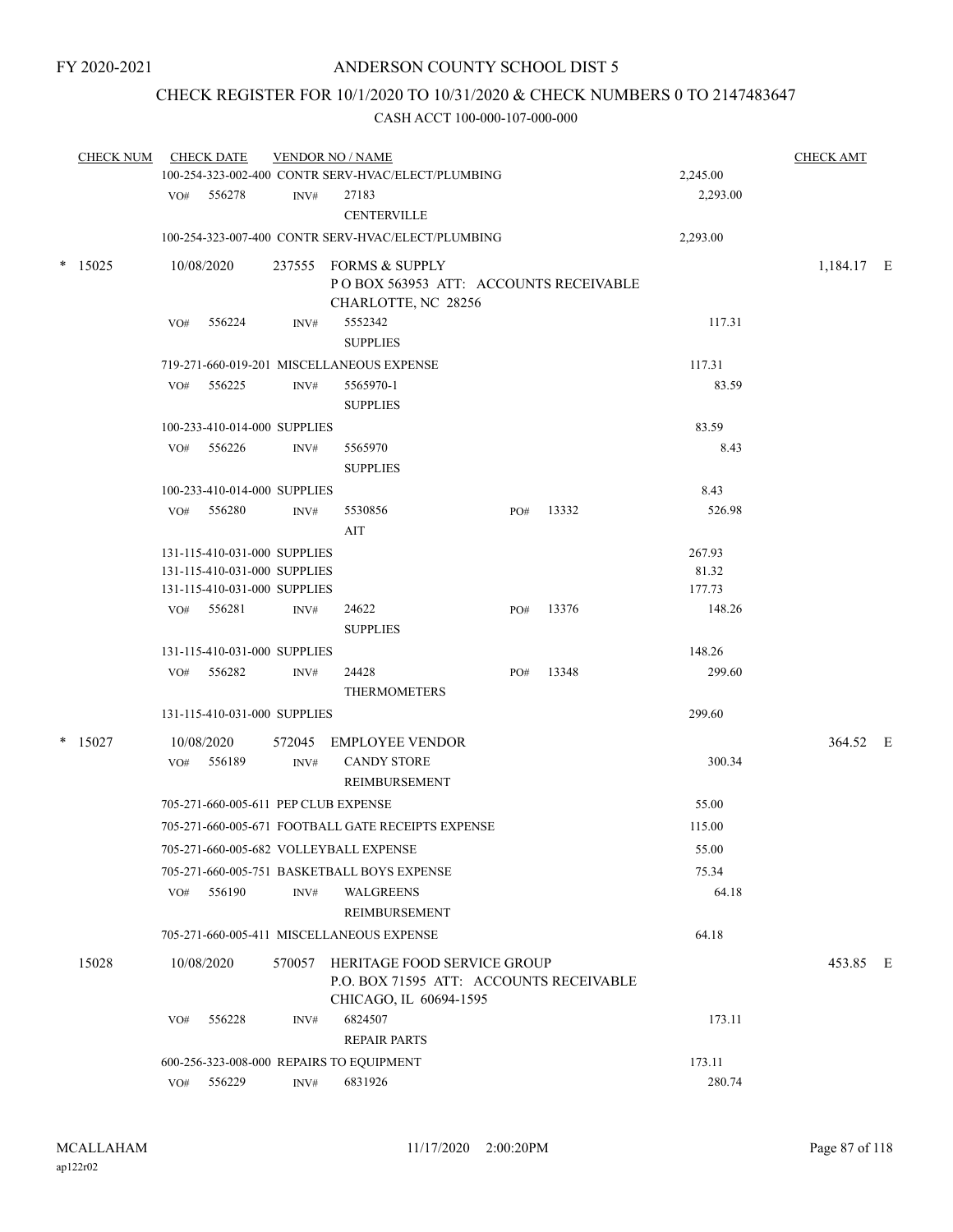# CHECK REGISTER FOR 10/1/2020 TO 10/31/2020 & CHECK NUMBERS 0 TO 2147483647

| <b>CHECK NUM</b> |     | <b>CHECK DATE</b>                    |      | <b>VENDOR NO / NAME</b><br>100-254-323-002-400 CONTR SERV-HVAC/ELECT/PLUMBING                           |     |       | 2,245.00 | <b>CHECK AMT</b> |  |
|------------------|-----|--------------------------------------|------|---------------------------------------------------------------------------------------------------------|-----|-------|----------|------------------|--|
|                  |     | VO# 556278                           | INV# | 27183<br><b>CENTERVILLE</b>                                                                             |     |       | 2,293.00 |                  |  |
|                  |     |                                      |      | 100-254-323-007-400 CONTR SERV-HVAC/ELECT/PLUMBING                                                      |     |       | 2,293.00 |                  |  |
| $*$ 15025        |     | 10/08/2020                           |      | 237555 FORMS & SUPPLY<br>POBOX 563953 ATT: ACCOUNTS RECEIVABLE<br>CHARLOTTE, NC 28256                   |     |       |          | 1,184.17 E       |  |
|                  | VO# | 556224                               | INV# | 5552342<br><b>SUPPLIES</b>                                                                              |     |       | 117.31   |                  |  |
|                  |     |                                      |      | 719-271-660-019-201 MISCELLANEOUS EXPENSE                                                               |     |       | 117.31   |                  |  |
|                  |     | VO# 556225                           | INV# | 5565970-1<br><b>SUPPLIES</b>                                                                            |     |       | 83.59    |                  |  |
|                  |     | 100-233-410-014-000 SUPPLIES         |      |                                                                                                         |     |       | 83.59    |                  |  |
|                  |     | VO# 556226                           | INV# | 5565970<br><b>SUPPLIES</b>                                                                              |     |       | 8.43     |                  |  |
|                  |     | 100-233-410-014-000 SUPPLIES         |      |                                                                                                         |     |       | 8.43     |                  |  |
|                  |     | VO# 556280                           | INV# | 5530856<br>AIT                                                                                          | PO# | 13332 | 526.98   |                  |  |
|                  |     | 131-115-410-031-000 SUPPLIES         |      |                                                                                                         |     |       | 267.93   |                  |  |
|                  |     | 131-115-410-031-000 SUPPLIES         |      |                                                                                                         |     |       | 81.32    |                  |  |
|                  |     | 131-115-410-031-000 SUPPLIES         |      |                                                                                                         |     |       | 177.73   |                  |  |
|                  |     | VO# 556281                           | INV# | 24622<br><b>SUPPLIES</b>                                                                                | PO# | 13376 | 148.26   |                  |  |
|                  |     | 131-115-410-031-000 SUPPLIES         |      |                                                                                                         |     |       | 148.26   |                  |  |
|                  | VO# | 556282                               | INV# | 24428<br><b>THERMOMETERS</b>                                                                            | PO# | 13348 | 299.60   |                  |  |
|                  |     | 131-115-410-031-000 SUPPLIES         |      |                                                                                                         |     |       | 299.60   |                  |  |
| $*$ 15027        |     | 10/08/2020                           |      | 572045 EMPLOYEE VENDOR                                                                                  |     |       |          | 364.52 E         |  |
|                  |     | VO# 556189                           | INV# | <b>CANDY STORE</b><br>REIMBURSEMENT                                                                     |     |       | 300.34   |                  |  |
|                  |     | 705-271-660-005-611 PEP CLUB EXPENSE |      |                                                                                                         |     |       | 55.00    |                  |  |
|                  |     |                                      |      | 705-271-660-005-671 FOOTBALL GATE RECEIPTS EXPENSE                                                      |     |       | 115.00   |                  |  |
|                  |     |                                      |      | 705-271-660-005-682 VOLLEYBALL EXPENSE                                                                  |     |       | 55.00    |                  |  |
|                  |     |                                      |      | 705-271-660-005-751 BASKETBALL BOYS EXPENSE                                                             |     |       | 75.34    |                  |  |
|                  | VO# | 556190                               | INV# | WALGREENS<br>REIMBURSEMENT                                                                              |     |       | 64.18    |                  |  |
|                  |     |                                      |      | 705-271-660-005-411 MISCELLANEOUS EXPENSE                                                               |     |       | 64.18    |                  |  |
| 15028            |     | 10/08/2020                           |      | 570057 HERITAGE FOOD SERVICE GROUP<br>P.O. BOX 71595 ATT: ACCOUNTS RECEIVABLE<br>CHICAGO, IL 60694-1595 |     |       |          | 453.85 E         |  |
|                  | VO# | 556228                               | INV# | 6824507<br><b>REPAIR PARTS</b>                                                                          |     |       | 173.11   |                  |  |
|                  |     |                                      |      | 600-256-323-008-000 REPAIRS TO EQUIPMENT                                                                |     |       | 173.11   |                  |  |
|                  |     | VO# 556229                           | INV# | 6831926                                                                                                 |     |       | 280.74   |                  |  |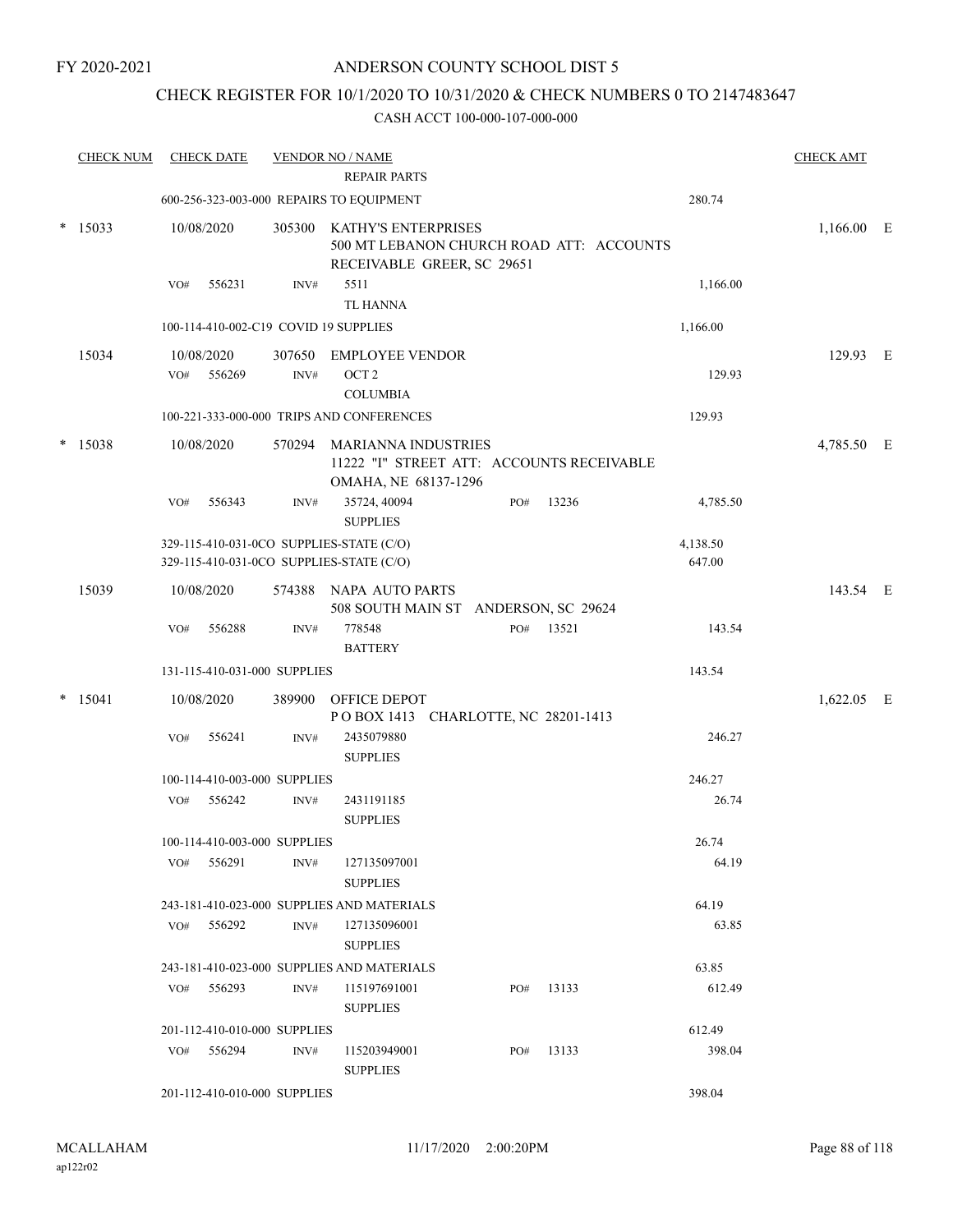## CHECK REGISTER FOR 10/1/2020 TO 10/31/2020 & CHECK NUMBERS 0 TO 2147483647

| <b>CHECK NUM</b> |     | <b>CHECK DATE</b>            |        | <b>VENDOR NO / NAME</b>                                                                       |     |           |          | <b>CHECK AMT</b> |  |
|------------------|-----|------------------------------|--------|-----------------------------------------------------------------------------------------------|-----|-----------|----------|------------------|--|
|                  |     |                              |        | <b>REPAIR PARTS</b>                                                                           |     |           |          |                  |  |
|                  |     |                              |        | 600-256-323-003-000 REPAIRS TO EQUIPMENT                                                      |     |           | 280.74   |                  |  |
| $*15033$         |     | 10/08/2020                   | 305300 | KATHY'S ENTERPRISES<br>500 MT LEBANON CHURCH ROAD ATT: ACCOUNTS<br>RECEIVABLE GREER, SC 29651 |     |           |          | $1,166.00$ E     |  |
|                  | VO# | 556231                       | INV#   | 5511                                                                                          |     |           | 1,166.00 |                  |  |
|                  |     |                              |        | <b>TL HANNA</b>                                                                               |     |           |          |                  |  |
|                  |     |                              |        | 100-114-410-002-C19 COVID 19 SUPPLIES                                                         |     |           | 1,166.00 |                  |  |
| 15034            |     | 10/08/2020                   | 307650 | <b>EMPLOYEE VENDOR</b>                                                                        |     |           |          | 129.93 E         |  |
|                  | VO# | 556269                       | INV#   | OCT <sub>2</sub>                                                                              |     |           | 129.93   |                  |  |
|                  |     |                              |        | <b>COLUMBIA</b>                                                                               |     |           |          |                  |  |
|                  |     |                              |        | 100-221-333-000-000 TRIPS AND CONFERENCES                                                     |     |           | 129.93   |                  |  |
| $*$ 15038        |     | 10/08/2020                   |        | 570294 MARIANNA INDUSTRIES                                                                    |     |           |          | 4,785.50 E       |  |
|                  |     |                              |        | 11222 "I" STREET ATT: ACCOUNTS RECEIVABLE<br>OMAHA, NE 68137-1296                             |     |           |          |                  |  |
|                  | VO# | 556343                       | INV#   | 35724, 40094<br><b>SUPPLIES</b>                                                               | PO# | 13236     | 4,785.50 |                  |  |
|                  |     |                              |        | 329-115-410-031-0CO SUPPLIES-STATE (C/O)                                                      |     |           | 4,138.50 |                  |  |
|                  |     |                              |        | 329-115-410-031-0CO SUPPLIES-STATE (C/O)                                                      |     |           | 647.00   |                  |  |
| 15039            |     | 10/08/2020                   |        | 574388 NAPA AUTO PARTS                                                                        |     |           |          | 143.54 E         |  |
|                  |     |                              |        | 508 SOUTH MAIN ST ANDERSON, SC 29624                                                          |     |           |          |                  |  |
|                  | VO# | 556288                       | INV#   | 778548                                                                                        |     | PO# 13521 | 143.54   |                  |  |
|                  |     |                              |        | <b>BATTERY</b>                                                                                |     |           |          |                  |  |
|                  |     | 131-115-410-031-000 SUPPLIES |        |                                                                                               |     |           | 143.54   |                  |  |
| $*$ 15041        |     | 10/08/2020                   | 389900 | OFFICE DEPOT<br>POBOX 1413 CHARLOTTE, NC 28201-1413                                           |     |           |          | 1,622.05 E       |  |
|                  | VO# | 556241                       | INV#   | 2435079880<br><b>SUPPLIES</b>                                                                 |     |           | 246.27   |                  |  |
|                  |     | 100-114-410-003-000 SUPPLIES |        |                                                                                               |     |           | 246.27   |                  |  |
|                  | VO# | 556242                       | INV#   | 2431191185                                                                                    |     |           | 26.74    |                  |  |
|                  |     |                              |        | <b>SUPPLIES</b>                                                                               |     |           |          |                  |  |
|                  |     | 100-114-410-003-000 SUPPLIES |        |                                                                                               |     |           | 26.74    |                  |  |
|                  | VO# | 556291                       | INV#   | 127135097001                                                                                  |     |           | 64.19    |                  |  |
|                  |     |                              |        | <b>SUPPLIES</b>                                                                               |     |           |          |                  |  |
|                  |     |                              |        | 243-181-410-023-000 SUPPLIES AND MATERIALS                                                    |     |           | 64.19    |                  |  |
|                  | VO# | 556292                       | INV#   | 127135096001                                                                                  |     |           | 63.85    |                  |  |
|                  |     |                              |        | <b>SUPPLIES</b>                                                                               |     |           |          |                  |  |
|                  |     |                              |        | 243-181-410-023-000 SUPPLIES AND MATERIALS                                                    |     |           | 63.85    |                  |  |
|                  |     | VO# 556293                   | INV#   | 115197691001                                                                                  | PO# | 13133     | 612.49   |                  |  |
|                  |     |                              |        | <b>SUPPLIES</b>                                                                               |     |           |          |                  |  |
|                  |     | 201-112-410-010-000 SUPPLIES |        |                                                                                               |     |           | 612.49   |                  |  |
|                  |     | $VO#$ 556294                 | INV#   | 115203949001                                                                                  | PO# | 13133     | 398.04   |                  |  |
|                  |     |                              |        | <b>SUPPLIES</b>                                                                               |     |           |          |                  |  |
|                  |     | 201-112-410-010-000 SUPPLIES |        |                                                                                               |     |           | 398.04   |                  |  |
|                  |     |                              |        |                                                                                               |     |           |          |                  |  |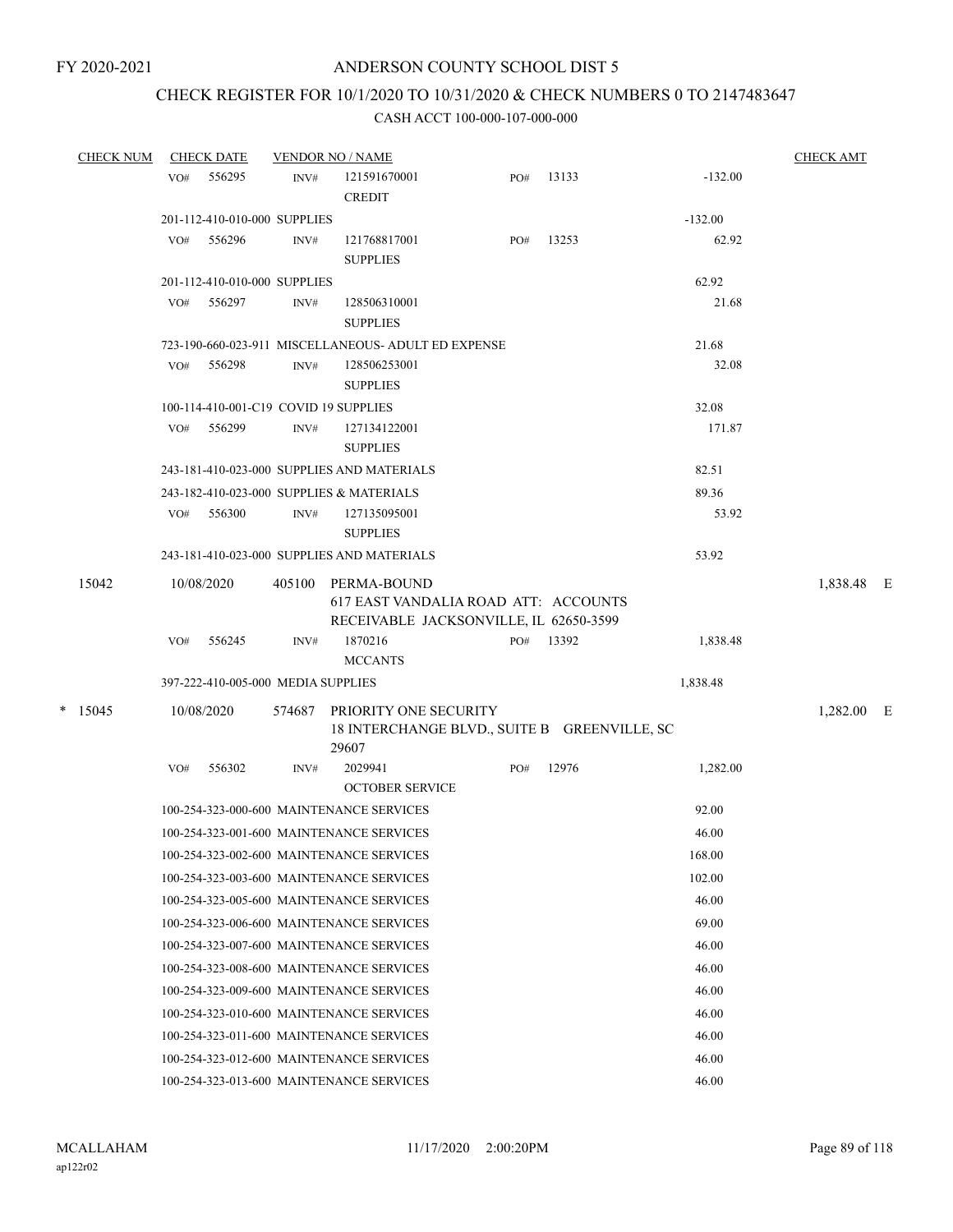# CHECK REGISTER FOR 10/1/2020 TO 10/31/2020 & CHECK NUMBERS 0 TO 2147483647

| CHECK NUM |     | <b>CHECK DATE</b>                  |        | <b>VENDOR NO / NAME</b>                                                                              |     |           |           | <b>CHECK AMT</b> |  |
|-----------|-----|------------------------------------|--------|------------------------------------------------------------------------------------------------------|-----|-----------|-----------|------------------|--|
|           | VO# | 556295                             | INV#   | 121591670001<br><b>CREDIT</b>                                                                        | PO# | 13133     | $-132.00$ |                  |  |
|           |     | 201-112-410-010-000 SUPPLIES       |        |                                                                                                      |     |           | $-132.00$ |                  |  |
|           | VO# | 556296                             | INV#   | 121768817001<br><b>SUPPLIES</b>                                                                      | PO# | 13253     | 62.92     |                  |  |
|           |     | 201-112-410-010-000 SUPPLIES       |        |                                                                                                      |     |           | 62.92     |                  |  |
|           | VO# | 556297                             | INV#   | 128506310001<br><b>SUPPLIES</b>                                                                      |     |           | 21.68     |                  |  |
|           |     |                                    |        | 723-190-660-023-911 MISCELLANEOUS- ADULT ED EXPENSE                                                  |     |           | 21.68     |                  |  |
|           | VO# | 556298                             | INV#   | 128506253001<br><b>SUPPLIES</b>                                                                      |     |           | 32.08     |                  |  |
|           |     |                                    |        | 100-114-410-001-C19 COVID 19 SUPPLIES                                                                |     |           | 32.08     |                  |  |
|           | VO# | 556299                             | INV#   | 127134122001<br><b>SUPPLIES</b>                                                                      |     |           | 171.87    |                  |  |
|           |     |                                    |        | 243-181-410-023-000 SUPPLIES AND MATERIALS                                                           |     |           | 82.51     |                  |  |
|           |     |                                    |        | 243-182-410-023-000 SUPPLIES & MATERIALS                                                             |     |           | 89.36     |                  |  |
|           |     | VO# 556300                         | INV#   | 127135095001<br><b>SUPPLIES</b>                                                                      |     |           | 53.92     |                  |  |
|           |     |                                    |        | 243-181-410-023-000 SUPPLIES AND MATERIALS                                                           |     |           | 53.92     |                  |  |
| 15042     |     | 10/08/2020                         |        | 405100 PERMA-BOUND<br>617 EAST VANDALIA ROAD ATT: ACCOUNTS<br>RECEIVABLE JACKSONVILLE, IL 62650-3599 |     |           |           | 1,838.48 E       |  |
|           | VO# | 556245                             | INV#   | 1870216                                                                                              |     | PO# 13392 | 1,838.48  |                  |  |
|           |     |                                    |        | <b>MCCANTS</b>                                                                                       |     |           |           |                  |  |
|           |     | 397-222-410-005-000 MEDIA SUPPLIES |        |                                                                                                      |     |           | 1,838.48  |                  |  |
| $*$ 15045 |     | 10/08/2020                         | 574687 | PRIORITY ONE SECURITY<br>18 INTERCHANGE BLVD., SUITE B GREENVILLE, SC<br>29607                       |     |           |           | 1,282.00 E       |  |
|           | VO# | 556302                             | INV#   | 2029941<br><b>OCTOBER SERVICE</b>                                                                    | PO# | 12976     | 1,282.00  |                  |  |
|           |     |                                    |        | 100-254-323-000-600 MAINTENANCE SERVICES                                                             |     |           | 92.00     |                  |  |
|           |     |                                    |        | 100-254-323-001-600 MAINTENANCE SERVICES                                                             |     |           | 46.00     |                  |  |
|           |     |                                    |        | 100-254-323-002-600 MAINTENANCE SERVICES                                                             |     |           | 168.00    |                  |  |
|           |     |                                    |        | 100-254-323-003-600 MAINTENANCE SERVICES                                                             |     |           | 102.00    |                  |  |
|           |     |                                    |        | 100-254-323-005-600 MAINTENANCE SERVICES                                                             |     |           | 46.00     |                  |  |
|           |     |                                    |        | 100-254-323-006-600 MAINTENANCE SERVICES                                                             |     |           | 69.00     |                  |  |
|           |     |                                    |        | 100-254-323-007-600 MAINTENANCE SERVICES                                                             |     |           | 46.00     |                  |  |
|           |     |                                    |        | 100-254-323-008-600 MAINTENANCE SERVICES                                                             |     |           | 46.00     |                  |  |
|           |     |                                    |        | 100-254-323-009-600 MAINTENANCE SERVICES                                                             |     |           | 46.00     |                  |  |
|           |     |                                    |        | 100-254-323-010-600 MAINTENANCE SERVICES                                                             |     |           | 46.00     |                  |  |
|           |     |                                    |        | 100-254-323-011-600 MAINTENANCE SERVICES                                                             |     |           | 46.00     |                  |  |
|           |     |                                    |        | 100-254-323-012-600 MAINTENANCE SERVICES                                                             |     |           | 46.00     |                  |  |
|           |     |                                    |        | 100-254-323-013-600 MAINTENANCE SERVICES                                                             |     |           | 46.00     |                  |  |
|           |     |                                    |        |                                                                                                      |     |           |           |                  |  |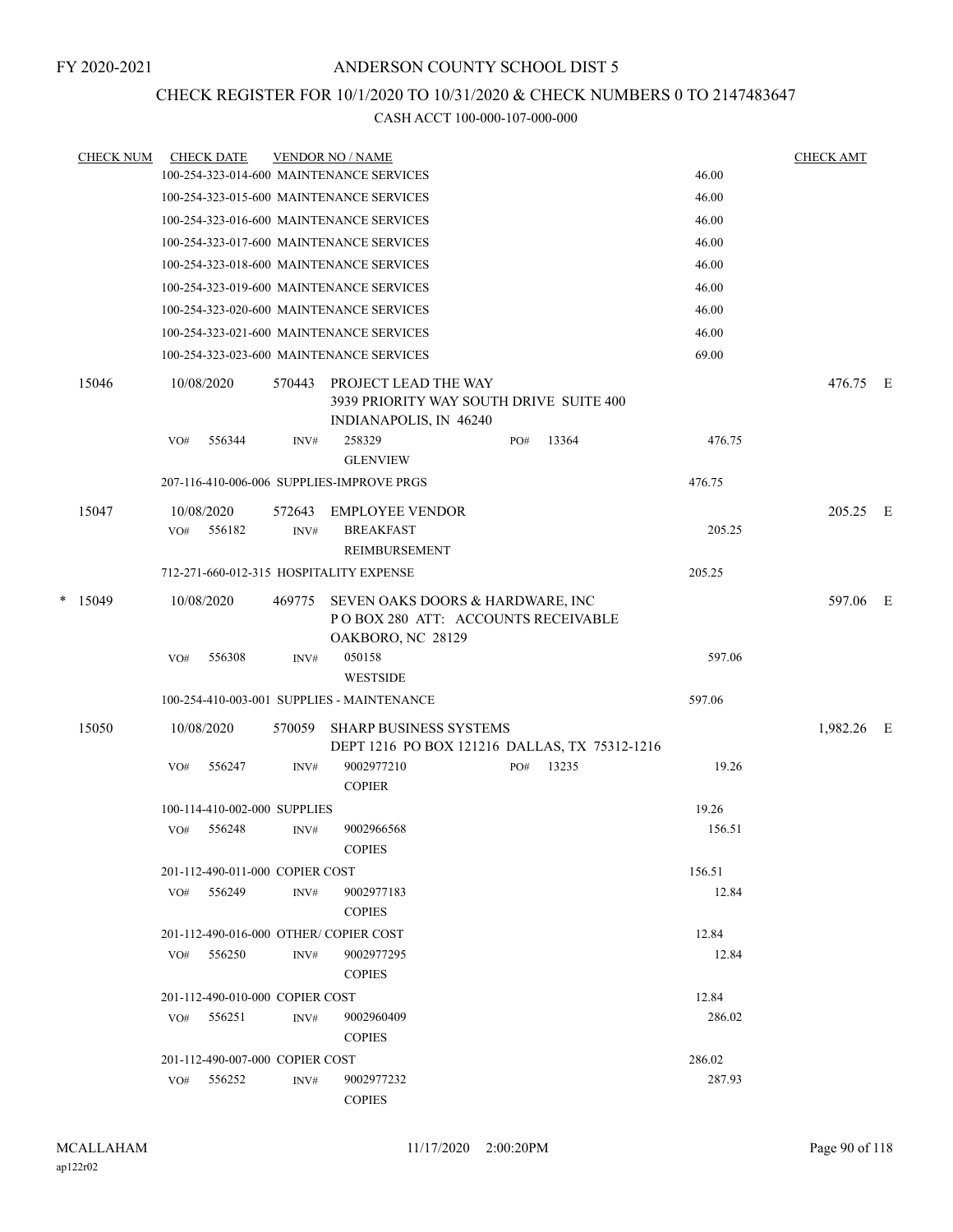## CHECK REGISTER FOR 10/1/2020 TO 10/31/2020 & CHECK NUMBERS 0 TO 2147483647

|   | <b>CHECK NUM</b> |     | <b>CHECK DATE</b>               |        | <b>VENDOR NO / NAME</b>                                                                     |     |       |        | <b>CHECK AMT</b> |  |
|---|------------------|-----|---------------------------------|--------|---------------------------------------------------------------------------------------------|-----|-------|--------|------------------|--|
|   |                  |     |                                 |        | 100-254-323-014-600 MAINTENANCE SERVICES                                                    |     |       | 46.00  |                  |  |
|   |                  |     |                                 |        | 100-254-323-015-600 MAINTENANCE SERVICES                                                    |     |       | 46.00  |                  |  |
|   |                  |     |                                 |        | 100-254-323-016-600 MAINTENANCE SERVICES                                                    |     |       | 46.00  |                  |  |
|   |                  |     |                                 |        | 100-254-323-017-600 MAINTENANCE SERVICES                                                    |     |       | 46.00  |                  |  |
|   |                  |     |                                 |        | 100-254-323-018-600 MAINTENANCE SERVICES                                                    |     |       | 46.00  |                  |  |
|   |                  |     |                                 |        | 100-254-323-019-600 MAINTENANCE SERVICES                                                    |     |       | 46.00  |                  |  |
|   |                  |     |                                 |        | 100-254-323-020-600 MAINTENANCE SERVICES                                                    |     |       | 46.00  |                  |  |
|   |                  |     |                                 |        | 100-254-323-021-600 MAINTENANCE SERVICES                                                    |     |       | 46.00  |                  |  |
|   |                  |     |                                 |        | 100-254-323-023-600 MAINTENANCE SERVICES                                                    |     |       | 69.00  |                  |  |
|   | 15046            |     | 10/08/2020                      | 570443 | PROJECT LEAD THE WAY<br>3939 PRIORITY WAY SOUTH DRIVE SUITE 400<br>INDIANAPOLIS, IN 46240   |     |       |        | 476.75 E         |  |
|   |                  | VO# | 556344                          | INV#   | 258329<br><b>GLENVIEW</b>                                                                   | PO# | 13364 | 476.75 |                  |  |
|   |                  |     |                                 |        | 207-116-410-006-006 SUPPLIES-IMPROVE PRGS                                                   |     |       | 476.75 |                  |  |
|   | 15047            |     | 10/08/2020                      | 572643 | <b>EMPLOYEE VENDOR</b>                                                                      |     |       |        | 205.25 E         |  |
|   |                  | VO# | 556182                          | INV#   | <b>BREAKFAST</b>                                                                            |     |       | 205.25 |                  |  |
|   |                  |     |                                 |        | REIMBURSEMENT                                                                               |     |       |        |                  |  |
|   |                  |     |                                 |        | 712-271-660-012-315 HOSPITALITY EXPENSE                                                     |     |       | 205.25 |                  |  |
| * | 15049            |     | 10/08/2020                      | 469775 | SEVEN OAKS DOORS & HARDWARE, INC<br>POBOX 280 ATT: ACCOUNTS RECEIVABLE<br>OAKBORO, NC 28129 |     |       |        | 597.06 E         |  |
|   |                  | VO# | 556308                          | INV#   | 050158<br><b>WESTSIDE</b>                                                                   |     |       | 597.06 |                  |  |
|   |                  |     |                                 |        | 100-254-410-003-001 SUPPLIES - MAINTENANCE                                                  |     |       | 597.06 |                  |  |
|   | 15050            |     | 10/08/2020                      | 570059 | <b>SHARP BUSINESS SYSTEMS</b><br>DEPT 1216 PO BOX 121216 DALLAS, TX 75312-1216              |     |       |        | 1,982.26 E       |  |
|   |                  | VO# | 556247                          | INV#   | 9002977210<br><b>COPIER</b>                                                                 | PO# | 13235 | 19.26  |                  |  |
|   |                  |     | 100-114-410-002-000 SUPPLIES    |        |                                                                                             |     |       | 19.26  |                  |  |
|   |                  | VO# | 556248                          | INV#   | 9002966568<br><b>COPIES</b>                                                                 |     |       | 156.51 |                  |  |
|   |                  |     | 201-112-490-011-000 COPIER COST |        |                                                                                             |     |       | 156.51 |                  |  |
|   |                  |     | VO# 556249                      | INV#   | 9002977183<br><b>COPIES</b>                                                                 |     |       | 12.84  |                  |  |
|   |                  |     |                                 |        | 201-112-490-016-000 OTHER/COPIER COST                                                       |     |       | 12.84  |                  |  |
|   |                  | VO# | 556250                          | INV#   | 9002977295<br><b>COPIES</b>                                                                 |     |       | 12.84  |                  |  |
|   |                  |     | 201-112-490-010-000 COPIER COST |        |                                                                                             |     |       | 12.84  |                  |  |
|   |                  | VO# | 556251                          | INV#   | 9002960409<br><b>COPIES</b>                                                                 |     |       | 286.02 |                  |  |
|   |                  |     | 201-112-490-007-000 COPIER COST |        |                                                                                             |     |       | 286.02 |                  |  |
|   |                  | VO# | 556252                          | INV#   | 9002977232<br><b>COPIES</b>                                                                 |     |       | 287.93 |                  |  |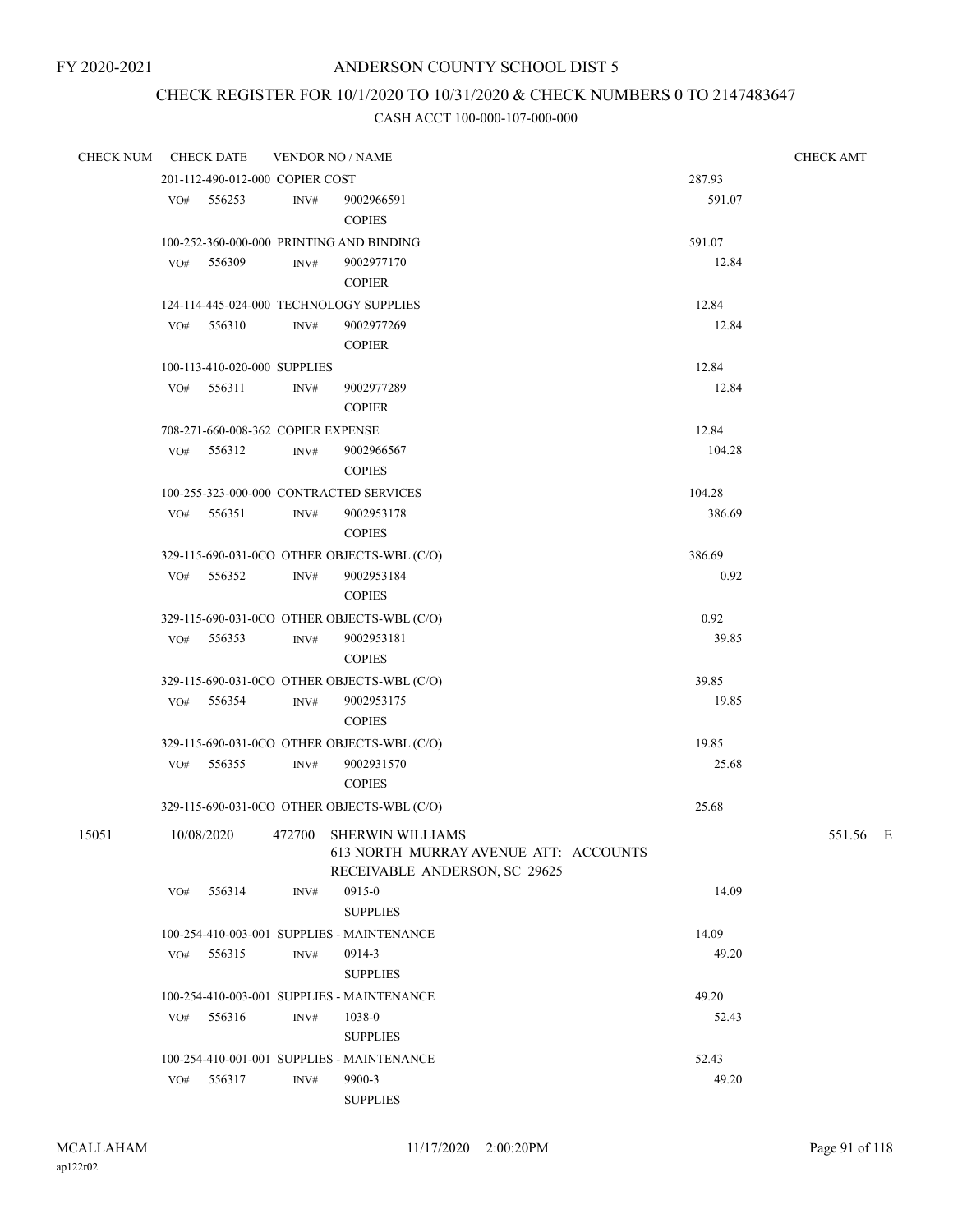# CHECK REGISTER FOR 10/1/2020 TO 10/31/2020 & CHECK NUMBERS 0 TO 2147483647

| <b>CHECK NUM</b> |     | <b>CHECK DATE</b>                  |                | <b>VENDOR NO / NAME</b>                     |        | <b>CHECK AMT</b> |
|------------------|-----|------------------------------------|----------------|---------------------------------------------|--------|------------------|
|                  |     | 201-112-490-012-000 COPIER COST    |                |                                             | 287.93 |                  |
|                  | VO# | 556253                             | INV#           | 9002966591                                  | 591.07 |                  |
|                  |     |                                    |                | <b>COPIES</b>                               |        |                  |
|                  |     |                                    |                | 100-252-360-000-000 PRINTING AND BINDING    | 591.07 |                  |
|                  | VO# | 556309                             | INV#           | 9002977170                                  | 12.84  |                  |
|                  |     |                                    |                | <b>COPIER</b>                               |        |                  |
|                  |     |                                    |                | 124-114-445-024-000 TECHNOLOGY SUPPLIES     | 12.84  |                  |
|                  | VO# | 556310                             | INV#           | 9002977269                                  | 12.84  |                  |
|                  |     |                                    |                | <b>COPIER</b>                               |        |                  |
|                  |     | 100-113-410-020-000 SUPPLIES       |                |                                             | 12.84  |                  |
|                  | VO# | 556311                             | $\text{INV}\#$ | 9002977289                                  | 12.84  |                  |
|                  |     |                                    |                | <b>COPIER</b>                               |        |                  |
|                  |     | 708-271-660-008-362 COPIER EXPENSE |                |                                             | 12.84  |                  |
|                  | VO# | 556312                             | $\text{INV}\#$ | 9002966567                                  | 104.28 |                  |
|                  |     |                                    |                | <b>COPIES</b>                               |        |                  |
|                  |     |                                    |                | 100-255-323-000-000 CONTRACTED SERVICES     | 104.28 |                  |
|                  | VO# | 556351                             | $\text{INV}\#$ | 9002953178                                  | 386.69 |                  |
|                  |     |                                    |                | <b>COPIES</b>                               |        |                  |
|                  |     |                                    |                | 329-115-690-031-0CO OTHER OBJECTS-WBL (C/O) | 386.69 |                  |
|                  | VO# | 556352                             | INV#           | 9002953184                                  | 0.92   |                  |
|                  |     |                                    |                | <b>COPIES</b>                               |        |                  |
|                  |     |                                    |                | 329-115-690-031-0CO OTHER OBJECTS-WBL (C/O) | 0.92   |                  |
|                  |     | VO# 556353                         | INV#           | 9002953181                                  | 39.85  |                  |
|                  |     |                                    |                | <b>COPIES</b>                               |        |                  |
|                  |     |                                    |                | 329-115-690-031-0CO OTHER OBJECTS-WBL (C/O) | 39.85  |                  |
|                  | VO# | 556354                             | INV#           | 9002953175                                  | 19.85  |                  |
|                  |     |                                    |                | <b>COPIES</b>                               |        |                  |
|                  |     |                                    |                | 329-115-690-031-0CO OTHER OBJECTS-WBL (C/O) | 19.85  |                  |
|                  | VO# | 556355                             | INV#           | 9002931570                                  | 25.68  |                  |
|                  |     |                                    |                | <b>COPIES</b>                               |        |                  |
|                  |     |                                    |                | 329-115-690-031-0CO OTHER OBJECTS-WBL (C/O) | 25.68  |                  |
| 15051            |     | 10/08/2020                         | 472700         | SHERWIN WILLIAMS                            |        | 551.56 E         |
|                  |     |                                    |                | 613 NORTH MURRAY AVENUE ATT: ACCOUNTS       |        |                  |
|                  |     |                                    |                | RECEIVABLE ANDERSON, SC 29625               |        |                  |
|                  | VO# | 556314                             | INV#           | 0915-0                                      | 14.09  |                  |
|                  |     |                                    |                | <b>SUPPLIES</b>                             |        |                  |
|                  |     |                                    |                | 100-254-410-003-001 SUPPLIES - MAINTENANCE  | 14.09  |                  |
|                  | VO# | 556315                             | INV#           | 0914-3                                      | 49.20  |                  |
|                  |     |                                    |                | <b>SUPPLIES</b>                             |        |                  |
|                  |     |                                    |                | 100-254-410-003-001 SUPPLIES - MAINTENANCE  | 49.20  |                  |
|                  | VO# | 556316                             | INV#           | 1038-0                                      | 52.43  |                  |
|                  |     |                                    |                | <b>SUPPLIES</b>                             |        |                  |
|                  |     |                                    |                | 100-254-410-001-001 SUPPLIES - MAINTENANCE  | 52.43  |                  |
|                  | VO# | 556317                             | INV#           | 9900-3                                      | 49.20  |                  |
|                  |     |                                    |                | <b>SUPPLIES</b>                             |        |                  |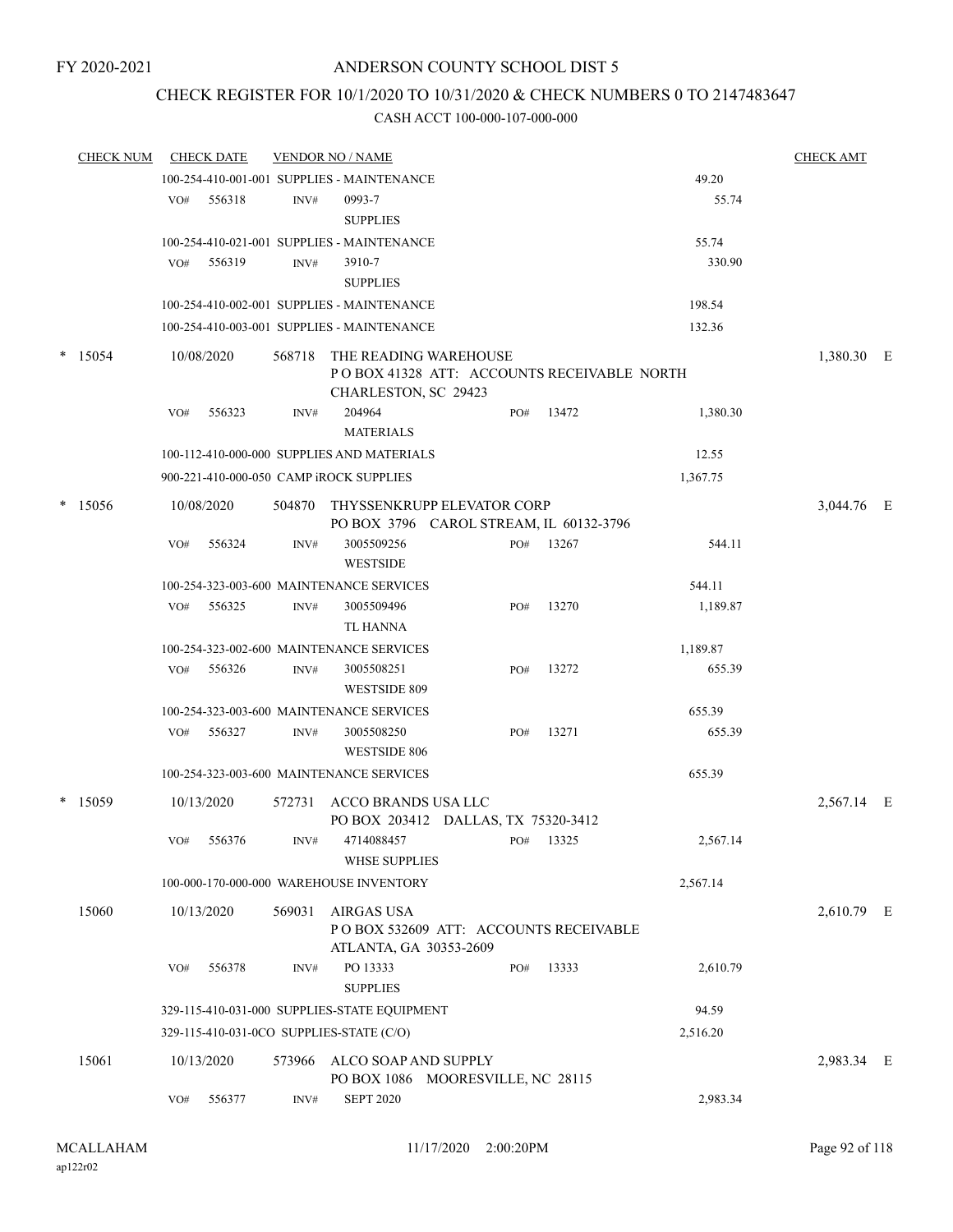## CHECK REGISTER FOR 10/1/2020 TO 10/31/2020 & CHECK NUMBERS 0 TO 2147483647

| <b>CHECK NUM</b> |     | <b>CHECK DATE</b> |        | <b>VENDOR NO / NAME</b>                                                                      |     |           |          | <b>CHECK AMT</b> |  |
|------------------|-----|-------------------|--------|----------------------------------------------------------------------------------------------|-----|-----------|----------|------------------|--|
|                  |     |                   |        | 100-254-410-001-001 SUPPLIES - MAINTENANCE                                                   |     |           | 49.20    |                  |  |
|                  | VO# | 556318            | INV#   | 0993-7<br><b>SUPPLIES</b>                                                                    |     |           | 55.74    |                  |  |
|                  |     |                   |        | 100-254-410-021-001 SUPPLIES - MAINTENANCE                                                   |     |           | 55.74    |                  |  |
|                  | VO# | 556319            | INV#   | 3910-7<br><b>SUPPLIES</b>                                                                    |     |           | 330.90   |                  |  |
|                  |     |                   |        | 100-254-410-002-001 SUPPLIES - MAINTENANCE                                                   |     |           | 198.54   |                  |  |
|                  |     |                   |        | 100-254-410-003-001 SUPPLIES - MAINTENANCE                                                   |     |           | 132.36   |                  |  |
|                  |     |                   |        |                                                                                              |     |           |          |                  |  |
| $*$ 15054        |     | 10/08/2020        | 568718 | THE READING WAREHOUSE<br>PO BOX 41328 ATT: ACCOUNTS RECEIVABLE NORTH<br>CHARLESTON, SC 29423 |     |           |          | 1,380.30 E       |  |
|                  | VO# | 556323            | INV#   | 204964<br><b>MATERIALS</b>                                                                   | PO# | 13472     | 1,380.30 |                  |  |
|                  |     |                   |        | 100-112-410-000-000 SUPPLIES AND MATERIALS                                                   |     |           | 12.55    |                  |  |
|                  |     |                   |        | 900-221-410-000-050 CAMP iROCK SUPPLIES                                                      |     |           | 1,367.75 |                  |  |
| $*$ 15056        |     | 10/08/2020        |        | 504870 THYSSENKRUPP ELEVATOR CORP<br>PO BOX 3796 CAROL STREAM, IL 60132-3796                 |     |           |          | 3,044.76 E       |  |
|                  | VO# | 556324            | INV#   | 3005509256<br><b>WESTSIDE</b>                                                                | PO# | 13267     | 544.11   |                  |  |
|                  |     |                   |        | 100-254-323-003-600 MAINTENANCE SERVICES                                                     |     |           | 544.11   |                  |  |
|                  | VO# | 556325            | INV#   | 3005509496<br>TL HANNA                                                                       | PO# | 13270     | 1,189.87 |                  |  |
|                  |     |                   |        | 100-254-323-002-600 MAINTENANCE SERVICES                                                     |     |           | 1,189.87 |                  |  |
|                  | VO# | 556326            | INV#   | 3005508251<br>WESTSIDE 809                                                                   | PO# | 13272     | 655.39   |                  |  |
|                  |     |                   |        | 100-254-323-003-600 MAINTENANCE SERVICES                                                     |     |           | 655.39   |                  |  |
|                  | VO# | 556327            | INV#   | 3005508250<br><b>WESTSIDE 806</b>                                                            | PO# | 13271     | 655.39   |                  |  |
|                  |     |                   |        | 100-254-323-003-600 MAINTENANCE SERVICES                                                     |     |           | 655.39   |                  |  |
| $*$ 15059        |     | 10/13/2020        | 572731 | ACCO BRANDS USA LLC<br>PO BOX 203412 DALLAS, TX 75320-3412                                   |     |           |          | 2,567.14 E       |  |
|                  |     | VO# 556376        | INV#   | 4714088457<br><b>WHSE SUPPLIES</b>                                                           |     | PO# 13325 | 2,567.14 |                  |  |
|                  |     |                   |        | 100-000-170-000-000 WAREHOUSE INVENTORY                                                      |     |           | 2,567.14 |                  |  |
| 15060            |     | 10/13/2020        |        | 569031 AIRGAS USA<br>POBOX 532609 ATT: ACCOUNTS RECEIVABLE<br>ATLANTA, GA 30353-2609         |     |           |          | 2,610.79 E       |  |
|                  | VO# | 556378            | INV#   | PO 13333<br><b>SUPPLIES</b>                                                                  | PO# | 13333     | 2,610.79 |                  |  |
|                  |     |                   |        | 329-115-410-031-000 SUPPLIES-STATE EQUIPMENT                                                 |     |           | 94.59    |                  |  |
|                  |     |                   |        | 329-115-410-031-0CO SUPPLIES-STATE (C/O)                                                     |     |           | 2,516.20 |                  |  |
| 15061            |     | 10/13/2020        |        | 573966 ALCO SOAP AND SUPPLY<br>PO BOX 1086 MOORESVILLE, NC 28115                             |     |           |          | 2,983.34 E       |  |
|                  | VO# | 556377            | INV#   | <b>SEPT 2020</b>                                                                             |     |           | 2,983.34 |                  |  |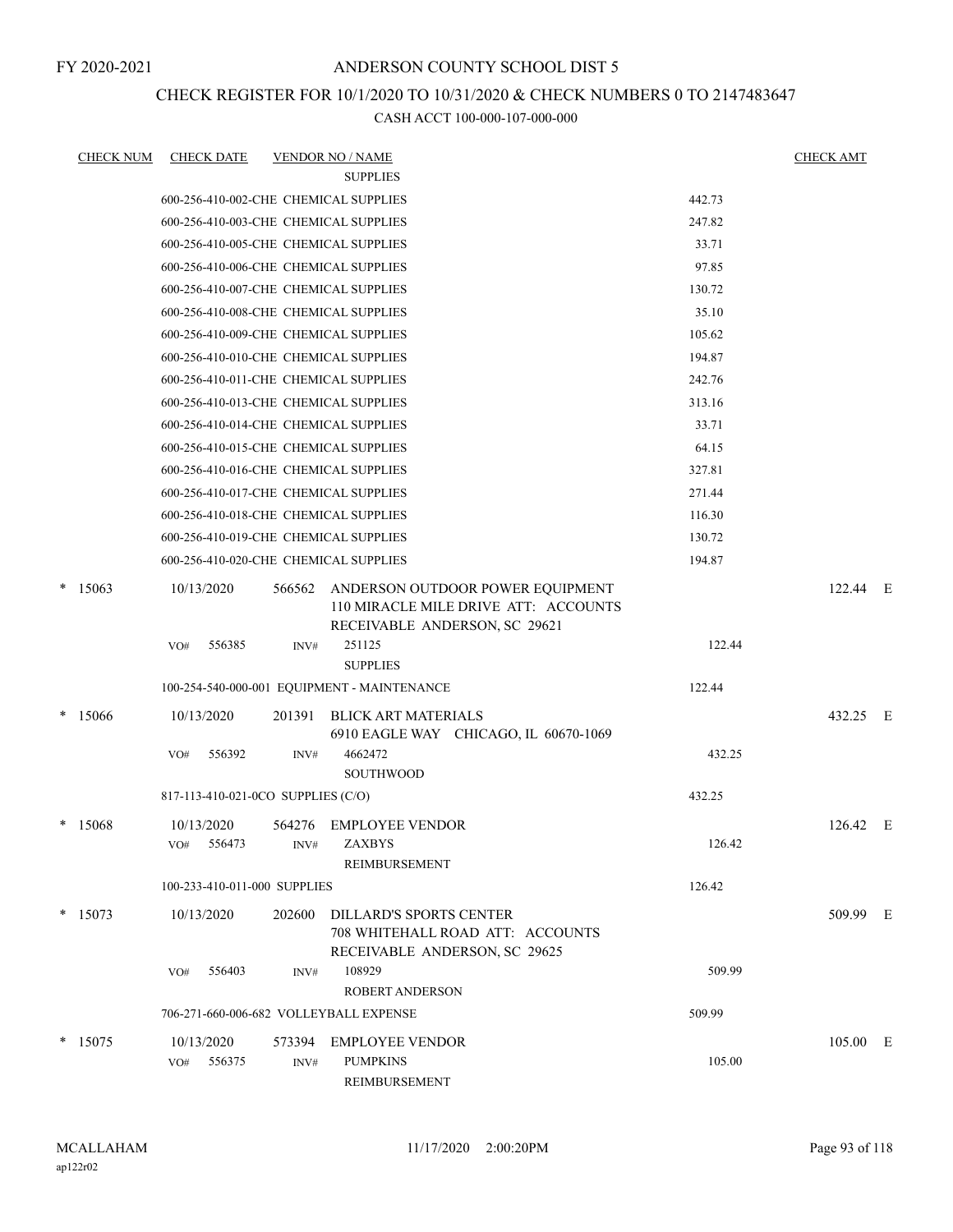## CHECK REGISTER FOR 10/1/2020 TO 10/31/2020 & CHECK NUMBERS 0 TO 2147483647

| <b>CHECK NUM</b> | <b>CHECK DATE</b>                      |        | <b>VENDOR NO / NAME</b>                                                                                          |        | <b>CHECK AMT</b> |  |
|------------------|----------------------------------------|--------|------------------------------------------------------------------------------------------------------------------|--------|------------------|--|
|                  |                                        |        | <b>SUPPLIES</b>                                                                                                  |        |                  |  |
|                  | 600-256-410-002-CHE CHEMICAL SUPPLIES  |        |                                                                                                                  | 442.73 |                  |  |
|                  | 600-256-410-003-CHE CHEMICAL SUPPLIES  |        |                                                                                                                  | 247.82 |                  |  |
|                  | 600-256-410-005-CHE CHEMICAL SUPPLIES  |        |                                                                                                                  | 33.71  |                  |  |
|                  | 600-256-410-006-CHE CHEMICAL SUPPLIES  |        |                                                                                                                  | 97.85  |                  |  |
|                  | 600-256-410-007-CHE CHEMICAL SUPPLIES  |        |                                                                                                                  | 130.72 |                  |  |
|                  | 600-256-410-008-CHE CHEMICAL SUPPLIES  |        |                                                                                                                  | 35.10  |                  |  |
|                  | 600-256-410-009-CHE CHEMICAL SUPPLIES  |        |                                                                                                                  | 105.62 |                  |  |
|                  | 600-256-410-010-CHE CHEMICAL SUPPLIES  |        |                                                                                                                  | 194.87 |                  |  |
|                  | 600-256-410-011-CHE CHEMICAL SUPPLIES  |        |                                                                                                                  | 242.76 |                  |  |
|                  | 600-256-410-013-CHE CHEMICAL SUPPLIES  |        |                                                                                                                  | 313.16 |                  |  |
|                  | 600-256-410-014-CHE CHEMICAL SUPPLIES  |        |                                                                                                                  | 33.71  |                  |  |
|                  | 600-256-410-015-CHE CHEMICAL SUPPLIES  |        |                                                                                                                  | 64.15  |                  |  |
|                  | 600-256-410-016-CHE CHEMICAL SUPPLIES  |        |                                                                                                                  | 327.81 |                  |  |
|                  | 600-256-410-017-CHE CHEMICAL SUPPLIES  |        |                                                                                                                  | 271.44 |                  |  |
|                  | 600-256-410-018-CHE CHEMICAL SUPPLIES  |        |                                                                                                                  | 116.30 |                  |  |
|                  | 600-256-410-019-CHE CHEMICAL SUPPLIES  |        |                                                                                                                  | 130.72 |                  |  |
|                  | 600-256-410-020-CHE CHEMICAL SUPPLIES  |        |                                                                                                                  | 194.87 |                  |  |
| $*$ 15063        | 10/13/2020                             |        | 566562 ANDERSON OUTDOOR POWER EQUIPMENT<br>110 MIRACLE MILE DRIVE ATT: ACCOUNTS<br>RECEIVABLE ANDERSON, SC 29621 |        | 122.44 E         |  |
|                  | 556385<br>VO#                          | INV#   | 251125                                                                                                           | 122.44 |                  |  |
|                  |                                        |        | <b>SUPPLIES</b>                                                                                                  |        |                  |  |
|                  |                                        |        | 100-254-540-000-001 EQUIPMENT - MAINTENANCE                                                                      | 122.44 |                  |  |
| * 15066          | 10/13/2020                             | 201391 | <b>BLICK ART MATERIALS</b><br>6910 EAGLE WAY CHICAGO, IL 60670-1069                                              |        | 432.25 E         |  |
|                  | VO#<br>556392                          | INV#   | 4662472                                                                                                          | 432.25 |                  |  |
|                  |                                        |        | <b>SOUTHWOOD</b>                                                                                                 |        |                  |  |
|                  | 817-113-410-021-0CO SUPPLIES (C/O)     |        |                                                                                                                  | 432.25 |                  |  |
| * 15068          | 10/13/2020                             |        | 564276 EMPLOYEE VENDOR                                                                                           |        | 126.42 E         |  |
|                  | VO# 556473                             |        | INV# ZAXBYS<br>REIMBURSEMENT                                                                                     | 126.42 |                  |  |
|                  | 100-233-410-011-000 SUPPLIES           |        |                                                                                                                  | 126.42 |                  |  |
| $*$ 15073        | 10/13/2020                             | 202600 | DILLARD'S SPORTS CENTER<br>708 WHITEHALL ROAD ATT: ACCOUNTS<br>RECEIVABLE ANDERSON, SC 29625                     |        | 509.99 E         |  |
|                  | 556403<br>VO#                          | INV#   | 108929<br><b>ROBERT ANDERSON</b>                                                                                 | 509.99 |                  |  |
|                  | 706-271-660-006-682 VOLLEYBALL EXPENSE |        |                                                                                                                  | 509.99 |                  |  |
| $*$ 15075        | 10/13/2020                             |        | 573394 EMPLOYEE VENDOR                                                                                           |        | 105.00 E         |  |
|                  | 556375<br>VO#                          | INV#   | <b>PUMPKINS</b><br>REIMBURSEMENT                                                                                 | 105.00 |                  |  |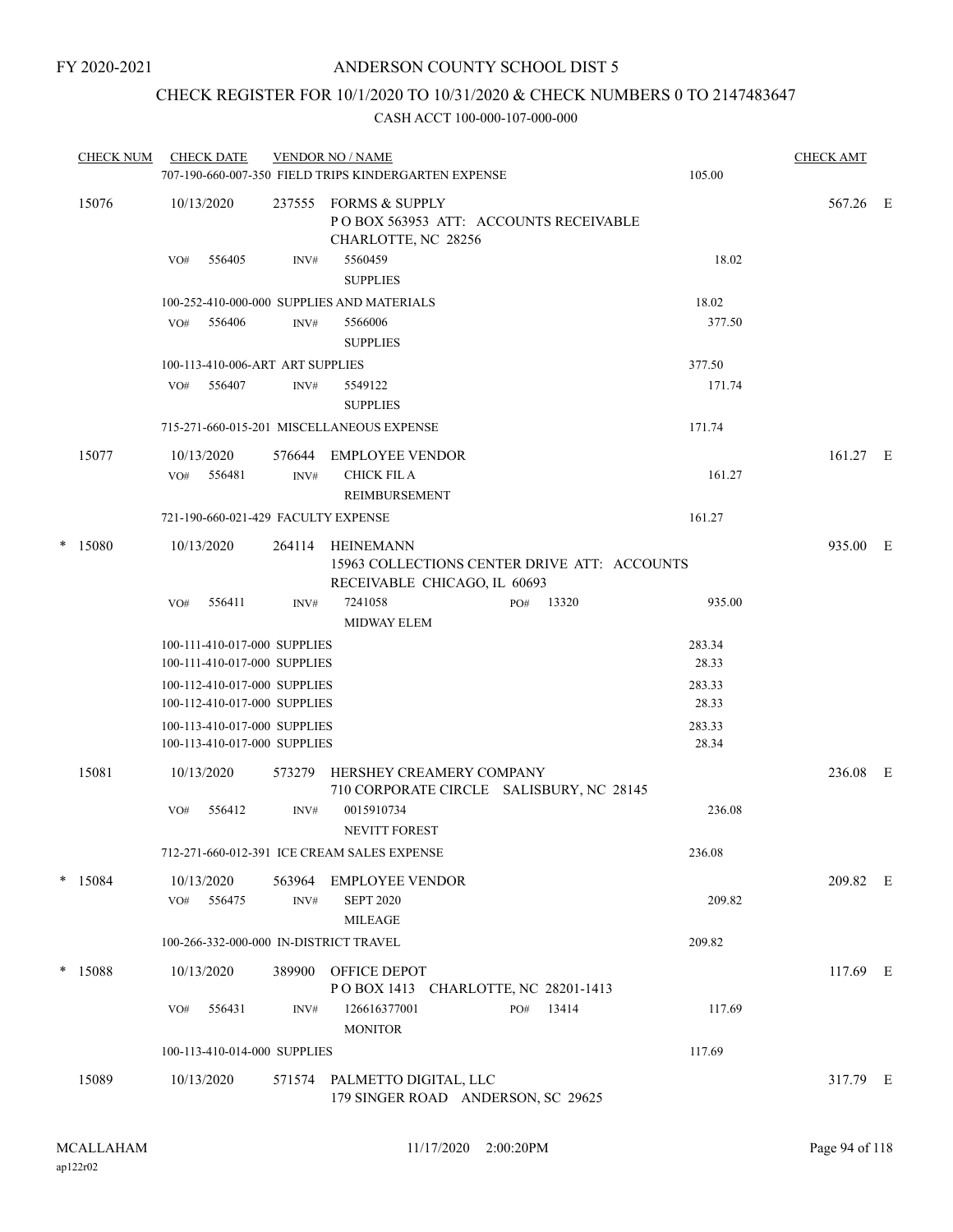## CHECK REGISTER FOR 10/1/2020 TO 10/31/2020 & CHECK NUMBERS 0 TO 2147483647

|   | <b>CHECK NUM</b> | <b>CHECK DATE</b>        |                                                              |                | <b>VENDOR NO / NAME</b><br>707-190-660-007-350 FIELD TRIPS KINDERGARTEN EXPENSE            |     |       | 105.00          | <b>CHECK AMT</b> |  |
|---|------------------|--------------------------|--------------------------------------------------------------|----------------|--------------------------------------------------------------------------------------------|-----|-------|-----------------|------------------|--|
|   | 15076            | 10/13/2020               |                                                              | 237555         | <b>FORMS &amp; SUPPLY</b><br>PO BOX 563953 ATT: ACCOUNTS RECEIVABLE<br>CHARLOTTE, NC 28256 |     |       |                 | 567.26 E         |  |
|   |                  | VO#                      | 556405                                                       | INV#           | 5560459<br><b>SUPPLIES</b>                                                                 |     |       | 18.02           |                  |  |
|   |                  |                          |                                                              |                | 100-252-410-000-000 SUPPLIES AND MATERIALS                                                 |     |       | 18.02           |                  |  |
|   |                  | VO#                      | 556406                                                       | INV#           | 5566006<br><b>SUPPLIES</b>                                                                 |     |       | 377.50          |                  |  |
|   |                  |                          | 100-113-410-006-ART ART SUPPLIES                             |                |                                                                                            |     |       | 377.50          |                  |  |
|   |                  | VO#                      | 556407                                                       | INV#           | 5549122<br><b>SUPPLIES</b>                                                                 |     |       | 171.74          |                  |  |
|   |                  |                          |                                                              |                | 715-271-660-015-201 MISCELLANEOUS EXPENSE                                                  |     |       | 171.74          |                  |  |
|   | 15077            | 10/13/2020<br>VO#        | 556481                                                       | 576644<br>INV# | EMPLOYEE VENDOR<br><b>CHICK FIL A</b>                                                      |     |       | 161.27          | 161.27 E         |  |
|   |                  |                          |                                                              |                | REIMBURSEMENT                                                                              |     |       |                 |                  |  |
|   |                  |                          |                                                              |                | 721-190-660-021-429 FACULTY EXPENSE                                                        |     |       | 161.27          |                  |  |
| * | 15080            | 10/13/2020               |                                                              | 264114         | HEINEMANN<br>15963 COLLECTIONS CENTER DRIVE ATT: ACCOUNTS<br>RECEIVABLE CHICAGO, IL 60693  |     |       |                 | 935.00 E         |  |
|   |                  | VO#                      | 556411                                                       | INV#           | 7241058<br>MIDWAY ELEM                                                                     | PO# | 13320 | 935.00          |                  |  |
|   |                  |                          | 100-111-410-017-000 SUPPLIES<br>100-111-410-017-000 SUPPLIES |                |                                                                                            |     |       | 283.34<br>28.33 |                  |  |
|   |                  |                          | 100-112-410-017-000 SUPPLIES<br>100-112-410-017-000 SUPPLIES |                |                                                                                            |     |       | 283.33<br>28.33 |                  |  |
|   |                  |                          | 100-113-410-017-000 SUPPLIES<br>100-113-410-017-000 SUPPLIES |                |                                                                                            |     |       | 283.33<br>28.34 |                  |  |
|   | 15081            | 10/13/2020               |                                                              | 573279         | HERSHEY CREAMERY COMPANY<br>710 CORPORATE CIRCLE SALISBURY, NC 28145                       |     |       |                 | 236.08 E         |  |
|   |                  | VO#                      | 556412                                                       | INV#           | 0015910734<br>NEVITT FOREST                                                                |     |       | 236.08          |                  |  |
|   |                  |                          |                                                              |                | 712-271-660-012-391 ICE CREAM SALES EXPENSE                                                |     |       | 236.08          |                  |  |
|   | $*$ 15084        | 10/13/2020<br>VO# 556475 |                                                              | INV#           | 563964 EMPLOYEE VENDOR<br><b>SEPT 2020</b><br><b>MILEAGE</b>                               |     |       | 209.82          | 209.82 E         |  |
|   |                  |                          |                                                              |                | 100-266-332-000-000 IN-DISTRICT TRAVEL                                                     |     |       | 209.82          |                  |  |
|   | * 15088          | 10/13/2020               |                                                              | 389900         | OFFICE DEPOT<br>POBOX 1413 CHARLOTTE, NC 28201-1413                                        |     |       |                 | 117.69 E         |  |
|   |                  | VO#                      | 556431                                                       | INV#           | 126616377001<br><b>MONITOR</b>                                                             | PO# | 13414 | 117.69          |                  |  |
|   |                  |                          | 100-113-410-014-000 SUPPLIES                                 |                |                                                                                            |     |       | 117.69          |                  |  |
|   | 15089            | 10/13/2020               |                                                              |                | 571574 PALMETTO DIGITAL, LLC<br>179 SINGER ROAD ANDERSON, SC 29625                         |     |       |                 | 317.79 E         |  |
|   |                  |                          |                                                              |                |                                                                                            |     |       |                 |                  |  |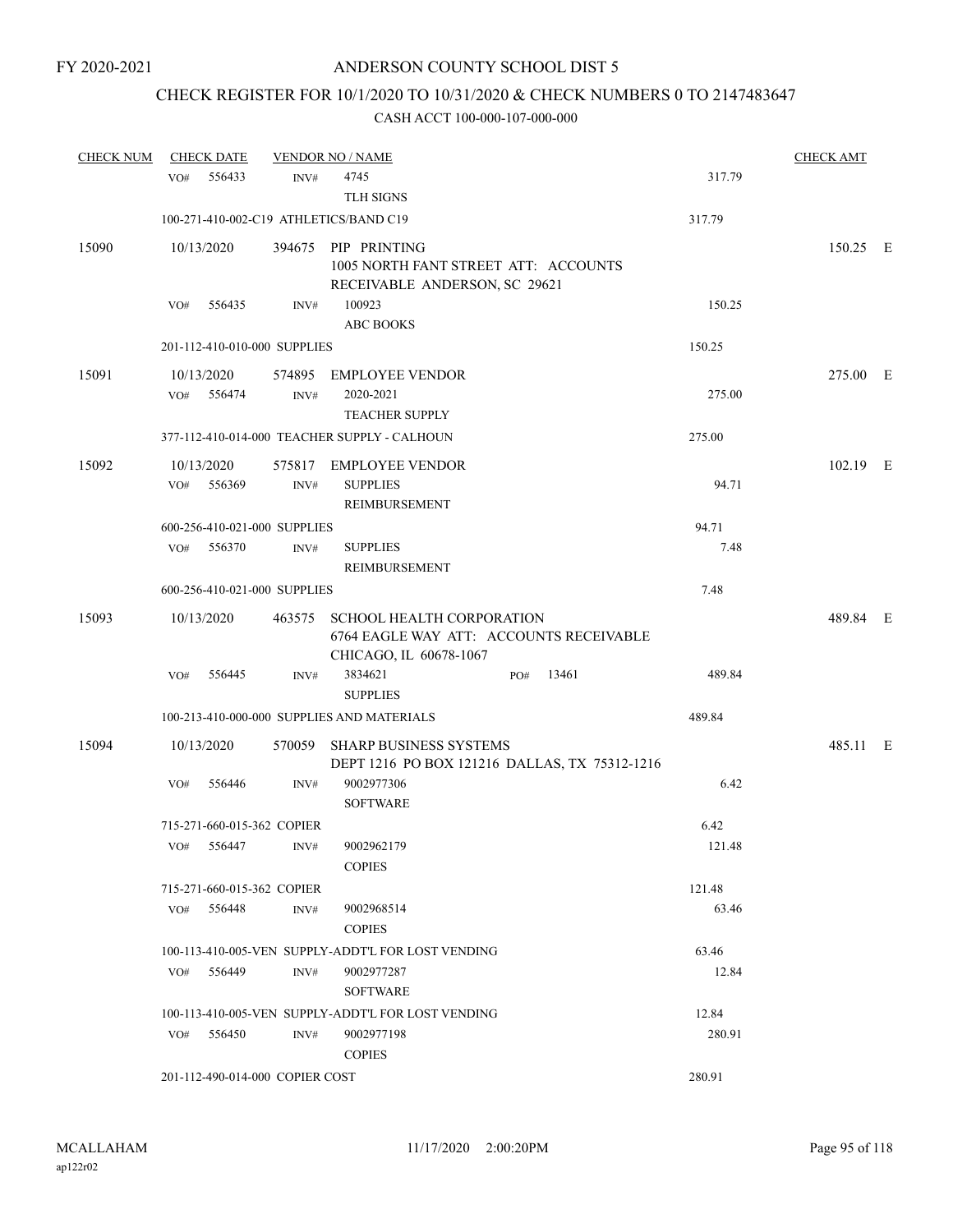# CHECK REGISTER FOR 10/1/2020 TO 10/31/2020 & CHECK NUMBERS 0 TO 2147483647

| <b>CHECK NUM</b> |     | <b>CHECK DATE</b>               |        | <b>VENDOR NO / NAME</b>                                                                               |     |       |        | <b>CHECK AMT</b> |  |
|------------------|-----|---------------------------------|--------|-------------------------------------------------------------------------------------------------------|-----|-------|--------|------------------|--|
|                  | VO# | 556433                          | INV#   | 4745<br><b>TLH SIGNS</b>                                                                              |     |       | 317.79 |                  |  |
|                  |     |                                 |        | 100-271-410-002-C19 ATHLETICS/BAND C19                                                                |     |       | 317.79 |                  |  |
| 15090            |     | 10/13/2020                      |        | 394675 PIP PRINTING<br>1005 NORTH FANT STREET ATT: ACCOUNTS<br>RECEIVABLE ANDERSON, SC 29621          |     |       |        | 150.25 E         |  |
|                  | VO# | 556435                          | INV#   | 100923<br><b>ABC BOOKS</b>                                                                            |     |       | 150.25 |                  |  |
|                  |     | 201-112-410-010-000 SUPPLIES    |        |                                                                                                       |     |       | 150.25 |                  |  |
| 15091            |     | 10/13/2020<br>VO# 556474        | INV#   | 574895 EMPLOYEE VENDOR<br>2020-2021<br><b>TEACHER SUPPLY</b>                                          |     |       | 275.00 | 275.00 E         |  |
|                  |     |                                 |        | 377-112-410-014-000 TEACHER SUPPLY - CALHOUN                                                          |     |       | 275.00 |                  |  |
| 15092            | VO# | 10/13/2020<br>556369            | INV#   | 575817 EMPLOYEE VENDOR<br><b>SUPPLIES</b><br>REIMBURSEMENT                                            |     |       | 94.71  | 102.19 E         |  |
|                  |     | 600-256-410-021-000 SUPPLIES    |        |                                                                                                       |     |       | 94.71  |                  |  |
|                  |     | VO# 556370                      | INV#   | <b>SUPPLIES</b><br><b>REIMBURSEMENT</b>                                                               |     |       | 7.48   |                  |  |
|                  |     | 600-256-410-021-000 SUPPLIES    |        |                                                                                                       |     |       | 7.48   |                  |  |
| 15093            |     | 10/13/2020                      | 463575 | <b>SCHOOL HEALTH CORPORATION</b><br>6764 EAGLE WAY ATT: ACCOUNTS RECEIVABLE<br>CHICAGO, IL 60678-1067 |     |       |        | 489.84 E         |  |
|                  | VO# | 556445                          | INV#   | 3834621<br><b>SUPPLIES</b>                                                                            | PO# | 13461 | 489.84 |                  |  |
|                  |     |                                 |        | 100-213-410-000-000 SUPPLIES AND MATERIALS                                                            |     |       | 489.84 |                  |  |
| 15094            |     | 10/13/2020                      |        | 570059 SHARP BUSINESS SYSTEMS<br>DEPT 1216 PO BOX 121216 DALLAS, TX 75312-1216                        |     |       |        | 485.11 E         |  |
|                  | VO# | 556446                          | INV#   | 9002977306<br><b>SOFTWARE</b>                                                                         |     |       | 6.42   |                  |  |
|                  |     | 715-271-660-015-362 COPIER      |        |                                                                                                       |     |       | 6.42   |                  |  |
|                  |     | VO# 556447                      | INV#   | 9002962179<br><b>COPIES</b>                                                                           |     |       | 121.48 |                  |  |
|                  |     | 715-271-660-015-362 COPIER      |        |                                                                                                       |     |       | 121.48 |                  |  |
|                  |     | VO# 556448                      | INV#   | 9002968514<br><b>COPIES</b>                                                                           |     |       | 63.46  |                  |  |
|                  |     |                                 |        | 100-113-410-005-VEN SUPPLY-ADDT'L FOR LOST VENDING                                                    |     |       | 63.46  |                  |  |
|                  |     | VO# 556449                      | INV#   | 9002977287<br><b>SOFTWARE</b>                                                                         |     |       | 12.84  |                  |  |
|                  |     |                                 |        | 100-113-410-005-VEN SUPPLY-ADDT'L FOR LOST VENDING                                                    |     |       | 12.84  |                  |  |
|                  |     | VO# 556450                      | INV#   | 9002977198<br><b>COPIES</b>                                                                           |     |       | 280.91 |                  |  |
|                  |     | 201-112-490-014-000 COPIER COST |        |                                                                                                       |     |       | 280.91 |                  |  |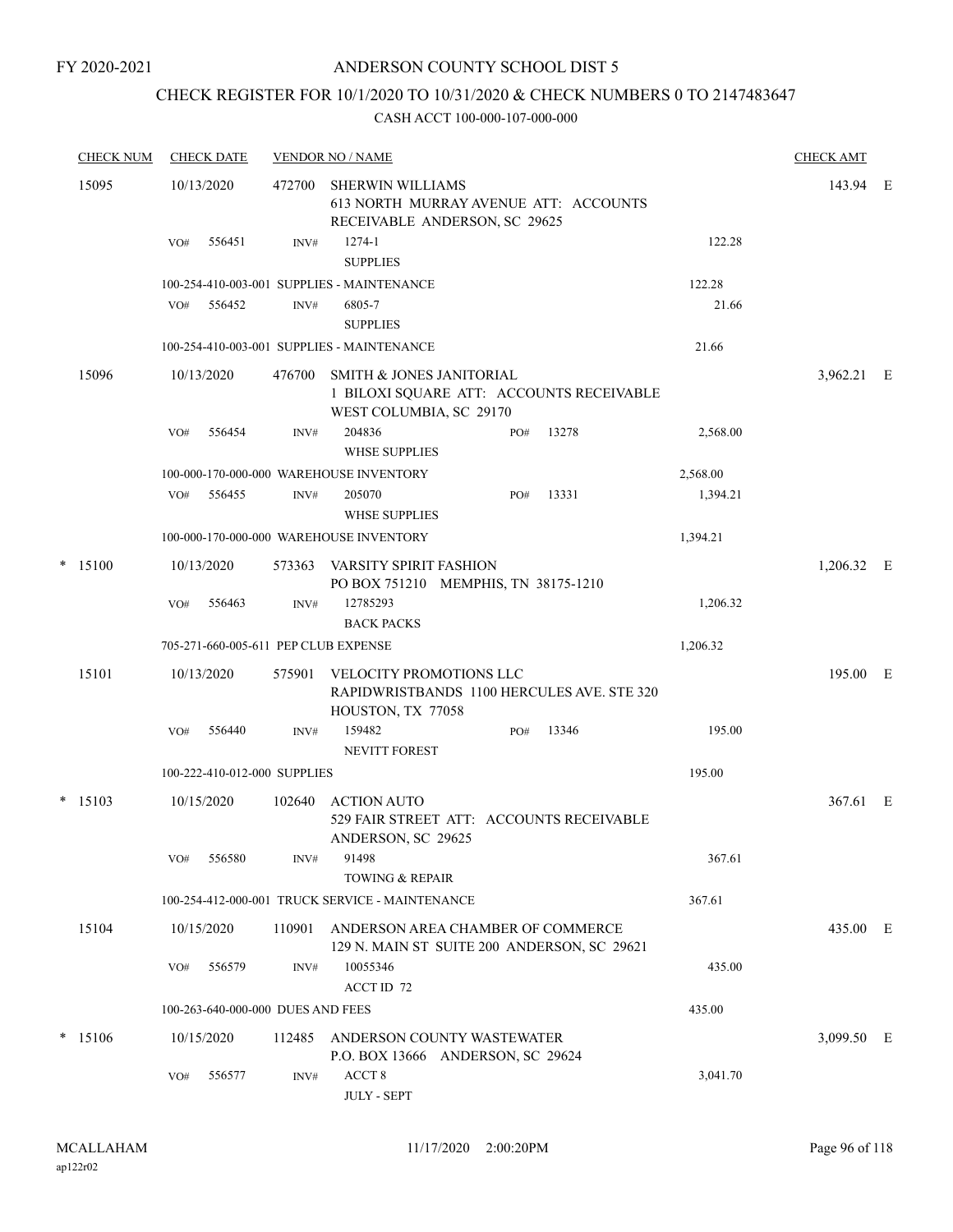FY 2020-2021

## ANDERSON COUNTY SCHOOL DIST 5

# CHECK REGISTER FOR 10/1/2020 TO 10/31/2020 & CHECK NUMBERS 0 TO 2147483647

| <b>CHECK NUM</b> |     | <b>CHECK DATE</b>                 |        | <b>VENDOR NO / NAME</b>                                                                                    |     |       |          | <b>CHECK AMT</b> |  |
|------------------|-----|-----------------------------------|--------|------------------------------------------------------------------------------------------------------------|-----|-------|----------|------------------|--|
| 15095            |     | 10/13/2020                        | 472700 | SHERWIN WILLIAMS<br>613 NORTH MURRAY AVENUE ATT: ACCOUNTS<br>RECEIVABLE ANDERSON, SC 29625                 |     |       |          | 143.94 E         |  |
|                  | VO# | 556451                            | INV#   | $1274 - 1$<br><b>SUPPLIES</b>                                                                              |     |       | 122.28   |                  |  |
|                  |     |                                   |        | 100-254-410-003-001 SUPPLIES - MAINTENANCE                                                                 |     |       | 122.28   |                  |  |
|                  | VO# | 556452                            | INV#   | 6805-7<br><b>SUPPLIES</b>                                                                                  |     |       | 21.66    |                  |  |
|                  |     |                                   |        | 100-254-410-003-001 SUPPLIES - MAINTENANCE                                                                 |     |       | 21.66    |                  |  |
| 15096            |     | 10/13/2020                        | 476700 | <b>SMITH &amp; JONES JANITORIAL</b><br>1 BILOXI SQUARE ATT: ACCOUNTS RECEIVABLE<br>WEST COLUMBIA, SC 29170 |     |       |          | 3,962.21 E       |  |
|                  | VO# | 556454                            | INV#   | 204836<br><b>WHSE SUPPLIES</b>                                                                             | PO# | 13278 | 2,568.00 |                  |  |
|                  |     |                                   |        | 100-000-170-000-000 WAREHOUSE INVENTORY                                                                    |     |       | 2,568.00 |                  |  |
|                  | VO# | 556455                            | INV#   | 205070<br><b>WHSE SUPPLIES</b>                                                                             | PO# | 13331 | 1,394.21 |                  |  |
|                  |     |                                   |        | 100-000-170-000-000 WAREHOUSE INVENTORY                                                                    |     |       | 1,394.21 |                  |  |
| $*$ 15100        |     | 10/13/2020                        | 573363 | VARSITY SPIRIT FASHION<br>PO BOX 751210 MEMPHIS, TN 38175-1210                                             |     |       |          | 1,206.32 E       |  |
|                  | VO# | 556463                            | INV#   | 12785293<br><b>BACK PACKS</b>                                                                              |     |       | 1,206.32 |                  |  |
|                  |     |                                   |        | 705-271-660-005-611 PEP CLUB EXPENSE                                                                       |     |       | 1,206.32 |                  |  |
| 15101            |     | 10/13/2020                        | 575901 | VELOCITY PROMOTIONS LLC<br>RAPIDWRISTBANDS 1100 HERCULES AVE. STE 320                                      |     |       |          | 195.00 E         |  |
|                  | VO# | 556440                            | INV#   | HOUSTON, TX 77058<br>159482<br><b>NEVITT FOREST</b>                                                        | PO# | 13346 | 195.00   |                  |  |
|                  |     | 100-222-410-012-000 SUPPLIES      |        |                                                                                                            |     |       | 195.00   |                  |  |
| $*$ 15103        |     | 10/15/2020                        | 102640 | <b>ACTION AUTO</b>                                                                                         |     |       |          | 367.61 E         |  |
|                  |     |                                   |        | 529 FAIR STREET ATT: ACCOUNTS RECEIVABLE<br>ANDERSON, SC 29625                                             |     |       |          |                  |  |
|                  | VO# | 556580                            | INV#   | 91498<br><b>TOWING &amp; REPAIR</b>                                                                        |     |       | 367.61   |                  |  |
|                  |     |                                   |        | 100-254-412-000-001 TRUCK SERVICE - MAINTENANCE                                                            |     |       | 367.61   |                  |  |
| 15104            |     | 10/15/2020                        | 110901 | ANDERSON AREA CHAMBER OF COMMERCE<br>129 N. MAIN ST SUITE 200 ANDERSON, SC 29621                           |     |       |          | 435.00 E         |  |
|                  | VO# | 556579                            | INV#   | 10055346<br>ACCT ID 72                                                                                     |     |       | 435.00   |                  |  |
|                  |     | 100-263-640-000-000 DUES AND FEES |        |                                                                                                            |     |       | 435.00   |                  |  |
| $*$ 15106        |     | 10/15/2020                        | 112485 | ANDERSON COUNTY WASTEWATER<br>P.O. BOX 13666 ANDERSON, SC 29624                                            |     |       |          | 3,099.50 E       |  |
|                  | VO# | 556577                            | INV#   | ACCT <sub>8</sub><br><b>JULY - SEPT</b>                                                                    |     |       | 3,041.70 |                  |  |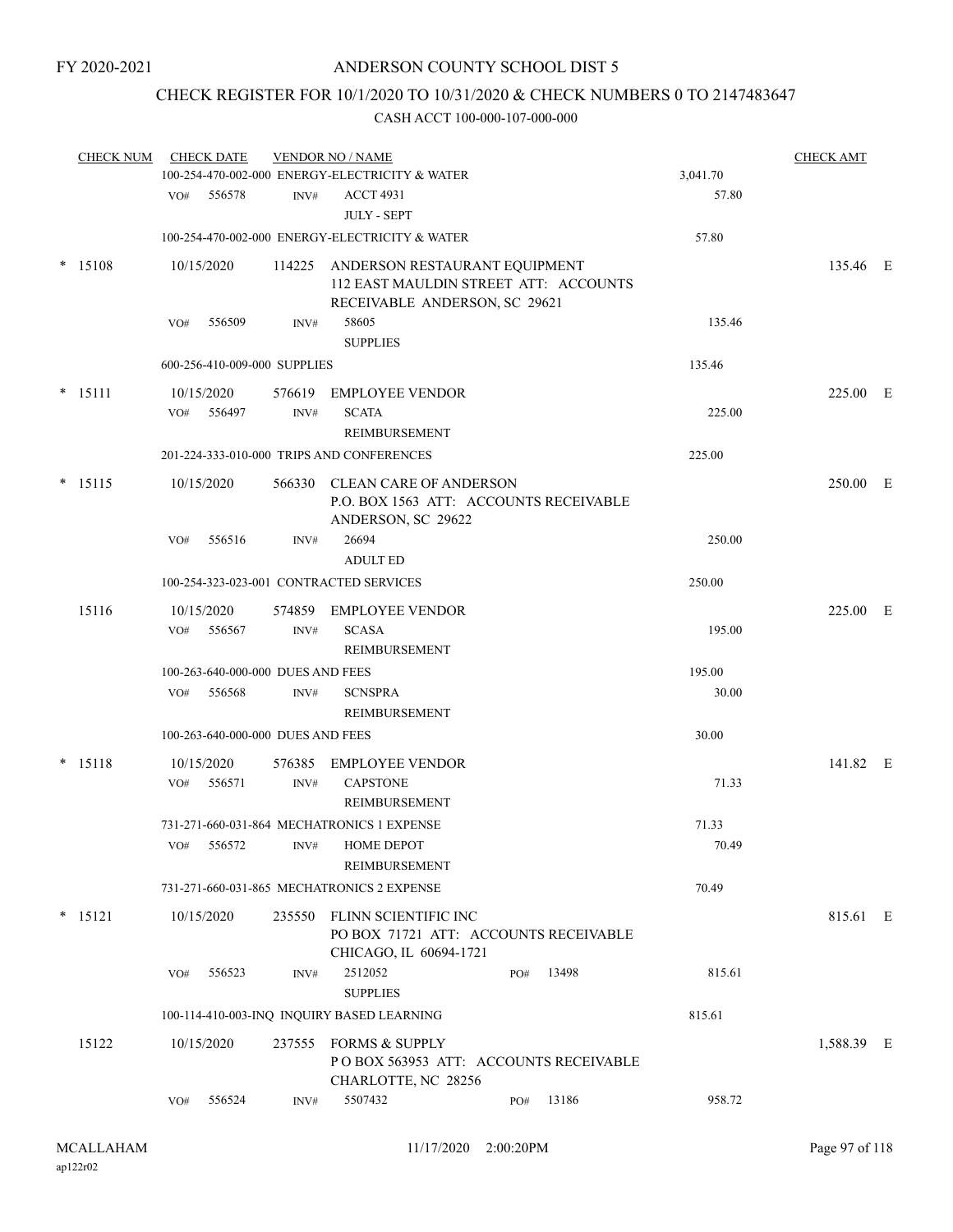# CHECK REGISTER FOR 10/1/2020 TO 10/31/2020 & CHECK NUMBERS 0 TO 2147483647

|        | <b>CHECK NUM</b> |     | <b>CHECK DATE</b>                 |                | <b>VENDOR NO / NAME</b><br>100-254-470-002-000 ENERGY-ELECTRICITY & WATER                                      |     |       | 3,041.70 | <b>CHECK AMT</b> |  |
|--------|------------------|-----|-----------------------------------|----------------|----------------------------------------------------------------------------------------------------------------|-----|-------|----------|------------------|--|
|        |                  |     | VO# 556578                        | INV#           | <b>ACCT 4931</b><br><b>JULY - SEPT</b>                                                                         |     |       | 57.80    |                  |  |
|        |                  |     |                                   |                | 100-254-470-002-000 ENERGY-ELECTRICITY & WATER                                                                 |     |       | 57.80    |                  |  |
| $\ast$ | 15108            |     | 10/15/2020                        |                | 114225 ANDERSON RESTAURANT EQUIPMENT<br>112 EAST MAULDIN STREET ATT: ACCOUNTS<br>RECEIVABLE ANDERSON, SC 29621 |     |       |          | 135.46 E         |  |
|        |                  | VO# | 556509                            | INV#           | 58605<br><b>SUPPLIES</b>                                                                                       |     |       | 135.46   |                  |  |
|        |                  |     | 600-256-410-009-000 SUPPLIES      |                |                                                                                                                |     |       | 135.46   |                  |  |
| $\ast$ | 15111            | VO# | 10/15/2020<br>556497              | INV#           | 576619 EMPLOYEE VENDOR<br><b>SCATA</b><br>REIMBURSEMENT                                                        |     |       | 225.00   | 225.00 E         |  |
|        |                  |     |                                   |                | 201-224-333-010-000 TRIPS AND CONFERENCES                                                                      |     |       | 225.00   |                  |  |
|        | $* 15115$        |     | 10/15/2020                        |                | 566330 CLEAN CARE OF ANDERSON<br>P.O. BOX 1563 ATT: ACCOUNTS RECEIVABLE<br>ANDERSON, SC 29622                  |     |       |          | 250.00 E         |  |
|        |                  | VO# | 556516                            | INV#           | 26694<br><b>ADULT ED</b>                                                                                       |     |       | 250.00   |                  |  |
|        |                  |     |                                   |                | 100-254-323-023-001 CONTRACTED SERVICES                                                                        |     |       | 250.00   |                  |  |
|        | 15116            | VO# | 10/15/2020<br>556567              | INV#           | 574859 EMPLOYEE VENDOR<br><b>SCASA</b><br>REIMBURSEMENT                                                        |     |       | 195.00   | 225.00 E         |  |
|        |                  |     | 100-263-640-000-000 DUES AND FEES |                |                                                                                                                |     |       | 195.00   |                  |  |
|        |                  | VO# | 556568                            | INV#           | <b>SCNSPRA</b><br><b>REIMBURSEMENT</b>                                                                         |     |       | 30.00    |                  |  |
|        |                  |     | 100-263-640-000-000 DUES AND FEES |                |                                                                                                                |     |       | 30.00    |                  |  |
|        | $* 15118$        | VO# | 10/15/2020<br>556571              | 576385<br>INV# | <b>EMPLOYEE VENDOR</b><br><b>CAPSTONE</b><br>REIMBURSEMENT                                                     |     |       | 71.33    | 141.82 E         |  |
|        |                  |     |                                   |                | 731-271-660-031-864 MECHATRONICS 1 EXPENSE                                                                     |     |       | 71.33    |                  |  |
|        |                  |     |                                   |                | VO# 556572 INV# HOME DEPOT<br>REIMBURSEMENT                                                                    |     |       | 70.49    |                  |  |
|        |                  |     |                                   |                | 731-271-660-031-865 MECHATRONICS 2 EXPENSE                                                                     |     |       | 70.49    |                  |  |
|        | $* 15121$        |     | 10/15/2020                        |                | 235550 FLINN SCIENTIFIC INC<br>PO BOX 71721 ATT: ACCOUNTS RECEIVABLE<br>CHICAGO, IL 60694-1721                 |     |       |          | 815.61 E         |  |
|        |                  | VO# | 556523                            | INV#           | 2512052<br><b>SUPPLIES</b>                                                                                     | PO# | 13498 | 815.61   |                  |  |
|        |                  |     |                                   |                | 100-114-410-003-INQ INQUIRY BASED LEARNING                                                                     |     |       | 815.61   |                  |  |
|        | 15122            |     | 10/15/2020                        |                | 237555 FORMS & SUPPLY<br>POBOX 563953 ATT: ACCOUNTS RECEIVABLE<br>CHARLOTTE, NC 28256                          |     |       |          | 1,588.39 E       |  |
|        |                  | VO# | 556524                            | INV#           | 5507432                                                                                                        | PO# | 13186 | 958.72   |                  |  |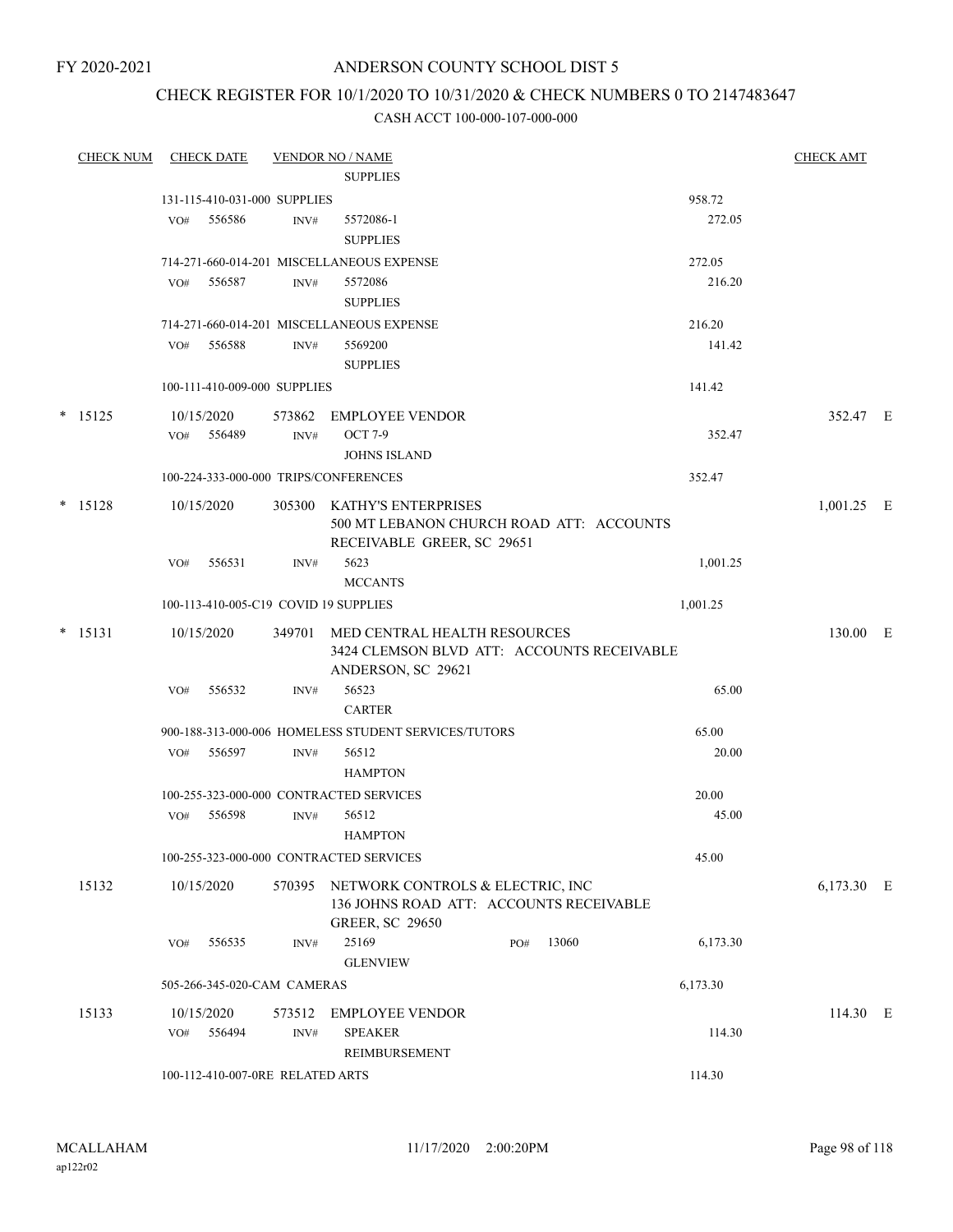FY 2020-2021

## ANDERSON COUNTY SCHOOL DIST 5

## CHECK REGISTER FOR 10/1/2020 TO 10/31/2020 & CHECK NUMBERS 0 TO 2147483647

| <b>CHECK NUM</b> |            | <b>CHECK DATE</b>                |        | <b>VENDOR NO / NAME</b>                                                     |     |       |          | <b>CHECK AMT</b> |  |
|------------------|------------|----------------------------------|--------|-----------------------------------------------------------------------------|-----|-------|----------|------------------|--|
|                  |            |                                  |        | <b>SUPPLIES</b>                                                             |     |       |          |                  |  |
|                  |            | 131-115-410-031-000 SUPPLIES     |        |                                                                             |     |       | 958.72   |                  |  |
|                  | VO#        | 556586                           | INV#   | 5572086-1                                                                   |     |       | 272.05   |                  |  |
|                  |            |                                  |        | <b>SUPPLIES</b>                                                             |     |       |          |                  |  |
|                  |            |                                  |        | 714-271-660-014-201 MISCELLANEOUS EXPENSE                                   |     |       | 272.05   |                  |  |
|                  | VO#        | 556587                           | INV#   | 5572086                                                                     |     |       | 216.20   |                  |  |
|                  |            |                                  |        | <b>SUPPLIES</b>                                                             |     |       |          |                  |  |
|                  |            |                                  |        | 714-271-660-014-201 MISCELLANEOUS EXPENSE                                   |     |       | 216.20   |                  |  |
|                  | VO#        | 556588                           | INV#   | 5569200                                                                     |     |       | 141.42   |                  |  |
|                  |            |                                  |        | <b>SUPPLIES</b>                                                             |     |       |          |                  |  |
|                  |            | 100-111-410-009-000 SUPPLIES     |        |                                                                             |     |       | 141.42   |                  |  |
| $*$ 15125        | 10/15/2020 |                                  | 573862 | <b>EMPLOYEE VENDOR</b>                                                      |     |       |          | 352.47 E         |  |
|                  | VO#        | 556489                           | INV#   | <b>OCT 7-9</b>                                                              |     |       | 352.47   |                  |  |
|                  |            |                                  |        | <b>JOHNS ISLAND</b>                                                         |     |       |          |                  |  |
|                  |            |                                  |        | 100-224-333-000-000 TRIPS/CONFERENCES                                       |     |       | 352.47   |                  |  |
| $* 15128$        | 10/15/2020 |                                  |        | 305300 KATHY'S ENTERPRISES                                                  |     |       |          | $1,001.25$ E     |  |
|                  |            |                                  |        | 500 MT LEBANON CHURCH ROAD ATT: ACCOUNTS<br>RECEIVABLE GREER, SC 29651      |     |       |          |                  |  |
|                  | VO#        | 556531                           | INV#   | 5623                                                                        |     |       | 1,001.25 |                  |  |
|                  |            |                                  |        | <b>MCCANTS</b>                                                              |     |       |          |                  |  |
|                  |            |                                  |        | 100-113-410-005-C19 COVID 19 SUPPLIES                                       |     |       | 1,001.25 |                  |  |
| $* 15131$        | 10/15/2020 |                                  | 349701 | MED CENTRAL HEALTH RESOURCES                                                |     |       |          | 130.00 E         |  |
|                  |            |                                  |        | 3424 CLEMSON BLVD ATT: ACCOUNTS RECEIVABLE                                  |     |       |          |                  |  |
|                  |            | 556532                           |        | ANDERSON, SC 29621<br>56523                                                 |     |       | 65.00    |                  |  |
|                  | VO#        |                                  | INV#   | <b>CARTER</b>                                                               |     |       |          |                  |  |
|                  |            |                                  |        | 900-188-313-000-006 HOMELESS STUDENT SERVICES/TUTORS                        |     |       | 65.00    |                  |  |
|                  | VO#        | 556597                           | INV#   | 56512                                                                       |     |       | 20.00    |                  |  |
|                  |            |                                  |        | <b>HAMPTON</b>                                                              |     |       |          |                  |  |
|                  |            |                                  |        | 100-255-323-000-000 CONTRACTED SERVICES                                     |     |       | 20.00    |                  |  |
|                  | VO#        | 556598                           | INV#   | 56512                                                                       |     |       | 45.00    |                  |  |
|                  |            |                                  |        | <b>HAMPTON</b>                                                              |     |       |          |                  |  |
|                  |            |                                  |        | 100-255-323-000-000 CONTRACTED SERVICES                                     |     |       | 45.00    |                  |  |
| 15132            | 10/15/2020 |                                  | 570395 | NETWORK CONTROLS & ELECTRIC, INC<br>136 JOHNS ROAD ATT: ACCOUNTS RECEIVABLE |     |       |          | 6,173.30 E       |  |
|                  |            |                                  |        | <b>GREER, SC 29650</b>                                                      |     |       |          |                  |  |
|                  | VO#        | 556535                           | INV#   | 25169<br><b>GLENVIEW</b>                                                    | PO# | 13060 | 6,173.30 |                  |  |
|                  |            | 505-266-345-020-CAM CAMERAS      |        |                                                                             |     |       | 6,173.30 |                  |  |
| 15133            | 10/15/2020 |                                  | 573512 | <b>EMPLOYEE VENDOR</b>                                                      |     |       |          | 114.30 E         |  |
|                  | VO#        | 556494                           | INV#   | <b>SPEAKER</b>                                                              |     |       | 114.30   |                  |  |
|                  |            |                                  |        | REIMBURSEMENT                                                               |     |       |          |                  |  |
|                  |            | 100-112-410-007-0RE RELATED ARTS |        |                                                                             |     |       | 114.30   |                  |  |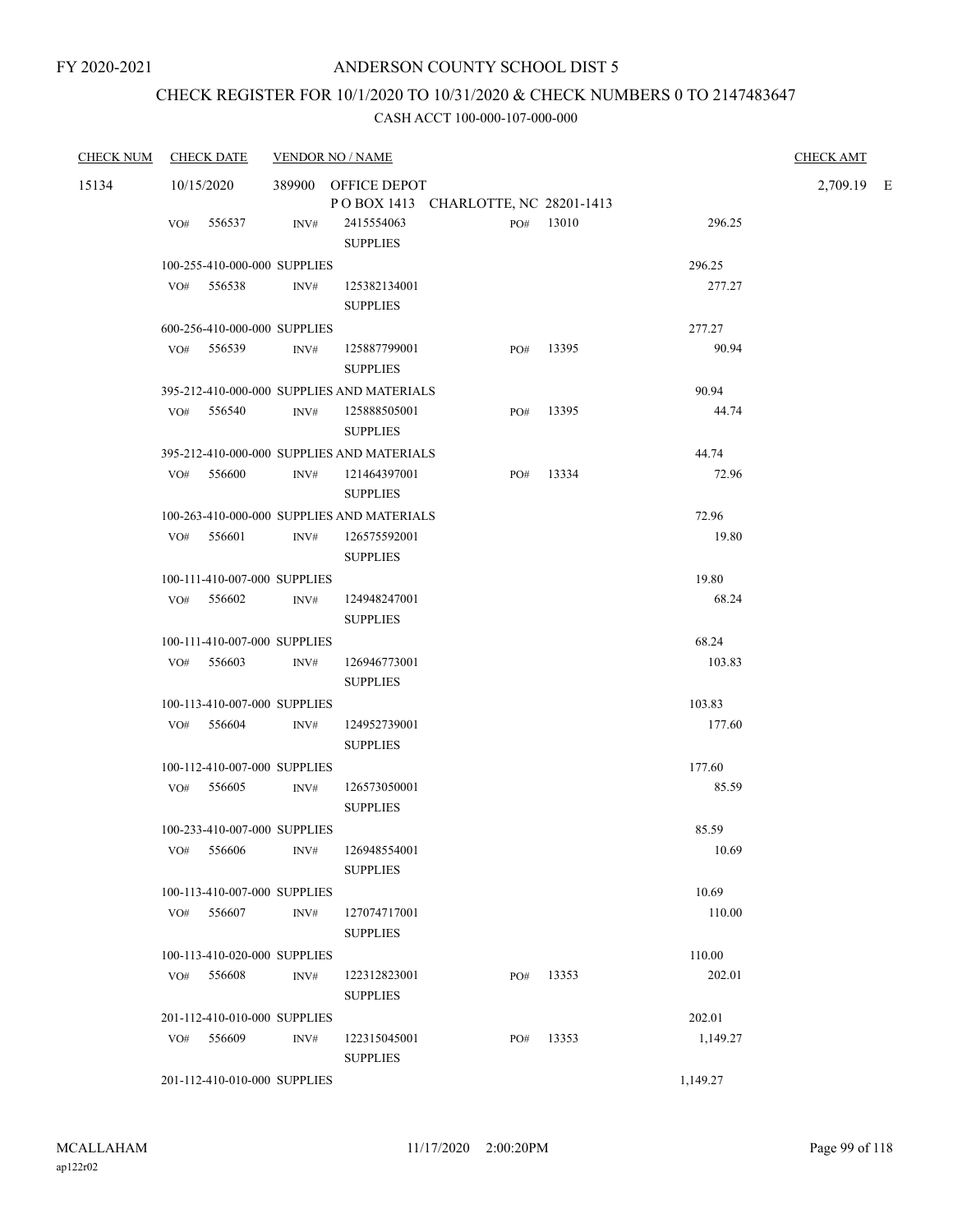# CHECK REGISTER FOR 10/1/2020 TO 10/31/2020 & CHECK NUMBERS 0 TO 2147483647

| <b>CHECK NUM</b> | <b>CHECK DATE</b> | <b>VENDOR NO / NAME</b>                    |                                 |                                     |           |          | <b>CHECK AMT</b> |  |
|------------------|-------------------|--------------------------------------------|---------------------------------|-------------------------------------|-----------|----------|------------------|--|
| 15134            | 10/15/2020        |                                            | 389900 OFFICE DEPOT             |                                     |           |          | 2,709.19 E       |  |
|                  |                   |                                            |                                 | POBOX 1413 CHARLOTTE, NC 28201-1413 |           |          |                  |  |
|                  | VO# 556537        | INV#                                       | 2415554063<br><b>SUPPLIES</b>   |                                     | PO# 13010 | 296.25   |                  |  |
|                  |                   | 100-255-410-000-000 SUPPLIES               |                                 |                                     |           | 296.25   |                  |  |
|                  | $VO#$ 556538      | INV#                                       | 125382134001<br><b>SUPPLIES</b> |                                     |           | 277.27   |                  |  |
|                  |                   | 600-256-410-000-000 SUPPLIES               |                                 |                                     |           | 277.27   |                  |  |
|                  | VO# 556539        | INV#                                       | 125887799001<br><b>SUPPLIES</b> |                                     | PO# 13395 | 90.94    |                  |  |
|                  |                   | 395-212-410-000-000 SUPPLIES AND MATERIALS |                                 |                                     |           | 90.94    |                  |  |
|                  | $VO#$ 556540      | INV#                                       | 125888505001<br><b>SUPPLIES</b> |                                     | PO# 13395 | 44.74    |                  |  |
|                  |                   | 395-212-410-000-000 SUPPLIES AND MATERIALS |                                 |                                     |           | 44.74    |                  |  |
|                  | $VO#$ 556600      | INV#                                       | 121464397001<br><b>SUPPLIES</b> | PO#                                 | 13334     | 72.96    |                  |  |
|                  |                   | 100-263-410-000-000 SUPPLIES AND MATERIALS |                                 |                                     |           | 72.96    |                  |  |
|                  | VO# 556601        | INV#                                       | 126575592001<br><b>SUPPLIES</b> |                                     |           | 19.80    |                  |  |
|                  |                   | 100-111-410-007-000 SUPPLIES               |                                 |                                     |           | 19.80    |                  |  |
|                  | VO# 556602        | INV#                                       | 124948247001<br><b>SUPPLIES</b> |                                     |           | 68.24    |                  |  |
|                  |                   |                                            |                                 |                                     |           |          |                  |  |
|                  |                   | 100-111-410-007-000 SUPPLIES               |                                 |                                     |           | 68.24    |                  |  |
|                  | VO# 556603        | INV#                                       | 126946773001<br><b>SUPPLIES</b> |                                     |           | 103.83   |                  |  |
|                  |                   | 100-113-410-007-000 SUPPLIES               |                                 |                                     |           | 103.83   |                  |  |
|                  | VO# 556604        | INV#                                       | 124952739001<br><b>SUPPLIES</b> |                                     |           | 177.60   |                  |  |
|                  |                   | 100-112-410-007-000 SUPPLIES               |                                 |                                     |           | 177.60   |                  |  |
|                  | VO# 556605        | INV#                                       | 126573050001<br><b>SUPPLIES</b> |                                     |           | 85.59    |                  |  |
|                  |                   | 100-233-410-007-000 SUPPLIES               |                                 |                                     |           | 85.59    |                  |  |
|                  |                   | VO# 556606 INV# 126948554001               | <b>SUPPLIES</b>                 |                                     |           | 10.69    |                  |  |
|                  |                   | 100-113-410-007-000 SUPPLIES               |                                 |                                     |           | 10.69    |                  |  |
|                  | VO# 556607        | INV#                                       | 127074717001<br><b>SUPPLIES</b> |                                     |           | 110.00   |                  |  |
|                  |                   | 100-113-410-020-000 SUPPLIES               |                                 |                                     |           | 110.00   |                  |  |
|                  | VO# 556608        | INV#                                       | 122312823001<br><b>SUPPLIES</b> |                                     | PO# 13353 | 202.01   |                  |  |
|                  |                   | 201-112-410-010-000 SUPPLIES               |                                 |                                     |           | 202.01   |                  |  |
|                  | VO# 556609        | INV#                                       | 122315045001<br><b>SUPPLIES</b> | PO#                                 | 13353     | 1,149.27 |                  |  |
|                  |                   | 201-112-410-010-000 SUPPLIES               |                                 |                                     |           | 1,149.27 |                  |  |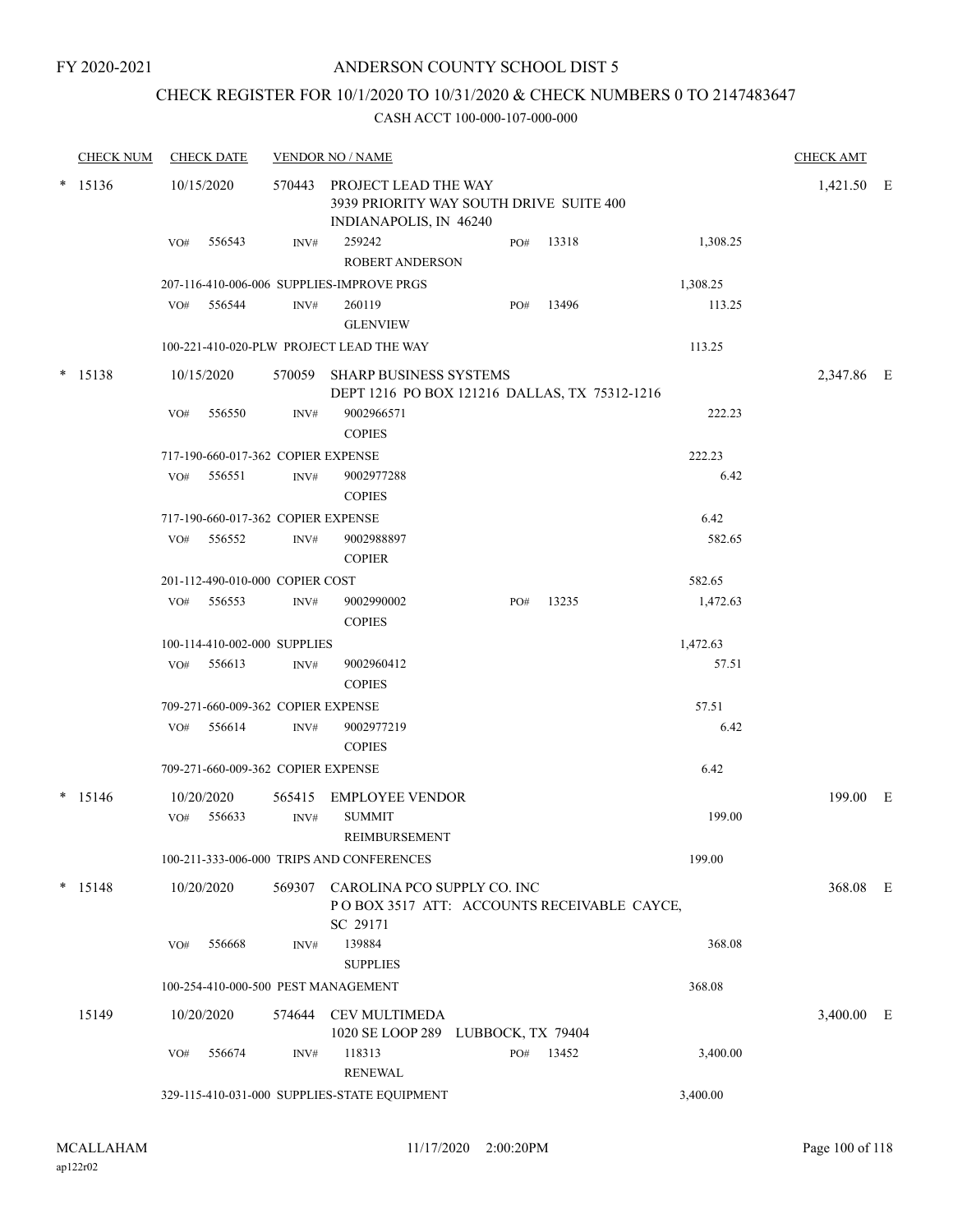#### FY 2020-2021

## ANDERSON COUNTY SCHOOL DIST 5

## CHECK REGISTER FOR 10/1/2020 TO 10/31/2020 & CHECK NUMBERS 0 TO 2147483647

| <b>CHECK NUM</b> |     | <b>CHECK DATE</b>                  |      | <b>VENDOR NO / NAME</b>                                                                          |     |           |          | <b>CHECK AMT</b> |  |
|------------------|-----|------------------------------------|------|--------------------------------------------------------------------------------------------------|-----|-----------|----------|------------------|--|
| $* 15136$        |     | 10/15/2020                         |      | 570443 PROJECT LEAD THE WAY<br>3939 PRIORITY WAY SOUTH DRIVE SUITE 400<br>INDIANAPOLIS, IN 46240 |     |           |          | 1,421.50 E       |  |
|                  | VO# | 556543                             | INV# | 259242<br><b>ROBERT ANDERSON</b>                                                                 | PO# | 13318     | 1,308.25 |                  |  |
|                  |     |                                    |      | 207-116-410-006-006 SUPPLIES-IMPROVE PRGS                                                        |     |           | 1,308.25 |                  |  |
|                  | VO# | 556544                             | INV# | 260119<br><b>GLENVIEW</b>                                                                        | PO# | 13496     | 113.25   |                  |  |
|                  |     |                                    |      | 100-221-410-020-PLW PROJECT LEAD THE WAY                                                         |     |           | 113.25   |                  |  |
| $*$ 15138        |     | 10/15/2020                         |      | 570059 SHARP BUSINESS SYSTEMS<br>DEPT 1216 PO BOX 121216 DALLAS, TX 75312-1216                   |     |           |          | 2,347.86 E       |  |
|                  | VO# | 556550                             | INV# | 9002966571<br><b>COPIES</b>                                                                      |     |           | 222.23   |                  |  |
|                  |     | 717-190-660-017-362 COPIER EXPENSE |      |                                                                                                  |     |           | 222.23   |                  |  |
|                  | VO# | 556551                             | INV# | 9002977288<br><b>COPIES</b>                                                                      |     |           | 6.42     |                  |  |
|                  |     | 717-190-660-017-362 COPIER EXPENSE |      |                                                                                                  |     |           | 6.42     |                  |  |
|                  | VO# | 556552                             | INV# | 9002988897<br><b>COPIER</b>                                                                      |     |           | 582.65   |                  |  |
|                  |     | 201-112-490-010-000 COPIER COST    |      |                                                                                                  |     |           | 582.65   |                  |  |
|                  | VO# | 556553                             | INV# | 9002990002<br><b>COPIES</b>                                                                      | PO# | 13235     | 1,472.63 |                  |  |
|                  |     | 100-114-410-002-000 SUPPLIES       |      |                                                                                                  |     |           | 1,472.63 |                  |  |
|                  | VO# | 556613                             | INV# | 9002960412<br><b>COPIES</b>                                                                      |     |           | 57.51    |                  |  |
|                  |     | 709-271-660-009-362 COPIER EXPENSE |      |                                                                                                  |     |           | 57.51    |                  |  |
|                  | VO# | 556614                             | INV# | 9002977219<br><b>COPIES</b>                                                                      |     |           | 6.42     |                  |  |
|                  |     | 709-271-660-009-362 COPIER EXPENSE |      |                                                                                                  |     |           | 6.42     |                  |  |
| $*$ 15146        |     | 10/20/2020                         |      | 565415 EMPLOYEE VENDOR                                                                           |     |           |          | 199.00 E         |  |
|                  | VO# | 556633                             | INV# | <b>SUMMIT</b><br>REIMBURSEMENT                                                                   |     |           | 199.00   |                  |  |
|                  |     |                                    |      | 100-211-333-006-000 TRIPS AND CONFERENCES                                                        |     |           | 199.00   |                  |  |
| $* 15148$        |     | 10/20/2020                         |      | 569307 CAROLINA PCO SUPPLY CO. INC<br>POBOX 3517 ATT: ACCOUNTS RECEIVABLE CAYCE,<br>SC 29171     |     |           |          | 368.08 E         |  |
|                  | VO# | 556668                             | INV# | 139884<br><b>SUPPLIES</b>                                                                        |     |           | 368.08   |                  |  |
|                  |     |                                    |      | 100-254-410-000-500 PEST MANAGEMENT                                                              |     |           | 368.08   |                  |  |
| 15149            |     | 10/20/2020                         |      | 574644 CEV MULTIMEDA<br>1020 SE LOOP 289 LUBBOCK, TX 79404                                       |     |           |          | 3,400.00 E       |  |
|                  | VO# | 556674                             | INV# | 118313<br><b>RENEWAL</b>                                                                         |     | PO# 13452 | 3,400.00 |                  |  |
|                  |     |                                    |      | 329-115-410-031-000 SUPPLIES-STATE EQUIPMENT                                                     |     |           | 3,400.00 |                  |  |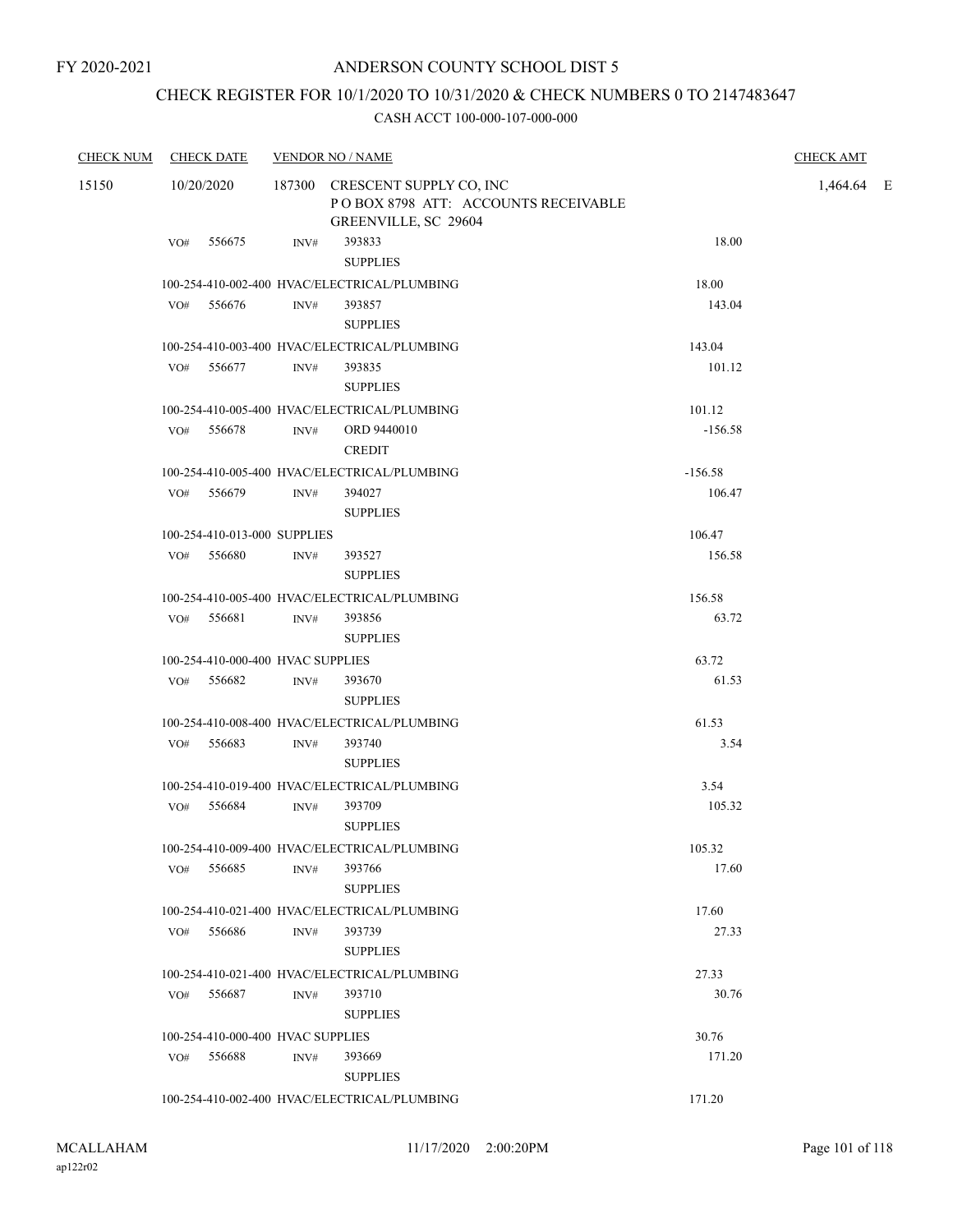## CHECK REGISTER FOR 10/1/2020 TO 10/31/2020 & CHECK NUMBERS 0 TO 2147483647

| <b>CHECK NUM</b> | <b>CHECK DATE</b>                 |      | <b>VENDOR NO / NAME</b>                                                                       |           | <b>CHECK AMT</b> |  |
|------------------|-----------------------------------|------|-----------------------------------------------------------------------------------------------|-----------|------------------|--|
| 15150            | 10/20/2020                        |      | 187300 CRESCENT SUPPLY CO, INC<br>POBOX 8798 ATT: ACCOUNTS RECEIVABLE<br>GREENVILLE, SC 29604 |           | 1,464.64 E       |  |
|                  | VO# 556675                        | INV# | 393833<br><b>SUPPLIES</b>                                                                     | 18.00     |                  |  |
|                  |                                   |      | 100-254-410-002-400 HVAC/ELECTRICAL/PLUMBING                                                  | 18.00     |                  |  |
|                  | 556676<br>VO#                     | INV# | 393857<br><b>SUPPLIES</b>                                                                     | 143.04    |                  |  |
|                  |                                   |      | 100-254-410-003-400 HVAC/ELECTRICAL/PLUMBING                                                  | 143.04    |                  |  |
|                  | VO# 556677                        | INV# | 393835<br><b>SUPPLIES</b>                                                                     | 101.12    |                  |  |
|                  |                                   |      | 100-254-410-005-400 HVAC/ELECTRICAL/PLUMBING                                                  | 101.12    |                  |  |
|                  | 556678<br>VO#                     | INV# | ORD 9440010<br><b>CREDIT</b>                                                                  | $-156.58$ |                  |  |
|                  |                                   |      | 100-254-410-005-400 HVAC/ELECTRICAL/PLUMBING                                                  | $-156.58$ |                  |  |
|                  | VO# 556679                        | INV# | 394027<br><b>SUPPLIES</b>                                                                     | 106.47    |                  |  |
|                  | 100-254-410-013-000 SUPPLIES      |      |                                                                                               | 106.47    |                  |  |
|                  | 556680<br>VO#                     | INV# | 393527<br><b>SUPPLIES</b>                                                                     | 156.58    |                  |  |
|                  |                                   |      | 100-254-410-005-400 HVAC/ELECTRICAL/PLUMBING                                                  | 156.58    |                  |  |
|                  | VO# 556681                        | INV# | 393856<br><b>SUPPLIES</b>                                                                     | 63.72     |                  |  |
|                  | 100-254-410-000-400 HVAC SUPPLIES |      |                                                                                               | 63.72     |                  |  |
|                  | VO# 556682                        | INV# | 393670<br><b>SUPPLIES</b>                                                                     | 61.53     |                  |  |
|                  |                                   |      | 100-254-410-008-400 HVAC/ELECTRICAL/PLUMBING                                                  | 61.53     |                  |  |
|                  | VO#<br>556683                     | INV# | 393740<br><b>SUPPLIES</b>                                                                     | 3.54      |                  |  |
|                  |                                   |      | 100-254-410-019-400 HVAC/ELECTRICAL/PLUMBING                                                  | 3.54      |                  |  |
|                  | VO# 556684                        | INV# | 393709<br><b>SUPPLIES</b>                                                                     | 105.32    |                  |  |
|                  |                                   |      | 100-254-410-009-400 HVAC/ELECTRICAL/PLUMBING                                                  | 105.32    |                  |  |
|                  | VO# 556685                        | INV# | 393766<br><b>SUPPLIES</b>                                                                     | 17.60     |                  |  |
|                  |                                   |      | 100-254-410-021-400 HVAC/ELECTRICAL/PLUMBING                                                  | 17.60     |                  |  |
|                  | 556686<br>VO#                     | INV# | 393739<br><b>SUPPLIES</b>                                                                     | 27.33     |                  |  |
|                  |                                   |      | 100-254-410-021-400 HVAC/ELECTRICAL/PLUMBING                                                  | 27.33     |                  |  |
|                  | VO#<br>556687                     | INV# | 393710<br><b>SUPPLIES</b>                                                                     | 30.76     |                  |  |
|                  | 100-254-410-000-400 HVAC SUPPLIES |      |                                                                                               | 30.76     |                  |  |
|                  | 556688<br>VO#                     | INV# | 393669<br><b>SUPPLIES</b>                                                                     | 171.20    |                  |  |
|                  |                                   |      | 100-254-410-002-400 HVAC/ELECTRICAL/PLUMBING                                                  | 171.20    |                  |  |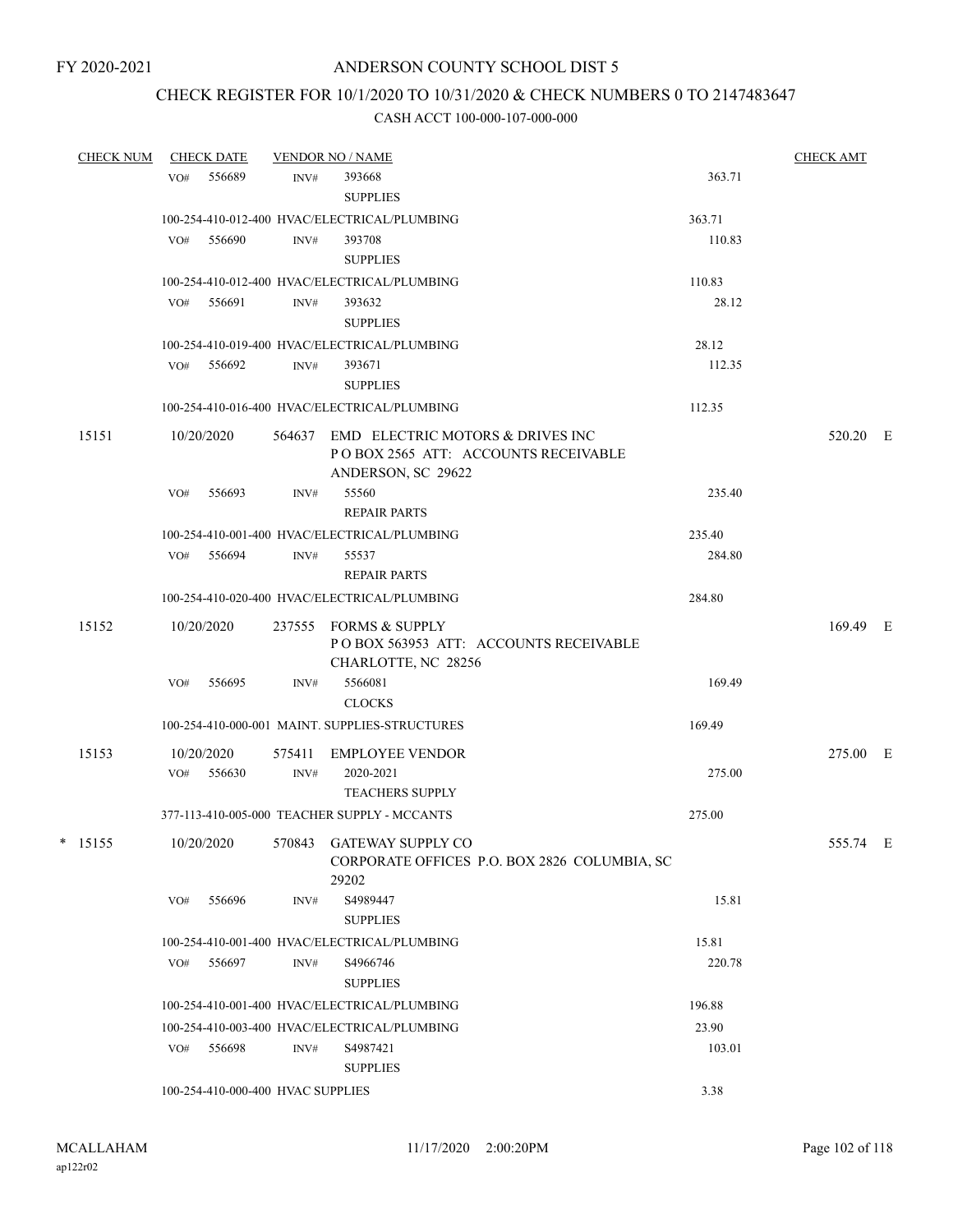## CHECK REGISTER FOR 10/1/2020 TO 10/31/2020 & CHECK NUMBERS 0 TO 2147483647

|   | <b>CHECK NUM</b> |     | <b>CHECK DATE</b> |                                   | <b>VENDOR NO / NAME</b>                                                                              |        | <b>CHECK AMT</b> |  |
|---|------------------|-----|-------------------|-----------------------------------|------------------------------------------------------------------------------------------------------|--------|------------------|--|
|   |                  | VO# | 556689            | INV#                              | 393668<br><b>SUPPLIES</b>                                                                            | 363.71 |                  |  |
|   |                  |     |                   |                                   | 100-254-410-012-400 HVAC/ELECTRICAL/PLUMBING                                                         | 363.71 |                  |  |
|   |                  | VO# | 556690            | INV#                              | 393708<br><b>SUPPLIES</b>                                                                            | 110.83 |                  |  |
|   |                  |     |                   |                                   | 100-254-410-012-400 HVAC/ELECTRICAL/PLUMBING                                                         | 110.83 |                  |  |
|   |                  |     | VO# 556691        | INV#                              | 393632<br><b>SUPPLIES</b>                                                                            | 28.12  |                  |  |
|   |                  |     |                   |                                   | 100-254-410-019-400 HVAC/ELECTRICAL/PLUMBING                                                         | 28.12  |                  |  |
|   |                  |     | $VO#$ 556692      | INV#                              | 393671<br><b>SUPPLIES</b>                                                                            | 112.35 |                  |  |
|   |                  |     |                   |                                   | 100-254-410-016-400 HVAC/ELECTRICAL/PLUMBING                                                         | 112.35 |                  |  |
|   |                  |     |                   |                                   |                                                                                                      |        |                  |  |
|   | 15151            |     | 10/20/2020        |                                   | 564637 EMD ELECTRIC MOTORS & DRIVES INC<br>POBOX 2565 ATT: ACCOUNTS RECEIVABLE<br>ANDERSON, SC 29622 |        | 520.20 E         |  |
|   |                  | VO# | 556693            | INV#                              | 55560<br><b>REPAIR PARTS</b>                                                                         | 235.40 |                  |  |
|   |                  |     |                   |                                   | 100-254-410-001-400 HVAC/ELECTRICAL/PLUMBING                                                         | 235.40 |                  |  |
|   |                  |     | VO# 556694        | INV#                              | 55537<br><b>REPAIR PARTS</b>                                                                         | 284.80 |                  |  |
|   |                  |     |                   |                                   | 100-254-410-020-400 HVAC/ELECTRICAL/PLUMBING                                                         | 284.80 |                  |  |
|   |                  |     |                   |                                   |                                                                                                      |        |                  |  |
|   | 15152            |     | 10/20/2020        |                                   | 237555 FORMS & SUPPLY<br>POBOX 563953 ATT: ACCOUNTS RECEIVABLE<br>CHARLOTTE, NC 28256                |        | 169.49 E         |  |
|   |                  | VO# | 556695            | INV#                              | 5566081<br><b>CLOCKS</b>                                                                             | 169.49 |                  |  |
|   |                  |     |                   |                                   | 100-254-410-000-001 MAINT. SUPPLIES-STRUCTURES                                                       | 169.49 |                  |  |
|   | 15153            |     | 10/20/2020        | 575411                            | EMPLOYEE VENDOR                                                                                      |        | 275.00 E         |  |
|   |                  | VO# | 556630            | INV#                              | 2020-2021<br><b>TEACHERS SUPPLY</b>                                                                  | 275.00 |                  |  |
|   |                  |     |                   |                                   | 377-113-410-005-000 TEACHER SUPPLY - MCCANTS                                                         | 275.00 |                  |  |
| * | 15155            |     | 10/20/2020        |                                   | 570843 GATEWAY SUPPLY CO<br>CORPORATE OFFICES P.O. BOX 2826 COLUMBIA, SC<br>29202                    |        | 555.74 E         |  |
|   |                  | VO# | 556696            | INV#                              | S4989447<br><b>SUPPLIES</b>                                                                          | 15.81  |                  |  |
|   |                  |     |                   |                                   | 100-254-410-001-400 HVAC/ELECTRICAL/PLUMBING                                                         | 15.81  |                  |  |
|   |                  | VO# | 556697            | INV#                              | S4966746                                                                                             | 220.78 |                  |  |
|   |                  |     |                   |                                   | <b>SUPPLIES</b>                                                                                      |        |                  |  |
|   |                  |     |                   |                                   | 100-254-410-001-400 HVAC/ELECTRICAL/PLUMBING                                                         | 196.88 |                  |  |
|   |                  |     |                   |                                   | 100-254-410-003-400 HVAC/ELECTRICAL/PLUMBING                                                         | 23.90  |                  |  |
|   |                  | VO# | 556698            | INV#                              | S4987421<br><b>SUPPLIES</b>                                                                          | 103.01 |                  |  |
|   |                  |     |                   | 100-254-410-000-400 HVAC SUPPLIES |                                                                                                      | 3.38   |                  |  |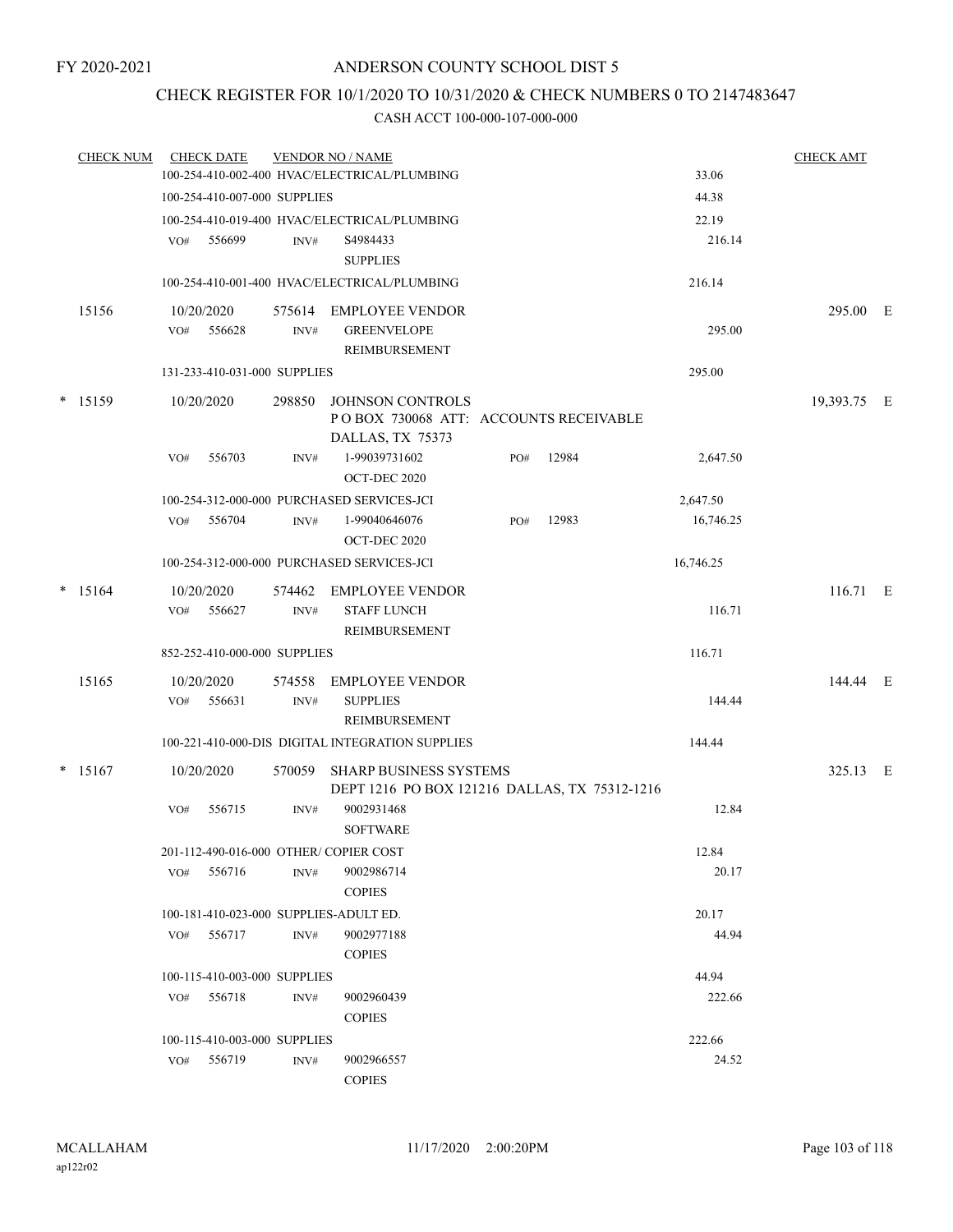## CHECK REGISTER FOR 10/1/2020 TO 10/31/2020 & CHECK NUMBERS 0 TO 2147483647

| <b>CHECK NUM</b> |     | <b>CHECK DATE</b>            |                | <b>VENDOR NO / NAME</b>                                                       |     |       |                 | <b>CHECK AMT</b> |  |
|------------------|-----|------------------------------|----------------|-------------------------------------------------------------------------------|-----|-------|-----------------|------------------|--|
|                  |     |                              |                | 100-254-410-002-400 HVAC/ELECTRICAL/PLUMBING                                  |     |       | 33.06           |                  |  |
|                  |     | 100-254-410-007-000 SUPPLIES |                |                                                                               |     |       | 44.38           |                  |  |
|                  | VO# | 556699                       | INV#           | 100-254-410-019-400 HVAC/ELECTRICAL/PLUMBING<br>S4984433<br><b>SUPPLIES</b>   |     |       | 22.19<br>216.14 |                  |  |
|                  |     |                              |                | 100-254-410-001-400 HVAC/ELECTRICAL/PLUMBING                                  |     |       | 216.14          |                  |  |
| 15156            |     | 10/20/2020                   |                | 575614 EMPLOYEE VENDOR                                                        |     |       |                 | 295.00 E         |  |
|                  |     | $VO#$ 556628                 | INV#           | <b>GREENVELOPE</b><br><b>REIMBURSEMENT</b>                                    |     |       | 295.00          |                  |  |
|                  |     | 131-233-410-031-000 SUPPLIES |                |                                                                               |     |       | 295.00          |                  |  |
| $*$ 15159        |     | 10/20/2020                   | 298850         | JOHNSON CONTROLS<br>POBOX 730068 ATT: ACCOUNTS RECEIVABLE<br>DALLAS, TX 75373 |     |       |                 | 19,393.75 E      |  |
|                  | VO# | 556703                       | INV#           | 1-99039731602<br>OCT-DEC 2020                                                 | PO# | 12984 | 2,647.50        |                  |  |
|                  |     |                              |                | 100-254-312-000-000 PURCHASED SERVICES-JCI                                    |     |       | 2,647.50        |                  |  |
|                  | VO# | 556704                       | INV#           | 1-99040646076<br>OCT-DEC 2020                                                 | PO# | 12983 | 16,746.25       |                  |  |
|                  |     |                              |                | 100-254-312-000-000 PURCHASED SERVICES-JCI                                    |     |       | 16,746.25       |                  |  |
| $*$ 15164        | VO# | 10/20/2020<br>556627         | 574462<br>INV# | EMPLOYEE VENDOR<br><b>STAFF LUNCH</b><br>REIMBURSEMENT                        |     |       | 116.71          | 116.71 E         |  |
|                  |     | 852-252-410-000-000 SUPPLIES |                |                                                                               |     |       | 116.71          |                  |  |
| 15165            |     | 10/20/2020                   | 574558         | <b>EMPLOYEE VENDOR</b>                                                        |     |       |                 | 144.44 E         |  |
|                  |     | VO# 556631                   | INV#           | <b>SUPPLIES</b><br>REIMBURSEMENT                                              |     |       | 144.44          |                  |  |
|                  |     |                              |                | 100-221-410-000-DIS DIGITAL INTEGRATION SUPPLIES                              |     |       | 144.44          |                  |  |
| $*$ 15167        |     | 10/20/2020                   | 570059         | SHARP BUSINESS SYSTEMS<br>DEPT 1216 PO BOX 121216 DALLAS, TX 75312-1216       |     |       |                 | 325.13 E         |  |
|                  | VO# | 556715                       | INV#           | 9002931468<br><b>SOFTWARE</b>                                                 |     |       | 12.84           |                  |  |
|                  |     |                              |                | 201-112-490-016-000 OTHER/ COPIER COST                                        |     |       | 12.84           |                  |  |
|                  | VO# | 556716                       | INV#           | 9002986714<br><b>COPIES</b>                                                   |     |       | 20.17           |                  |  |
|                  |     |                              |                | 100-181-410-023-000 SUPPLIES-ADULT ED.                                        |     |       | 20.17           |                  |  |
|                  | VO# | 556717                       | INV#           | 9002977188<br><b>COPIES</b>                                                   |     |       | 44.94           |                  |  |
|                  |     | 100-115-410-003-000 SUPPLIES |                |                                                                               |     |       | 44.94           |                  |  |
|                  | VO# | 556718                       | INV#           | 9002960439<br><b>COPIES</b>                                                   |     |       | 222.66          |                  |  |
|                  |     | 100-115-410-003-000 SUPPLIES |                |                                                                               |     |       | 222.66          |                  |  |
|                  |     | VO# 556719                   | INV#           | 9002966557<br><b>COPIES</b>                                                   |     |       | 24.52           |                  |  |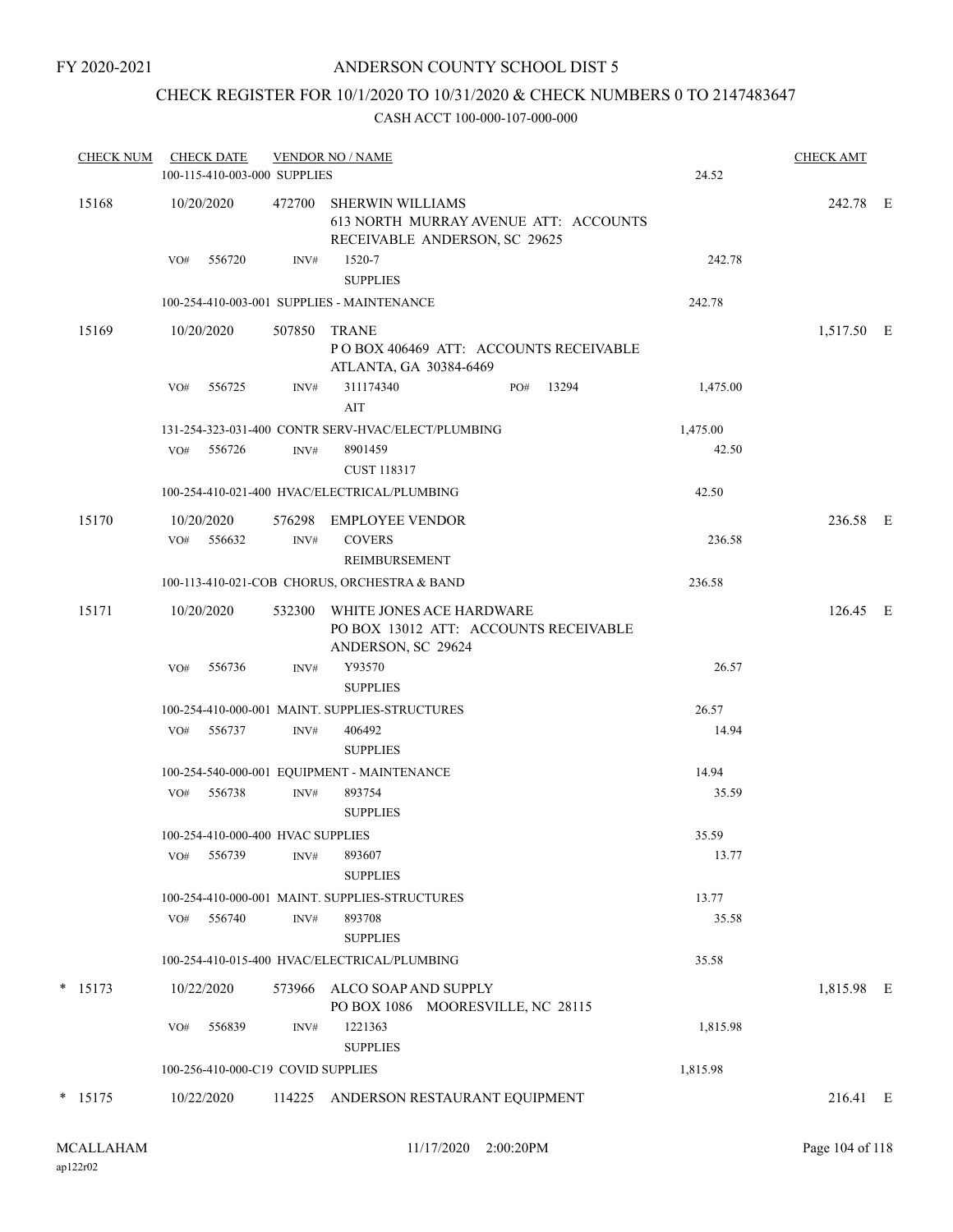## CHECK REGISTER FOR 10/1/2020 TO 10/31/2020 & CHECK NUMBERS 0 TO 2147483647

|           |     |                      | 100-115-410-003-000 SUPPLIES       |                                                                                                   | 24.52    |            |  |
|-----------|-----|----------------------|------------------------------------|---------------------------------------------------------------------------------------------------|----------|------------|--|
| 15168     |     | 10/20/2020           | 472700                             | <b>SHERWIN WILLIAMS</b><br>613 NORTH MURRAY AVENUE ATT: ACCOUNTS<br>RECEIVABLE ANDERSON, SC 29625 |          | 242.78 E   |  |
|           | VO# | 556720               | INV#                               | 1520-7<br><b>SUPPLIES</b>                                                                         | 242.78   |            |  |
|           |     |                      |                                    | 100-254-410-003-001 SUPPLIES - MAINTENANCE                                                        | 242.78   |            |  |
| 15169     |     | 10/20/2020           | 507850                             | TRANE<br>PO BOX 406469 ATT: ACCOUNTS RECEIVABLE<br>ATLANTA, GA 30384-6469                         |          | 1,517.50 E |  |
|           | VO# | 556725               | INV#                               | 311174340<br>13294<br>PO#<br>AIT                                                                  | 1,475.00 |            |  |
|           |     |                      |                                    | 131-254-323-031-400 CONTR SERV-HVAC/ELECT/PLUMBING                                                | 1,475.00 |            |  |
|           | VO# | 556726               | INV#                               | 8901459<br><b>CUST 118317</b>                                                                     | 42.50    |            |  |
|           |     |                      |                                    | 100-254-410-021-400 HVAC/ELECTRICAL/PLUMBING                                                      | 42.50    |            |  |
| 15170     | VO# | 10/20/2020<br>556632 | 576298<br>INV#                     | EMPLOYEE VENDOR<br><b>COVERS</b>                                                                  | 236.58   | 236.58 E   |  |
|           |     |                      |                                    | REIMBURSEMENT                                                                                     |          |            |  |
|           |     |                      |                                    | 100-113-410-021-COB CHORUS, ORCHESTRA & BAND                                                      | 236.58   |            |  |
| 15171     |     | 10/20/2020           | 532300                             | WHITE JONES ACE HARDWARE<br>PO BOX 13012 ATT: ACCOUNTS RECEIVABLE<br>ANDERSON, SC 29624           |          | 126.45 E   |  |
|           | VO# | 556736               | INV#                               | Y93570<br><b>SUPPLIES</b>                                                                         | 26.57    |            |  |
|           |     |                      |                                    | 100-254-410-000-001 MAINT. SUPPLIES-STRUCTURES                                                    | 26.57    |            |  |
|           |     | VO# 556737           | INV#                               | 406492<br><b>SUPPLIES</b>                                                                         | 14.94    |            |  |
|           |     |                      |                                    | 100-254-540-000-001 EQUIPMENT - MAINTENANCE                                                       | 14.94    |            |  |
|           | VO# | 556738               | INV#                               | 893754<br><b>SUPPLIES</b>                                                                         | 35.59    |            |  |
|           |     |                      | 100-254-410-000-400 HVAC SUPPLIES  |                                                                                                   | 35.59    |            |  |
|           | VO# | 556739               | INV#                               | 893607<br><b>SUPPLIES</b>                                                                         | 13.77    |            |  |
|           |     |                      |                                    | 100-254-410-000-001 MAINT. SUPPLIES-STRUCTURES                                                    | 13.77    |            |  |
|           | VO# | 556740               | INV#                               | 893708<br><b>SUPPLIES</b>                                                                         | 35.58    |            |  |
|           |     |                      |                                    | 100-254-410-015-400 HVAC/ELECTRICAL/PLUMBING                                                      | 35.58    |            |  |
| $*$ 15173 |     | 10/22/2020           | 573966                             | ALCO SOAP AND SUPPLY<br>PO BOX 1086 MOORESVILLE, NC 28115                                         |          | 1,815.98 E |  |
|           | VO# | 556839               | INV#                               | 1221363<br><b>SUPPLIES</b>                                                                        | 1,815.98 |            |  |
|           |     |                      | 100-256-410-000-C19 COVID SUPPLIES |                                                                                                   | 1,815.98 |            |  |
| $* 15175$ |     | 10/22/2020           |                                    | 114225 ANDERSON RESTAURANT EQUIPMENT                                                              |          | 216.41 E   |  |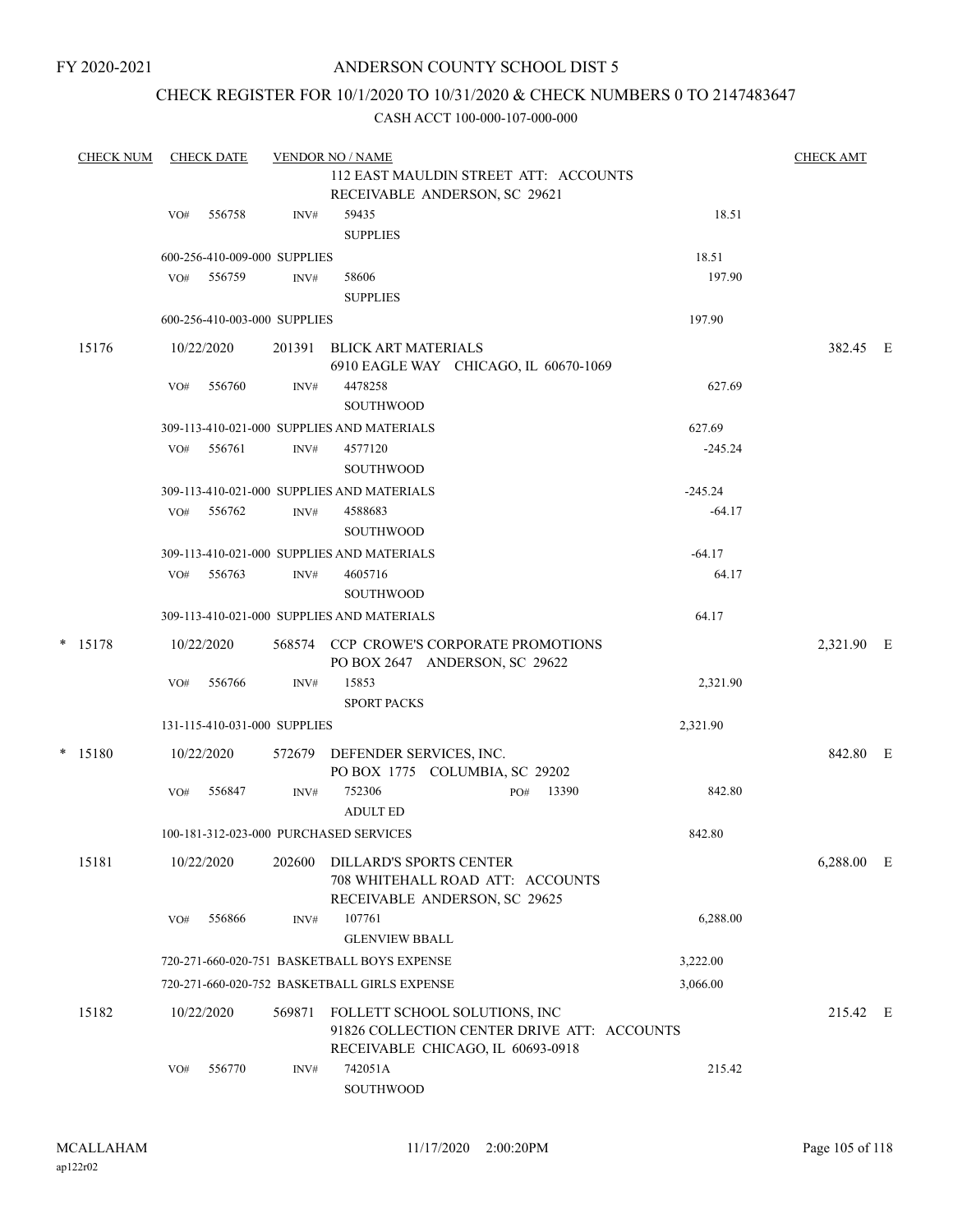## CHECK REGISTER FOR 10/1/2020 TO 10/31/2020 & CHECK NUMBERS 0 TO 2147483647

| <b>CHECK NUM</b> |     | <b>CHECK DATE</b> |                              | <b>VENDOR NO / NAME</b>                                                                                           |           | <b>CHECK AMT</b> |  |
|------------------|-----|-------------------|------------------------------|-------------------------------------------------------------------------------------------------------------------|-----------|------------------|--|
|                  |     |                   |                              | 112 EAST MAULDIN STREET ATT: ACCOUNTS<br>RECEIVABLE ANDERSON, SC 29621                                            |           |                  |  |
|                  | VO# | 556758            | INV#                         | 59435<br><b>SUPPLIES</b>                                                                                          | 18.51     |                  |  |
|                  |     |                   | 600-256-410-009-000 SUPPLIES |                                                                                                                   | 18.51     |                  |  |
|                  | VO# | 556759            | INV#                         | 58606<br><b>SUPPLIES</b>                                                                                          | 197.90    |                  |  |
|                  |     |                   | 600-256-410-003-000 SUPPLIES |                                                                                                                   | 197.90    |                  |  |
| 15176            |     | 10/22/2020        | 201391                       | BLICK ART MATERIALS<br>6910 EAGLE WAY CHICAGO, IL 60670-1069                                                      |           | 382.45 E         |  |
|                  | VO# | 556760            | INV#                         | 4478258<br><b>SOUTHWOOD</b>                                                                                       | 627.69    |                  |  |
|                  |     |                   |                              | 309-113-410-021-000 SUPPLIES AND MATERIALS                                                                        | 627.69    |                  |  |
|                  | VO# | 556761            | INV#                         | 4577120<br>SOUTHWOOD                                                                                              | $-245.24$ |                  |  |
|                  |     |                   |                              | 309-113-410-021-000 SUPPLIES AND MATERIALS                                                                        | $-245.24$ |                  |  |
|                  | VO# | 556762            | INV#                         | 4588683<br><b>SOUTHWOOD</b>                                                                                       | $-64.17$  |                  |  |
|                  |     |                   |                              | 309-113-410-021-000 SUPPLIES AND MATERIALS                                                                        | $-64.17$  |                  |  |
|                  | VO# | 556763            | INV#                         | 4605716<br><b>SOUTHWOOD</b>                                                                                       | 64.17     |                  |  |
|                  |     |                   |                              | 309-113-410-021-000 SUPPLIES AND MATERIALS                                                                        | 64.17     |                  |  |
| $*$ 15178        |     | 10/22/2020        | 568574                       | CCP CROWE'S CORPORATE PROMOTIONS<br>PO BOX 2647 ANDERSON, SC 29622                                                |           | 2,321.90 E       |  |
|                  | VO# | 556766            | INV#                         | 15853<br><b>SPORT PACKS</b>                                                                                       | 2,321.90  |                  |  |
|                  |     |                   | 131-115-410-031-000 SUPPLIES |                                                                                                                   | 2,321.90  |                  |  |
| $*$ 15180        |     | 10/22/2020        | 572679                       | DEFENDER SERVICES, INC.<br>PO BOX 1775 COLUMBIA, SC 29202                                                         |           | 842.80 E         |  |
|                  | VO# | 556847            | INV#                         | 752306<br>13390<br>PO#<br><b>ADULT ED</b>                                                                         | 842.80    |                  |  |
|                  |     |                   |                              | 100-181-312-023-000 PURCHASED SERVICES                                                                            | 842.80    |                  |  |
| 15181            |     | 10/22/2020        | 202600                       | DILLARD'S SPORTS CENTER<br>708 WHITEHALL ROAD ATT: ACCOUNTS<br>RECEIVABLE ANDERSON, SC 29625                      |           | 6,288.00 E       |  |
|                  | VO# | 556866            | INV#                         | 107761<br><b>GLENVIEW BBALL</b>                                                                                   | 6,288.00  |                  |  |
|                  |     |                   |                              | 720-271-660-020-751 BASKETBALL BOYS EXPENSE                                                                       | 3,222.00  |                  |  |
|                  |     |                   |                              | 720-271-660-020-752 BASKETBALL GIRLS EXPENSE                                                                      | 3,066.00  |                  |  |
| 15182            |     | 10/22/2020        | 569871                       | FOLLETT SCHOOL SOLUTIONS, INC<br>91826 COLLECTION CENTER DRIVE ATT: ACCOUNTS<br>RECEIVABLE CHICAGO, IL 60693-0918 |           | 215.42 E         |  |
|                  | VO# | 556770            | INV#                         | 742051A<br>SOUTHWOOD                                                                                              | 215.42    |                  |  |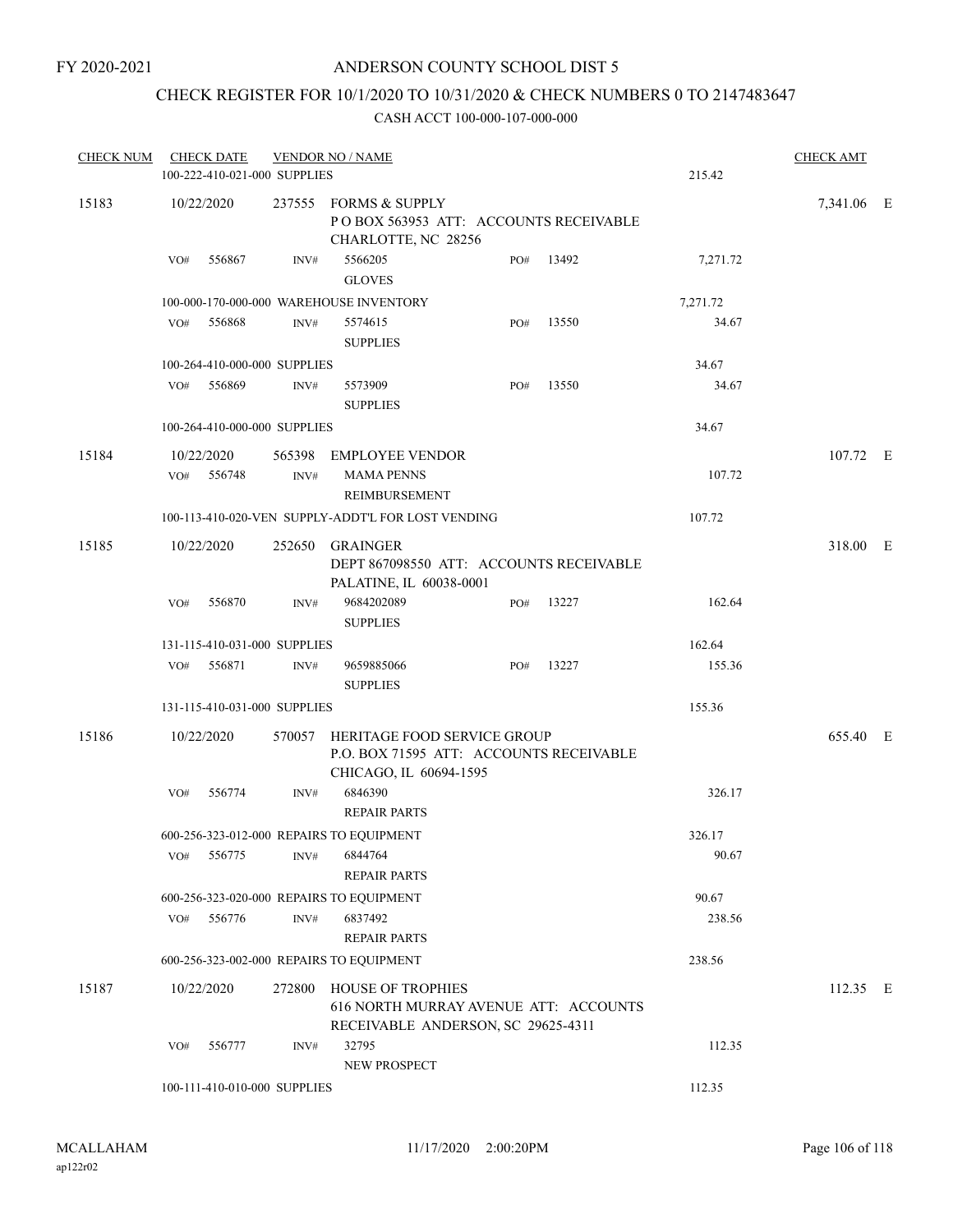## CHECK REGISTER FOR 10/1/2020 TO 10/31/2020 & CHECK NUMBERS 0 TO 2147483647

| <b>CHECK NUM</b> |     | <b>CHECK DATE</b> | 100-222-410-021-000 SUPPLIES | <b>VENDOR NO / NAME</b>                                                                                 |     |       | 215.42   | <b>CHECK AMT</b> |  |
|------------------|-----|-------------------|------------------------------|---------------------------------------------------------------------------------------------------------|-----|-------|----------|------------------|--|
| 15183            |     | 10/22/2020        |                              | 237555 FORMS & SUPPLY<br>PO BOX 563953 ATT: ACCOUNTS RECEIVABLE<br>CHARLOTTE, NC 28256                  |     |       |          | 7,341.06 E       |  |
|                  | VO# | 556867            | INV#                         | 5566205<br><b>GLOVES</b>                                                                                | PO# | 13492 | 7,271.72 |                  |  |
|                  |     |                   |                              | 100-000-170-000-000 WAREHOUSE INVENTORY                                                                 |     |       | 7,271.72 |                  |  |
|                  | VO# | 556868            | INV#                         | 5574615<br><b>SUPPLIES</b>                                                                              | PO# | 13550 | 34.67    |                  |  |
|                  |     |                   | 100-264-410-000-000 SUPPLIES |                                                                                                         |     |       | 34.67    |                  |  |
|                  | VO# | 556869            | INV#                         | 5573909<br><b>SUPPLIES</b>                                                                              | PO# | 13550 | 34.67    |                  |  |
|                  |     |                   | 100-264-410-000-000 SUPPLIES |                                                                                                         |     |       | 34.67    |                  |  |
| 15184            |     | 10/22/2020        |                              | 565398 EMPLOYEE VENDOR                                                                                  |     |       |          | 107.72 E         |  |
|                  | VO# | 556748            | $\text{INV}\#$               | <b>MAMA PENNS</b><br><b>REIMBURSEMENT</b>                                                               |     |       | 107.72   |                  |  |
|                  |     |                   |                              | 100-113-410-020-VEN SUPPLY-ADDT'L FOR LOST VENDING                                                      |     |       | 107.72   |                  |  |
| 15185            |     | 10/22/2020        | 252650                       | <b>GRAINGER</b><br>DEPT 867098550 ATT: ACCOUNTS RECEIVABLE<br>PALATINE, IL 60038-0001                   |     |       |          | 318.00 E         |  |
|                  | VO# | 556870            | INV#                         | 9684202089<br><b>SUPPLIES</b>                                                                           | PO# | 13227 | 162.64   |                  |  |
|                  |     |                   | 131-115-410-031-000 SUPPLIES |                                                                                                         |     |       | 162.64   |                  |  |
|                  | VO# | 556871            | INV#                         | 9659885066<br><b>SUPPLIES</b>                                                                           | PO# | 13227 | 155.36   |                  |  |
|                  |     |                   | 131-115-410-031-000 SUPPLIES |                                                                                                         |     |       | 155.36   |                  |  |
| 15186            |     | 10/22/2020        |                              | 570057 HERITAGE FOOD SERVICE GROUP<br>P.O. BOX 71595 ATT: ACCOUNTS RECEIVABLE                           |     |       |          | 655.40 E         |  |
|                  | VO# | 556774            | INV#                         | CHICAGO, IL 60694-1595<br>6846390<br><b>REPAIR PARTS</b>                                                |     |       | 326.17   |                  |  |
|                  |     |                   |                              | 600-256-323-012-000 REPAIRS TO EQUIPMENT                                                                |     |       | 326.17   |                  |  |
|                  | VO# | 556775            | INV#                         | 6844764<br><b>REPAIR PARTS</b>                                                                          |     |       | 90.67    |                  |  |
|                  |     |                   |                              | 600-256-323-020-000 REPAIRS TO EQUIPMENT                                                                |     |       | 90.67    |                  |  |
|                  | VO# | 556776            | $\text{INV}\#$               | 6837492<br><b>REPAIR PARTS</b>                                                                          |     |       | 238.56   |                  |  |
|                  |     |                   |                              | 600-256-323-002-000 REPAIRS TO EQUIPMENT                                                                |     |       | 238.56   |                  |  |
| 15187            |     | 10/22/2020        |                              | 272800 HOUSE OF TROPHIES<br>616 NORTH MURRAY AVENUE ATT: ACCOUNTS<br>RECEIVABLE ANDERSON, SC 29625-4311 |     |       |          | 112.35 E         |  |
|                  | VO# | 556777            | INV#                         | 32795<br>NEW PROSPECT                                                                                   |     |       | 112.35   |                  |  |
|                  |     |                   | 100-111-410-010-000 SUPPLIES |                                                                                                         |     |       | 112.35   |                  |  |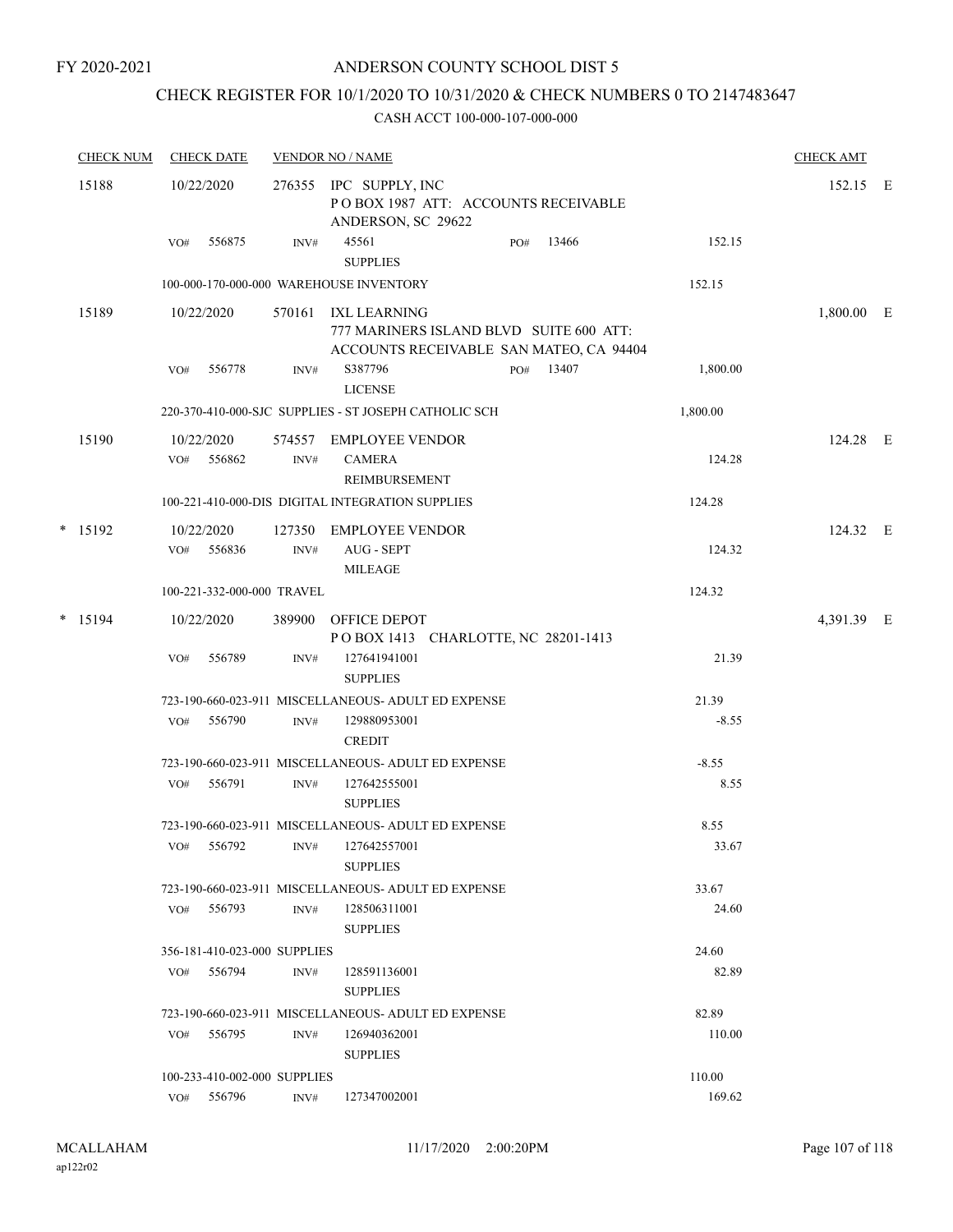#### FY 2020-2021

## ANDERSON COUNTY SCHOOL DIST 5

## CHECK REGISTER FOR 10/1/2020 TO 10/31/2020 & CHECK NUMBERS 0 TO 2147483647

| <b>CHECK NUM</b> |     | <b>CHECK DATE</b>            |      | <b>VENDOR NO / NAME</b>                                                                                   |     |           |          | <b>CHECK AMT</b> |  |
|------------------|-----|------------------------------|------|-----------------------------------------------------------------------------------------------------------|-----|-----------|----------|------------------|--|
| 15188            |     | 10/22/2020                   |      | 276355 IPC SUPPLY, INC<br>POBOX 1987 ATT: ACCOUNTS RECEIVABLE<br>ANDERSON, SC 29622                       |     |           |          | 152.15 E         |  |
|                  | VO# | 556875                       | INV# | 45561<br><b>SUPPLIES</b>                                                                                  | PO# | 13466     | 152.15   |                  |  |
|                  |     |                              |      | 100-000-170-000-000 WAREHOUSE INVENTORY                                                                   |     |           | 152.15   |                  |  |
| 15189            |     | 10/22/2020                   |      | 570161 IXL LEARNING<br>777 MARINERS ISLAND BLVD SUITE 600 ATT:<br>ACCOUNTS RECEIVABLE SAN MATEO, CA 94404 |     |           |          | 1,800.00 E       |  |
|                  | VO# | 556778                       | INV# | S387796<br><b>LICENSE</b>                                                                                 |     | PO# 13407 | 1,800.00 |                  |  |
|                  |     |                              |      | 220-370-410-000-SJC SUPPLIES - ST JOSEPH CATHOLIC SCH                                                     |     |           | 1,800.00 |                  |  |
| 15190            |     | 10/22/2020<br>VO# 556862     | INV# | 574557 EMPLOYEE VENDOR<br><b>CAMERA</b><br>REIMBURSEMENT                                                  |     |           | 124.28   | 124.28 E         |  |
|                  |     |                              |      | 100-221-410-000-DIS DIGITAL INTEGRATION SUPPLIES                                                          |     |           | 124.28   |                  |  |
| $*$ 15192        |     | 10/22/2020<br>VO# 556836     | INV# | 127350 EMPLOYEE VENDOR<br>AUG - SEPT<br><b>MILEAGE</b>                                                    |     |           | 124.32   | 124.32 E         |  |
|                  |     | 100-221-332-000-000 TRAVEL   |      |                                                                                                           |     |           | 124.32   |                  |  |
| $*$ 15194        |     | 10/22/2020                   |      | 389900 OFFICE DEPOT                                                                                       |     |           |          | 4,391.39 E       |  |
|                  |     |                              |      | POBOX 1413 CHARLOTTE, NC 28201-1413                                                                       |     |           |          |                  |  |
|                  | VO# | 556789                       | INV# | 127641941001<br><b>SUPPLIES</b>                                                                           |     |           | 21.39    |                  |  |
|                  |     |                              |      | 723-190-660-023-911 MISCELLANEOUS- ADULT ED EXPENSE                                                       |     |           | 21.39    |                  |  |
|                  | VO# | 556790                       | INV# | 129880953001<br><b>CREDIT</b>                                                                             |     |           | $-8.55$  |                  |  |
|                  |     |                              |      | 723-190-660-023-911 MISCELLANEOUS- ADULT ED EXPENSE                                                       |     |           | $-8.55$  |                  |  |
|                  | VO# | 556791                       | INV# | 127642555001<br><b>SUPPLIES</b>                                                                           |     |           | 8.55     |                  |  |
|                  |     |                              |      | 723-190-660-023-911 MISCELLANEOUS- ADULT ED EXPENSE                                                       |     |           | 8.55     |                  |  |
|                  |     | VO# 556792                   |      | INV# 127642557001<br><b>SUPPLIES</b>                                                                      |     |           | 33.67    |                  |  |
|                  |     |                              |      | 723-190-660-023-911 MISCELLANEOUS- ADULT ED EXPENSE                                                       |     |           | 33.67    |                  |  |
|                  |     | VO# 556793                   | INV# | 128506311001<br><b>SUPPLIES</b>                                                                           |     |           | 24.60    |                  |  |
|                  |     | 356-181-410-023-000 SUPPLIES |      |                                                                                                           |     |           | 24.60    |                  |  |
|                  |     | VO# 556794                   | INV# | 128591136001<br><b>SUPPLIES</b>                                                                           |     |           | 82.89    |                  |  |
|                  |     |                              |      | 723-190-660-023-911 MISCELLANEOUS- ADULT ED EXPENSE                                                       |     |           | 82.89    |                  |  |
|                  | VO# | 556795                       | INV# | 126940362001<br><b>SUPPLIES</b>                                                                           |     |           | 110.00   |                  |  |
|                  |     | 100-233-410-002-000 SUPPLIES |      |                                                                                                           |     |           | 110.00   |                  |  |
|                  |     | VO# 556796                   | INV# | 127347002001                                                                                              |     |           | 169.62   |                  |  |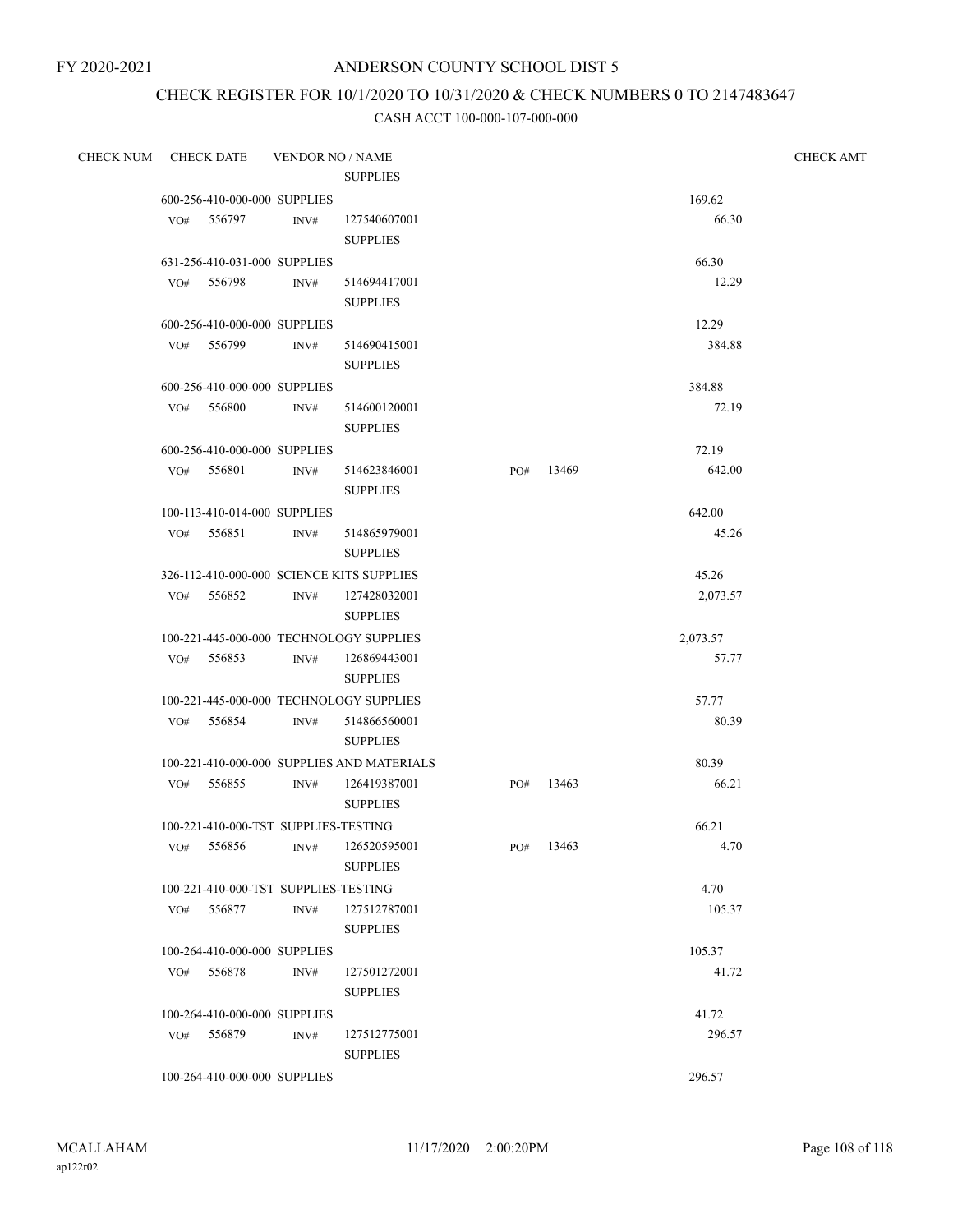# CHECK REGISTER FOR 10/1/2020 TO 10/31/2020 & CHECK NUMBERS 0 TO 2147483647

| <b>CHECK NUM</b> |     | <b>CHECK DATE</b>                    | <b>VENDOR NO / NAME</b> |                                            |     |           |          | <b>CHECK AMT</b> |
|------------------|-----|--------------------------------------|-------------------------|--------------------------------------------|-----|-----------|----------|------------------|
|                  |     |                                      |                         | <b>SUPPLIES</b>                            |     |           |          |                  |
|                  |     | 600-256-410-000-000 SUPPLIES         |                         |                                            |     |           | 169.62   |                  |
|                  |     | VO# 556797                           | INV#                    | 127540607001                               |     |           | 66.30    |                  |
|                  |     |                                      |                         | <b>SUPPLIES</b>                            |     |           |          |                  |
|                  |     | 631-256-410-031-000 SUPPLIES         |                         |                                            |     |           | 66.30    |                  |
|                  |     | VO# 556798                           | INV#                    | 514694417001                               |     |           | 12.29    |                  |
|                  |     |                                      |                         | <b>SUPPLIES</b>                            |     |           |          |                  |
|                  |     | 600-256-410-000-000 SUPPLIES         |                         |                                            |     |           | 12.29    |                  |
|                  | VO# | 556799                               | INV#                    | 514690415001                               |     |           | 384.88   |                  |
|                  |     |                                      |                         | <b>SUPPLIES</b>                            |     |           |          |                  |
|                  |     | 600-256-410-000-000 SUPPLIES         |                         |                                            |     |           | 384.88   |                  |
|                  |     | VO# 556800                           | INV#                    | 514600120001                               |     |           | 72.19    |                  |
|                  |     |                                      |                         | <b>SUPPLIES</b>                            |     |           |          |                  |
|                  |     | 600-256-410-000-000 SUPPLIES         |                         |                                            |     |           | 72.19    |                  |
|                  |     | VO# 556801                           | INV#                    | 514623846001<br><b>SUPPLIES</b>            |     | PO# 13469 | 642.00   |                  |
|                  |     | 100-113-410-014-000 SUPPLIES         |                         |                                            |     |           | 642.00   |                  |
|                  |     | VO# 556851                           | INV#                    | 514865979001<br><b>SUPPLIES</b>            |     |           | 45.26    |                  |
|                  |     |                                      |                         | 326-112-410-000-000 SCIENCE KITS SUPPLIES  |     |           | 45.26    |                  |
|                  |     | VO# 556852                           | INV#                    | 127428032001<br><b>SUPPLIES</b>            |     |           | 2,073.57 |                  |
|                  |     |                                      |                         | 100-221-445-000-000 TECHNOLOGY SUPPLIES    |     |           | 2,073.57 |                  |
|                  |     | VO# 556853                           | INV#                    | 126869443001                               |     |           | 57.77    |                  |
|                  |     |                                      |                         | <b>SUPPLIES</b>                            |     |           |          |                  |
|                  |     |                                      |                         | 100-221-445-000-000 TECHNOLOGY SUPPLIES    |     |           | 57.77    |                  |
|                  |     | VO# 556854                           | INV#                    | 514866560001                               |     |           | 80.39    |                  |
|                  |     |                                      |                         | <b>SUPPLIES</b>                            |     |           |          |                  |
|                  |     |                                      |                         | 100-221-410-000-000 SUPPLIES AND MATERIALS |     |           | 80.39    |                  |
|                  | VO# | 556855                               | INV#                    | 126419387001<br><b>SUPPLIES</b>            | PO# | 13463     | 66.21    |                  |
|                  |     | 100-221-410-000-TST SUPPLIES-TESTING |                         |                                            |     |           | 66.21    |                  |
|                  |     | VO# 556856                           |                         | INV# 126520595001<br><b>SUPPLIES</b>       |     | PO# 13463 | 4.70     |                  |
|                  |     | 100-221-410-000-TST SUPPLIES-TESTING |                         |                                            |     |           | 4.70     |                  |
|                  | VO# | 556877                               | INV#                    | 127512787001                               |     |           | 105.37   |                  |
|                  |     |                                      |                         | <b>SUPPLIES</b>                            |     |           |          |                  |
|                  |     | 100-264-410-000-000 SUPPLIES         |                         |                                            |     |           | 105.37   |                  |
|                  | VO# | 556878                               | INV#                    | 127501272001                               |     |           | 41.72    |                  |
|                  |     |                                      |                         | <b>SUPPLIES</b>                            |     |           |          |                  |
|                  |     | 100-264-410-000-000 SUPPLIES         |                         |                                            |     |           | 41.72    |                  |
|                  | VO# | 556879                               | INV#                    | 127512775001                               |     |           | 296.57   |                  |
|                  |     |                                      |                         | <b>SUPPLIES</b>                            |     |           |          |                  |
|                  |     | 100-264-410-000-000 SUPPLIES         |                         |                                            |     |           | 296.57   |                  |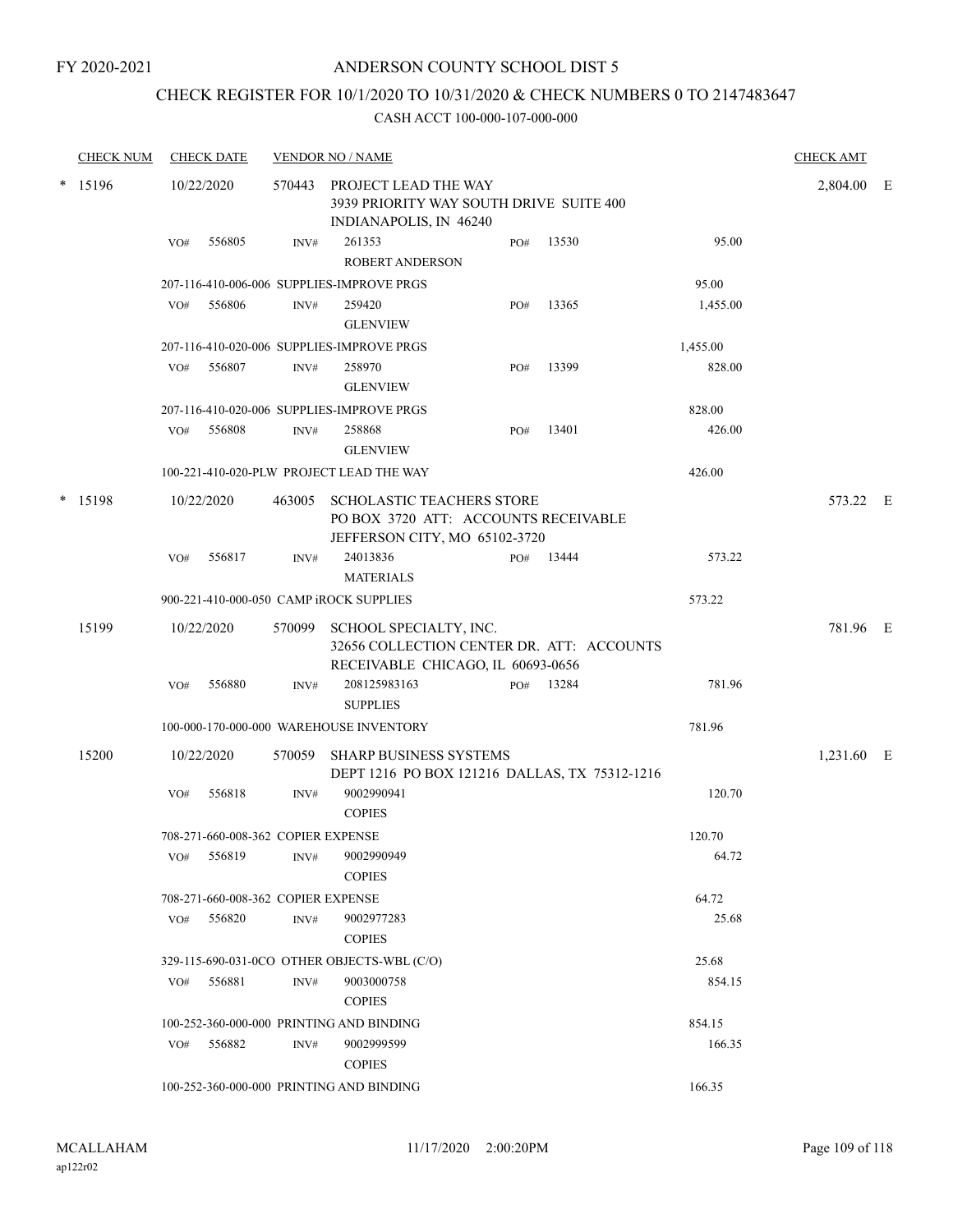### FY 2020-2021

## ANDERSON COUNTY SCHOOL DIST 5

## CHECK REGISTER FOR 10/1/2020 TO 10/31/2020 & CHECK NUMBERS 0 TO 2147483647

| <b>CHECK NUM</b> |     | <b>CHECK DATE</b>                  |        | <b>VENDOR NO / NAME</b>                                                                                   |     |       |          | <b>CHECK AMT</b> |  |
|------------------|-----|------------------------------------|--------|-----------------------------------------------------------------------------------------------------------|-----|-------|----------|------------------|--|
| * 15196          |     | 10/22/2020                         |        | 570443 PROJECT LEAD THE WAY<br>3939 PRIORITY WAY SOUTH DRIVE SUITE 400<br>INDIANAPOLIS, IN 46240          |     |       |          | 2,804.00 E       |  |
|                  | VO# | 556805                             | INV#   | 261353<br><b>ROBERT ANDERSON</b>                                                                          | PO# | 13530 | 95.00    |                  |  |
|                  |     |                                    |        | 207-116-410-006-006 SUPPLIES-IMPROVE PRGS                                                                 |     |       | 95.00    |                  |  |
|                  | VO# | 556806                             | INV#   | 259420<br><b>GLENVIEW</b>                                                                                 | PO# | 13365 | 1,455.00 |                  |  |
|                  |     |                                    |        | 207-116-410-020-006 SUPPLIES-IMPROVE PRGS                                                                 |     |       | 1,455.00 |                  |  |
|                  | VO# | 556807                             | INV#   | 258970<br><b>GLENVIEW</b>                                                                                 | PO# | 13399 | 828.00   |                  |  |
|                  |     |                                    |        | 207-116-410-020-006 SUPPLIES-IMPROVE PRGS                                                                 |     |       | 828.00   |                  |  |
|                  | VO# | 556808                             | INV#   | 258868<br><b>GLENVIEW</b>                                                                                 | PO# | 13401 | 426.00   |                  |  |
|                  |     |                                    |        | 100-221-410-020-PLW PROJECT LEAD THE WAY                                                                  |     |       | 426.00   |                  |  |
| * 15198          |     | 10/22/2020                         | 463005 | <b>SCHOLASTIC TEACHERS STORE</b><br>PO BOX 3720 ATT: ACCOUNTS RECEIVABLE<br>JEFFERSON CITY, MO 65102-3720 |     |       |          | 573.22 E         |  |
|                  | VO# | 556817                             | INV#   | 24013836<br><b>MATERIALS</b>                                                                              | PO# | 13444 | 573.22   |                  |  |
|                  |     |                                    |        | 900-221-410-000-050 CAMP iROCK SUPPLIES                                                                   |     |       | 573.22   |                  |  |
| 15199            |     | 10/22/2020                         | 570099 | SCHOOL SPECIALTY, INC.<br>32656 COLLECTION CENTER DR. ATT: ACCOUNTS<br>RECEIVABLE CHICAGO, IL 60693-0656  |     |       |          | 781.96 E         |  |
|                  | VO# | 556880                             | INV#   | 208125983163<br><b>SUPPLIES</b>                                                                           | PO# | 13284 | 781.96   |                  |  |
|                  |     |                                    |        | 100-000-170-000-000 WAREHOUSE INVENTORY                                                                   |     |       | 781.96   |                  |  |
| 15200            |     | 10/22/2020                         | 570059 | <b>SHARP BUSINESS SYSTEMS</b><br>DEPT 1216 PO BOX 121216 DALLAS, TX 75312-1216                            |     |       |          | 1,231.60 E       |  |
|                  | VO# | 556818                             | INV#   | 9002990941<br><b>COPIES</b>                                                                               |     |       | 120.70   |                  |  |
|                  |     | 708-271-660-008-362 COPIER EXPENSE |        |                                                                                                           |     |       | 120.70   |                  |  |
|                  | VO# | 556819                             | INV#   | 9002990949<br><b>COPIES</b>                                                                               |     |       | 64.72    |                  |  |
|                  |     | 708-271-660-008-362 COPIER EXPENSE |        |                                                                                                           |     |       | 64.72    |                  |  |
|                  | VO# | 556820                             | INV#   | 9002977283<br><b>COPIES</b>                                                                               |     |       | 25.68    |                  |  |
|                  |     |                                    |        | 329-115-690-031-0CO OTHER OBJECTS-WBL (C/O)                                                               |     |       | 25.68    |                  |  |
|                  | VO# | 556881                             | INV#   | 9003000758<br><b>COPIES</b>                                                                               |     |       | 854.15   |                  |  |
|                  |     |                                    |        | 100-252-360-000-000 PRINTING AND BINDING                                                                  |     |       | 854.15   |                  |  |
|                  | VO# | 556882                             | INV#   | 9002999599<br><b>COPIES</b>                                                                               |     |       | 166.35   |                  |  |
|                  |     |                                    |        | 100-252-360-000-000 PRINTING AND BINDING                                                                  |     |       | 166.35   |                  |  |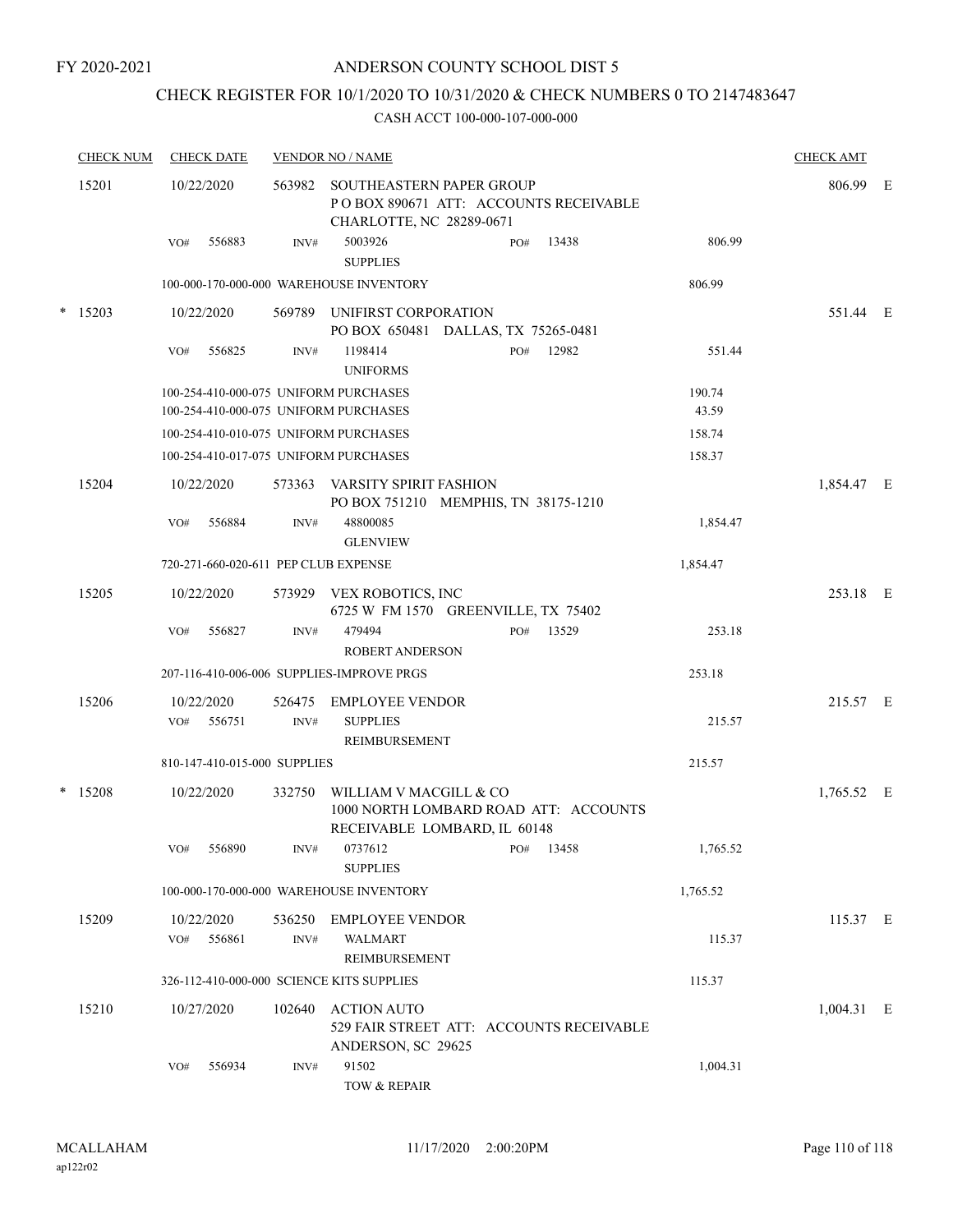# CHECK REGISTER FOR 10/1/2020 TO 10/31/2020 & CHECK NUMBERS 0 TO 2147483647

| <b>CHECK NUM</b> | <b>CHECK DATE</b>                         |                | <b>VENDOR NO / NAME</b>                                                                              |     |           |          | <b>CHECK AMT</b> |  |
|------------------|-------------------------------------------|----------------|------------------------------------------------------------------------------------------------------|-----|-----------|----------|------------------|--|
| 15201            | 10/22/2020                                |                | 563982 SOUTHEASTERN PAPER GROUP<br>POBOX 890671 ATT: ACCOUNTS RECEIVABLE<br>CHARLOTTE, NC 28289-0671 |     |           |          | 806.99 E         |  |
|                  | 556883<br>VO#                             | INV#           | 5003926<br><b>SUPPLIES</b>                                                                           | PO# | 13438     | 806.99   |                  |  |
|                  |                                           |                | 100-000-170-000-000 WAREHOUSE INVENTORY                                                              |     |           | 806.99   |                  |  |
| $*$ 15203        | 10/22/2020                                |                | 569789 UNIFIRST CORPORATION<br>PO BOX 650481 DALLAS, TX 75265-0481                                   |     |           |          | 551.44 E         |  |
|                  | VO#<br>556825                             | INV#           | 1198414<br><b>UNIFORMS</b>                                                                           | PO# | 12982     | 551.44   |                  |  |
|                  | 100-254-410-000-075 UNIFORM PURCHASES     |                |                                                                                                      |     |           | 190.74   |                  |  |
|                  | 100-254-410-000-075 UNIFORM PURCHASES     |                |                                                                                                      |     |           | 43.59    |                  |  |
|                  | 100-254-410-010-075 UNIFORM PURCHASES     |                |                                                                                                      |     |           | 158.74   |                  |  |
|                  | 100-254-410-017-075 UNIFORM PURCHASES     |                |                                                                                                      |     |           | 158.37   |                  |  |
| 15204            | 10/22/2020                                | 573363         | VARSITY SPIRIT FASHION<br>PO BOX 751210 MEMPHIS, TN 38175-1210                                       |     |           |          | 1,854.47 E       |  |
|                  | VO#<br>556884                             | INV#           | 48800085<br><b>GLENVIEW</b>                                                                          |     |           | 1,854.47 |                  |  |
|                  | 720-271-660-020-611 PEP CLUB EXPENSE      |                |                                                                                                      |     |           | 1,854.47 |                  |  |
| 15205            | 10/22/2020                                |                | 573929 VEX ROBOTICS, INC<br>6725 W FM 1570 GREENVILLE, TX 75402                                      |     |           |          | 253.18 E         |  |
|                  | 556827<br>VO#                             | INV#           | 479494<br><b>ROBERT ANDERSON</b>                                                                     |     | PO# 13529 | 253.18   |                  |  |
|                  |                                           |                | 207-116-410-006-006 SUPPLIES-IMPROVE PRGS                                                            |     |           | 253.18   |                  |  |
| 15206            | 10/22/2020<br>VO#<br>556751               | 526475<br>INV# | EMPLOYEE VENDOR<br><b>SUPPLIES</b>                                                                   |     |           | 215.57   | 215.57 E         |  |
|                  |                                           |                | REIMBURSEMENT                                                                                        |     |           |          |                  |  |
|                  | 810-147-410-015-000 SUPPLIES              |                |                                                                                                      |     |           | 215.57   |                  |  |
| $*$ 15208        | 10/22/2020                                | 332750         | WILLIAM V MACGILL & CO<br>1000 NORTH LOMBARD ROAD ATT: ACCOUNTS<br>RECEIVABLE LOMBARD, IL 60148      |     |           |          | 1,765.52 E       |  |
|                  | VO# 556890                                |                | INV# 0737612<br>$PO#$ 13458<br><b>SUPPLIES</b>                                                       |     |           | 1,765.52 |                  |  |
|                  |                                           |                | 100-000-170-000-000 WAREHOUSE INVENTORY                                                              |     |           | 1,765.52 |                  |  |
| 15209            | 10/22/2020                                |                | 536250 EMPLOYEE VENDOR                                                                               |     |           |          | 115.37 E         |  |
|                  | VO# 556861                                | INV#           | <b>WALMART</b><br><b>REIMBURSEMENT</b>                                                               |     |           | 115.37   |                  |  |
|                  | 326-112-410-000-000 SCIENCE KITS SUPPLIES |                |                                                                                                      |     |           | 115.37   |                  |  |
| 15210            | 10/27/2020                                | 102640         | <b>ACTION AUTO</b><br>529 FAIR STREET ATT: ACCOUNTS RECEIVABLE<br>ANDERSON, SC 29625                 |     |           |          | $1,004.31$ E     |  |
|                  | 556934<br>VO#                             | INV#           | 91502<br>TOW & REPAIR                                                                                |     |           | 1,004.31 |                  |  |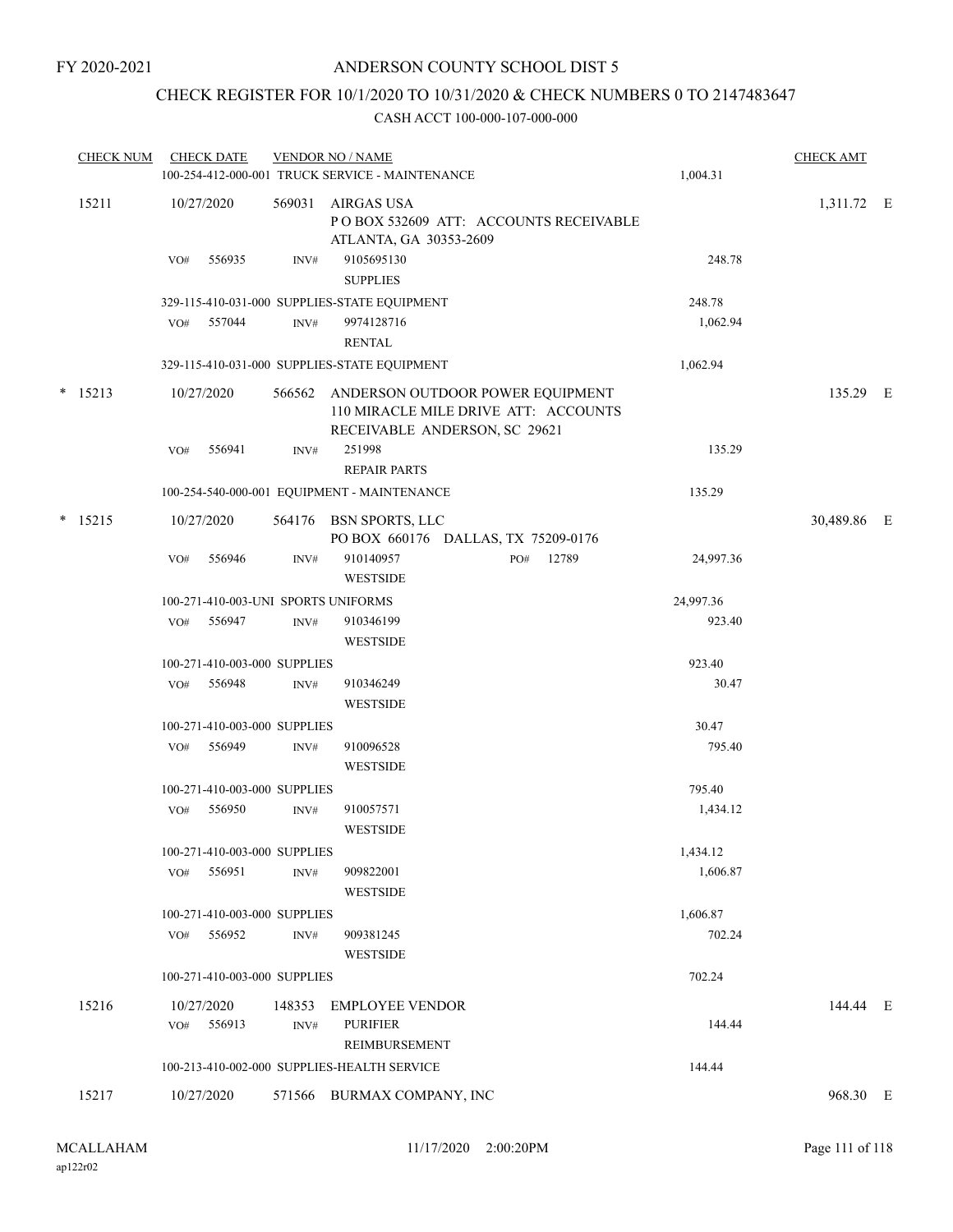## CHECK REGISTER FOR 10/1/2020 TO 10/31/2020 & CHECK NUMBERS 0 TO 2147483647

| <b>CHECK NUM</b> | <b>CHECK DATE</b>                   |        | <b>VENDOR NO / NAME</b>                                                                                   |           | <b>CHECK AMT</b> |  |
|------------------|-------------------------------------|--------|-----------------------------------------------------------------------------------------------------------|-----------|------------------|--|
|                  |                                     |        | 100-254-412-000-001 TRUCK SERVICE - MAINTENANCE                                                           | 1,004.31  |                  |  |
| 15211            | 10/27/2020                          | 569031 | AIRGAS USA<br>POBOX 532609 ATT: ACCOUNTS RECEIVABLE<br>ATLANTA, GA 30353-2609                             |           | 1,311.72 E       |  |
|                  | VO#<br>556935                       | INV#   | 9105695130<br><b>SUPPLIES</b>                                                                             | 248.78    |                  |  |
|                  |                                     |        | 329-115-410-031-000 SUPPLIES-STATE EQUIPMENT                                                              | 248.78    |                  |  |
|                  | 557044<br>VO#                       | INV#   | 9974128716<br><b>RENTAL</b>                                                                               | 1,062.94  |                  |  |
|                  |                                     |        | 329-115-410-031-000 SUPPLIES-STATE EQUIPMENT                                                              | 1,062.94  |                  |  |
| $*$ 15213        | 10/27/2020                          | 566562 | ANDERSON OUTDOOR POWER EQUIPMENT<br>110 MIRACLE MILE DRIVE ATT: ACCOUNTS<br>RECEIVABLE ANDERSON, SC 29621 |           | 135.29 E         |  |
|                  | VO#<br>556941                       | INV#   | 251998                                                                                                    | 135.29    |                  |  |
|                  |                                     |        | <b>REPAIR PARTS</b>                                                                                       |           |                  |  |
|                  |                                     |        | 100-254-540-000-001 EQUIPMENT - MAINTENANCE                                                               | 135.29    |                  |  |
| $*$ 15215        | 10/27/2020                          |        | 564176 BSN SPORTS, LLC<br>PO BOX 660176 DALLAS, TX 75209-0176                                             |           | 30,489.86 E      |  |
|                  | VO#<br>556946                       | INV#   | 910140957<br>12789<br>PO#<br><b>WESTSIDE</b>                                                              | 24,997.36 |                  |  |
|                  | 100-271-410-003-UNI SPORTS UNIFORMS |        |                                                                                                           | 24,997.36 |                  |  |
|                  | 556947<br>VO#                       | INV#   | 910346199<br><b>WESTSIDE</b>                                                                              | 923.40    |                  |  |
|                  | 100-271-410-003-000 SUPPLIES        |        |                                                                                                           | 923.40    |                  |  |
|                  | 556948<br>VO#                       | INV#   | 910346249<br><b>WESTSIDE</b>                                                                              | 30.47     |                  |  |
|                  | 100-271-410-003-000 SUPPLIES        |        |                                                                                                           | 30.47     |                  |  |
|                  | 556949<br>VO#                       | INV#   | 910096528<br><b>WESTSIDE</b>                                                                              | 795.40    |                  |  |
|                  | 100-271-410-003-000 SUPPLIES        |        |                                                                                                           | 795.40    |                  |  |
|                  | 556950<br>VO#                       | INV#   | 910057571<br><b>WESTSIDE</b>                                                                              | 1,434.12  |                  |  |
|                  | 100-271-410-003-000 SUPPLIES        |        |                                                                                                           | 1,434.12  |                  |  |
|                  | 556951<br>VO#                       | INV#   | 909822001<br><b>WESTSIDE</b>                                                                              | 1,606.87  |                  |  |
|                  | 100-271-410-003-000 SUPPLIES        |        |                                                                                                           | 1,606.87  |                  |  |
|                  | 556952<br>VO#                       | INV#   | 909381245<br><b>WESTSIDE</b>                                                                              | 702.24    |                  |  |
|                  | 100-271-410-003-000 SUPPLIES        |        |                                                                                                           | 702.24    |                  |  |
| 15216            | 10/27/2020                          | 148353 | <b>EMPLOYEE VENDOR</b>                                                                                    |           | 144.44 E         |  |
|                  | 556913<br>VO#                       | INV#   | <b>PURIFIER</b>                                                                                           | 144.44    |                  |  |
|                  |                                     |        | REIMBURSEMENT                                                                                             |           |                  |  |
|                  |                                     |        | 100-213-410-002-000 SUPPLIES-HEALTH SERVICE                                                               | 144.44    |                  |  |
| 15217            | 10/27/2020                          |        | 571566 BURMAX COMPANY, INC                                                                                |           | 968.30 E         |  |
|                  |                                     |        |                                                                                                           |           |                  |  |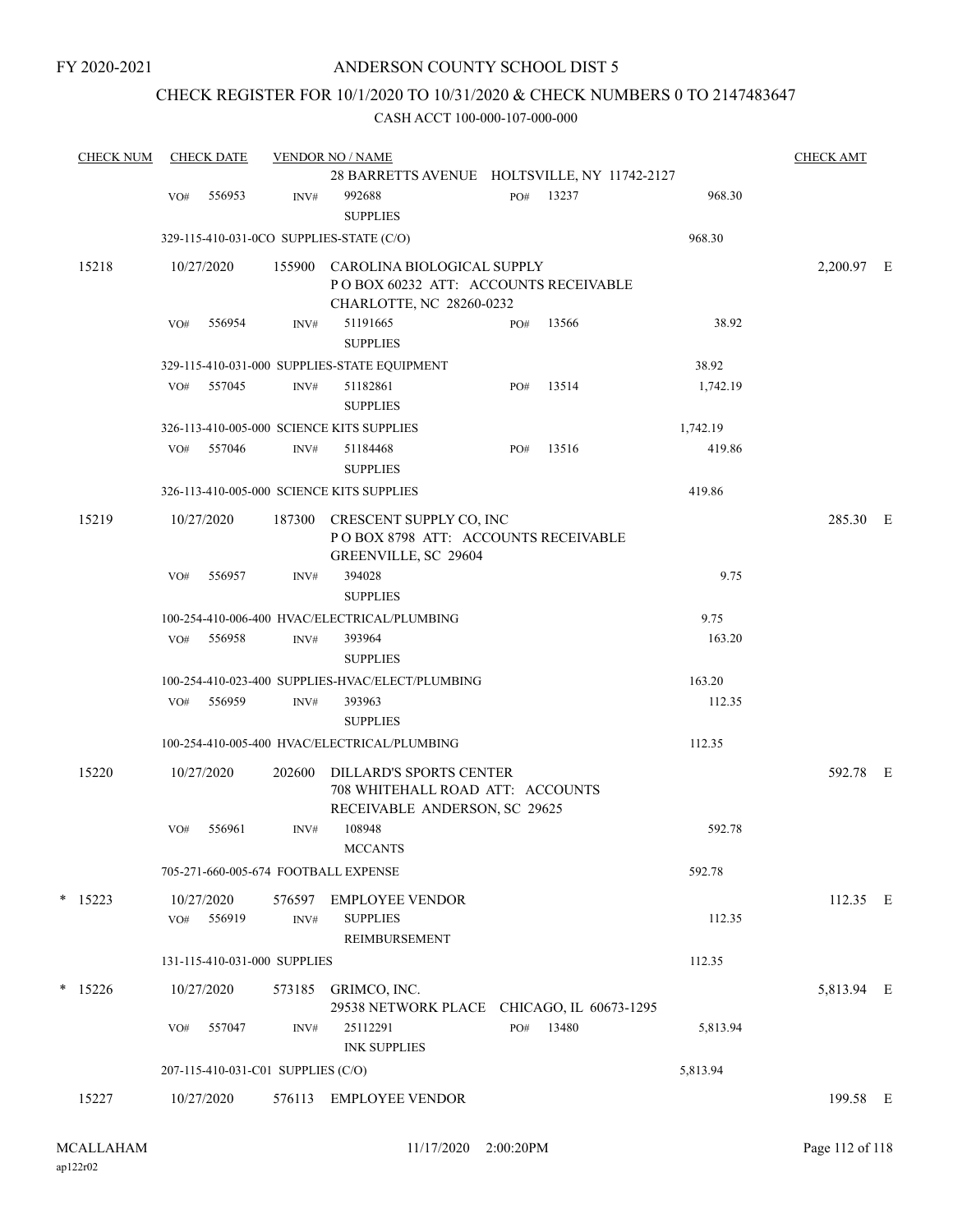FY 2020-2021

## ANDERSON COUNTY SCHOOL DIST 5

## CHECK REGISTER FOR 10/1/2020 TO 10/31/2020 & CHECK NUMBERS 0 TO 2147483647

| <b>CHECK NUM</b> |     | <b>CHECK DATE</b> |                                    | <b>VENDOR NO / NAME</b>                                                                             |     |           |          | <b>CHECK AMT</b> |  |
|------------------|-----|-------------------|------------------------------------|-----------------------------------------------------------------------------------------------------|-----|-----------|----------|------------------|--|
|                  |     |                   |                                    | 28 BARRETTS AVENUE HOLTSVILLE, NY 11742-2127                                                        |     |           |          |                  |  |
|                  | VO# | 556953            | INV#                               | 992688<br><b>SUPPLIES</b>                                                                           |     | PO# 13237 | 968.30   |                  |  |
|                  |     |                   |                                    | 329-115-410-031-0CO SUPPLIES-STATE (C/O)                                                            |     |           | 968.30   |                  |  |
| 15218            |     | 10/27/2020        |                                    | 155900 CAROLINA BIOLOGICAL SUPPLY                                                                   |     |           |          | 2,200.97 E       |  |
|                  |     |                   |                                    | POBOX 60232 ATT: ACCOUNTS RECEIVABLE<br>CHARLOTTE, NC 28260-0232                                    |     |           |          |                  |  |
|                  | VO# | 556954            | INV#                               | 51191665<br><b>SUPPLIES</b>                                                                         | PO# | 13566     | 38.92    |                  |  |
|                  |     |                   |                                    | 329-115-410-031-000 SUPPLIES-STATE EQUIPMENT                                                        |     |           | 38.92    |                  |  |
|                  | VO# | 557045            | INV#                               | 51182861<br><b>SUPPLIES</b>                                                                         | PO# | 13514     | 1,742.19 |                  |  |
|                  |     |                   |                                    | 326-113-410-005-000 SCIENCE KITS SUPPLIES                                                           |     |           | 1,742.19 |                  |  |
|                  | VO# | 557046            | INV#                               | 51184468<br><b>SUPPLIES</b>                                                                         | PO# | 13516     | 419.86   |                  |  |
|                  |     |                   |                                    | 326-113-410-005-000 SCIENCE KITS SUPPLIES                                                           |     |           | 419.86   |                  |  |
| 15219            |     | 10/27/2020        | 187300                             | CRESCENT SUPPLY CO, INC<br>POBOX 8798 ATT: ACCOUNTS RECEIVABLE<br>GREENVILLE, SC 29604              |     |           |          | 285.30 E         |  |
|                  | VO# | 556957            | INV#                               | 394028<br><b>SUPPLIES</b>                                                                           |     |           | 9.75     |                  |  |
|                  |     |                   |                                    | 100-254-410-006-400 HVAC/ELECTRICAL/PLUMBING                                                        |     |           | 9.75     |                  |  |
|                  | VO# | 556958            | INV#                               | 393964<br><b>SUPPLIES</b>                                                                           |     |           | 163.20   |                  |  |
|                  |     |                   |                                    | 100-254-410-023-400 SUPPLIES-HVAC/ELECT/PLUMBING                                                    |     |           | 163.20   |                  |  |
|                  | VO# | 556959            | INV#                               | 393963<br><b>SUPPLIES</b>                                                                           |     |           | 112.35   |                  |  |
|                  |     |                   |                                    | 100-254-410-005-400 HVAC/ELECTRICAL/PLUMBING                                                        |     |           | 112.35   |                  |  |
| 15220            |     | 10/27/2020        | 202600                             | <b>DILLARD'S SPORTS CENTER</b><br>708 WHITEHALL ROAD ATT: ACCOUNTS<br>RECEIVABLE ANDERSON, SC 29625 |     |           |          | 592.78 E         |  |
|                  | VO# | 556961            | INV#                               | 108948<br><b>MCCANTS</b>                                                                            |     |           | 592.78   |                  |  |
|                  |     |                   |                                    | 705-271-660-005-674 FOOTBALL EXPENSE                                                                |     |           | 592.78   |                  |  |
| $*$ 15223        |     | 10/27/2020        |                                    | 576597 EMPLOYEE VENDOR                                                                              |     |           |          | 112.35 E         |  |
|                  |     | VO# 556919        | INV#                               | <b>SUPPLIES</b><br><b>REIMBURSEMENT</b>                                                             |     |           | 112.35   |                  |  |
|                  |     |                   | 131-115-410-031-000 SUPPLIES       |                                                                                                     |     |           | 112.35   |                  |  |
| $*$ 15226        |     | 10/27/2020        |                                    | 573185 GRIMCO, INC.<br>29538 NETWORK PLACE CHICAGO, IL 60673-1295                                   |     |           |          | 5,813.94 E       |  |
|                  | VO# | 557047            | INV#                               | 25112291<br><b>INK SUPPLIES</b>                                                                     |     | PO# 13480 | 5,813.94 |                  |  |
|                  |     |                   | 207-115-410-031-C01 SUPPLIES (C/O) |                                                                                                     |     |           | 5,813.94 |                  |  |
| 15227            |     | 10/27/2020        |                                    | 576113 EMPLOYEE VENDOR                                                                              |     |           |          | 199.58 E         |  |
|                  |     |                   |                                    |                                                                                                     |     |           |          |                  |  |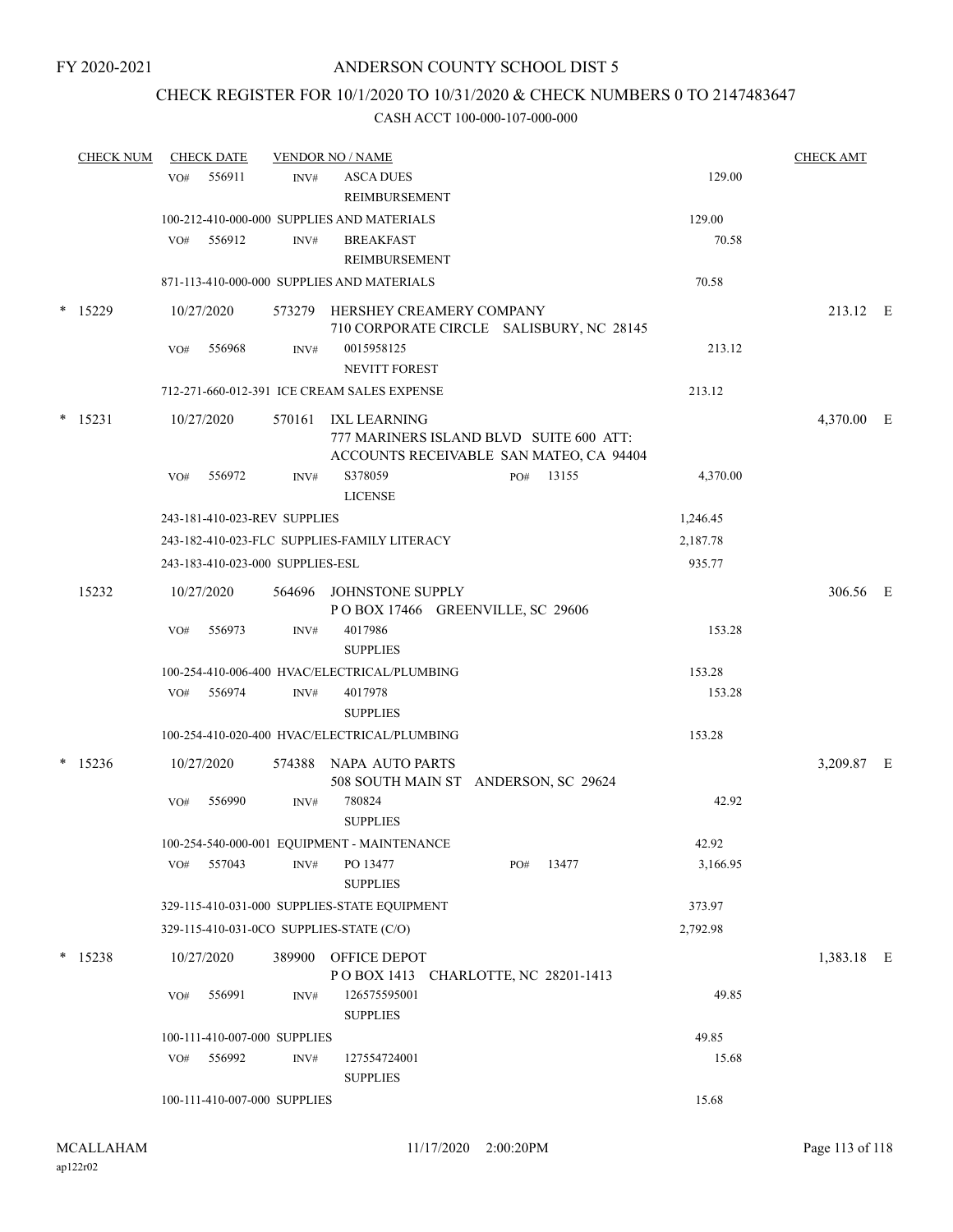## CHECK REGISTER FOR 10/1/2020 TO 10/31/2020 & CHECK NUMBERS 0 TO 2147483647

| <b>CHECK NUM</b> |     | <b>CHECK DATE</b>                |      | <b>VENDOR NO / NAME</b>                                                                                   |     |       |          | <b>CHECK AMT</b> |  |
|------------------|-----|----------------------------------|------|-----------------------------------------------------------------------------------------------------------|-----|-------|----------|------------------|--|
|                  | VO# | 556911                           | INV# | <b>ASCA DUES</b><br>REIMBURSEMENT                                                                         |     |       | 129.00   |                  |  |
|                  |     |                                  |      | 100-212-410-000-000 SUPPLIES AND MATERIALS                                                                |     |       | 129.00   |                  |  |
|                  |     | VO# 556912                       | INV# | <b>BREAKFAST</b><br>REIMBURSEMENT                                                                         |     |       | 70.58    |                  |  |
|                  |     |                                  |      | 871-113-410-000-000 SUPPLIES AND MATERIALS                                                                |     |       | 70.58    |                  |  |
| $*$ 15229        |     | 10/27/2020                       |      | 573279 HERSHEY CREAMERY COMPANY<br>710 CORPORATE CIRCLE SALISBURY, NC 28145                               |     |       |          | 213.12 E         |  |
|                  | VO# | 556968                           | INV# | 0015958125                                                                                                |     |       | 213.12   |                  |  |
|                  |     |                                  |      | <b>NEVITT FOREST</b>                                                                                      |     |       |          |                  |  |
|                  |     |                                  |      | 712-271-660-012-391 ICE CREAM SALES EXPENSE                                                               |     |       | 213.12   |                  |  |
| $*$ 15231        |     | 10/27/2020                       |      | 570161 IXL LEARNING<br>777 MARINERS ISLAND BLVD SUITE 600 ATT:<br>ACCOUNTS RECEIVABLE SAN MATEO, CA 94404 |     |       |          | 4,370.00 E       |  |
|                  | VO# | 556972                           | INV# | S378059<br><b>LICENSE</b>                                                                                 | PO# | 13155 | 4,370.00 |                  |  |
|                  |     | 243-181-410-023-REV SUPPLIES     |      |                                                                                                           |     |       | 1,246.45 |                  |  |
|                  |     |                                  |      | 243-182-410-023-FLC SUPPLIES-FAMILY LITERACY                                                              |     |       | 2,187.78 |                  |  |
|                  |     | 243-183-410-023-000 SUPPLIES-ESL |      |                                                                                                           |     |       | 935.77   |                  |  |
| 15232            |     | 10/27/2020                       |      | 564696 JOHNSTONE SUPPLY<br>POBOX 17466 GREENVILLE, SC 29606                                               |     |       |          | 306.56 E         |  |
|                  | VO# | 556973                           | INV# | 4017986<br><b>SUPPLIES</b>                                                                                |     |       | 153.28   |                  |  |
|                  |     |                                  |      | 100-254-410-006-400 HVAC/ELECTRICAL/PLUMBING                                                              |     |       | 153.28   |                  |  |
|                  |     | VO# 556974                       | INV# | 4017978<br><b>SUPPLIES</b>                                                                                |     |       | 153.28   |                  |  |
|                  |     |                                  |      | 100-254-410-020-400 HVAC/ELECTRICAL/PLUMBING                                                              |     |       | 153.28   |                  |  |
| $* 15236$        |     | 10/27/2020                       |      | 574388 NAPA AUTO PARTS<br>508 SOUTH MAIN ST ANDERSON, SC 29624                                            |     |       |          | 3,209.87 E       |  |
|                  | VO# | 556990                           | INV# | 780824<br><b>SUPPLIES</b>                                                                                 |     |       | 42.92    |                  |  |
|                  |     |                                  |      | 100-254-540-000-001 EQUIPMENT - MAINTENANCE                                                               |     |       | 42.92    |                  |  |
|                  |     | VO# 557043                       | INV# | PO 13477<br><b>SUPPLIES</b>                                                                               | PO# | 13477 | 3,166.95 |                  |  |
|                  |     |                                  |      | 329-115-410-031-000 SUPPLIES-STATE EQUIPMENT                                                              |     |       | 373.97   |                  |  |
|                  |     |                                  |      | 329-115-410-031-0CO SUPPLIES-STATE (C/O)                                                                  |     |       | 2,792.98 |                  |  |
| $* 15238$        |     | 10/27/2020                       |      | 389900 OFFICE DEPOT<br>POBOX 1413 CHARLOTTE, NC 28201-1413                                                |     |       |          | 1,383.18 E       |  |
|                  | VO# | 556991                           | INV# | 126575595001<br><b>SUPPLIES</b>                                                                           |     |       | 49.85    |                  |  |
|                  |     | 100-111-410-007-000 SUPPLIES     |      |                                                                                                           |     |       | 49.85    |                  |  |
|                  |     | VO# 556992                       | INV# | 127554724001<br><b>SUPPLIES</b>                                                                           |     |       | 15.68    |                  |  |
|                  |     | 100-111-410-007-000 SUPPLIES     |      |                                                                                                           |     |       | 15.68    |                  |  |
|                  |     |                                  |      |                                                                                                           |     |       |          |                  |  |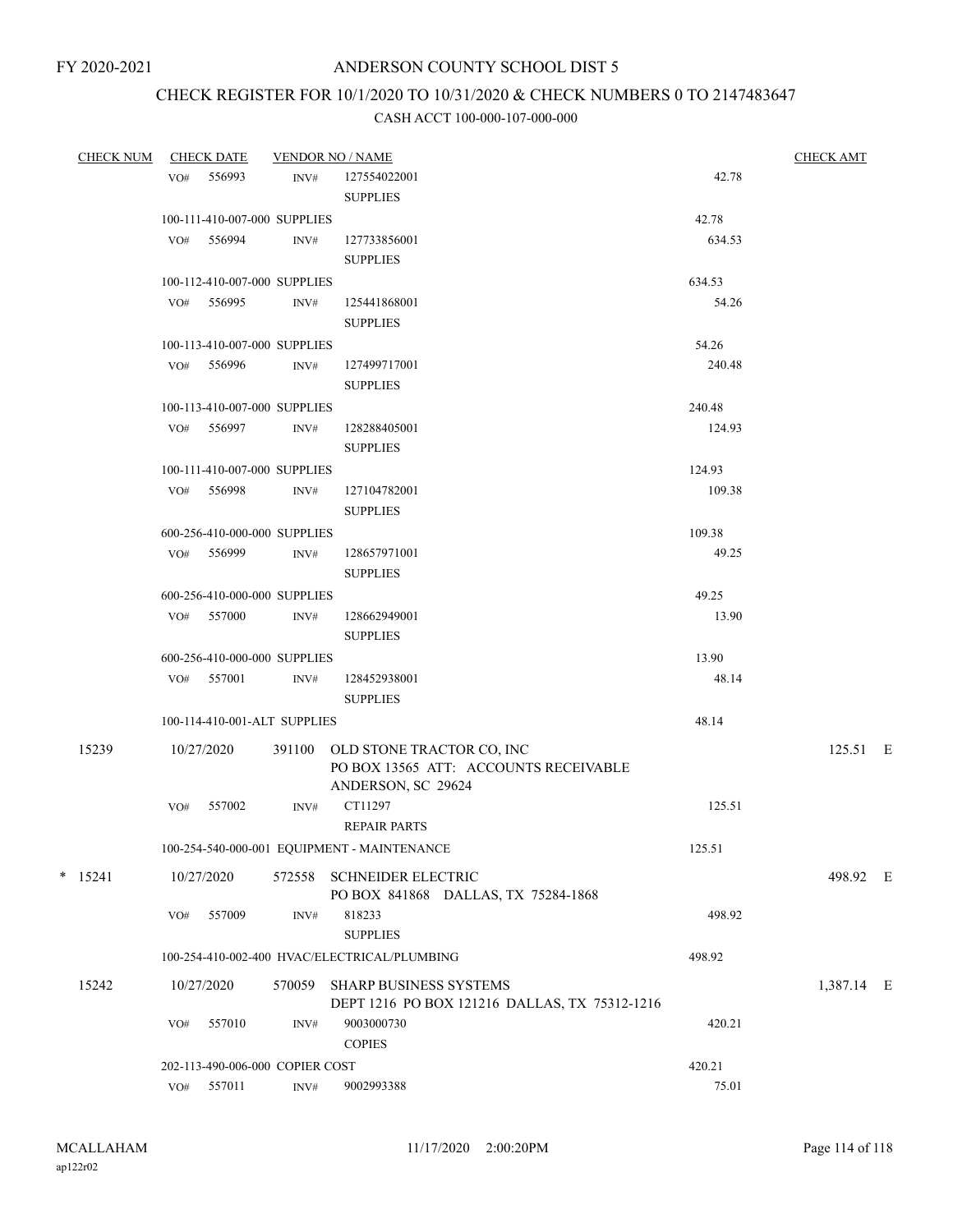# CHECK REGISTER FOR 10/1/2020 TO 10/31/2020 & CHECK NUMBERS 0 TO 2147483647

| <b>CHECK NUM</b> |     | <b>CHECK DATE</b>               |                | <b>VENDOR NO / NAME</b>                                                 |        | <b>CHECK AMT</b> |  |
|------------------|-----|---------------------------------|----------------|-------------------------------------------------------------------------|--------|------------------|--|
|                  | VO# | 556993                          | INV#           | 127554022001                                                            | 42.78  |                  |  |
|                  |     |                                 |                | <b>SUPPLIES</b>                                                         |        |                  |  |
|                  |     | 100-111-410-007-000 SUPPLIES    |                |                                                                         | 42.78  |                  |  |
|                  |     | VO# 556994                      | INV#           | 127733856001                                                            | 634.53 |                  |  |
|                  |     |                                 |                | <b>SUPPLIES</b>                                                         |        |                  |  |
|                  |     | 100-112-410-007-000 SUPPLIES    |                |                                                                         | 634.53 |                  |  |
|                  |     | VO# 556995                      | INV#           | 125441868001                                                            | 54.26  |                  |  |
|                  |     |                                 |                | <b>SUPPLIES</b>                                                         |        |                  |  |
|                  |     | 100-113-410-007-000 SUPPLIES    |                |                                                                         | 54.26  |                  |  |
|                  |     | VO# 556996                      | INV#           | 127499717001                                                            | 240.48 |                  |  |
|                  |     |                                 |                | <b>SUPPLIES</b>                                                         |        |                  |  |
|                  |     | 100-113-410-007-000 SUPPLIES    |                |                                                                         | 240.48 |                  |  |
|                  |     | VO# 556997                      | INV#           |                                                                         | 124.93 |                  |  |
|                  |     |                                 |                | 128288405001<br><b>SUPPLIES</b>                                         |        |                  |  |
|                  |     |                                 |                |                                                                         |        |                  |  |
|                  |     | 100-111-410-007-000 SUPPLIES    |                |                                                                         | 124.93 |                  |  |
|                  |     | VO# 556998                      | INV#           | 127104782001                                                            | 109.38 |                  |  |
|                  |     |                                 |                | <b>SUPPLIES</b>                                                         |        |                  |  |
|                  |     | 600-256-410-000-000 SUPPLIES    |                |                                                                         | 109.38 |                  |  |
|                  |     | VO# 556999                      | INV#           | 128657971001                                                            | 49.25  |                  |  |
|                  |     |                                 |                | <b>SUPPLIES</b>                                                         |        |                  |  |
|                  |     | 600-256-410-000-000 SUPPLIES    |                |                                                                         | 49.25  |                  |  |
|                  |     | VO# 557000                      | INV#           | 128662949001                                                            | 13.90  |                  |  |
|                  |     |                                 |                | <b>SUPPLIES</b>                                                         |        |                  |  |
|                  |     | 600-256-410-000-000 SUPPLIES    |                |                                                                         | 13.90  |                  |  |
|                  |     | VO# 557001                      | INV#           | 128452938001                                                            | 48.14  |                  |  |
|                  |     |                                 |                | <b>SUPPLIES</b>                                                         |        |                  |  |
|                  |     | 100-114-410-001-ALT SUPPLIES    |                |                                                                         | 48.14  |                  |  |
| 15239            |     | 10/27/2020                      |                | 391100 OLD STONE TRACTOR CO, INC                                        |        | 125.51 E         |  |
|                  |     |                                 |                | PO BOX 13565 ATT: ACCOUNTS RECEIVABLE                                   |        |                  |  |
|                  |     |                                 |                | ANDERSON, SC 29624                                                      |        |                  |  |
|                  | VO# | 557002                          | INV#           | CT11297                                                                 | 125.51 |                  |  |
|                  |     |                                 |                | <b>REPAIR PARTS</b>                                                     |        |                  |  |
|                  |     |                                 |                | 100-254-540-000-001 EQUIPMENT - MAINTENANCE                             | 125.51 |                  |  |
| $*$ 15241        |     | 10/27/2020                      | 572558         | <b>SCHNEIDER ELECTRIC</b>                                               |        | 498.92 E         |  |
|                  |     |                                 |                | PO BOX 841868 DALLAS, TX 75284-1868                                     |        |                  |  |
|                  | VO# | 557009                          | INV#           | 818233                                                                  | 498.92 |                  |  |
|                  |     |                                 |                | <b>SUPPLIES</b>                                                         |        |                  |  |
|                  |     |                                 |                | 100-254-410-002-400 HVAC/ELECTRICAL/PLUMBING                            | 498.92 |                  |  |
|                  |     |                                 |                |                                                                         |        |                  |  |
| 15242            |     | 10/27/2020                      | 570059         | SHARP BUSINESS SYSTEMS<br>DEPT 1216 PO BOX 121216 DALLAS, TX 75312-1216 |        | 1,387.14 E       |  |
|                  | VO# | 557010                          | INV#           | 9003000730                                                              | 420.21 |                  |  |
|                  |     |                                 |                | <b>COPIES</b>                                                           |        |                  |  |
|                  |     | 202-113-490-006-000 COPIER COST |                |                                                                         | 420.21 |                  |  |
|                  |     | VO# 557011                      | $\text{INV}\#$ | 9002993388                                                              | 75.01  |                  |  |
|                  |     |                                 |                |                                                                         |        |                  |  |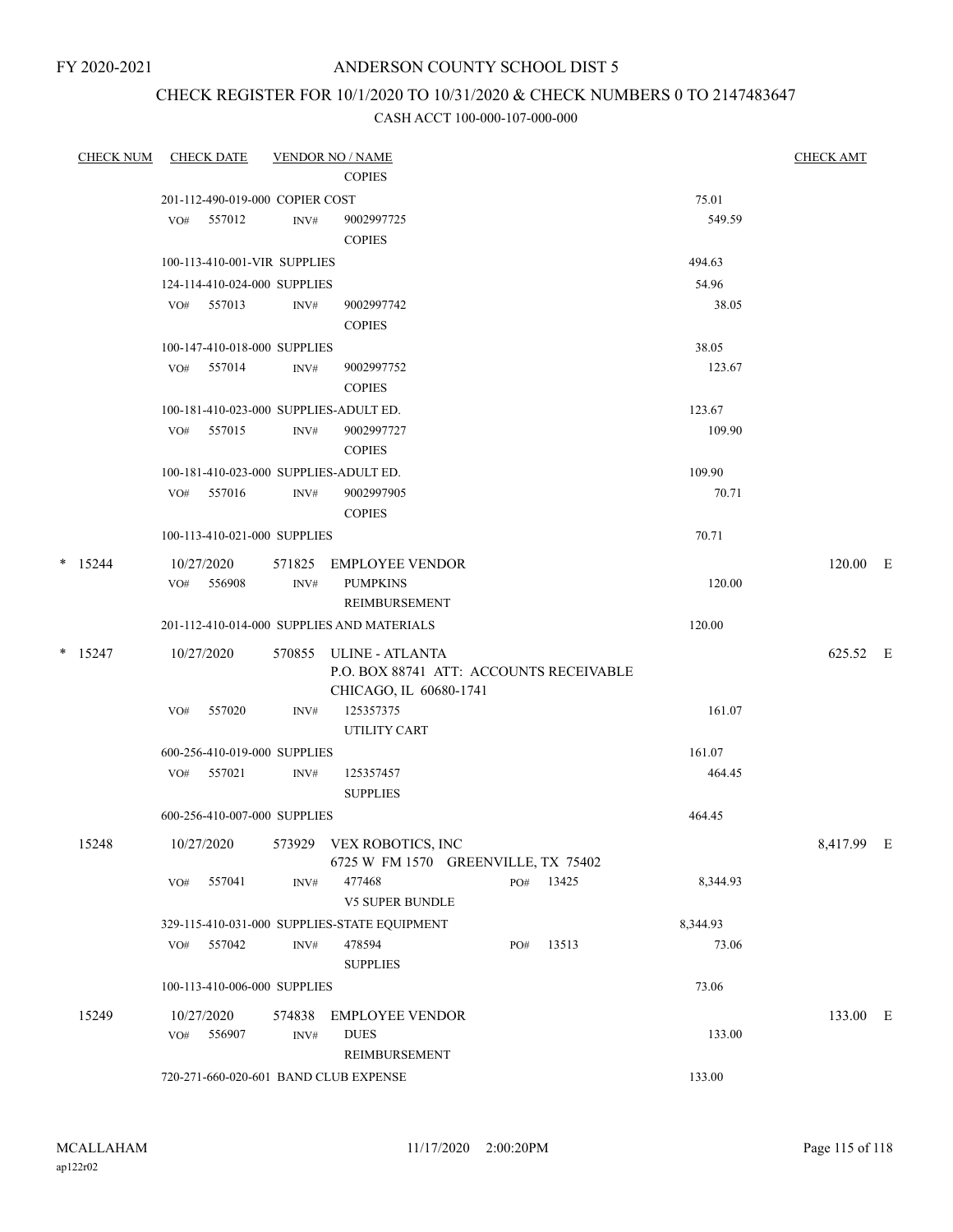FY 2020-2021

## ANDERSON COUNTY SCHOOL DIST 5

## CHECK REGISTER FOR 10/1/2020 TO 10/31/2020 & CHECK NUMBERS 0 TO 2147483647

| <b>CHECK NUM</b> |     | <b>CHECK DATE</b>               |        | <b>VENDOR NO / NAME</b>                                                                     |     |           |          | <b>CHECK AMT</b> |  |
|------------------|-----|---------------------------------|--------|---------------------------------------------------------------------------------------------|-----|-----------|----------|------------------|--|
|                  |     |                                 |        | <b>COPIES</b>                                                                               |     |           |          |                  |  |
|                  |     | 201-112-490-019-000 COPIER COST |        |                                                                                             |     |           | 75.01    |                  |  |
|                  | VO# | 557012                          | INV#   | 9002997725<br><b>COPIES</b>                                                                 |     |           | 549.59   |                  |  |
|                  |     | 100-113-410-001-VIR SUPPLIES    |        |                                                                                             |     |           | 494.63   |                  |  |
|                  |     | 124-114-410-024-000 SUPPLIES    |        |                                                                                             |     |           | 54.96    |                  |  |
|                  |     | VO# 557013                      | INV#   | 9002997742<br><b>COPIES</b>                                                                 |     |           | 38.05    |                  |  |
|                  |     | 100-147-410-018-000 SUPPLIES    |        |                                                                                             |     |           | 38.05    |                  |  |
|                  |     | VO# 557014                      | INV#   | 9002997752<br><b>COPIES</b>                                                                 |     |           | 123.67   |                  |  |
|                  |     |                                 |        | 100-181-410-023-000 SUPPLIES-ADULT ED.                                                      |     |           | 123.67   |                  |  |
|                  |     | VO# 557015                      | INV#   | 9002997727<br><b>COPIES</b>                                                                 |     |           | 109.90   |                  |  |
|                  |     |                                 |        | 100-181-410-023-000 SUPPLIES-ADULT ED.                                                      |     |           | 109.90   |                  |  |
|                  | VO# | 557016                          | INV#   | 9002997905<br><b>COPIES</b>                                                                 |     |           | 70.71    |                  |  |
|                  |     | 100-113-410-021-000 SUPPLIES    |        |                                                                                             |     |           | 70.71    |                  |  |
| $*$ 15244        |     | 10/27/2020                      | 571825 | EMPLOYEE VENDOR                                                                             |     |           |          | 120.00 E         |  |
|                  |     | VO# 556908                      | INV#   | <b>PUMPKINS</b><br>REIMBURSEMENT                                                            |     |           | 120.00   |                  |  |
|                  |     |                                 |        | 201-112-410-014-000 SUPPLIES AND MATERIALS                                                  |     |           | 120.00   |                  |  |
| $*$ 15247        |     | 10/27/2020                      |        | 570855 ULINE - ATLANTA<br>P.O. BOX 88741 ATT: ACCOUNTS RECEIVABLE<br>CHICAGO, IL 60680-1741 |     |           |          | 625.52 E         |  |
|                  | VO# | 557020                          | INV#   | 125357375<br>UTILITY CART                                                                   |     |           | 161.07   |                  |  |
|                  |     | 600-256-410-019-000 SUPPLIES    |        |                                                                                             |     |           | 161.07   |                  |  |
|                  |     | VO# 557021                      | INV#   | 125357457<br><b>SUPPLIES</b>                                                                |     |           | 464.45   |                  |  |
|                  |     | 600-256-410-007-000 SUPPLIES    |        |                                                                                             |     |           | 464.45   |                  |  |
| 15248            |     |                                 |        | 10/27/2020 573929 VEX ROBOTICS, INC<br>6725 W FM 1570 GREENVILLE, TX 75402                  |     |           |          | 8,417.99 E       |  |
|                  | VO# | 557041                          | INV#   | 477468<br>V5 SUPER BUNDLE                                                                   |     | PO# 13425 | 8,344.93 |                  |  |
|                  |     |                                 |        | 329-115-410-031-000 SUPPLIES-STATE EQUIPMENT                                                |     |           | 8,344.93 |                  |  |
|                  |     | VO# 557042                      | INV#   | 478594<br>${\large\bf SUPPLIES}$                                                            | PO# | 13513     | 73.06    |                  |  |
|                  |     | 100-113-410-006-000 SUPPLIES    |        |                                                                                             |     |           | 73.06    |                  |  |
| 15249            |     | 10/27/2020                      | 574838 | <b>EMPLOYEE VENDOR</b>                                                                      |     |           |          | 133.00 E         |  |
|                  | VO# | 556907                          | INV#   | <b>DUES</b><br>REIMBURSEMENT                                                                |     |           | 133.00   |                  |  |
|                  |     |                                 |        | 720-271-660-020-601 BAND CLUB EXPENSE                                                       |     |           | 133.00   |                  |  |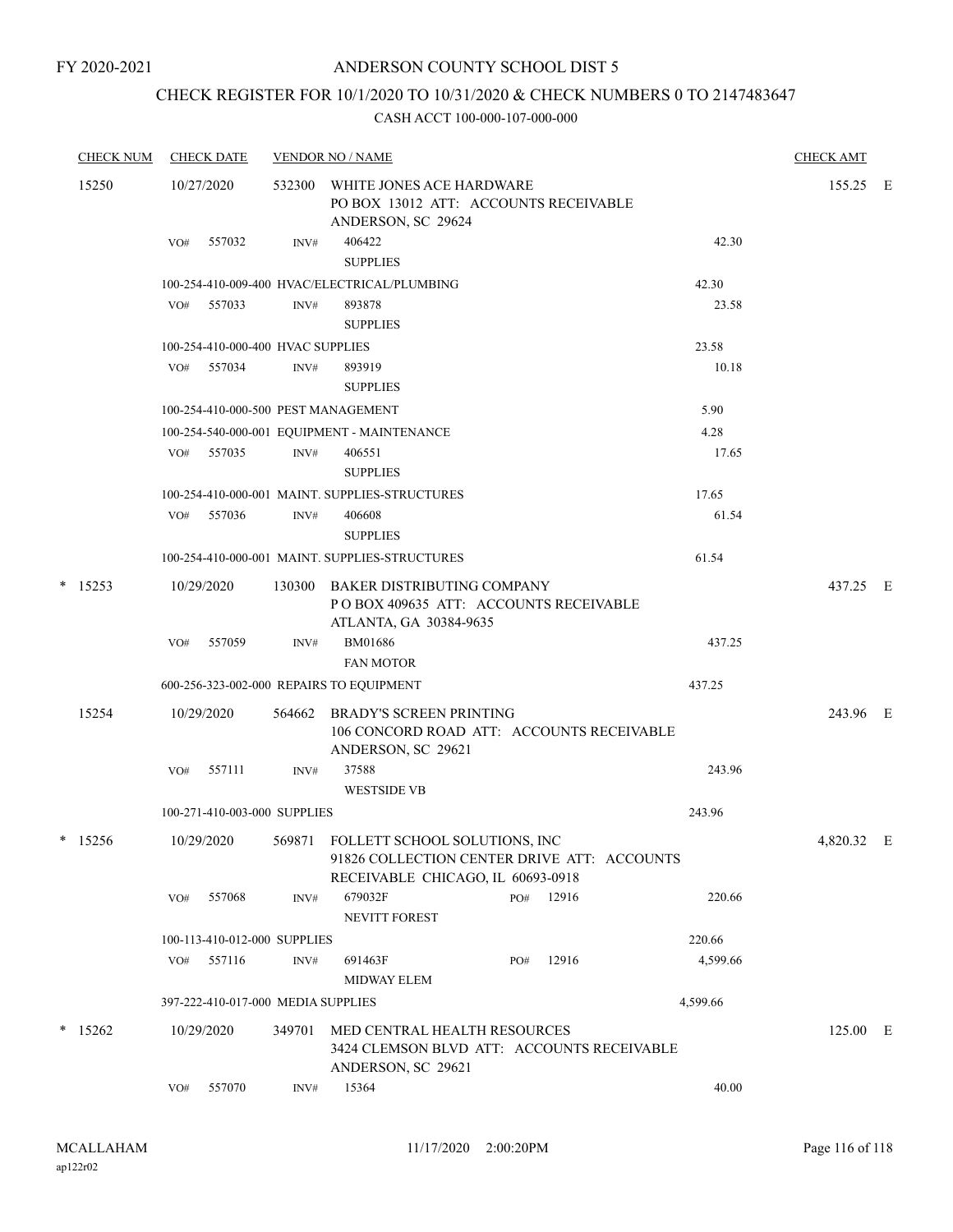# CHECK REGISTER FOR 10/1/2020 TO 10/31/2020 & CHECK NUMBERS 0 TO 2147483647

|        | <b>CHECK NUM</b> |     | <b>CHECK DATE</b>                  |                | <b>VENDOR NO / NAME</b>                                                                                                  |     |           |          | <b>CHECK AMT</b> |  |
|--------|------------------|-----|------------------------------------|----------------|--------------------------------------------------------------------------------------------------------------------------|-----|-----------|----------|------------------|--|
|        | 15250            |     | 10/27/2020                         | 532300         | WHITE JONES ACE HARDWARE<br>PO BOX 13012 ATT: ACCOUNTS RECEIVABLE<br>ANDERSON, SC 29624                                  |     |           |          | 155.25 E         |  |
|        |                  | VO# | 557032                             | INV#           | 406422<br><b>SUPPLIES</b>                                                                                                |     |           | 42.30    |                  |  |
|        |                  |     |                                    |                | 100-254-410-009-400 HVAC/ELECTRICAL/PLUMBING                                                                             |     |           | 42.30    |                  |  |
|        |                  | VO# | 557033                             | $\text{INV}\#$ | 893878<br><b>SUPPLIES</b>                                                                                                |     |           | 23.58    |                  |  |
|        |                  |     | 100-254-410-000-400 HVAC SUPPLIES  |                |                                                                                                                          |     |           | 23.58    |                  |  |
|        |                  |     | VO# 557034                         | INV#           | 893919<br><b>SUPPLIES</b>                                                                                                |     |           | 10.18    |                  |  |
|        |                  |     |                                    |                | 100-254-410-000-500 PEST MANAGEMENT                                                                                      |     |           | 5.90     |                  |  |
|        |                  |     |                                    |                | 100-254-540-000-001 EQUIPMENT - MAINTENANCE                                                                              |     |           | 4.28     |                  |  |
|        |                  | VO# | 557035                             | $\text{INV}\#$ | 406551<br><b>SUPPLIES</b>                                                                                                |     |           | 17.65    |                  |  |
|        |                  |     |                                    |                | 100-254-410-000-001 MAINT. SUPPLIES-STRUCTURES                                                                           |     |           | 17.65    |                  |  |
|        |                  | VO# | 557036                             | INV#           | 406608<br><b>SUPPLIES</b>                                                                                                |     |           | 61.54    |                  |  |
|        |                  |     |                                    |                | 100-254-410-000-001 MAINT, SUPPLIES-STRUCTURES                                                                           |     |           | 61.54    |                  |  |
| $\ast$ | 15253            |     | 10/29/2020                         | 130300         | BAKER DISTRIBUTING COMPANY<br>PO BOX 409635 ATT: ACCOUNTS RECEIVABLE<br>ATLANTA, GA 30384-9635                           |     |           |          | 437.25 E         |  |
|        |                  | VO# | 557059                             | INV#           | BM01686                                                                                                                  |     |           | 437.25   |                  |  |
|        |                  |     |                                    |                | <b>FAN MOTOR</b>                                                                                                         |     |           |          |                  |  |
|        |                  |     |                                    |                | 600-256-323-002-000 REPAIRS TO EQUIPMENT                                                                                 |     |           | 437.25   |                  |  |
|        |                  |     |                                    |                |                                                                                                                          |     |           |          |                  |  |
|        | 15254            |     | 10/29/2020                         | 564662         | BRADY'S SCREEN PRINTING<br>106 CONCORD ROAD ATT: ACCOUNTS RECEIVABLE<br>ANDERSON, SC 29621                               |     |           |          | 243.96 E         |  |
|        |                  | VO# | 557111                             | INV#           | 37588                                                                                                                    |     |           | 243.96   |                  |  |
|        |                  |     |                                    |                | <b>WESTSIDE VB</b>                                                                                                       |     |           |          |                  |  |
|        |                  |     | 100-271-410-003-000 SUPPLIES       |                |                                                                                                                          |     |           | 243.96   |                  |  |
|        | $*$ 15256        |     | 10/29/2020                         |                | 569871 FOLLETT SCHOOL SOLUTIONS, INC<br>91826 COLLECTION CENTER DRIVE ATT: ACCOUNTS<br>RECEIVABLE CHICAGO, IL 60693-0918 |     |           |          | 4,820.32 E       |  |
|        |                  | VO# | 557068                             | INV#           | 679032F<br><b>NEVITT FOREST</b>                                                                                          |     | PO# 12916 | 220.66   |                  |  |
|        |                  |     | 100-113-410-012-000 SUPPLIES       |                |                                                                                                                          |     |           | 220.66   |                  |  |
|        |                  | VO# | 557116                             | INV#           | 691463F<br><b>MIDWAY ELEM</b>                                                                                            | PO# | 12916     | 4,599.66 |                  |  |
|        |                  |     | 397-222-410-017-000 MEDIA SUPPLIES |                |                                                                                                                          |     |           | 4,599.66 |                  |  |
|        | $*$ 15262        |     | 10/29/2020                         | 349701         | MED CENTRAL HEALTH RESOURCES                                                                                             |     |           |          | 125.00 E         |  |
|        |                  |     |                                    |                | 3424 CLEMSON BLVD ATT: ACCOUNTS RECEIVABLE<br>ANDERSON, SC 29621                                                         |     |           |          |                  |  |
|        |                  | VO# | 557070                             | INV#           | 15364                                                                                                                    |     |           | 40.00    |                  |  |
|        |                  |     |                                    |                |                                                                                                                          |     |           |          |                  |  |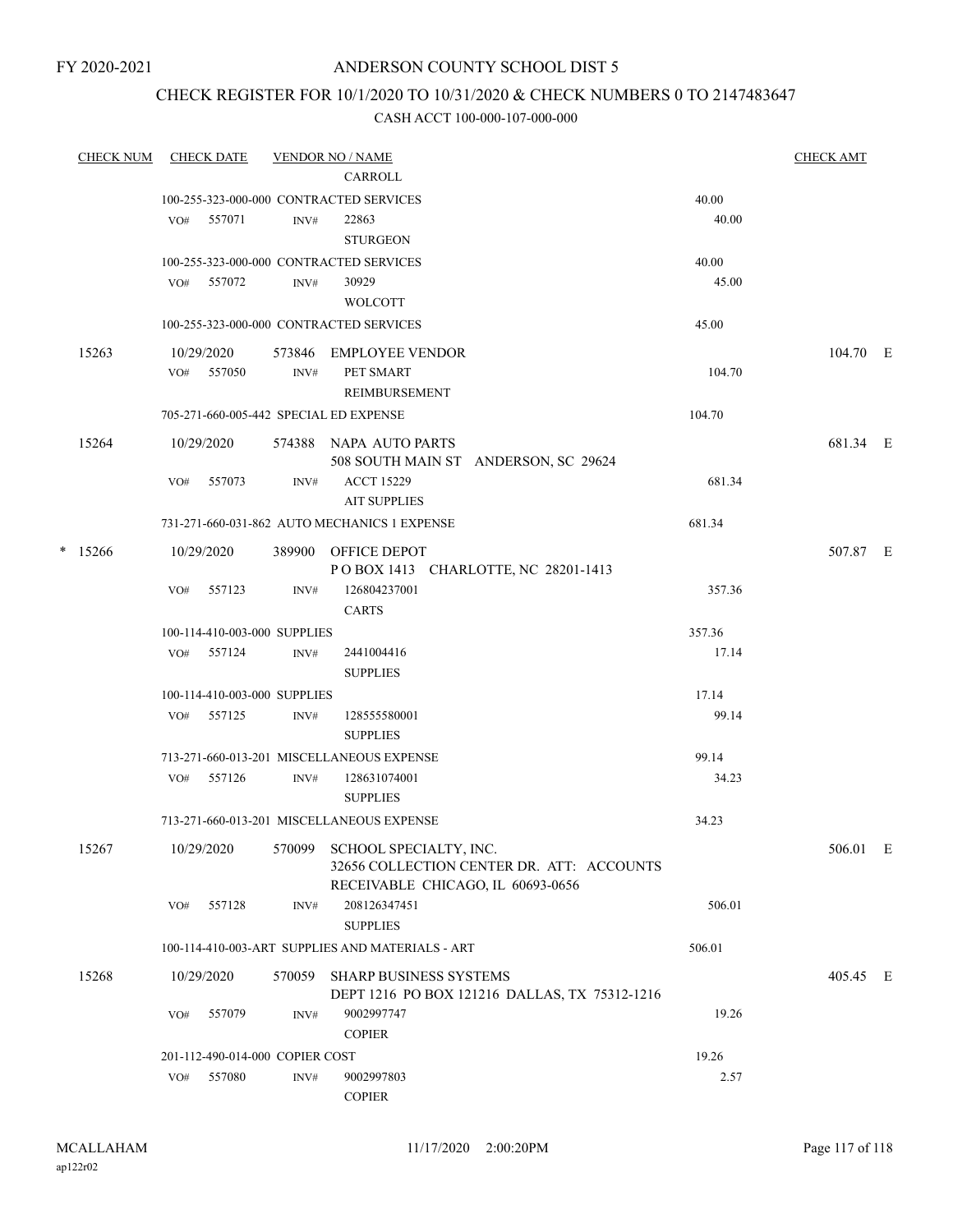### CHECK REGISTER FOR 10/1/2020 TO 10/31/2020 & CHECK NUMBERS 0 TO 2147483647

| <b>CHECK NUM</b> |     | <b>CHECK DATE</b> |                                 | <b>VENDOR NO / NAME</b><br>CARROLL                                      |        | <b>CHECK AMT</b> |  |
|------------------|-----|-------------------|---------------------------------|-------------------------------------------------------------------------|--------|------------------|--|
|                  |     |                   |                                 | 100-255-323-000-000 CONTRACTED SERVICES                                 | 40.00  |                  |  |
|                  | VO# | 557071            | INV#                            | 22863<br><b>STURGEON</b>                                                | 40.00  |                  |  |
|                  |     |                   |                                 | 100-255-323-000-000 CONTRACTED SERVICES                                 | 40.00  |                  |  |
|                  |     | VO# 557072        | INV#                            | 30929                                                                   | 45.00  |                  |  |
|                  |     |                   |                                 | <b>WOLCOTT</b>                                                          |        |                  |  |
|                  |     |                   |                                 | 100-255-323-000-000 CONTRACTED SERVICES                                 | 45.00  |                  |  |
| 15263            |     | 10/29/2020        | 573846                          | EMPLOYEE VENDOR                                                         |        | 104.70 E         |  |
|                  |     | VO# 557050        | INV#                            | PET SMART                                                               | 104.70 |                  |  |
|                  |     |                   |                                 | REIMBURSEMENT                                                           |        |                  |  |
|                  |     |                   |                                 | 705-271-660-005-442 SPECIAL ED EXPENSE                                  | 104.70 |                  |  |
| 15264            |     | 10/29/2020        |                                 | 574388 NAPA AUTO PARTS                                                  |        | 681.34 E         |  |
|                  |     |                   |                                 | 508 SOUTH MAIN ST ANDERSON, SC 29624                                    |        |                  |  |
|                  | VO# | 557073            | INV#                            | <b>ACCT 15229</b>                                                       | 681.34 |                  |  |
|                  |     |                   |                                 | <b>AIT SUPPLIES</b>                                                     |        |                  |  |
|                  |     |                   |                                 | 731-271-660-031-862 AUTO MECHANICS 1 EXPENSE                            | 681.34 |                  |  |
| $*$ 15266        |     | 10/29/2020        |                                 | 389900 OFFICE DEPOT                                                     |        | 507.87 E         |  |
|                  |     |                   |                                 | POBOX 1413 CHARLOTTE, NC 28201-1413                                     |        |                  |  |
|                  | VO# | 557123            | INV#                            | 126804237001                                                            | 357.36 |                  |  |
|                  |     |                   |                                 | <b>CARTS</b>                                                            |        |                  |  |
|                  |     |                   | 100-114-410-003-000 SUPPLIES    |                                                                         | 357.36 |                  |  |
|                  |     | VO# 557124        | INV#                            | 2441004416                                                              | 17.14  |                  |  |
|                  |     |                   |                                 | <b>SUPPLIES</b>                                                         |        |                  |  |
|                  |     |                   | 100-114-410-003-000 SUPPLIES    |                                                                         | 17.14  |                  |  |
|                  |     | VO# 557125        | INV#                            | 128555580001                                                            | 99.14  |                  |  |
|                  |     |                   |                                 | <b>SUPPLIES</b>                                                         |        |                  |  |
|                  |     |                   |                                 | 713-271-660-013-201 MISCELLANEOUS EXPENSE                               | 99.14  |                  |  |
|                  | VO# | 557126            | INV#                            | 128631074001                                                            | 34.23  |                  |  |
|                  |     |                   |                                 | <b>SUPPLIES</b>                                                         |        |                  |  |
|                  |     |                   |                                 | 713-271-660-013-201 MISCELLANEOUS EXPENSE                               | 34.23  |                  |  |
| 15267            |     | 10/29/2020        | 570099                          | SCHOOL SPECIALTY, INC.                                                  |        | 506.01 E         |  |
|                  |     |                   |                                 | 32656 COLLECTION CENTER DR. ATT: ACCOUNTS                               |        |                  |  |
|                  |     |                   |                                 | RECEIVABLE CHICAGO, IL 60693-0656                                       |        |                  |  |
|                  | VO# | 557128            | INV#                            | 208126347451                                                            | 506.01 |                  |  |
|                  |     |                   |                                 | <b>SUPPLIES</b>                                                         |        |                  |  |
|                  |     |                   |                                 | 100-114-410-003-ART SUPPLIES AND MATERIALS - ART                        | 506.01 |                  |  |
| 15268            |     | 10/29/2020        | 570059                          | SHARP BUSINESS SYSTEMS<br>DEPT 1216 PO BOX 121216 DALLAS, TX 75312-1216 |        | 405.45 E         |  |
|                  | VO# | 557079            | INV#                            | 9002997747                                                              | 19.26  |                  |  |
|                  |     |                   |                                 | <b>COPIER</b>                                                           |        |                  |  |
|                  |     |                   | 201-112-490-014-000 COPIER COST |                                                                         | 19.26  |                  |  |
|                  | VO# | 557080            | INV#                            | 9002997803                                                              | 2.57   |                  |  |
|                  |     |                   |                                 | <b>COPIER</b>                                                           |        |                  |  |